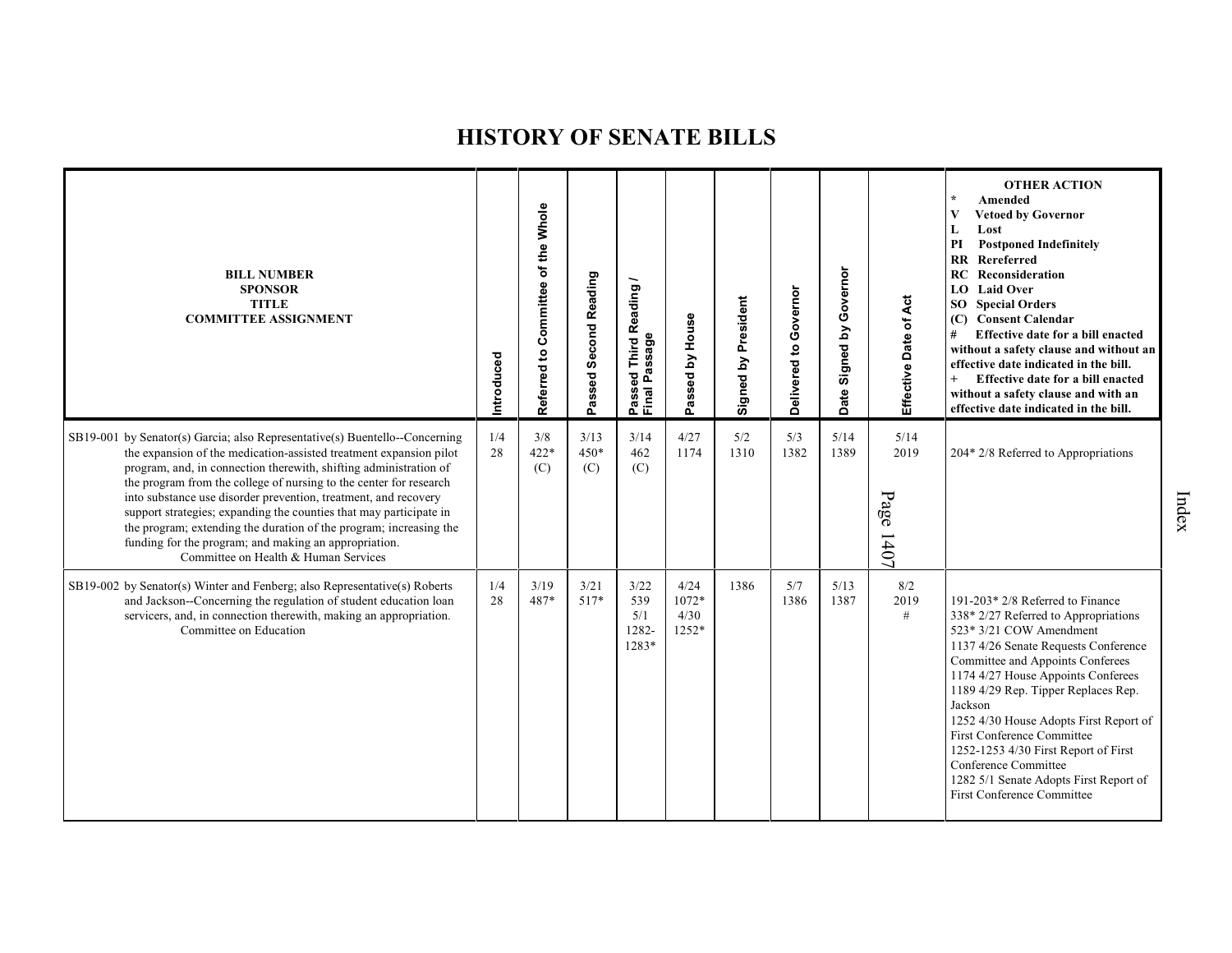| <b>BILL NUMBER</b><br><b>SPONSOR</b><br><b>TITLE</b><br><b>COMMITTEE ASSIGNMENT</b>                                                                                                                                                                                                                                                                                                                                                                                                                                                                                                                          | Introduced | Referred to Committee of the Whole | Passed Second Reading | Reading<br>Passed Third R<br>Final Passage | Passed by House                | Signed by President | Governor<br>Delivered to | Governor<br>Signed by<br>Date: | Effective Date of Act     | <b>OTHER ACTION</b><br>$\star$<br>Amended<br>$\mathbf{V}$<br><b>Vetoed by Governor</b><br>L<br>Lost<br>PI<br><b>Postponed Indefinitely</b><br>Rereferred<br><b>RR</b><br><b>RC</b> Reconsideration<br>LO Laid Over<br>SO <sub>1</sub><br><b>Special Orders</b><br>(C) Consent Calendar<br>Effective date for a bill enacted<br>#<br>without a safety clause and without an<br>effective date indicated in the bill.<br>$^{+}$<br>Effective date for a bill enacted<br>without a safety clause and with an<br>effective date indicated in the bill. |
|--------------------------------------------------------------------------------------------------------------------------------------------------------------------------------------------------------------------------------------------------------------------------------------------------------------------------------------------------------------------------------------------------------------------------------------------------------------------------------------------------------------------------------------------------------------------------------------------------------------|------------|------------------------------------|-----------------------|--------------------------------------------|--------------------------------|---------------------|--------------------------|--------------------------------|---------------------------|----------------------------------------------------------------------------------------------------------------------------------------------------------------------------------------------------------------------------------------------------------------------------------------------------------------------------------------------------------------------------------------------------------------------------------------------------------------------------------------------------------------------------------------------------|
| SB19-001 by Senator(s) Garcia; also Representative(s) Buentello--Concerning<br>the expansion of the medication-assisted treatment expansion pilot<br>program, and, in connection therewith, shifting administration of<br>the program from the college of nursing to the center for research<br>into substance use disorder prevention, treatment, and recovery<br>support strategies; expanding the counties that may participate in<br>the program; extending the duration of the program; increasing the<br>funding for the program; and making an appropriation.<br>Committee on Health & Human Services | 1/4<br>28  | 3/8<br>$422*$<br>(C)               | 3/13<br>$450*$<br>(C) | 3/14<br>462<br>(C)                         | 4/27<br>1174                   | 5/2<br>1310         | 5/3<br>1382              | 5/14<br>1389                   | 5/14<br>2019<br>Page 1407 | 204* 2/8 Referred to Appropriations                                                                                                                                                                                                                                                                                                                                                                                                                                                                                                                |
| SB19-002 by Senator(s) Winter and Fenberg; also Representative(s) Roberts<br>and Jackson--Concerning the regulation of student education loan<br>servicers, and, in connection therewith, making an appropriation.<br>Committee on Education                                                                                                                                                                                                                                                                                                                                                                 | 1/4<br>28  | 3/19<br>487*                       | 3/21<br>$517*$        | 3/22<br>539<br>5/1<br>1282-<br>1283*       | 4/24<br>1072*<br>4/30<br>1252* | 1386                | 5/7<br>1386              | 5/13<br>1387                   | 8/2<br>2019<br>#          | 191-203* 2/8 Referred to Finance<br>338* 2/27 Referred to Appropriations<br>523* 3/21 COW Amendment<br>1137 4/26 Senate Requests Conference<br>Committee and Appoints Conferees<br>1174 4/27 House Appoints Conferees<br>1189 4/29 Rep. Tipper Replaces Rep.<br>Jackson<br>1252 4/30 House Adopts First Report of<br>First Conference Committee<br>1252-1253 4/30 First Report of First<br>Conference Committee<br>1282 5/1 Senate Adopts First Report of<br><b>First Conference Committee</b>                                                     |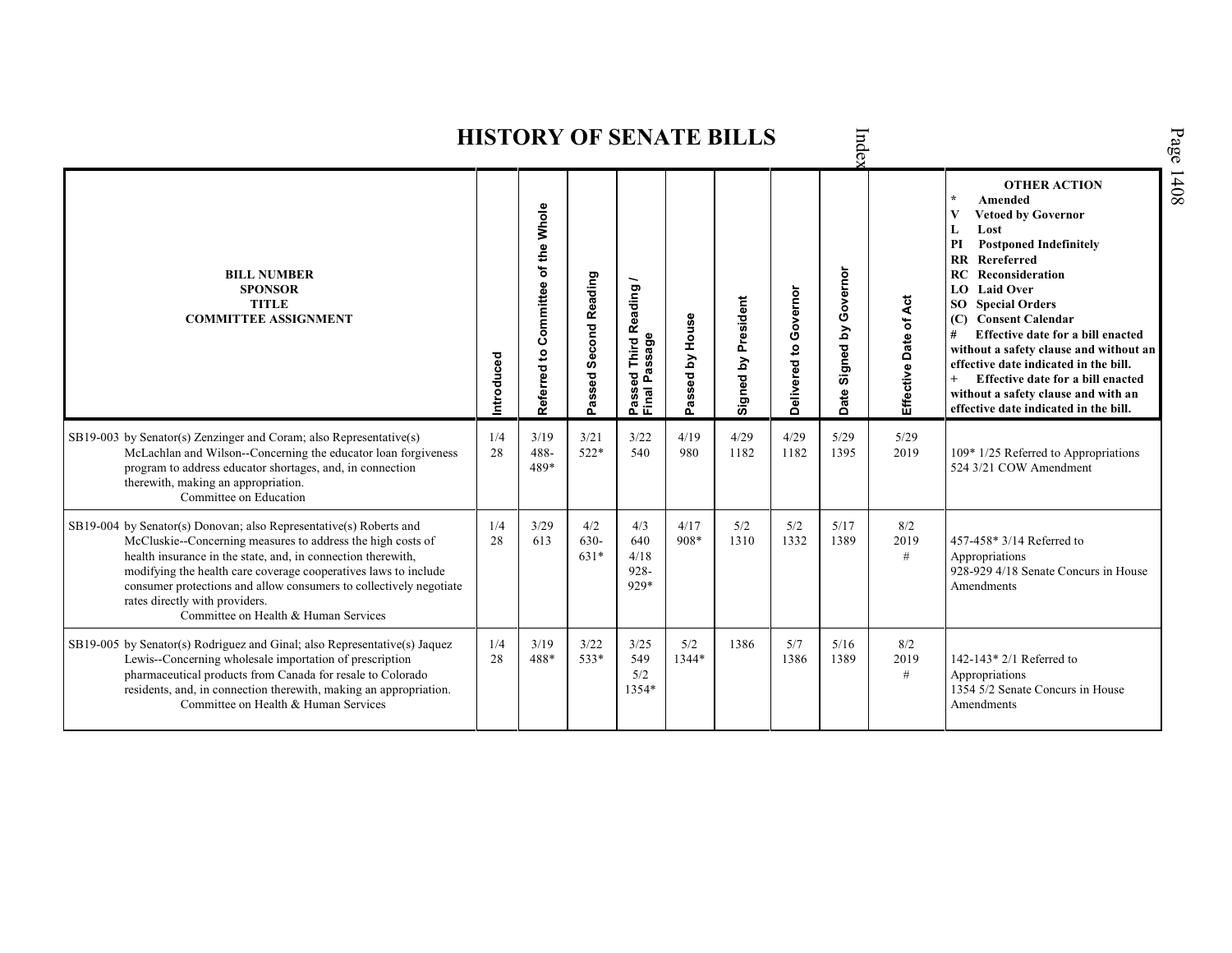|                                                                                                                                                                                                                                                                                                                                                                                                                      |            |                                    |                                      |                                                            |                 | <b>HISTORY OF SENATE BILLS</b> |                       | Index                            |                       |                                                                                                                                                                                                                                                                                                                                                                                                                                                                                                                           |
|----------------------------------------------------------------------------------------------------------------------------------------------------------------------------------------------------------------------------------------------------------------------------------------------------------------------------------------------------------------------------------------------------------------------|------------|------------------------------------|--------------------------------------|------------------------------------------------------------|-----------------|--------------------------------|-----------------------|----------------------------------|-----------------------|---------------------------------------------------------------------------------------------------------------------------------------------------------------------------------------------------------------------------------------------------------------------------------------------------------------------------------------------------------------------------------------------------------------------------------------------------------------------------------------------------------------------------|
| <b>BILL NUMBER</b><br><b>SPONSOR</b><br><b>TITLE</b><br><b>COMMITTEE ASSIGNMENT</b>                                                                                                                                                                                                                                                                                                                                  | Introduced | Referred to Committee of the Whole | <b>Second Reading</b><br>assed<br>o. | Reading<br>Passeq<br>Final Passage<br>———————————————————— | Passed by House | Signed by President            | Delivered to Governor | Governor<br>Σq<br>Signed<br>Date | Effective Date of Act | <b>OTHER ACTION</b><br>Amended<br>$\star$<br><b>Vetoed by Governor</b><br>V<br>Lost<br>L<br>PI<br><b>Postponed Indefinitely</b><br>$\mathbf{R}$<br>Rereferred<br>Reconsideration<br>RC.<br><b>LO</b> Laid Over<br><b>SO</b> Special Orders<br><b>Consent Calendar</b><br>(C)<br>Effective date for a bill enacted<br>without a safety clause and without an<br>effective date indicated in the bill.<br>Effective date for a bill enacted<br>without a safety clause and with an<br>effective date indicated in the bill. |
| $SB19-003$ by Senator(s) Zenzinger and Coram; also Representative(s)<br>McLachlan and Wilson--Concerning the educator loan forgiveness<br>program to address educator shortages, and, in connection<br>therewith, making an appropriation.<br>Committee on Education                                                                                                                                                 | 1/4<br>28  | 3/19<br>$488 -$<br>489*            | 3/21<br>$522*$                       | 3/22<br>540                                                | 4/19<br>980     | 4/29<br>1182                   | 4/29<br>1182          | 5/29<br>1395                     | 5/29<br>2019          | 109* 1/25 Referred to Appropriations<br>524 3/21 COW Amendment                                                                                                                                                                                                                                                                                                                                                                                                                                                            |
| SB19-004 by Senator(s) Donovan; also Representative(s) Roberts and<br>McCluskie--Concerning measures to address the high costs of<br>health insurance in the state, and, in connection therewith,<br>modifying the health care coverage cooperatives laws to include<br>consumer protections and allow consumers to collectively negotiate<br>rates directly with providers.<br>Committee on Health & Human Services | 1/4<br>28  | 3/29<br>613                        | 4/2<br>630-<br>$631*$                | 4/3<br>640<br>4/18<br>$928 -$<br>$929*$                    | 4/17<br>908*    | 5/2<br>1310                    | 5/2<br>1332           | 5/17<br>1389                     | 8/2<br>2019<br>#      | 457-458* 3/14 Referred to<br>Appropriations<br>928-929 4/18 Senate Concurs in House<br>Amendments                                                                                                                                                                                                                                                                                                                                                                                                                         |
| SB19-005 by Senator(s) Rodriguez and Ginal; also Representative(s) Jaquez<br>Lewis--Concerning wholesale importation of prescription<br>pharmaceutical products from Canada for resale to Colorado<br>residents, and, in connection therewith, making an appropriation.<br>Committee on Health & Human Services                                                                                                      | 1/4<br>28  | 3/19<br>488*                       | 3/22<br>533*                         | 3/25<br>549<br>5/2<br>$1354*$                              | 5/2<br>1344*    | 1386                           | 5/7<br>1386           | 5/16<br>1389                     | 8/2<br>2019<br>#      | 142-143* $2/1$ Referred to<br>Appropriations<br>1354 5/2 Senate Concurs in House<br>Amendments                                                                                                                                                                                                                                                                                                                                                                                                                            |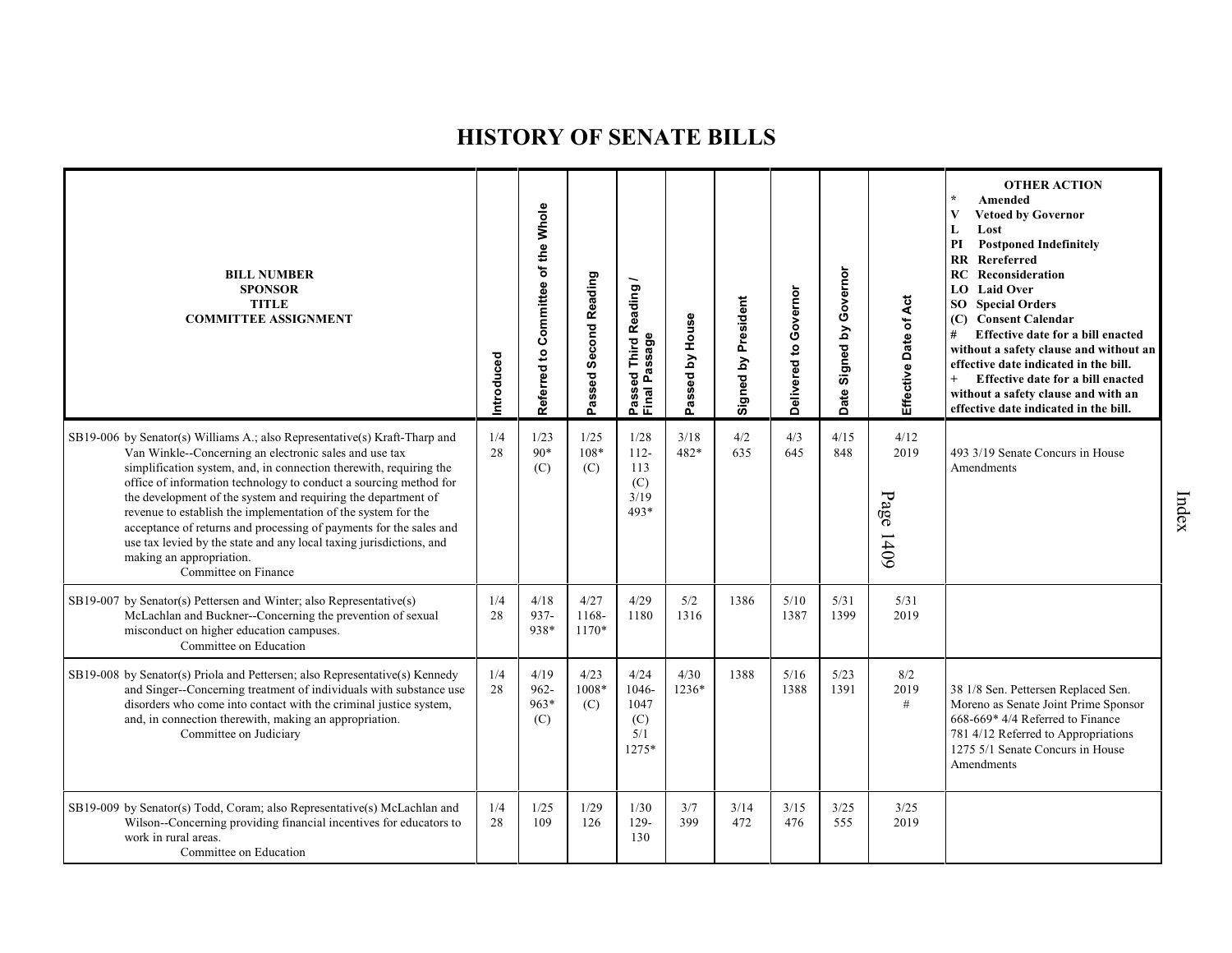| <b>BILL NUMBER</b><br><b>SPONSOR</b><br><b>TITLE</b><br><b>COMMITTEE ASSIGNMENT</b>                                                                                                                                                                                                                                                                                                                                                                                                                                                                                                                                | Introduced | Referred to Committee of the Whole | Passed Second Reading  | Reading<br>Passage<br>Third<br>ъ<br>Ō<br>Passe<br>Final | Passed by House | Signed by President | Governor<br>Delivered to | Governor<br>Signed by<br>Date | Effective Date of Act     | <b>OTHER ACTION</b><br>$\star$<br>Amended<br><b>Vetoed by Governor</b><br>V<br>Lost<br>L<br>PI<br><b>Postponed Indefinitely</b><br>$\mathbf{R}$<br>Rereferred<br>Reconsideration<br>RC<br><b>LO</b> Laid Over<br><b>SO</b> Special Orders<br>(C) Consent Calendar<br>Effective date for a bill enacted<br>#<br>without a safety clause and without an<br>effective date indicated in the bill.<br>$+$<br>Effective date for a bill enacted<br>without a safety clause and with an<br>effective date indicated in the bill. |
|--------------------------------------------------------------------------------------------------------------------------------------------------------------------------------------------------------------------------------------------------------------------------------------------------------------------------------------------------------------------------------------------------------------------------------------------------------------------------------------------------------------------------------------------------------------------------------------------------------------------|------------|------------------------------------|------------------------|---------------------------------------------------------|-----------------|---------------------|--------------------------|-------------------------------|---------------------------|----------------------------------------------------------------------------------------------------------------------------------------------------------------------------------------------------------------------------------------------------------------------------------------------------------------------------------------------------------------------------------------------------------------------------------------------------------------------------------------------------------------------------|
| SB19-006 by Senator(s) Williams A.; also Representative(s) Kraft-Tharp and<br>Van Winkle--Concerning an electronic sales and use tax<br>simplification system, and, in connection therewith, requiring the<br>office of information technology to conduct a sourcing method for<br>the development of the system and requiring the department of<br>revenue to establish the implementation of the system for the<br>acceptance of returns and processing of payments for the sales and<br>use tax levied by the state and any local taxing jurisdictions, and<br>making an appropriation.<br>Committee on Finance | 1/4<br>28  | 1/23<br>$90*$<br>(C)               | 1/25<br>108*<br>(C)    | 1/28<br>$112 -$<br>113<br>(C)<br>3/19<br>$493*$         | 3/18<br>482*    | 4/2<br>635          | 4/3<br>645               | 4/15<br>848                   | 4/12<br>2019<br>Page 1409 | 493 3/19 Senate Concurs in House<br>Amendments                                                                                                                                                                                                                                                                                                                                                                                                                                                                             |
| SB19-007 by Senator(s) Pettersen and Winter; also Representative(s)<br>McLachlan and Buckner--Concerning the prevention of sexual<br>misconduct on higher education campuses.<br>Committee on Education                                                                                                                                                                                                                                                                                                                                                                                                            | 1/4<br>28  | 4/18<br>937-<br>938*               | 4/27<br>1168-<br>1170* | 4/29<br>1180                                            | 5/2<br>1316     | 1386                | 5/10<br>1387             | 5/31<br>1399                  | 5/31<br>2019              |                                                                                                                                                                                                                                                                                                                                                                                                                                                                                                                            |
| SB19-008 by Senator(s) Priola and Pettersen; also Representative(s) Kennedy<br>and Singer--Concerning treatment of individuals with substance use<br>disorders who come into contact with the criminal justice system,<br>and, in connection therewith, making an appropriation.<br>Committee on Judiciary                                                                                                                                                                                                                                                                                                         | 1/4<br>28  | 4/19<br>962-<br>963*<br>(C)        | 4/23<br>1008*<br>(C)   | 4/24<br>1046-<br>1047<br>(C)<br>5/1<br>1275*            | 4/30<br>1236*   | 1388                | 5/16<br>1388             | 5/23<br>1391                  | 8/2<br>2019<br>#          | 38 1/8 Sen. Pettersen Replaced Sen.<br>Moreno as Senate Joint Prime Sponsor<br>668-669* 4/4 Referred to Finance<br>781 4/12 Referred to Appropriations<br>1275 5/1 Senate Concurs in House<br>Amendments                                                                                                                                                                                                                                                                                                                   |
| SB19-009 by Senator(s) Todd, Coram; also Representative(s) McLachlan and<br>Wilson--Concerning providing financial incentives for educators to<br>work in rural areas.<br>Committee on Education                                                                                                                                                                                                                                                                                                                                                                                                                   | 1/4<br>28  | 1/25<br>109                        | 1/29<br>126            | 1/30<br>129-<br>130                                     | 3/7<br>399      | 3/14<br>472         | 3/15<br>476              | 3/25<br>555                   | 3/25<br>2019              |                                                                                                                                                                                                                                                                                                                                                                                                                                                                                                                            |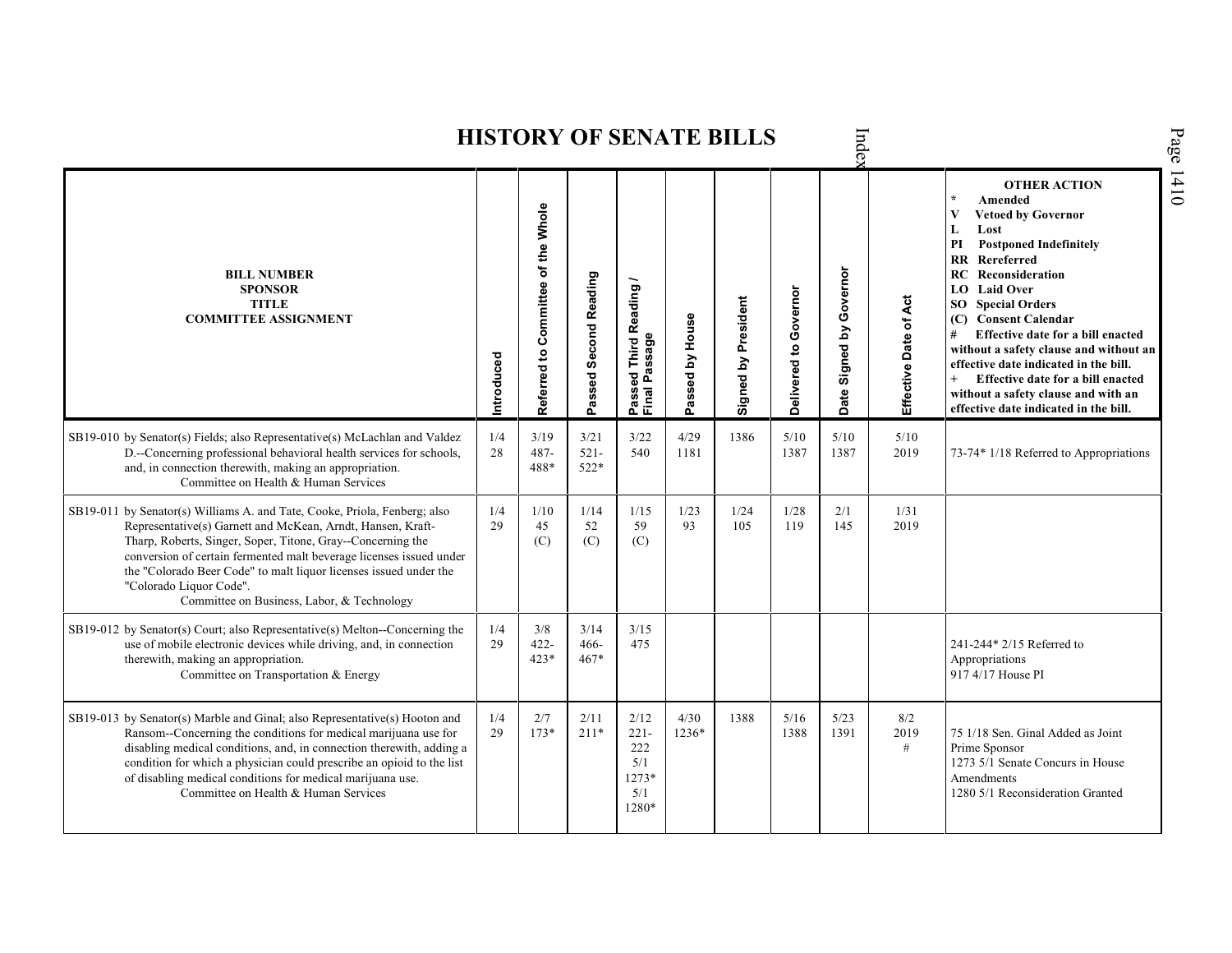**HISTORY OF SENATE BILLS** Index Page 1410 **OTHER ACTION \* Amended Referred to Com mittee of the Whole V Vetoed by Governor L Lost PI Postponed Indefinitely RR Rereferred** Signed by Governor **BILL NUMBER Signed by Governor RC Reconsideration Passed Second Reading Passed Third Reading / SPONSOR** Passed Third Reading<br>Final Passage **LO Laid Over** Delivered to Governor **Delivered to Governor** Signed by President Effective Date of Act **TITLE Signed by President Effective Date of Act SO Special Orders COMMITTEE ASSIGNMENT** assed by House **(C) Consent Calendar Passed by House # Effective date for a bill enacted Final Passage without a safety clause and without an Introduced effective date indicated in the bill. + Effective date for a bill enacted Date without a safety clause and with an effective date indicated in the bill.**  Ä SB19-010 by Senator(s) Fields; also Representative(s) McLachlan and Valdez 1/4 3/19 3/21 3/22 4/29 1386 5/10 5/10 5/10 D.--Concerning professional behavioral health services for schools, 28 487- 521- 540 1181 1387 1387 2019 73-74\* 1/18 Referred to Appropriations and, in connection therewith, making an appropriation. 488\* 522\* Committee on Health & Human Services SB19-011 by Senator(s) Williams A. and Tate, Cooke, Priola, Fenberg; also 1/4 1/10 1/14 1/15 1/23 1/24 1/28 2/1 1/31 Representative(s) Garnett and McKean, Arndt, Hansen, Kraft-29 45 52 59 93 105 119 145 2019 Tharp, Roberts, Singer, Soper, Titone, Gray--Concerning the  $(C)$  $(C)$  $(C)$ conversion of certain fermented malt beverage licenses issued under the "Colorado Beer Code" to malt liquor licenses issued under the "Colorado Liquor Code". Committee on Business, Labor, & Technology SB19-012 by Senator(s) Court; also Representative(s) Melton--Concerning the 1/4 3/8 3/14 3/15 use of mobile electronic devices while driving, and, in connection 29 422- 466- 475 241-244\* 2/15 Referred to 423\* 467\* therewith, making an appropriation. Appropriations Committee on Transportation & Energy 917 4/17 House PI SB19-013 by Senator(s) Marble and Ginal; also Representative(s) Hooton and 1/4 2/7 2/11 2/12 4/30 1388 5/16 5/23 8/2 Ransom--Concerning the conditions for medical marijuana use for 29 173\* 211\* 221- 1236\* 1388 1391 2019 75 1/18 Sen. Ginal Added as Joint 222 disabling medical conditions, and, in connection therewith, adding a # Prime Sponsor condition for which a physician could prescribe an opioid to the list 5/1 1273 5/1 Senate Concurs in House of disabling medical conditions for medical marijuana use. 1273\* Amendments Committee on Health & Human Services 5/1 1280 5/1 Reconsideration Granted1280\*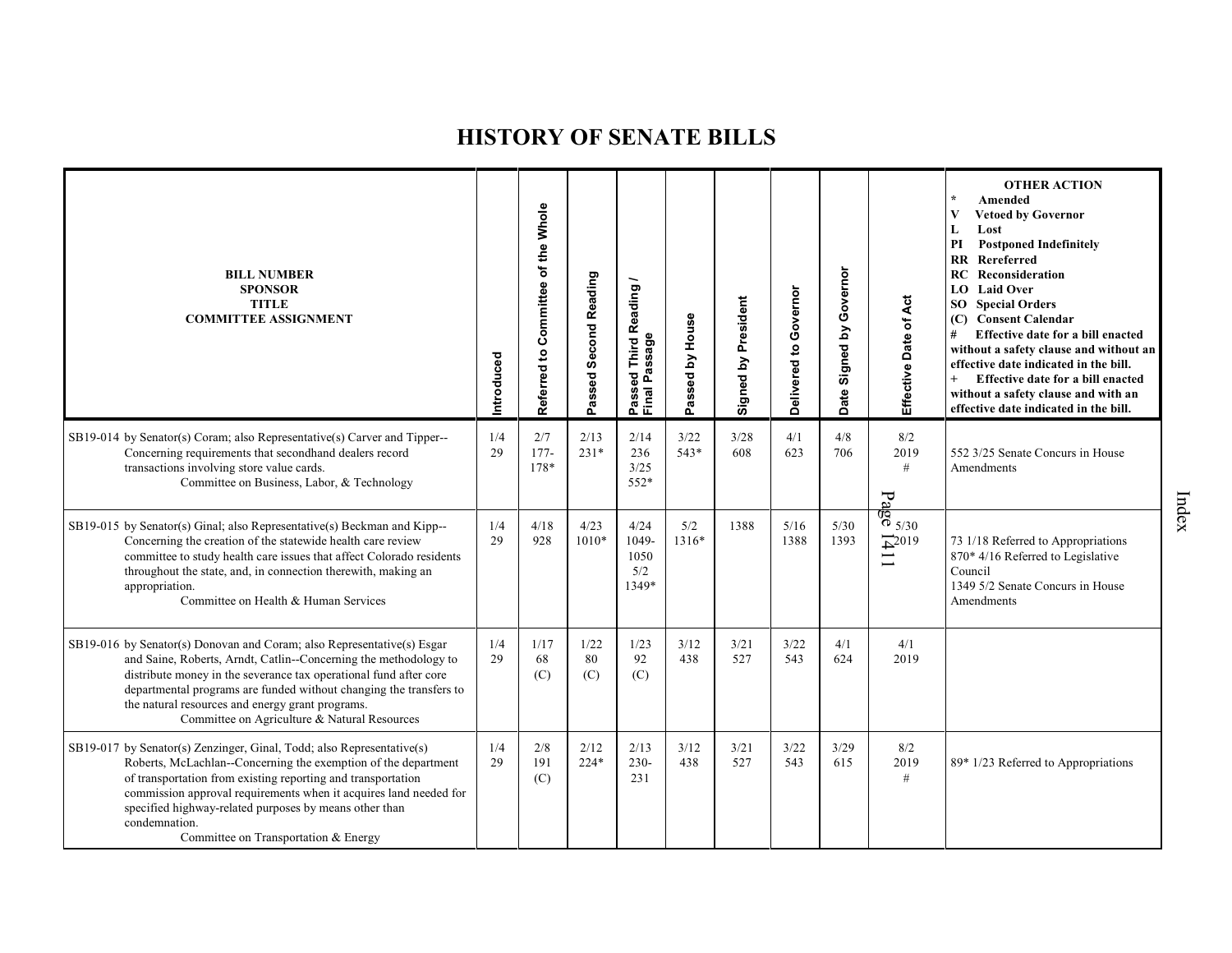| <b>BILL NUMBER</b><br><b>SPONSOR</b><br><b>TITLE</b><br><b>COMMITTEE ASSIGNMENT</b>                                                                                                                                                                                                                                                                                                             | Introduced | Committee of the Whole<br>Referred to | Passed Second Reading | <b>Third Reading</b><br>Passed Third R<br>Final Passage | Passed by House | President<br>Signed by | Delivered to Governor | Governor<br>Signed by<br><b>Date</b> | Effective Date of Act                                                                                   | <b>OTHER ACTION</b><br>$\star$<br>Amended<br>V<br><b>Vetoed by Governor</b><br>Lost<br>L<br>PI<br><b>Postponed Indefinitely</b><br><b>RR</b> Rereferred<br>Reconsideration<br>RC<br><b>Laid Over</b><br>LO.<br><b>SO</b> Special Orders<br>(C) Consent Calendar<br>#<br>Effective date for a bill enacted<br>without a safety clause and without an<br>effective date indicated in the bill.<br>$+$<br>Effective date for a bill enacted<br>without a safety clause and with an<br>effective date indicated in the bill. |
|-------------------------------------------------------------------------------------------------------------------------------------------------------------------------------------------------------------------------------------------------------------------------------------------------------------------------------------------------------------------------------------------------|------------|---------------------------------------|-----------------------|---------------------------------------------------------|-----------------|------------------------|-----------------------|--------------------------------------|---------------------------------------------------------------------------------------------------------|--------------------------------------------------------------------------------------------------------------------------------------------------------------------------------------------------------------------------------------------------------------------------------------------------------------------------------------------------------------------------------------------------------------------------------------------------------------------------------------------------------------------------|
| SB19-014 by Senator(s) Coram; also Representative(s) Carver and Tipper--<br>Concerning requirements that secondhand dealers record<br>transactions involving store value cards.<br>Committee on Business, Labor, & Technology                                                                                                                                                                   | 1/4<br>29  | 2/7<br>$177-$<br>$178*$               | 2/13<br>$231*$        | 2/14<br>236<br>3/25<br>552*                             | 3/22<br>543*    | 3/28<br>608            | 4/1<br>623            | 4/8<br>706                           | 8/2<br>2019<br>#                                                                                        | 552 3/25 Senate Concurs in House<br>Amendments                                                                                                                                                                                                                                                                                                                                                                                                                                                                           |
| SB19-015 by Senator(s) Ginal; also Representative(s) Beckman and Kipp--<br>Concerning the creation of the statewide health care review<br>committee to study health care issues that affect Colorado residents<br>throughout the state, and, in connection therewith, making an<br>appropriation.<br>Committee on Health & Human Services                                                       | 1/4<br>29  | 4/18<br>928                           | 4/23<br>$1010*$       | 4/24<br>1049-<br>1050<br>5/2<br>1349*                   | 5/2<br>1316*    | 1388                   | 5/16<br>1388          | 5/30<br>1393                         | $\frac{1}{6}$<br>$\frac{1}{6}$<br>$\frac{1}{5/30}$<br>$\overline{+}^{2019}$<br>$\overline{\phantom{0}}$ | 73 1/18 Referred to Appropriations<br>870* 4/16 Referred to Legislative<br>Council<br>1349 5/2 Senate Concurs in House<br>Amendments                                                                                                                                                                                                                                                                                                                                                                                     |
| SB19-016 by Senator(s) Donovan and Coram; also Representative(s) Esgar<br>and Saine, Roberts, Arndt, Catlin--Concerning the methodology to<br>distribute money in the severance tax operational fund after core<br>departmental programs are funded without changing the transfers to<br>the natural resources and energy grant programs.<br>Committee on Agriculture & Natural Resources       | 1/4<br>29  | 1/17<br>68<br>(C)                     | 1/22<br>80<br>(C)     | 1/23<br>92<br>(C)                                       | 3/12<br>438     | 3/21<br>527            | 3/22<br>543           | 4/1<br>624                           | 4/1<br>2019                                                                                             |                                                                                                                                                                                                                                                                                                                                                                                                                                                                                                                          |
| SB19-017 by Senator(s) Zenzinger, Ginal, Todd; also Representative(s)<br>Roberts, McLachlan--Concerning the exemption of the department<br>of transportation from existing reporting and transportation<br>commission approval requirements when it acquires land needed for<br>specified highway-related purposes by means other than<br>condemnation.<br>Committee on Transportation & Energy | 1/4<br>29  | $2/8$<br>191<br>(C)                   | 2/12<br>$224*$        | 2/13<br>$230 -$<br>231                                  | 3/12<br>438     | 3/21<br>527            | 3/22<br>543           | 3/29<br>615                          | 8/2<br>2019<br>$\#$                                                                                     | 89* 1/23 Referred to Appropriations                                                                                                                                                                                                                                                                                                                                                                                                                                                                                      |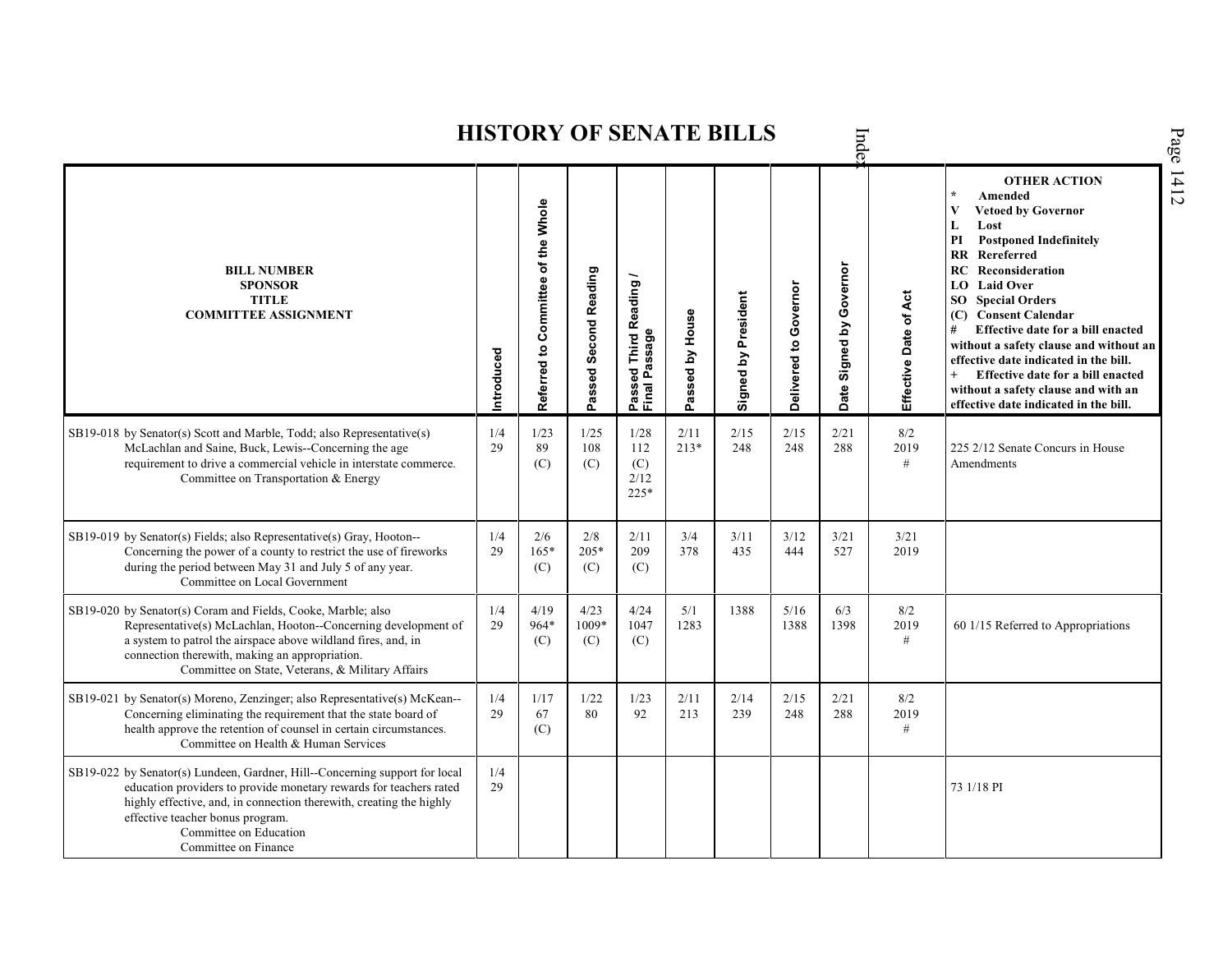|                                                                                                                                                                                                                                                                                                                |            |                                    |                       |                                                          |                 | <b>HISTORY OF SENATE BILLS</b> |                       | Inde                          |                       |                                                                                                                                                                                                                                                                                                                                                                                                                                                                                                                    |
|----------------------------------------------------------------------------------------------------------------------------------------------------------------------------------------------------------------------------------------------------------------------------------------------------------------|------------|------------------------------------|-----------------------|----------------------------------------------------------|-----------------|--------------------------------|-----------------------|-------------------------------|-----------------------|--------------------------------------------------------------------------------------------------------------------------------------------------------------------------------------------------------------------------------------------------------------------------------------------------------------------------------------------------------------------------------------------------------------------------------------------------------------------------------------------------------------------|
| <b>BILL NUMBER</b><br><b>SPONSOR</b><br><b>TITLE</b><br><b>COMMITTEE ASSIGNMENT</b>                                                                                                                                                                                                                            | Introduced | Referred to Committee of the Whole | Passed Second Reading | Reading<br>assage<br>Third<br>Ъe<br>Δ.<br>Passe<br>Final | Passed by House | Signed by President            | Delivered to Governor | Governor<br>Signed by<br>Date | Effective Date of Act | <b>OTHER ACTION</b><br>$\star$<br>Amended<br>V<br><b>Vetoed by Governor</b><br>L<br>Lost<br><b>Postponed Indefinitely</b><br>PI<br><b>RR</b> Rereferred<br>RC<br>Reconsideration<br><b>LO</b> Laid Over<br><b>SO</b> Special Orders<br>(C) Consent Calendar<br>Effective date for a bill enacted<br>without a safety clause and without an<br>effective date indicated in the bill.<br>$^{+}$<br>Effective date for a bill enacted<br>without a safety clause and with an<br>effective date indicated in the bill. |
| SB19-018 by Senator(s) Scott and Marble, Todd; also Representative(s)<br>McLachlan and Saine, Buck, Lewis--Concerning the age<br>requirement to drive a commercial vehicle in interstate commerce.<br>Committee on Transportation & Energy                                                                     | 1/4<br>29  | 1/23<br>89<br>(C)                  | 1/25<br>108<br>(C)    | 1/28<br>112<br>(C)<br>2/12<br>$225*$                     | 2/11<br>$213*$  | 2/15<br>248                    | 2/15<br>248           | 2/21<br>288                   | 8/2<br>2019<br>#      | 225 2/12 Senate Concurs in House<br>Amendments                                                                                                                                                                                                                                                                                                                                                                                                                                                                     |
| SB19-019 by Senator(s) Fields; also Representative(s) Gray, Hooton--<br>Concerning the power of a county to restrict the use of fireworks<br>during the period between May 31 and July 5 of any year.<br>Committee on Local Government                                                                         | 1/4<br>29  | 2/6<br>$165*$<br>(C)               | 2/8<br>205*<br>(C)    | 2/11<br>209<br>(C)                                       | 3/4<br>378      | 3/11<br>435                    | $3/12$<br>444         | 3/21<br>527                   | 3/21<br>2019          |                                                                                                                                                                                                                                                                                                                                                                                                                                                                                                                    |
| SB19-020 by Senator(s) Coram and Fields, Cooke, Marble; also<br>Representative(s) McLachlan, Hooton--Concerning development of<br>a system to patrol the airspace above wildland fires, and, in<br>connection therewith, making an appropriation.<br>Committee on State, Veterans, & Military Affairs          | 1/4<br>29  | 4/19<br>964*<br>(C)                | 4/23<br>1009*<br>(C)  | 4/24<br>1047<br>(C)                                      | 5/1<br>1283     | 1388                           | 5/16<br>1388          | 6/3<br>1398                   | 8/2<br>2019<br>$\#$   | 60 1/15 Referred to Appropriations                                                                                                                                                                                                                                                                                                                                                                                                                                                                                 |
| SB19-021 by Senator(s) Moreno, Zenzinger; also Representative(s) McKean--<br>Concerning eliminating the requirement that the state board of<br>health approve the retention of counsel in certain circumstances.<br>Committee on Health & Human Services                                                       | 1/4<br>29  | 1/17<br>67<br>(C)                  | 1/22<br>80            | 1/23<br>92                                               | 2/11<br>213     | 2/14<br>239                    | 2/15<br>248           | 2/21<br>288                   | 8/2<br>2019<br>#      |                                                                                                                                                                                                                                                                                                                                                                                                                                                                                                                    |
| SB19-022 by Senator(s) Lundeen, Gardner, Hill--Concerning support for local<br>education providers to provide monetary rewards for teachers rated<br>highly effective, and, in connection therewith, creating the highly<br>effective teacher bonus program.<br>Committee on Education<br>Committee on Finance | 1/4<br>29  |                                    |                       |                                                          |                 |                                |                       |                               |                       | 73 1/18 PI                                                                                                                                                                                                                                                                                                                                                                                                                                                                                                         |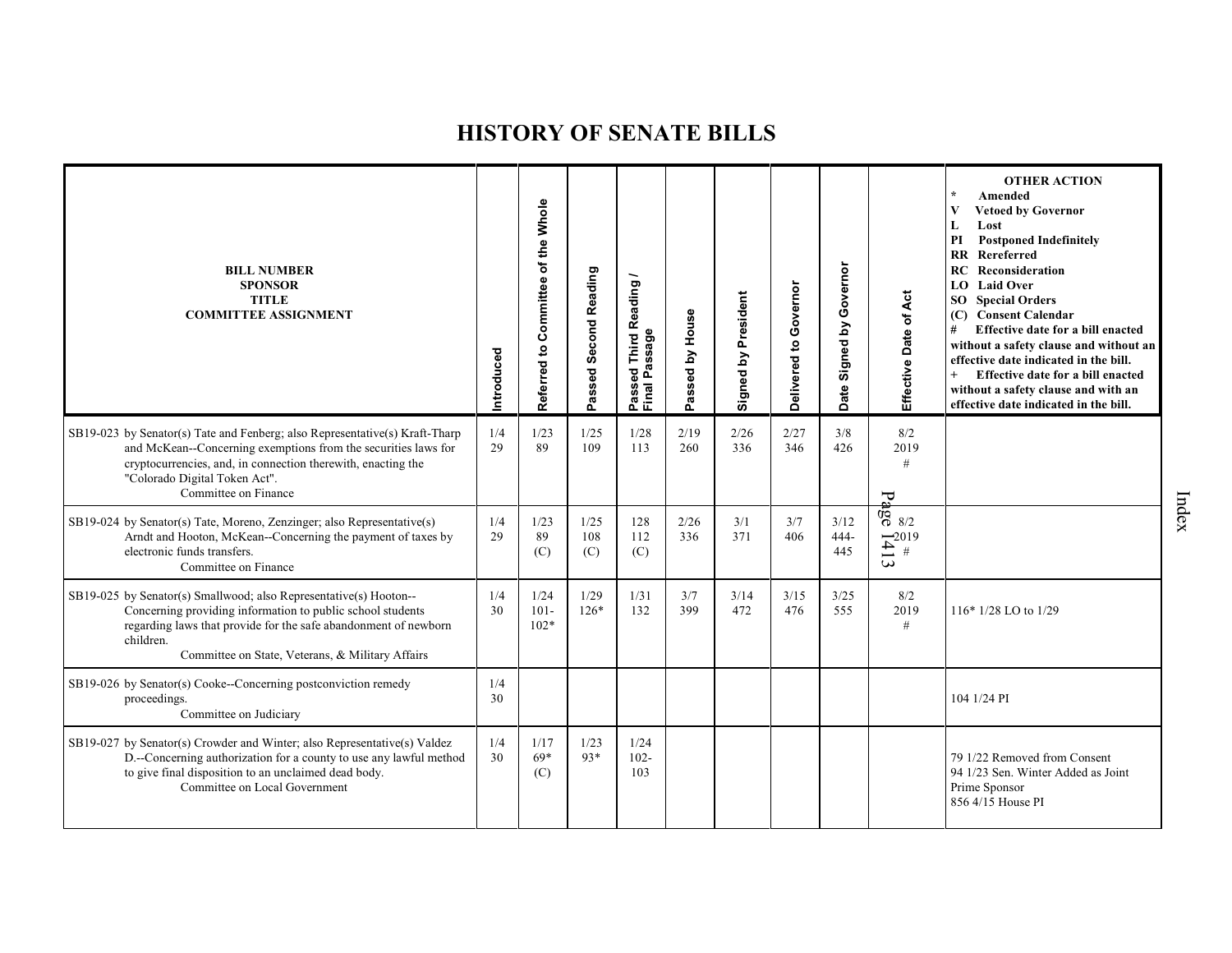| <b>BILL NUMBER</b><br><b>SPONSOR</b><br><b>TITLE</b><br><b>COMMITTEE ASSIGNMENT</b>                                                                                                                                                                                    | Introduced | Referred to Committee of the Whole | Passed Second Reading | <b>Reading</b><br>assage<br>Third<br>ठ<br>௳<br>ω<br>Passe<br>Final I | Passed by House | Signed by President | Governor<br>Delivered to | Governor<br>Signed by<br><b>Date</b> | Effective Date of Act                                                                                              | <b>OTHER ACTION</b><br>$\star$<br>Amended<br>$\mathbf{V}$<br><b>Vetoed by Governor</b><br>Lost<br>L<br><b>Postponed Indefinitely</b><br>PI<br><b>RR</b> Rereferred<br>RC<br>Reconsideration<br><b>Laid Over</b><br>LO<br><b>SO</b> Special Orders<br>(C) Consent Calendar<br>Effective date for a bill enacted<br>without a safety clause and without an<br>effective date indicated in the bill.<br>Effective date for a bill enacted<br>$+$<br>without a safety clause and with an<br>effective date indicated in the bill. |
|------------------------------------------------------------------------------------------------------------------------------------------------------------------------------------------------------------------------------------------------------------------------|------------|------------------------------------|-----------------------|----------------------------------------------------------------------|-----------------|---------------------|--------------------------|--------------------------------------|--------------------------------------------------------------------------------------------------------------------|-------------------------------------------------------------------------------------------------------------------------------------------------------------------------------------------------------------------------------------------------------------------------------------------------------------------------------------------------------------------------------------------------------------------------------------------------------------------------------------------------------------------------------|
| SB19-023 by Senator(s) Tate and Fenberg; also Representative(s) Kraft-Tharp<br>and McKean--Concerning exemptions from the securities laws for<br>cryptocurrencies, and, in connection therewith, enacting the<br>"Colorado Digital Token Act".<br>Committee on Finance | 1/4<br>29  | 1/23<br>89                         | 1/25<br>109           | 1/28<br>113                                                          | 2/19<br>260     | 2/26<br>336         | 2/27<br>346              | 3/8<br>426                           | 8/2<br>2019<br>#<br>᠊ᢦ                                                                                             |                                                                                                                                                                                                                                                                                                                                                                                                                                                                                                                               |
| SB19-024 by Senator(s) Tate, Moreno, Zenzinger; also Representative(s)<br>Arndt and Hooton, McKean--Concerning the payment of taxes by<br>electronic funds transfers.<br>Committee on Finance                                                                          | 1/4<br>29  | 1/23<br>89<br>(C)                  | 1/25<br>108<br>(C)    | 128<br>112<br>(C)                                                    | 2/26<br>336     | 3/1<br>371          | 3/7<br>406               | 3/12<br>444-<br>445                  | က္ခ်ြ $8/2$<br>$\begin{array}{l} \overline{\mathbf{L}}^{2019} \\ \overline{\mathbf{L}}^{ \  \  \, \#} \end{array}$ |                                                                                                                                                                                                                                                                                                                                                                                                                                                                                                                               |
| SB19-025 by Senator(s) Smallwood; also Representative(s) Hooton--<br>Concerning providing information to public school students<br>regarding laws that provide for the safe abandonment of newborn<br>children.<br>Committee on State, Veterans, & Military Affairs    | 1/4<br>30  | 1/24<br>$101 -$<br>$102*$          | 1/29<br>$126*$        | 1/31<br>132                                                          | 3/7<br>399      | 3/14<br>472         | 3/15<br>476              | 3/25<br>555                          | 8/2<br>2019<br>#                                                                                                   | 116* 1/28 LO to 1/29                                                                                                                                                                                                                                                                                                                                                                                                                                                                                                          |
| SB19-026 by Senator(s) Cooke--Concerning postconviction remedy<br>proceedings.<br>Committee on Judiciary                                                                                                                                                               | 1/4<br>30  |                                    |                       |                                                                      |                 |                     |                          |                                      |                                                                                                                    | 104 1/24 PI                                                                                                                                                                                                                                                                                                                                                                                                                                                                                                                   |
| SB19-027 by Senator(s) Crowder and Winter; also Representative(s) Valdez<br>D.--Concerning authorization for a county to use any lawful method<br>to give final disposition to an unclaimed dead body.<br>Committee on Local Government                                | 1/4<br>30  | 1/17<br>$69*$<br>(C)               | 1/23<br>$93*$         | 1/24<br>$102 -$<br>103                                               |                 |                     |                          |                                      |                                                                                                                    | 79 1/22 Removed from Consent<br>94 1/23 Sen. Winter Added as Joint<br>Prime Sponsor<br>856 4/15 House PI                                                                                                                                                                                                                                                                                                                                                                                                                      |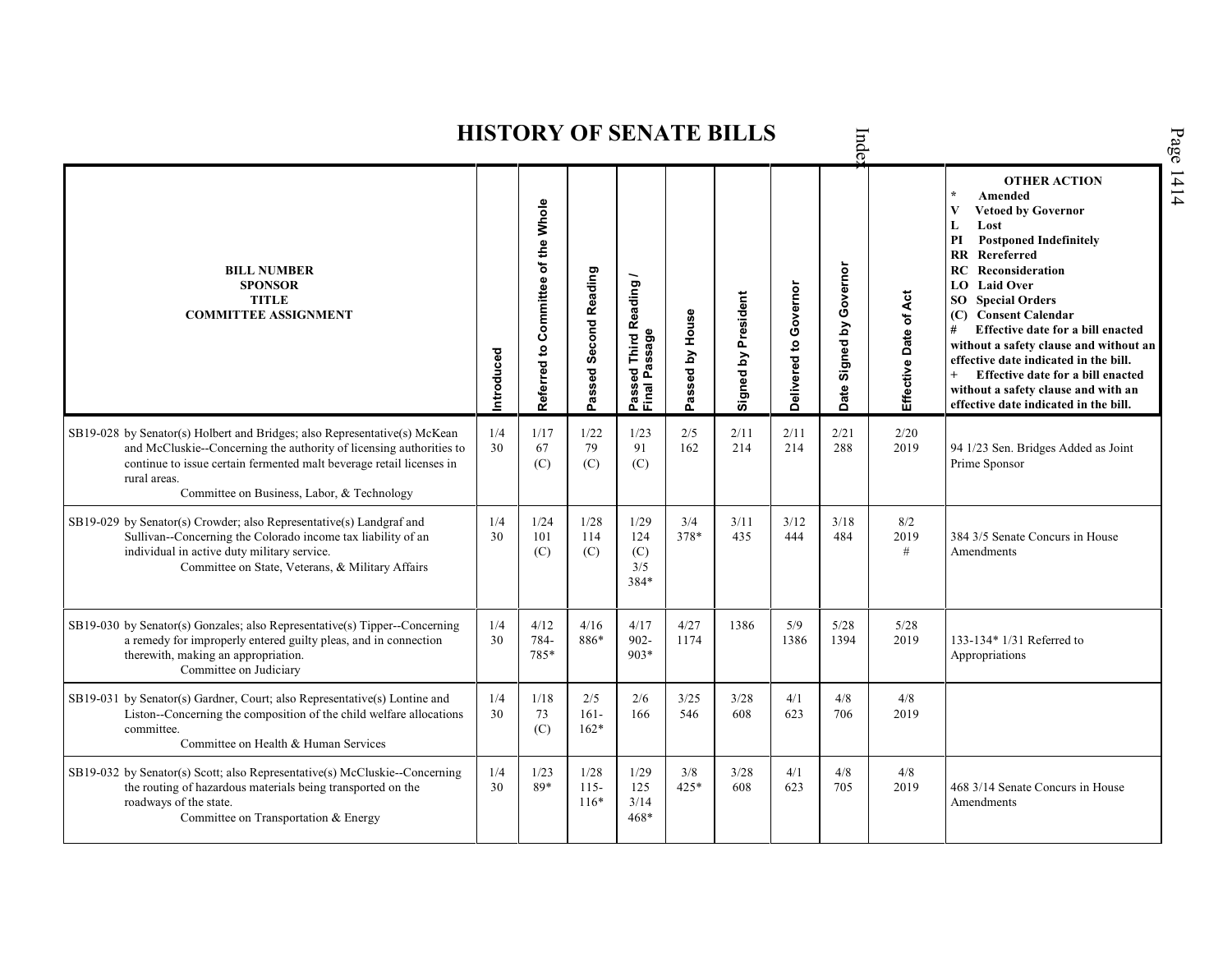|                                                                                                                                                                                                                                                                                        |            |                                    |                           |                                                       |                 | <b>HISTORY OF SENATE BILLS</b> |                       | Inde                          |                       |                                                                                                                                                                                                                                                                                                                                                                                                                                                                                                        |
|----------------------------------------------------------------------------------------------------------------------------------------------------------------------------------------------------------------------------------------------------------------------------------------|------------|------------------------------------|---------------------------|-------------------------------------------------------|-----------------|--------------------------------|-----------------------|-------------------------------|-----------------------|--------------------------------------------------------------------------------------------------------------------------------------------------------------------------------------------------------------------------------------------------------------------------------------------------------------------------------------------------------------------------------------------------------------------------------------------------------------------------------------------------------|
| <b>BILL NUMBER</b><br><b>SPONSOR</b><br><b>TITLE</b><br><b>COMMITTEE ASSIGNMENT</b>                                                                                                                                                                                                    | Introduced | Referred to Committee of the Whole | Passed Second Reading     | <b>Third Reading</b><br>Passage<br>Passed<br>Final Pa | Passed by House | Signed by President            | Delivered to Governor | Governor<br>Signed by<br>Date | Effective Date of Act | <b>OTHER ACTION</b><br>$\star$<br>Amended<br><b>Vetoed by Governor</b><br>V<br>Lost<br>L<br><b>Postponed Indefinitely</b><br>PI<br><b>RR</b> Rereferred<br>RC<br>Reconsideration<br>LO Laid Over<br><b>SO</b> Special Orders<br>(C) Consent Calendar<br>Effective date for a bill enacted<br>#<br>without a safety clause and without an<br>effective date indicated in the bill.<br>Effective date for a bill enacted<br>without a safety clause and with an<br>effective date indicated in the bill. |
| SB19-028 by Senator(s) Holbert and Bridges; also Representative(s) McKean<br>and McCluskie--Concerning the authority of licensing authorities to<br>continue to issue certain fermented malt beverage retail licenses in<br>rural areas.<br>Committee on Business, Labor, & Technology | 1/4<br>30  | 1/17<br>67<br>(C)                  | 1/22<br>79<br>(C)         | 1/23<br>91<br>(C)                                     | 2/5<br>162      | 2/11<br>214                    | 2/11<br>214           | 2/21<br>288                   | 2/20<br>2019          | 94 1/23 Sen. Bridges Added as Joint<br>Prime Sponsor                                                                                                                                                                                                                                                                                                                                                                                                                                                   |
| SB19-029 by Senator(s) Crowder; also Representative(s) Landgraf and<br>Sullivan--Concerning the Colorado income tax liability of an<br>individual in active duty military service.<br>Committee on State, Veterans, & Military Affairs                                                 | 1/4<br>30  | 1/24<br>101<br>(C)                 | 1/28<br>114<br>(C)        | 1/29<br>124<br>(C)<br>3/5<br>384*                     | 3/4<br>378*     | 3/11<br>435                    | 3/12<br>444           | 3/18<br>484                   | 8/2<br>2019<br>#      | 384 3/5 Senate Concurs in House<br>Amendments                                                                                                                                                                                                                                                                                                                                                                                                                                                          |
| SB19-030 by Senator(s) Gonzales; also Representative(s) Tipper--Concerning<br>a remedy for improperly entered guilty pleas, and in connection<br>therewith, making an appropriation.<br>Committee on Judiciary                                                                         | 1/4<br>30  | 4/12<br>784-<br>785*               | 4/16<br>886*              | 4/17<br>$902 -$<br>$903*$                             | 4/27<br>1174    | 1386                           | 5/9<br>1386           | 5/28<br>1394                  | 5/28<br>2019          | 133-134* 1/31 Referred to<br>Appropriations                                                                                                                                                                                                                                                                                                                                                                                                                                                            |
| SB19-031 by Senator(s) Gardner, Court; also Representative(s) Lontine and<br>Liston--Concerning the composition of the child welfare allocations<br>committee.<br>Committee on Health & Human Services                                                                                 | 1/4<br>30  | 1/18<br>73<br>(C)                  | 2/5<br>$161 -$<br>$162*$  | 2/6<br>166                                            | 3/25<br>546     | 3/28<br>608                    | 4/1<br>623            | 4/8<br>706                    | 4/8<br>2019           |                                                                                                                                                                                                                                                                                                                                                                                                                                                                                                        |
| SB19-032 by Senator(s) Scott; also Representative(s) McCluskie--Concerning<br>the routing of hazardous materials being transported on the<br>roadways of the state.<br>Committee on Transportation & Energy                                                                            | 1/4<br>30  | 1/23<br>89*                        | 1/28<br>$115 -$<br>$116*$ | 1/29<br>125<br>3/14<br>$468*$                         | 3/8<br>425*     | 3/28<br>608                    | 4/1<br>623            | 4/8<br>705                    | 4/8<br>2019           | 468 3/14 Senate Concurs in House<br>Amendments                                                                                                                                                                                                                                                                                                                                                                                                                                                         |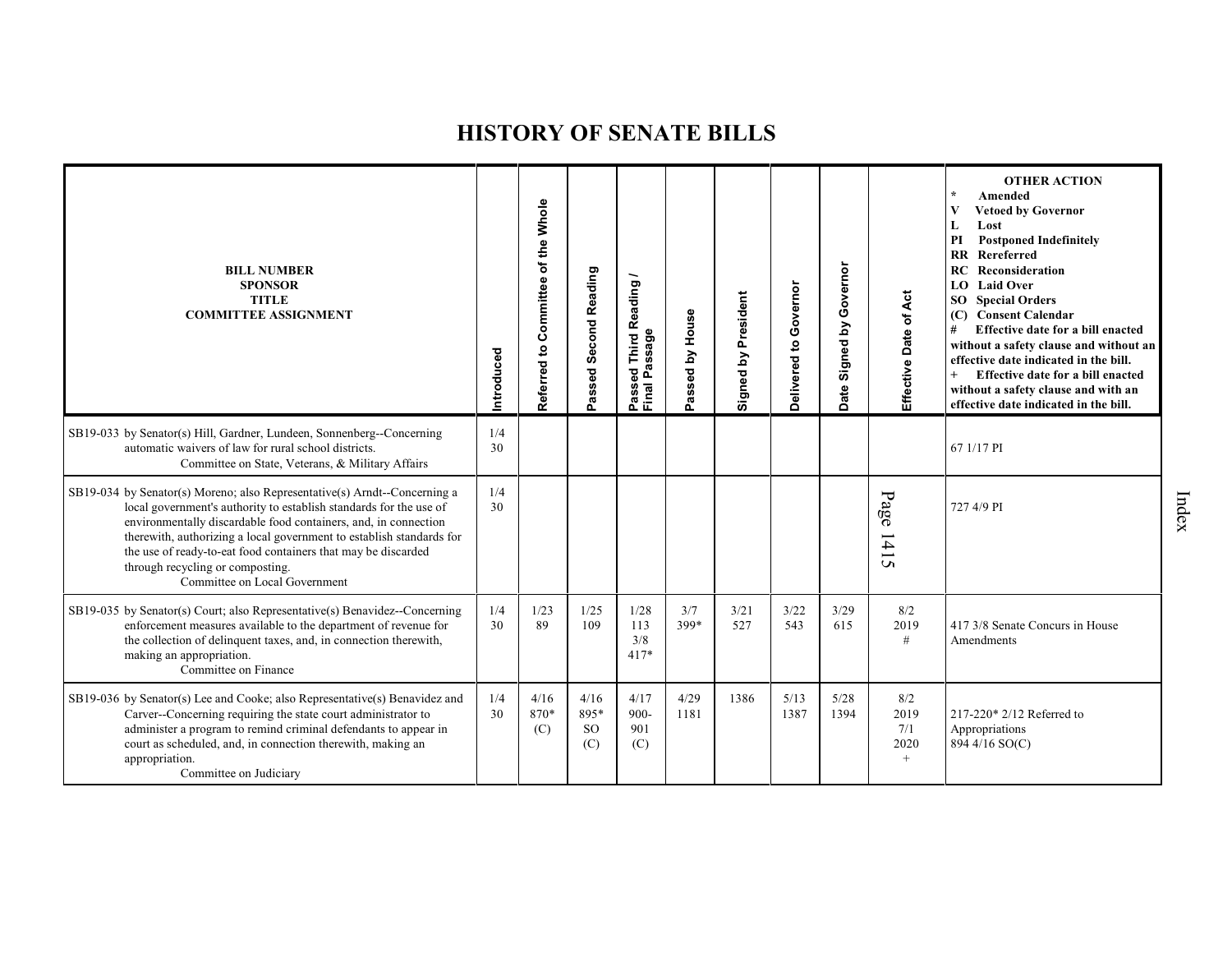| <b>BILL NUMBER</b><br><b>SPONSOR</b><br><b>TITLE</b><br><b>COMMITTEE ASSIGNMENT</b>                                                                                                                                                                                                                                                                                                                                              | Introduced | Referred to Committee of the Whole | Passed Second Reading            | Reading<br>issage<br>Third<br>g<br>௳<br>Passe<br>Final | assed by House<br>൨ | Signed by President | Delivered to Governor | Governor<br>$\mathbf{\Sigma}$<br>Signed I<br>Date | 4ct<br>Effective Date of           | <b>OTHER ACTION</b><br>Amended<br>$\star$<br><b>Vetoed by Governor</b><br>V<br>Lost<br>L<br><b>Postponed Indefinitely</b><br>PI<br><b>RR</b> Rereferred<br>RC<br>Reconsideration<br><b>Laid Over</b><br>LO.<br><b>Special Orders</b><br>SO <sub>2</sub><br>(C) Consent Calendar<br>Effective date for a bill enacted<br>without a safety clause and without an<br>effective date indicated in the bill.<br>Effective date for a bill enacted<br>without a safety clause and with an<br>effective date indicated in the bill. |
|----------------------------------------------------------------------------------------------------------------------------------------------------------------------------------------------------------------------------------------------------------------------------------------------------------------------------------------------------------------------------------------------------------------------------------|------------|------------------------------------|----------------------------------|--------------------------------------------------------|---------------------|---------------------|-----------------------|---------------------------------------------------|------------------------------------|------------------------------------------------------------------------------------------------------------------------------------------------------------------------------------------------------------------------------------------------------------------------------------------------------------------------------------------------------------------------------------------------------------------------------------------------------------------------------------------------------------------------------|
| SB19-033 by Senator(s) Hill, Gardner, Lundeen, Sonnenberg--Concerning<br>automatic waivers of law for rural school districts.<br>Committee on State, Veterans, & Military Affairs                                                                                                                                                                                                                                                | 1/4<br>30  |                                    |                                  |                                                        |                     |                     |                       |                                                   |                                    | 67 1/17 PI                                                                                                                                                                                                                                                                                                                                                                                                                                                                                                                   |
| SB19-034 by Senator(s) Moreno; also Representative(s) Arndt--Concerning a<br>local government's authority to establish standards for the use of<br>environmentally discardable food containers, and, in connection<br>therewith, authorizing a local government to establish standards for<br>the use of ready-to-eat food containers that may be discarded<br>through recycling or composting.<br>Committee on Local Government | 1/4<br>30  |                                    |                                  |                                                        |                     |                     |                       |                                                   | Page<br>$1415$                     | 727 4/9 PI                                                                                                                                                                                                                                                                                                                                                                                                                                                                                                                   |
| SB19-035 by Senator(s) Court; also Representative(s) Benavidez--Concerning<br>enforcement measures available to the department of revenue for<br>the collection of delinquent taxes, and, in connection therewith,<br>making an appropriation.<br>Committee on Finance                                                                                                                                                           | 1/4<br>30  | 1/23<br>89                         | 1/25<br>109                      | 1/28<br>113<br>3/8<br>$417*$                           | 3/7<br>399*         | 3/21<br>527         | 3/22<br>543           | 3/29<br>615                                       | 8/2<br>2019<br>$\#$                | 417 3/8 Senate Concurs in House<br>Amendments                                                                                                                                                                                                                                                                                                                                                                                                                                                                                |
| SB19-036 by Senator(s) Lee and Cooke; also Representative(s) Benavidez and<br>Carver--Concerning requiring the state court administrator to<br>administer a program to remind criminal defendants to appear in<br>court as scheduled, and, in connection therewith, making an<br>appropriation.<br>Committee on Judiciary                                                                                                        | 1/4<br>30  | 4/16<br>870*<br>(C)                | 4/16<br>895*<br><b>SO</b><br>(C) | 4/17<br>$900 -$<br>901<br>(C)                          | 4/29<br>1181        | 1386                | 5/13<br>1387          | 5/28<br>1394                                      | 8/2<br>2019<br>7/1<br>2020<br>$^+$ | 217-220* 2/12 Referred to<br>Appropriations<br>894 4/16 SO(C)                                                                                                                                                                                                                                                                                                                                                                                                                                                                |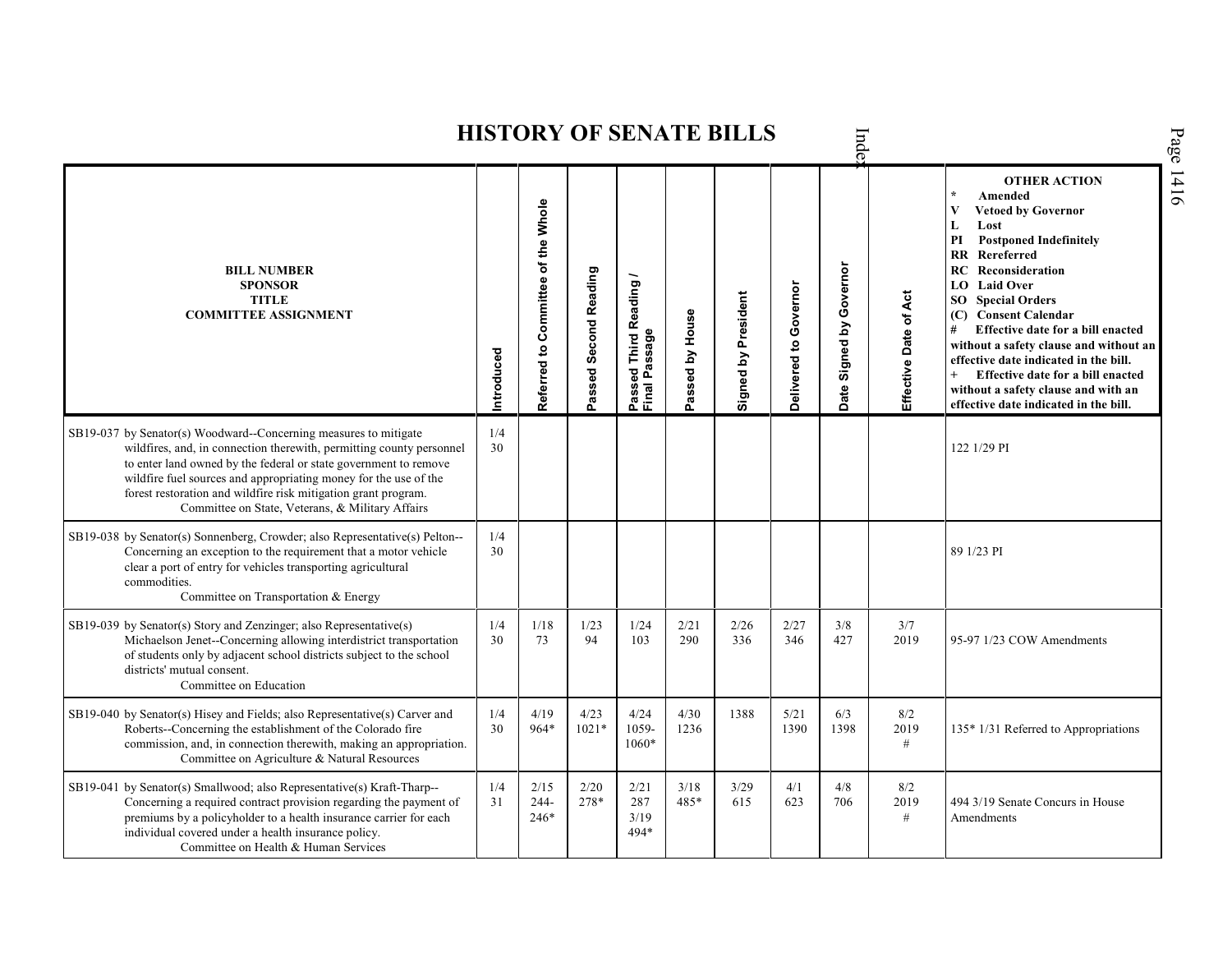Index **OTHER ACTION \* Amended Referred to Com mittee of the Whole Vetoed by Governor L Lost PI Postponed Indefinitely RR Rereferred Date Signed by Governor RC Reconsideration BILL NUMBER Passed Second Reading Passed Third Reading /** Passed Third Reading<br>Final Passage **SPONSOR LO Laid Over** Delivered to Governor **Delivered to Governor** Signed by President Effective Date of Act **Signed by President Effective Date of Act TITLE SO Special Orders COMMITTEE ASSIGNMENT** Passed by House **(C) Consent Calendar Passed by House # Effective date for a bill enacted Final Passage without a safety clause and without an Introduced effective date indicated in the bill. + Effective date for a bill enacted without a safety clause and with an effective date indicated in the bill.**  SB19-037 by Senator(s) Woodward--Concerning measures to mitigate 1/4 wildfires, and, in connection therewith, permitting county personnel 30 122 1/29 PI to enter land owned by the federal or state government to remove wildfire fuel sources and appropriating money for the use of the forest restoration and wildfire risk mitigation grant program. Committee on State, Veterans, & Military Affairs SB19-038 by Senator(s) Sonnenberg, Crowder; also Representative(s) Pelton--  $\frac{1}{4}$ Concerning an exception to the requirement that a motor vehicle 30 **89 1/23 PI** 89 1/23 PI clear a port of entry for vehicles transporting agricultural commodities. Committee on Transportation & Energy SB19-039 by Senator(s) Story and Zenzinger; also Representative(s) 1/4 1/18 1/23 1/24 2/21 2/26 2/27 3/8  $\frac{3}{7}$ <br>2019 Michaelson Jenet--Concerning allowing interdistrict transportation 30 73 94 103 290 336 427 95-97 1/23 COW Amendments 346 of students only by adjacent school districts subject to the school districts' mutual consent. Committee on Education 1/4 4/19 4/23 1388 5/21 SB19-040 by Senator(s) Hisey and Fields; also Representative(s) Carver and 4/24 4/30 6/3 8/2 964\* 1021\* Roberts--Concerning the establishment of the Colorado fire 30 1059- 1236 1390 1398 2019 135\* 1/31 Referred to Appropriations commission, and, in connection therewith, making an appropriation. 1060\* # Committee on Agriculture & Natural Resources SB19-041 by Senator(s) Smallwood; also Representative(s) Kraft-Tharp-- 1/4 2/15 2/20 2/21 3/18 3/29 4/1 4/8  $8/2$ Concerning a required contract provision regarding the payment of 31 244- 278\* 287 485\* 615 623 706 2019 494 3/19 Senate Concurs in House premiums by a policyholder to a health insurance carrier for each 246\* 3/19 # Amendmentsindividual covered under a health insurance policy. 494\* Committee on Health & Human Services

**HISTORY OF SENATE BILLS**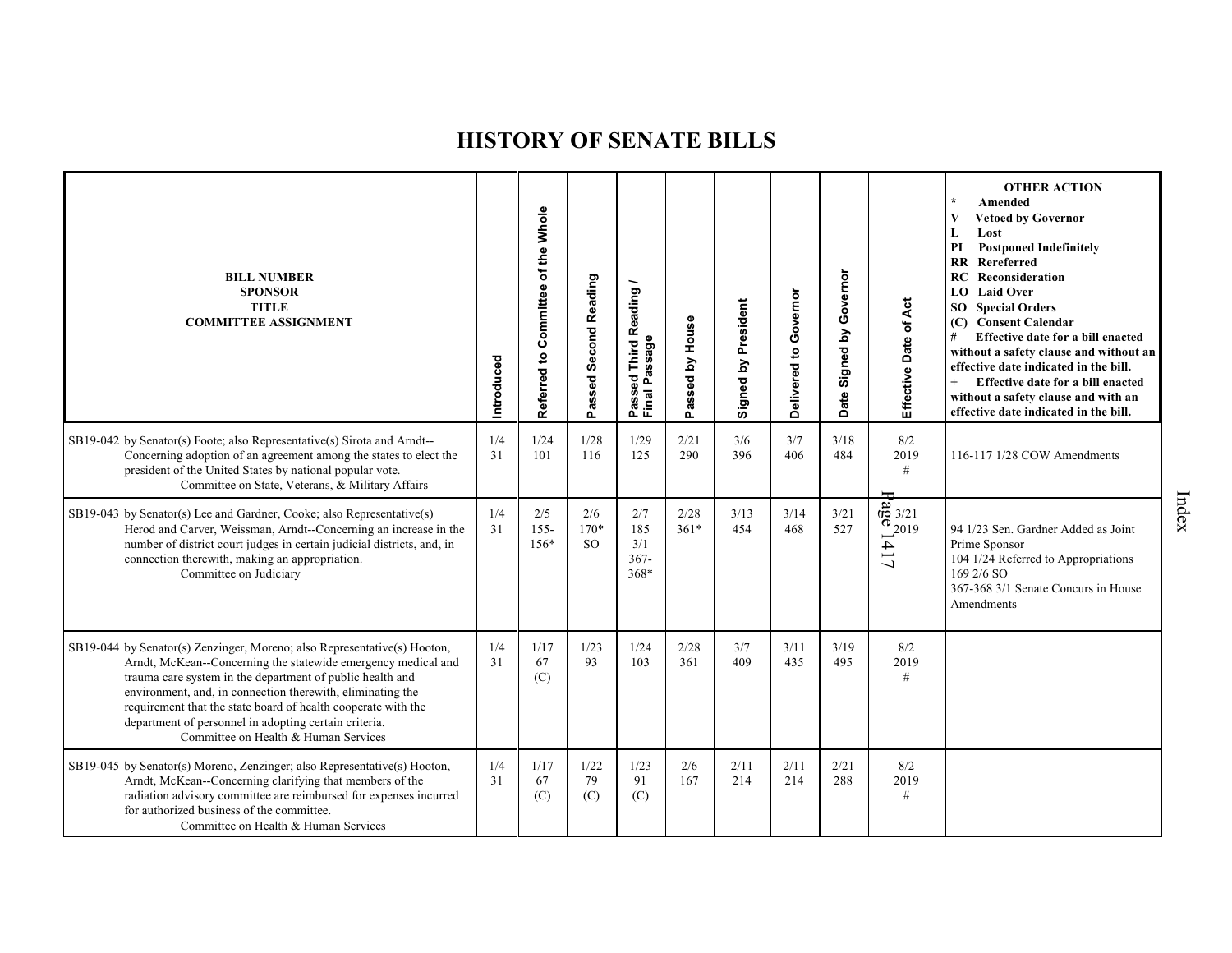| <b>BILL NUMBER</b><br><b>SPONSOR</b><br><b>TITLE</b><br><b>COMMITTEE ASSIGNMENT</b>                                                                                                                                                                                                                                                                                                                                                    | Introduced | of the Whole<br>Committee<br>$\mathbf{S}$<br>Referred | Passed Second Reading      | <b>Third Reading</b><br>Passed Innu<br>Final Passage | House<br>$\mathbf{\Sigma}$<br>assed<br>o. | Signed by President | Delivered to Governor | Governor<br>Signed by<br>Date | Effective Date of Act              | <b>OTHER ACTION</b><br>Amended<br><b>Vetoed by Governor</b><br>Lost<br>L<br><b>Postponed Indefinitely</b><br>PI<br><b>RR</b> Rereferred<br>Reconsideration<br>RC<br>LO Laid Over<br><b>SO</b> Special Orders<br>(C) Consent Calendar<br>#<br>Effective date for a bill enacted<br>without a safety clause and without an<br>effective date indicated in the bill.<br>Effective date for a bill enacted<br>without a safety clause and with an<br>effective date indicated in the bill. |
|----------------------------------------------------------------------------------------------------------------------------------------------------------------------------------------------------------------------------------------------------------------------------------------------------------------------------------------------------------------------------------------------------------------------------------------|------------|-------------------------------------------------------|----------------------------|------------------------------------------------------|-------------------------------------------|---------------------|-----------------------|-------------------------------|------------------------------------|----------------------------------------------------------------------------------------------------------------------------------------------------------------------------------------------------------------------------------------------------------------------------------------------------------------------------------------------------------------------------------------------------------------------------------------------------------------------------------------|
| SB19-042 by Senator(s) Foote; also Representative(s) Sirota and Arndt--<br>Concerning adoption of an agreement among the states to elect the<br>president of the United States by national popular vote.<br>Committee on State, Veterans, & Military Affairs                                                                                                                                                                           | 1/4<br>31  | 1/24<br>101                                           | 1/28<br>116                | 1/29<br>125                                          | 2/21<br>290                               | 3/6<br>396          | 3/7<br>406            | 3/18<br>484                   | 8/2<br>2019<br>#                   | 116-117 1/28 COW Amendments                                                                                                                                                                                                                                                                                                                                                                                                                                                            |
| SB19-043 by Senator(s) Lee and Gardner, Cooke; also Representative(s)<br>Herod and Carver, Weissman, Arndt--Concerning an increase in the<br>number of district court judges in certain judicial districts, and, in<br>connection therewith, making an appropriation.<br>Committee on Judiciary                                                                                                                                        | 1/4<br>31  | 2/5<br>$155 -$<br>$156*$                              | 2/6<br>$170*$<br><b>SO</b> | 2/7<br>185<br>3/1<br>$367 -$<br>368*                 | 2/28<br>$361*$                            | 3/13<br>454         | 3/14<br>468           | 3/21<br>527                   | $\frac{8}{9}$ 3/21<br>-2019<br>417 | 94 1/23 Sen. Gardner Added as Joint<br>Prime Sponsor<br>104 1/24 Referred to Appropriations<br>169 2/6 SO<br>367-368 3/1 Senate Concurs in House<br>Amendments                                                                                                                                                                                                                                                                                                                         |
| SB19-044 by Senator(s) Zenzinger, Moreno; also Representative(s) Hooton,<br>Arndt, McKean--Concerning the statewide emergency medical and<br>trauma care system in the department of public health and<br>environment, and, in connection therewith, eliminating the<br>requirement that the state board of health cooperate with the<br>department of personnel in adopting certain criteria.<br>Committee on Health & Human Services | 1/4<br>31  | 1/17<br>67<br>(C)                                     | 1/23<br>93                 | 1/24<br>103                                          | 2/28<br>361                               | 3/7<br>409          | 3/11<br>435           | 3/19<br>495                   | 8/2<br>2019<br>#                   |                                                                                                                                                                                                                                                                                                                                                                                                                                                                                        |
| SB19-045 by Senator(s) Moreno, Zenzinger; also Representative(s) Hooton,<br>Arndt, McKean--Concerning clarifying that members of the<br>radiation advisory committee are reimbursed for expenses incurred<br>for authorized business of the committee.<br>Committee on Health & Human Services                                                                                                                                         | 1/4<br>31  | 1/17<br>67<br>(C)                                     | 1/22<br>79<br>(C)          | 1/23<br>91<br>(C)                                    | 2/6<br>167                                | 2/11<br>214         | 2/11<br>214           | 2/21<br>288                   | 8/2<br>2019<br>$\#$                |                                                                                                                                                                                                                                                                                                                                                                                                                                                                                        |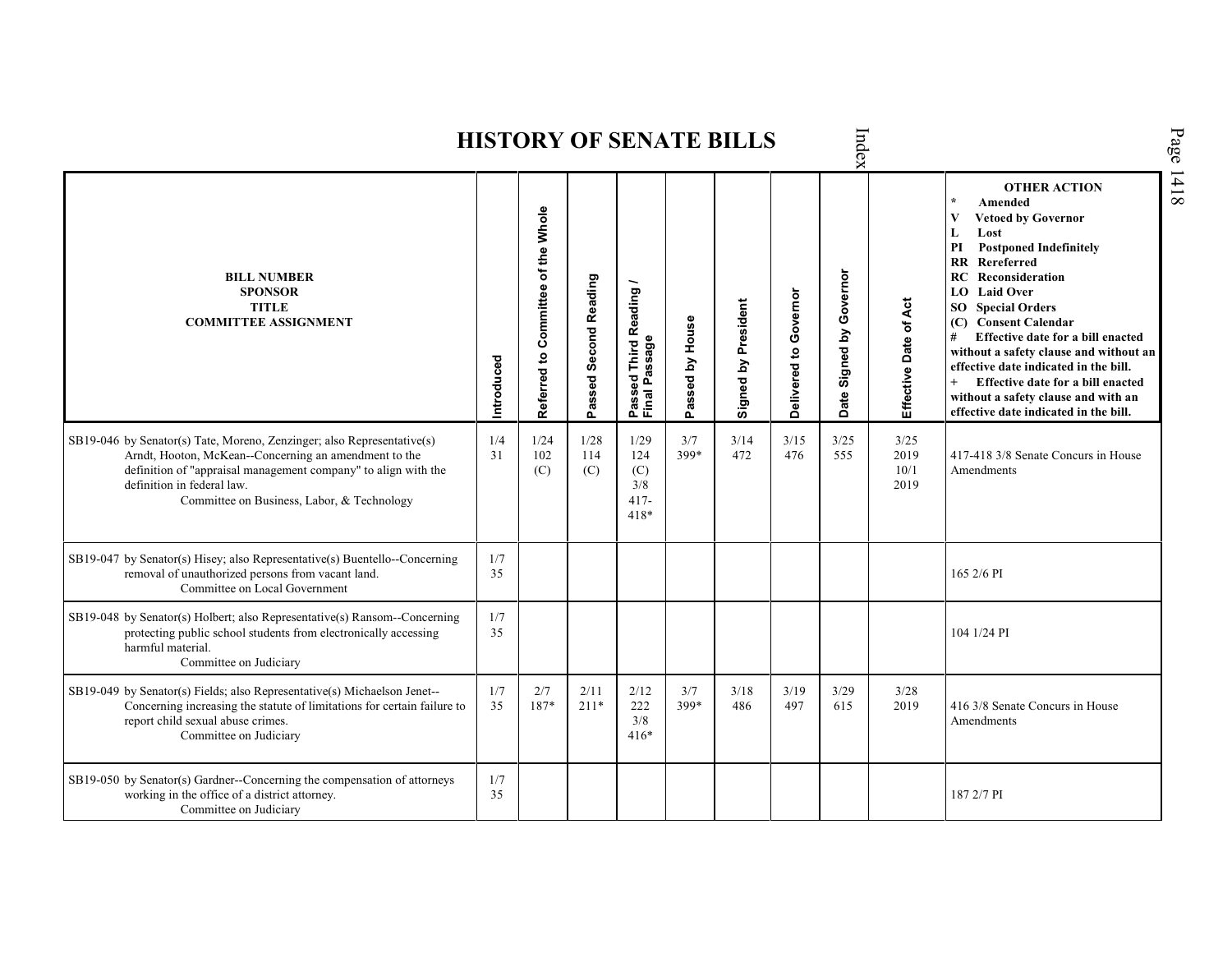Index Page 1418 **HISTORY OF SENATE BILLS OTHER ACTION \* Amended Referred to Com mittee of the Whole Vetoed by Governor L Lost PI Postponed Indefinitely RR Rereferred Date Signed by Governor BILL NUMBER RC Reconsideration Passed Second Reading Passed Third Reading /** Passed Third Reading<br>Final Passage **LO Laid Over SPONSOR** Delivered to Governor **Delivered to Governor** Ąct Signed by President **Effective Date of Act Signed by President SO Special Orders TITLE COMMITTEE ASSIGNMENT (C) Consent Calendar** Passed by House **Passed by House** Effective Date of **# Effective date for a bill enacted Final Passage without a safety clause and without an Introduced effective date indicated in the bill. + Effective date for a bill enacted without a safety clause and with an effective date indicated in the bill.**  1/4 1/24 1/28 3/25 SB19-046 by Senator(s) Tate, Moreno, Zenzinger; also Representative(s) 1/29 3/7 3/14 3/15 3/25 Arndt, Hooton, McKean--Concerning an amendment to the 31 102 114 124 399\* 472 476 555 2019 417-418 3/8 Senate Concurs in House definition of "appraisal management company" to align with the 10/1 Amendments (C) (C) (C) definition in federal law. 2019 3/8 Committee on Business, Labor, & Technology 417- 418\* SB19-047 by Senator(s) Hisey; also Representative(s) Buentello--Concerning  $\frac{1}{7}$ removal of unauthorized persons from vacant land.  $35$  165 2/6 PI Committee on Local Government SB19-048 by Senator(s) Holbert; also Representative(s) Ransom--Concerning 1/7 protecting public school students from electronically accessing 35 104 1/24 PI harmful material. Committee on Judiciary 1/7 3/29 SB19-049 by Senator(s) Fields; also Representative(s) Michaelson Jenet-- 2/7 2/11 2/12 3/7 3/18 3/19 3/28 Concerning increasing the statute of limitations for certain failure to 35 187\* 211\* 222 399\* 486 497 615 2019 416 3/8 Senate Concurs in House report child sexual abuse crimes. 3/8 **Amendments** Committee on Judiciary 416\* SB19-050 by Senator(s) Gardner--Concerning the compensation of attorneys  $\frac{1}{7}$  35 working in the office of a district attorney. 35  $187\ 2/7$  PI Committee on Judiciary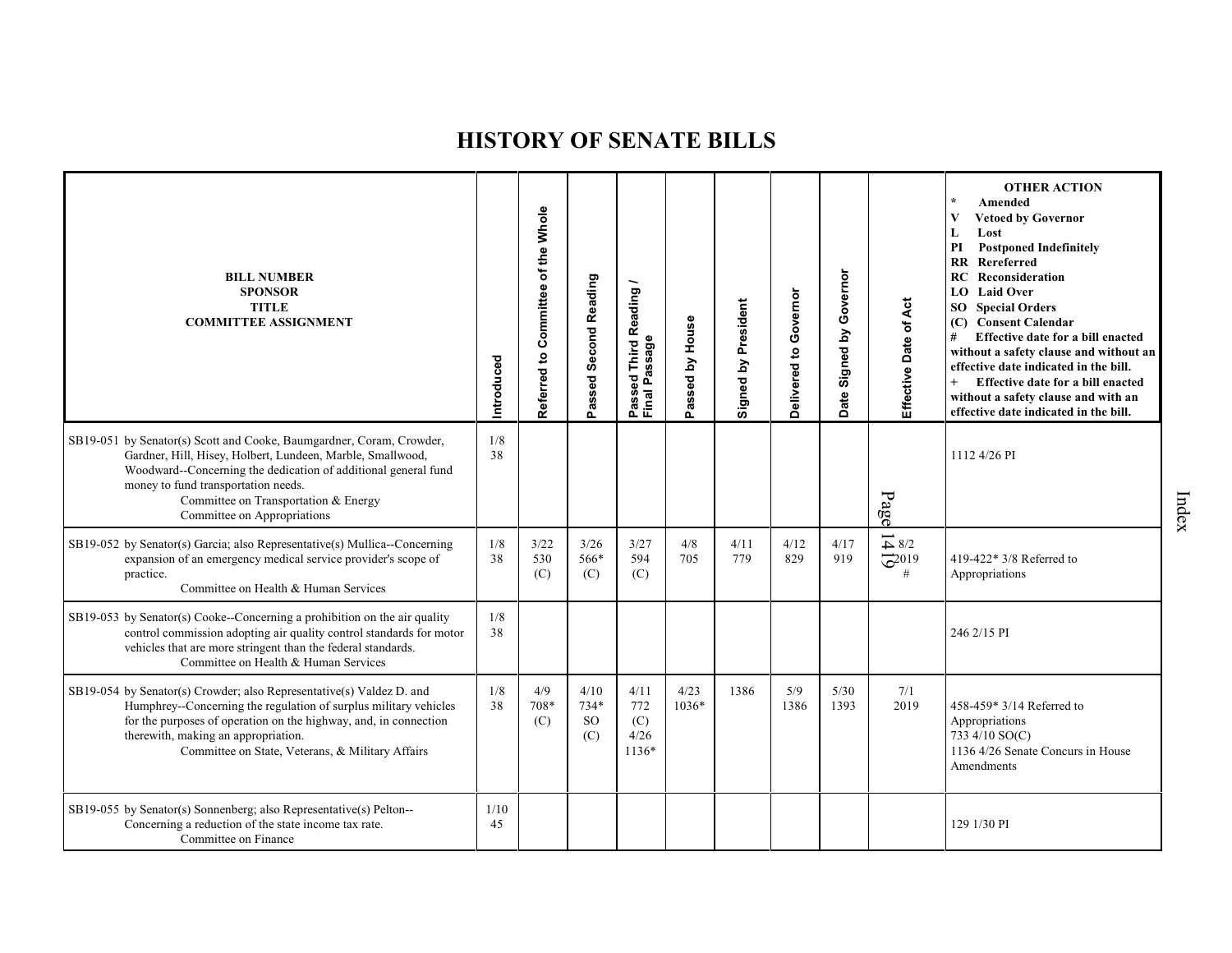| <b>BILL NUMBER</b><br><b>SPONSOR</b><br><b>TITLE</b><br><b>COMMITTEE ASSIGNMENT</b>                                                                                                                                                                                                                                | Introduced | Referred to Committee of the Whole | Passed Second Reading              | Third Reading/<br>Passeu<br>Final Passage | Passed by House | President<br>Signed by | Governor<br>Delivered to | Governor<br>Signed by<br>Date: | Effective Date of Act                                                                     | <b>OTHER ACTION</b><br>Amended<br>V<br><b>Vetoed by Governor</b><br>L<br>Lost<br><b>Postponed Indefinitely</b><br>PI<br>RR Rereferred<br>Reconsideration<br>RC<br>LO Laid Over<br><b>SO</b> Special Orders<br>(C) Consent Calendar<br>#<br>Effective date for a bill enacted<br>without a safety clause and without an<br>effective date indicated in the bill.<br>$+$<br>Effective date for a bill enacted<br>without a safety clause and with an<br>effective date indicated in the bill. |
|--------------------------------------------------------------------------------------------------------------------------------------------------------------------------------------------------------------------------------------------------------------------------------------------------------------------|------------|------------------------------------|------------------------------------|-------------------------------------------|-----------------|------------------------|--------------------------|--------------------------------|-------------------------------------------------------------------------------------------|---------------------------------------------------------------------------------------------------------------------------------------------------------------------------------------------------------------------------------------------------------------------------------------------------------------------------------------------------------------------------------------------------------------------------------------------------------------------------------------------|
| SB19-051 by Senator(s) Scott and Cooke, Baumgardner, Coram, Crowder,<br>Gardner, Hill, Hisey, Holbert, Lundeen, Marble, Smallwood,<br>Woodward--Concerning the dedication of additional general fund<br>money to fund transportation needs.<br>Committee on Transportation & Energy<br>Committee on Appropriations | 1/8<br>38  |                                    |                                    |                                           |                 |                        |                          |                                | Page                                                                                      | 1112 4/26 PI                                                                                                                                                                                                                                                                                                                                                                                                                                                                                |
| SB19-052 by Senator(s) Garcia; also Representative(s) Mullica--Concerning<br>expansion of an emergency medical service provider's scope of<br>practice.<br>Committee on Health & Human Services                                                                                                                    | 1/8<br>38  | 3/22<br>530<br>(C)                 | 3/26<br>566*<br>(C)                | 3/27<br>594<br>(C)                        | 4/8<br>705      | 4/11<br>779            | 4/12<br>829              | 4/17<br>919                    | $\overline{\phantom{0}}$<br>$\overline{4}$ 8/2<br>$\overline{\mathcal{Q}}^{2019}$<br>$\#$ | 419-422* 3/8 Referred to<br>Appropriations                                                                                                                                                                                                                                                                                                                                                                                                                                                  |
| SB19-053 by Senator(s) Cooke--Concerning a prohibition on the air quality<br>control commission adopting air quality control standards for motor<br>vehicles that are more stringent than the federal standards.<br>Committee on Health & Human Services                                                           | 1/8<br>38  |                                    |                                    |                                           |                 |                        |                          |                                |                                                                                           | 246 2/15 PI                                                                                                                                                                                                                                                                                                                                                                                                                                                                                 |
| SB19-054 by Senator(s) Crowder; also Representative(s) Valdez D. and<br>Humphrey--Concerning the regulation of surplus military vehicles<br>for the purposes of operation on the highway, and, in connection<br>therewith, making an appropriation.<br>Committee on State, Veterans, & Military Affairs            | 1/8<br>38  | 4/9<br>708*<br>(C)                 | 4/10<br>$734*$<br><b>SO</b><br>(C) | 4/11<br>772<br>(C)<br>4/26<br>1136*       | 4/23<br>1036*   | 1386                   | 5/9<br>1386              | 5/30<br>1393                   | 7/1<br>2019                                                                               | 458-459* 3/14 Referred to<br>Appropriations<br>733 4/10 SO(C)<br>1136 4/26 Senate Concurs in House<br>Amendments                                                                                                                                                                                                                                                                                                                                                                            |
| SB19-055 by Senator(s) Sonnenberg; also Representative(s) Pelton--<br>Concerning a reduction of the state income tax rate.<br>Committee on Finance                                                                                                                                                                 | 1/10<br>45 |                                    |                                    |                                           |                 |                        |                          |                                |                                                                                           | 129 1/30 PI                                                                                                                                                                                                                                                                                                                                                                                                                                                                                 |

Index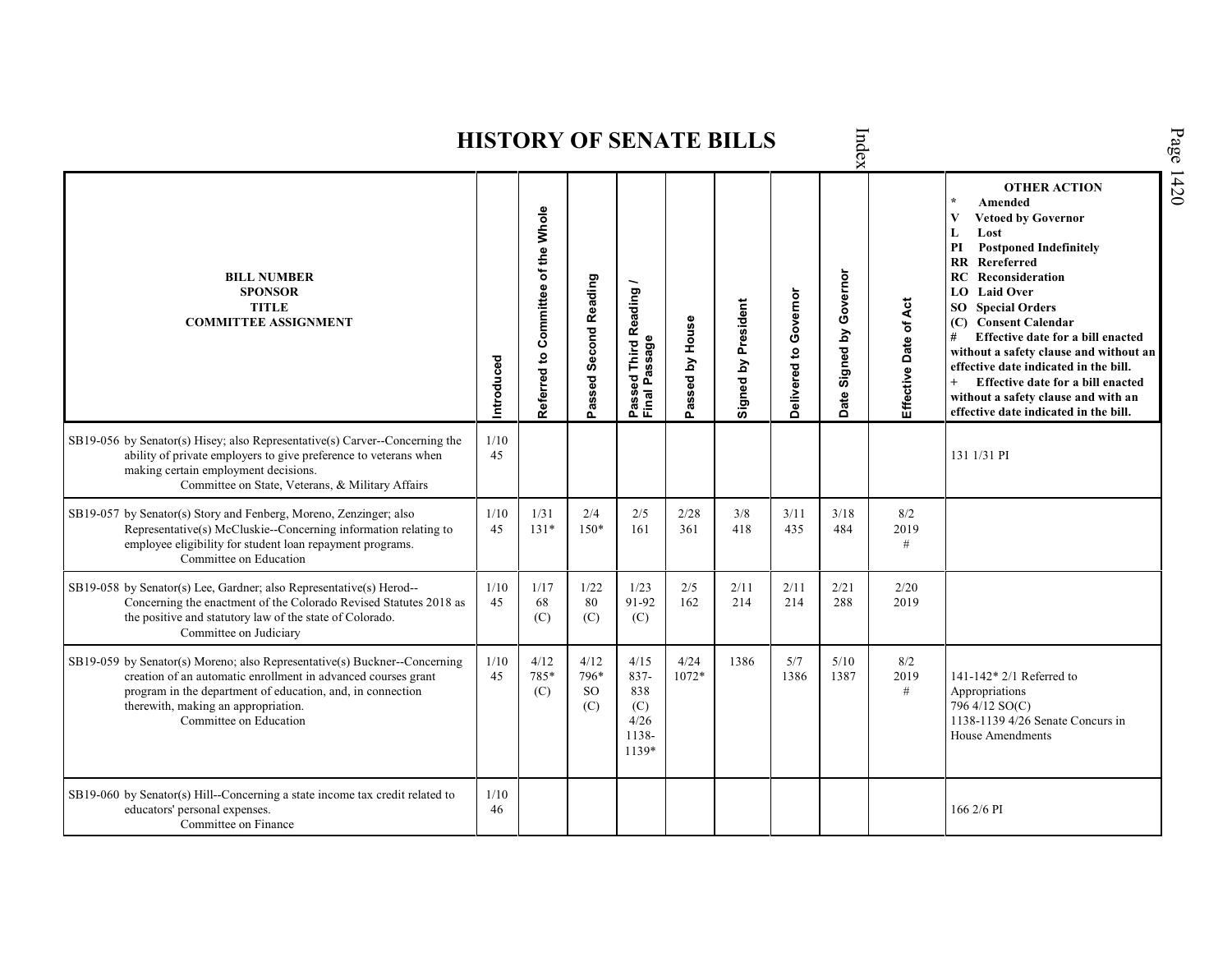Index **HISTORY OF SENATE BILLS OTHER ACTION \* Amended Referred to Com mittee of the Whole Vetoed by Governor L Lost PI Postponed Indefinitely RR Rereferred Date Signed by Governor BILL NUMBER RC Reconsideration Passed Second Reading Passed Third Reading /** Passed Third Reading <sub>/</sub><br>Final Passage **LO Laid Over SPONSOR** Delivered to Governor **Delivered to Governor** Ąct Signed by President **Effective Date of Act Signed by President SO Special Orders TITLE COMMITTEE ASSIGNMENT (C) Consent Calendar** Passed by House **Passed by House** Effective Date of **# Effective date for a bill enacted Final Passage without a safety clause and without an Introduced effective date indicated in the bill. + Effective date for a bill enacted without a safety clause and with an effective date indicated in the bill.**  SB19-056 by Senator(s) Hisey; also Representative(s) Carver--Concerning the 1/10 ability of private employers to give preference to veterans when 45 131 1/31 PI making certain employment decisions. Committee on State, Veterans, & Military Affairs SB19-057 by Senator(s) Story and Fenberg, Moreno, Zenzinger; also 1/10 1/31 2/4 2/5 2/28 3/8 3/11 3/18 8/2 Representative(s) McCluskie--Concerning information relating to 45 131\* 150\* 161 361 418 435 484 2019 employee eligibility for student loan repayment programs. # Committee on Education SB19-058 by Senator(s) Lee, Gardner; also Representative(s) Herod-- 1/10 1/17 1/22 1/23 2/5 2/11 2/11 2/21 2/20 91-92 Concerning the enactment of the Colorado Revised Statutes 2018 as 45 80 162 214 214 288 2019 68 the positive and statutory law of the state of Colorado. (C) (C) (C) Committee on Judiciary SB19-059 by Senator(s) Moreno; also Representative(s) Buckner--Concerning 1/10 4/12 4/12 4/15 4/24 1386 5/7 5/10 8/2 785\* 796\* 1072\* creation of an automatic enrollment in advanced courses grant 45 837- 1386 1387 2019 141-142\* 2/1 Referred to program in the department of education, and, in connection (C) SO 838 # Appropriations therewith, making an appropriation. 796 4/12 SO(C) (C) (C) Committee on Education 4/26 1138-1139 4/26 Senate Concurs in 1138- House Amendments 1139\* SB19-060 by Senator(s) Hill--Concerning a state income tax credit related to  $\frac{1}{10}$ educators' personal expenses. 46 166 2/6 PICommittee on Finance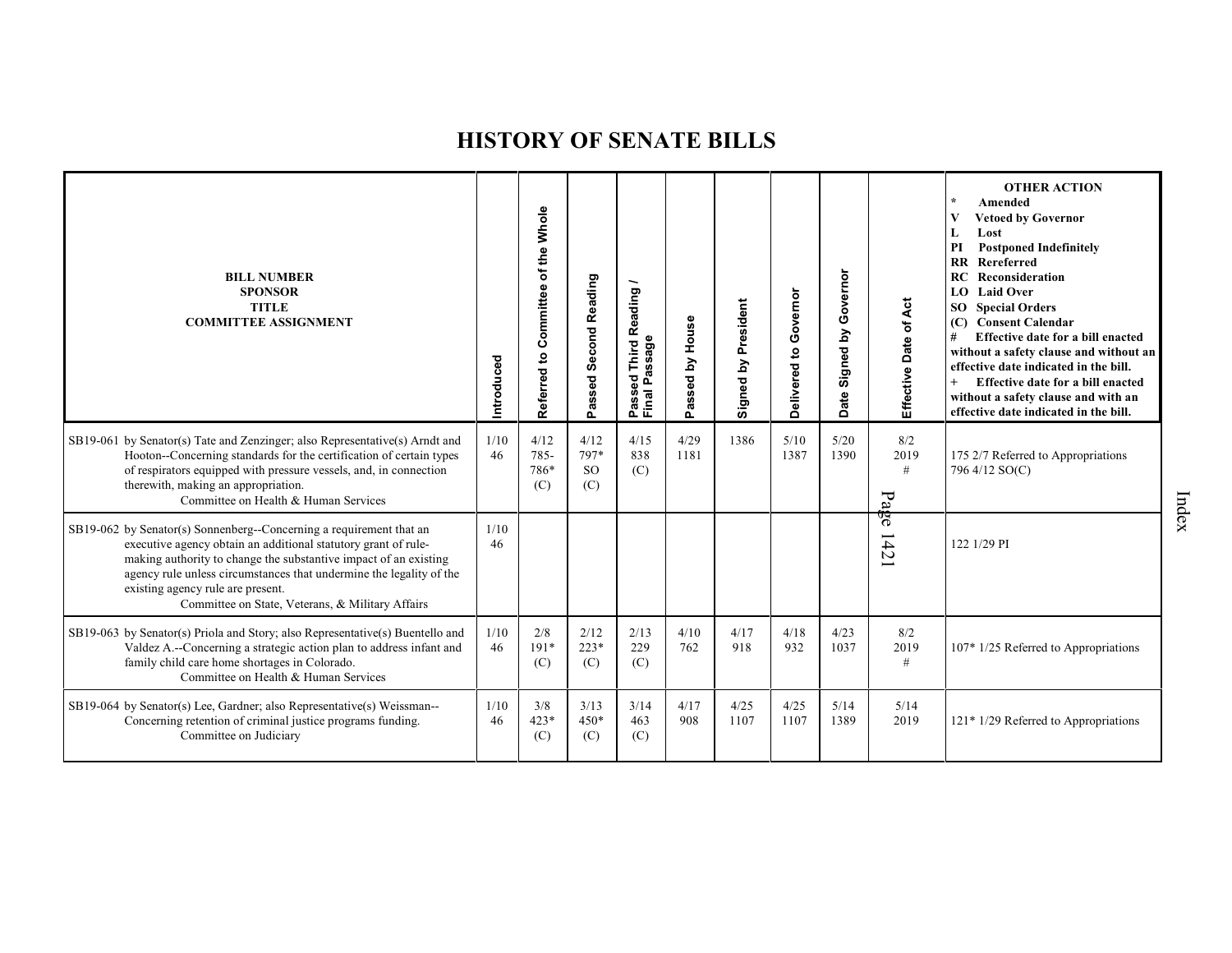| <b>BILL NUMBER</b><br><b>SPONSOR</b><br><b>TITLE</b><br><b>COMMITTEE ASSIGNMENT</b>                                                                                                                                                                                                                                                                                       | Introduced | of the Whole<br>Committee<br>Referred to | <b>Second Reading</b><br>Passed: | Reading<br>Passage<br>Third<br>assed<br>Passe<br>Final I | House<br>$\mathbf{\Sigma}$<br>assed<br>௳ | President<br>Signed by | Governor<br>Delivered to | Governor<br>Signed by<br>ate<br>ő | Effective Date of Act                  | <b>OTHER ACTION</b><br>Amended<br><b>Vetoed by Governor</b><br>Lost<br>L<br>PI<br><b>Postponed Indefinitely</b><br>Rereferred<br>$\mathbf{R}$<br>RC<br>Reconsideration<br>LO Laid Over<br><b>SO</b> Special Orders<br><b>Consent Calendar</b><br>(C)<br>#<br>Effective date for a bill enacted<br>without a safety clause and without an<br>effective date indicated in the bill.<br>Effective date for a bill enacted<br>without a safety clause and with an<br>effective date indicated in the bill. |
|---------------------------------------------------------------------------------------------------------------------------------------------------------------------------------------------------------------------------------------------------------------------------------------------------------------------------------------------------------------------------|------------|------------------------------------------|----------------------------------|----------------------------------------------------------|------------------------------------------|------------------------|--------------------------|-----------------------------------|----------------------------------------|--------------------------------------------------------------------------------------------------------------------------------------------------------------------------------------------------------------------------------------------------------------------------------------------------------------------------------------------------------------------------------------------------------------------------------------------------------------------------------------------------------|
| SB19-061 by Senator(s) Tate and Zenzinger; also Representative(s) Arndt and<br>Hooton--Concerning standards for the certification of certain types<br>of respirators equipped with pressure vessels, and, in connection<br>therewith, making an appropriation.<br>Committee on Health & Human Services                                                                    | 1/10<br>46 | 4/12<br>785-<br>786*<br>(C)              | 4/12<br>797*<br><b>SO</b><br>(C) | 4/15<br>838<br>(C)                                       | 4/29<br>1181                             | 1386                   | 5/10<br>1387             | 5/20<br>1390                      | 8/2<br>2019<br>#<br>$P_{\overline{a}}$ | 175 2/7 Referred to Appropriations<br>796 4/12 SO(C)                                                                                                                                                                                                                                                                                                                                                                                                                                                   |
| SB19-062 by Senator(s) Sonnenberg--Concerning a requirement that an<br>executive agency obtain an additional statutory grant of rule-<br>making authority to change the substantive impact of an existing<br>agency rule unless circumstances that undermine the legality of the<br>existing agency rule are present.<br>Committee on State, Veterans, & Military Affairs | 1/10<br>46 |                                          |                                  |                                                          |                                          |                        |                          |                                   | 9g<br>42                               | 122 1/29 PI                                                                                                                                                                                                                                                                                                                                                                                                                                                                                            |
| SB19-063 by Senator(s) Priola and Story; also Representative(s) Buentello and<br>Valdez A.--Concerning a strategic action plan to address infant and<br>family child care home shortages in Colorado.<br>Committee on Health & Human Services                                                                                                                             | 1/10<br>46 | 2/8<br>$191*$<br>(C)                     | 2/12<br>$223*$<br>(C)            | 2/13<br>229<br>(C)                                       | 4/10<br>762                              | 4/17<br>918            | 4/18<br>932              | 4/23<br>1037                      | 8/2<br>2019<br>#                       | 107* 1/25 Referred to Appropriations                                                                                                                                                                                                                                                                                                                                                                                                                                                                   |
| SB19-064 by Senator(s) Lee, Gardner; also Representative(s) Weissman--<br>Concerning retention of criminal justice programs funding.<br>Committee on Judiciary                                                                                                                                                                                                            | 1/10<br>46 | 3/8<br>$423*$<br>(C)                     | 3/13<br>$450*$<br>(C)            | 3/14<br>463<br>(C)                                       | 4/17<br>908                              | 4/25<br>1107           | 4/25<br>1107             | 5/14<br>1389                      | 5/14<br>2019                           | 121* 1/29 Referred to Appropriations                                                                                                                                                                                                                                                                                                                                                                                                                                                                   |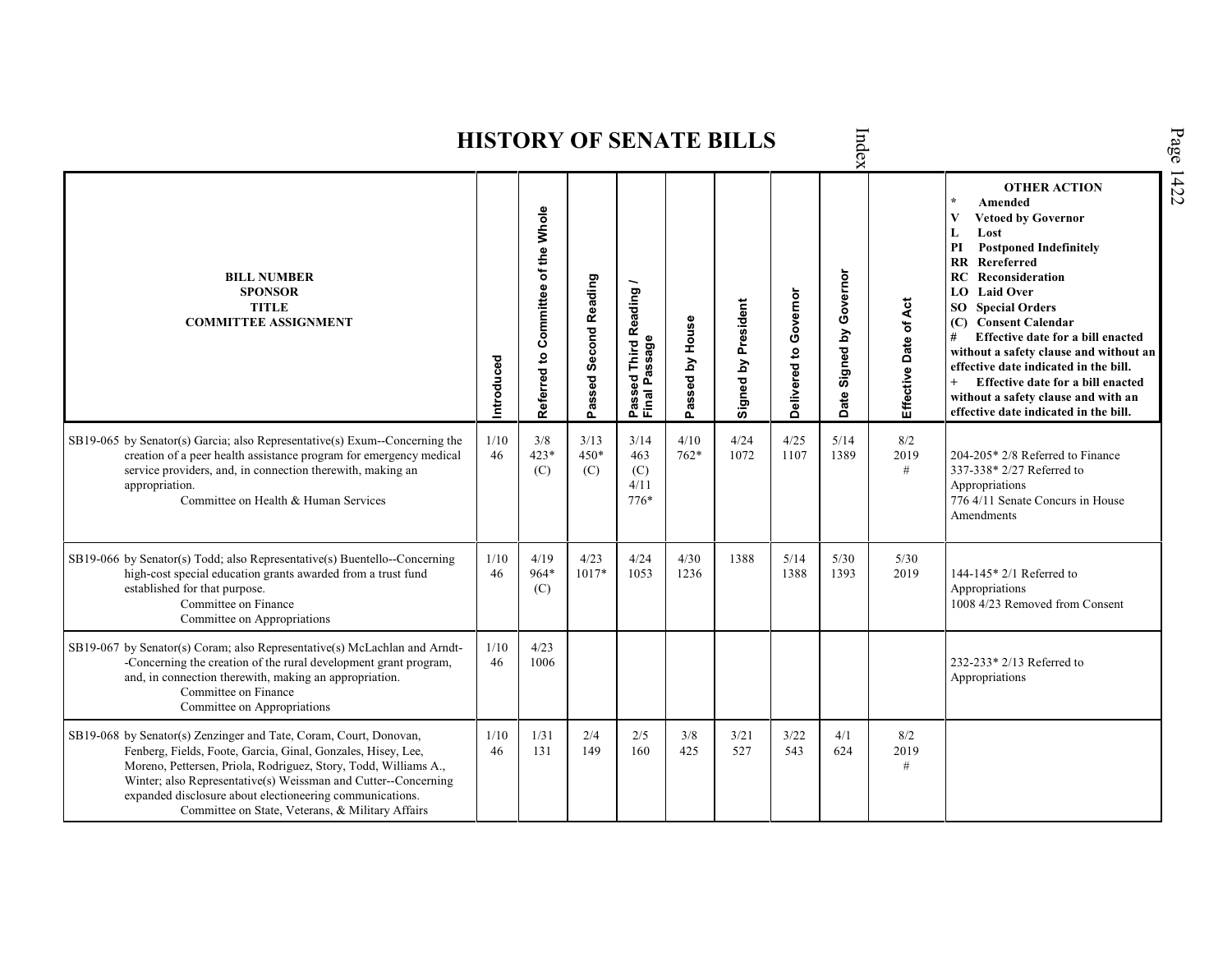|                                                                                                                                                                                                                                                                                                                                                                                        |            |                                    |                       |                                                                    |                 | <b>HISTORY OF SENATE BILLS</b> |                       | Index                       |                       |                                                                                                                                                                                                                                                                                                                                                                                                                                                                                                                               |
|----------------------------------------------------------------------------------------------------------------------------------------------------------------------------------------------------------------------------------------------------------------------------------------------------------------------------------------------------------------------------------------|------------|------------------------------------|-----------------------|--------------------------------------------------------------------|-----------------|--------------------------------|-----------------------|-----------------------------|-----------------------|-------------------------------------------------------------------------------------------------------------------------------------------------------------------------------------------------------------------------------------------------------------------------------------------------------------------------------------------------------------------------------------------------------------------------------------------------------------------------------------------------------------------------------|
| <b>BILL NUMBER</b><br><b>SPONSOR</b><br><b>TITLE</b><br><b>COMMITTEE ASSIGNMENT</b>                                                                                                                                                                                                                                                                                                    | Introduced | Referred to Committee of the Whole | Passed Second Reading | Reading<br>issage<br><b>Third</b><br>್ಥಾ<br>o.<br>Passe<br>Final I | Passed by House | Signed by President            | Delivered to Governor | Signed by Governor<br>Date: | Effective Date of Act | <b>OTHER ACTION</b><br>$\star$<br>Amended<br>$\mathbf{V}$<br><b>Vetoed by Governor</b><br>L<br>Lost<br><b>Postponed Indefinitely</b><br>PI<br><b>RR</b><br>Rereferred<br><b>RC</b> Reconsideration<br>LO Laid Over<br><b>SO</b> Special Orders<br>(C) Consent Calendar<br>Effective date for a bill enacted<br>without a safety clause and without an<br>effective date indicated in the bill.<br>$^{+}$<br>Effective date for a bill enacted<br>without a safety clause and with an<br>effective date indicated in the bill. |
| SB19-065 by Senator(s) Garcia; also Representative(s) Exum--Concerning the<br>creation of a peer health assistance program for emergency medical<br>service providers, and, in connection therewith, making an<br>appropriation.<br>Committee on Health & Human Services                                                                                                               | 1/10<br>46 | 3/8<br>$423*$<br>(C)               | 3/13<br>450*<br>(C)   | 3/14<br>463<br>(C)<br>4/11<br>$776*$                               | 4/10<br>$762*$  | 4/24<br>1072                   | 4/25<br>1107          | 5/14<br>1389                | 8/2<br>2019<br>#      | $204-205*2/8$ Referred to Finance<br>337-338* 2/27 Referred to<br>Appropriations<br>776 4/11 Senate Concurs in House<br>Amendments                                                                                                                                                                                                                                                                                                                                                                                            |
| SB19-066 by Senator(s) Todd; also Representative(s) Buentello--Concerning<br>high-cost special education grants awarded from a trust fund<br>established for that purpose.<br>Committee on Finance<br>Committee on Appropriations                                                                                                                                                      | 1/10<br>46 | 4/19<br>964*<br>(C)                | 4/23<br>1017*         | 4/24<br>1053                                                       | 4/30<br>1236    | 1388                           | 5/14<br>1388          | 5/30<br>1393                | 5/30<br>2019          | 144-145* 2/1 Referred to<br>Appropriations<br>1008 4/23 Removed from Consent                                                                                                                                                                                                                                                                                                                                                                                                                                                  |
| SB19-067 by Senator(s) Coram; also Representative(s) McLachlan and Arndt-<br>-Concerning the creation of the rural development grant program,<br>and, in connection therewith, making an appropriation.<br>Committee on Finance<br>Committee on Appropriations                                                                                                                         | 1/10<br>46 | 4/23<br>1006                       |                       |                                                                    |                 |                                |                       |                             |                       | 232-233* 2/13 Referred to<br>Appropriations                                                                                                                                                                                                                                                                                                                                                                                                                                                                                   |
| SB19-068 by Senator(s) Zenzinger and Tate, Coram, Court, Donovan,<br>Fenberg, Fields, Foote, Garcia, Ginal, Gonzales, Hisey, Lee,<br>Moreno, Pettersen, Priola, Rodriguez, Story, Todd, Williams A.,<br>Winter; also Representative(s) Weissman and Cutter--Concerning<br>expanded disclosure about electioneering communications.<br>Committee on State, Veterans, & Military Affairs | 1/10<br>46 | 1/31<br>131                        | 2/4<br>149            | 2/5<br>160                                                         | 3/8<br>425      | 3/21<br>527                    | 3/22<br>543           | 4/1<br>624                  | 8/2<br>2019<br>#      |                                                                                                                                                                                                                                                                                                                                                                                                                                                                                                                               |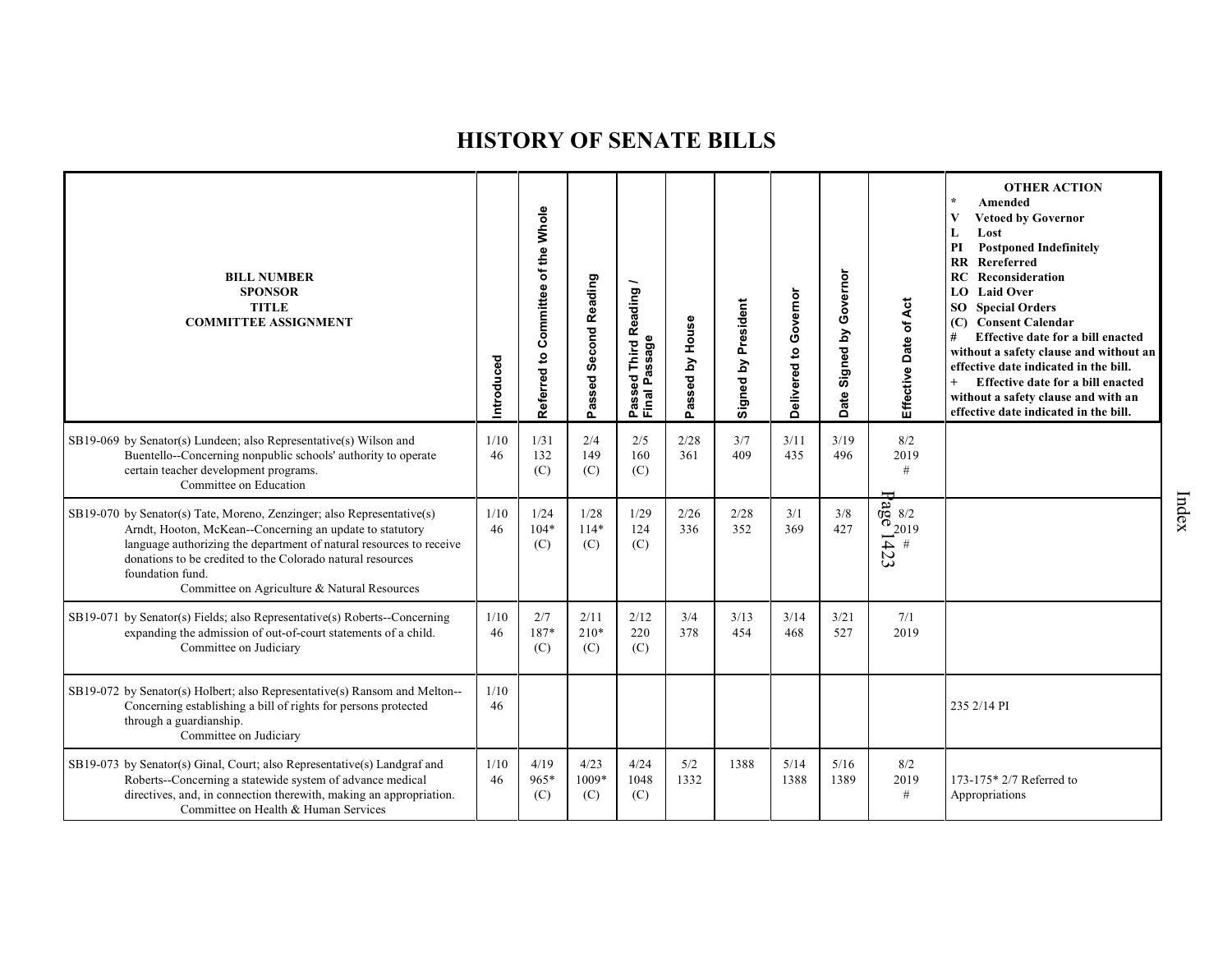| <b>BILL NUMBER</b><br><b>SPONSOR</b><br><b>TITLE</b><br><b>COMMITTEE ASSIGNMENT</b>                                                                                                                                                                                                                                                         | ntroduced  | of the Whole<br>Committee<br>Referred to | Passed Second Reading | Reading<br>Passeq<br>Final Passage<br>———————————————————— | House<br>$\mathbf{\Sigma}$<br>assed<br>Ő. | Signed by President | Governor<br>Delivered to | Governor<br>Signed by<br>Date | Effective Date of Act                                                                                                   | <b>OTHER ACTION</b><br>$\star$<br>Amended<br>V<br><b>Vetoed by Governor</b><br>L<br>Lost<br><b>Postponed Indefinitely</b><br>PI<br>$\mathbf{R}$<br>Rereferred<br>Reconsideration<br>RC<br><b>Laid Over</b><br>LO.<br>SO <sub>2</sub><br><b>Special Orders</b><br><b>Consent Calendar</b><br>(C)<br>#<br>Effective date for a bill enacted<br>without a safety clause and without an<br>effective date indicated in the bill.<br>$+$<br>Effective date for a bill enacted<br>without a safety clause and with an<br>effective date indicated in the bill. |
|---------------------------------------------------------------------------------------------------------------------------------------------------------------------------------------------------------------------------------------------------------------------------------------------------------------------------------------------|------------|------------------------------------------|-----------------------|------------------------------------------------------------|-------------------------------------------|---------------------|--------------------------|-------------------------------|-------------------------------------------------------------------------------------------------------------------------|----------------------------------------------------------------------------------------------------------------------------------------------------------------------------------------------------------------------------------------------------------------------------------------------------------------------------------------------------------------------------------------------------------------------------------------------------------------------------------------------------------------------------------------------------------|
| SB19-069 by Senator(s) Lundeen; also Representative(s) Wilson and<br>Buentello--Concerning nonpublic schools' authority to operate<br>certain teacher development programs.<br>Committee on Education                                                                                                                                       | 1/10<br>46 | 1/31<br>132<br>(C)                       | 2/4<br>149<br>(C)     | 2/5<br>160<br>(C)                                          | 2/28<br>361                               | 3/7<br>409          | 3/11<br>435              | 3/19<br>496                   | 8/2<br>2019<br>$\#$                                                                                                     |                                                                                                                                                                                                                                                                                                                                                                                                                                                                                                                                                          |
| SB19-070 by Senator(s) Tate, Moreno, Zenzinger; also Representative(s)<br>Arndt, Hooton, McKean--Concerning an update to statutory<br>language authorizing the department of natural resources to receive<br>donations to be credited to the Colorado natural resources<br>foundation fund.<br>Committee on Agriculture & Natural Resources | 1/10<br>46 | 1/24<br>$104*$<br>(C)                    | 1/28<br>$114*$<br>(C) | 1/29<br>124<br>(C)                                         | 2/26<br>336                               | 2/28<br>352         | 3/1<br>369               | 3/8<br>427                    | $\frac{1}{2}$<br>$\frac{1}{2}$<br>$\frac{1}{4}$<br>$\frac{1}{2}$<br>$\frac{1}{4}$<br>$\frac{1}{2}$<br><br>$\frac{1}{4}$ |                                                                                                                                                                                                                                                                                                                                                                                                                                                                                                                                                          |
| SB19-071 by Senator(s) Fields; also Representative(s) Roberts--Concerning<br>expanding the admission of out-of-court statements of a child.<br>Committee on Judiciary                                                                                                                                                                       | 1/10<br>46 | 2/7<br>187*<br>(C)                       | 2/11<br>$210*$<br>(C) | 2/12<br>220<br>(C)                                         | 3/4<br>378                                | 3/13<br>454         | 3/14<br>468              | 3/21<br>527                   | 7/1<br>2019                                                                                                             |                                                                                                                                                                                                                                                                                                                                                                                                                                                                                                                                                          |
| SB19-072 by Senator(s) Holbert; also Representative(s) Ransom and Melton--<br>Concerning establishing a bill of rights for persons protected<br>through a guardianship.<br>Committee on Judiciary                                                                                                                                           | 1/10<br>46 |                                          |                       |                                                            |                                           |                     |                          |                               |                                                                                                                         | 235 2/14 PI                                                                                                                                                                                                                                                                                                                                                                                                                                                                                                                                              |
| SB19-073 by Senator(s) Ginal, Court; also Representative(s) Landgraf and<br>Roberts--Concerning a statewide system of advance medical<br>directives, and, in connection therewith, making an appropriation.<br>Committee on Health & Human Services                                                                                         | 1/10<br>46 | 4/19<br>965*<br>(C)                      | 4/23<br>1009*<br>(C)  | 4/24<br>1048<br>(C)                                        | 5/2<br>1332                               | 1388                | 5/14<br>1388             | 5/16<br>1389                  | 8/2<br>2019<br>$\#$                                                                                                     | 173-175* 2/7 Referred to<br>Appropriations                                                                                                                                                                                                                                                                                                                                                                                                                                                                                                               |

Index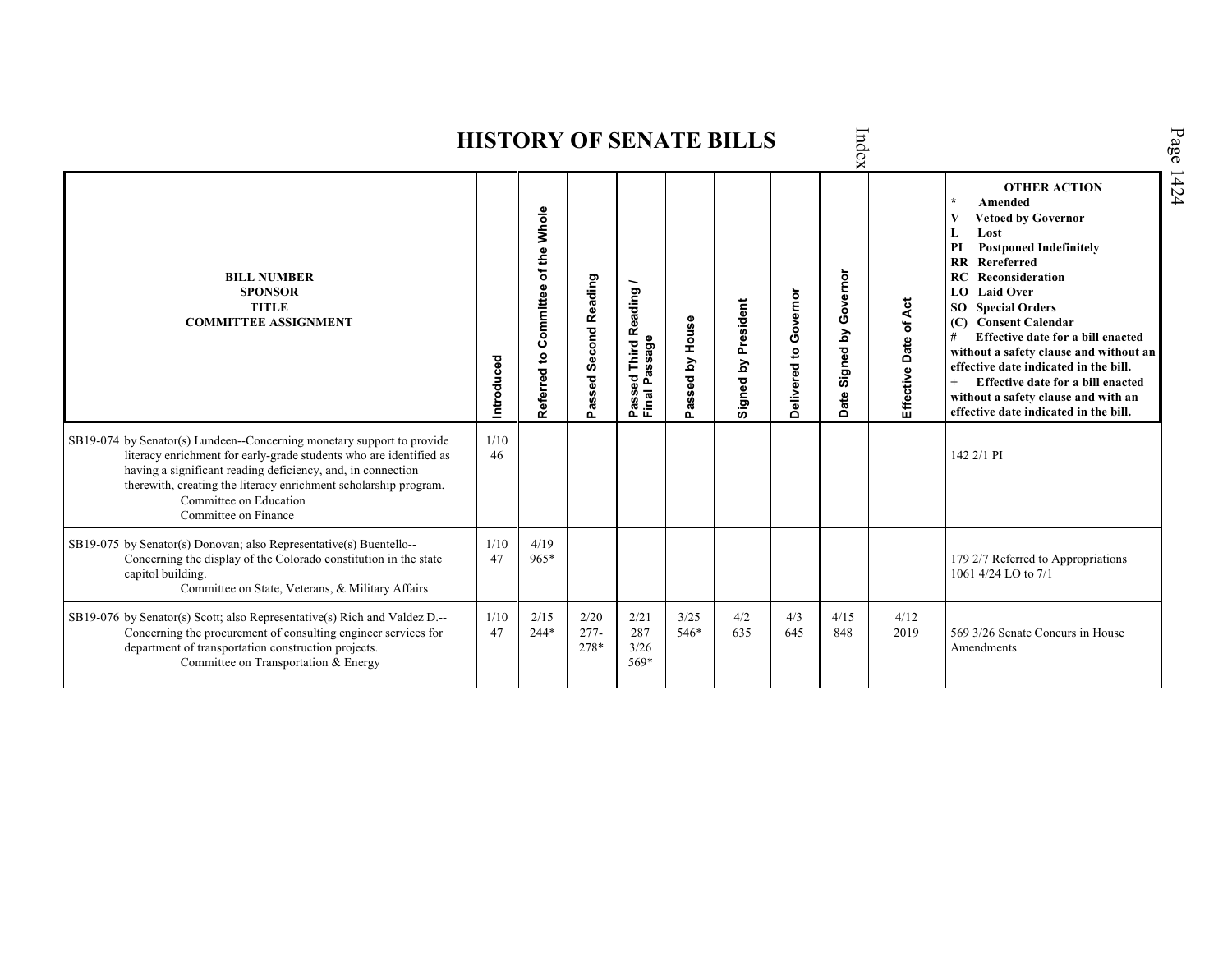Index Page 1424 **HISTORY OF SENATE BILLS OTHER ACTION \* Amended Referred to Com mittee of the Whole Vetoed by Governor L Lost PI Postponed Indefinitely RR Rereferred Date Signed by Governor BILL NUMBER RC Reconsideration Passed Second Reading** Passed Third Reading /<br>Final Passage **Passed Third Reading / SPONSOR LO Laid Over** Delivered to Governor **Delivered to Governor Signed by President** Effective Date of Act **Effective Date of Act TITLE Signed by President SO Special Orders COMMITTEE ASSIGNMENT (C) Consent Calendar** Passed by House **Passed by House # Effective date for a bill enacted Final Passage without a safety clause and without an Introduced effective date indicated in the bill. + Effective date for a bill enacted without a safety clause and with an effective date indicated in the bill.**  1/10 SB19-074 by Senator(s) Lundeen--Concerning monetary support to provide literacy enrichment for early-grade students who are identified as 46 142 2/1 PI having a significant reading deficiency, and, in connection therewith, creating the literacy enrichment scholarship program. Committee on Education Committee on Finance SB19-075 by Senator(s) Donovan; also Representative(s) Buentello-- 1/10 4/19 Concerning the display of the Colorado constitution in the state 47 965\* 179 2/7 Referred to Appropriations capitol building. 1061 4/24 LO to 7/1 Committee on State, Veterans, & Military Affairs SB19-076 by Senator(s) Scott; also Representative(s) Rich and Valdez D.-- 1/10 2/15 2/20 2/21 3/25 4/2 4/3 4/15 4/12 Concerning the procurement of consulting engineer services for 47 244\* 277- 287 546\* 635 645 848 2019 569 3/26 Senate Concurs in House department of transportation construction projects. 278\* 3/26 **Amendments** Committee on Transportation & Energy 569\*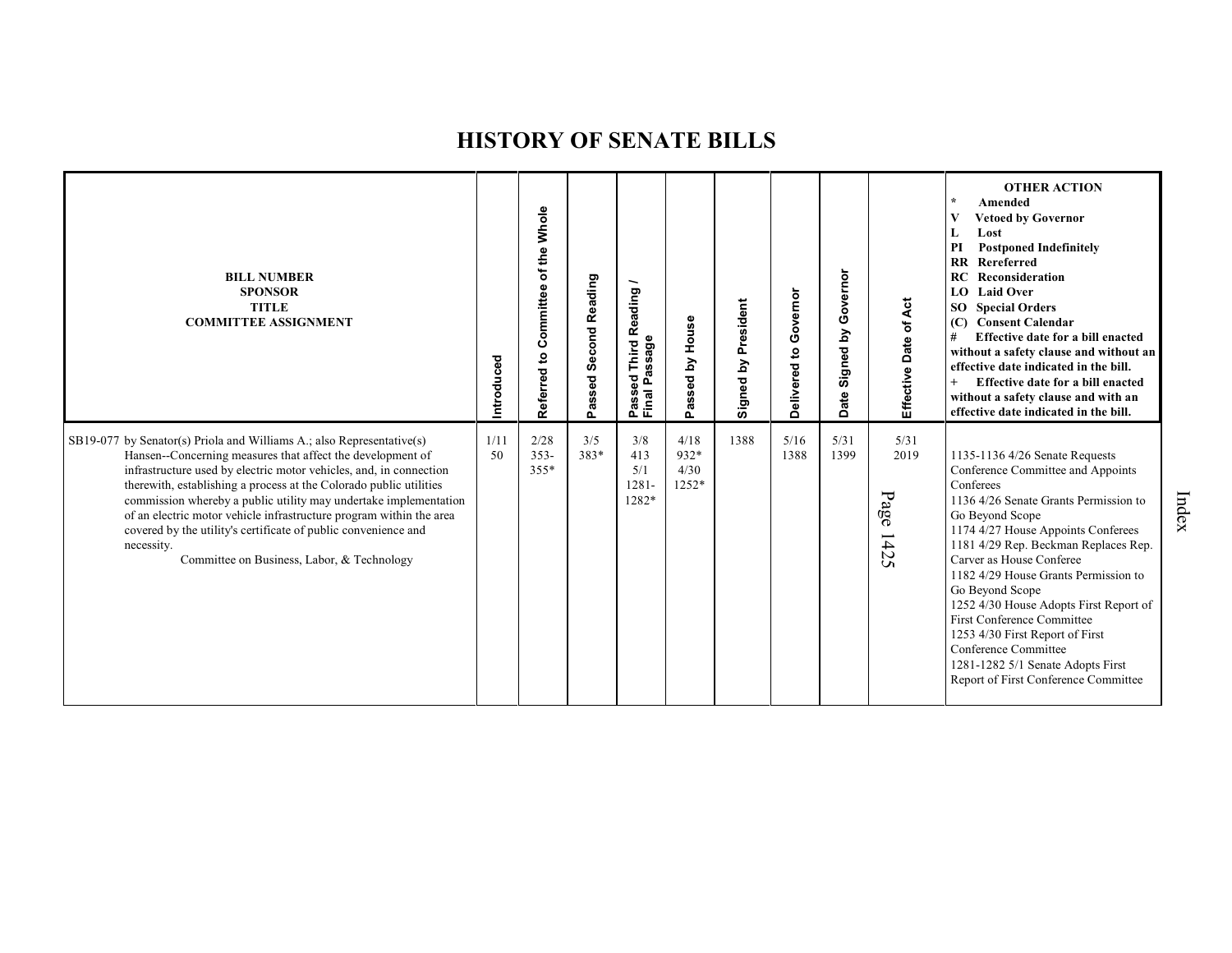| <b>BILL NUMBER</b><br><b>SPONSOR</b><br><b>TITLE</b><br><b>COMMITTEE ASSIGNMENT</b>                                                                                                                                                                                                                                                                                                                                                                                                                                                                      | Introduced | Referred to Committee of the Whole | <b>Second Reading</b><br>Passed | Reading<br>assage<br>Third<br>ಕ<br>≏<br>$\alpha$<br>Passe<br>Final | House<br>Σ<br>assed<br>o      | President<br>Signed by | Governor<br>Delivered to | overnor<br>Ō<br>Signed by<br>Date | Effective Date of Act                                    | <b>OTHER ACTION</b><br>$\star$<br>Amended<br><b>Vetoed by Governor</b><br>V<br>Lost<br>L<br>PI<br><b>Postponed Indefinitely</b><br>Rereferred<br>$\overline{\mathbf{R}}$<br>Reconsideration<br>RC<br><b>Laid Over</b><br>LO<br><b>Special Orders</b><br>SO.<br><b>Consent Calendar</b><br>(C)<br>#<br>Effective date for a bill enacted<br>without a safety clause and without an<br>effective date indicated in the bill.<br>$+$<br>Effective date for a bill enacted<br>without a safety clause and with an<br>effective date indicated in the bill. |
|----------------------------------------------------------------------------------------------------------------------------------------------------------------------------------------------------------------------------------------------------------------------------------------------------------------------------------------------------------------------------------------------------------------------------------------------------------------------------------------------------------------------------------------------------------|------------|------------------------------------|---------------------------------|--------------------------------------------------------------------|-------------------------------|------------------------|--------------------------|-----------------------------------|----------------------------------------------------------|--------------------------------------------------------------------------------------------------------------------------------------------------------------------------------------------------------------------------------------------------------------------------------------------------------------------------------------------------------------------------------------------------------------------------------------------------------------------------------------------------------------------------------------------------------|
| SB19-077 by Senator(s) Priola and Williams A.; also Representative(s)<br>Hansen--Concerning measures that affect the development of<br>infrastructure used by electric motor vehicles, and, in connection<br>therewith, establishing a process at the Colorado public utilities<br>commission whereby a public utility may undertake implementation<br>of an electric motor vehicle infrastructure program within the area<br>covered by the utility's certificate of public convenience and<br>necessity.<br>Committee on Business, Labor, & Technology | 1/11<br>50 | 2/28<br>$353 -$<br>$355*$          | 3/5<br>383*                     | 3/8<br>413<br>5/1<br>$1281 -$<br>1282*                             | 4/18<br>932*<br>4/30<br>1252* | 1388                   | 5/16<br>1388             | 5/31<br>1399                      | 5/31<br>2019<br>Page<br>$\overline{\phantom{0}}$<br>1425 | 1135-1136 4/26 Senate Requests<br>Conference Committee and Appoints<br>Conferees<br>1136 4/26 Senate Grants Permission to<br>Go Beyond Scope<br>1174 4/27 House Appoints Conferees<br>1181 4/29 Rep. Beckman Replaces Rep.<br>Carver as House Conferee<br>1182 4/29 House Grants Permission to<br>Go Beyond Scope<br>1252 4/30 House Adopts First Report of<br><b>First Conference Committee</b><br>1253 4/30 First Report of First<br>Conference Committee<br>1281-1282 5/1 Senate Adopts First<br>Report of First Conference Committee               |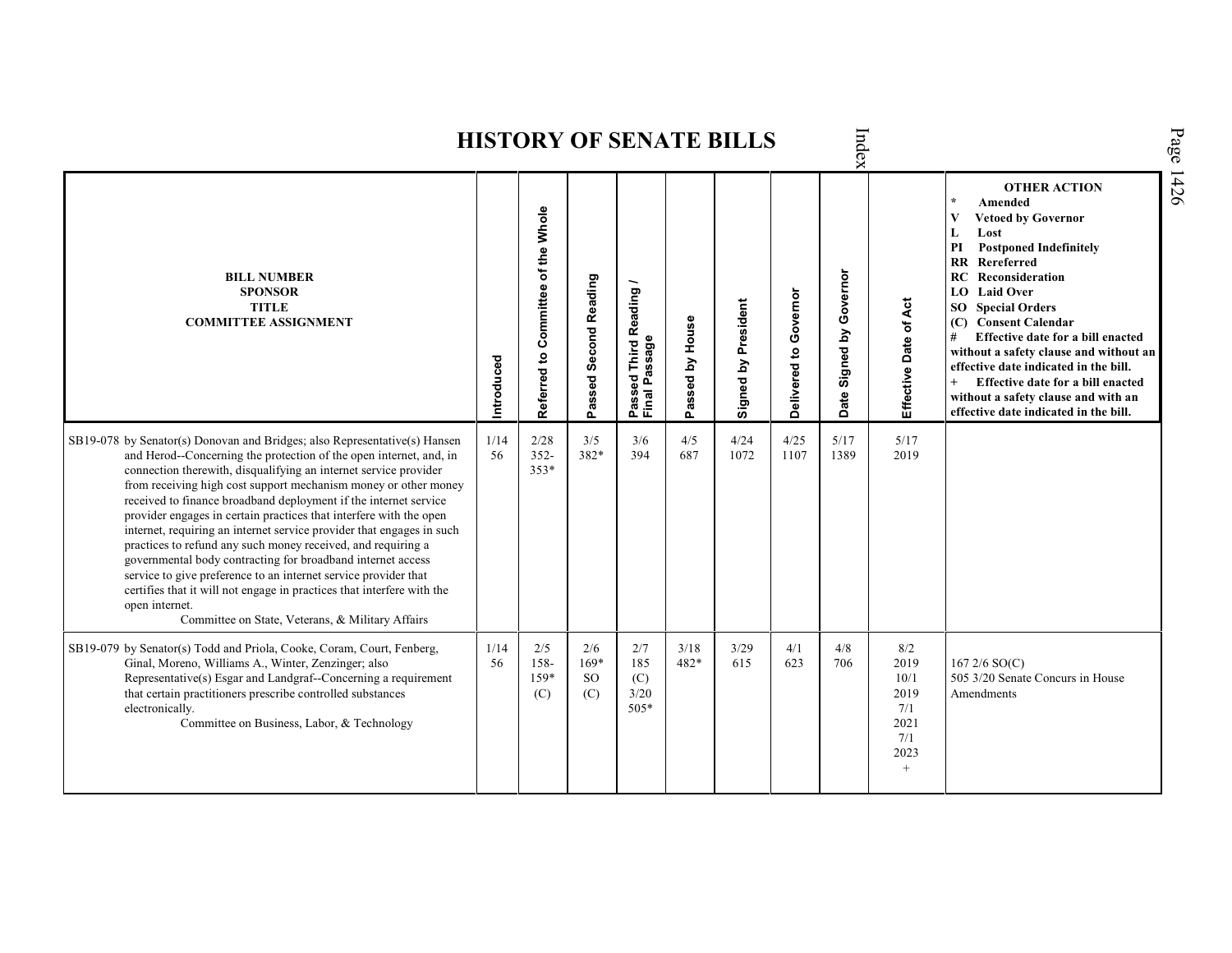Index Page 1426 **HISTORY OF SENATE BILLS OTHER ACTION \* Amended Referred to Com mittee of the Whole V Vetoed by Governor L Lost PI Postponed Indefinitely RR Rereferred Date Signed by Governor BILL NUMBER RC Reconsideration Passed Second Reading Passed Third Reading /** Passed Third Reading<br>Final Passage **LO Laid Over SPONSOR** Delivered to Governor **Delivered to Governor** Ąct Signed by President **Effective Date of Act Signed by President SO Special Orders TITLE COMMITTEE ASSIGNMENT (C) Consent Calendar** Passed by House **Passed by House** Date of **# Effective date for a bill enacted Final Passage without a safety clause and without an Introduced effective date indicated in the bill.** Effective **+ Effective date for a bill enacted without a safety clause and with an effective date indicated in the bill.**  1/14 2/28 4/5 4/24 4/25 SB19-078 by Senator(s) Donovan and Bridges; also Representative(s) Hansen 3/5 3/6 5/17 5/17 and Herod--Concerning the protection of the open internet, and, in 56 352- 382\* 394 687 1072 1107 1389 2019 connection therewith, disqualifying an internet service provider 353\* from receiving high cost support mechanism money or other money received to finance broadband deployment if the internet service provider engages in certain practices that interfere with the open internet, requiring an internet service provider that engages in such practices to refund any such money received, and requiring a governmental body contracting for broadband internet access service to give preference to an internet service provider that certifies that it will not engage in practices that interfere with the open internet. Committee on State, Veterans, & Military Affairs SB19-079 by Senator(s) Todd and Priola, Cooke, Coram, Court, Fenberg, 1/14 2/5 2/6 2/7 3/18 3/29 4/1 4/8  $8/2$ Ginal, Moreno, Williams A., Winter, Zenzinger; also 56 158- 169\* 185 482\* 615 623 2019 167 2/6 SO(C) 706 159\* 505 3/20 Senate Concurs in House Representative(s) Esgar and Landgraf--Concerning a requirement SO 10/1 (C) that certain practitioners prescribe controlled substances (C) (C) 3/20 2019 Amendmentselectronically. 505\* 7/1 Committee on Business, Labor, & Technology 2021 7/1 2023  $^{+}$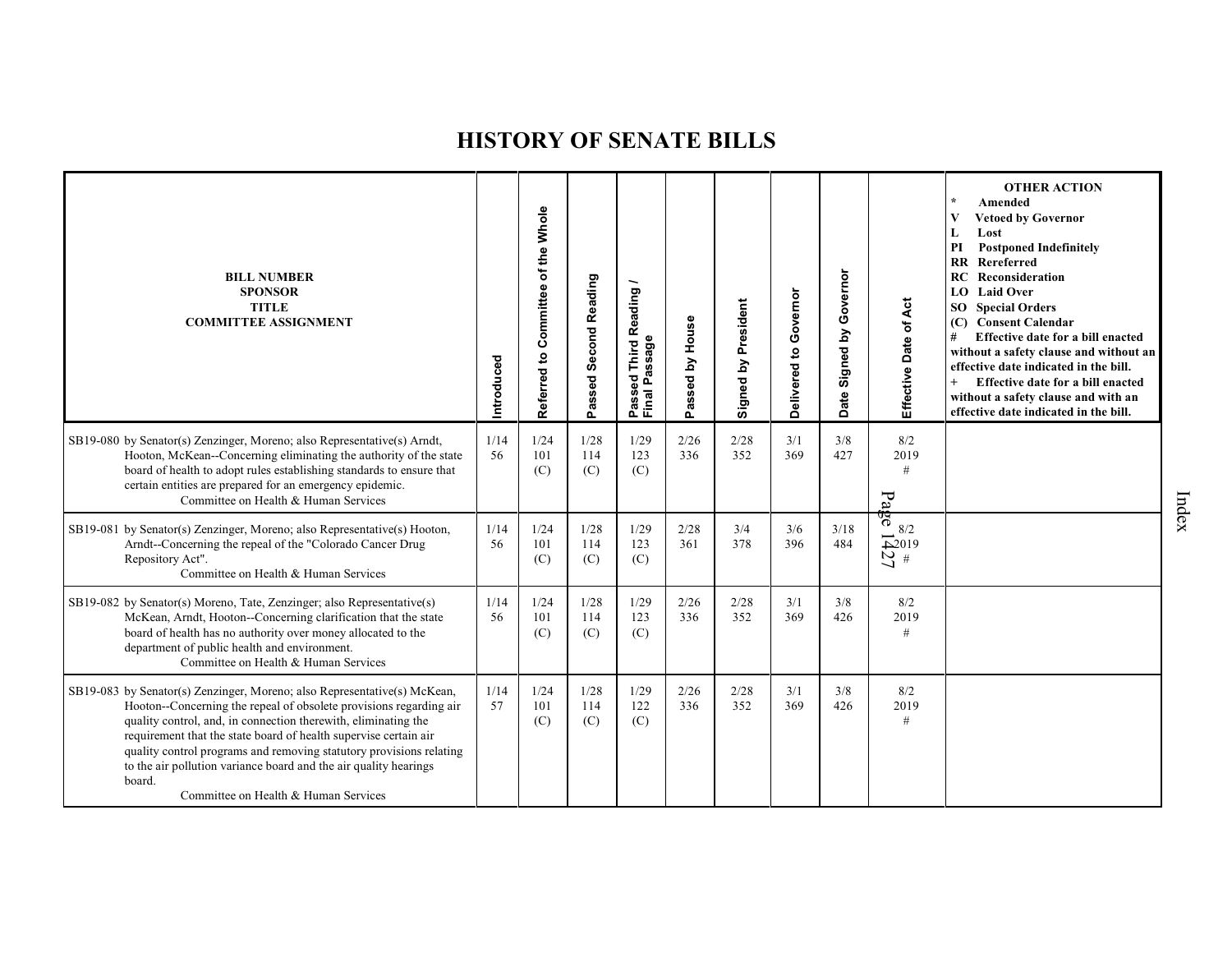| <b>BILL NUMBER</b><br><b>SPONSOR</b><br><b>TITLE</b><br><b>COMMITTEE ASSIGNMENT</b>                                                                                                                                                                                                                                                                                                                                                                                               | Introduced | Referred to Committee of the Whole | Passed Second Reading | Reading<br>Passeu<br>Final Passage | House<br>Passed by | Signed by President | Governor<br>Delivered to | Governor<br>Signed by<br>Date | Effective Date of Act                   | <b>OTHER ACTION</b><br>$\star$<br>Amended<br>$\mathbf{V}$<br><b>Vetoed by Governor</b><br>Lost<br>L<br>PI<br><b>Postponed Indefinitely</b><br>Rereferred<br>RR<br>RC<br>Reconsideration<br><b>LO</b> Laid Over<br><b>SO</b> Special Orders<br>(C) Consent Calendar<br>#<br>Effective date for a bill enacted<br>without a safety clause and without an<br>effective date indicated in the bill.<br>$+$<br>Effective date for a bill enacted<br>without a safety clause and with an<br>effective date indicated in the bill. |
|-----------------------------------------------------------------------------------------------------------------------------------------------------------------------------------------------------------------------------------------------------------------------------------------------------------------------------------------------------------------------------------------------------------------------------------------------------------------------------------|------------|------------------------------------|-----------------------|------------------------------------|--------------------|---------------------|--------------------------|-------------------------------|-----------------------------------------|-----------------------------------------------------------------------------------------------------------------------------------------------------------------------------------------------------------------------------------------------------------------------------------------------------------------------------------------------------------------------------------------------------------------------------------------------------------------------------------------------------------------------------|
| SB19-080 by Senator(s) Zenzinger, Moreno; also Representative(s) Arndt,<br>Hooton, McKean--Concerning eliminating the authority of the state<br>board of health to adopt rules establishing standards to ensure that<br>certain entities are prepared for an emergency epidemic.<br>Committee on Health & Human Services                                                                                                                                                          | 1/14<br>56 | 1/24<br>101<br>(C)                 | 1/28<br>114<br>(C)    | 1/29<br>123<br>(C)                 | 2/26<br>336        | 2/28<br>352         | 3/1<br>369               | 3/8<br>427                    | 8/2<br>2019<br>#<br>$F_a$               |                                                                                                                                                                                                                                                                                                                                                                                                                                                                                                                             |
| SB19-081 by Senator(s) Zenzinger, Moreno; also Representative(s) Hooton,<br>Arndt-Concerning the repeal of the "Colorado Cancer Drug<br>Repository Act".<br>Committee on Health & Human Services                                                                                                                                                                                                                                                                                  | 1/14<br>56 | 1/24<br>101<br>(C)                 | 1/28<br>114<br>(C)    | 1/29<br>123<br>(C)                 | 2/28<br>361        | 3/4<br>378          | 3/6<br>396               | 3/18<br>484                   | ठ<br>8/2<br>$\sum_{\mathcal{U}}^{2019}$ |                                                                                                                                                                                                                                                                                                                                                                                                                                                                                                                             |
| SB19-082 by Senator(s) Moreno, Tate, Zenzinger; also Representative(s)<br>McKean, Arndt, Hooton--Concerning clarification that the state<br>board of health has no authority over money allocated to the<br>department of public health and environment.<br>Committee on Health & Human Services                                                                                                                                                                                  | 1/14<br>56 | 1/24<br>101<br>(C)                 | 1/28<br>114<br>(C)    | 1/29<br>123<br>(C)                 | 2/26<br>336        | 2/28<br>352         | 3/1<br>369               | 3/8<br>426                    | 8/2<br>2019<br>#                        |                                                                                                                                                                                                                                                                                                                                                                                                                                                                                                                             |
| SB19-083 by Senator(s) Zenzinger, Moreno; also Representative(s) McKean,<br>Hooton--Concerning the repeal of obsolete provisions regarding air<br>quality control, and, in connection therewith, eliminating the<br>requirement that the state board of health supervise certain air<br>quality control programs and removing statutory provisions relating<br>to the air pollution variance board and the air quality hearings<br>board.<br>Committee on Health & Human Services | 1/14<br>57 | 1/24<br>101<br>(C)                 | 1/28<br>114<br>(C)    | 1/29<br>122<br>(C)                 | 2/26<br>336        | 2/28<br>352         | 3/1<br>369               | 3/8<br>426                    | 8/2<br>2019<br>#                        |                                                                                                                                                                                                                                                                                                                                                                                                                                                                                                                             |

Index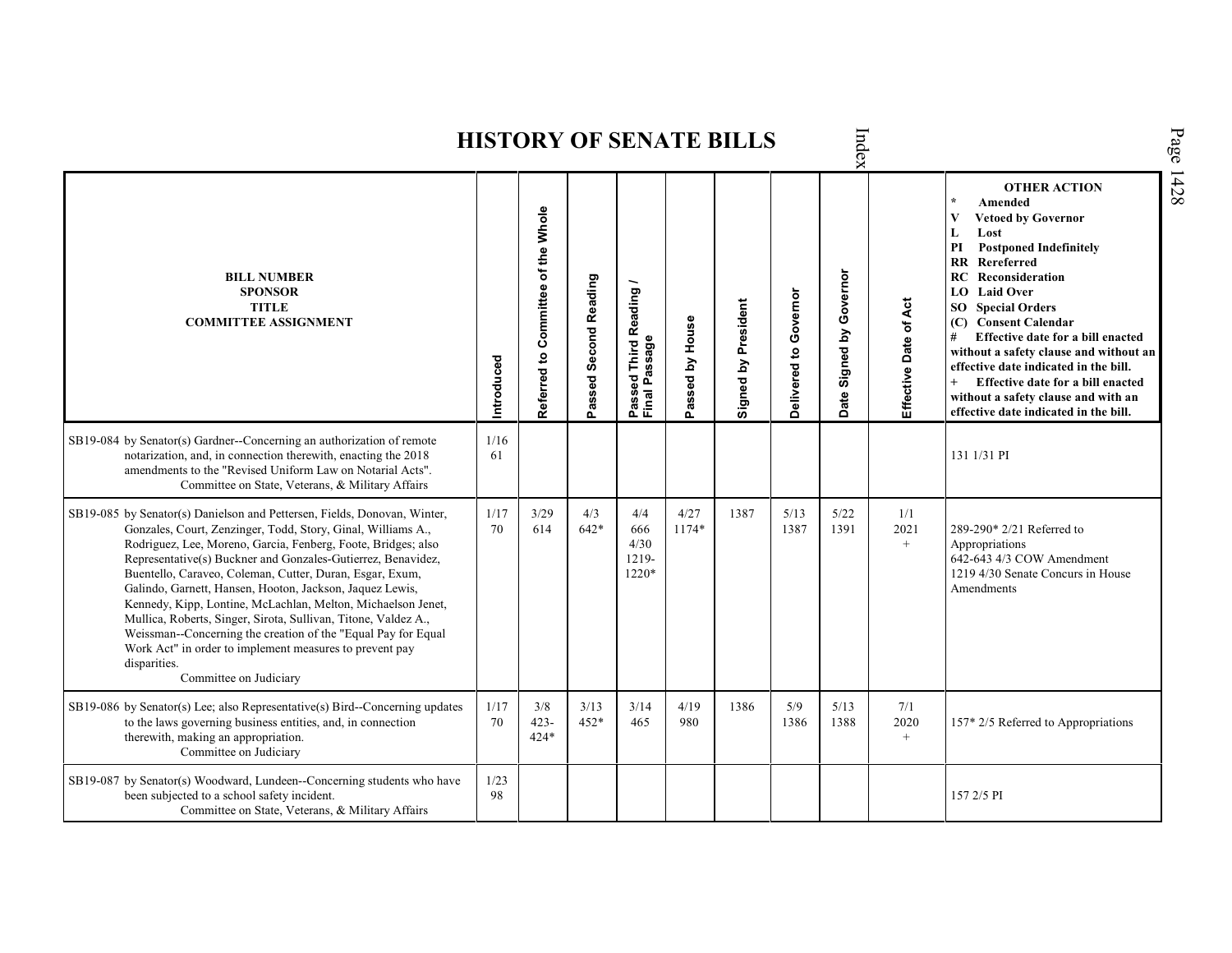Index Page 1428 **HISTORY OF SENATE BILLS OTHER ACTION \* Amended Referred to Com mittee of the Whole Vetoed by Governor L Lost PI Postponed Indefinitely RR Rereferred Date Signed by Governor BILL NUMBER RC Reconsideration Passed Second Reading Passed Third Reading /** Passed Third Reading<br>Final Passage **LO Laid Over SPONSOR** Delivered to Governor **Delivered to Governor** Ąct Signed by President **Effective Date of Act Signed by President SO Special Orders TITLE COMMITTEE ASSIGNMENT (C) Consent Calendar** Passed by House **Passed by House** Effective Date of **# Effective date for a bill enacted Final Passage without a safety clause and without an Introduced effective date indicated in the bill. + Effective date for a bill enacted without a safety clause and with an effective date indicated in the bill.**  SB19-084 by Senator(s) Gardner--Concerning an authorization of remote 1/16 notarization, and, in connection therewith, enacting the 2018 61 131 1/31 PI amendments to the "Revised Uniform Law on Notarial Acts". Committee on State, Veterans, & Military Affairs SB19-085 by Senator(s) Danielson and Pettersen, Fields, Donovan, Winter, 1/17 3/29 4/3 4/4 4/27 1387 5/13 5/22 1/1 Gonzales, Court, Zenzinger, Todd, Story, Ginal, Williams A., 70 614 642\* 666 1174\* 1387 1391 2021 289-290\* 2/21 Referred to Rodriguez, Lee, Moreno, Garcia, Fenberg, Foote, Bridges; also 4/30  $+$ Appropriations Representative(s) Buckner and Gonzales-Gutierrez, Benavidez, 642-643 4/3 COW Amendment 1219- Buentello, Caraveo, Coleman, Cutter, Duran, Esgar, Exum, 1220\* 1219 4/30 Senate Concurs in House Galindo, Garnett, Hansen, Hooton, Jackson, Jaquez Lewis, Amendments Kennedy, Kipp, Lontine, McLachlan, Melton, Michaelson Jenet, Mullica, Roberts, Singer, Sirota, Sullivan, Titone, Valdez A., Weissman--Concerning the creation of the "Equal Pay for Equal Work Act" in order to implement measures to prevent pay disparities. Committee on Judiciary SB19-086 by Senator(s) Lee; also Representative(s) Bird--Concerning updates 1/17 3/8 3/13 3/14 4/19 1386 5/9 5/13 7/1 to the laws governing business entities, and, in connection 452\* 157\* 2/5 Referred to Appropriations 70 423- 465 980 1386 1388 2020 therewith, making an appropriation. 424\*  $+$ Committee on Judiciary SB19-087 by Senator(s) Woodward, Lundeen--Concerning students who have  $\frac{1}{23}$ been subjected to a school safety incident. 98 157 2/5 PICommittee on State, Veterans, & Military Affairs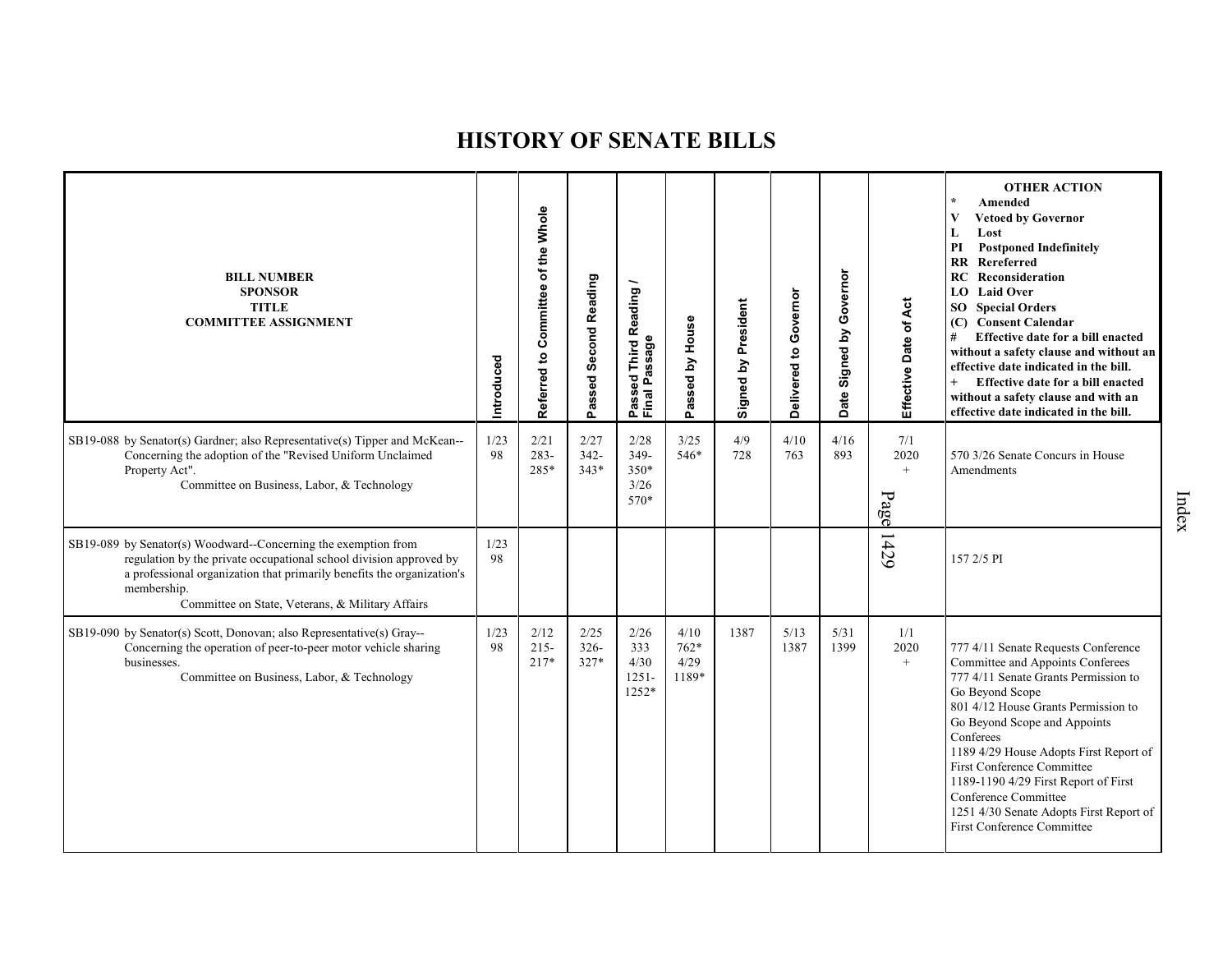| <b>BILL NUMBER</b><br><b>SPONSOR</b><br><b>TITLE</b><br><b>COMMITTEE ASSIGNMENT</b>                                                                                                                                                                                               | Introduced | of the Whole<br>Committee<br>Referred to | Passed Second Reading     | Reading<br>Passed Thiru <sub>N</sub><br>Final Passage | Passed by House                 | Signed by President | Governor<br>Delivered to | Governor<br>Signed by<br>Date | Effective Date of Act      | <b>OTHER ACTION</b><br>$\star$<br>Amended<br>V<br><b>Vetoed by Governor</b><br>L<br>Lost<br><b>Postponed Indefinitely</b><br>PI<br><b>RR</b> Rereferred<br>Reconsideration<br>RC<br><b>LO</b> Laid Over<br><b>SO</b> Special Orders<br>(C) Consent Calendar<br>#<br>Effective date for a bill enacted<br>without a safety clause and without an<br>effective date indicated in the bill.<br>$+$<br>Effective date for a bill enacted<br>without a safety clause and with an<br>effective date indicated in the bill. |
|-----------------------------------------------------------------------------------------------------------------------------------------------------------------------------------------------------------------------------------------------------------------------------------|------------|------------------------------------------|---------------------------|-------------------------------------------------------|---------------------------------|---------------------|--------------------------|-------------------------------|----------------------------|----------------------------------------------------------------------------------------------------------------------------------------------------------------------------------------------------------------------------------------------------------------------------------------------------------------------------------------------------------------------------------------------------------------------------------------------------------------------------------------------------------------------|
| SB19-088 by Senator(s) Gardner; also Representative(s) Tipper and McKean--<br>Concerning the adoption of the "Revised Uniform Unclaimed<br>Property Act".<br>Committee on Business, Labor, & Technology                                                                           | 1/23<br>98 | 2/21<br>$283 -$<br>285*                  | 2/27<br>$342 -$<br>$343*$ | 2/28<br>349-<br>350*<br>3/26<br>570*                  | 3/25<br>546*                    | 4/9<br>728          | 4/10<br>763              | 4/16<br>893                   | 7/1<br>2020<br>$+$<br>Page | 570 3/26 Senate Concurs in House<br>Amendments                                                                                                                                                                                                                                                                                                                                                                                                                                                                       |
| SB19-089 by Senator(s) Woodward--Concerning the exemption from<br>regulation by the private occupational school division approved by<br>a professional organization that primarily benefits the organization's<br>membership.<br>Committee on State, Veterans, & Military Affairs | 1/23<br>98 |                                          |                           |                                                       |                                 |                     |                          |                               | 1429                       | 157 2/5 PI                                                                                                                                                                                                                                                                                                                                                                                                                                                                                                           |
| SB19-090 by Senator(s) Scott, Donovan; also Representative(s) Gray--<br>Concerning the operation of peer-to-peer motor vehicle sharing<br>businesses.<br>Committee on Business, Labor, & Technology                                                                               | 1/23<br>98 | 2/12<br>$215 -$<br>$217*$                | 2/25<br>$326 -$<br>327*   | 2/26<br>333<br>4/30<br>$1251 -$<br>1252*              | 4/10<br>$762*$<br>4/29<br>1189* | 1387                | 5/13<br>1387             | 5/31<br>1399                  | 1/1<br>2020<br>$+$         | 777 4/11 Senate Requests Conference<br>Committee and Appoints Conferees<br>777 4/11 Senate Grants Permission to<br>Go Beyond Scope<br>801 4/12 House Grants Permission to<br>Go Beyond Scope and Appoints<br>Conferees<br>1189 4/29 House Adopts First Report of<br><b>First Conference Committee</b><br>1189-1190 4/29 First Report of First<br>Conference Committee<br>1251 4/30 Senate Adopts First Report of<br><b>First Conference Committee</b>                                                                |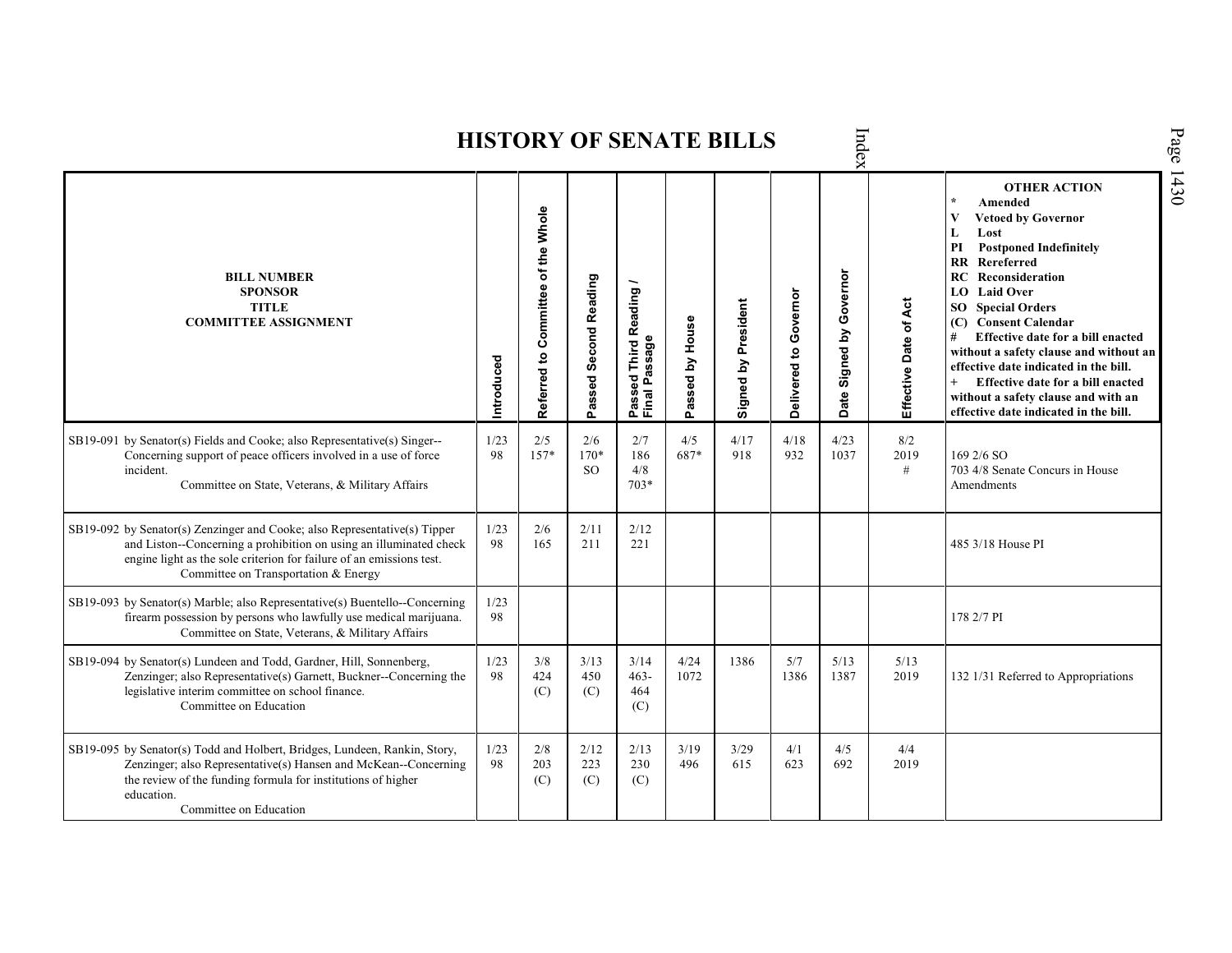|                                                                                                                                                                                                                                                                 |            |                                    |                            |                                                              |                 | HISTONI OF SENATE BILLS |                       | ldex                                    |                       |                                                                                                                                                                                                                                                                                                                                                                                                                                                                                                                                    |
|-----------------------------------------------------------------------------------------------------------------------------------------------------------------------------------------------------------------------------------------------------------------|------------|------------------------------------|----------------------------|--------------------------------------------------------------|-----------------|-------------------------|-----------------------|-----------------------------------------|-----------------------|------------------------------------------------------------------------------------------------------------------------------------------------------------------------------------------------------------------------------------------------------------------------------------------------------------------------------------------------------------------------------------------------------------------------------------------------------------------------------------------------------------------------------------|
| <b>BILL NUMBER</b><br><b>SPONSOR</b><br><b>TITLE</b><br><b>COMMITTEE ASSIGNMENT</b>                                                                                                                                                                             | Introduced | Referred to Committee of the Whole | Passed Second Reading      | <b>Third Reading</b><br>Passage<br>assed<br>Passe<br>Final I | Passed by House | Signed by President     | Delivered to Governor | Governor<br><u>لا</u><br>Signed<br>Date | Effective Date of Act | <b>OTHER ACTION</b><br>$\star$<br>Amended<br>$\mathbf{V}$<br><b>Vetoed by Governor</b><br>L<br>Lost<br>PI<br><b>Postponed Indefinitely</b><br><b>RR</b> Rereferred<br>RC<br>Reconsideration<br>LO Laid Over<br><b>SO</b> Special Orders<br><b>Consent Calendar</b><br>(C)<br>#<br>Effective date for a bill enacted<br>without a safety clause and without an<br>effective date indicated in the bill.<br>Effective date for a bill enacted<br>$+$<br>without a safety clause and with an<br>effective date indicated in the bill. |
| SB19-091 by Senator(s) Fields and Cooke; also Representative(s) Singer--<br>Concerning support of peace officers involved in a use of force<br>incident.<br>Committee on State, Veterans, & Military Affairs                                                    | 1/23<br>98 | 2/5<br>$157*$                      | 2/6<br>$170*$<br><b>SO</b> | 2/7<br>186<br>4/8<br>$703*$                                  | 4/5<br>687*     | 4/17<br>918             | 4/18<br>932           | 4/23<br>1037                            | 8/2<br>2019<br>$\#$   | $1692/6$ SO<br>703 4/8 Senate Concurs in House<br>Amendments                                                                                                                                                                                                                                                                                                                                                                                                                                                                       |
| SB19-092 by Senator(s) Zenzinger and Cooke; also Representative(s) Tipper<br>and Liston--Concerning a prohibition on using an illuminated check<br>engine light as the sole criterion for failure of an emissions test.<br>Committee on Transportation & Energy | 1/23<br>98 | 2/6<br>165                         | 2/11<br>211                | 2/12<br>221                                                  |                 |                         |                       |                                         |                       | 485 3/18 House PI                                                                                                                                                                                                                                                                                                                                                                                                                                                                                                                  |
| SB19-093 by Senator(s) Marble; also Representative(s) Buentello--Concerning<br>firearm possession by persons who lawfully use medical marijuana.<br>Committee on State, Veterans, & Military Affairs                                                            | 1/23<br>98 |                                    |                            |                                                              |                 |                         |                       |                                         |                       | 178 2/7 PI                                                                                                                                                                                                                                                                                                                                                                                                                                                                                                                         |
| SB19-094 by Senator(s) Lundeen and Todd, Gardner, Hill, Sonnenberg,<br>Zenzinger; also Representative(s) Garnett, Buckner--Concerning the<br>legislative interim committee on school finance.<br>Committee on Education                                         | 1/23<br>98 | 3/8<br>424<br>(C)                  | 3/13<br>450<br>(C)         | 3/14<br>$463 -$<br>464<br>(C)                                | 4/24<br>1072    | 1386                    | 5/7<br>1386           | 5/13<br>1387                            | 5/13<br>2019          | 132 1/31 Referred to Appropriations                                                                                                                                                                                                                                                                                                                                                                                                                                                                                                |
| SB19-095 by Senator(s) Todd and Holbert, Bridges, Lundeen, Rankin, Story,<br>Zenzinger; also Representative(s) Hansen and McKean--Concerning<br>the review of the funding formula for institutions of higher<br>education.<br>Committee on Education            | 1/23<br>98 | 2/8<br>203<br>(C)                  | 2/12<br>223<br>(C)         | 2/13<br>230<br>(C)                                           | 3/19<br>496     | 3/29<br>615             | 4/1<br>623            | 4/5<br>692                              | 4/4<br>2019           |                                                                                                                                                                                                                                                                                                                                                                                                                                                                                                                                    |

 $\mathbf{h}$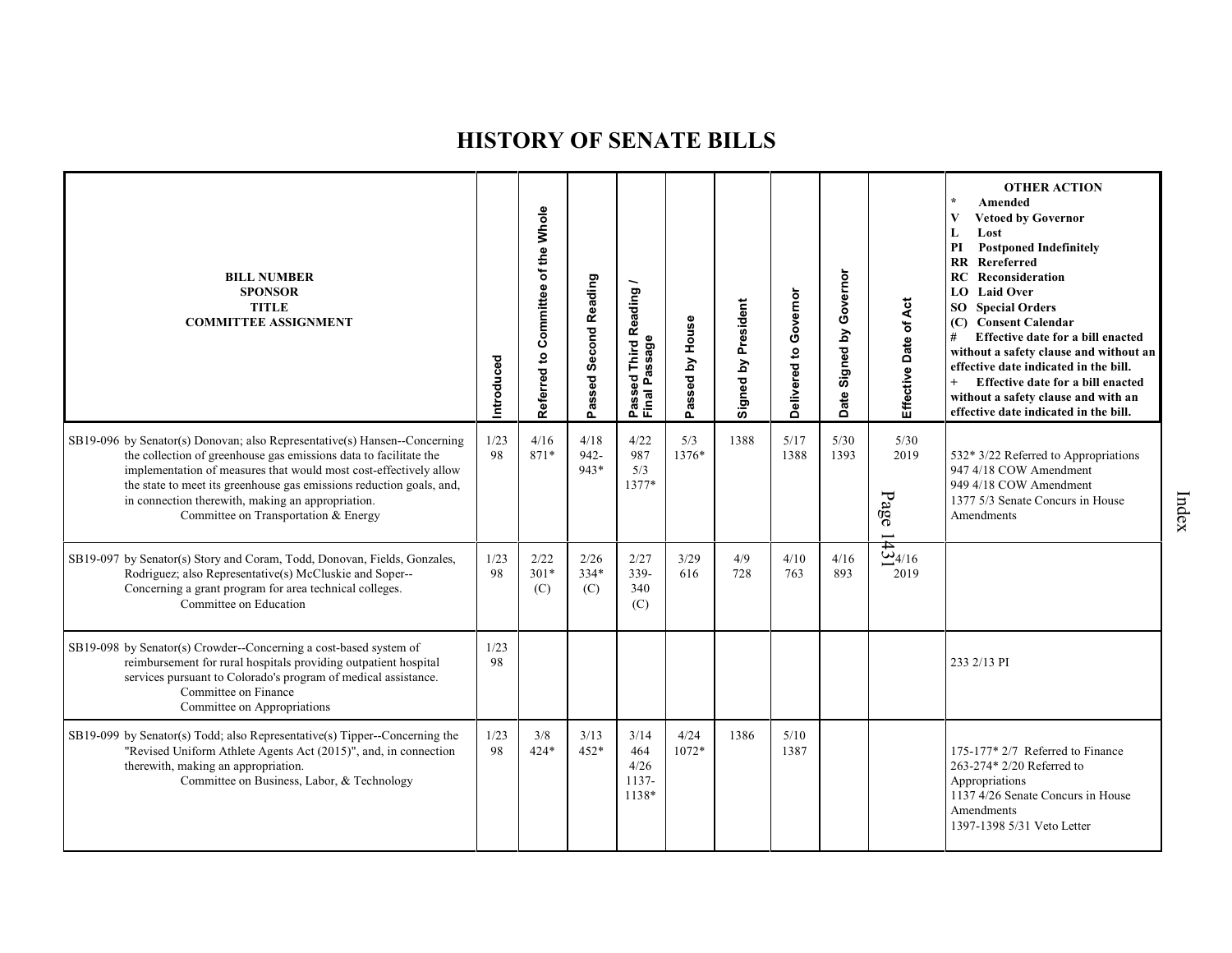| <b>BILL NUMBER</b><br><b>SPONSOR</b><br><b>TITLE</b><br><b>COMMITTEE ASSIGNMENT</b>                                                                                                                                                                                                                                                                                                      | Introduced | of the Whole<br>Committee<br>Referred to | Passed Second Reading | Reading<br>Passed Third R<br>Final Passage | assed by House<br>o. | Signed by President | Delivered to Governor | Governor<br>$\mathbf{\tilde{c}}$<br>Signed<br>Date | Effective Date of Act                              | <b>OTHER ACTION</b><br>Amended<br><b>Vetoed by Governor</b><br>L<br>Lost<br><b>Postponed Indefinitely</b><br>PI<br>RR Rereferred<br>Reconsideration<br>RC<br><b>LO</b> Laid Over<br><b>SO</b> Special Orders<br>(C) Consent Calendar<br>Effective date for a bill enacted<br>#<br>without a safety clause and without an<br>effective date indicated in the bill.<br>Effective date for a bill enacted<br>$^{+}$<br>without a safety clause and with an<br>effective date indicated in the bill. |
|------------------------------------------------------------------------------------------------------------------------------------------------------------------------------------------------------------------------------------------------------------------------------------------------------------------------------------------------------------------------------------------|------------|------------------------------------------|-----------------------|--------------------------------------------|----------------------|---------------------|-----------------------|----------------------------------------------------|----------------------------------------------------|--------------------------------------------------------------------------------------------------------------------------------------------------------------------------------------------------------------------------------------------------------------------------------------------------------------------------------------------------------------------------------------------------------------------------------------------------------------------------------------------------|
| SB19-096 by Senator(s) Donovan; also Representative(s) Hansen--Concerning<br>the collection of greenhouse gas emissions data to facilitate the<br>implementation of measures that would most cost-effectively allow<br>the state to meet its greenhouse gas emissions reduction goals, and,<br>in connection therewith, making an appropriation.<br>Committee on Transportation & Energy | 1/23<br>98 | 4/16<br>871*                             | 4/18<br>942-<br>943*  | 4/22<br>987<br>5/3<br>1377*                | 5/3<br>1376*         | 1388                | 5/17<br>1388          | 5/30<br>1393                                       | $5/30$<br>2019<br>Page<br>$\overline{\phantom{0}}$ | 532* 3/22 Referred to Appropriations<br>947 4/18 COW Amendment<br>949 4/18 COW Amendment<br>1377 5/3 Senate Concurs in House<br>Amendments                                                                                                                                                                                                                                                                                                                                                       |
| SB19-097 by Senator(s) Story and Coram, Todd, Donovan, Fields, Gonzales,<br>Rodriguez; also Representative(s) McCluskie and Soper--<br>Concerning a grant program for area technical colleges.<br>Committee on Education                                                                                                                                                                 | 1/23<br>98 | 2/22<br>$301*$<br>(C)                    | 2/26<br>$334*$<br>(C) | 2/27<br>339-<br>340<br>(C)                 | 3/29<br>616          | 4/9<br>728          | 4/10<br>763           | 4/16<br>893                                        | $\frac{1}{\frac{1}{20}}$<br>2019                   |                                                                                                                                                                                                                                                                                                                                                                                                                                                                                                  |
| SB19-098 by Senator(s) Crowder--Concerning a cost-based system of<br>reimbursement for rural hospitals providing outpatient hospital<br>services pursuant to Colorado's program of medical assistance.<br>Committee on Finance<br>Committee on Appropriations                                                                                                                            | 1/23<br>98 |                                          |                       |                                            |                      |                     |                       |                                                    |                                                    | 233 2/13 PI                                                                                                                                                                                                                                                                                                                                                                                                                                                                                      |
| SB19-099 by Senator(s) Todd; also Representative(s) Tipper--Concerning the<br>"Revised Uniform Athlete Agents Act (2015)", and, in connection<br>therewith, making an appropriation.<br>Committee on Business, Labor, & Technology                                                                                                                                                       | 1/23<br>98 | 3/8<br>$424*$                            | 3/13<br>$452*$        | 3/14<br>464<br>4/26<br>1137-<br>1138*      | 4/24<br>1072*        | 1386                | 5/10<br>1387          |                                                    |                                                    | 175-177* 2/7 Referred to Finance<br>263-274* 2/20 Referred to<br>Appropriations<br>1137 4/26 Senate Concurs in House<br>Amendments<br>1397-1398 5/31 Veto Letter                                                                                                                                                                                                                                                                                                                                 |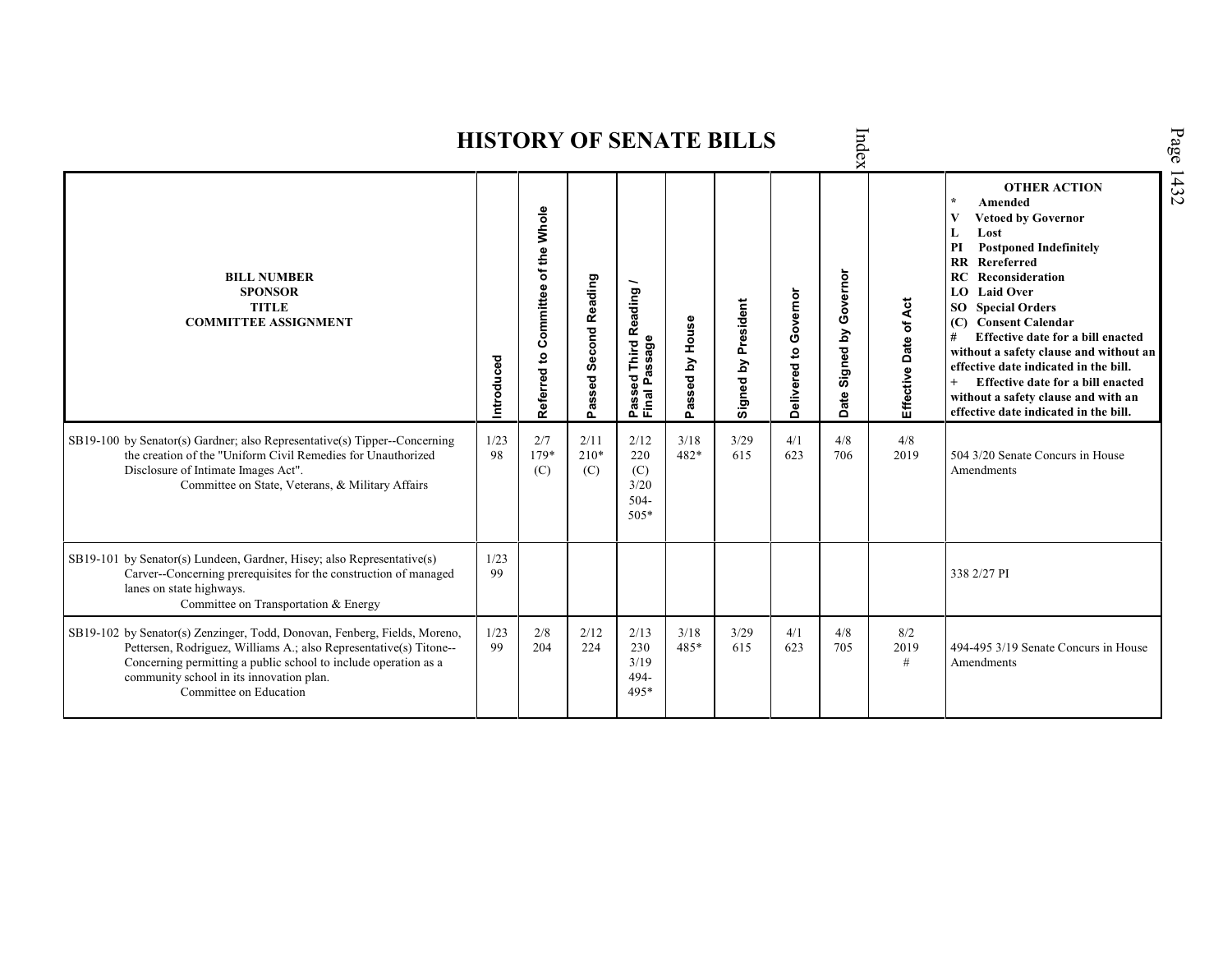|                                                                                                                                                                                                                                                                                          |            |                                       |                                 |                                                           |                 | <b>HISTORY OF SENATE BILLS</b> |                          | Index                                |                       |                                                                                                                                                                                                                                                                                                                                                                                                                                                                                                                   |
|------------------------------------------------------------------------------------------------------------------------------------------------------------------------------------------------------------------------------------------------------------------------------------------|------------|---------------------------------------|---------------------------------|-----------------------------------------------------------|-----------------|--------------------------------|--------------------------|--------------------------------------|-----------------------|-------------------------------------------------------------------------------------------------------------------------------------------------------------------------------------------------------------------------------------------------------------------------------------------------------------------------------------------------------------------------------------------------------------------------------------------------------------------------------------------------------------------|
| <b>BILL NUMBER</b><br><b>SPONSOR</b><br><b>TITLE</b><br><b>COMMITTEE ASSIGNMENT</b>                                                                                                                                                                                                      | Introduced | of the Whole<br>Referred to Committee | <b>Second Reading</b><br>Passed | Reading<br>sage<br>Third<br>ត<br>ъą<br>௳<br>Pass<br>Final | Passed by House | Signed by President            | Governor<br>Delivered to | Governor<br>Signed by<br><b>Date</b> | Effective Date of Act | <b>OTHER ACTION</b><br>$\star$<br>Amended<br>$\mathbf{V}$<br><b>Vetoed by Governor</b><br>L<br>Lost<br><b>Postponed Indefinitely</b><br>PI<br><b>RR</b> Rereferred<br>Reconsideration<br>RC<br>LO Laid Over<br><b>SO</b> Special Orders<br>(C) Consent Calendar<br>Effective date for a bill enacted<br>#<br>without a safety clause and without an<br>effective date indicated in the bill.<br>Effective date for a bill enacted<br>without a safety clause and with an<br>effective date indicated in the bill. |
| SB19-100 by Senator(s) Gardner; also Representative(s) Tipper--Concerning<br>the creation of the "Uniform Civil Remedies for Unauthorized<br>Disclosure of Intimate Images Act".<br>Committee on State, Veterans, & Military Affairs                                                     | 1/23<br>98 | 2/7<br>179*<br>(C)                    | 2/11<br>$210*$<br>(C)           | 2/12<br>220<br>(C)<br>3/20<br>$504 -$<br>$505*$           | 3/18<br>482*    | 3/29<br>615                    | 4/1<br>623               | 4/8<br>706                           | 4/8<br>2019           | 504 3/20 Senate Concurs in House<br>Amendments                                                                                                                                                                                                                                                                                                                                                                                                                                                                    |
| SB19-101 by Senator(s) Lundeen, Gardner, Hisey; also Representative(s)<br>Carver--Concerning prerequisites for the construction of managed<br>lanes on state highways.<br>Committee on Transportation & Energy                                                                           | 1/23<br>99 |                                       |                                 |                                                           |                 |                                |                          |                                      |                       | 338 2/27 PI                                                                                                                                                                                                                                                                                                                                                                                                                                                                                                       |
| SB19-102 by Senator(s) Zenzinger, Todd, Donovan, Fenberg, Fields, Moreno,<br>Pettersen, Rodriguez, Williams A.; also Representative(s) Titone--<br>Concerning permitting a public school to include operation as a<br>community school in its innovation plan.<br>Committee on Education | 1/23<br>99 | 2/8<br>204                            | 2/12<br>224                     | 2/13<br>230<br>3/19<br>494-<br>495*                       | 3/18<br>485*    | 3/29<br>615                    | 4/1<br>623               | 4/8<br>705                           | 8/2<br>2019<br>#      | 494-495 3/19 Senate Concurs in House<br>Amendments                                                                                                                                                                                                                                                                                                                                                                                                                                                                |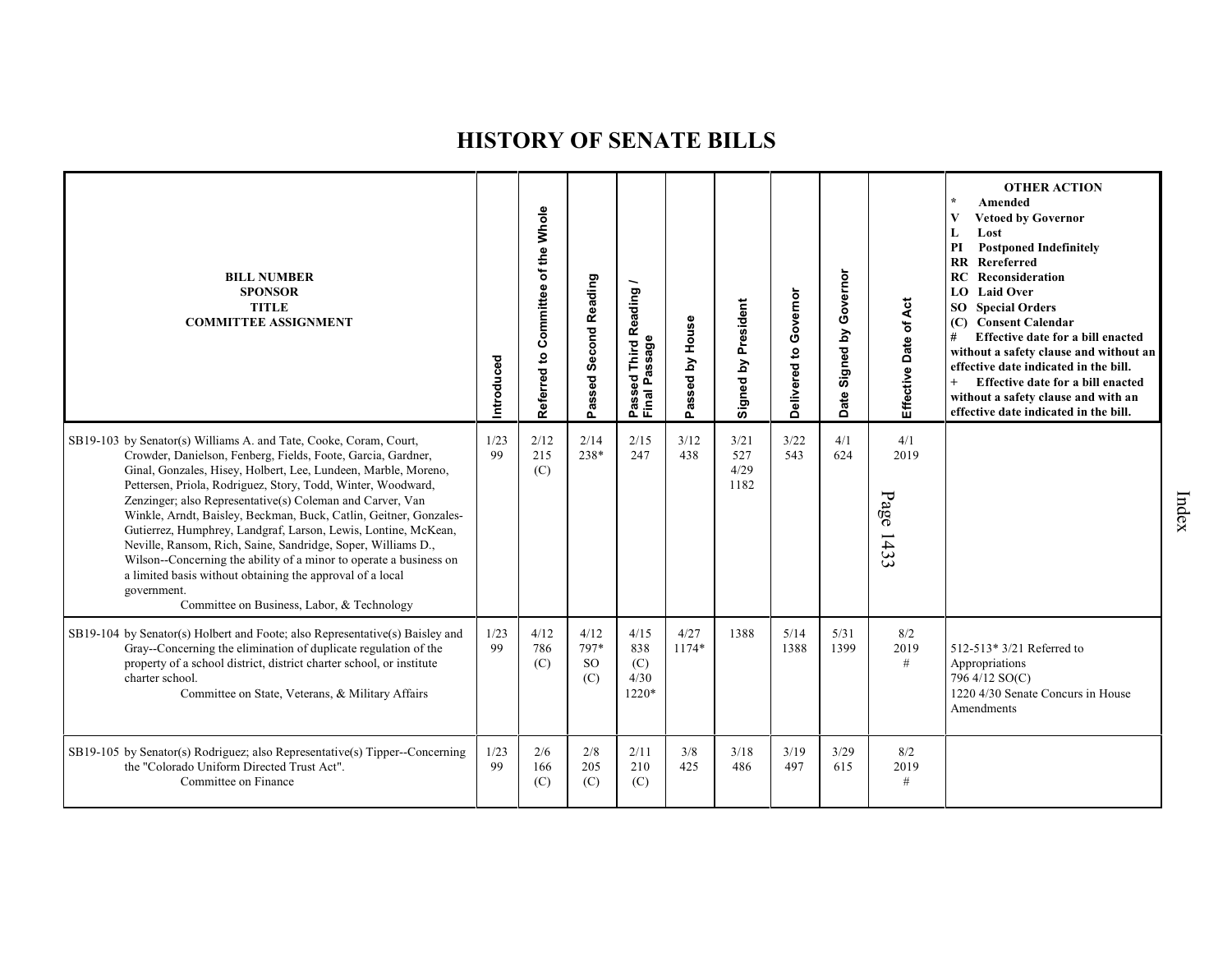| <b>BILL NUMBER</b><br><b>SPONSOR</b><br><b>TITLE</b><br><b>COMMITTEE ASSIGNMENT</b>                                                                                                                                                                                                                                                                                                                                                                                                                                                                                                                                                                                                                                                     | Introduced | Referred to Committee of the Whole | <b>Second Reading</b><br>Passed  | Reading<br>Passed Inn<br>Final Passage | House<br>ζq<br>Passed | Signed by President         | Delivered to Governor | Governor<br>Signed by<br>Date | Effective Date of Act    | <b>OTHER ACTION</b><br>$\star$<br>Amended<br>V<br><b>Vetoed by Governor</b><br>L<br>Lost<br><b>Postponed Indefinitely</b><br>PI<br><b>RR</b> Rereferred<br>Reconsideration<br>RC<br>LO Laid Over<br><b>SO</b> Special Orders<br>(C) Consent Calendar<br>#<br>Effective date for a bill enacted<br>without a safety clause and without an<br>effective date indicated in the bill.<br>$+$<br>Effective date for a bill enacted<br>without a safety clause and with an<br>effective date indicated in the bill. |
|-----------------------------------------------------------------------------------------------------------------------------------------------------------------------------------------------------------------------------------------------------------------------------------------------------------------------------------------------------------------------------------------------------------------------------------------------------------------------------------------------------------------------------------------------------------------------------------------------------------------------------------------------------------------------------------------------------------------------------------------|------------|------------------------------------|----------------------------------|----------------------------------------|-----------------------|-----------------------------|-----------------------|-------------------------------|--------------------------|---------------------------------------------------------------------------------------------------------------------------------------------------------------------------------------------------------------------------------------------------------------------------------------------------------------------------------------------------------------------------------------------------------------------------------------------------------------------------------------------------------------|
| SB19-103 by Senator(s) Williams A. and Tate, Cooke, Coram, Court,<br>Crowder, Danielson, Fenberg, Fields, Foote, Garcia, Gardner,<br>Ginal, Gonzales, Hisey, Holbert, Lee, Lundeen, Marble, Moreno,<br>Pettersen, Priola, Rodriguez, Story, Todd, Winter, Woodward,<br>Zenzinger; also Representative(s) Coleman and Carver, Van<br>Winkle, Arndt, Baisley, Beckman, Buck, Catlin, Geitner, Gonzales-<br>Gutierrez, Humphrey, Landgraf, Larson, Lewis, Lontine, McKean,<br>Neville, Ransom, Rich, Saine, Sandridge, Soper, Williams D.,<br>Wilson--Concerning the ability of a minor to operate a business on<br>a limited basis without obtaining the approval of a local<br>government.<br>Committee on Business, Labor, & Technology | 1/23<br>99 | 2/12<br>215<br>(C)                 | 2/14<br>238*                     | 2/15<br>247                            | 3/12<br>438           | 3/21<br>527<br>4/29<br>1182 | 3/22<br>543           | 4/1<br>624                    | 4/1<br>2019<br>Page 1433 |                                                                                                                                                                                                                                                                                                                                                                                                                                                                                                               |
| SB19-104 by Senator(s) Holbert and Foote; also Representative(s) Baisley and<br>Gray--Concerning the elimination of duplicate regulation of the<br>property of a school district, district charter school, or institute<br>charter school.<br>Committee on State, Veterans, & Military Affairs                                                                                                                                                                                                                                                                                                                                                                                                                                          | 1/23<br>99 | 4/12<br>786<br>(C)                 | 4/12<br>797*<br><b>SO</b><br>(C) | 4/15<br>838<br>(C)<br>4/30<br>1220*    | 4/27<br>1174*         | 1388                        | 5/14<br>1388          | 5/31<br>1399                  | 8/2<br>2019<br>$\#$      | 512-513* 3/21 Referred to<br>Appropriations<br>796 4/12 SO(C)<br>1220 4/30 Senate Concurs in House<br>Amendments                                                                                                                                                                                                                                                                                                                                                                                              |
| SB19-105 by Senator(s) Rodriguez; also Representative(s) Tipper--Concerning<br>the "Colorado Uniform Directed Trust Act".<br>Committee on Finance                                                                                                                                                                                                                                                                                                                                                                                                                                                                                                                                                                                       | 1/23<br>99 | 2/6<br>166<br>(C)                  | 2/8<br>205<br>(C)                | 2/11<br>210<br>(C)                     | 3/8<br>425            | 3/18<br>486                 | 3/19<br>497           | 3/29<br>615                   | 8/2<br>2019<br>#         |                                                                                                                                                                                                                                                                                                                                                                                                                                                                                                               |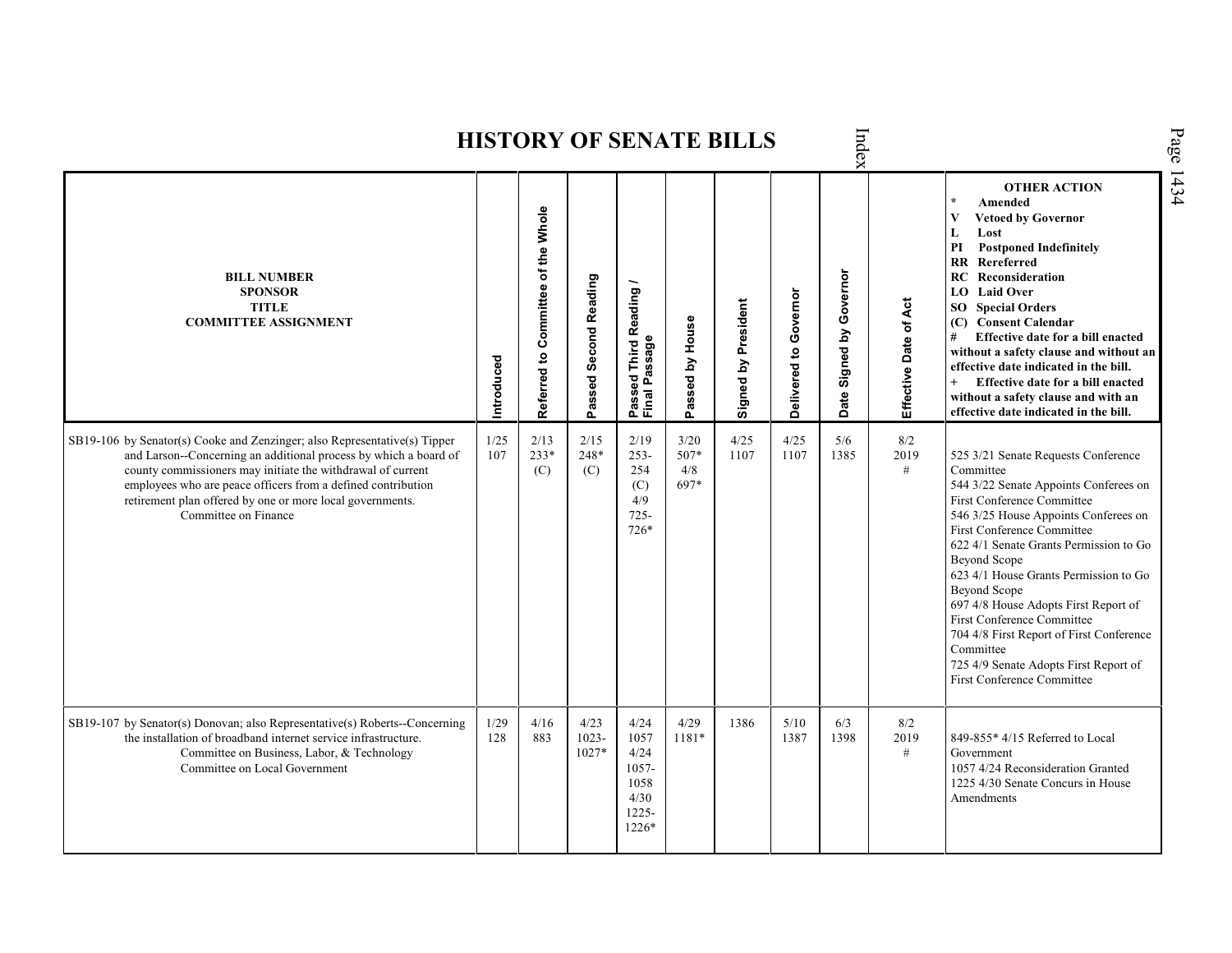Index **HISTORY OF SENATE BILLS OTHER ACTION \* Amended Referred to Com mittee of the Whole Vetoed by Governor L Lost PI Postponed Indefinitely RR Rereferred Date Signed by Governor BILL NUMBER RC Reconsideration Passed Second Reading Passed Third Reading /** Passed Third Reading<br>Final Passage **LO Laid Over SPONSOR** Delivered to Governor **Delivered to Governor** Effective Date of Act Signed by President **Effective Date of Act Signed by President SO Special Orders TITLE COMMITTEE ASSIGNMENT (C) Consent Calendar** Passed by House **Passed by House # Effective date for a bill enacted Final Passage without a safety clause and without an Introduced effective date indicated in the bill. + Effective date for a bill enacted without a safety clause and with an effective date indicated in the bill.**  1/25 2/13 2/15 2/19 3/20 4/25 4/25 8/2 SB19-106 by Senator(s) Cooke and Zenzinger; also Representative(s) Tipper 5/6 and Larson--Concerning an additional process by which a board of 107 233\* 248\* 253- 507\* 1107 1107 1385 2019 525 3/21 Senate Requests Conference county commissioners may initiate the withdrawal of current (C) 254 4/8 # Committee (C) employees who are peace officers from a defined contribution 697\* 544 3/22 Senate Appoints Conferees on (C) retirement plan offered by one or more local governments.  $4/9$ First Conference Committee Committee on Finance 725- 546 3/25 House Appoints Conferees on 726\* First Conference Committee 622 4/1 Senate Grants Permission to Go Beyond Scope 623 4/1 House Grants Permission to Go Beyond Scope 697 4/8 House Adopts First Report of First Conference Committee 704 4/8 First Report of First Conference Committee 725 4/9 Senate Adopts First Report of First Conference Committee SB19-107 by Senator(s) Donovan; also Representative(s) Roberts--Concerning 1/29 4/16 4/23 4/24 4/29 1386 5/10 6/3 8/2 128 883 1023- 1181\* 2019 849-855\* 4/15 Referred to Local the installation of broadband internet service infrastructure. 1057 1387 1398 Committee on Business, Labor, & Technology 1027\* 4/24 # Government 1057- 1057 4/24 Reconsideration Granted Committee on Local Government 1058 1225 4/30 Senate Concurs in House 4/30 Amendments1225- 1226\*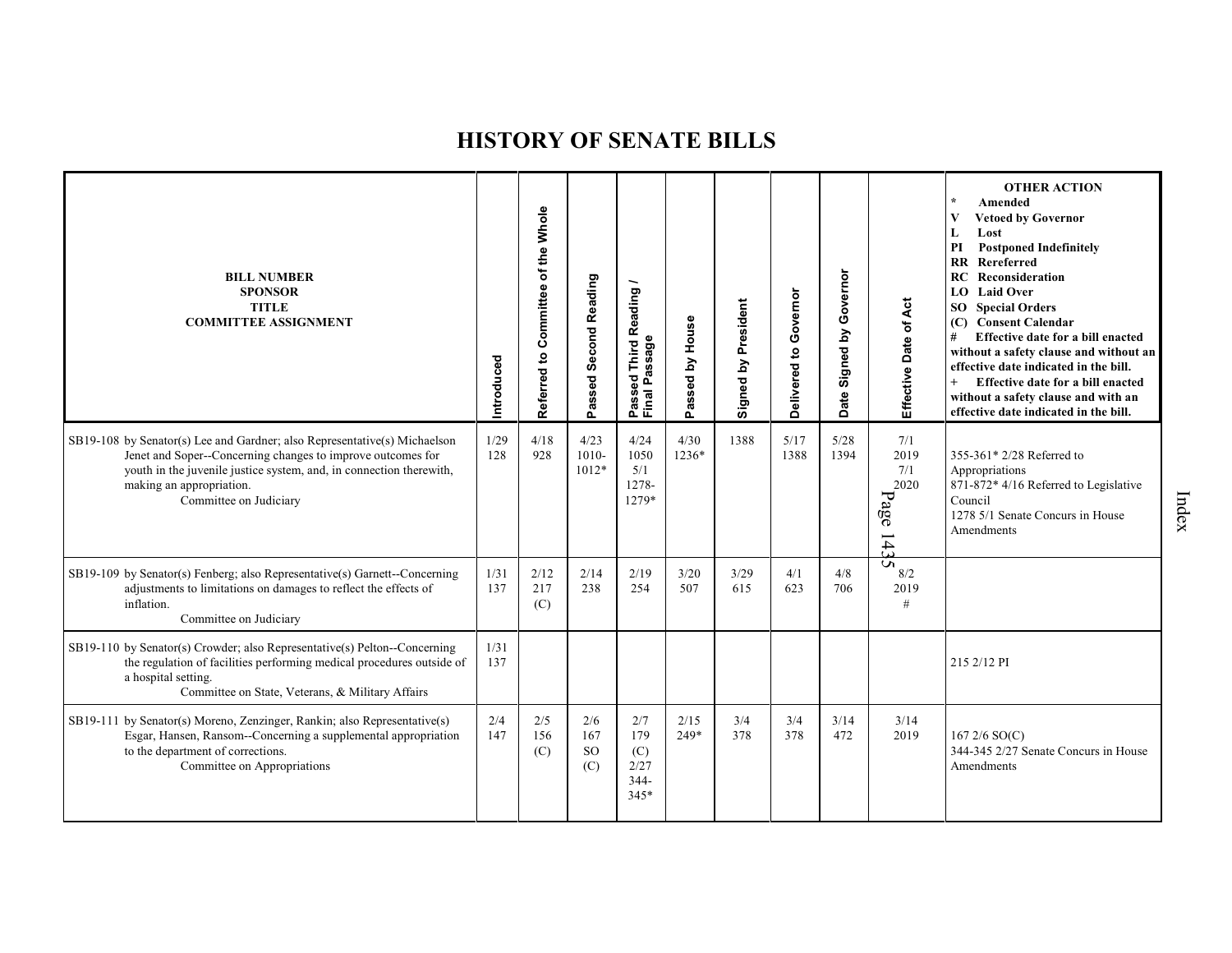| <b>BILL NUMBER</b><br><b>SPONSOR</b><br><b>TITLE</b><br><b>COMMITTEE ASSIGNMENT</b>                                                                                                                                                                                   | Introduced  | of the Whole<br>Referred to Committee | Passed Second Reading              | <b>Third Reading</b><br>Passed Third R<br>Final Passage | House<br>$\mathbf{\underline{s}}$<br>ssed<br>œ<br>ő. | Signed by President | Delivered to Governor | Governor<br>$\mathbf{\Sigma}$<br>Date Signed | Effective Date of Act                                                        | <b>OTHER ACTION</b><br>Amended<br><b>Vetoed by Governor</b><br>Lost<br><b>Postponed Indefinitely</b><br>PI<br>RR Rereferred<br><b>RC</b> Reconsideration<br><b>LO</b> Laid Over<br><b>SO</b> Special Orders<br>(C) Consent Calendar<br>Effective date for a bill enacted<br>#<br>without a safety clause and without an<br>effective date indicated in the bill.<br>Effective date for a bill enacted<br>without a safety clause and with an<br>effective date indicated in the bill. |
|-----------------------------------------------------------------------------------------------------------------------------------------------------------------------------------------------------------------------------------------------------------------------|-------------|---------------------------------------|------------------------------------|---------------------------------------------------------|------------------------------------------------------|---------------------|-----------------------|----------------------------------------------|------------------------------------------------------------------------------|---------------------------------------------------------------------------------------------------------------------------------------------------------------------------------------------------------------------------------------------------------------------------------------------------------------------------------------------------------------------------------------------------------------------------------------------------------------------------------------|
| SB19-108 by Senator(s) Lee and Gardner; also Representative(s) Michaelson<br>Jenet and Soper--Concerning changes to improve outcomes for<br>youth in the juvenile justice system, and, in connection therewith,<br>making an appropriation.<br>Committee on Judiciary | 1/29<br>128 | 4/18<br>928                           | 4/23<br>$1010 -$<br>1012*          | 4/24<br>1050<br>5/1<br>1278-<br>1279*                   | 4/30<br>1236*                                        | 1388                | 5/17<br>1388          | 5/28<br>1394                                 | 7/1<br>2019<br>7/1<br>2020<br>Page<br>$\overline{\phantom{0}}$<br>$\ddot{4}$ | 355-361* 2/28 Referred to<br>Appropriations<br>871-872* 4/16 Referred to Legislative<br>Council<br>1278 5/1 Senate Concurs in House<br>Amendments                                                                                                                                                                                                                                                                                                                                     |
| SB19-109 by Senator(s) Fenberg; also Representative(s) Garnett--Concerning<br>adjustments to limitations on damages to reflect the effects of<br>inflation.<br>Committee on Judiciary                                                                                 | 1/31<br>137 | 2/12<br>217<br>(C)                    | 2/14<br>238                        | 2/19<br>254                                             | 3/20<br>507                                          | 3/29<br>615         | 4/1<br>623            | 4/8<br>706                                   | S<br>8/2<br>2019<br>$\#$                                                     |                                                                                                                                                                                                                                                                                                                                                                                                                                                                                       |
| SB19-110 by Senator(s) Crowder; also Representative(s) Pelton--Concerning<br>the regulation of facilities performing medical procedures outside of<br>a hospital setting.<br>Committee on State, Veterans, & Military Affairs                                         | 1/31<br>137 |                                       |                                    |                                                         |                                                      |                     |                       |                                              |                                                                              | 215 2/12 PI                                                                                                                                                                                                                                                                                                                                                                                                                                                                           |
| SB19-111 by Senator(s) Moreno, Zenzinger, Rankin; also Representative(s)<br>Esgar, Hansen, Ransom--Concerning a supplemental appropriation<br>to the department of corrections.<br>Committee on Appropriations                                                        | 2/4<br>147  | 2/5<br>156<br>(C)                     | 2/6<br>167<br><sub>SO</sub><br>(C) | 2/7<br>179<br>(C)<br>2/27<br>$344 -$<br>$345*$          | 2/15<br>249*                                         | 3/4<br>378          | 3/4<br>378            | 3/14<br>472                                  | 3/14<br>2019                                                                 | 167 2/6 SO(C)<br>344-345 2/27 Senate Concurs in House<br>Amendments                                                                                                                                                                                                                                                                                                                                                                                                                   |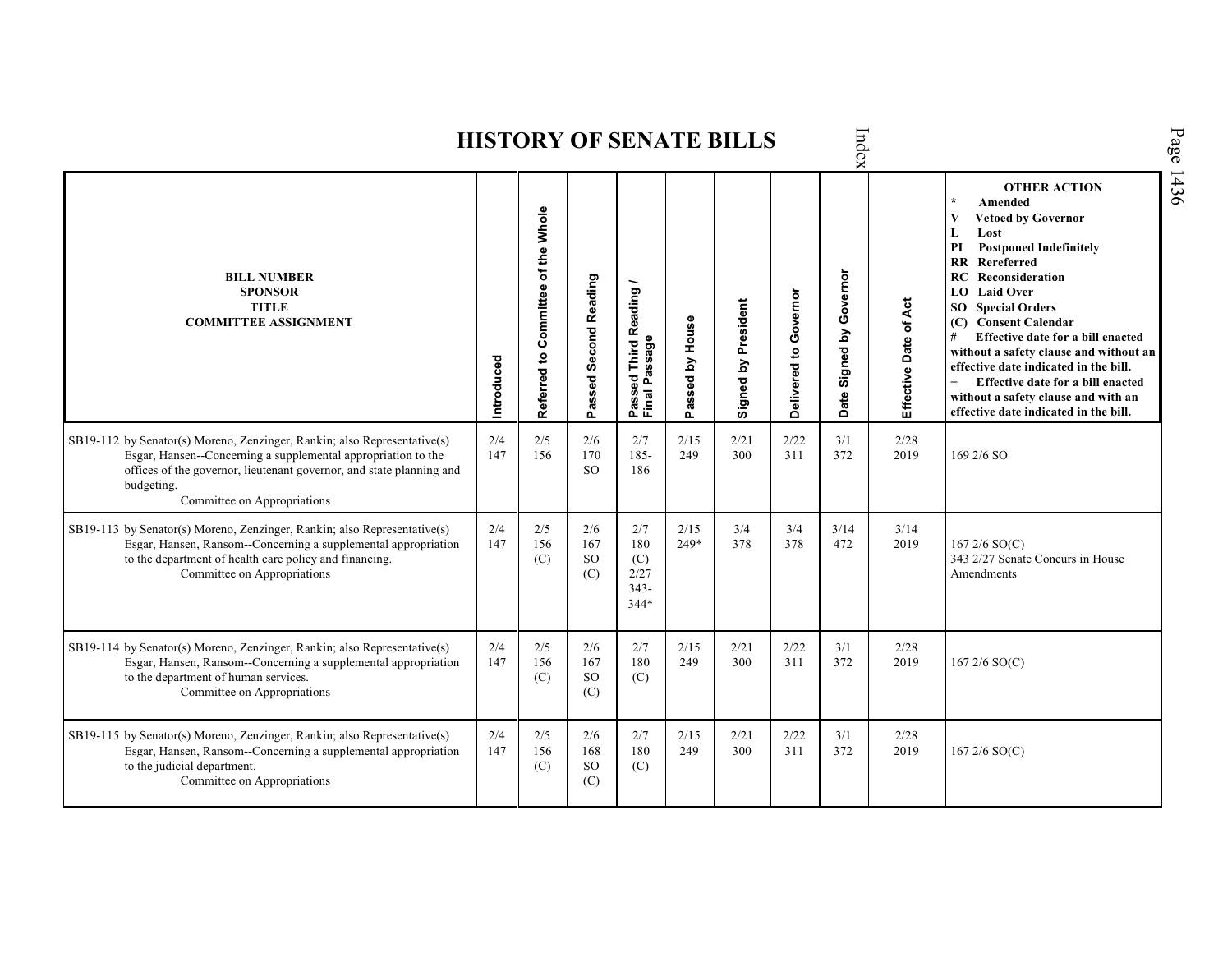|                                                                                                                                                                                                                                                                |            |                                    |                                |                                                                    |                 | <b>HISTORY OF SENATE BILLS</b> |                       | Index                         |                       |                                                                                                                                                                                                                                                                                                                                                                                                                                                                                                        |
|----------------------------------------------------------------------------------------------------------------------------------------------------------------------------------------------------------------------------------------------------------------|------------|------------------------------------|--------------------------------|--------------------------------------------------------------------|-----------------|--------------------------------|-----------------------|-------------------------------|-----------------------|--------------------------------------------------------------------------------------------------------------------------------------------------------------------------------------------------------------------------------------------------------------------------------------------------------------------------------------------------------------------------------------------------------------------------------------------------------------------------------------------------------|
| <b>BILL NUMBER</b><br><b>SPONSOR</b><br><b>TITLE</b><br><b>COMMITTEE ASSIGNMENT</b>                                                                                                                                                                            | Introduced | Referred to Committee of the Whole | Passed Second Reading          | Reading<br>ssage<br><b>Third</b><br>م<br>م<br>99<br>Passe<br>Final | Passed by House | Signed by President            | Delivered to Governor | Governor<br>Signed by<br>Date | Effective Date of Act | <b>OTHER ACTION</b><br>$\star$<br>Amended<br>V<br><b>Vetoed by Governor</b><br>L<br>Lost<br><b>Postponed Indefinitely</b><br>PI<br>RR Rereferred<br>RC<br>Reconsideration<br><b>LO</b> Laid Over<br><b>SO</b> Special Orders<br>(C) Consent Calendar<br>Effective date for a bill enacted<br>#<br>without a safety clause and without an<br>effective date indicated in the bill.<br>Effective date for a bill enacted<br>without a safety clause and with an<br>effective date indicated in the bill. |
| SB19-112 by Senator(s) Moreno, Zenzinger, Rankin; also Representative(s)<br>Esgar, Hansen--Concerning a supplemental appropriation to the<br>offices of the governor, lieutenant governor, and state planning and<br>budgeting.<br>Committee on Appropriations | 2/4<br>147 | 2/5<br>156                         | 2/6<br>170<br>SO.              | 2/7<br>$185 -$<br>186                                              | 2/15<br>249     | 2/21<br>300                    | 2/22<br>311           | 3/1<br>372                    | 2/28<br>2019          | 169 2/6 SO                                                                                                                                                                                                                                                                                                                                                                                                                                                                                             |
| SB19-113 by Senator(s) Moreno, Zenzinger, Rankin; also Representative(s)<br>Esgar, Hansen, Ransom--Concerning a supplemental appropriation<br>to the department of health care policy and financing.<br>Committee on Appropriations                            | 2/4<br>147 | 2/5<br>156<br>(C)                  | 2/6<br>167<br><b>SO</b><br>(C) | 2/7<br>180<br>(C)<br>2/27<br>$343 -$<br>$344*$                     | 2/15<br>249*    | 3/4<br>378                     | 3/4<br>378            | 3/14<br>472                   | 3/14<br>2019          | $1672/6$ SO(C)<br>343 2/27 Senate Concurs in House<br>Amendments                                                                                                                                                                                                                                                                                                                                                                                                                                       |
| SB19-114 by Senator(s) Moreno, Zenzinger, Rankin; also Representative(s)<br>Esgar, Hansen, Ransom--Concerning a supplemental appropriation<br>to the department of human services.<br>Committee on Appropriations                                              | 2/4<br>147 | 2/5<br>156<br>(C)                  | 2/6<br>167<br><b>SO</b><br>(C) | 2/7<br>180<br>(C)                                                  | 2/15<br>249     | 2/21<br>300                    | 2/22<br>311           | 3/1<br>372                    | 2/28<br>2019          | $167\,2/6\,SO(C)$                                                                                                                                                                                                                                                                                                                                                                                                                                                                                      |
| SB19-115 by Senator(s) Moreno, Zenzinger, Rankin; also Representative(s)<br>Esgar, Hansen, Ransom--Concerning a supplemental appropriation<br>to the judicial department.<br>Committee on Appropriations                                                       | 2/4<br>147 | 2/5<br>156<br>(C)                  | 2/6<br>168<br>SO<br>(C)        | 2/7<br>180<br>(C)                                                  | 2/15<br>249     | 2/21<br>300                    | 2/22<br>311           | 3/1<br>372                    | 2/28<br>2019          | $167\,2/6\,SO(C)$                                                                                                                                                                                                                                                                                                                                                                                                                                                                                      |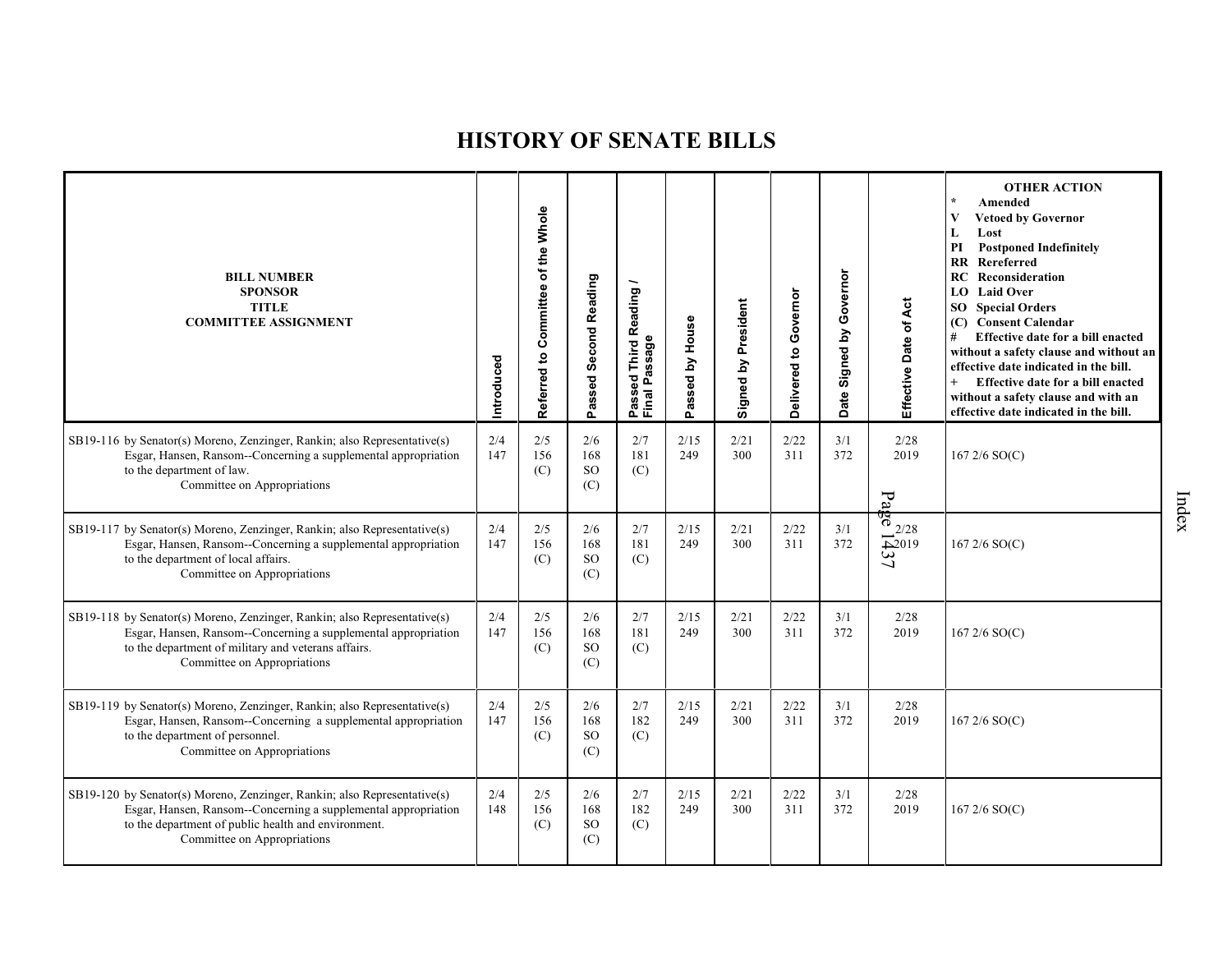| <b>BILL NUMBER</b><br><b>SPONSOR</b><br><b>TITLE</b><br><b>COMMITTEE ASSIGNMENT</b>                                                                                                                                              | ntroduced  | Referred to Committee of the Whole | Passed Second Reading              | Passed Third Reading<br>Final Passage | House<br>Σ<br>Passed | Signed by President | Delivered to Governor | Governor<br>$\mathbf{\Sigma}$<br>Signed<br>Date | Effective Date of Act                                                                        | <b>OTHER ACTION</b><br>Amended<br><b>Vetoed by Governor</b><br>L<br>Lost<br>PI<br><b>Postponed Indefinitely</b><br>RR Rereferred<br>RC<br>Reconsideration<br><b>LO</b> Laid Over<br><b>SO</b> Special Orders<br>(C) Consent Calendar<br>#<br>Effective date for a bill enacted<br>without a safety clause and without an<br>effective date indicated in the bill.<br>Effective date for a bill enacted<br>without a safety clause and with an<br>effective date indicated in the bill. |
|----------------------------------------------------------------------------------------------------------------------------------------------------------------------------------------------------------------------------------|------------|------------------------------------|------------------------------------|---------------------------------------|----------------------|---------------------|-----------------------|-------------------------------------------------|----------------------------------------------------------------------------------------------|----------------------------------------------------------------------------------------------------------------------------------------------------------------------------------------------------------------------------------------------------------------------------------------------------------------------------------------------------------------------------------------------------------------------------------------------------------------------------------------|
| SB19-116 by Senator(s) Moreno, Zenzinger, Rankin; also Representative(s)<br>Esgar, Hansen, Ransom--Concerning a supplemental appropriation<br>to the department of law.<br>Committee on Appropriations                           | 2/4<br>147 | 2/5<br>156<br>(C)                  | 2/6<br>168<br><b>SO</b><br>(C)     | 2/7<br>181<br>(C)                     | 2/15<br>249          | 2/21<br>300         | 2/22<br>311           | 3/1<br>372                                      | 2/28<br>2019<br>$P_{a}$                                                                      | $1672/6$ SO(C)                                                                                                                                                                                                                                                                                                                                                                                                                                                                         |
| SB19-117 by Senator(s) Moreno, Zenzinger, Rankin; also Representative(s)<br>Esgar, Hansen, Ransom--Concerning a supplemental appropriation<br>to the department of local affairs.<br>Committee on Appropriations                 | 2/4<br>147 | 2/5<br>156<br>(C)                  | 2/6<br>168<br>SO<br>(C)            | 2/7<br>181<br>(C)                     | 2/15<br>249          | 2/21<br>300         | 2/22<br>311           | 3/1<br>372                                      | $\frac{6}{9}$ $\frac{2}{28}$<br>$\overline{\mathfrak{S}}^{2019}$<br>$\overline{\phantom{0}}$ | $1672/6$ SO(C)                                                                                                                                                                                                                                                                                                                                                                                                                                                                         |
| SB19-118 by Senator(s) Moreno, Zenzinger, Rankin; also Representative(s)<br>Esgar, Hansen, Ransom--Concerning a supplemental appropriation<br>to the department of military and veterans affairs.<br>Committee on Appropriations | 2/4<br>147 | 2/5<br>156<br>(C)                  | 2/6<br>168<br><sub>SO</sub><br>(C) | 2/7<br>181<br>(C)                     | 2/15<br>249          | 2/21<br>300         | 2/22<br>311           | 3/1<br>372                                      | 2/28<br>2019                                                                                 | 167 2/6 SO(C)                                                                                                                                                                                                                                                                                                                                                                                                                                                                          |
| SB19-119 by Senator(s) Moreno, Zenzinger, Rankin; also Representative(s)<br>Esgar, Hansen, Ransom--Concerning a supplemental appropriation<br>to the department of personnel.<br>Committee on Appropriations                     | 2/4<br>147 | 2/5<br>156<br>(C)                  | 2/6<br>168<br><b>SO</b><br>(C)     | 2/7<br>182<br>(C)                     | 2/15<br>249          | 2/21<br>300         | 2/22<br>311           | 3/1<br>372                                      | 2/28<br>2019                                                                                 | $1672/6$ SO(C)                                                                                                                                                                                                                                                                                                                                                                                                                                                                         |
| SB19-120 by Senator(s) Moreno, Zenzinger, Rankin; also Representative(s)<br>Esgar, Hansen, Ransom--Concerning a supplemental appropriation<br>to the department of public health and environment.<br>Committee on Appropriations | 2/4<br>148 | 2/5<br>156<br>(C)                  | 2/6<br>168<br><b>SO</b><br>(C)     | 2/7<br>182<br>(C)                     | 2/15<br>249          | 2/21<br>300         | 2/22<br>311           | 3/1<br>372                                      | 2/28<br>2019                                                                                 | $1672/6$ SO(C)                                                                                                                                                                                                                                                                                                                                                                                                                                                                         |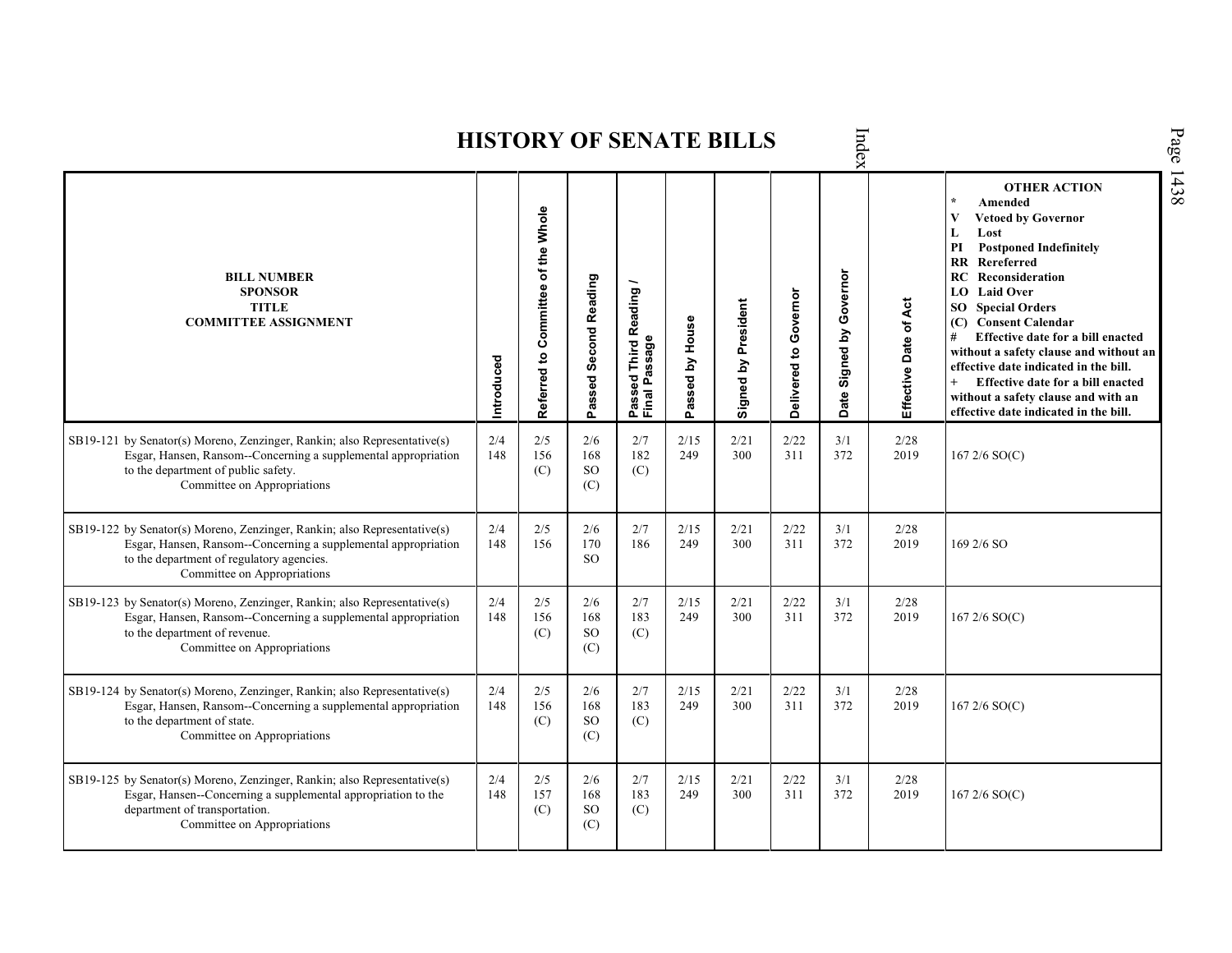|                                                                                                                                                                                                                        |            |                                    |                                |                                                          |                 | HISTONI OF SERATE DILLS |                       | Idex                    |                       |                                                                                                                                                                                                                                                                                                                                                                                                                                                                                                                             |
|------------------------------------------------------------------------------------------------------------------------------------------------------------------------------------------------------------------------|------------|------------------------------------|--------------------------------|----------------------------------------------------------|-----------------|-------------------------|-----------------------|-------------------------|-----------------------|-----------------------------------------------------------------------------------------------------------------------------------------------------------------------------------------------------------------------------------------------------------------------------------------------------------------------------------------------------------------------------------------------------------------------------------------------------------------------------------------------------------------------------|
| <b>BILL NUMBER</b><br><b>SPONSOR</b><br><b>TITLE</b><br><b>COMMITTEE ASSIGNMENT</b>                                                                                                                                    | Introduced | Referred to Committee of the Whole | Passed Second Reading          | Reading<br>assage<br>Third<br>sed<br>௳<br>Passe<br>Final | Passed by House | Signed by President     | Delivered to Governor | Date Signed by Governor | Effective Date of Act | <b>OTHER ACTION</b><br>$\star$<br>Amended<br>$\mathbf{V}$<br><b>Vetoed by Governor</b><br>L<br>Lost<br>PI<br><b>Postponed Indefinitely</b><br>RR<br>Rereferred<br>RC<br>Reconsideration<br><b>LO</b> Laid Over<br><b>SO</b> Special Orders<br>(C) Consent Calendar<br>Effective date for a bill enacted<br>#<br>without a safety clause and without an<br>effective date indicated in the bill.<br>$+$<br>Effective date for a bill enacted<br>without a safety clause and with an<br>effective date indicated in the bill. |
| SB19-121 by Senator(s) Moreno, Zenzinger, Rankin; also Representative(s)<br>Esgar, Hansen, Ransom--Concerning a supplemental appropriation<br>to the department of public safety.<br>Committee on Appropriations       | 2/4<br>148 | 2/5<br>156<br>(C)                  | 2/6<br>168<br><b>SO</b><br>(C) | 2/7<br>182<br>(C)                                        | 2/15<br>249     | 2/21<br>300             | 2/22<br>311           | 3/1<br>372              | 2/28<br>2019          | $167\,2/6\,SO(C)$                                                                                                                                                                                                                                                                                                                                                                                                                                                                                                           |
| SB19-122 by Senator(s) Moreno, Zenzinger, Rankin; also Representative(s)<br>Esgar, Hansen, Ransom--Concerning a supplemental appropriation<br>to the department of regulatory agencies.<br>Committee on Appropriations | 2/4<br>148 | 2/5<br>156                         | 2/6<br>170<br>SO.              | 2/7<br>186                                               | 2/15<br>249     | 2/21<br>300             | 2/22<br>311           | 3/1<br>372              | 2/28<br>2019          | 169 2/6 SO                                                                                                                                                                                                                                                                                                                                                                                                                                                                                                                  |
| SB19-123 by Senator(s) Moreno, Zenzinger, Rankin; also Representative(s)<br>Esgar, Hansen, Ransom--Concerning a supplemental appropriation<br>to the department of revenue.<br>Committee on Appropriations             | 2/4<br>148 | 2/5<br>156<br>(C)                  | 2/6<br>168<br><b>SO</b><br>(C) | 2/7<br>183<br>(C)                                        | 2/15<br>249     | 2/21<br>300             | 2/22<br>311           | 3/1<br>372              | 2/28<br>2019          | $167\,2/6\,SO(C)$                                                                                                                                                                                                                                                                                                                                                                                                                                                                                                           |
| SB19-124 by Senator(s) Moreno, Zenzinger, Rankin; also Representative(s)<br>Esgar, Hansen, Ransom--Concerning a supplemental appropriation<br>to the department of state.<br>Committee on Appropriations               | 2/4<br>148 | 2/5<br>156<br>(C)                  | 2/6<br>168<br><b>SO</b><br>(C) | 2/7<br>183<br>(C)                                        | 2/15<br>249     | 2/21<br>300             | 2/22<br>311           | 3/1<br>372              | 2/28<br>2019          | $167\,2/6\,SO(C)$                                                                                                                                                                                                                                                                                                                                                                                                                                                                                                           |
| SB19-125 by Senator(s) Moreno, Zenzinger, Rankin; also Representative(s)<br>Esgar, Hansen--Concerning a supplemental appropriation to the<br>department of transportation.<br>Committee on Appropriations              | 2/4<br>148 | 2/5<br>157<br>(C)                  | 2/6<br>168<br>SO<br>(C)        | 2/7<br>183<br>(C)                                        | 2/15<br>249     | 2/21<br>300             | 2/22<br>311           | 3/1<br>372              | 2/28<br>2019          | 167 $2/6$ SO(C)                                                                                                                                                                                                                                                                                                                                                                                                                                                                                                             |

 $\mathbf{h}$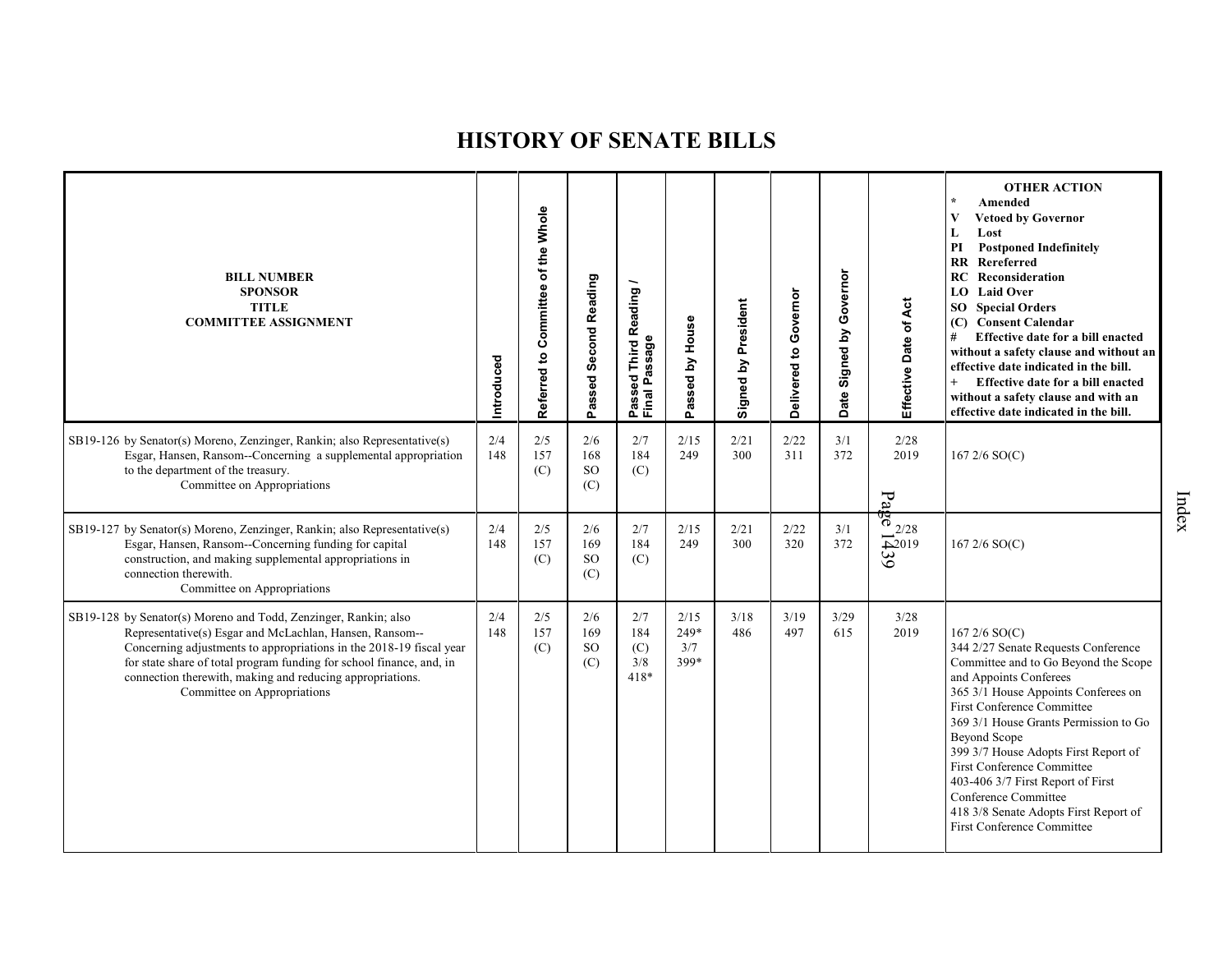| <b>BILL NUMBER</b><br><b>SPONSOR</b><br><b>TITLE</b><br><b>COMMITTEE ASSIGNMENT</b>                                                                                                                                                                                                                                                                                   | Introduced | Referred to Committee of the Whole | Passed Second Reading          | Reading<br>Passeu<br>Final Passage | Passed by House             | Signed by President | Governor<br>Delivered to | Governor<br>Date Signed by | Effective Date of Act                                                                                                                                                                                                                                                                                                        | <b>OTHER ACTION</b><br>Amended<br>V<br><b>Vetoed by Governor</b><br>Lost<br>L<br><b>Postponed Indefinitely</b><br>PI<br>Rereferred<br><b>RR</b><br>RC<br>Reconsideration<br>LO Laid Over<br><b>SO</b> Special Orders<br>(C) Consent Calendar<br>#<br>Effective date for a bill enacted<br>without a safety clause and without an<br>effective date indicated in the bill.<br>$^{+}$<br>Effective date for a bill enacted<br>without a safety clause and with an<br>effective date indicated in the bill. |
|-----------------------------------------------------------------------------------------------------------------------------------------------------------------------------------------------------------------------------------------------------------------------------------------------------------------------------------------------------------------------|------------|------------------------------------|--------------------------------|------------------------------------|-----------------------------|---------------------|--------------------------|----------------------------|------------------------------------------------------------------------------------------------------------------------------------------------------------------------------------------------------------------------------------------------------------------------------------------------------------------------------|----------------------------------------------------------------------------------------------------------------------------------------------------------------------------------------------------------------------------------------------------------------------------------------------------------------------------------------------------------------------------------------------------------------------------------------------------------------------------------------------------------|
| SB19-126 by Senator(s) Moreno, Zenzinger, Rankin; also Representative(s)<br>Esgar, Hansen, Ransom--Concerning a supplemental appropriation<br>to the department of the treasury.<br>Committee on Appropriations                                                                                                                                                       | 2/4<br>148 | 2/5<br>157<br>(C)                  | 2/6<br>168<br><b>SO</b><br>(C) | 2/7<br>184<br>(C)                  | 2/15<br>249                 | 2/21<br>300         | 2/22<br>311              | 3/1<br>372                 | 2/28<br>2019<br>$F_a$                                                                                                                                                                                                                                                                                                        | $167\,2/6\,SO(C)$                                                                                                                                                                                                                                                                                                                                                                                                                                                                                        |
| SB19-127 by Senator(s) Moreno, Zenzinger, Rankin; also Representative(s)<br>Esgar, Hansen, Ransom--Concerning funding for capital<br>construction, and making supplemental appropriations in<br>connection therewith.<br>Committee on Appropriations                                                                                                                  | 2/4<br>148 | 2/5<br>157<br>(C)                  | 2/6<br>169<br><b>SO</b><br>(C) | 2/7<br>184<br>(C)                  | 2/15<br>249                 | 2/21<br>300         | 2/22<br>320              | 3/1<br>372                 | $\frac{1}{2}$ $\frac{1}{2}$ $\frac{1}{2}$ $\frac{1}{2}$ $\frac{1}{2}$ $\frac{1}{2}$ $\frac{1}{2}$ $\frac{1}{2}$ $\frac{1}{2}$ $\frac{1}{2}$ $\frac{1}{2}$ $\frac{1}{2}$ $\frac{1}{2}$ $\frac{1}{2}$ $\frac{1}{2}$ $\frac{1}{2}$ $\frac{1}{2}$ $\frac{1}{2}$ $\frac{1}{2}$ $\frac{1}{2}$ $\frac{1}{2}$ $\frac{1}{2}$<br>62019 | $1672/6$ SO(C)                                                                                                                                                                                                                                                                                                                                                                                                                                                                                           |
| SB19-128 by Senator(s) Moreno and Todd, Zenzinger, Rankin; also<br>Representative(s) Esgar and McLachlan, Hansen, Ransom--<br>Concerning adjustments to appropriations in the 2018-19 fiscal year<br>for state share of total program funding for school finance, and, in<br>connection therewith, making and reducing appropriations.<br>Committee on Appropriations | 2/4<br>148 | 2/5<br>157<br>(C)                  | 2/6<br>169<br><b>SO</b><br>(C) | 2/7<br>184<br>(C)<br>3/8<br>$418*$ | 2/15<br>249*<br>3/7<br>399* | 3/18<br>486         | 3/19<br>497              | 3/29<br>615                | 3/28<br>2019                                                                                                                                                                                                                                                                                                                 | 167 2/6 SO(C)<br>344 2/27 Senate Requests Conference<br>Committee and to Go Beyond the Scope<br>and Appoints Conferees<br>365 3/1 House Appoints Conferees on<br><b>First Conference Committee</b><br>369 3/1 House Grants Permission to Go<br><b>Beyond Scope</b><br>399 3/7 House Adopts First Report of<br><b>First Conference Committee</b><br>403-406 3/7 First Report of First<br>Conference Committee<br>418 3/8 Senate Adopts First Report of<br><b>First Conference Committee</b>               |

Index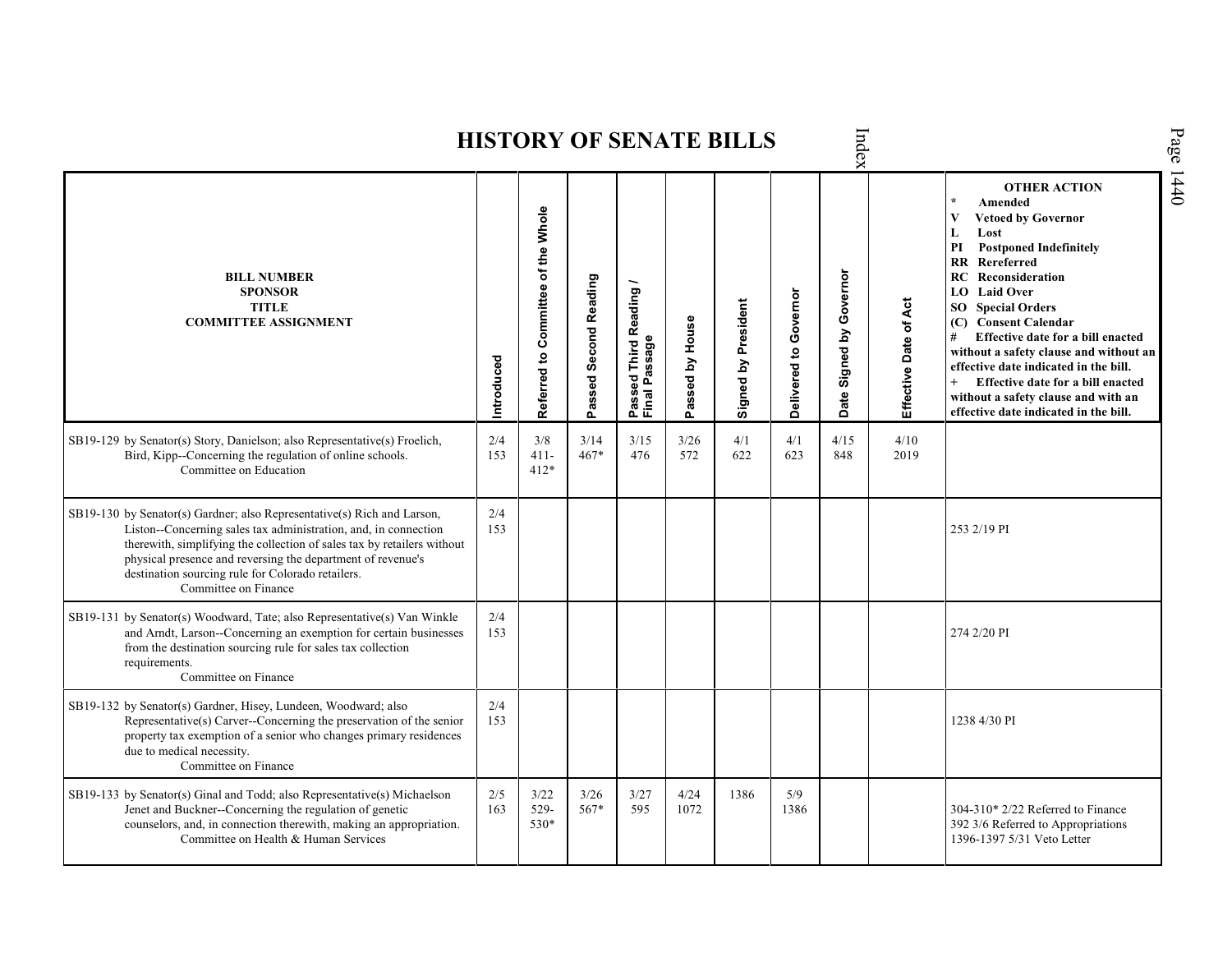Index Page 1440 **HISTORY OF SENATE BILLS OTHER ACTION \* Amended Referred to Com mittee of the Whole Vetoed by Governor L Lost PI Postponed Indefinitely RR Rereferred Date Signed by Governor BILL NUMBER RC Reconsideration Passed Second Reading Passed Third Reading /** Passed Third Reading<br>Final Passage **LO Laid Over SPONSOR** Delivered to Governor **Delivered to Governor** Signed by President Effective Date of Act **Effective Date of Act Signed by President SO Special Orders TITLE COMMITTEE ASSIGNMENT (C) Consent Calendar** Passed by House **Passed by House # Effective date for a bill enacted Final Passage without a safety clause and without an Introduced effective date indicated in the bill. + Effective date for a bill enacted without a safety clause and with an effective date indicated in the bill.**  2/4 4/1 SB19-129 by Senator(s) Story, Danielson; also Representative(s) Froelich, 3/8 3/14 3/15 3/26 4/1 4/15 4/10 Bird, Kipp--Concerning the regulation of online schools. 153 411- 467\* 476 572 622 623 848 2019 Committee on Education 412\* SB19-130 by Senator(s) Gardner; also Representative(s) Rich and Larson, 2/4 Liston--Concerning sales tax administration, and, in connection 153 253 2/19 PI therewith, simplifying the collection of sales tax by retailers without physical presence and reversing the department of revenue's destination sourcing rule for Colorado retailers. Committee on Finance SB19-131 by Senator(s) Woodward, Tate; also Representative(s) Van Winkle 2/4 and Arndt, Larson--Concerning an exemption for certain businesses 153 274 2/20 PI from the destination sourcing rule for sales tax collection requirements. Committee on Finance SB19-132 by Senator(s) Gardner, Hisey, Lundeen, Woodward; also  $\frac{2}{4}$ <br>153 1238 4/30 PI Representative(s) Carver--Concerning the preservation of the senior property tax exemption of a senior who changes primary residences due to medical necessity. Committee on Finance SB19-133 by Senator(s) Ginal and Todd; also Representative(s) Michaelson 2/5 3/22 3/26 3/27 4/24 1386 5/9<br>1386 Jenet and Buckner--Concerning the regulation of genetic 163 529- 567\* 595 1072 1386 304-310\* 2/22 Referred to Finance counselors, and, in connection therewith, making an appropriation. 530\* 392 3/6 Referred to Appropriations 1396-1397 5/31 Veto LetterCommittee on Health & Human Services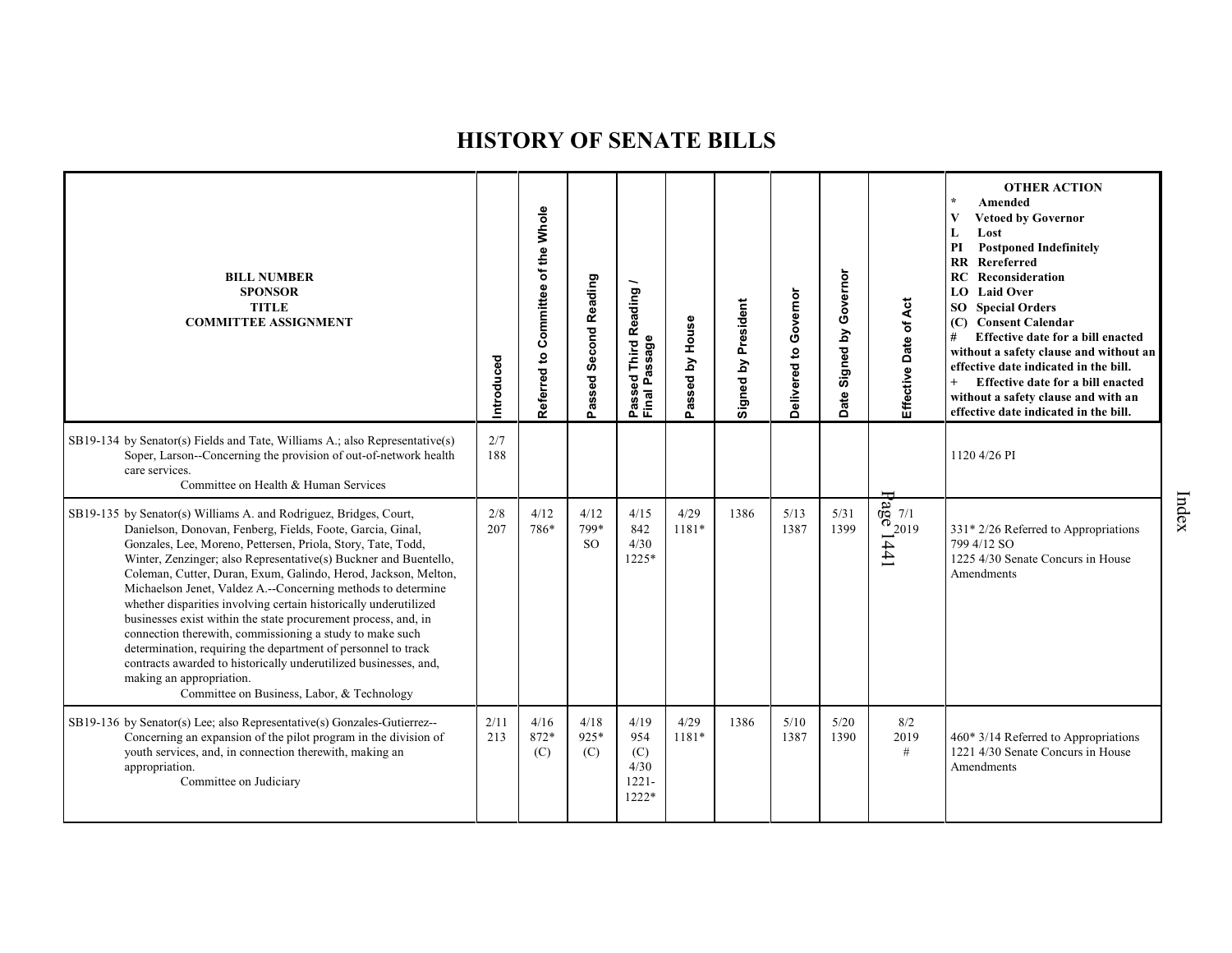| <b>BILL NUMBER</b><br><b>SPONSOR</b><br><b>TITLE</b><br><b>COMMITTEE ASSIGNMENT</b>                                                                                                                                                                                                                                                                                                                                                                                                                                                                                                                                                                                                                                                                                                                                    | Introduced  | Referred to Committee of the Whole | Passed Second Reading           | Reading<br>assage<br><b>Third</b><br>g<br>Ä,<br>Passe<br>Final | Passed by House | Signed by President | Governor<br>Delivered to | Governor<br>Signed by<br><b>Date</b> | Effective Date of Act                | <b>OTHER ACTION</b><br>$\star$<br>Amended<br>$\mathbf{V}$<br><b>Vetoed by Governor</b><br>Lost<br>L<br>PI<br><b>Postponed Indefinitely</b><br><b>RR</b> Rereferred<br><b>RC</b> Reconsideration<br>LO Laid Over<br><b>SO</b> Special Orders<br>(C) Consent Calendar<br>#<br>Effective date for a bill enacted<br>without a safety clause and without an<br>effective date indicated in the bill.<br>Effective date for a bill enacted<br>without a safety clause and with an<br>effective date indicated in the bill. |
|------------------------------------------------------------------------------------------------------------------------------------------------------------------------------------------------------------------------------------------------------------------------------------------------------------------------------------------------------------------------------------------------------------------------------------------------------------------------------------------------------------------------------------------------------------------------------------------------------------------------------------------------------------------------------------------------------------------------------------------------------------------------------------------------------------------------|-------------|------------------------------------|---------------------------------|----------------------------------------------------------------|-----------------|---------------------|--------------------------|--------------------------------------|--------------------------------------|-----------------------------------------------------------------------------------------------------------------------------------------------------------------------------------------------------------------------------------------------------------------------------------------------------------------------------------------------------------------------------------------------------------------------------------------------------------------------------------------------------------------------|
| SB19-134 by Senator(s) Fields and Tate, Williams A.; also Representative(s)<br>Soper, Larson--Concerning the provision of out-of-network health<br>care services.<br>Committee on Health & Human Services                                                                                                                                                                                                                                                                                                                                                                                                                                                                                                                                                                                                              | 2/7<br>188  |                                    |                                 |                                                                |                 |                     |                          |                                      |                                      | 1120 4/26 PI                                                                                                                                                                                                                                                                                                                                                                                                                                                                                                          |
| SB19-135 by Senator(s) Williams A. and Rodriguez, Bridges, Court,<br>Danielson, Donovan, Fenberg, Fields, Foote, Garcia, Ginal,<br>Gonzales, Lee, Moreno, Pettersen, Priola, Story, Tate, Todd,<br>Winter, Zenzinger; also Representative(s) Buckner and Buentello,<br>Coleman, Cutter, Duran, Exum, Galindo, Herod, Jackson, Melton,<br>Michaelson Jenet, Valdez A.--Concerning methods to determine<br>whether disparities involving certain historically underutilized<br>businesses exist within the state procurement process, and, in<br>connection therewith, commissioning a study to make such<br>determination, requiring the department of personnel to track<br>contracts awarded to historically underutilized businesses, and,<br>making an appropriation.<br>Committee on Business, Labor, & Technology | 2/8<br>207  | 4/12<br>786*                       | 4/12<br>799*<br>SO <sub>2</sub> | 4/15<br>842<br>4/30<br>1225*                                   | 4/29<br>1181*   | 1386                | 5/13<br>1387             | 5/31<br>1399                         | $\frac{1}{2019}$<br>$\frac{1}{2019}$ | $331*2/26$ Referred to Appropriations<br>799 4/12 SO<br>1225 4/30 Senate Concurs in House<br>Amendments                                                                                                                                                                                                                                                                                                                                                                                                               |
| SB19-136 by Senator(s) Lee; also Representative(s) Gonzales-Gutierrez--<br>Concerning an expansion of the pilot program in the division of<br>youth services, and, in connection therewith, making an<br>appropriation.<br>Committee on Judiciary                                                                                                                                                                                                                                                                                                                                                                                                                                                                                                                                                                      | 2/11<br>213 | 4/16<br>872*<br>(C)                | 4/18<br>925*<br>(C)             | 4/19<br>954<br>(C)<br>4/30<br>$1221 -$<br>1222*                | 4/29<br>1181*   | 1386                | 5/10<br>1387             | 5/20<br>1390                         | 8/2<br>2019<br>#                     | 460* 3/14 Referred to Appropriations<br>1221 4/30 Senate Concurs in House<br>Amendments                                                                                                                                                                                                                                                                                                                                                                                                                               |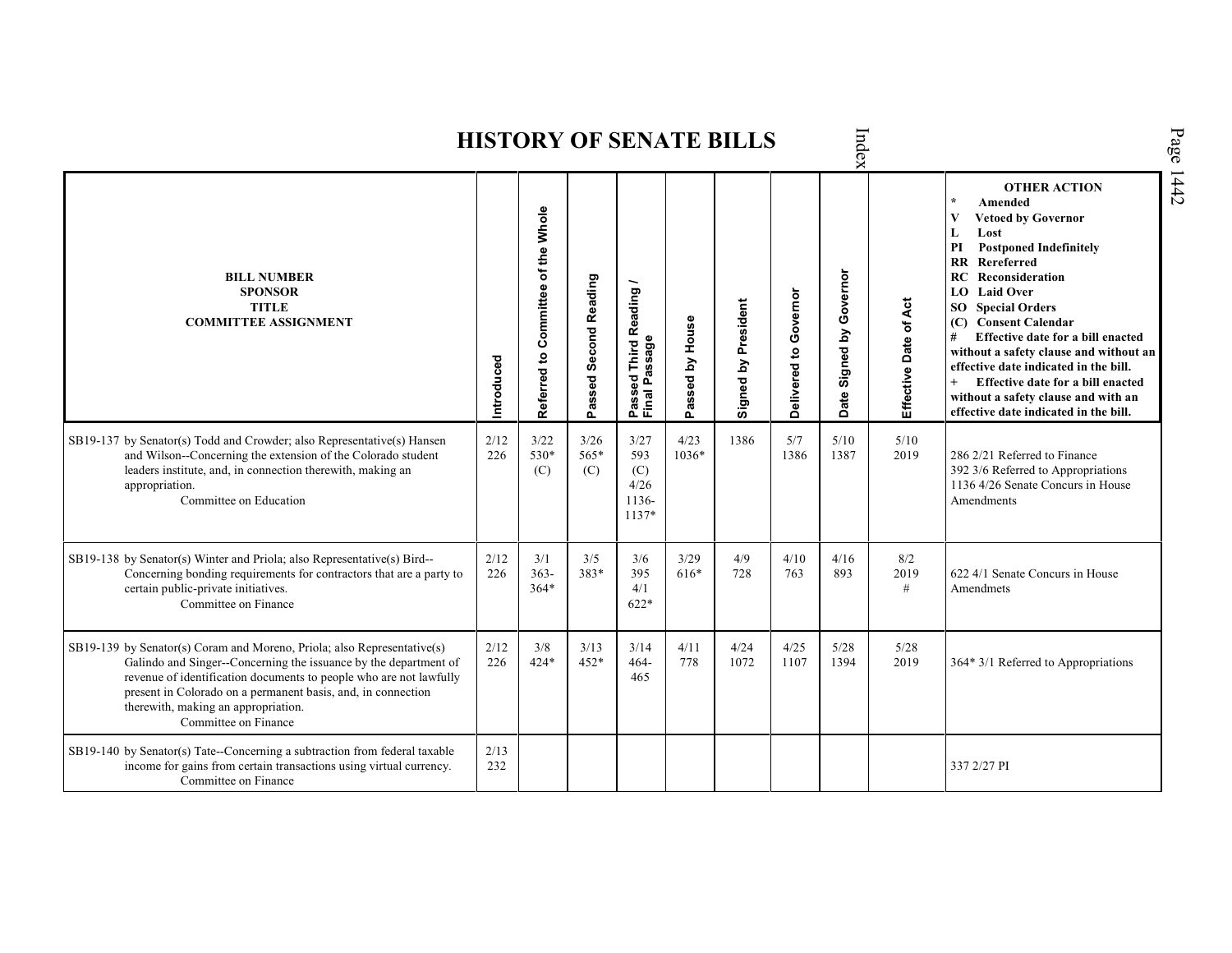| Index<br><b>HISTORY OF SENATE BILLS</b>                                                                                                                                                                                                                                                                                                          |             |                                    |                       |                                              |                      |                     |                       |                               |                       |                                                                                                                                                                                                                                                                                                                                                                                                                                                                                                                             |      |  |
|--------------------------------------------------------------------------------------------------------------------------------------------------------------------------------------------------------------------------------------------------------------------------------------------------------------------------------------------------|-------------|------------------------------------|-----------------------|----------------------------------------------|----------------------|---------------------|-----------------------|-------------------------------|-----------------------|-----------------------------------------------------------------------------------------------------------------------------------------------------------------------------------------------------------------------------------------------------------------------------------------------------------------------------------------------------------------------------------------------------------------------------------------------------------------------------------------------------------------------------|------|--|
| <b>BILL NUMBER</b><br><b>SPONSOR</b><br><b>TITLE</b><br><b>COMMITTEE ASSIGNMENT</b>                                                                                                                                                                                                                                                              | Introduced  | Referred to Committee of the Whole | Passed Second Reading | Passed Third Reading /<br>Final Passage      | assed by House<br>Ő. | Signed by President | Delivered to Governor | Governor<br>Signed by<br>Date | Effective Date of Act | <b>OTHER ACTION</b><br>Amended<br><b>Vetoed by Governor</b><br>Lost<br>L<br>PI<br><b>Postponed Indefinitely</b><br><b>RR</b><br>Rereferred<br><b>RC</b> Reconsideration<br><b>LO</b> Laid Over<br>SO <sub>1</sub><br><b>Special Orders</b><br>(C) Consent Calendar<br>Effective date for a bill enacted<br>#<br>without a safety clause and without an<br>effective date indicated in the bill.<br>$+$<br>Effective date for a bill enacted<br>without a safety clause and with an<br>effective date indicated in the bill. | 1442 |  |
| SB19-137 by Senator(s) Todd and Crowder; also Representative(s) Hansen<br>and Wilson--Concerning the extension of the Colorado student<br>leaders institute, and, in connection therewith, making an<br>appropriation.<br>Committee on Education                                                                                                 | 2/12<br>226 | 3/22<br>$530*$<br>(C)              | 3/26<br>$565*$<br>(C) | 3/27<br>593<br>(C)<br>4/26<br>1136-<br>1137* | 4/23<br>$1036*$      | 1386                | 5/7<br>1386           | 5/10<br>1387                  | 5/10<br>2019          | 286 2/21 Referred to Finance<br>392 3/6 Referred to Appropriations<br>1136 4/26 Senate Concurs in House<br>Amendments                                                                                                                                                                                                                                                                                                                                                                                                       |      |  |
| SB19-138 by Senator(s) Winter and Priola; also Representative(s) Bird--<br>Concerning bonding requirements for contractors that are a party to<br>certain public-private initiatives.<br>Committee on Finance                                                                                                                                    | 2/12<br>226 | 3/1<br>$363 -$<br>$364*$           | 3/5<br>383*           | 3/6<br>395<br>4/1<br>$622*$                  | 3/29<br>616*         | 4/9<br>728          | 4/10<br>763           | 4/16<br>893                   | 8/2<br>2019<br>$\#$   | 622 4/1 Senate Concurs in House<br>Amendmets                                                                                                                                                                                                                                                                                                                                                                                                                                                                                |      |  |
| SB19-139 by Senator(s) Coram and Moreno, Priola; also Representative(s)<br>Galindo and Singer--Concerning the issuance by the department of<br>revenue of identification documents to people who are not lawfully<br>present in Colorado on a permanent basis, and, in connection<br>therewith, making an appropriation.<br>Committee on Finance | 2/12<br>226 | 3/8<br>$424*$                      | 3/13<br>$452*$        | 3/14<br>$464 -$<br>465                       | 4/11<br>778          | 4/24<br>1072        | 4/25<br>1107          | $5/28$<br>1394                | 5/28<br>2019          | 364* 3/1 Referred to Appropriations                                                                                                                                                                                                                                                                                                                                                                                                                                                                                         |      |  |
| SB19-140 by Senator(s) Tate--Concerning a subtraction from federal taxable<br>income for gains from certain transactions using virtual currency.<br>Committee on Finance                                                                                                                                                                         | 2/13<br>232 |                                    |                       |                                              |                      |                     |                       |                               |                       | 337 2/27 PI                                                                                                                                                                                                                                                                                                                                                                                                                                                                                                                 |      |  |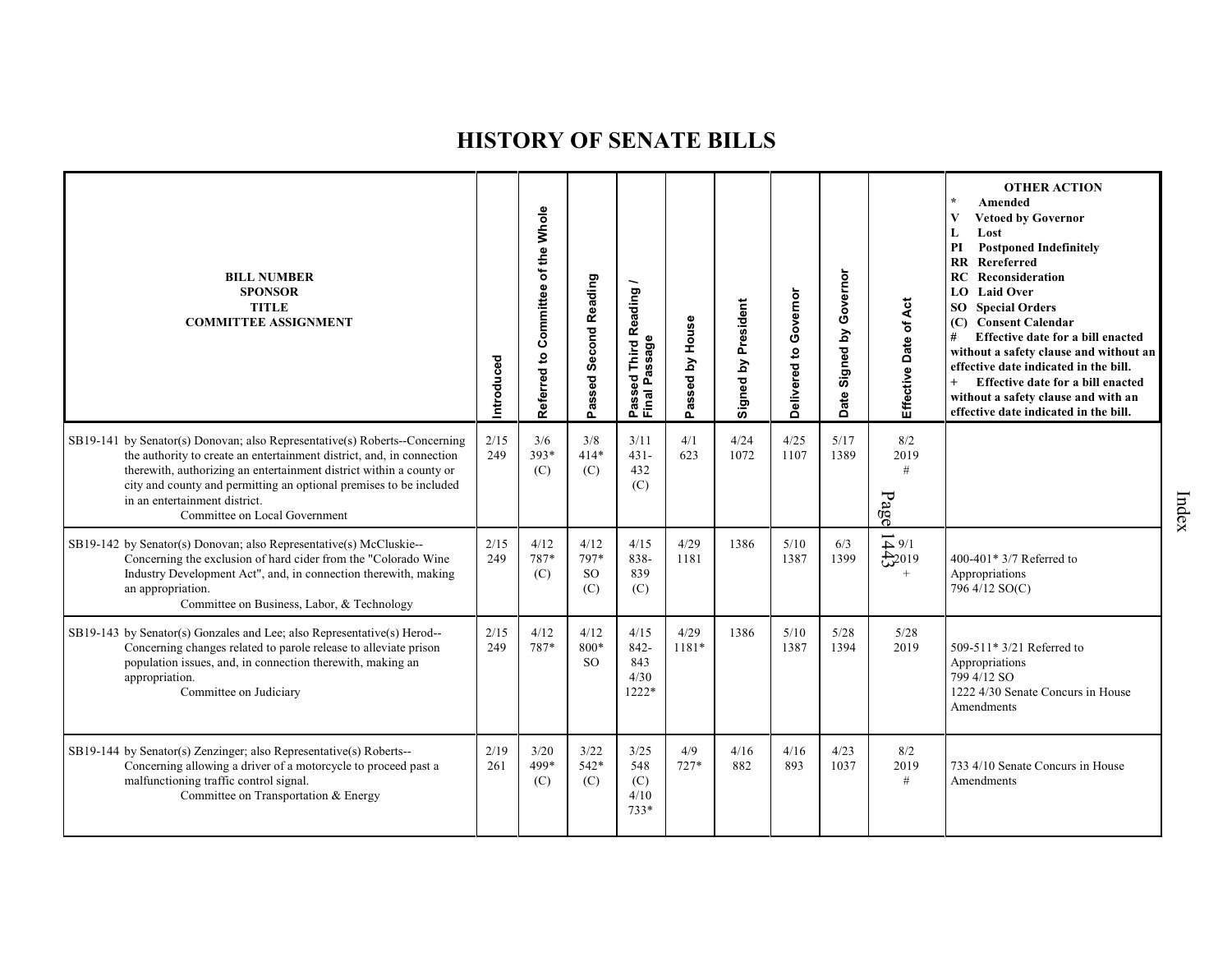| <b>BILL NUMBER</b><br><b>SPONSOR</b><br><b>TITLE</b><br><b>COMMITTEE ASSIGNMENT</b>                                                                                                                                                                                                                                                                                | Introduced  | Referred to Committee of the Whole | Passed Second Reading                | Reading<br>Passeq<br>Final Passage   | Passed by House | Signed by President | Governor<br>Delivered to | Governor<br>Date Signed by | Effective Date of Act                                   | <b>OTHER ACTION</b><br>Amended<br>$\mathbf{V}$<br><b>Vetoed by Governor</b><br>Lost<br>L<br>PI<br><b>Postponed Indefinitely</b><br>RR Rereferred<br>Reconsideration<br>RC<br><b>LO</b> Laid Over<br><b>SO</b> Special Orders<br>(C) Consent Calendar<br>#<br>Effective date for a bill enacted<br>without a safety clause and without an<br>effective date indicated in the bill.<br>$+$<br>Effective date for a bill enacted<br>without a safety clause and with an<br>effective date indicated in the bill. |
|--------------------------------------------------------------------------------------------------------------------------------------------------------------------------------------------------------------------------------------------------------------------------------------------------------------------------------------------------------------------|-------------|------------------------------------|--------------------------------------|--------------------------------------|-----------------|---------------------|--------------------------|----------------------------|---------------------------------------------------------|---------------------------------------------------------------------------------------------------------------------------------------------------------------------------------------------------------------------------------------------------------------------------------------------------------------------------------------------------------------------------------------------------------------------------------------------------------------------------------------------------------------|
| SB19-141 by Senator(s) Donovan; also Representative(s) Roberts--Concerning<br>the authority to create an entertainment district, and, in connection<br>therewith, authorizing an entertainment district within a county or<br>city and county and permitting an optional premises to be included<br>in an entertainment district.<br>Committee on Local Government | 2/15<br>249 | 3/6<br>393*<br>(C)                 | 3/8<br>$414*$<br>(C)                 | 3/11<br>$431 -$<br>432<br>(C)        | 4/1<br>623      | 4/24<br>1072        | 4/25<br>1107             | 5/17<br>1389               | 8/2<br>2019<br>#<br>Page                                |                                                                                                                                                                                                                                                                                                                                                                                                                                                                                                               |
| SB19-142 by Senator(s) Donovan; also Representative(s) McCluskie--<br>Concerning the exclusion of hard cider from the "Colorado Wine<br>Industry Development Act", and, in connection therewith, making<br>an appropriation.<br>Committee on Business, Labor, & Technology                                                                                         | 2/15<br>249 | 4/12<br>787*<br>(C)                | 4/12<br>797*<br><sub>SO</sub><br>(C) | 4/15<br>838-<br>839<br>(C)           | 4/29<br>1181    | 1386                | 5/10<br>1387             | 6/3<br>1399                | $\overrightarrow{+}$ 9/1<br>$\frac{1}{2}2019$<br>$^{+}$ | 400-401* $3/7$ Referred to<br>Appropriations<br>796 4/12 SO(C)                                                                                                                                                                                                                                                                                                                                                                                                                                                |
| SB19-143 by Senator(s) Gonzales and Lee; also Representative(s) Herod--<br>Concerning changes related to parole release to alleviate prison<br>population issues, and, in connection therewith, making an<br>appropriation.<br>Committee on Judiciary                                                                                                              | 2/15<br>249 | 4/12<br>787*                       | 4/12<br>800*<br><b>SO</b>            | 4/15<br>842-<br>843<br>4/30<br>1222* | 4/29<br>1181*   | 1386                | 5/10<br>1387             | 5/28<br>1394               | $5/28$<br>2019                                          | 509-511* 3/21 Referred to<br>Appropriations<br>799 4/12 SO<br>1222 4/30 Senate Concurs in House<br>Amendments                                                                                                                                                                                                                                                                                                                                                                                                 |
| SB19-144 by Senator(s) Zenzinger; also Representative(s) Roberts--<br>Concerning allowing a driver of a motorcycle to proceed past a<br>malfunctioning traffic control signal.<br>Committee on Transportation & Energy                                                                                                                                             | 2/19<br>261 | 3/20<br>499*<br>(C)                | 3/22<br>$542*$<br>(C)                | 3/25<br>548<br>(C)<br>4/10<br>$733*$ | 4/9<br>$727*$   | 4/16<br>882         | 4/16<br>893              | 4/23<br>1037               | 8/2<br>2019<br>#                                        | 733 4/10 Senate Concurs in House<br>Amendments                                                                                                                                                                                                                                                                                                                                                                                                                                                                |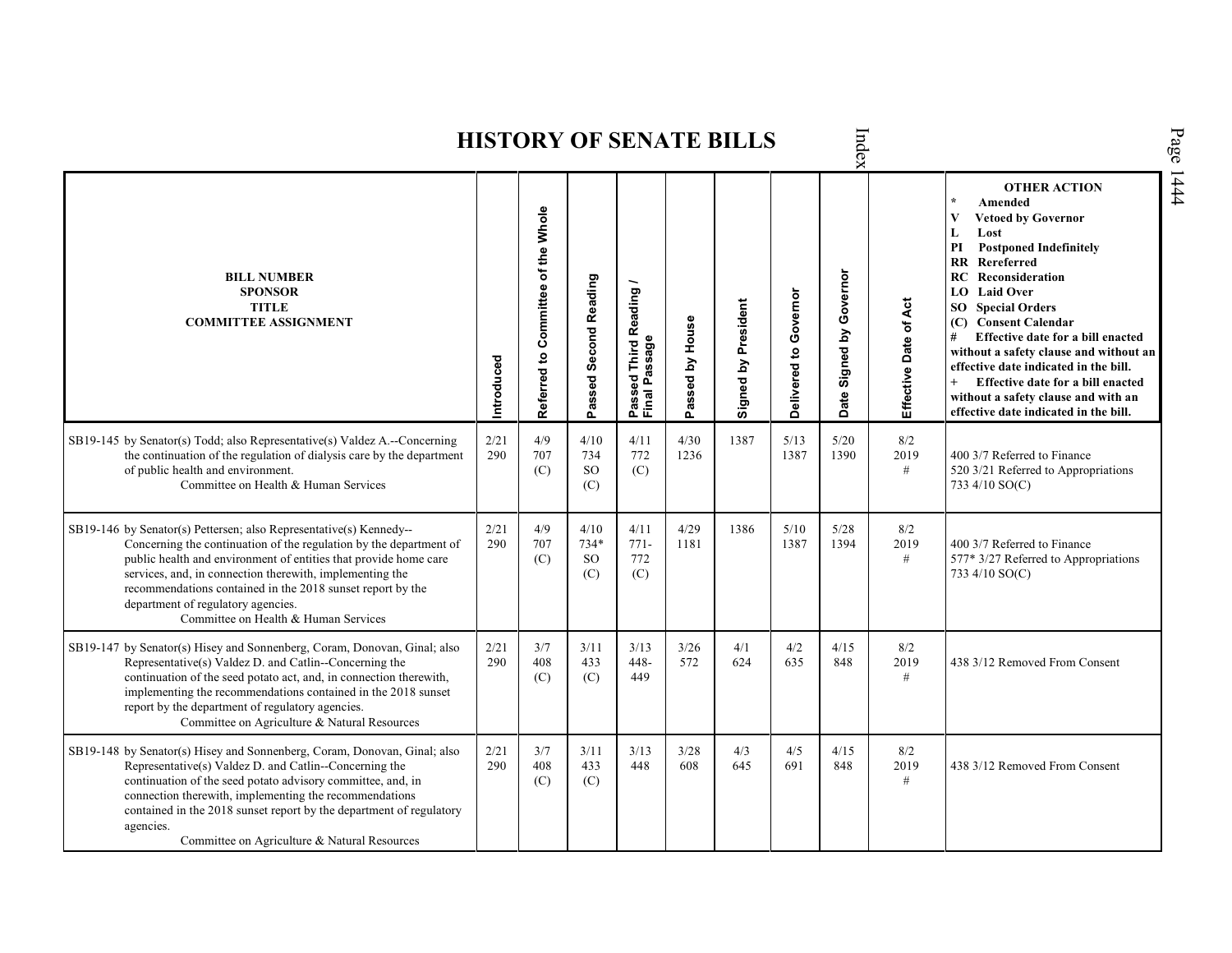|                                                                                                                                                                                                                                                                                                                                                                                                                      |             |                                    |                            |                                                                |                 | <b>HISTORY OF SENATE BILLS</b> |                       | Index                       |                       |                                                                                                                                                                                                                                                                                                                                                                                                                                                                                                                                               |
|----------------------------------------------------------------------------------------------------------------------------------------------------------------------------------------------------------------------------------------------------------------------------------------------------------------------------------------------------------------------------------------------------------------------|-------------|------------------------------------|----------------------------|----------------------------------------------------------------|-----------------|--------------------------------|-----------------------|-----------------------------|-----------------------|-----------------------------------------------------------------------------------------------------------------------------------------------------------------------------------------------------------------------------------------------------------------------------------------------------------------------------------------------------------------------------------------------------------------------------------------------------------------------------------------------------------------------------------------------|
| <b>BILL NUMBER</b><br><b>SPONSOR</b><br><b>TITLE</b><br><b>COMMITTEE ASSIGNMENT</b>                                                                                                                                                                                                                                                                                                                                  | Introduced  | Referred to Committee of the Whole | Passed Second Reading      | <b>Third Reading</b><br>ssage<br>್ಥಾ<br>௳<br>Final<br>ass<br>՟ | Passed by House | Signed by President            | Delivered to Governor | Signed by Governor<br>Date: | Effective Date of Act | <b>OTHER ACTION</b><br>$\star$<br>Amended<br>$\overline{\mathbf{V}}$<br><b>Vetoed by Governor</b><br>L<br>Lost<br><b>Postponed Indefinitely</b><br>PI<br>Rereferred<br>$\mathbf{R}$<br><b>RC</b> Reconsideration<br><b>LO</b> Laid Over<br><b>SO</b> Special Orders<br>(C) Consent Calendar<br>Effective date for a bill enacted<br>#<br>without a safety clause and without an<br>effective date indicated in the bill.<br>Effective date for a bill enacted<br>without a safety clause and with an<br>effective date indicated in the bill. |
| SB19-145 by Senator(s) Todd; also Representative(s) Valdez A.--Concerning<br>the continuation of the regulation of dialysis care by the department<br>of public health and environment.<br>Committee on Health & Human Services                                                                                                                                                                                      | 2/21<br>290 | 4/9<br>707<br>(C)                  | 4/10<br>734<br>SO.<br>(C)  | 4/11<br>772<br>(C)                                             | 4/30<br>1236    | 1387                           | 5/13<br>1387          | 5/20<br>1390                | 8/2<br>2019<br>#      | 400 3/7 Referred to Finance<br>520 3/21 Referred to Appropriations<br>733 4/10 SO(C)                                                                                                                                                                                                                                                                                                                                                                                                                                                          |
| SB19-146 by Senator(s) Pettersen; also Representative(s) Kennedy--<br>Concerning the continuation of the regulation by the department of<br>public health and environment of entities that provide home care<br>services, and, in connection therewith, implementing the<br>recommendations contained in the 2018 sunset report by the<br>department of regulatory agencies.<br>Committee on Health & Human Services | 2/21<br>290 | 4/9<br>707<br>(C)                  | 4/10<br>734*<br>SO.<br>(C) | 4/11<br>$771-$<br>772<br>(C)                                   | 4/29<br>1181    | 1386                           | 5/10<br>1387          | 5/28<br>1394                | 8/2<br>2019<br>#      | 400 3/7 Referred to Finance<br>577* 3/27 Referred to Appropriations<br>733 4/10 SO(C)                                                                                                                                                                                                                                                                                                                                                                                                                                                         |
| SB19-147 by Senator(s) Hisey and Sonnenberg, Coram, Donovan, Ginal; also<br>Representative(s) Valdez D. and Catlin--Concerning the<br>continuation of the seed potato act, and, in connection therewith,<br>implementing the recommendations contained in the 2018 sunset<br>report by the department of regulatory agencies.<br>Committee on Agriculture & Natural Resources                                        | 2/21<br>290 | 3/7<br>408<br>(C)                  | 3/11<br>433<br>(C)         | 3/13<br>448-<br>449                                            | 3/26<br>572     | 4/1<br>624                     | 4/2<br>635            | 4/15<br>848                 | 8/2<br>2019<br>#      | 438 3/12 Removed From Consent                                                                                                                                                                                                                                                                                                                                                                                                                                                                                                                 |
| SB19-148 by Senator(s) Hisey and Sonnenberg, Coram, Donovan, Ginal; also<br>Representative(s) Valdez D. and Catlin--Concerning the<br>continuation of the seed potato advisory committee, and, in<br>connection therewith, implementing the recommendations<br>contained in the 2018 sunset report by the department of regulatory<br>agencies.<br>Committee on Agriculture & Natural Resources                      | 2/21<br>290 | 3/7<br>408<br>(C)                  | 3/11<br>433<br>(C)         | 3/13<br>448                                                    | 3/28<br>608     | 4/3<br>645                     | 4/5<br>691            | 4/15<br>848                 | 8/2<br>2019<br>$\#$   | 438 3/12 Removed From Consent                                                                                                                                                                                                                                                                                                                                                                                                                                                                                                                 |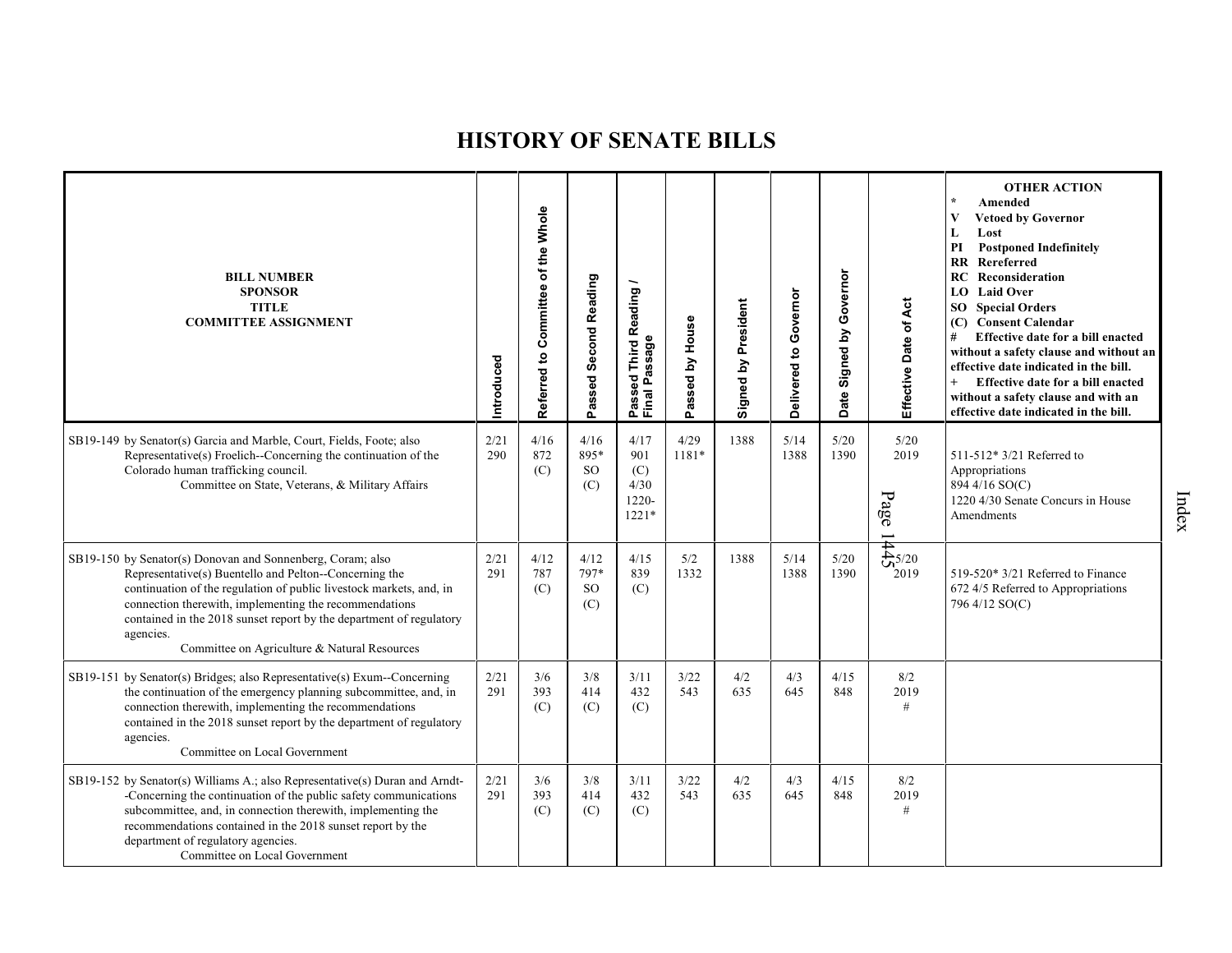| <b>BILL NUMBER</b><br><b>SPONSOR</b><br><b>TITLE</b><br><b>COMMITTEE ASSIGNMENT</b>                                                                                                                                                                                                                                                                                                       | Introduced  | Committee of the Whole<br>S,<br>Referred | Passed Second Reading            | Reading/<br>Passed Third R<br>Final Passage    | assed by House<br>o. | Signed by President | Delivered to Governor | Governor<br>Signed by<br><b>Date</b> | Effective Date of Act                                                 | <b>OTHER ACTION</b><br>Amended<br><b>Vetoed by Governor</b><br>V<br>Lost<br>L<br><b>Postponed Indefinitely</b><br>PI<br>Rereferred<br>RR<br>Reconsideration<br>RC<br><b>LO</b> Laid Over<br><b>SO</b> Special Orders<br>(C) Consent Calendar<br>Effective date for a bill enacted<br>without a safety clause and without an<br>effective date indicated in the bill.<br>$+$<br>Effective date for a bill enacted<br>without a safety clause and with an<br>effective date indicated in the bill. |
|-------------------------------------------------------------------------------------------------------------------------------------------------------------------------------------------------------------------------------------------------------------------------------------------------------------------------------------------------------------------------------------------|-------------|------------------------------------------|----------------------------------|------------------------------------------------|----------------------|---------------------|-----------------------|--------------------------------------|-----------------------------------------------------------------------|--------------------------------------------------------------------------------------------------------------------------------------------------------------------------------------------------------------------------------------------------------------------------------------------------------------------------------------------------------------------------------------------------------------------------------------------------------------------------------------------------|
| SB19-149 by Senator(s) Garcia and Marble, Court, Fields, Foote; also<br>Representative(s) Froelich--Concerning the continuation of the<br>Colorado human trafficking council.<br>Committee on State, Veterans, & Military Affairs                                                                                                                                                         | 2/21<br>290 | 4/16<br>872<br>(C)                       | 4/16<br>895*<br><b>SO</b><br>(C) | 4/17<br>901<br>(C)<br>4/30<br>1220-<br>$1221*$ | 4/29<br>1181*        | 1388                | 5/14<br>1388          | 5/20<br>1390                         | 5/20<br>2019<br>$\mathbf{p}_\mathbf{age}$<br>$\overline{\phantom{0}}$ | 511-512* 3/21 Referred to<br>Appropriations<br>894 4/16 SO(C)<br>1220 4/30 Senate Concurs in House<br>Amendments                                                                                                                                                                                                                                                                                                                                                                                 |
| SB19-150 by Senator(s) Donovan and Sonnenberg, Coram; also<br>Representative(s) Buentello and Pelton--Concerning the<br>continuation of the regulation of public livestock markets, and, in<br>connection therewith, implementing the recommendations<br>contained in the 2018 sunset report by the department of regulatory<br>agencies.<br>Committee on Agriculture & Natural Resources | 2/21<br>291 | 4/12<br>787<br>(C)                       | 4/12<br>797*<br>SO.<br>(C)       | 4/15<br>839<br>(C)                             | 5/2<br>1332          | 1388                | 5/14<br>1388          | 5/20<br>1390                         | $\frac{1}{\sqrt{2}}$ 5/20<br>2019                                     | 519-520* 3/21 Referred to Finance<br>672 4/5 Referred to Appropriations<br>796 4/12 SO(C)                                                                                                                                                                                                                                                                                                                                                                                                        |
| SB19-151 by Senator(s) Bridges; also Representative(s) Exum--Concerning<br>the continuation of the emergency planning subcommittee, and, in<br>connection therewith, implementing the recommendations<br>contained in the 2018 sunset report by the department of regulatory<br>agencies.<br>Committee on Local Government                                                                | 2/21<br>291 | 3/6<br>393<br>(C)                        | 3/8<br>414<br>(C)                | 3/11<br>432<br>(C)                             | 3/22<br>543          | 4/2<br>635          | 4/3<br>645            | 4/15<br>848                          | 8/2<br>2019<br>$\#$                                                   |                                                                                                                                                                                                                                                                                                                                                                                                                                                                                                  |
| SB19-152 by Senator(s) Williams A.; also Representative(s) Duran and Arndt-<br>-Concerning the continuation of the public safety communications<br>subcommittee, and, in connection therewith, implementing the<br>recommendations contained in the 2018 sunset report by the<br>department of regulatory agencies.<br>Committee on Local Government                                      | 2/21<br>291 | 3/6<br>393<br>(C)                        | 3/8<br>414<br>(C)                | 3/11<br>432<br>(C)                             | 3/22<br>543          | 4/2<br>635          | 4/3<br>645            | 4/15<br>848                          | 8/2<br>2019<br>#                                                      |                                                                                                                                                                                                                                                                                                                                                                                                                                                                                                  |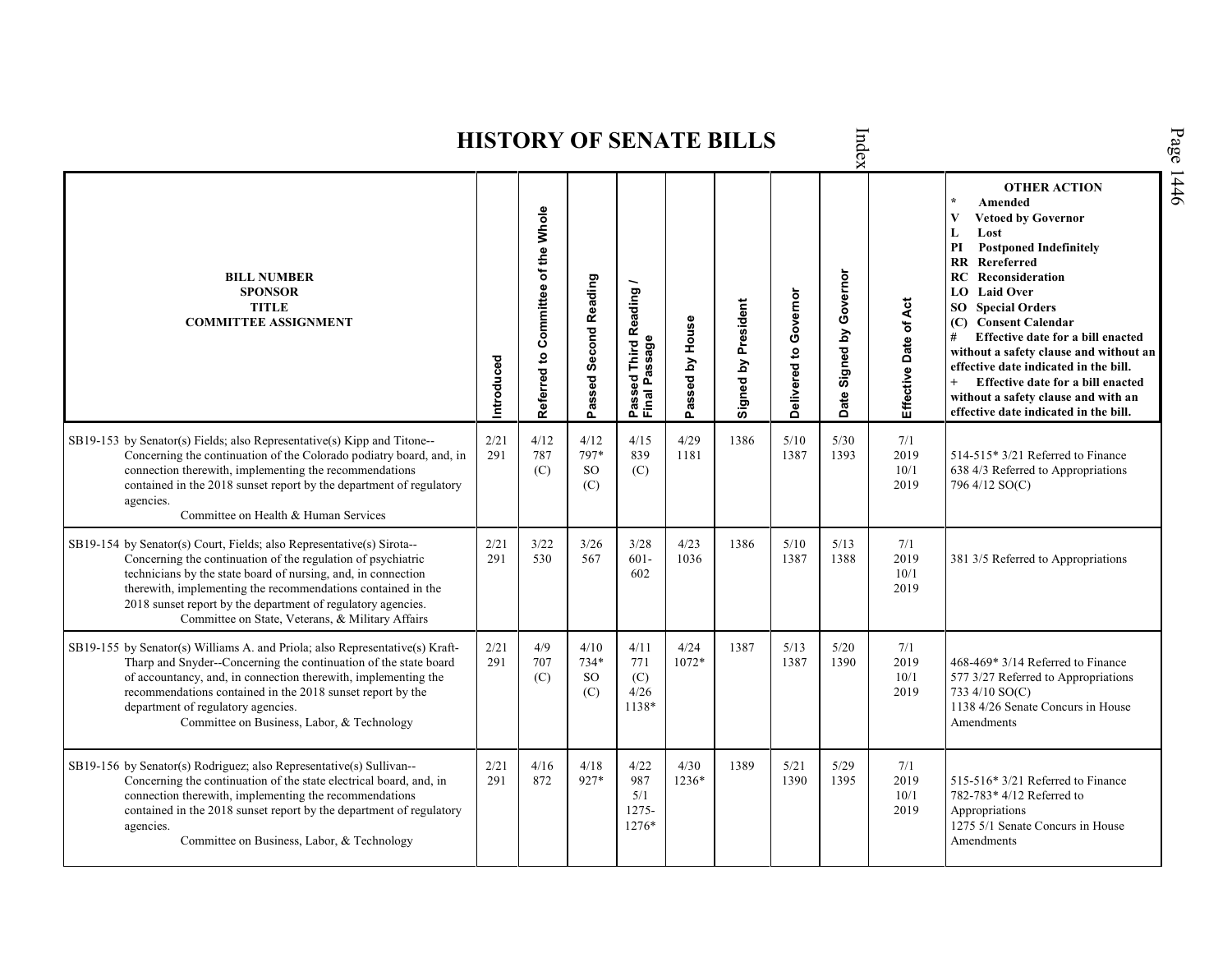Index **OTHER ACTION \* Amended Referred to Com mittee of the Whole Vetoed by Governor L Lost PI Postponed Indefinitely RR Rereferred Date Signed by Governor BILL NUMBER RC Reconsideration Passed Second Reading Passed Third Reading /** Passed Third Reading<br>Final Passage **LO Laid Over SPONSOR** Delivered to Governor **Delivered to Governor** Signed by President Effective Date of Act **Effective Date of Act Signed by President SO Special Orders TITLE COMMITTEE ASSIGNMENT (C) Consent Calendar** Passed by House **Passed by House # Effective date for a bill enacted Final Passage without a safety clause and without an Introduced effective date indicated in the bill. + Effective date for a bill enacted without a safety clause and with an effective date indicated in the bill.**  2/21 4/12 4/12 4/15 4/29 1386 5/10 SB19-153 by Senator(s) Fields; also Representative(s) Kipp and Titone-- 5/30 7/1 Concerning the continuation of the Colorado podiatry board, and, in 291 787 797\* 839 1181 1387 1393 2019 514-515\* 3/21 Referred to Finance connection therewith, implementing the recommendations SO 10/1 638 4/3 Referred to Appropriations (C) (C) contained in the 2018 sunset report by the department of regulatory (C) 2019 796 4/12 SO(C) agencies. Committee on Health & Human Services SB19-154 by Senator(s) Court, Fields; also Representative(s) Sirota-- 2/21 3/22 3/26 3/28 4/23 1386 5/10 5/13 7/1 Concerning the continuation of the regulation of psychiatric 291 530 567 601- 1036 1387 1388 2019 381 3/5 Referred to Appropriations technicians by the state board of nursing, and, in connection 602 10/1 therewith, implementing the recommendations contained in the 2019 2018 sunset report by the department of regulatory agencies. Committee on State, Veterans, & Military Affairs SB19-155 by Senator(s) Williams A. and Priola; also Representative(s) Kraft-2/21 4/9 4/10 4/11 4/24 1387 5/13 5/20 7/1 468-469\* 3/14 Referred to Finance Tharp and Snyder--Concerning the continuation of the state board 291 707 734\* 771 1072\* 1387 1390 2019 of accountancy, and, in connection therewith, implementing the  $(C)$ SO (C) 10/1 577 3/27 Referred to Appropriations recommendations contained in the 2018 sunset report by the 4/26 2019 733 4/10 SO(C) (C) 1138 4/26 Senate Concurs in House department of regulatory agencies. 1138\* Committee on Business, Labor, & Technology Amendments SB19-156 by Senator(s) Rodriguez; also Representative(s) Sullivan-- 2/21 4/16 4/18 4/22 4/30 1389 5/21 5/29 7/1 291 927\* 987 Concerning the continuation of the state electrical board, and, in 872 1236\* 1390 1395 2019 515-516\* 3/21 Referred to Finance 782-783\* 4/12 Referred to connection therewith, implementing the recommendations 5/1 10/1 contained in the 2018 sunset report by the department of regulatory 1275- 2019 Appropriations 1275 5/1 Senate Concurs in House agencies. 1276\* AmendmentsCommittee on Business, Labor, & Technology

**HISTORY OF SENATE BILLS**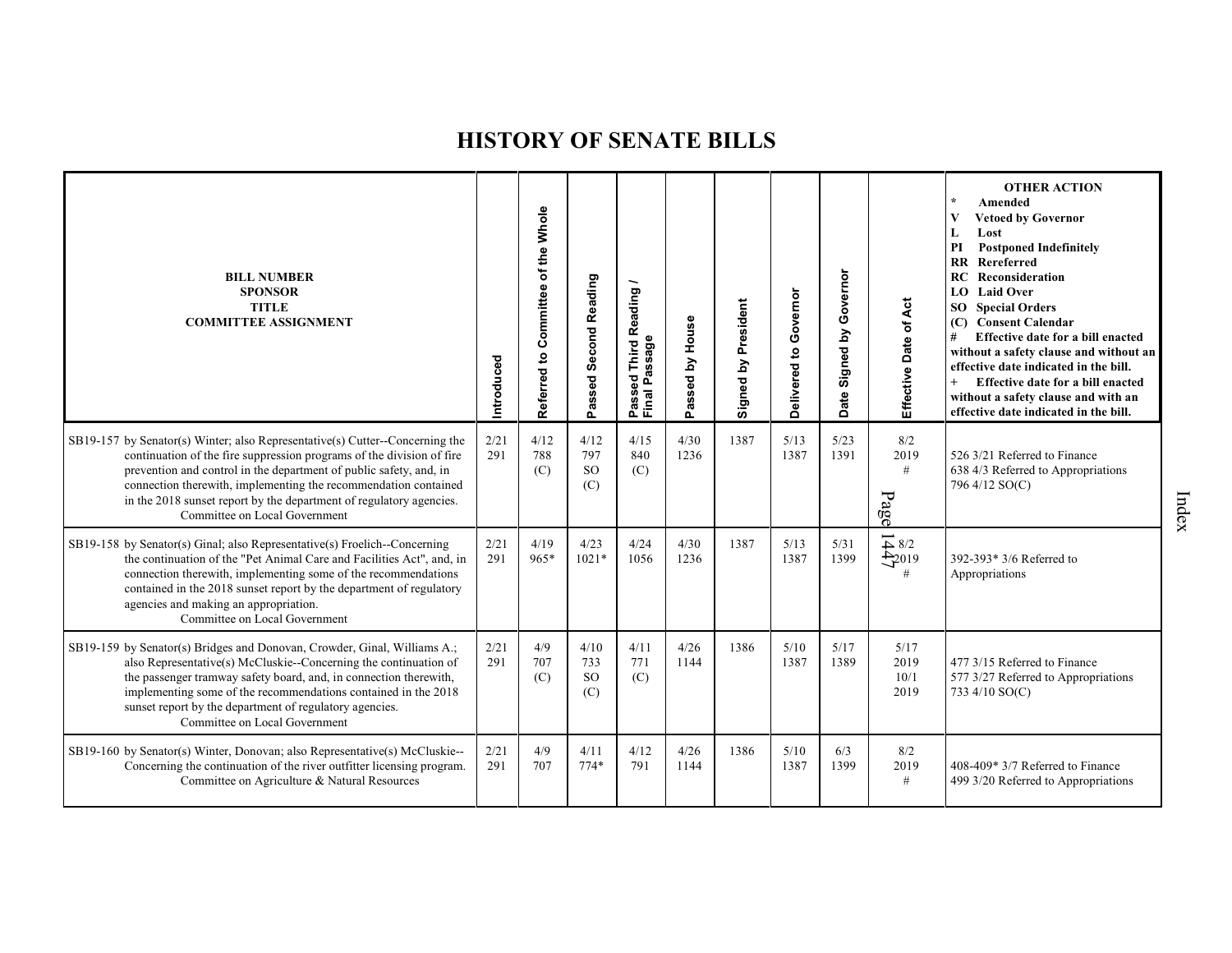| <b>BILL NUMBER</b><br><b>SPONSOR</b><br><b>TITLE</b><br><b>COMMITTEE ASSIGNMENT</b>                                                                                                                                                                                                                                                                                                                      | Introduced  | Referred to Committee of the Whole | <b>Second Reading</b><br>Passed | Reading<br>Passed Inn<br>Final Passage | Passed by House | Signed by President | Governor<br>Delivered to | Governor<br>Signed by<br>Date | Effective Date of Act                               | <b>OTHER ACTION</b><br>Amended<br>$\star$<br>$\mathbf{V}$<br><b>Vetoed by Governor</b><br>Lost<br>L<br>PI<br><b>Postponed Indefinitely</b><br>Rereferred<br>$\mathbf{R}\mathbf{R}$<br>Reconsideration<br>RC<br>LO Laid Over<br><b>SO</b> Special Orders<br>(C) Consent Calendar<br>Effective date for a bill enacted<br>#<br>without a safety clause and without an<br>effective date indicated in the bill.<br>$\ddot{}$<br>Effective date for a bill enacted<br>without a safety clause and with an<br>effective date indicated in the bill. |
|----------------------------------------------------------------------------------------------------------------------------------------------------------------------------------------------------------------------------------------------------------------------------------------------------------------------------------------------------------------------------------------------------------|-------------|------------------------------------|---------------------------------|----------------------------------------|-----------------|---------------------|--------------------------|-------------------------------|-----------------------------------------------------|------------------------------------------------------------------------------------------------------------------------------------------------------------------------------------------------------------------------------------------------------------------------------------------------------------------------------------------------------------------------------------------------------------------------------------------------------------------------------------------------------------------------------------------------|
| $SB19-157$ by Senator(s) Winter; also Representative(s) Cutter--Concerning the<br>continuation of the fire suppression programs of the division of fire<br>prevention and control in the department of public safety, and, in<br>connection therewith, implementing the recommendation contained<br>in the 2018 sunset report by the department of regulatory agencies.<br>Committee on Local Government | 2/21<br>291 | 4/12<br>788<br>(C)                 | 4/12<br>797<br><b>SO</b><br>(C) | 4/15<br>840<br>(C)                     | 4/30<br>1236    | 1387                | 5/13<br>1387             | 5/23<br>1391                  | 8/2<br>2019<br>#<br>Page                            | 526 3/21 Referred to Finance<br>638 4/3 Referred to Appropriations<br>796 4/12 SO(C)                                                                                                                                                                                                                                                                                                                                                                                                                                                           |
| SB19-158 by Senator(s) Ginal; also Representative(s) Froelich--Concerning<br>the continuation of the "Pet Animal Care and Facilities Act", and, in<br>connection therewith, implementing some of the recommendations<br>contained in the 2018 sunset report by the department of regulatory<br>agencies and making an appropriation.<br>Committee on Local Government                                    | 2/21<br>291 | 4/19<br>$965*$                     | 4/23<br>$1021*$                 | 4/24<br>1056                           | 4/30<br>1236    | 1387                | 5/13<br>1387             | 5/31<br>1399                  | $\overrightarrow{4}$ 8/2<br>$\frac{1}{2}$ 2019<br># | 392-393* 3/6 Referred to<br>Appropriations                                                                                                                                                                                                                                                                                                                                                                                                                                                                                                     |
| SB19-159 by Senator(s) Bridges and Donovan, Crowder, Ginal, Williams A.;<br>also Representative(s) McCluskie--Concerning the continuation of<br>the passenger tramway safety board, and, in connection therewith,<br>implementing some of the recommendations contained in the 2018<br>sunset report by the department of regulatory agencies.<br>Committee on Local Government                          | 2/21<br>291 | 4/9<br>707<br>(C)                  | 4/10<br>733<br><b>SO</b><br>(C) | 4/11<br>771<br>(C)                     | 4/26<br>1144    | 1386                | 5/10<br>1387             | 5/17<br>1389                  | 5/17<br>2019<br>10/1<br>2019                        | 477 3/15 Referred to Finance<br>577 3/27 Referred to Appropriations<br>733 4/10 SO(C)                                                                                                                                                                                                                                                                                                                                                                                                                                                          |
| SB19-160 by Senator(s) Winter, Donovan; also Representative(s) McCluskie--<br>Concerning the continuation of the river outfitter licensing program.<br>Committee on Agriculture & Natural Resources                                                                                                                                                                                                      | 2/21<br>291 | 4/9<br>707                         | 4/11<br>$774*$                  | 4/12<br>791                            | 4/26<br>1144    | 1386                | 5/10<br>1387             | 6/3<br>1399                   | 8/2<br>2019<br>#                                    | 408-409* 3/7 Referred to Finance<br>499 3/20 Referred to Appropriations                                                                                                                                                                                                                                                                                                                                                                                                                                                                        |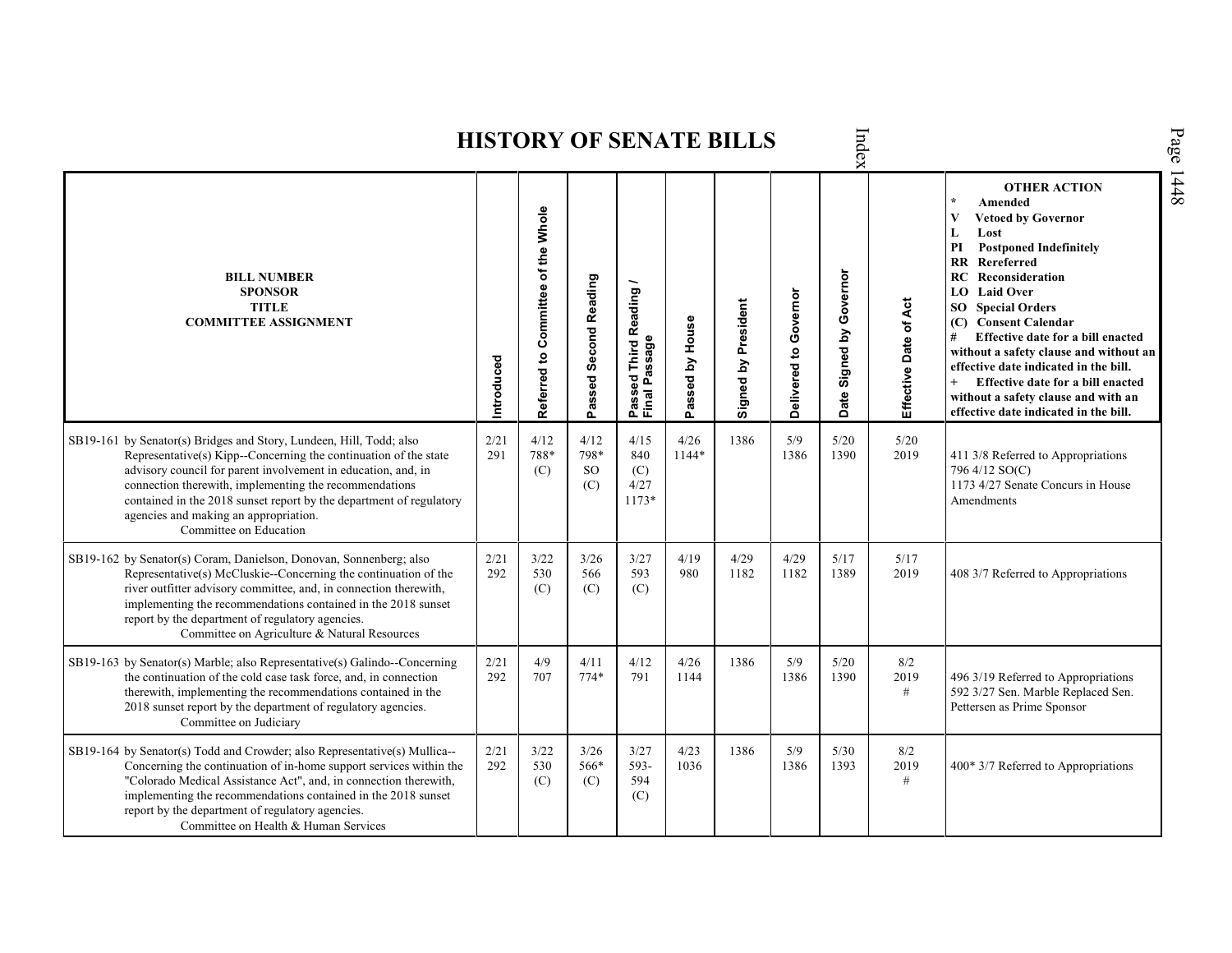Index **HISTORY OF SENATE BILLS OTHER ACTION \* Amended Referred to Com mittee of the Whole Vetoed by Governor L Lost PI Postponed Indefinitely RR Rereferred Date Signed by Governor BILL NUMBER RC Reconsideration Passed Second Reading Passed Third Reading /** Passed Third Reading<br>Final Passage **LO Laid Over SPONSOR** Delivered to Governor **Delivered to Governor** Signed by President Effective Date of Act **Effective Date of Act Signed by President SO Special Orders TITLE COMMITTEE ASSIGNMENT (C) Consent Calendar** Passed by House **Passed by House # Effective date for a bill enacted Final Passage without a safety clause and without an Introduced effective date indicated in the bill. + Effective date for a bill enacted without a safety clause and with an effective date indicated in the bill.**  2/21 4/12 4/12 4/15 4/26 SB19-161 by Senator(s) Bridges and Story, Lundeen, Hill, Todd; also 1386 5/9 5/20 5/20 Representative(s) Kipp--Concerning the continuation of the state 291 788\* 798\* 840 1144\* 1386 1390 2019 411 3/8 Referred to Appropriations advisory council for parent involvement in education, and, in SO 796 4/12 SO(C) (C) (C) connection therewith, implementing the recommendations 1173 4/27 Senate Concurs in House (C) 4/27 contained in the 2018 sunset report by the department of regulatory 1173\* Amendments agencies and making an appropriation. Committee on Education SB19-162 by Senator(s) Coram, Danielson, Donovan, Sonnenberg; also 2/21 3/22 3/26 3/27 4/19 4/29 4/29 5/17  $\frac{5}{17}$ <br>2019 Representative(s) McCluskie--Concerning the continuation of the 292 530 566 593 980 1182 1182 1389 2019 408 3/7 Referred to Appropriations river outfitter advisory committee, and, in connection therewith, (C) (C) (C) implementing the recommendations contained in the 2018 sunset report by the department of regulatory agencies. Committee on Agriculture & Natural Resources SB19-163 by Senator(s) Marble; also Representative(s) Galindo--Concerning 2/21 4/9 4/11 4/12 4/26 1386 5/9 5/20 8/2 the continuation of the cold case task force, and, in connection 292 707 774\* 791 1144 1386 1390 2019 496 3/19 Referred to Appropriations therewith, implementing the recommendations contained in the # 592 3/27 Sen. Marble Replaced Sen. 2018 sunset report by the department of regulatory agencies. Pettersen as Prime Sponsor Committee on Judiciary SB19-164 by Senator(s) Todd and Crowder; also Representative(s) Mullica-- 2/21 3/22 3/26 3/27 4/23 1386 5/9 5/30 8/2 Concerning the continuation of in-home support services within the 292 530 566\* 593- 1036 1386 1393 2019 400\* 3/7 Referred to Appropriations"Colorado Medical Assistance Act", and, in connection therewith, (C) (C) 594 # implementing the recommendations contained in the 2018 sunset  $(C)$ report by the department of regulatory agencies. Committee on Health & Human Services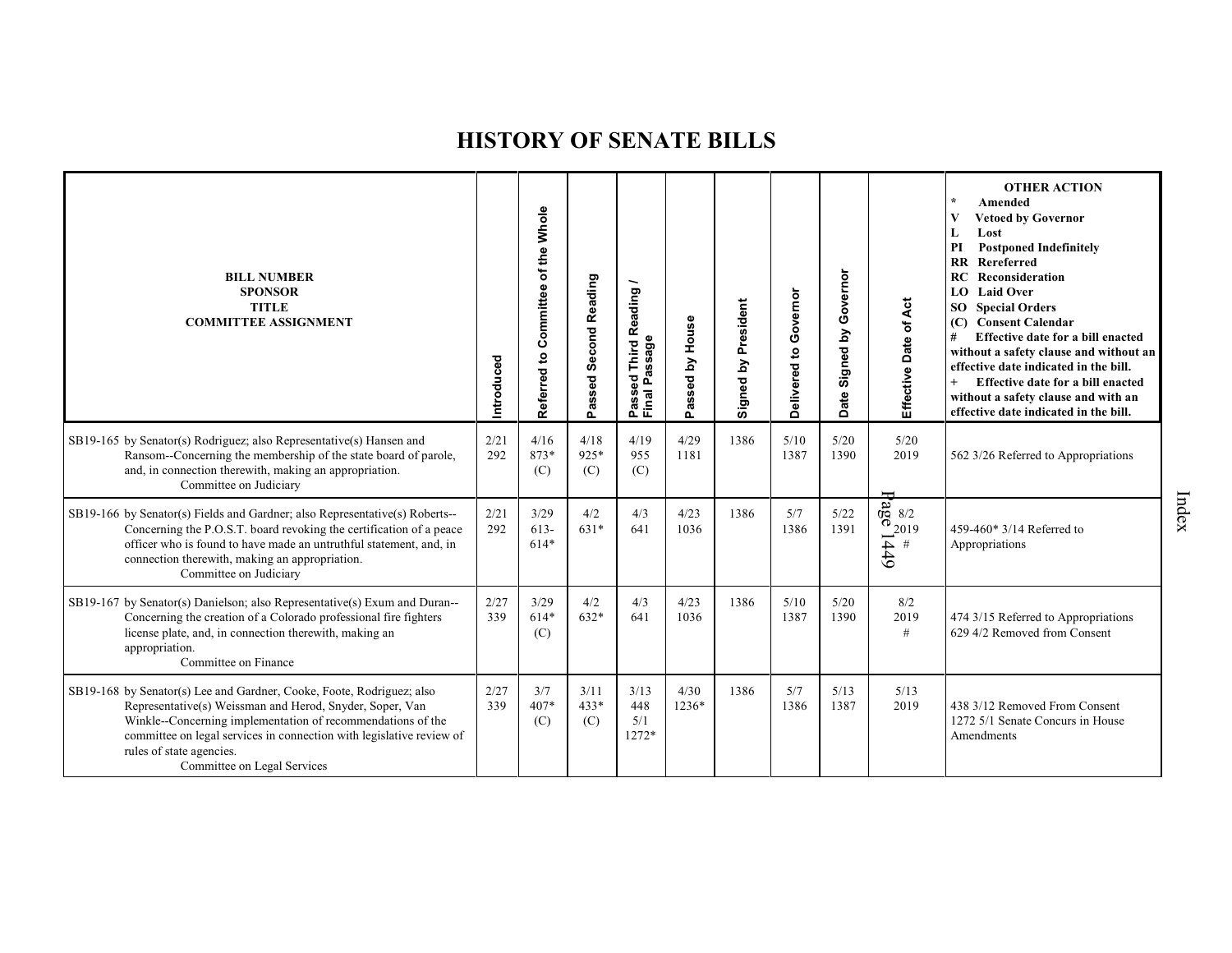| <b>BILL NUMBER</b><br><b>SPONSOR</b><br><b>TITLE</b><br><b>COMMITTEE ASSIGNMENT</b>                                                                                                                                                                                                                                                 | Introduced  | of the Whole<br>Referred to Committee | Passed Second Reading | Reading<br>Passage<br>Third<br>٥g<br>Passe<br>Final | Passed by House | Signed by President | Governor<br>Delivered to | Governor<br>Signed by<br><b>Date</b> | Effective Date of Act       | <b>OTHER ACTION</b><br>$\star$<br>Amended<br>V<br><b>Vetoed by Governor</b><br>Lost<br>L<br>PI<br><b>Postponed Indefinitely</b><br>Rereferred<br>$\overline{\mathbf{R}}$<br>RC<br>Reconsideration<br><b>Laid Over</b><br>LO -<br><b>Special Orders</b><br>SO <sub>2</sub><br><b>Consent Calendar</b><br>(C)<br>#<br>Effective date for a bill enacted<br>without a safety clause and without an<br>effective date indicated in the bill.<br>Effective date for a bill enacted<br>without a safety clause and with an<br>effective date indicated in the bill. |
|-------------------------------------------------------------------------------------------------------------------------------------------------------------------------------------------------------------------------------------------------------------------------------------------------------------------------------------|-------------|---------------------------------------|-----------------------|-----------------------------------------------------|-----------------|---------------------|--------------------------|--------------------------------------|-----------------------------|---------------------------------------------------------------------------------------------------------------------------------------------------------------------------------------------------------------------------------------------------------------------------------------------------------------------------------------------------------------------------------------------------------------------------------------------------------------------------------------------------------------------------------------------------------------|
| SB19-165 by Senator(s) Rodriguez; also Representative(s) Hansen and<br>Ransom--Concerning the membership of the state board of parole,<br>and, in connection therewith, making an appropriation.<br>Committee on Judiciary                                                                                                          | 2/21<br>292 | 4/16<br>873*<br>(C)                   | 4/18<br>925*<br>(C)   | 4/19<br>955<br>(C)                                  | 4/29<br>1181    | 1386                | 5/10<br>1387             | 5/20<br>1390                         | 5/20<br>2019                | 562 3/26 Referred to Appropriations                                                                                                                                                                                                                                                                                                                                                                                                                                                                                                                           |
| SB19-166 by Senator(s) Fields and Gardner; also Representative(s) Roberts--<br>Concerning the P.O.S.T. board revoking the certification of a peace<br>officer who is found to have made an untruthful statement, and, in<br>connection therewith, making an appropriation.<br>Committee on Judiciary                                | 2/21<br>292 | 3/29<br>$613 -$<br>$614*$             | 4/2<br>$631*$         | 4/3<br>641                                          | 4/23<br>1036    | 1386                | 5/7<br>1386              | 5/22<br>1391                         | $672019$<br>$672019$<br>$#$ | 459-460* 3/14 Referred to<br>Appropriations                                                                                                                                                                                                                                                                                                                                                                                                                                                                                                                   |
| SB19-167 by Senator(s) Danielson; also Representative(s) Exum and Duran--<br>Concerning the creation of a Colorado professional fire fighters<br>license plate, and, in connection therewith, making an<br>appropriation.<br>Committee on Finance                                                                                   | 2/27<br>339 | 3/29<br>$614*$<br>(C)                 | 4/2<br>632*           | 4/3<br>641                                          | 4/23<br>1036    | 1386                | 5/10<br>1387             | 5/20<br>1390                         | 8/2<br>2019<br>#            | 474 3/15 Referred to Appropriations<br>629 4/2 Removed from Consent                                                                                                                                                                                                                                                                                                                                                                                                                                                                                           |
| SB19-168 by Senator(s) Lee and Gardner, Cooke, Foote, Rodriguez; also<br>Representative(s) Weissman and Herod, Snyder, Soper, Van<br>Winkle--Concerning implementation of recommendations of the<br>committee on legal services in connection with legislative review of<br>rules of state agencies.<br>Committee on Legal Services | 2/27<br>339 | 3/7<br>407*<br>(C)                    | 3/11<br>$433*$<br>(C) | 3/13<br>448<br>5/1<br>1272*                         | 4/30<br>$1236*$ | 1386                | 5/7<br>1386              | 5/13<br>1387                         | 5/13<br>2019                | 438 3/12 Removed From Consent<br>1272 5/1 Senate Concurs in House<br>Amendments                                                                                                                                                                                                                                                                                                                                                                                                                                                                               |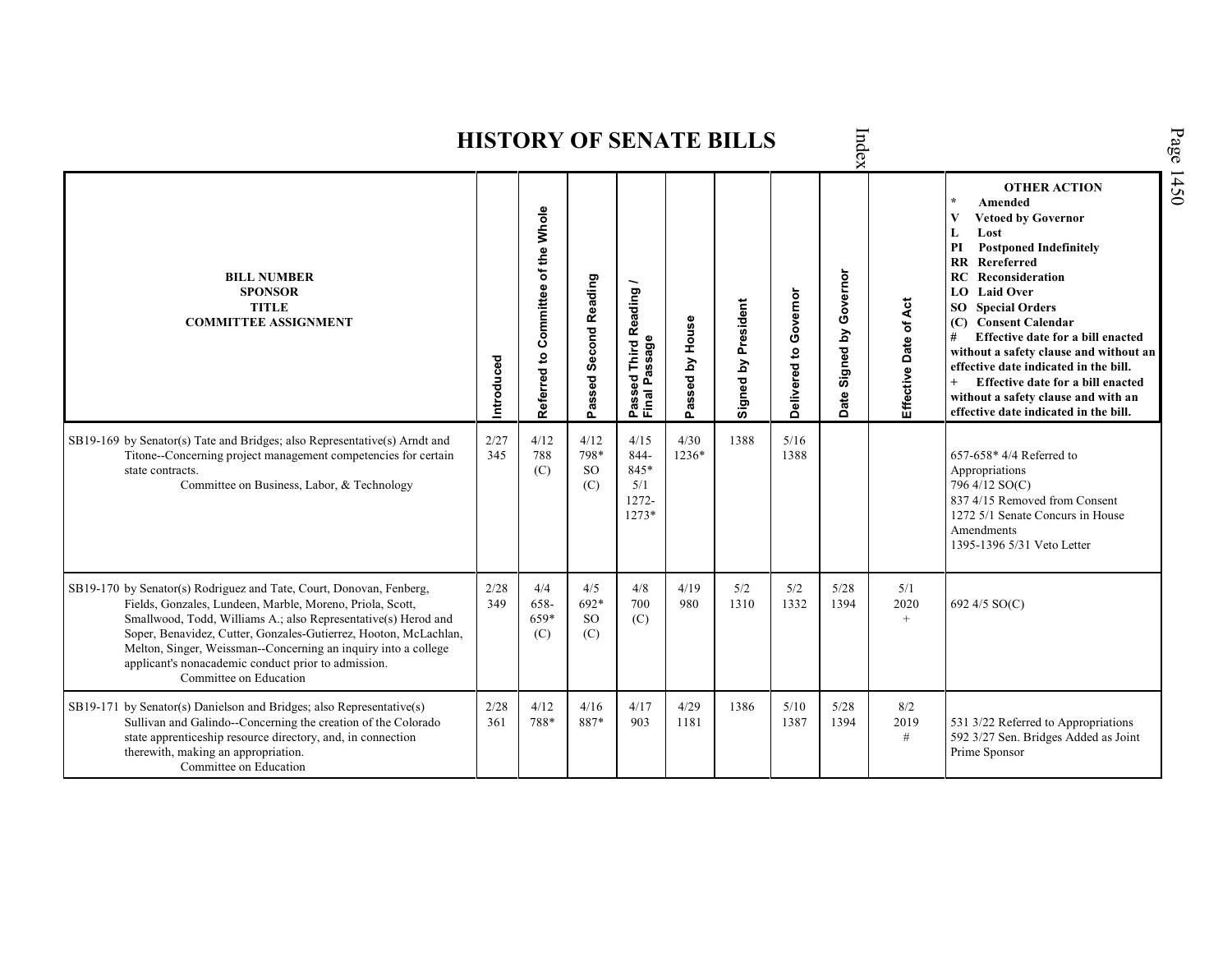|                                                                                                                                                                                                                                                                                                                                                                                                                           |             |                                          |                            |                                                 |                 | <b>HISTORY OF SENATE BILLS</b> |                       | Index                                    |                       |                                                                                                                                                                                                                                                                                                                                                                                                                                                                                                        | Page |
|---------------------------------------------------------------------------------------------------------------------------------------------------------------------------------------------------------------------------------------------------------------------------------------------------------------------------------------------------------------------------------------------------------------------------|-------------|------------------------------------------|----------------------------|-------------------------------------------------|-----------------|--------------------------------|-----------------------|------------------------------------------|-----------------------|--------------------------------------------------------------------------------------------------------------------------------------------------------------------------------------------------------------------------------------------------------------------------------------------------------------------------------------------------------------------------------------------------------------------------------------------------------------------------------------------------------|------|
| <b>BILL NUMBER</b><br><b>SPONSOR</b><br><b>TITLE</b><br><b>COMMITTEE ASSIGNMENT</b>                                                                                                                                                                                                                                                                                                                                       | Introduced  | Committee of the Whole<br>S,<br>Referred | Passed Second Reading      | Passed Third Reading /<br>Final Passage         | Passed by House | Signed by President            | Delivered to Governor | Governor<br>Signed by<br>ate<br>$\Omega$ | Effective Date of Act | <b>OTHER ACTION</b><br>Amended<br><b>Vetoed by Governor</b><br>V<br>Lost<br>L<br><b>Postponed Indefinitely</b><br>PI<br><b>RR</b> Rereferred<br>Reconsideration<br>RC.<br><b>Laid Over</b><br>LO<br><b>SO</b> Special Orders<br>(C) Consent Calendar<br>Effective date for a bill enacted<br>#<br>without a safety clause and without an<br>effective date indicated in the bill.<br>Effective date for a bill enacted<br>without a safety clause and with an<br>effective date indicated in the bill. | 1450 |
| SB19-169 by Senator(s) Tate and Bridges; also Representative(s) Arndt and<br>Titone--Concerning project management competencies for certain<br>state contracts.<br>Committee on Business, Labor, & Technology                                                                                                                                                                                                             | 2/27<br>345 | 4/12<br>788<br>(C)                       | 4/12<br>798*<br>SO.<br>(C) | 4/15<br>844-<br>845*<br>5/1<br>1272-<br>$1273*$ | 4/30<br>1236*   | 1388                           | 5/16<br>1388          |                                          |                       | $657-658*4/4$ Referred to<br>Appropriations<br>796 4/12 SO(C)<br>837 4/15 Removed from Consent<br>1272 5/1 Senate Concurs in House<br>Amendments<br>1395-1396 5/31 Veto Letter                                                                                                                                                                                                                                                                                                                         |      |
| SB19-170 by Senator(s) Rodriguez and Tate, Court, Donovan, Fenberg,<br>Fields, Gonzales, Lundeen, Marble, Moreno, Priola, Scott,<br>Smallwood, Todd, Williams A.; also Representative(s) Herod and<br>Soper, Benavidez, Cutter, Gonzales-Gutierrez, Hooton, McLachlan,<br>Melton, Singer, Weissman--Concerning an inquiry into a college<br>applicant's nonacademic conduct prior to admission.<br>Committee on Education | 2/28<br>349 | 4/4<br>658-<br>659*<br>(C)               | 4/5<br>692*<br>SO.<br>(C)  | 4/8<br>700<br>(C)                               | 4/19<br>980     | 5/2<br>1310                    | 5/2<br>1332           | 5/28<br>1394                             | 5/1<br>2020<br>$+$    | 692 4/5 SO(C)                                                                                                                                                                                                                                                                                                                                                                                                                                                                                          |      |
| SB19-171 by Senator(s) Danielson and Bridges; also Representative(s)<br>Sullivan and Galindo--Concerning the creation of the Colorado<br>state apprenticeship resource directory, and, in connection<br>therewith, making an appropriation.<br>Committee on Education                                                                                                                                                     | 2/28<br>361 | 4/12<br>788*                             | 4/16<br>887*               | 4/17<br>903                                     | 4/29<br>1181    | 1386                           | 5/10<br>1387          | 5/28<br>1394                             | 8/2<br>2019<br>$\#$   | 531 3/22 Referred to Appropriations<br>592 3/27 Sen. Bridges Added as Joint<br>Prime Sponsor                                                                                                                                                                                                                                                                                                                                                                                                           |      |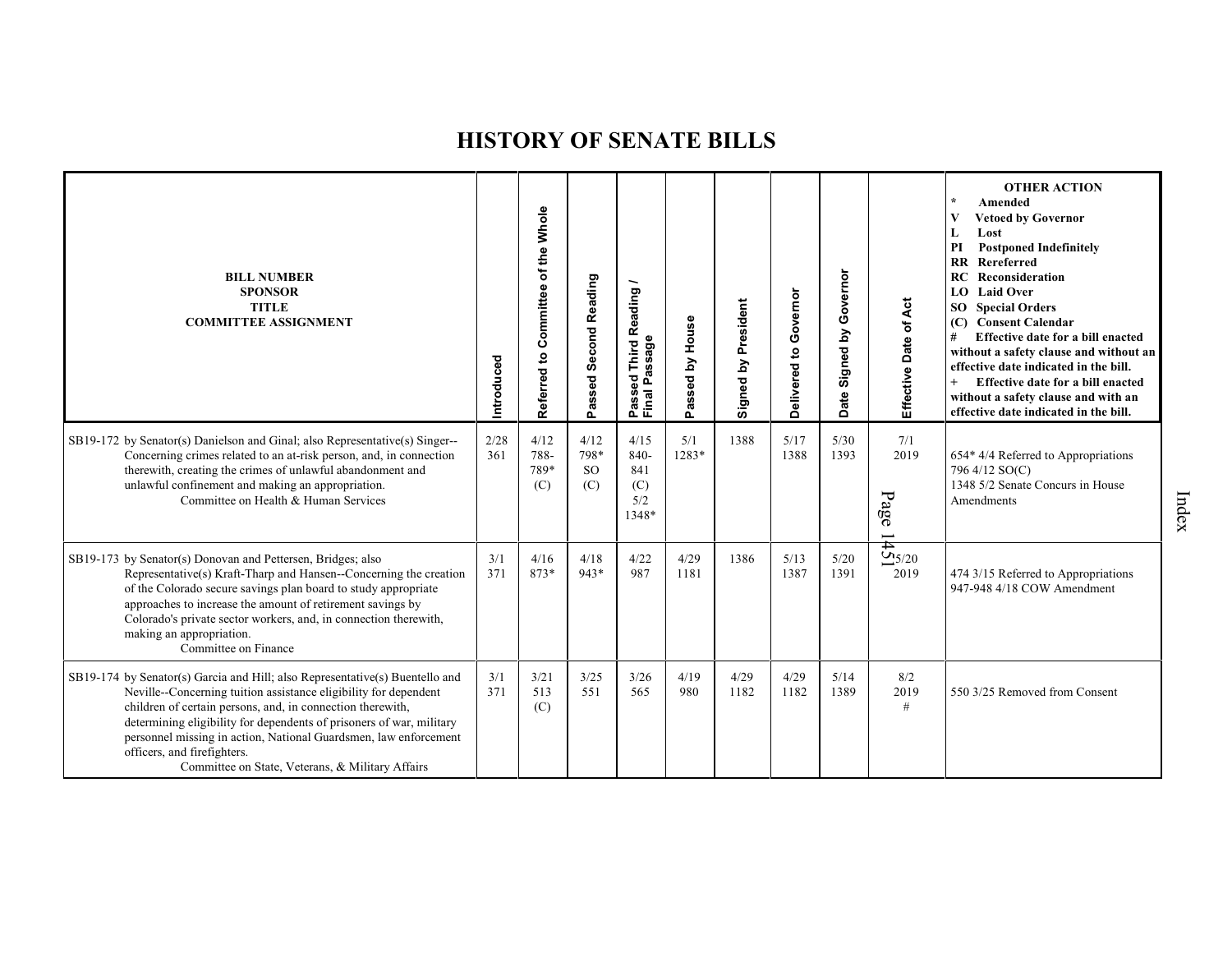| <b>BILL NUMBER</b><br><b>SPONSOR</b><br><b>TITLE</b><br><b>COMMITTEE ASSIGNMENT</b>                                                                                                                                                                                                                                                                                                                                                           | Introduced  | of the Whole<br>Committee<br>$\mathbf{e}$<br>Referred | Passed Second Reading            | Reading<br>Final Passage<br>Third<br>g<br>ğ,<br>ä<br>o. | House<br>assed by<br>o. | Signed by President | Delivered to Governor | Governor<br>Signed by<br><b>Date</b> | Effective Date of Act                           | <b>OTHER ACTION</b><br>Amended<br>V<br><b>Vetoed by Governor</b><br>Lost<br>L<br>PI<br><b>Postponed Indefinitely</b><br>Rereferred<br>$\mathbf{R}$<br>Reconsideration<br>RC<br><b>Laid Over</b><br>LO.<br>SO<br><b>Special Orders</b><br><b>Consent Calendar</b><br>(C)<br>Effective date for a bill enacted<br>#<br>without a safety clause and without an<br>effective date indicated in the bill.<br>Effective date for a bill enacted<br>without a safety clause and with an<br>effective date indicated in the bill. |
|-----------------------------------------------------------------------------------------------------------------------------------------------------------------------------------------------------------------------------------------------------------------------------------------------------------------------------------------------------------------------------------------------------------------------------------------------|-------------|-------------------------------------------------------|----------------------------------|---------------------------------------------------------|-------------------------|---------------------|-----------------------|--------------------------------------|-------------------------------------------------|---------------------------------------------------------------------------------------------------------------------------------------------------------------------------------------------------------------------------------------------------------------------------------------------------------------------------------------------------------------------------------------------------------------------------------------------------------------------------------------------------------------------------|
| SB19-172 by Senator(s) Danielson and Ginal; also Representative(s) Singer--<br>Concerning crimes related to an at-risk person, and, in connection<br>therewith, creating the crimes of unlawful abandonment and<br>unlawful confinement and making an appropriation.<br>Committee on Health & Human Services                                                                                                                                  | 2/28<br>361 | 4/12<br>788-<br>789*<br>(C)                           | 4/12<br>798*<br><b>SO</b><br>(C) | 4/15<br>840-<br>841<br>(C)<br>5/2<br>1348*              | 5/1<br>1283*            | 1388                | 5/17<br>1388          | 5/30<br>1393                         | 7/1<br>2019<br>Page<br>$\overline{\phantom{0}}$ | 654* 4/4 Referred to Appropriations<br>796 4/12 SO(C)<br>1348 5/2 Senate Concurs in House<br><b>Amendments</b>                                                                                                                                                                                                                                                                                                                                                                                                            |
| SB19-173 by Senator(s) Donovan and Pettersen, Bridges; also<br>Representative(s) Kraft-Tharp and Hansen--Concerning the creation<br>of the Colorado secure savings plan board to study appropriate<br>approaches to increase the amount of retirement savings by<br>Colorado's private sector workers, and, in connection therewith,<br>making an appropriation.<br>Committee on Finance                                                      | 3/1<br>371  | 4/16<br>873*                                          | 4/18<br>943*                     | 4/22<br>987                                             | 4/29<br>1181            | 1386                | 5/13<br>1387          | $5/20$<br>1391                       | $\frac{1}{25}$<br>2019                          | 474 3/15 Referred to Appropriations<br>947-948 4/18 COW Amendment                                                                                                                                                                                                                                                                                                                                                                                                                                                         |
| SB19-174 by Senator(s) Garcia and Hill; also Representative(s) Buentello and<br>Neville--Concerning tuition assistance eligibility for dependent<br>children of certain persons, and, in connection therewith,<br>determining eligibility for dependents of prisoners of war, military<br>personnel missing in action, National Guardsmen, law enforcement<br>officers, and firefighters.<br>Committee on State, Veterans, & Military Affairs | 3/1<br>371  | 3/21<br>513<br>(C)                                    | 3/25<br>551                      | 3/26<br>565                                             | 4/19<br>980             | 4/29<br>1182        | 4/29<br>1182          | 5/14<br>1389                         | 8/2<br>2019<br>#                                | 550 3/25 Removed from Consent                                                                                                                                                                                                                                                                                                                                                                                                                                                                                             |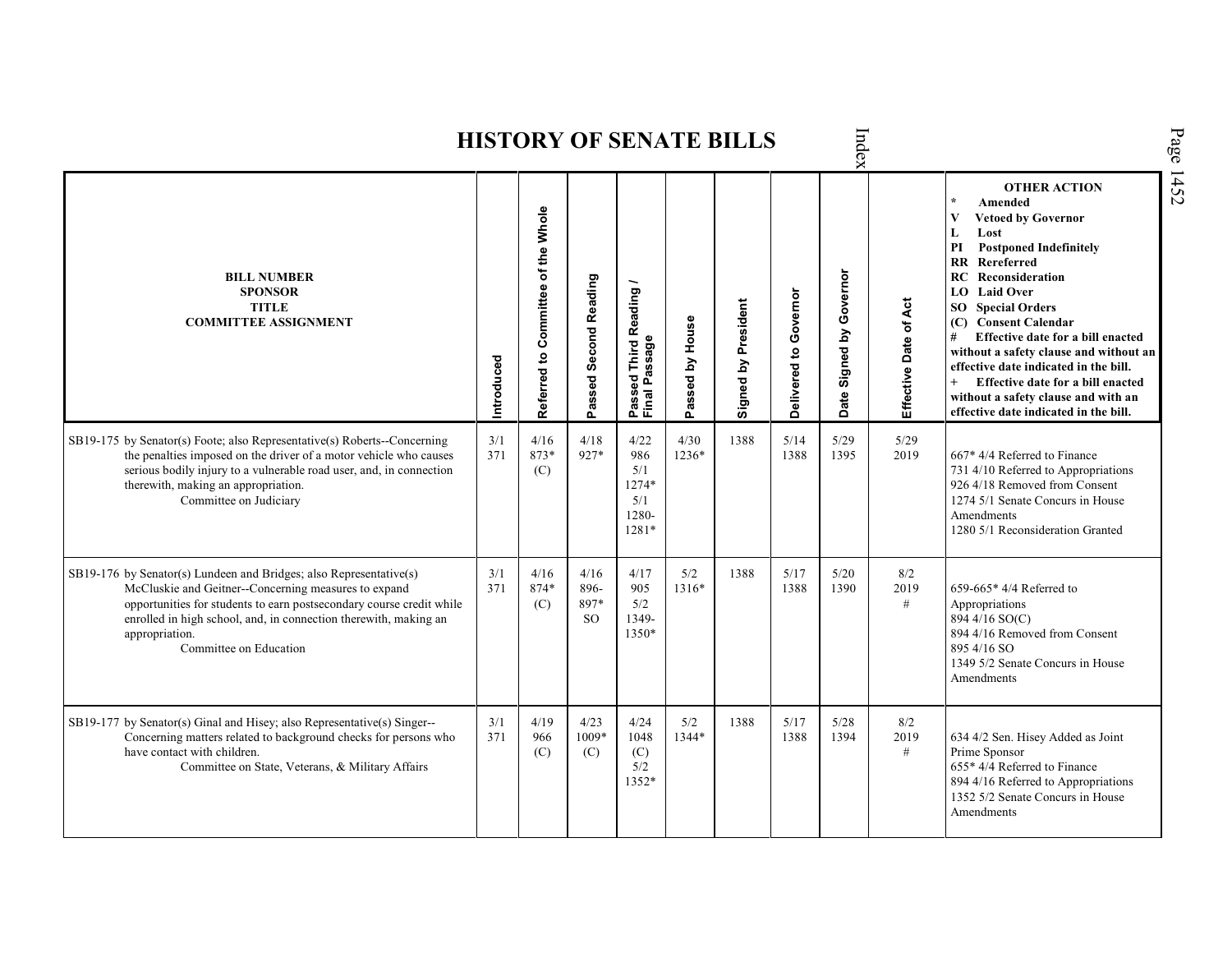|                                                                                                                                                                                                                                                                                                                    |            |                                    |                             |                                                                |                 |                            |                          | iex                         |                       |                                                                                                                                                                                                                                                                                                                                                                                                                                                                                                                  |
|--------------------------------------------------------------------------------------------------------------------------------------------------------------------------------------------------------------------------------------------------------------------------------------------------------------------|------------|------------------------------------|-----------------------------|----------------------------------------------------------------|-----------------|----------------------------|--------------------------|-----------------------------|-----------------------|------------------------------------------------------------------------------------------------------------------------------------------------------------------------------------------------------------------------------------------------------------------------------------------------------------------------------------------------------------------------------------------------------------------------------------------------------------------------------------------------------------------|
| <b>BILL NUMBER</b><br><b>SPONSOR</b><br><b>TITLE</b><br><b>COMMITTEE ASSIGNMENT</b>                                                                                                                                                                                                                                | Introduced | Referred to Committee of the Whole | Passed Second Reading       | <b>Third Reading</b><br>ssage<br>æ<br>g<br>௳<br>Passe<br>Final | Passed by House | <b>Signed by President</b> | Governor<br>Delivered to | Signed by Governor<br>Date: | Effective Date of Act | <b>OTHER ACTION</b><br>$\star$<br>Amended<br>V<br><b>Vetoed by Governor</b><br>L<br>Lost<br>PI<br><b>Postponed Indefinitely</b><br><b>RR</b> Rereferred<br>RC<br>Reconsideration<br>LO Laid Over<br><b>SO</b> Special Orders<br>(C) Consent Calendar<br>Effective date for a bill enacted<br>#<br>without a safety clause and without an<br>effective date indicated in the bill.<br>$^{+}$<br>Effective date for a bill enacted<br>without a safety clause and with an<br>effective date indicated in the bill. |
| SB19-175 by Senator(s) Foote; also Representative(s) Roberts--Concerning<br>the penalties imposed on the driver of a motor vehicle who causes<br>serious bodily injury to a vulnerable road user, and, in connection<br>therewith, making an appropriation.<br>Committee on Judiciary                              | 3/1<br>371 | 4/16<br>873*<br>(C)                | 4/18<br>927*                | 4/22<br>986<br>5/1<br>1274*<br>5/1<br>1280-<br>1281*           | 4/30<br>1236*   | 1388                       | 5/14<br>1388             | 5/29<br>1395                | 5/29<br>2019          | 667* 4/4 Referred to Finance<br>731 4/10 Referred to Appropriations<br>926 4/18 Removed from Consent<br>1274 5/1 Senate Concurs in House<br>Amendments<br>1280 5/1 Reconsideration Granted                                                                                                                                                                                                                                                                                                                       |
| SB19-176 by Senator(s) Lundeen and Bridges; also Representative(s)<br>McCluskie and Geitner--Concerning measures to expand<br>opportunities for students to earn postsecondary course credit while<br>enrolled in high school, and, in connection therewith, making an<br>appropriation.<br>Committee on Education | 3/1<br>371 | 4/16<br>874*<br>(C)                | 4/16<br>896-<br>897*<br>SO. | 4/17<br>905<br>5/2<br>1349-<br>1350*                           | 5/2<br>1316*    | 1388                       | 5/17<br>1388             | 5/20<br>1390                | 8/2<br>2019<br>#      | 659-665 $*$ 4/4 Referred to<br>Appropriations<br>894 4/16 SO(C)<br>894 4/16 Removed from Consent<br>895 4/16 SO<br>1349 5/2 Senate Concurs in House<br>Amendments                                                                                                                                                                                                                                                                                                                                                |
| SB19-177 by Senator(s) Ginal and Hisey; also Representative(s) Singer--<br>Concerning matters related to background checks for persons who<br>have contact with children.<br>Committee on State, Veterans, & Military Affairs                                                                                      | 3/1<br>371 | 4/19<br>966<br>(C)                 | 4/23<br>1009*<br>(C)        | 4/24<br>1048<br>(C)<br>5/2<br>1352*                            | 5/2<br>1344*    | 1388                       | 5/17<br>1388             | 5/28<br>1394                | 8/2<br>2019<br>#      | 634 4/2 Sen. Hisey Added as Joint<br>Prime Sponsor<br>655* 4/4 Referred to Finance<br>894 4/16 Referred to Appropriations<br>1352 5/2 Senate Concurs in House<br>Amendments                                                                                                                                                                                                                                                                                                                                      |

Index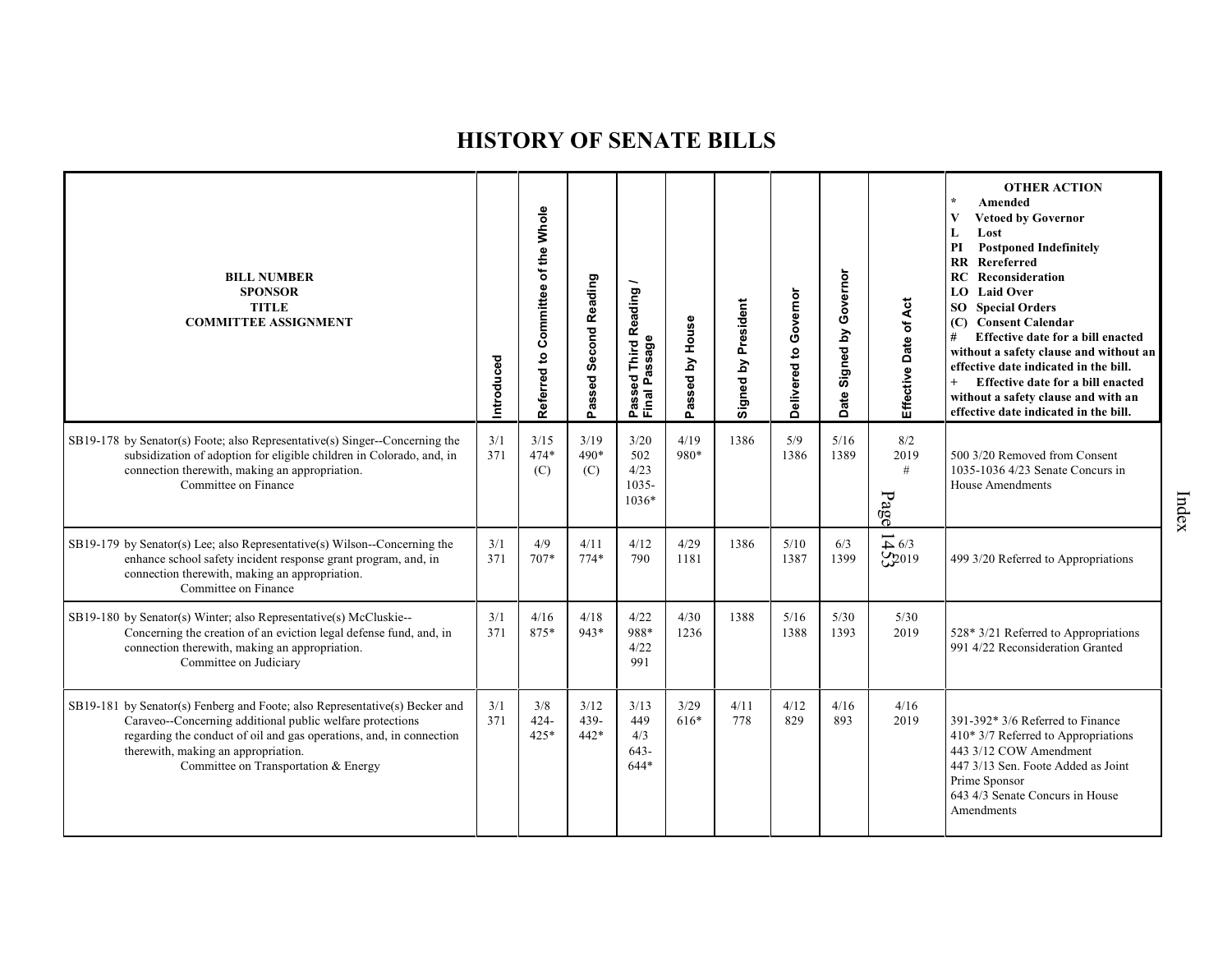| <b>BILL NUMBER</b><br><b>SPONSOR</b><br><b>TITLE</b><br><b>COMMITTEE ASSIGNMENT</b>                                                                                                                                                                                                            | Introduced | of the Whole<br>Committee<br>$\mathbf{S}$<br>Referred | Passed Second Reading  | Passed Third Reading<br>Final Passage   | House<br>assed by<br>Ő. | Signed by President | Governor<br>Delivered to | Governor<br>ate Signed by<br>$\Omega$ | Effective Date of Act             | <b>OTHER ACTION</b><br>Amended<br><b>Vetoed by Governor</b><br>Lost<br>L<br>PI<br><b>Postponed Indefinitely</b><br>Rereferred<br><b>RR</b><br>RC<br>Reconsideration<br><b>Laid Over</b><br>LO<br><b>SO</b> Special Orders<br>(C) Consent Calendar<br>#<br>Effective date for a bill enacted<br>without a safety clause and without an<br>effective date indicated in the bill.<br>$+$<br>Effective date for a bill enacted<br>without a safety clause and with an<br>effective date indicated in the bill. |
|------------------------------------------------------------------------------------------------------------------------------------------------------------------------------------------------------------------------------------------------------------------------------------------------|------------|-------------------------------------------------------|------------------------|-----------------------------------------|-------------------------|---------------------|--------------------------|---------------------------------------|-----------------------------------|------------------------------------------------------------------------------------------------------------------------------------------------------------------------------------------------------------------------------------------------------------------------------------------------------------------------------------------------------------------------------------------------------------------------------------------------------------------------------------------------------------|
| SB19-178 by Senator(s) Foote; also Representative(s) Singer--Concerning the<br>subsidization of adoption for eligible children in Colorado, and, in<br>connection therewith, making an appropriation.<br>Committee on Finance                                                                  | 3/1<br>371 | 3/15<br>$474*$<br>(C)                                 | 3/19<br>490*<br>(C)    | 3/20<br>502<br>4/23<br>1035-<br>$1036*$ | 4/19<br>980*            | 1386                | 5/9<br>1386              | 5/16<br>1389                          | 8/2<br>2019<br>$\#$<br>Page       | 500 3/20 Removed from Consent<br>1035-1036 4/23 Senate Concurs in<br><b>House Amendments</b>                                                                                                                                                                                                                                                                                                                                                                                                               |
| $SB19-179$ by Senator(s) Lee; also Representative(s) Wilson--Concerning the<br>enhance school safety incident response grant program, and, in<br>connection therewith, making an appropriation.<br>Committee on Finance                                                                        | 3/1<br>371 | 4/9<br>$707*$                                         | 4/11<br>$774*$         | 4/12<br>790                             | 4/29<br>1181            | 1386                | 5/10<br>1387             | 6/3<br>1399                           | $\overrightarrow{4}$ 6/3<br>C2019 | 499 3/20 Referred to Appropriations                                                                                                                                                                                                                                                                                                                                                                                                                                                                        |
| SB19-180 by Senator(s) Winter; also Representative(s) McCluskie--<br>Concerning the creation of an eviction legal defense fund, and, in<br>connection therewith, making an appropriation.<br>Committee on Judiciary                                                                            | 3/1<br>371 | 4/16<br>875*                                          | 4/18<br>943*           | 4/22<br>988*<br>4/22<br>991             | 4/30<br>1236            | 1388                | 5/16<br>1388             | $5/30$<br>1393                        | 5/30<br>2019                      | 528* 3/21 Referred to Appropriations<br>991 4/22 Reconsideration Granted                                                                                                                                                                                                                                                                                                                                                                                                                                   |
| SB19-181 by Senator(s) Fenberg and Foote; also Representative(s) Becker and<br>Caraveo--Concerning additional public welfare protections<br>regarding the conduct of oil and gas operations, and, in connection<br>therewith, making an appropriation.<br>Committee on Transportation & Energy | 3/1<br>371 | 3/8<br>$424 -$<br>$425*$                              | 3/12<br>439-<br>$442*$ | 3/13<br>449<br>4/3<br>$643-$<br>$644*$  | 3/29<br>616*            | 4/11<br>778         | 4/12<br>829              | 4/16<br>893                           | 4/16<br>2019                      | 391-392* 3/6 Referred to Finance<br>410* 3/7 Referred to Appropriations<br>443 3/12 COW Amendment<br>447 3/13 Sen. Foote Added as Joint<br>Prime Sponsor<br>643 4/3 Senate Concurs in House<br>Amendments                                                                                                                                                                                                                                                                                                  |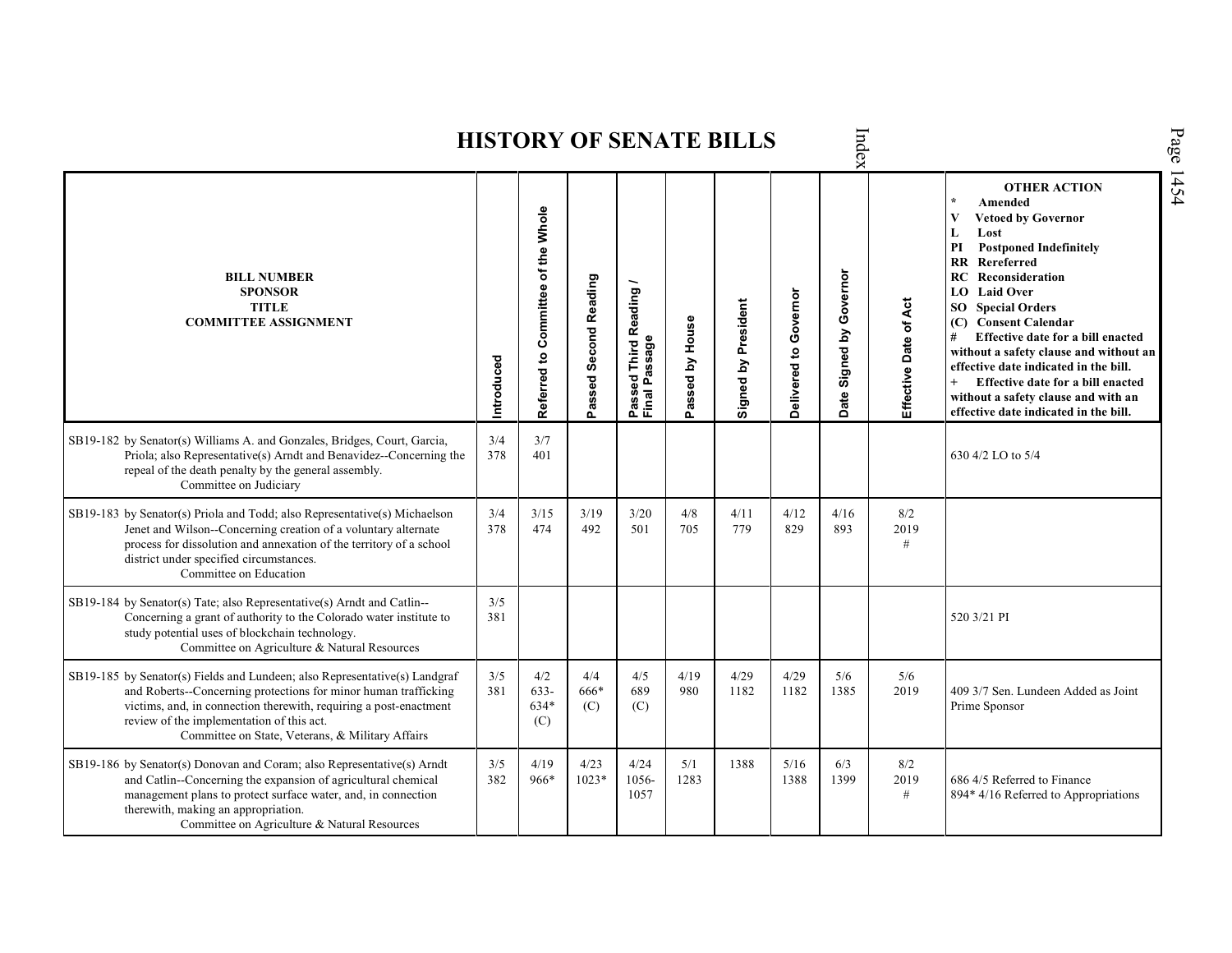|                                                                                                                                                                                                                                                                                                                     |            |                                    |                       |                                                              |                 | HISTORY OF SENATE BILLS |                       | ndex                           |                       |                                                                                                                                                                                                                                                                                                                                                                                                                                                                                                                                |
|---------------------------------------------------------------------------------------------------------------------------------------------------------------------------------------------------------------------------------------------------------------------------------------------------------------------|------------|------------------------------------|-----------------------|--------------------------------------------------------------|-----------------|-------------------------|-----------------------|--------------------------------|-----------------------|--------------------------------------------------------------------------------------------------------------------------------------------------------------------------------------------------------------------------------------------------------------------------------------------------------------------------------------------------------------------------------------------------------------------------------------------------------------------------------------------------------------------------------|
| <b>BILL NUMBER</b><br><b>SPONSOR</b><br><b>TITLE</b><br><b>COMMITTEE ASSIGNMENT</b>                                                                                                                                                                                                                                 | Introduced | Referred to Committee of the Whole | Passed Second Reading | Reading<br>ssage<br>Third<br>ರ<br>o.<br>Ō<br>Passe<br>Finall | Passed by House | Signed by President     | Delivered to Governor | Governor<br>Signed by<br>Date: | Effective Date of Act | <b>OTHER ACTION</b><br>$\star$<br>Amended<br>$\bf{V}$<br><b>Vetoed by Governor</b><br>Lost<br>L<br><b>Postponed Indefinitely</b><br>PI<br><b>RR</b> Rereferred<br>Reconsideration<br>RC<br><b>LO</b> Laid Over<br><b>SO</b> Special Orders<br>(C) Consent Calendar<br>Effective date for a bill enacted<br>#<br>without a safety clause and without an<br>effective date indicated in the bill.<br>$^{+}$<br>Effective date for a bill enacted<br>without a safety clause and with an<br>effective date indicated in the bill. |
| SB19-182 by Senator(s) Williams A. and Gonzales, Bridges, Court, Garcia,<br>Priola; also Representative(s) Arndt and Benavidez--Concerning the<br>repeal of the death penalty by the general assembly.<br>Committee on Judiciary                                                                                    | 3/4<br>378 | 3/7<br>401                         |                       |                                                              |                 |                         |                       |                                |                       | 630 4/2 LO to 5/4                                                                                                                                                                                                                                                                                                                                                                                                                                                                                                              |
| SB19-183 by Senator(s) Priola and Todd; also Representative(s) Michaelson<br>Jenet and Wilson--Concerning creation of a voluntary alternate<br>process for dissolution and annexation of the territory of a school<br>district under specified circumstances.<br>Committee on Education                             | 3/4<br>378 | 3/15<br>474                        | 3/19<br>492           | 3/20<br>501                                                  | 4/8<br>705      | 4/11<br>779             | 4/12<br>829           | 4/16<br>893                    | 8/2<br>2019<br>$\#$   |                                                                                                                                                                                                                                                                                                                                                                                                                                                                                                                                |
| SB19-184 by Senator(s) Tate; also Representative(s) Arndt and Catlin--<br>Concerning a grant of authority to the Colorado water institute to<br>study potential uses of blockchain technology.<br>Committee on Agriculture & Natural Resources                                                                      | 3/5<br>381 |                                    |                       |                                                              |                 |                         |                       |                                |                       | 520 3/21 PI                                                                                                                                                                                                                                                                                                                                                                                                                                                                                                                    |
| SB19-185 by Senator(s) Fields and Lundeen; also Representative(s) Landgraf<br>and Roberts--Concerning protections for minor human trafficking<br>victims, and, in connection therewith, requiring a post-enactment<br>review of the implementation of this act.<br>Committee on State, Veterans, & Military Affairs | 3/5<br>381 | 4/2<br>633-<br>634*<br>(C)         | 4/4<br>666*<br>(C)    | 4/5<br>689<br>(C)                                            | 4/19<br>980     | 4/29<br>1182            | 4/29<br>1182          | 5/6<br>1385                    | 5/6<br>2019           | 409 3/7 Sen. Lundeen Added as Joint<br>Prime Sponsor                                                                                                                                                                                                                                                                                                                                                                                                                                                                           |
| SB19-186 by Senator(s) Donovan and Coram; also Representative(s) Arndt<br>and Catlin--Concerning the expansion of agricultural chemical<br>management plans to protect surface water, and, in connection<br>therewith, making an appropriation.<br>Committee on Agriculture & Natural Resources                     | 3/5<br>382 | 4/19<br>966*                       | 4/23<br>1023*         | 4/24<br>1056-<br>1057                                        | 5/1<br>1283     | 1388                    | 5/16<br>1388          | 6/3<br>1399                    | 8/2<br>2019<br>#      | 686 4/5 Referred to Finance<br>894* 4/16 Referred to Appropriations                                                                                                                                                                                                                                                                                                                                                                                                                                                            |

 $\mathbf{h}$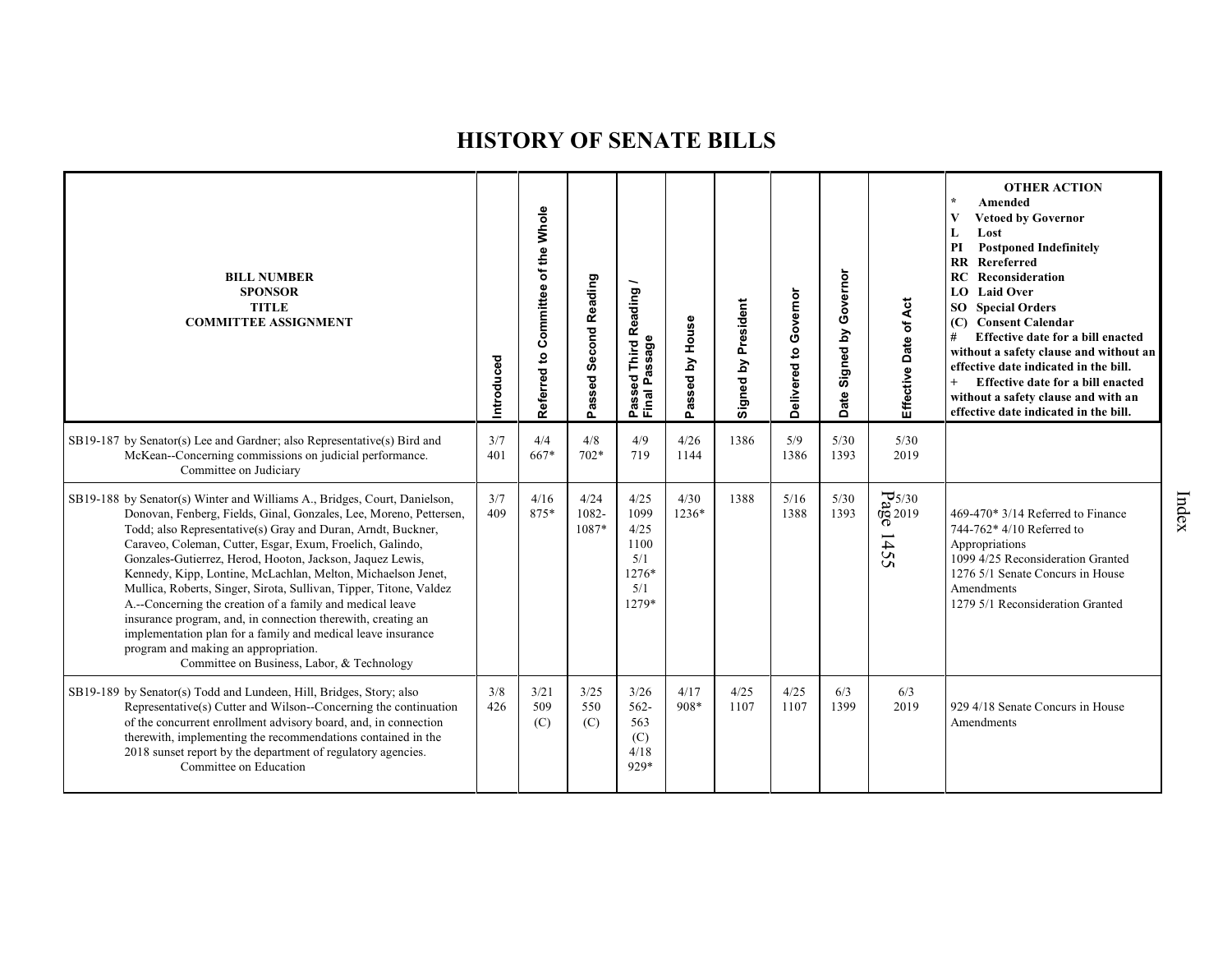| <b>BILL NUMBER</b><br><b>SPONSOR</b><br><b>TITLE</b><br><b>COMMITTEE ASSIGNMENT</b>                                                                                                                                                                                                                                                                                                                                                                                                                                                                                                                                                                                                                                                                                | Introduced | of the Whole<br>Committee<br>Referred to | Passed Second Reading  | ~<br>Reading<br>Passeu<br>Final Passage                      | House<br>$\mathbf{\Sigma}$<br>assed<br>Ő. | Signed by President | Governor<br>Delivered to | Governor<br>Signed by<br>ate<br>$\Omega$ | Effective Date of Act                            | <b>OTHER ACTION</b><br>Amended<br><b>Vetoed by Governor</b><br>V<br>Lost<br>L<br><b>Postponed Indefinitely</b><br>PI<br><b>RR</b> Rereferred<br>Reconsideration<br>RC<br><b>LO</b> Laid Over<br><b>SO</b> Special Orders<br><b>Consent Calendar</b><br>(C)<br>#<br>Effective date for a bill enacted<br>without a safety clause and without an<br>effective date indicated in the bill.<br>Effective date for a bill enacted<br>$^{+}$<br>without a safety clause and with an<br>effective date indicated in the bill. |
|--------------------------------------------------------------------------------------------------------------------------------------------------------------------------------------------------------------------------------------------------------------------------------------------------------------------------------------------------------------------------------------------------------------------------------------------------------------------------------------------------------------------------------------------------------------------------------------------------------------------------------------------------------------------------------------------------------------------------------------------------------------------|------------|------------------------------------------|------------------------|--------------------------------------------------------------|-------------------------------------------|---------------------|--------------------------|------------------------------------------|--------------------------------------------------|------------------------------------------------------------------------------------------------------------------------------------------------------------------------------------------------------------------------------------------------------------------------------------------------------------------------------------------------------------------------------------------------------------------------------------------------------------------------------------------------------------------------|
| SB19-187 by Senator(s) Lee and Gardner; also Representative(s) Bird and<br>McKean--Concerning commissions on judicial performance.<br>Committee on Judiciary                                                                                                                                                                                                                                                                                                                                                                                                                                                                                                                                                                                                       | 3/7<br>401 | 4/4<br>667*                              | 4/8<br>$702*$          | 4/9<br>719                                                   | 4/26<br>1144                              | 1386                | 5/9<br>1386              | 5/30<br>1393                             | 5/30<br>2019                                     |                                                                                                                                                                                                                                                                                                                                                                                                                                                                                                                        |
| SB19-188 by Senator(s) Winter and Williams A., Bridges, Court, Danielson,<br>Donovan, Fenberg, Fields, Ginal, Gonzales, Lee, Moreno, Pettersen,<br>Todd; also Representative(s) Gray and Duran, Arndt, Buckner,<br>Caraveo, Coleman, Cutter, Esgar, Exum, Froelich, Galindo,<br>Gonzales-Gutierrez, Herod, Hooton, Jackson, Jaquez Lewis,<br>Kennedy, Kipp, Lontine, McLachlan, Melton, Michaelson Jenet,<br>Mullica, Roberts, Singer, Sirota, Sullivan, Tipper, Titone, Valdez<br>A.--Concerning the creation of a family and medical leave<br>insurance program, and, in connection therewith, creating an<br>implementation plan for a family and medical leave insurance<br>program and making an appropriation.<br>Committee on Business, Labor, & Technology | 3/7<br>409 | 4/16<br>875*                             | 4/24<br>1082-<br>1087* | 4/25<br>1099<br>4/25<br>1100<br>5/1<br>1276*<br>5/1<br>1279* | 4/30<br>1236*                             | 1388                | 5/16<br>1388             | 5/30<br>1393                             | $\frac{1}{6}$ 5/30<br>$\frac{25}{30}$<br>42<br>S | $469-470*3/14$ Referred to Finance<br>744-762* 4/10 Referred to<br>Appropriations<br>1099 4/25 Reconsideration Granted<br>1276 5/1 Senate Concurs in House<br>Amendments<br>1279 5/1 Reconsideration Granted                                                                                                                                                                                                                                                                                                           |
| SB19-189 by Senator(s) Todd and Lundeen, Hill, Bridges, Story; also<br>Representative(s) Cutter and Wilson--Concerning the continuation<br>of the concurrent enrollment advisory board, and, in connection<br>therewith, implementing the recommendations contained in the<br>2018 sunset report by the department of regulatory agencies.<br>Committee on Education                                                                                                                                                                                                                                                                                                                                                                                               | 3/8<br>426 | 3/21<br>509<br>(C)                       | 3/25<br>550<br>(C)     | 3/26<br>$562 -$<br>563<br>(C)<br>4/18<br>929*                | 4/17<br>908*                              | 4/25<br>1107        | 4/25<br>1107             | 6/3<br>1399                              | 6/3<br>2019                                      | 929 4/18 Senate Concurs in House<br>Amendments                                                                                                                                                                                                                                                                                                                                                                                                                                                                         |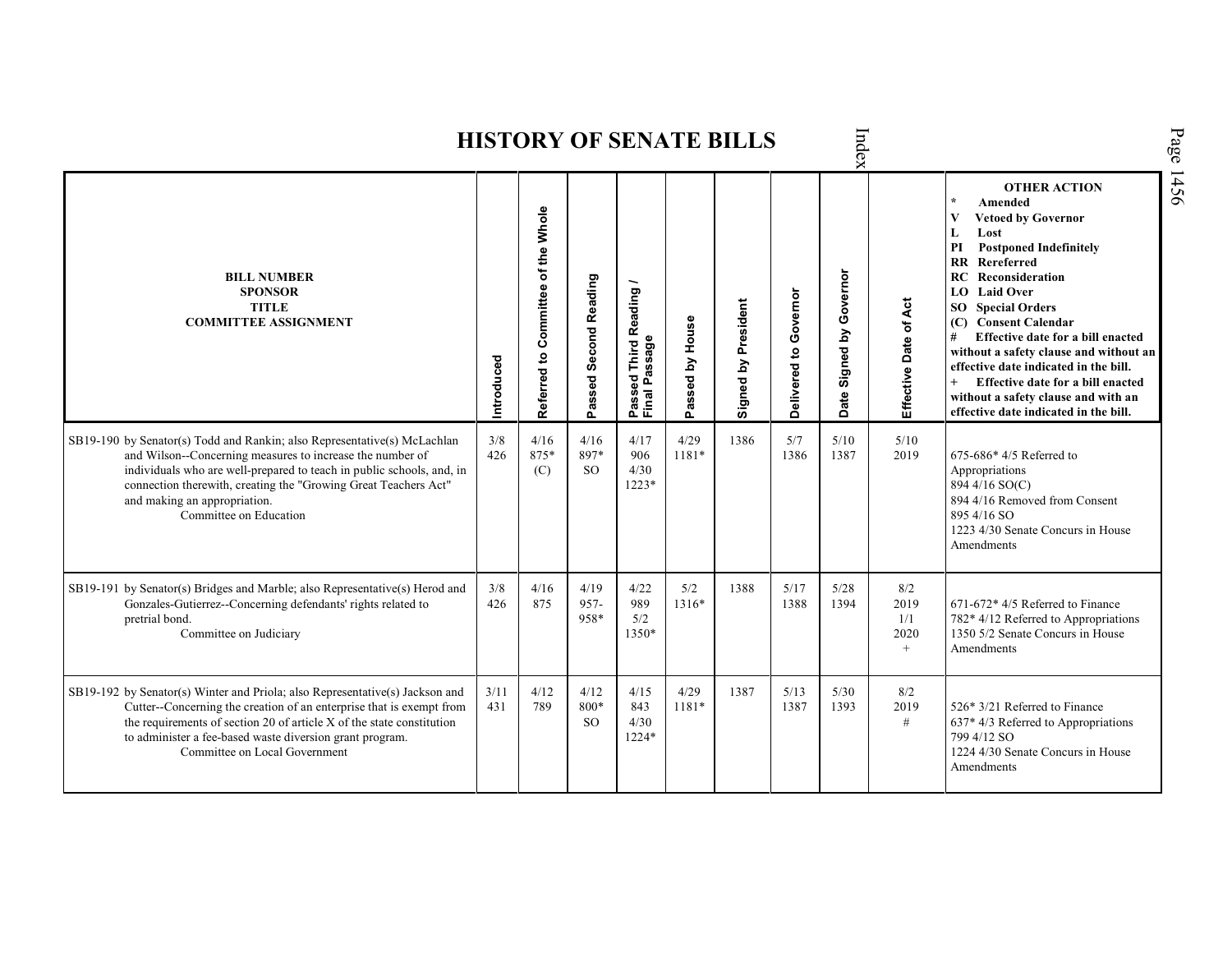|                                                                                                                                                                                                                                                                                                                                             |             |                                                    |                               |                                       |                 | <b>HISTORY OF SENATE BILLS</b> |                       | Index                                    |                                   |                                                                                                                                                                                                                                                                                                                                                                                                                                                                                                      | Page |
|---------------------------------------------------------------------------------------------------------------------------------------------------------------------------------------------------------------------------------------------------------------------------------------------------------------------------------------------|-------------|----------------------------------------------------|-------------------------------|---------------------------------------|-----------------|--------------------------------|-----------------------|------------------------------------------|-----------------------------------|------------------------------------------------------------------------------------------------------------------------------------------------------------------------------------------------------------------------------------------------------------------------------------------------------------------------------------------------------------------------------------------------------------------------------------------------------------------------------------------------------|------|
| <b>BILL NUMBER</b><br><b>SPONSOR</b><br><b>TITLE</b><br><b>COMMITTEE ASSIGNMENT</b>                                                                                                                                                                                                                                                         | Introduced  | Committee of the Whole<br>$\mathbf{S}$<br>Referred | Passed Second Reading         | Passed Third Reading<br>Final Passage | Passed by House | Signed by President            | Delivered to Governor | Governor<br>Signed by<br>ate<br>$\Omega$ | Effective Date of Act             | <b>OTHER ACTION</b><br>Amended<br><b>Vetoed by Governor</b><br>Lost<br>L<br><b>Postponed Indefinitely</b><br>PI<br>Rereferred<br><b>RR</b><br>Reconsideration<br>RC<br>LO Laid Over<br><b>Special Orders</b><br>SO.<br>(C) Consent Calendar<br>Effective date for a bill enacted<br>#<br>without a safety clause and without an<br>effective date indicated in the bill.<br>$+$<br>Effective date for a bill enacted<br>without a safety clause and with an<br>effective date indicated in the bill. | 1456 |
| SB19-190 by Senator(s) Todd and Rankin; also Representative(s) McLachlan<br>and Wilson--Concerning measures to increase the number of<br>individuals who are well-prepared to teach in public schools, and, in<br>connection therewith, creating the "Growing Great Teachers Act"<br>and making an appropriation.<br>Committee on Education | 3/8<br>426  | 4/16<br>875*<br>(C)                                | 4/16<br>897*<br><sub>SO</sub> | 4/17<br>906<br>4/30<br>$1223*$        | 4/29<br>1181*   | 1386                           | 5/7<br>1386           | 5/10<br>1387                             | 5/10<br>2019                      | $675-686*4/5$ Referred to<br>Appropriations<br>894 4/16 SO(C)<br>894 4/16 Removed from Consent<br>895 4/16 SO<br>1223 4/30 Senate Concurs in House<br>Amendments                                                                                                                                                                                                                                                                                                                                     |      |
| SB19-191 by Senator(s) Bridges and Marble; also Representative(s) Herod and<br>Gonzales-Gutierrez--Concerning defendants' rights related to<br>pretrial bond.<br>Committee on Judiciary                                                                                                                                                     | 3/8<br>426  | 4/16<br>875                                        | 4/19<br>957-<br>958*          | 4/22<br>989<br>5/2<br>1350*           | 5/2<br>1316*    | 1388                           | 5/17<br>1388          | 5/28<br>1394                             | 8/2<br>2019<br>1/1<br>2020<br>$+$ | 671-672* 4/5 Referred to Finance<br>782* 4/12 Referred to Appropriations<br>1350 5/2 Senate Concurs in House<br>Amendments                                                                                                                                                                                                                                                                                                                                                                           |      |
| SB19-192 by Senator(s) Winter and Priola; also Representative(s) Jackson and<br>Cutter--Concerning the creation of an enterprise that is exempt from<br>the requirements of section 20 of article X of the state constitution<br>to administer a fee-based waste diversion grant program.<br>Committee on Local Government                  | 3/11<br>431 | 4/12<br>789                                        | 4/12<br>800*<br><sub>SO</sub> | 4/15<br>843<br>4/30<br>1224*          | 4/29<br>1181*   | 1387                           | 5/13<br>1387          | 5/30<br>1393                             | 8/2<br>2019<br>$\#$               | 526* 3/21 Referred to Finance<br>$637*4/3$ Referred to Appropriations<br>799 4/12 SO<br>1224 4/30 Senate Concurs in House<br>Amendments                                                                                                                                                                                                                                                                                                                                                              |      |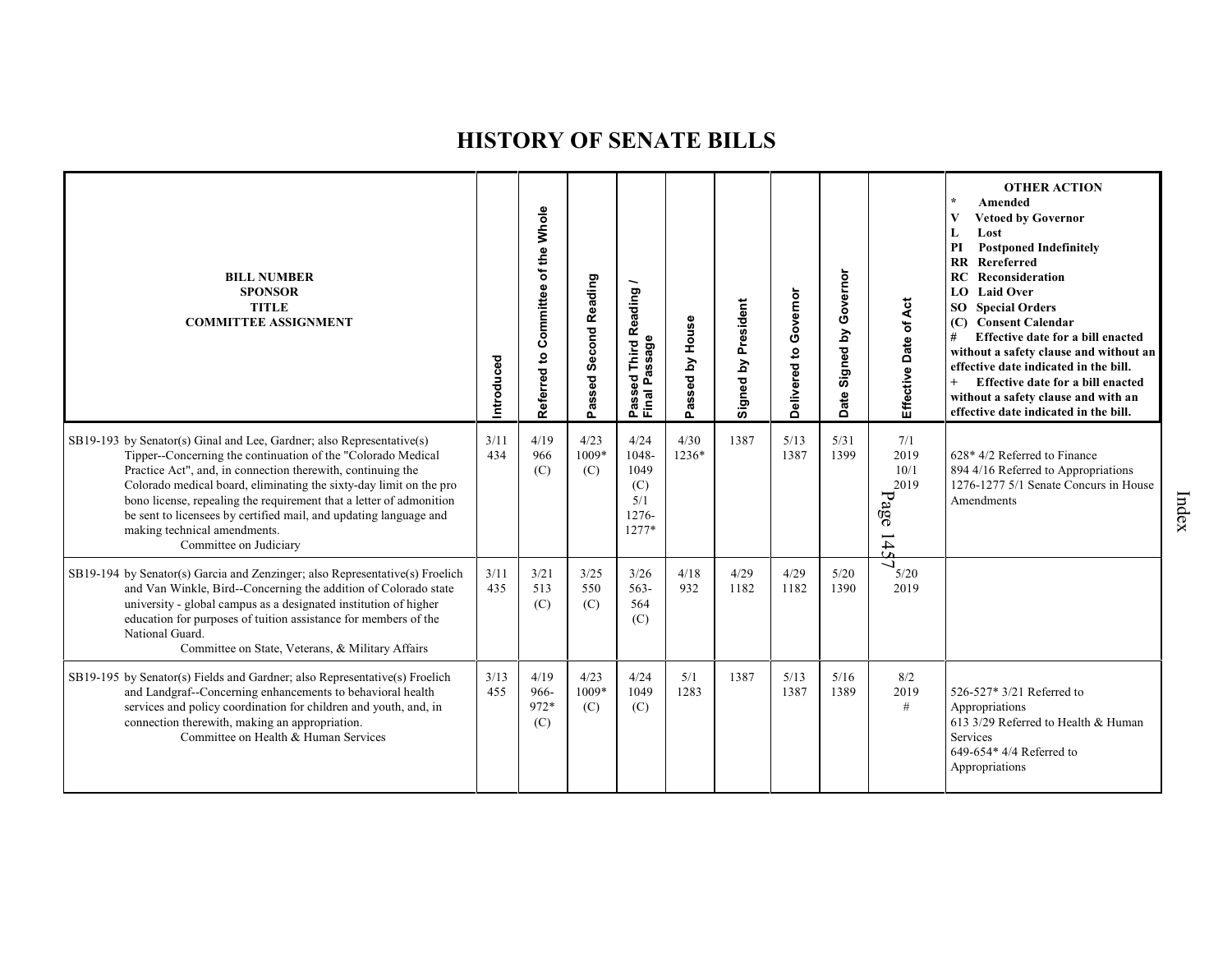| <b>BILL NUMBER</b><br><b>SPONSOR</b><br><b>TITLE</b><br><b>COMMITTEE ASSIGNMENT</b>                                                                                                                                                                                                                                                                                                                                                                                              | Introduced  | Referred to Committee of the Whole | Passed Second Reading | Reading<br>Passage<br>Third<br>ಕ್ಷ<br>Passe<br>Final       | assed by House<br>o. | President<br>Signed by | Governor<br>Delivered to | Governor<br>Signed by<br><b>Date</b> | Effective Date of Act                      | <b>OTHER ACTION</b><br>Amended<br>V<br><b>Vetoed by Governor</b><br>Lost<br>L<br>PI<br><b>Postponed Indefinitely</b><br><b>RR</b> Rereferred<br>RC<br>Reconsideration<br><b>Laid Over</b><br>LO.<br>SO<br><b>Special Orders</b><br>(C) Consent Calendar<br>Effective date for a bill enacted<br>#<br>without a safety clause and without an<br>effective date indicated in the bill.<br>$+$<br>Effective date for a bill enacted<br>without a safety clause and with an<br>effective date indicated in the bill. |
|----------------------------------------------------------------------------------------------------------------------------------------------------------------------------------------------------------------------------------------------------------------------------------------------------------------------------------------------------------------------------------------------------------------------------------------------------------------------------------|-------------|------------------------------------|-----------------------|------------------------------------------------------------|----------------------|------------------------|--------------------------|--------------------------------------|--------------------------------------------|------------------------------------------------------------------------------------------------------------------------------------------------------------------------------------------------------------------------------------------------------------------------------------------------------------------------------------------------------------------------------------------------------------------------------------------------------------------------------------------------------------------|
| SB19-193 by Senator(s) Ginal and Lee, Gardner; also Representative(s)<br>Tipper--Concerning the continuation of the "Colorado Medical<br>Practice Act", and, in connection therewith, continuing the<br>Colorado medical board, eliminating the sixty-day limit on the pro<br>bono license, repealing the requirement that a letter of admonition<br>be sent to licensees by certified mail, and updating language and<br>making technical amendments.<br>Committee on Judiciary | 3/11<br>434 | 4/19<br>966<br>(C)                 | 4/23<br>1009*<br>(C)  | 4/24<br>1048-<br>1049<br>(C)<br>5/1<br>$1276 -$<br>$1277*$ | 4/30<br>1236*        | 1387                   | 5/13<br>1387             | 5/31<br>1399                         | 7/1<br>2019<br>10/1<br>2019<br>Page<br>145 | 628* 4/2 Referred to Finance<br>894 4/16 Referred to Appropriations<br>1276-1277 5/1 Senate Concurs in House<br>Amendments                                                                                                                                                                                                                                                                                                                                                                                       |
| SB19-194 by Senator(s) Garcia and Zenzinger; also Representative(s) Froelich<br>and Van Winkle, Bird--Concerning the addition of Colorado state<br>university - global campus as a designated institution of higher<br>education for purposes of tuition assistance for members of the<br>National Guard.<br>Committee on State, Veterans, & Military Affairs                                                                                                                    | 3/11<br>435 | 3/21<br>513<br>(C)                 | 3/25<br>550<br>(C)    | 3/26<br>$563-$<br>564<br>(C)                               | 4/18<br>932          | 4/29<br>1182           | 4/29<br>1182             | 5/20<br>1390                         | ر<br>5/20<br>2019                          |                                                                                                                                                                                                                                                                                                                                                                                                                                                                                                                  |
| SB19-195 by Senator(s) Fields and Gardner; also Representative(s) Froelich<br>and Landgraf--Concerning enhancements to behavioral health<br>services and policy coordination for children and youth, and, in<br>connection therewith, making an appropriation.<br>Committee on Health & Human Services                                                                                                                                                                           | 3/13<br>455 | 4/19<br>966-<br>972*<br>(C)        | 4/23<br>1009*<br>(C)  | 4/24<br>1049<br>(C)                                        | 5/1<br>1283          | 1387                   | 5/13<br>1387             | 5/16<br>1389                         | 8/2<br>2019<br>#                           | 526-527* 3/21 Referred to<br>Appropriations<br>613 3/29 Referred to Health & Human<br>Services<br>649-654* 4/4 Referred to<br>Appropriations                                                                                                                                                                                                                                                                                                                                                                     |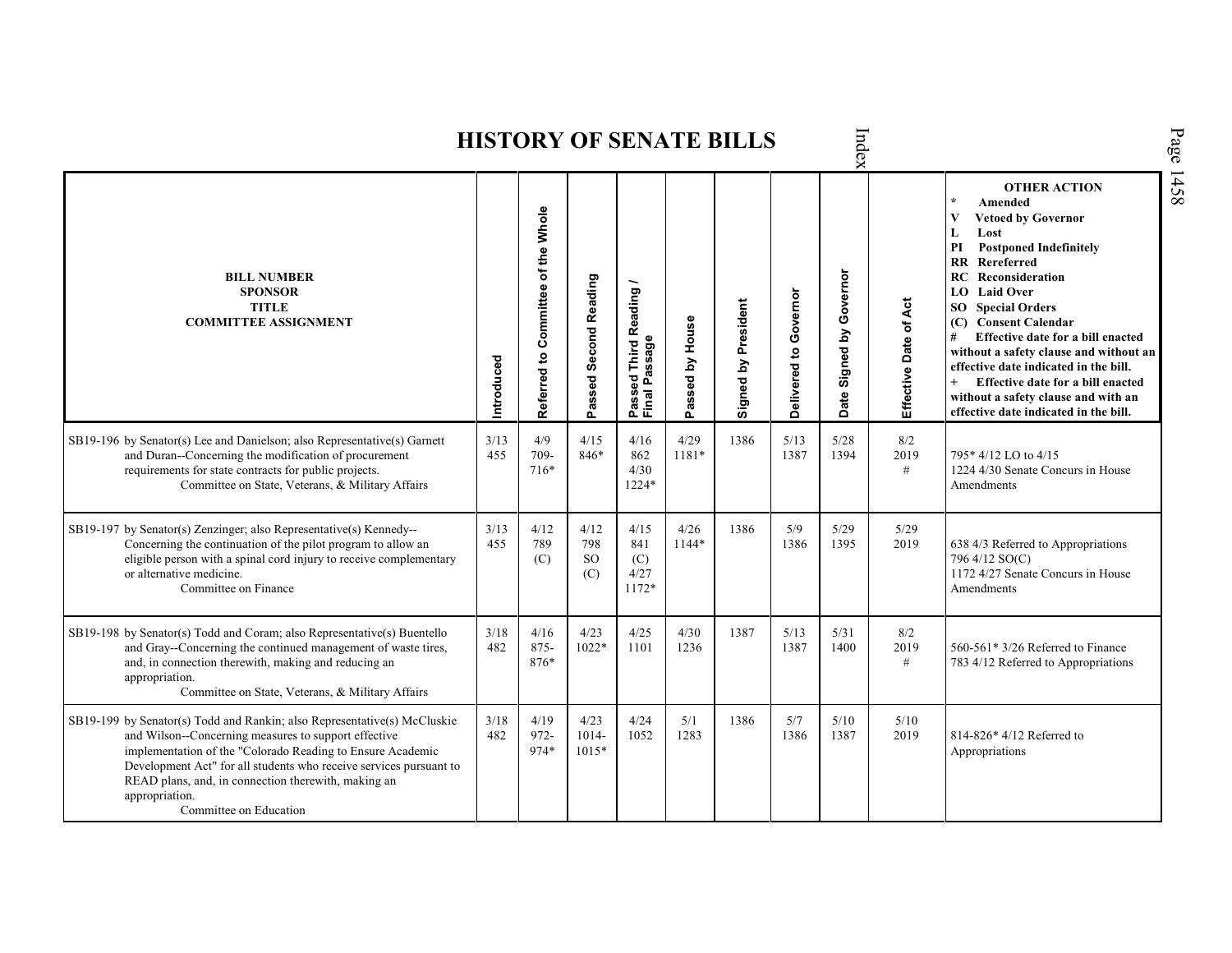| Page<br>Index<br><b>HISTORY OF SENATE BILLS</b>                                                                                                                                                                                                                                                                                                                         |             |                                    |                           |                                         |                 |                     |                       |                            |                       |                                                                                                                                                                                                                                                                                                                                                                                                                                                                                                                     |      |  |  |  |
|-------------------------------------------------------------------------------------------------------------------------------------------------------------------------------------------------------------------------------------------------------------------------------------------------------------------------------------------------------------------------|-------------|------------------------------------|---------------------------|-----------------------------------------|-----------------|---------------------|-----------------------|----------------------------|-----------------------|---------------------------------------------------------------------------------------------------------------------------------------------------------------------------------------------------------------------------------------------------------------------------------------------------------------------------------------------------------------------------------------------------------------------------------------------------------------------------------------------------------------------|------|--|--|--|
| <b>BILL NUMBER</b><br><b>SPONSOR</b><br><b>TITLE</b><br><b>COMMITTEE ASSIGNMENT</b>                                                                                                                                                                                                                                                                                     | Introduced  | Referred to Committee of the Whole | Passed Second Reading     | Passed Third Reading /<br>Final Passage | Passed by House | Signed by President | Delivered to Governor | Governor<br>Date Signed by | Effective Date of Act | <b>OTHER ACTION</b><br>$\star$<br>Amended<br><b>Vetoed by Governor</b><br>V<br>Lost<br>L<br><b>Postponed Indefinitely</b><br>PI<br>Rereferred<br>$\mathbf{R}$<br>RC<br>Reconsideration<br>LO Laid Over<br><b>SO</b> Special Orders<br>(C) Consent Calendar<br>Effective date for a bill enacted<br>#<br>without a safety clause and without an<br>effective date indicated in the bill.<br>$+$<br>Effective date for a bill enacted<br>without a safety clause and with an<br>effective date indicated in the bill. | 1458 |  |  |  |
| SB19-196 by Senator(s) Lee and Danielson; also Representative(s) Garnett<br>and Duran--Concerning the modification of procurement<br>requirements for state contracts for public projects.<br>Committee on State, Veterans, & Military Affairs                                                                                                                          | 3/13<br>455 | 4/9<br>709-<br>716*                | 4/15<br>846*              | 4/16<br>862<br>4/30<br>1224*            | 4/29<br>1181*   | 1386                | 5/13<br>1387          | 5/28<br>1394               | 8/2<br>2019<br>#      | 795*4/12 LO to 4/15<br>1224 4/30 Senate Concurs in House<br>Amendments                                                                                                                                                                                                                                                                                                                                                                                                                                              |      |  |  |  |
| SB19-197 by Senator(s) Zenzinger; also Representative(s) Kennedy--<br>Concerning the continuation of the pilot program to allow an<br>eligible person with a spinal cord injury to receive complementary<br>or alternative medicine.<br>Committee on Finance                                                                                                            | 3/13<br>455 | 4/12<br>789<br>(C)                 | 4/12<br>798<br>SO.<br>(C) | 4/15<br>841<br>(C)<br>4/27<br>1172*     | 4/26<br>1144*   | 1386                | 5/9<br>1386           | 5/29<br>1395               | 5/29<br>2019          | 638 4/3 Referred to Appropriations<br>796 4/12 SO(C)<br>1172 4/27 Senate Concurs in House<br>Amendments                                                                                                                                                                                                                                                                                                                                                                                                             |      |  |  |  |
| SB19-198 by Senator(s) Todd and Coram; also Representative(s) Buentello<br>and Gray--Concerning the continued management of waste tires,<br>and, in connection therewith, making and reducing an<br>appropriation.<br>Committee on State, Veterans, & Military Affairs                                                                                                  | 3/18<br>482 | 4/16<br>875-<br>876*               | 4/23<br>1022*             | 4/25<br>1101                            | 4/30<br>1236    | 1387                | 5/13<br>1387          | 5/31<br>1400               | 8/2<br>2019<br>#      | 560-561* 3/26 Referred to Finance<br>783 4/12 Referred to Appropriations                                                                                                                                                                                                                                                                                                                                                                                                                                            |      |  |  |  |
| SB19-199 by Senator(s) Todd and Rankin; also Representative(s) McCluskie<br>and Wilson--Concerning measures to support effective<br>implementation of the "Colorado Reading to Ensure Academic<br>Development Act" for all students who receive services pursuant to<br>READ plans, and, in connection therewith, making an<br>appropriation.<br>Committee on Education | 3/18<br>482 | 4/19<br>$972 -$<br>974*            | 4/23<br>1014-<br>$1015*$  | 4/24<br>1052                            | 5/1<br>1283     | 1386                | 5/7<br>1386           | 5/10<br>1387               | 5/10<br>2019          | 814-826* 4/12 Referred to<br>Appropriations                                                                                                                                                                                                                                                                                                                                                                                                                                                                         |      |  |  |  |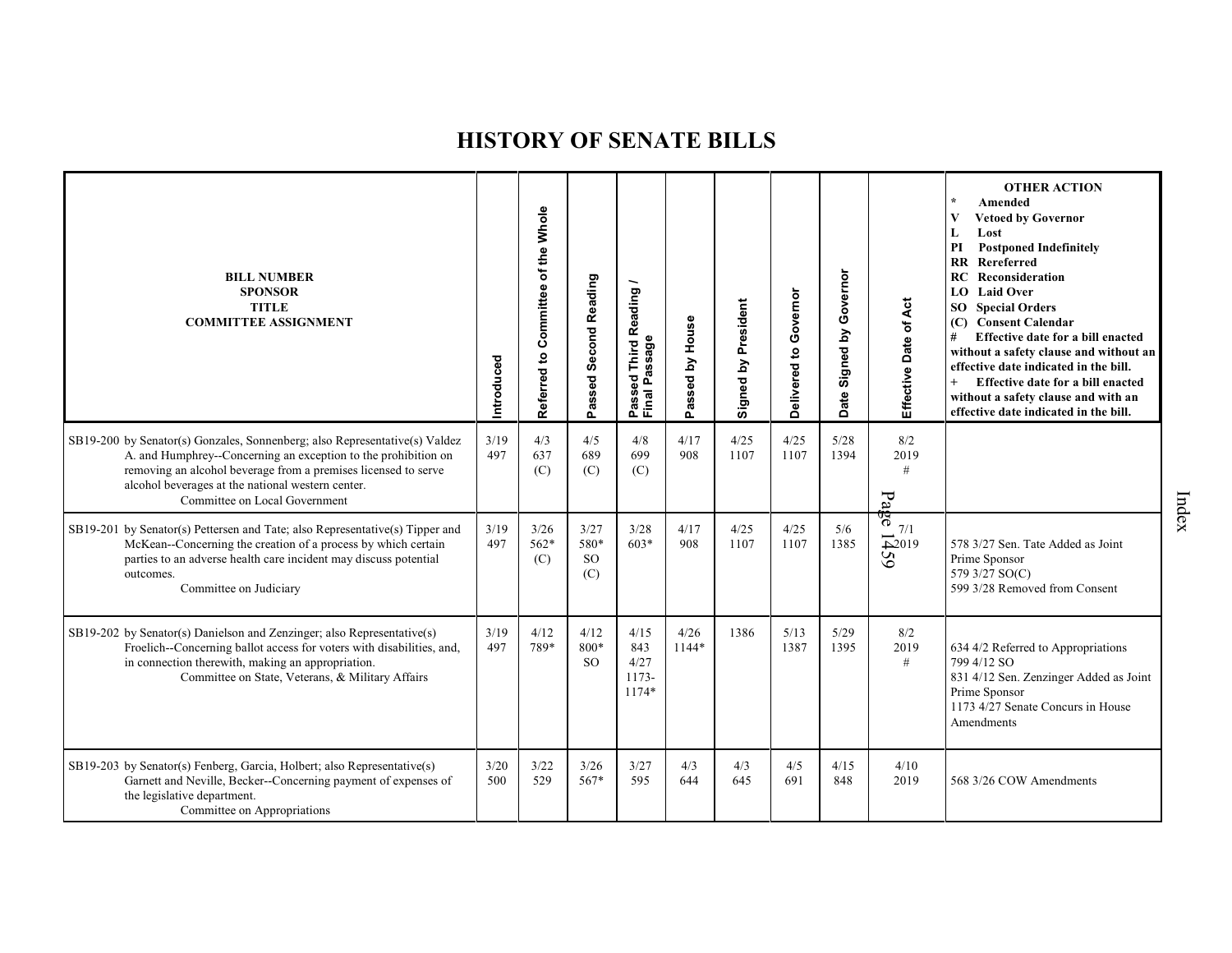| <b>BILL NUMBER</b><br><b>SPONSOR</b><br><b>TITLE</b><br><b>COMMITTEE ASSIGNMENT</b>                                                                                                                                                                                                                  | Introduced  | Committee of the Whole<br>Referred to | Passed Second Reading                | Reading<br>Passeu<br>Final Passage      | Passed by House | Signed by President | Governor<br>Delivered to | Governor<br>Signed by<br>Date: | Effective Date of Act                      | <b>OTHER ACTION</b><br>$\star$<br>Amended<br>$\mathbf{V}$<br><b>Vetoed by Governor</b><br>L<br>Lost<br>PI<br><b>Postponed Indefinitely</b><br>Rereferred<br>$\mathbf{R}$<br>Reconsideration<br>RC<br><b>LO</b> Laid Over<br>SO <sub>2</sub><br><b>Special Orders</b><br><b>Consent Calendar</b><br>(C)<br>#<br>Effective date for a bill enacted<br>without a safety clause and without an<br>effective date indicated in the bill.<br>Effective date for a bill enacted<br>$+$<br>without a safety clause and with an<br>effective date indicated in the bill. |
|------------------------------------------------------------------------------------------------------------------------------------------------------------------------------------------------------------------------------------------------------------------------------------------------------|-------------|---------------------------------------|--------------------------------------|-----------------------------------------|-----------------|---------------------|--------------------------|--------------------------------|--------------------------------------------|-----------------------------------------------------------------------------------------------------------------------------------------------------------------------------------------------------------------------------------------------------------------------------------------------------------------------------------------------------------------------------------------------------------------------------------------------------------------------------------------------------------------------------------------------------------------|
| SB19-200 by Senator(s) Gonzales, Sonnenberg; also Representative(s) Valdez<br>A. and Humphrey--Concerning an exception to the prohibition on<br>removing an alcohol beverage from a premises licensed to serve<br>alcohol beverages at the national western center.<br>Committee on Local Government | 3/19<br>497 | 4/3<br>637<br>(C)                     | 4/5<br>689<br>(C)                    | 4/8<br>699<br>(C)                       | 4/17<br>908     | 4/25<br>1107        | 4/25<br>1107             | 5/28<br>1394                   | 8/2<br>2019<br>#<br>$\mathbf{P}\mathbf{a}$ |                                                                                                                                                                                                                                                                                                                                                                                                                                                                                                                                                                 |
| SB19-201 by Senator(s) Pettersen and Tate; also Representative(s) Tipper and<br>McKean--Concerning the creation of a process by which certain<br>parties to an adverse health care incident may discuss potential<br>outcomes.<br>Committee on Judiciary                                             | 3/19<br>497 | 3/26<br>$562*$<br>(C)                 | 3/27<br>580*<br><sub>SO</sub><br>(C) | 3/28<br>$603*$                          | 4/17<br>908     | 4/25<br>1107        | 4/25<br>1107             | 5/6<br>1385                    | ल्रु<br>7/1<br>52019                       | 578 3/27 Sen. Tate Added as Joint<br>Prime Sponsor<br>579 3/27 SO(C)<br>599 3/28 Removed from Consent                                                                                                                                                                                                                                                                                                                                                                                                                                                           |
| SB19-202 by Senator(s) Danielson and Zenzinger; also Representative(s)<br>Froelich--Concerning ballot access for voters with disabilities, and,<br>in connection therewith, making an appropriation.<br>Committee on State, Veterans, & Military Affairs                                             | 3/19<br>497 | 4/12<br>789*                          | 4/12<br>800*<br><sub>SO</sub>        | 4/15<br>843<br>4/27<br>1173-<br>$1174*$ | 4/26<br>$1144*$ | 1386                | 5/13<br>1387             | 5/29<br>1395                   | 8/2<br>2019<br>#                           | 634 4/2 Referred to Appropriations<br>799 4/12 SO<br>831 4/12 Sen. Zenzinger Added as Joint<br>Prime Sponsor<br>1173 4/27 Senate Concurs in House<br>Amendments                                                                                                                                                                                                                                                                                                                                                                                                 |
| SB19-203 by Senator(s) Fenberg, Garcia, Holbert; also Representative(s)<br>Garnett and Neville, Becker--Concerning payment of expenses of<br>the legislative department.<br>Committee on Appropriations                                                                                              | 3/20<br>500 | 3/22<br>529                           | 3/26<br>$567*$                       | 3/27<br>595                             | 4/3<br>644      | 4/3<br>645          | 4/5<br>691               | 4/15<br>848                    | 4/10<br>2019                               | 568 3/26 COW Amendments                                                                                                                                                                                                                                                                                                                                                                                                                                                                                                                                         |

Index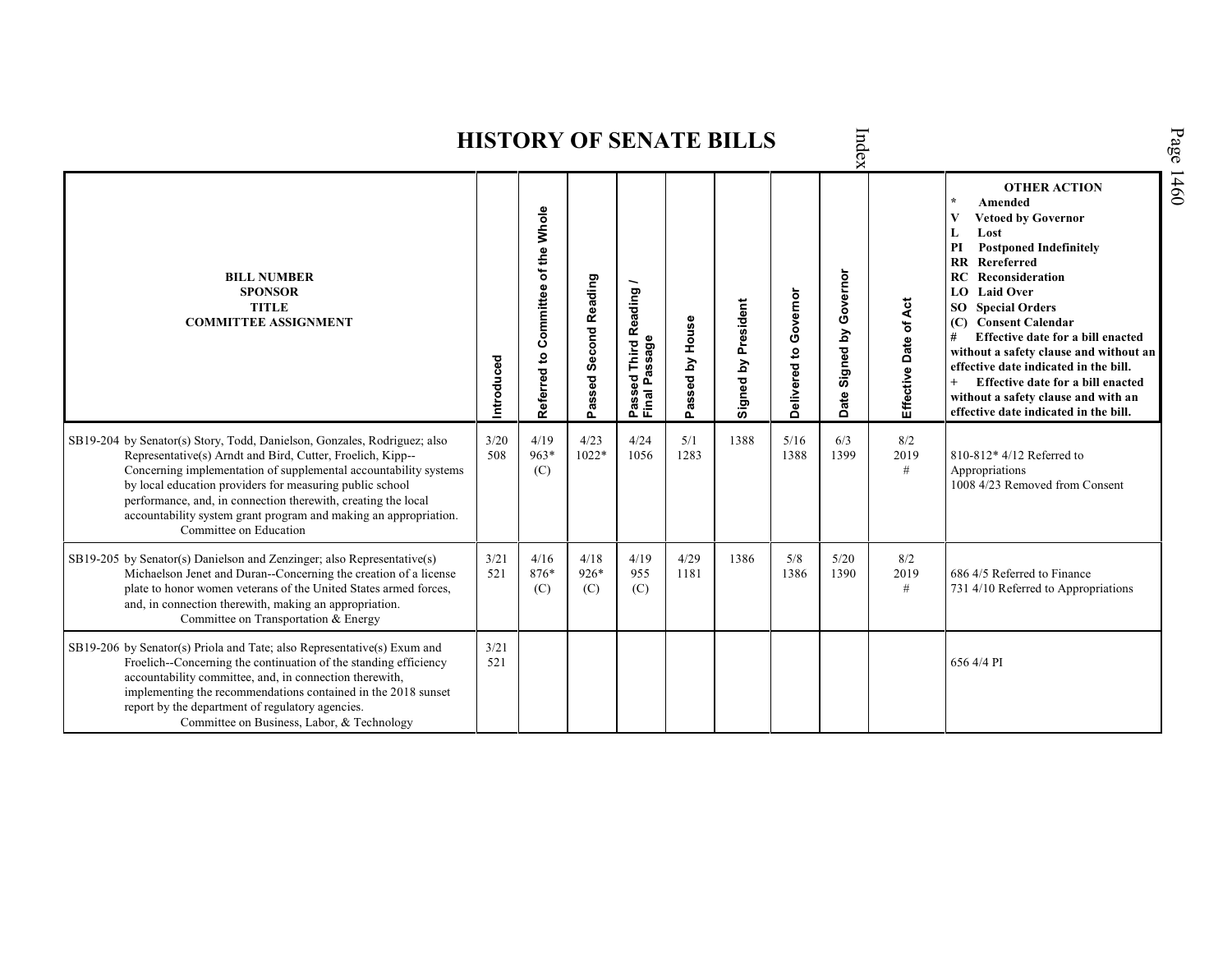|                                                                                                                                                                                                                                                                                                                                                                                                                                       |             |                                    |                                 | $\mathbf{v}$ . Den na Berlin                                               |                    |                     |                       | $\det$                                                    |                          |                                                                                                                                                                                                                                                                                                                                                                                                                                                                                                                  |
|---------------------------------------------------------------------------------------------------------------------------------------------------------------------------------------------------------------------------------------------------------------------------------------------------------------------------------------------------------------------------------------------------------------------------------------|-------------|------------------------------------|---------------------------------|----------------------------------------------------------------------------|--------------------|---------------------|-----------------------|-----------------------------------------------------------|--------------------------|------------------------------------------------------------------------------------------------------------------------------------------------------------------------------------------------------------------------------------------------------------------------------------------------------------------------------------------------------------------------------------------------------------------------------------------------------------------------------------------------------------------|
| <b>BILL NUMBER</b><br><b>SPONSOR</b><br><b>TITLE</b><br><b>COMMITTEE ASSIGNMENT</b>                                                                                                                                                                                                                                                                                                                                                   | Introduced  | Referred to Committee of the Whole | <b>Second Reading</b><br>Passed | eading<br>œ<br>ω<br>Third<br>ăã<br>Š<br>œ<br>ठ<br>௳<br>ō<br>Passe<br>Final | by House<br>Passed | Signed by President | Delivered to Governor | Governor<br>$\mathbf{\tilde{g}}$<br>Signed<br><b>Date</b> | Date of Act<br>Effective | <b>OTHER ACTION</b><br>Amended<br>$\star$<br><b>Vetoed by Governor</b><br>V<br>Lost<br>L<br>PI<br><b>Postponed Indefinitely</b><br><b>RR</b> Rereferred<br>RC<br>Reconsideration<br>LO Laid Over<br><b>SO</b> Special Orders<br>(C) Consent Calendar<br>Effective date for a bill enacted<br>#<br>without a safety clause and without an<br>effective date indicated in the bill.<br>Effective date for a bill enacted<br>$^{+}$<br>without a safety clause and with an<br>effective date indicated in the bill. |
| SB19-204 by Senator(s) Story, Todd, Danielson, Gonzales, Rodriguez; also<br>Representative(s) Arndt and Bird, Cutter, Froelich, Kipp--<br>Concerning implementation of supplemental accountability systems<br>by local education providers for measuring public school<br>performance, and, in connection therewith, creating the local<br>accountability system grant program and making an appropriation.<br>Committee on Education | 3/20<br>508 | 4/19<br>$963*$<br>(C)              | 4/23<br>$1022*$                 | 4/24<br>1056                                                               | 5/1<br>1283        | 1388                | 5/16<br>1388          | 6/3<br>1399                                               | 8/2<br>2019<br>$\#$      | 810-812* 4/12 Referred to<br>Appropriations<br>1008 4/23 Removed from Consent                                                                                                                                                                                                                                                                                                                                                                                                                                    |
| SB19-205 by Senator(s) Danielson and Zenzinger; also Representative(s)<br>Michaelson Jenet and Duran--Concerning the creation of a license<br>plate to honor women veterans of the United States armed forces,<br>and, in connection therewith, making an appropriation.<br>Committee on Transportation & Energy                                                                                                                      | 3/21<br>521 | 4/16<br>876*<br>(C)                | 4/18<br>$926*$<br>(C)           | 4/19<br>955<br>(C)                                                         | 4/29<br>1181       | 1386                | 5/8<br>1386           | 5/20<br>1390                                              | 8/2<br>2019<br>#         | 686 4/5 Referred to Finance<br>731 4/10 Referred to Appropriations                                                                                                                                                                                                                                                                                                                                                                                                                                               |
| SB19-206 by Senator(s) Priola and Tate; also Representative(s) Exum and<br>Froelich--Concerning the continuation of the standing efficiency<br>accountability committee, and, in connection therewith,<br>implementing the recommendations contained in the 2018 sunset<br>report by the department of regulatory agencies.<br>Committee on Business, Labor, & Technology                                                             | 3/21<br>521 |                                    |                                 |                                                                            |                    |                     |                       |                                                           |                          | 656 4/4 PI                                                                                                                                                                                                                                                                                                                                                                                                                                                                                                       |

Page 1460

### **HISTORY OF SENATE BILLS**

 $\Xi$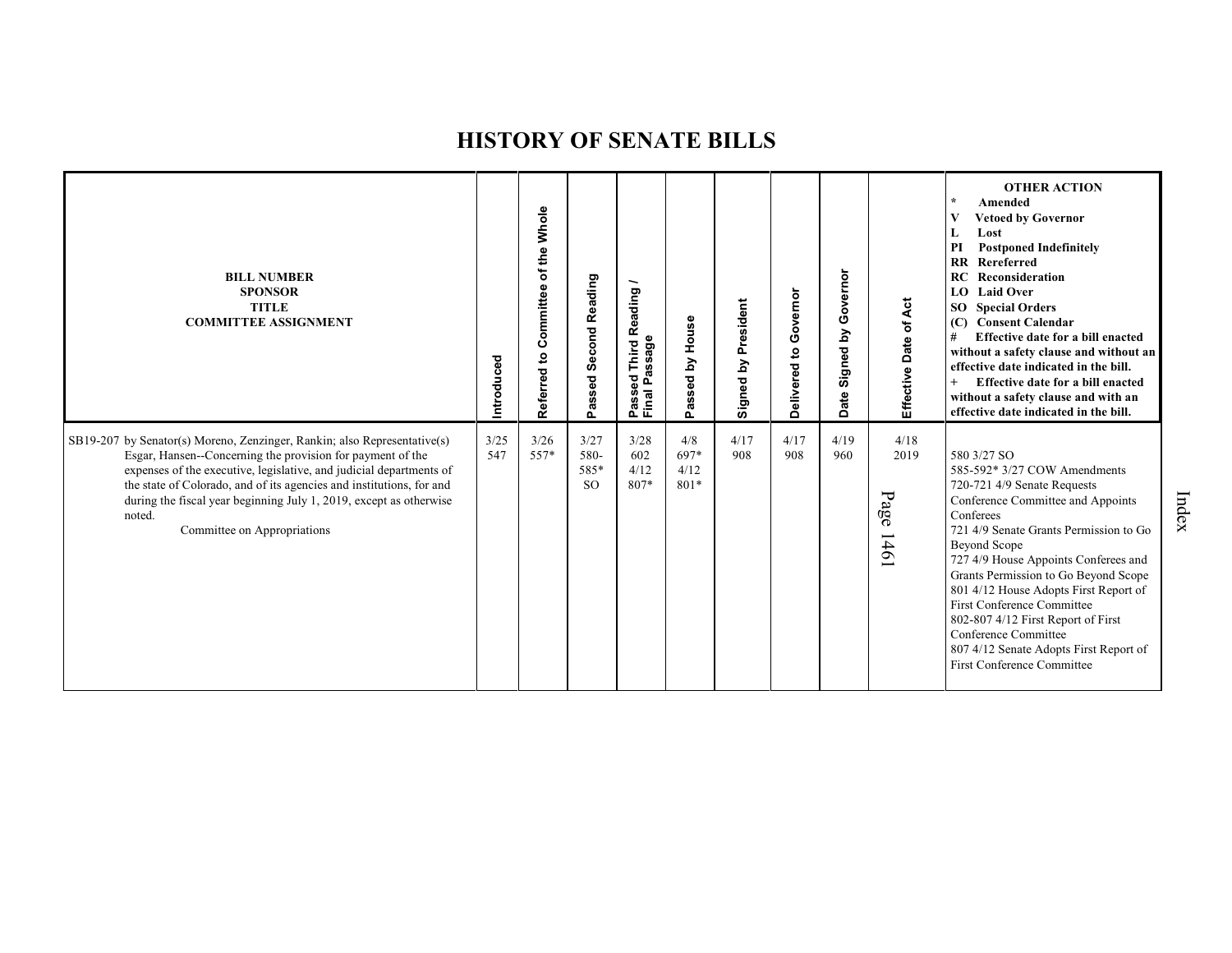| <b>BILL NUMBER</b><br><b>SPONSOR</b><br><b>TITLE</b><br><b>COMMITTEE ASSIGNMENT</b>                                                                                                                                                                                                                                                                                                                  | Introduced  | Referred to Committee of the Whole | <b>Second Reading</b><br>bassed<br>ő. | eading<br>ě<br>ssage<br>Third<br>ä<br>್ಥಾ<br>Ĺ.<br>Final<br><b>SD</b><br>æ<br>ք | House<br>Σ<br>assed<br>ء      | President<br>Signed by | Governor<br>Delivered to | overnor<br>O<br>Signed by<br>Date | Effective Date of Act        | <b>OTHER ACTION</b><br>$\star$<br>Amended<br><b>Vetoed by Governor</b><br>V<br>Lost<br><b>Postponed Indefinitely</b><br>PI<br>Rereferred<br>$\mathbf{R}$<br>Reconsideration<br>RC<br>LO Laid Over<br>SO<br><b>Special Orders</b><br><b>Consent Calendar</b><br>(C)<br>#<br>Effective date for a bill enacted<br>without a safety clause and without an<br>effective date indicated in the bill.<br>Effective date for a bill enacted<br>$^{+}$<br>without a safety clause and with an<br>effective date indicated in the bill. |
|------------------------------------------------------------------------------------------------------------------------------------------------------------------------------------------------------------------------------------------------------------------------------------------------------------------------------------------------------------------------------------------------------|-------------|------------------------------------|---------------------------------------|---------------------------------------------------------------------------------|-------------------------------|------------------------|--------------------------|-----------------------------------|------------------------------|--------------------------------------------------------------------------------------------------------------------------------------------------------------------------------------------------------------------------------------------------------------------------------------------------------------------------------------------------------------------------------------------------------------------------------------------------------------------------------------------------------------------------------|
| SB19-207 by Senator(s) Moreno, Zenzinger, Rankin; also Representative(s)<br>Esgar, Hansen--Concerning the provision for payment of the<br>expenses of the executive, legislative, and judicial departments of<br>the state of Colorado, and of its agencies and institutions, for and<br>during the fiscal year beginning July 1, 2019, except as otherwise<br>noted.<br>Committee on Appropriations | 3/25<br>547 | 3/26<br>557*                       | 3/27<br>580-<br>585*<br><sub>SO</sub> | 3/28<br>602<br>4/12<br>807*                                                     | 4/8<br>697*<br>4/12<br>$801*$ | 4/17<br>908            | 4/17<br>908              | 4/19<br>960                       | 4/18<br>2019<br>Page<br>1461 | 580 3/27 SO<br>585-592* 3/27 COW Amendments<br>720-721 4/9 Senate Requests<br>Conference Committee and Appoints<br>Conferees<br>721 4/9 Senate Grants Permission to Go<br>Beyond Scope<br>727 4/9 House Appoints Conferees and<br>Grants Permission to Go Beyond Scope<br>801 4/12 House Adopts First Report of<br>First Conference Committee<br>802-807 4/12 First Report of First<br>Conference Committee<br>807 4/12 Senate Adopts First Report of<br>First Conference Committee                                            |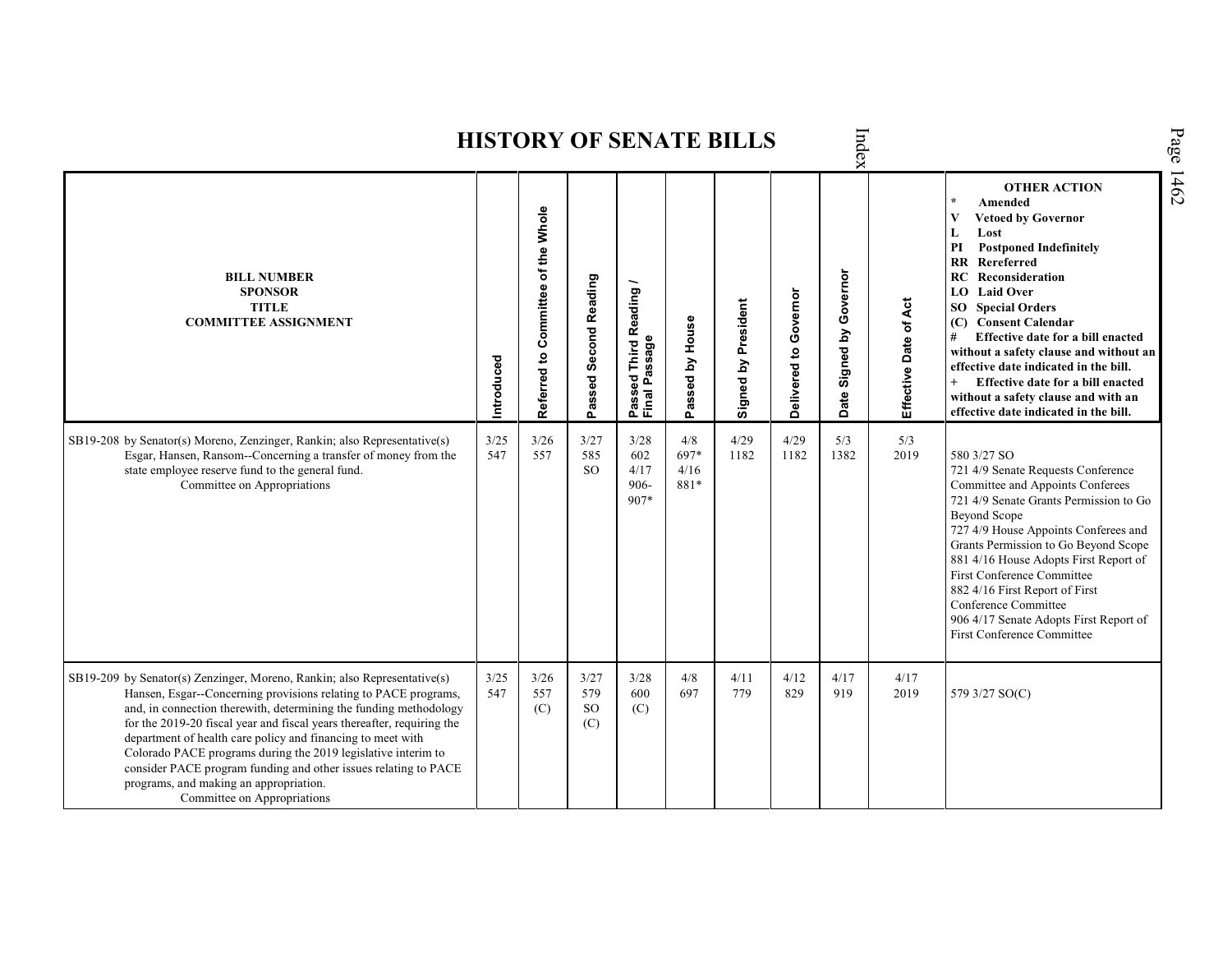|                                                                                                                                                                                                                                                                                                                                                                                                                                                                                                                                                                        |             |                                    |                                 |                                                                |                             | <b>HISTORY OF SENATE BILLS</b> |                       | Inde                    |                       |                                                                                                                                                                                                                                                                                                                                                                                                                                                                                                                              |
|------------------------------------------------------------------------------------------------------------------------------------------------------------------------------------------------------------------------------------------------------------------------------------------------------------------------------------------------------------------------------------------------------------------------------------------------------------------------------------------------------------------------------------------------------------------------|-------------|------------------------------------|---------------------------------|----------------------------------------------------------------|-----------------------------|--------------------------------|-----------------------|-------------------------|-----------------------|------------------------------------------------------------------------------------------------------------------------------------------------------------------------------------------------------------------------------------------------------------------------------------------------------------------------------------------------------------------------------------------------------------------------------------------------------------------------------------------------------------------------------|
| <b>BILL NUMBER</b><br><b>SPONSOR</b><br><b>TITLE</b><br><b>COMMITTEE ASSIGNMENT</b>                                                                                                                                                                                                                                                                                                                                                                                                                                                                                    | Introduced  | Referred to Committee of the Whole | Passed Second Reading           | Reading<br>ssage<br><b>Third</b><br>ဥ္ၿ<br>௨<br>Passe<br>Final | Passed by House             | Signed by President            | Delivered to Governor | Date Signed by Governor | Effective Date of Act | <b>OTHER ACTION</b><br>Amended<br>$\overline{\mathbf{V}}$<br><b>Vetoed by Governor</b><br>L<br>Lost<br>PI<br><b>Postponed Indefinitely</b><br><b>RR</b> Rereferred<br><b>RC</b> Reconsideration<br>LO Laid Over<br><b>SO</b> Special Orders<br>(C) Consent Calendar<br>#<br>Effective date for a bill enacted<br>without a safety clause and without an<br>effective date indicated in the bill.<br>$+$<br>Effective date for a bill enacted<br>without a safety clause and with an<br>effective date indicated in the bill. |
| SB19-208 by Senator(s) Moreno, Zenzinger, Rankin; also Representative(s)<br>Esgar, Hansen, Ransom--Concerning a transfer of money from the<br>state employee reserve fund to the general fund.<br>Committee on Appropriations                                                                                                                                                                                                                                                                                                                                          | 3/25<br>547 | 3/26<br>557                        | 3/27<br>585<br>SO.              | 3/28<br>602<br>4/17<br>906-<br>907*                            | 4/8<br>697*<br>4/16<br>881* | 4/29<br>1182                   | 4/29<br>1182          | 5/3<br>1382             | 5/3<br>2019           | 580 3/27 SO<br>721 4/9 Senate Requests Conference<br>Committee and Appoints Conferees<br>721 4/9 Senate Grants Permission to Go<br><b>Beyond Scope</b><br>727 4/9 House Appoints Conferees and<br>Grants Permission to Go Beyond Scope<br>881 4/16 House Adopts First Report of<br>First Conference Committee<br>882 4/16 First Report of First<br>Conference Committee<br>906 4/17 Senate Adopts First Report of<br><b>First Conference Committee</b>                                                                       |
| SB19-209 by Senator(s) Zenzinger, Moreno, Rankin; also Representative(s)<br>Hansen, Esgar--Concerning provisions relating to PACE programs,<br>and, in connection therewith, determining the funding methodology<br>for the 2019-20 fiscal year and fiscal years thereafter, requiring the<br>department of health care policy and financing to meet with<br>Colorado PACE programs during the 2019 legislative interim to<br>consider PACE program funding and other issues relating to PACE<br>programs, and making an appropriation.<br>Committee on Appropriations | 3/25<br>547 | 3/26<br>557<br>(C)                 | 3/27<br>579<br><b>SO</b><br>(C) | 3/28<br>600<br>(C)                                             | 4/8<br>697                  | 4/11<br>779                    | 4/12<br>829           | 4/17<br>919             | 4/17<br>2019          | 579 3/27 SO(C)                                                                                                                                                                                                                                                                                                                                                                                                                                                                                                               |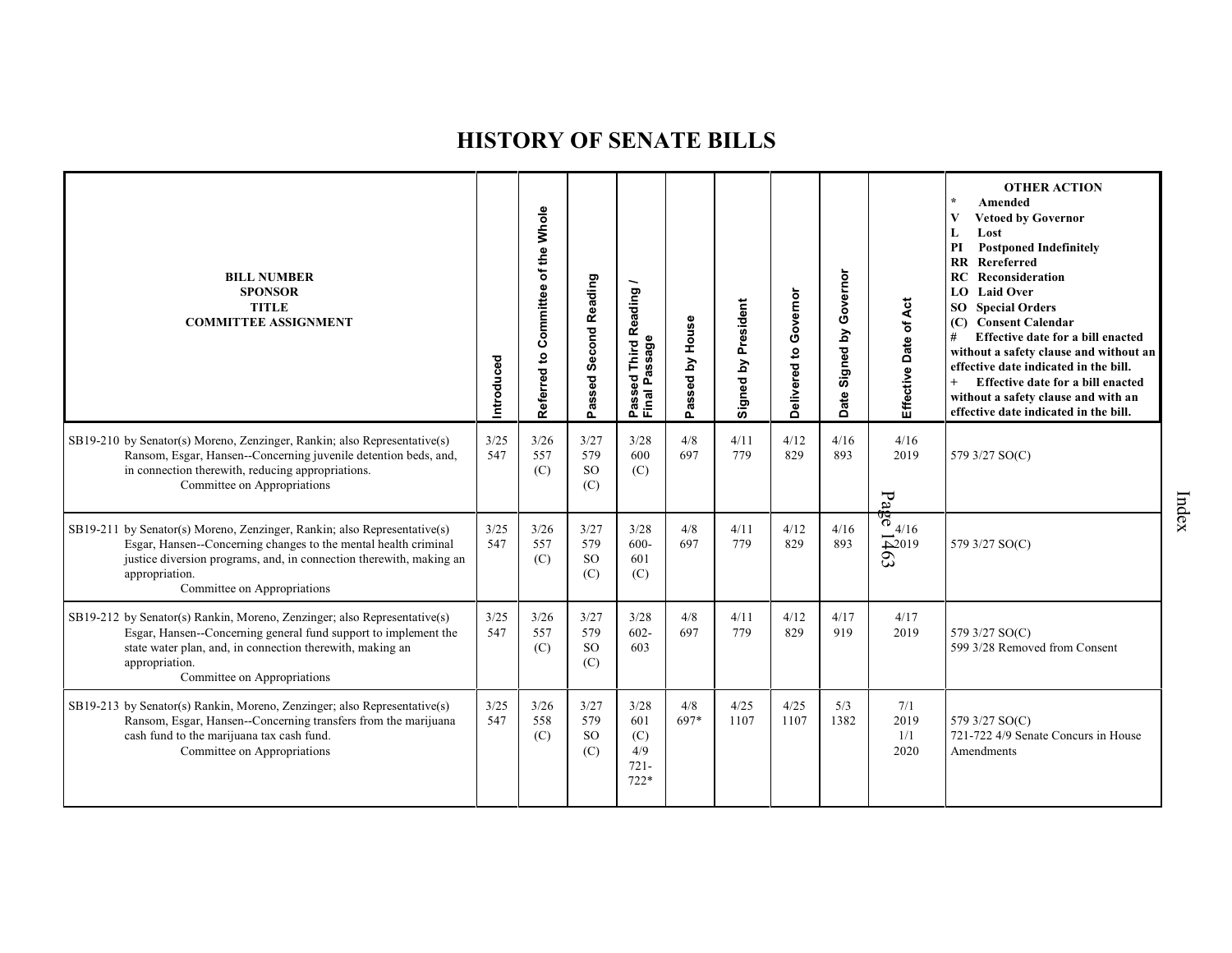| <b>BILL NUMBER</b><br><b>SPONSOR</b><br><b>TITLE</b><br><b>COMMITTEE ASSIGNMENT</b>                                                                                                                                                                                 | Introduced  | Referred to Committee of the Whole | Passed Second Reading               | Reading<br>Passeu<br>Final Passage             | House<br>δ<br>lbesse<br>Ő. | Signed by President | Governor<br>Delivered to | Governor<br>Signed by<br>Date | Effective Date of Act                                                 | <b>OTHER ACTION</b><br>$\star$<br>Amended<br>V<br><b>Vetoed by Governor</b><br>Lost<br>L<br>PI<br><b>Postponed Indefinitely</b><br>Rereferred<br>$\mathbf{R}$<br>RC<br>Reconsideration<br>LO Laid Over<br><b>SO</b> Special Orders<br><b>Consent Calendar</b><br>(C)<br>#<br>Effective date for a bill enacted<br>without a safety clause and without an<br>effective date indicated in the bill.<br>$+$<br>Effective date for a bill enacted<br>without a safety clause and with an<br>effective date indicated in the bill. |
|---------------------------------------------------------------------------------------------------------------------------------------------------------------------------------------------------------------------------------------------------------------------|-------------|------------------------------------|-------------------------------------|------------------------------------------------|----------------------------|---------------------|--------------------------|-------------------------------|-----------------------------------------------------------------------|-------------------------------------------------------------------------------------------------------------------------------------------------------------------------------------------------------------------------------------------------------------------------------------------------------------------------------------------------------------------------------------------------------------------------------------------------------------------------------------------------------------------------------|
| SB19-210 by Senator(s) Moreno, Zenzinger, Rankin; also Representative(s)<br>Ransom, Esgar, Hansen--Concerning juvenile detention beds, and,<br>in connection therewith, reducing appropriations.<br>Committee on Appropriations                                     | 3/25<br>547 | 3/26<br>557<br>(C)                 | 3/27<br>579<br><b>SO</b><br>(C)     | 3/28<br>600<br>(C)                             | 4/8<br>697                 | 4/11<br>779         | 4/12<br>829              | 4/16<br>893                   | 4/16<br>2019<br>$P_{a}$                                               | 579 3/27 SO(C)                                                                                                                                                                                                                                                                                                                                                                                                                                                                                                                |
| SB19-211 by Senator(s) Moreno, Zenzinger, Rankin; also Representative(s)<br>Esgar, Hansen--Concerning changes to the mental health criminal<br>justice diversion programs, and, in connection therewith, making an<br>appropriation.<br>Committee on Appropriations | 3/25<br>547 | 3/26<br>557<br>(C)                 | 3/27<br>579<br><b>SO</b><br>(C)     | 3/28<br>$600 -$<br>601<br>(C)                  | 4/8<br>697                 | 4/11<br>779         | 4/12<br>829              | 4/16<br>893                   | $\int_{0}^{\frac{\pi}{2}} 4/16$<br>$\frac{1}{2019}$<br>$\mathfrak{S}$ | 579 3/27 SO(C)                                                                                                                                                                                                                                                                                                                                                                                                                                                                                                                |
| SB19-212 by Senator(s) Rankin, Moreno, Zenzinger; also Representative(s)<br>Esgar, Hansen-Concerning general fund support to implement the<br>state water plan, and, in connection therewith, making an<br>appropriation.<br>Committee on Appropriations            | 3/25<br>547 | 3/26<br>557<br>(C)                 | 3/27<br>579<br><b>SO</b><br>(C)     | 3/28<br>$602 -$<br>603                         | 4/8<br>697                 | 4/11<br>779         | 4/12<br>829              | 4/17<br>919                   | 4/17<br>2019                                                          | 579 3/27 SO(C)<br>599 3/28 Removed from Consent                                                                                                                                                                                                                                                                                                                                                                                                                                                                               |
| SB19-213 by Senator(s) Rankin, Moreno, Zenzinger; also Representative(s)<br>Ransom, Esgar, Hansen--Concerning transfers from the marijuana<br>cash fund to the marijuana tax cash fund.<br>Committee on Appropriations                                              | 3/25<br>547 | 3/26<br>558<br>(C)                 | 3/27<br>579<br><sub>SO</sub><br>(C) | 3/28<br>601<br>(C)<br>4/9<br>$721 -$<br>$722*$ | 4/8<br>697*                | 4/25<br>1107        | 4/25<br>1107             | 5/3<br>1382                   | 7/1<br>2019<br>1/1<br>2020                                            | 579 3/27 SO(C)<br>721-722 4/9 Senate Concurs in House<br>Amendments                                                                                                                                                                                                                                                                                                                                                                                                                                                           |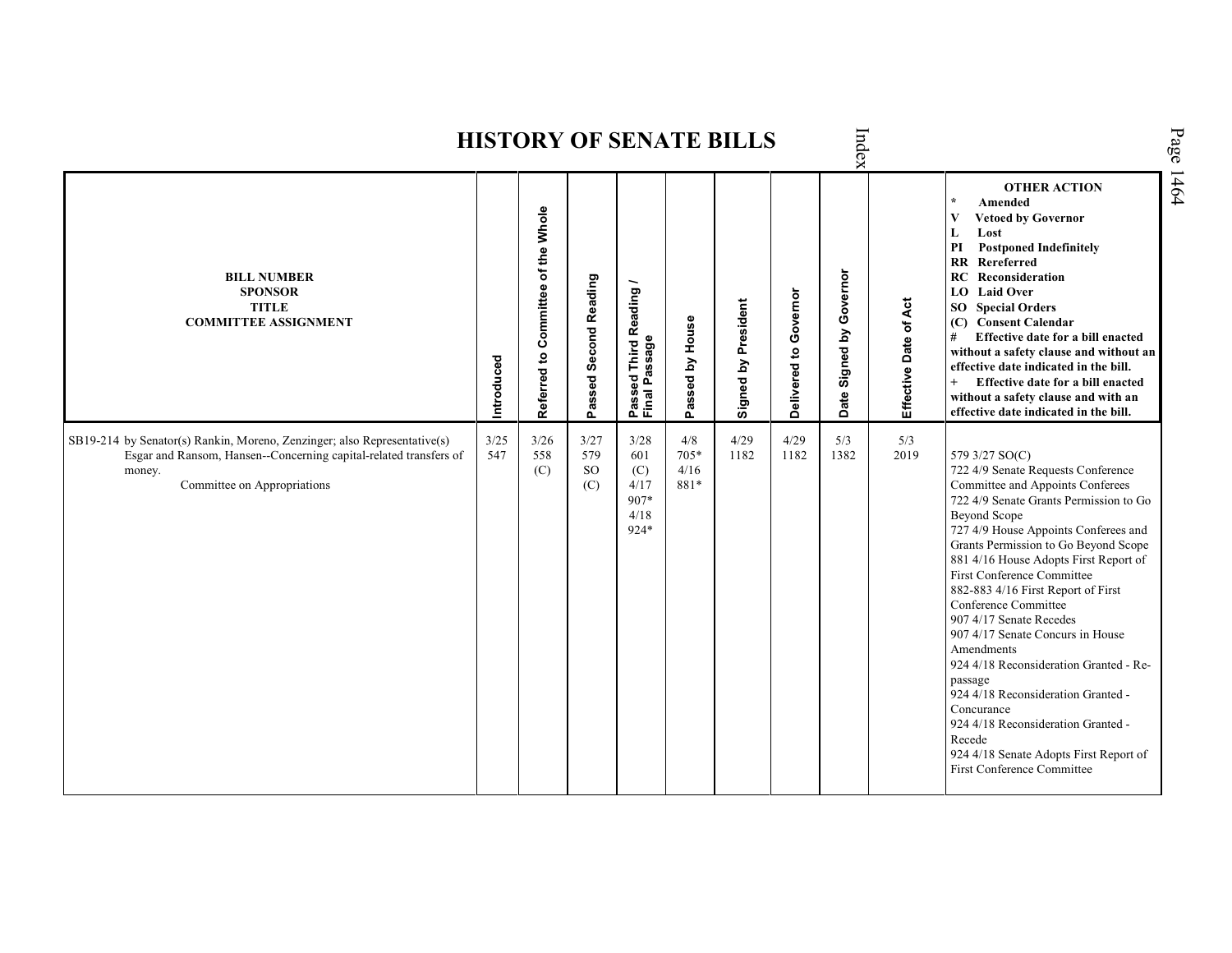|                                                                                                                                                                                        |             |                                    |                                 |                                                                 |                             | <b>HISTORY OF SENATE BILLS</b> |                          | Index                          |                       |                                                                                                                                                                                                                                                                                                                                                                                                                                                                                                                                                                                                                                                                                                     |
|----------------------------------------------------------------------------------------------------------------------------------------------------------------------------------------|-------------|------------------------------------|---------------------------------|-----------------------------------------------------------------|-----------------------------|--------------------------------|--------------------------|--------------------------------|-----------------------|-----------------------------------------------------------------------------------------------------------------------------------------------------------------------------------------------------------------------------------------------------------------------------------------------------------------------------------------------------------------------------------------------------------------------------------------------------------------------------------------------------------------------------------------------------------------------------------------------------------------------------------------------------------------------------------------------------|
| <b>BILL NUMBER</b><br><b>SPONSOR</b><br><b>TITLE</b><br><b>COMMITTEE ASSIGNMENT</b>                                                                                                    | Introduced  | Referred to Committee of the Whole | Passed Second Reading           | Reading<br>ssage<br>Third<br>σ<br>ිල<br>ම<br>≏<br>Pass<br>Final | Passed by House             | Signed by President            | Governor<br>Delivered to | Governor<br>Signed by<br>Date: | Effective Date of Act | <b>OTHER ACTION</b><br>$\star$<br>Amended<br>V<br><b>Vetoed by Governor</b><br>L<br>Lost<br>PI<br><b>Postponed Indefinitely</b><br>Rereferred<br>RR<br>RC<br>Reconsideration<br><b>LO</b> Laid Over<br><b>SO</b> Special Orders<br>(C) Consent Calendar<br>Effective date for a bill enacted<br>#<br>without a safety clause and without an<br>effective date indicated in the bill.<br>$^{+}$<br>Effective date for a bill enacted<br>without a safety clause and with an<br>effective date indicated in the bill.                                                                                                                                                                                 |
| SB19-214 by Senator(s) Rankin, Moreno, Zenzinger; also Representative(s)<br>Esgar and Ransom, Hansen--Concerning capital-related transfers of<br>money.<br>Committee on Appropriations | 3/25<br>547 | 3/26<br>558<br>(C)                 | 3/27<br>579<br><b>SO</b><br>(C) | 3/28<br>601<br>(C)<br>4/17<br>907*<br>4/18<br>924*              | 4/8<br>705*<br>4/16<br>881* | 4/29<br>1182                   | 4/29<br>1182             | 5/3<br>1382                    | 5/3<br>2019           | 579 3/27 SO(C)<br>722 4/9 Senate Requests Conference<br>Committee and Appoints Conferees<br>722 4/9 Senate Grants Permission to Go<br><b>Beyond Scope</b><br>727 4/9 House Appoints Conferees and<br>Grants Permission to Go Beyond Scope<br>881 4/16 House Adopts First Report of<br>First Conference Committee<br>882-883 4/16 First Report of First<br>Conference Committee<br>907 4/17 Senate Recedes<br>907 4/17 Senate Concurs in House<br>Amendments<br>924 4/18 Reconsideration Granted - Re-<br>passage<br>924 4/18 Reconsideration Granted -<br>Concurance<br>924 4/18 Reconsideration Granted -<br>Recede<br>924 4/18 Senate Adopts First Report of<br><b>First Conference Committee</b> |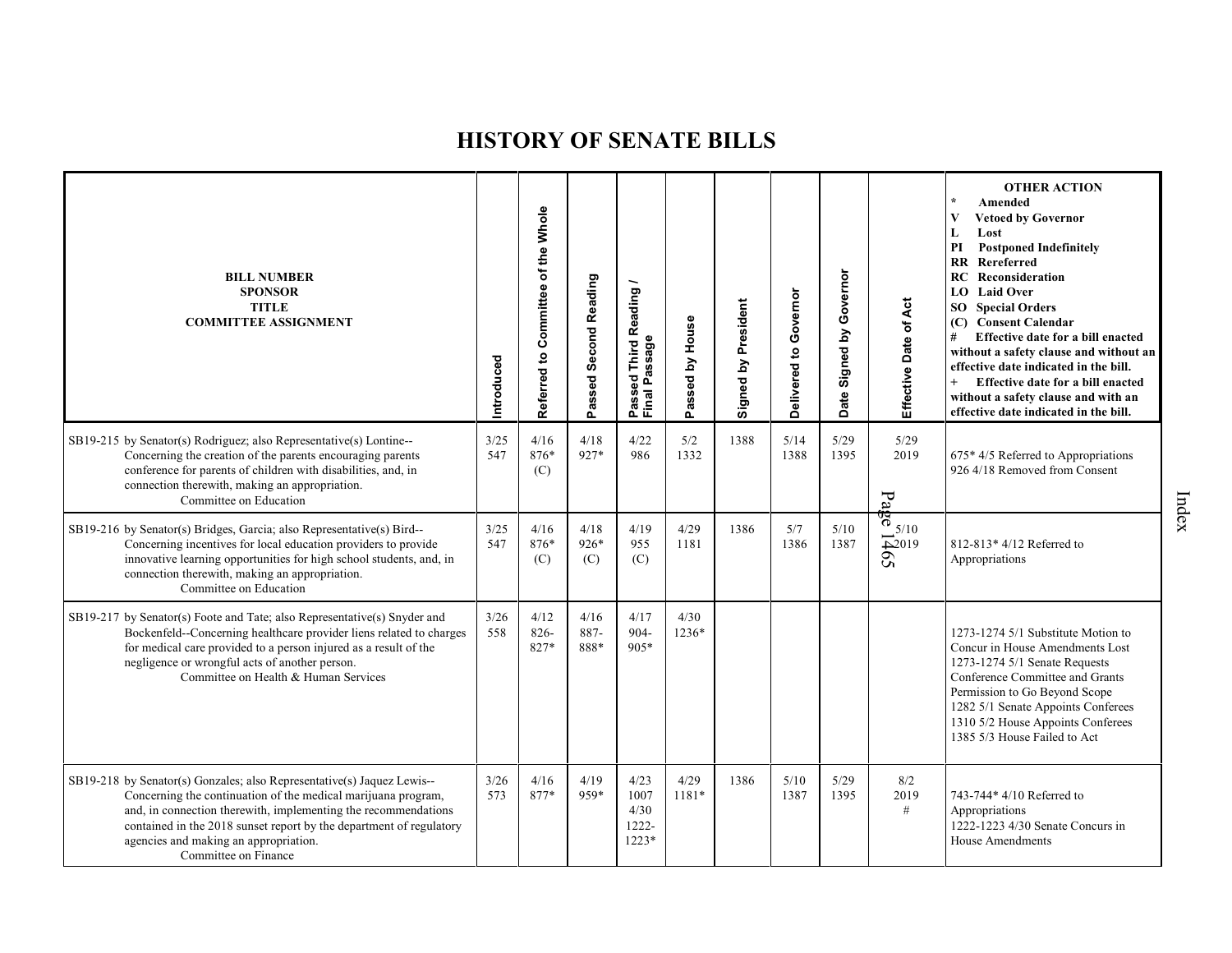| <b>BILL NUMBER</b><br><b>SPONSOR</b><br><b>TITLE</b><br><b>COMMITTEE ASSIGNMENT</b>                                                                                                                                                                                                                                                               | Introduced  | Committee of the Whole<br>Referred to | Passed Second Reading | <b>Third Reading</b><br>Passed Third R<br>Final Passage | House<br>Passed by | Signed by President | Delivered to Governor | Governor<br>$\mathbf{\Sigma}$<br>Signed<br>Date | Effective Date of Act                                                     | <b>OTHER ACTION</b><br>Amended<br><b>Vetoed by Governor</b><br>Lost<br>L<br>PI<br><b>Postponed Indefinitely</b><br>RR Rereferred<br>RC<br>Reconsideration<br>LO Laid Over<br><b>SO</b> Special Orders<br>(C) Consent Calendar<br>#<br>Effective date for a bill enacted<br>without a safety clause and without an<br>effective date indicated in the bill.<br>Effective date for a bill enacted<br>$^{+}$<br>without a safety clause and with an<br>effective date indicated in the bill. |
|---------------------------------------------------------------------------------------------------------------------------------------------------------------------------------------------------------------------------------------------------------------------------------------------------------------------------------------------------|-------------|---------------------------------------|-----------------------|---------------------------------------------------------|--------------------|---------------------|-----------------------|-------------------------------------------------|---------------------------------------------------------------------------|-------------------------------------------------------------------------------------------------------------------------------------------------------------------------------------------------------------------------------------------------------------------------------------------------------------------------------------------------------------------------------------------------------------------------------------------------------------------------------------------|
| SB19-215 by Senator(s) Rodriguez; also Representative(s) Lontine--<br>Concerning the creation of the parents encouraging parents<br>conference for parents of children with disabilities, and, in<br>connection therewith, making an appropriation.<br>Committee on Education                                                                     | 3/25<br>547 | 4/16<br>876*<br>(C)                   | 4/18<br>927*          | 4/22<br>986                                             | 5/2<br>1332        | 1388                | 5/14<br>1388          | 5/29<br>1395                                    | 5/29<br>2019<br>P <sub>d</sub>                                            | 675* 4/5 Referred to Appropriations<br>926 4/18 Removed from Consent                                                                                                                                                                                                                                                                                                                                                                                                                      |
| SB19-216 by Senator(s) Bridges, Garcia; also Representative(s) Bird--<br>Concerning incentives for local education providers to provide<br>innovative learning opportunities for high school students, and, in<br>connection therewith, making an appropriation.<br>Committee on Education                                                        | 3/25<br>547 | 4/16<br>876*<br>(C)                   | 4/18<br>$926*$<br>(C) | 4/19<br>955<br>(C)                                      | 4/29<br>1181       | 1386                | 5/7<br>1386           | 5/10<br>1387                                    | <del>ဖွဲ့</del><br>— 5/10<br>$\overline{\triangle}2019$<br>$\overline{S}$ | 812-813* 4/12 Referred to<br>Appropriations                                                                                                                                                                                                                                                                                                                                                                                                                                               |
| SB19-217 by Senator(s) Foote and Tate; also Representative(s) Snyder and<br>Bockenfeld--Concerning healthcare provider liens related to charges<br>for medical care provided to a person injured as a result of the<br>negligence or wrongful acts of another person.<br>Committee on Health & Human Services                                     | 3/26<br>558 | 4/12<br>$826 -$<br>827*               | 4/16<br>887-<br>888*  | 4/17<br>904-<br>905*                                    | 4/30<br>1236*      |                     |                       |                                                 |                                                                           | 1273-1274 5/1 Substitute Motion to<br>Concur in House Amendments Lost<br>1273-1274 5/1 Senate Requests<br>Conference Committee and Grants<br>Permission to Go Beyond Scope<br>1282 5/1 Senate Appoints Conferees<br>1310 5/2 House Appoints Conferees<br>1385 5/3 House Failed to Act                                                                                                                                                                                                     |
| SB19-218 by Senator(s) Gonzales; also Representative(s) Jaquez Lewis--<br>Concerning the continuation of the medical marijuana program,<br>and, in connection therewith, implementing the recommendations<br>contained in the 2018 sunset report by the department of regulatory<br>agencies and making an appropriation.<br>Committee on Finance | 3/26<br>573 | 4/16<br>877*                          | 4/19<br>959*          | 4/23<br>1007<br>4/30<br>1222-<br>$1223*$                | 4/29<br>1181*      | 1386                | 5/10<br>1387          | 5/29<br>1395                                    | 8/2<br>2019<br>$\#$                                                       | 743-744* 4/10 Referred to<br>Appropriations<br>1222-1223 4/30 Senate Concurs in<br><b>House Amendments</b>                                                                                                                                                                                                                                                                                                                                                                                |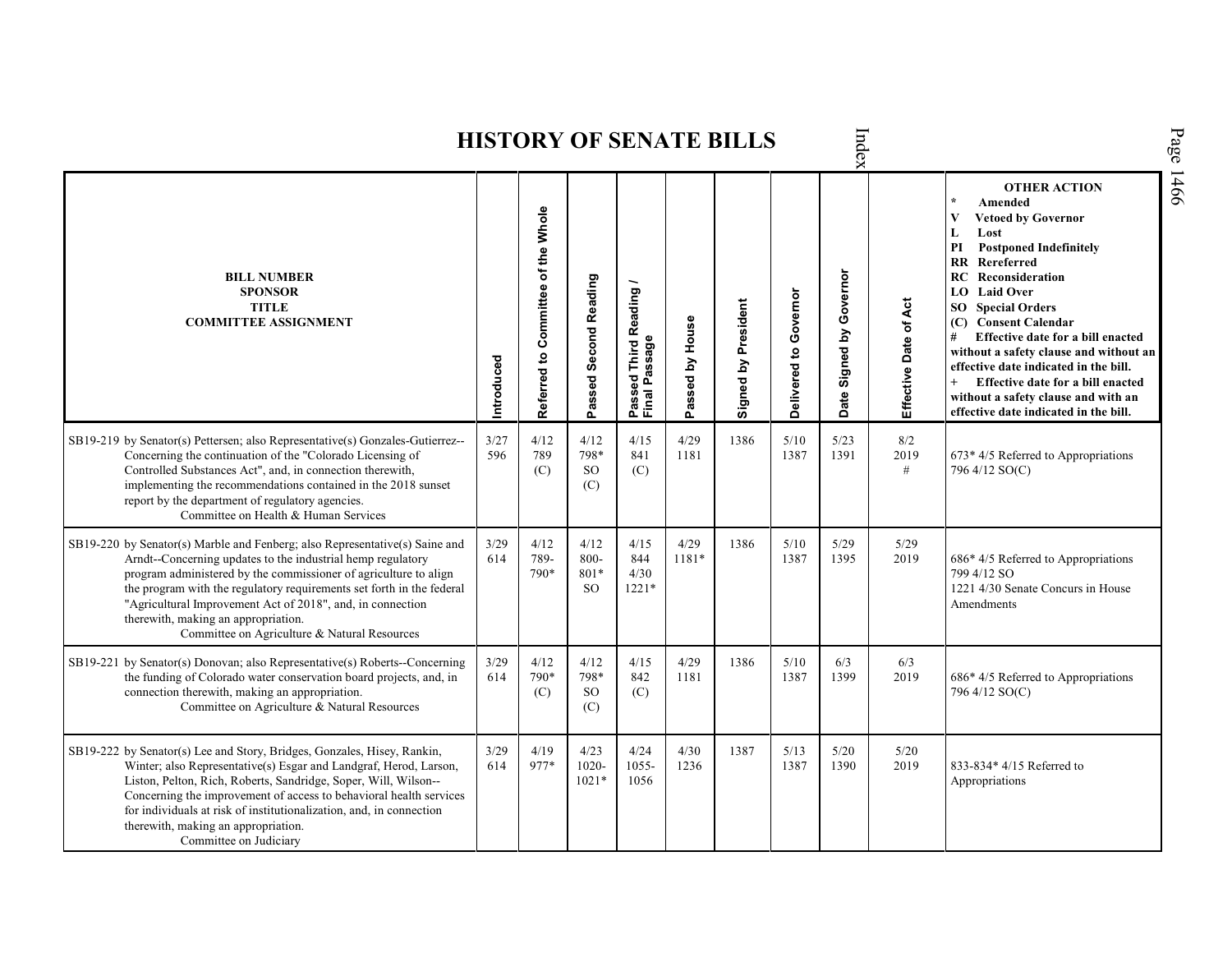Index **OTHER ACTION \* Amended Referred to Com mittee of the Whole Vetoed by Governor L Lost PI Postponed Indefinitely RR Rereferred Date Signed by Governor BILL NUMBER RC Reconsideration Passed Second Reading Passed Third Reading /** Passed Third Reading<br>Final Passage **LO Laid Over SPONSOR** Delivered to Governor **Delivered to Governor** Signed by President Ąct **Effective Date of Act Signed by President SO Special Orders TITLE COMMITTEE ASSIGNMENT (C) Consent Calendar** Passed by House **Passed by House** Date of **# Effective date for a bill enacted Final Passage without a safety clause and without an Introduced effective date indicated in the bill.** Effective **+ Effective date for a bill enacted without a safety clause and with an effective date indicated in the bill.**  4/12 4/12 4/15 4/29 1386 5/10 8/2 SB19-219 by Senator(s) Pettersen; also Representative(s) Gonzales-Gutierrez-- 3/27 5/23 Concerning the continuation of the "Colorado Licensing of 596 789 798\* 841 1181 1387 1391 2019 673\* 4/5 Referred to Appropriations Controlled Substances Act", and, in connection therewith, SO 796 4/12 SO(C) (C) (C) # implementing the recommendations contained in the 2018 sunset (C) report by the department of regulatory agencies. Committee on Health & Human Services SB19-220 by Senator(s) Marble and Fenberg; also Representative(s) Saine and 3/29 4/12 4/12 4/15 4/29 1386 5/10 5/29 5/29 Arndt--Concerning updates to the industrial hemp regulatory 614 789- 800- 844 1181\* 1387 1395 2019 686\* 4/5 Referred to Appropriations program administered by the commissioner of agriculture to align 790\* 801\* 4/30 799 4/12 SO the program with the regulatory requirements set forth in the federal SO 1221\* 1221 4/30 Senate Concurs in House "Agricultural Improvement Act of 2018", and, in connection Amendments therewith, making an appropriation. Committee on Agriculture & Natural Resources SB19-221 by Senator(s) Donovan; also Representative(s) Roberts--Concerning 3/29 4/12 4/12 4/15 4/29 1386 5/10 6/3 6/3 the funding of Colorado water conservation board projects, and, in 614 790\* 798\* 842 1181 1387 1399 2019 686\* 4/5 Referred to Appropriations connection therewith, making an appropriation. SO (C) 796 4/12 SO(C) (C) Committee on Agriculture & Natural Resources (C) SB19-222 by Senator(s) Lee and Story, Bridges, Gonzales, Hisey, Rankin, 3/29 4/19 4/23 4/24 4/30 1387 5/13 5/20 5/20 Winter; also Representative(s) Esgar and Landgraf, Herod, Larson, 614 977\* 1020- 1055- 1236 1387 1390 2019 833-834\* 4/15 Referred to Liston, Pelton, Rich, Roberts, Sandridge, Soper, Will, Wilson-- 1021\* 1056 AppropriationsConcerning the improvement of access to behavioral health services for individuals at risk of institutionalization, and, in connection therewith, making an appropriation. Committee on Judiciary

**HISTORY OF SENATE BILLS**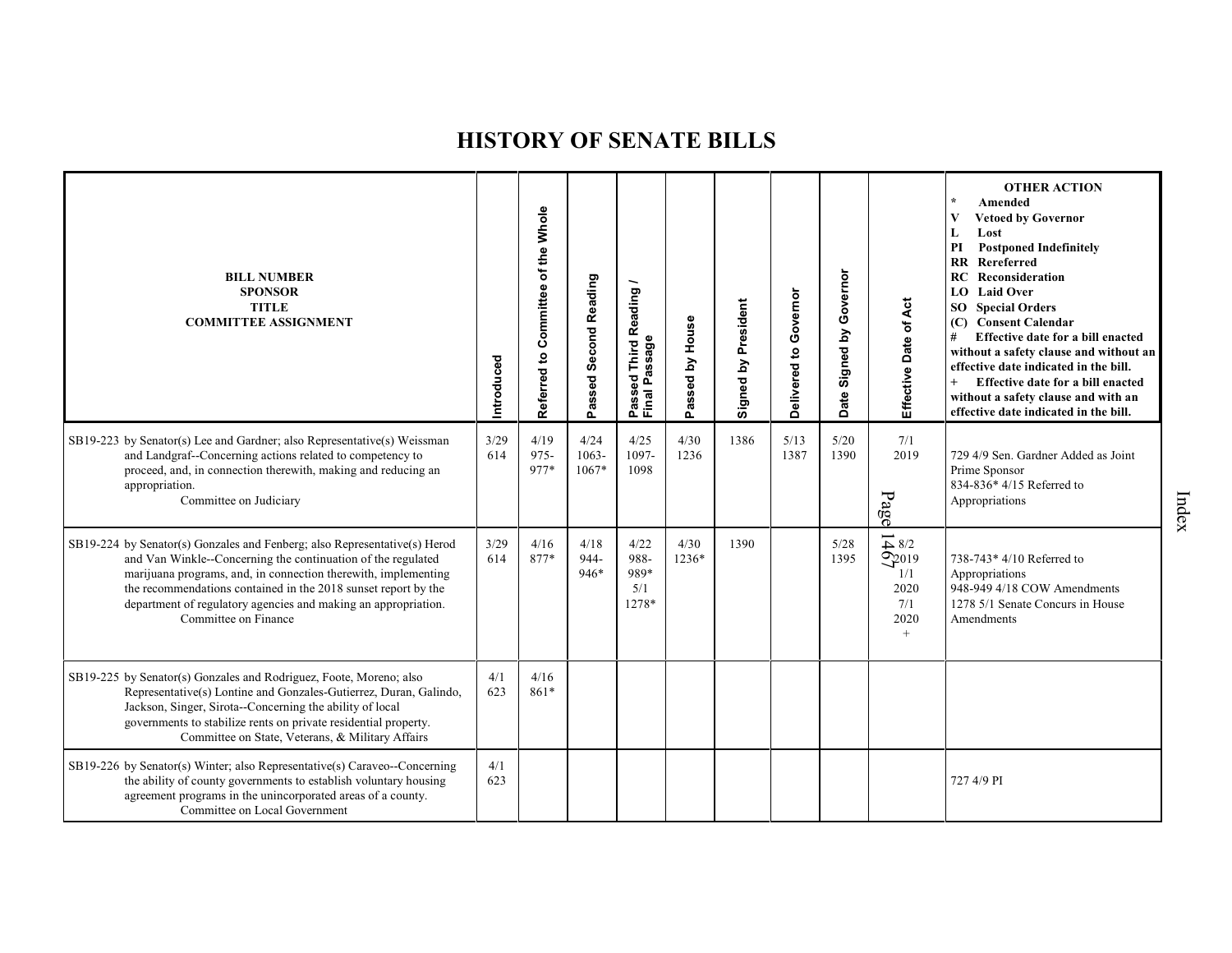| <b>BILL NUMBER</b><br><b>SPONSOR</b><br><b>TITLE</b><br><b>COMMITTEE ASSIGNMENT</b>                                                                                                                                                                                                                                                                                     | Introduced  | of the Whole<br>Committee<br>$\mathbf{e}$<br>Referred | <b>Second Reading</b><br>Passed | Reading<br>Final Passage<br>Third<br>Passed | House<br>$\mathbf{\Sigma}$<br>ssed  <br>Ĕã | Signed by President | Delivered to Governor | Governor<br>$\mathbf{\Sigma}$<br>Signed<br>Date: | Effective Date of Act                                                            | <b>OTHER ACTION</b><br>Amended<br><b>Vetoed by Governor</b><br>V<br>Lost<br>L<br><b>Postponed Indefinitely</b><br>PI<br>Rereferred<br>$\mathbf{R}$<br><b>RC</b> Reconsideration<br><b>LO</b> Laid Over<br><b>SO</b> Special Orders<br>(C) Consent Calendar<br>Effective date for a bill enacted<br>without a safety clause and without an<br>effective date indicated in the bill.<br>Effective date for a bill enacted<br>without a safety clause and with an<br>effective date indicated in the bill. |
|-------------------------------------------------------------------------------------------------------------------------------------------------------------------------------------------------------------------------------------------------------------------------------------------------------------------------------------------------------------------------|-------------|-------------------------------------------------------|---------------------------------|---------------------------------------------|--------------------------------------------|---------------------|-----------------------|--------------------------------------------------|----------------------------------------------------------------------------------|---------------------------------------------------------------------------------------------------------------------------------------------------------------------------------------------------------------------------------------------------------------------------------------------------------------------------------------------------------------------------------------------------------------------------------------------------------------------------------------------------------|
| SB19-223 by Senator(s) Lee and Gardner; also Representative(s) Weissman<br>and Landgraf--Concerning actions related to competency to<br>proceed, and, in connection therewith, making and reducing an<br>appropriation.<br>Committee on Judiciary                                                                                                                       | 3/29<br>614 | 4/19<br>$975 -$<br>977*                               | 4/24<br>1063-<br>1067*          | 4/25<br>1097-<br>1098                       | 4/30<br>1236                               | 1386                | 5/13<br>1387          | 5/20<br>1390                                     | 7/1<br>2019<br>Page                                                              | 729 4/9 Sen. Gardner Added as Joint<br>Prime Sponsor<br>834-836* 4/15 Referred to<br>Appropriations                                                                                                                                                                                                                                                                                                                                                                                                     |
| SB19-224 by Senator(s) Gonzales and Fenberg; also Representative(s) Herod<br>and Van Winkle--Concerning the continuation of the regulated<br>marijuana programs, and, in connection therewith, implementing<br>the recommendations contained in the 2018 sunset report by the<br>department of regulatory agencies and making an appropriation.<br>Committee on Finance | 3/29<br>614 | 4/16<br>877*                                          | 4/18<br>944-<br>$946*$          | 4/22<br>988-<br>989*<br>5/1<br>1278*        | 4/30<br>1236*                              | 1390                |                       | 5/28<br>1395                                     | $\overline{4}$ 8/2<br>$\frac{1}{2}$ 2019<br>1/1<br>2020<br>7/1<br>2020<br>$^{+}$ | 738-743* 4/10 Referred to<br>Appropriations<br>948-949 4/18 COW Amendments<br>1278 5/1 Senate Concurs in House<br>Amendments                                                                                                                                                                                                                                                                                                                                                                            |
| SB19-225 by Senator(s) Gonzales and Rodriguez, Foote, Moreno; also<br>Representative(s) Lontine and Gonzales-Gutierrez, Duran, Galindo,<br>Jackson, Singer, Sirota--Concerning the ability of local<br>governments to stabilize rents on private residential property.<br>Committee on State, Veterans, & Military Affairs                                              | 4/1<br>623  | 4/16<br>$861*$                                        |                                 |                                             |                                            |                     |                       |                                                  |                                                                                  |                                                                                                                                                                                                                                                                                                                                                                                                                                                                                                         |
| SB19-226 by Senator(s) Winter; also Representative(s) Caraveo--Concerning<br>the ability of county governments to establish voluntary housing<br>agreement programs in the unincorporated areas of a county.<br>Committee on Local Government                                                                                                                           | 4/1<br>623  |                                                       |                                 |                                             |                                            |                     |                       |                                                  |                                                                                  | 727 4/9 PI                                                                                                                                                                                                                                                                                                                                                                                                                                                                                              |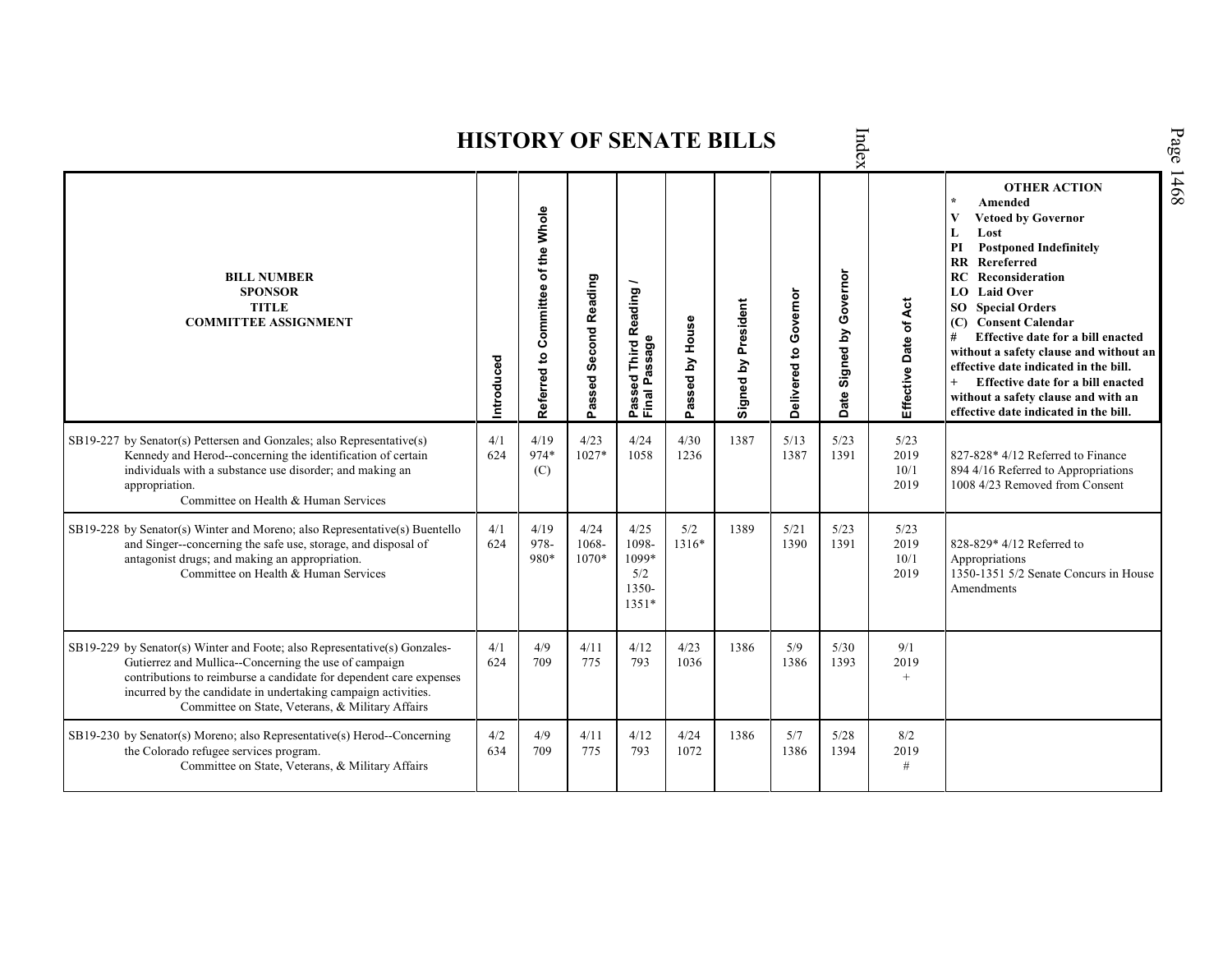| Page<br>Index<br><b>HISTORY OF SENATE BILLS</b>                                                                                                                                                                                                                                                                               |            |                                                    |                        |                                                    |                 |                     |                       |                            |                              |                                                                                                                                                                                                                                                                                                                                                                                                                                                                                                                             |      |  |  |  |
|-------------------------------------------------------------------------------------------------------------------------------------------------------------------------------------------------------------------------------------------------------------------------------------------------------------------------------|------------|----------------------------------------------------|------------------------|----------------------------------------------------|-----------------|---------------------|-----------------------|----------------------------|------------------------------|-----------------------------------------------------------------------------------------------------------------------------------------------------------------------------------------------------------------------------------------------------------------------------------------------------------------------------------------------------------------------------------------------------------------------------------------------------------------------------------------------------------------------------|------|--|--|--|
| <b>BILL NUMBER</b><br><b>SPONSOR</b><br><b>TITLE</b><br><b>COMMITTEE ASSIGNMENT</b>                                                                                                                                                                                                                                           | Introduced | Committee of the Whole<br>$\mathbf{S}$<br>Referred | Passed Second Reading  | Third Reading /<br>Passed Third R<br>Final Passage | Passed by House | Signed by President | Delivered to Governor | Governor<br>Date Signed by | Effective Date of Act        | <b>OTHER ACTION</b><br>$\star$<br>Amended<br>V<br><b>Vetoed by Governor</b><br>Lost<br>L<br>PI<br><b>Postponed Indefinitely</b><br>$\mathbf{R}$<br>Rereferred<br>Reconsideration<br>RC.<br><b>LO</b> Laid Over<br><b>SO</b> Special Orders<br>(C) Consent Calendar<br>#<br>Effective date for a bill enacted<br>without a safety clause and without an<br>effective date indicated in the bill.<br>$+$<br>Effective date for a bill enacted<br>without a safety clause and with an<br>effective date indicated in the bill. | 1468 |  |  |  |
| SB19-227 by Senator(s) Pettersen and Gonzales; also Representative(s)<br>Kennedy and Herod--concerning the identification of certain<br>individuals with a substance use disorder; and making an<br>appropriation.<br>Committee on Health & Human Services                                                                    | 4/1<br>624 | 4/19<br>974*<br>(C)                                | 4/23<br>$1027*$        | 4/24<br>1058                                       | 4/30<br>1236    | 1387                | 5/13<br>1387          | 5/23<br>1391               | 5/23<br>2019<br>10/1<br>2019 | 827-828* 4/12 Referred to Finance<br>894 4/16 Referred to Appropriations<br>1008 4/23 Removed from Consent                                                                                                                                                                                                                                                                                                                                                                                                                  |      |  |  |  |
| SB19-228 by Senator(s) Winter and Moreno; also Representative(s) Buentello<br>and Singer--concerning the safe use, storage, and disposal of<br>antagonist drugs; and making an appropriation.<br>Committee on Health & Human Services                                                                                         | 4/1<br>624 | 4/19<br>978-<br>980*                               | 4/24<br>1068-<br>1070* | 4/2.5<br>1098-<br>1099*<br>5/2<br>1350-<br>$1351*$ | 5/2<br>1316*    | 1389                | 5/21<br>1390          | 5/23<br>1391               | 5/23<br>2019<br>10/1<br>2019 | 828-829* 4/12 Referred to<br>Appropriations<br>1350-1351 5/2 Senate Concurs in House<br>Amendments                                                                                                                                                                                                                                                                                                                                                                                                                          |      |  |  |  |
| SB19-229 by Senator(s) Winter and Foote; also Representative(s) Gonzales-<br>Gutierrez and Mullica--Concerning the use of campaign<br>contributions to reimburse a candidate for dependent care expenses<br>incurred by the candidate in undertaking campaign activities.<br>Committee on State, Veterans, & Military Affairs | 4/1<br>624 | 4/9<br>709                                         | 4/11<br>775            | 4/12<br>793                                        | 4/23<br>1036    | 1386                | 5/9<br>1386           | $5/30$<br>1393             | 9/1<br>2019<br>$^{+}$        |                                                                                                                                                                                                                                                                                                                                                                                                                                                                                                                             |      |  |  |  |
| SB19-230 by Senator(s) Moreno; also Representative(s) Herod--Concerning<br>the Colorado refugee services program.<br>Committee on State, Veterans, & Military Affairs                                                                                                                                                         | 4/2<br>634 | 4/9<br>709                                         | 4/11<br>775            | 4/12<br>793                                        | 4/24<br>1072    | 1386                | 5/7<br>1386           | 5/28<br>1394               | 8/2<br>2019<br>#             |                                                                                                                                                                                                                                                                                                                                                                                                                                                                                                                             |      |  |  |  |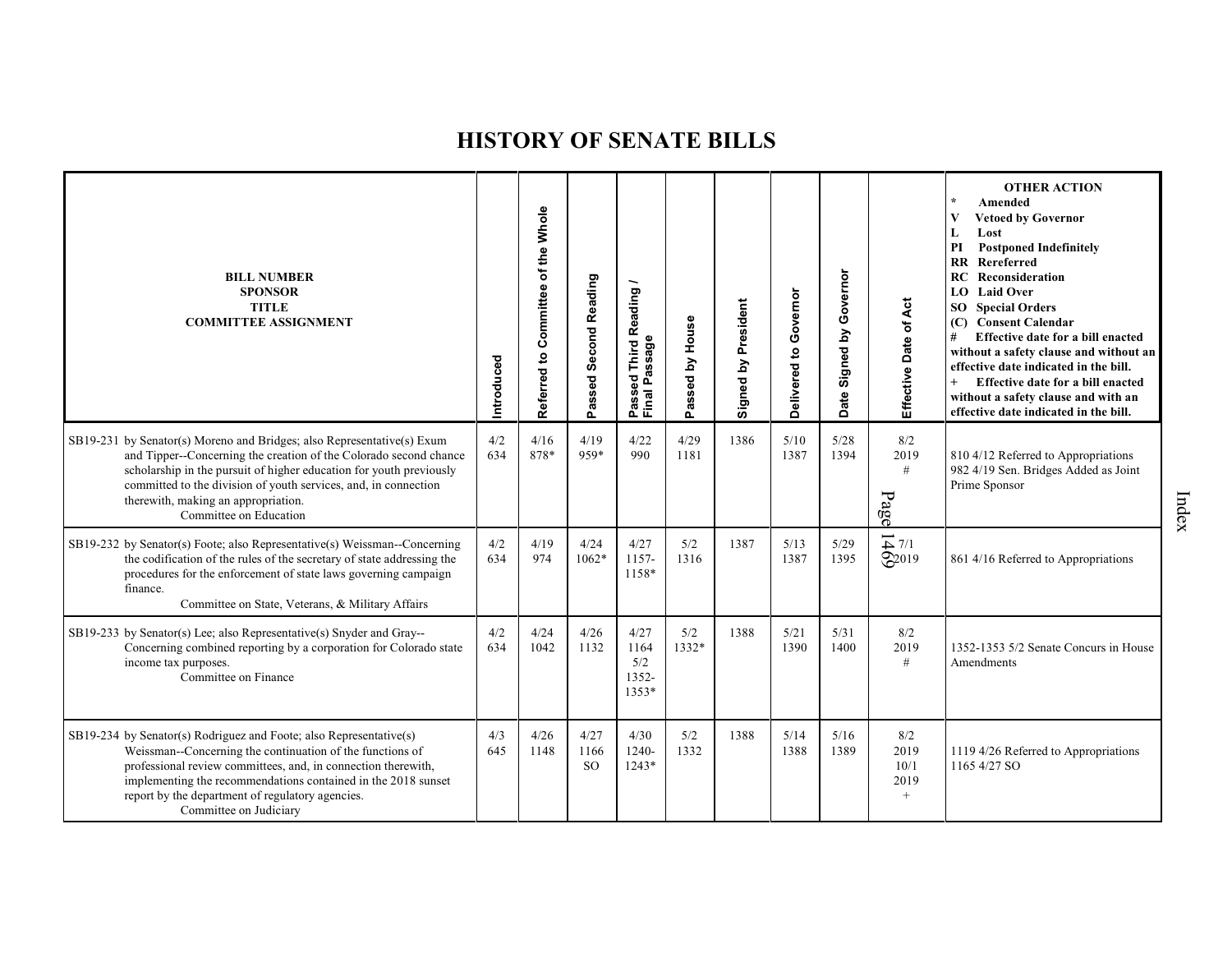| <b>BILL NUMBER</b><br><b>SPONSOR</b><br><b>TITLE</b><br><b>COMMITTEE ASSIGNMENT</b>                                                                                                                                                                                                                                                                    | Introduced | Referred to Committee of the Whole | Passed Second Reading         | Reading<br>assage<br>Third<br>್ಥಾ<br>o.<br>Passe<br>Final | Passed by House | Signed by President | Governor<br>Delivered to | Governor<br>Signed by<br><b>Date</b> | Effective Date of Act                         | <b>OTHER ACTION</b><br>$\star$<br>Amended<br>$\mathbf{V}$<br><b>Vetoed by Governor</b><br>Lost<br>L<br><b>Postponed Indefinitely</b><br>PI<br>$\mathbf{R}$<br>Rereferred<br><b>RC</b> Reconsideration<br>LO Laid Over<br><b>SO</b> Special Orders<br>(C) Consent Calendar<br>#<br>Effective date for a bill enacted<br>without a safety clause and without an<br>effective date indicated in the bill.<br>Effective date for a bill enacted<br>without a safety clause and with an<br>effective date indicated in the bill. |
|--------------------------------------------------------------------------------------------------------------------------------------------------------------------------------------------------------------------------------------------------------------------------------------------------------------------------------------------------------|------------|------------------------------------|-------------------------------|-----------------------------------------------------------|-----------------|---------------------|--------------------------|--------------------------------------|-----------------------------------------------|-----------------------------------------------------------------------------------------------------------------------------------------------------------------------------------------------------------------------------------------------------------------------------------------------------------------------------------------------------------------------------------------------------------------------------------------------------------------------------------------------------------------------------|
| SB19-231 by Senator(s) Moreno and Bridges; also Representative(s) Exum<br>and Tipper--Concerning the creation of the Colorado second chance<br>scholarship in the pursuit of higher education for youth previously<br>committed to the division of youth services, and, in connection<br>therewith, making an appropriation.<br>Committee on Education | 4/2<br>634 | 4/16<br>878*                       | 4/19<br>959*                  | 4/22<br>990                                               | 4/29<br>1181    | 1386                | 5/10<br>1387             | 5/28<br>1394                         | 8/2<br>2019<br>#<br>Page                      | 810 4/12 Referred to Appropriations<br>982 4/19 Sen. Bridges Added as Joint<br>Prime Sponsor                                                                                                                                                                                                                                                                                                                                                                                                                                |
| SB19-232 by Senator(s) Foote; also Representative(s) Weissman--Concerning<br>the codification of the rules of the secretary of state addressing the<br>procedures for the enforcement of state laws governing campaign<br>finance.<br>Committee on State, Veterans, & Military Affairs                                                                 | 4/2<br>634 | 4/19<br>974                        | 4/24<br>$1062*$               | 4/27<br>1157-<br>1158*                                    | 5/2<br>1316     | 1387                | 5/13<br>1387             | 5/29<br>1395                         | $\overrightarrow{+}$ 7/1<br>$\bigotimes 2019$ | 861 4/16 Referred to Appropriations                                                                                                                                                                                                                                                                                                                                                                                                                                                                                         |
| SB19-233 by Senator(s) Lee; also Representative(s) Snyder and Gray--<br>Concerning combined reporting by a corporation for Colorado state<br>income tax purposes.<br>Committee on Finance                                                                                                                                                              | 4/2<br>634 | 4/24<br>1042                       | 4/26<br>1132                  | 4/27<br>1164<br>5/2<br>1352-<br>1353*                     | 5/2<br>1332*    | 1388                | 5/21<br>1390             | 5/31<br>1400                         | 8/2<br>2019<br>#                              | 1352-1353 5/2 Senate Concurs in House<br>Amendments                                                                                                                                                                                                                                                                                                                                                                                                                                                                         |
| SB19-234 by Senator(s) Rodriguez and Foote; also Representative(s)<br>Weissman--Concerning the continuation of the functions of<br>professional review committees, and, in connection therewith,<br>implementing the recommendations contained in the 2018 sunset<br>report by the department of regulatory agencies.<br>Committee on Judiciary        | 4/3<br>645 | 4/26<br>1148                       | 4/27<br>1166<br><sub>SO</sub> | 4/30<br>$1240 -$<br>1243*                                 | 5/2<br>1332     | 1388                | 5/14<br>1388             | 5/16<br>1389                         | 8/2<br>2019<br>10/1<br>2019<br>$^{+}$         | 1119 4/26 Referred to Appropriations<br>1165 4/27 SO                                                                                                                                                                                                                                                                                                                                                                                                                                                                        |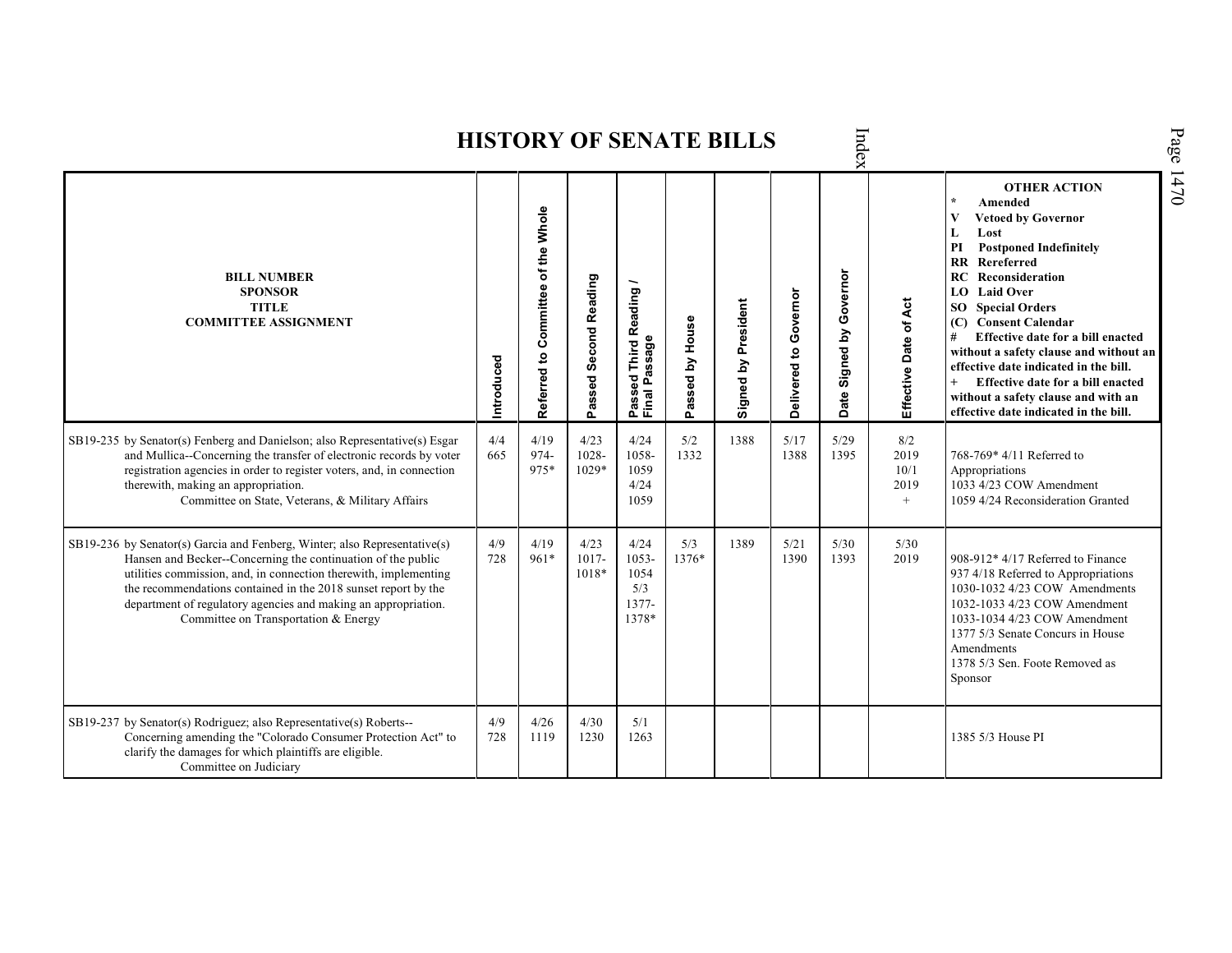|                                                                                                                                                                                                                                                                                                                                                                                           |            |                                       |                           |                                                                 |                 |                     |                       | lex                        |                                    |                                                                                                                                                                                                                                                                                                                                                                                                                                                                                                               |
|-------------------------------------------------------------------------------------------------------------------------------------------------------------------------------------------------------------------------------------------------------------------------------------------------------------------------------------------------------------------------------------------|------------|---------------------------------------|---------------------------|-----------------------------------------------------------------|-----------------|---------------------|-----------------------|----------------------------|------------------------------------|---------------------------------------------------------------------------------------------------------------------------------------------------------------------------------------------------------------------------------------------------------------------------------------------------------------------------------------------------------------------------------------------------------------------------------------------------------------------------------------------------------------|
| <b>BILL NUMBER</b><br><b>SPONSOR</b><br><b>TITLE</b><br><b>COMMITTEE ASSIGNMENT</b>                                                                                                                                                                                                                                                                                                       | Introduced | of the Whole<br>Referred to Committee | Passed Second Reading     | leading<br>œ<br>sage<br>Third<br>ത<br>್ಥಾ<br>௳<br>Pass<br>Final | Passed by House | Signed by President | Delivered to Governor | Governor<br>Date Signed by | Āct<br>Effective Date of           | <b>OTHER ACTION</b><br>$\star$<br>Amended<br>V<br><b>Vetoed by Governor</b><br>L<br>Lost<br><b>Postponed Indefinitely</b><br>PI<br><b>RR</b> Rereferred<br>RC<br>Reconsideration<br>LO Laid Over<br><b>SO</b> Special Orders<br>(C) Consent Calendar<br>Effective date for a bill enacted<br>#<br>without a safety clause and without an<br>effective date indicated in the bill.<br>$+$<br>Effective date for a bill enacted<br>without a safety clause and with an<br>effective date indicated in the bill. |
| SB19-235 by Senator(s) Fenberg and Danielson; also Representative(s) Esgar<br>and Mullica--Concerning the transfer of electronic records by voter<br>registration agencies in order to register voters, and, in connection<br>therewith, making an appropriation.<br>Committee on State, Veterans, & Military Affairs                                                                     | 4/4<br>665 | 4/19<br>974-<br>975*                  | 4/23<br>1028-<br>1029*    | 4/24<br>1058-<br>1059<br>4/24<br>1059                           | 5/2<br>1332     | 1388                | 5/17<br>1388          | 5/29<br>1395               | 8/2<br>2019<br>10/1<br>2019<br>$+$ | 768-769* 4/11 Referred to<br>Appropriations<br>1033 4/23 COW Amendment<br>1059 4/24 Reconsideration Granted                                                                                                                                                                                                                                                                                                                                                                                                   |
| SB19-236 by Senator(s) Garcia and Fenberg, Winter; also Representative(s)<br>Hansen and Becker--Concerning the continuation of the public<br>utilities commission, and, in connection therewith, implementing<br>the recommendations contained in the 2018 sunset report by the<br>department of regulatory agencies and making an appropriation.<br>Committee on Transportation & Energy | 4/9<br>728 | 4/19<br>$961*$                        | 4/23<br>$1017 -$<br>1018* | 4/24<br>$1053 -$<br>1054<br>5/3<br>$1377-$<br>1378*             | 5/3<br>1376*    | 1389                | 5/21<br>1390          | 5/30<br>1393               | 5/30<br>2019                       | 908-912* 4/17 Referred to Finance<br>937 4/18 Referred to Appropriations<br>1030-1032 4/23 COW Amendments<br>1032-1033 4/23 COW Amendment<br>1033-1034 4/23 COW Amendment<br>1377 5/3 Senate Concurs in House<br>Amendments<br>1378 5/3 Sen. Foote Removed as<br>Sponsor                                                                                                                                                                                                                                      |
| SB19-237 by Senator(s) Rodriguez; also Representative(s) Roberts--<br>Concerning amending the "Colorado Consumer Protection Act" to<br>clarify the damages for which plaintiffs are eligible.<br>Committee on Judiciary                                                                                                                                                                   | 4/9<br>728 | 4/26<br>1119                          | 4/30<br>1230              | 5/1<br>1263                                                     |                 |                     |                       |                            |                                    | 1385 5/3 House PI                                                                                                                                                                                                                                                                                                                                                                                                                                                                                             |

Index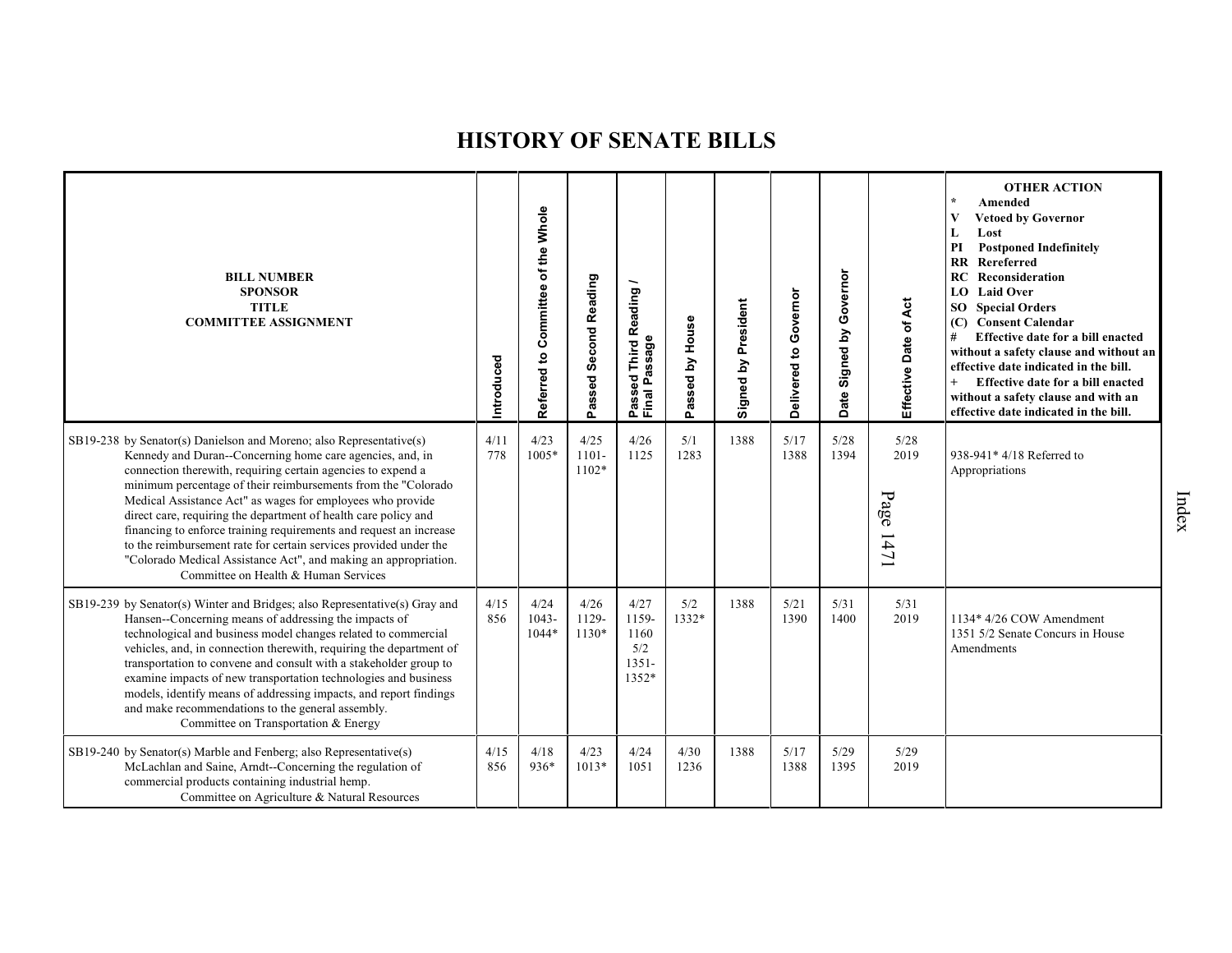| <b>BILL NUMBER</b><br><b>SPONSOR</b><br><b>TITLE</b><br><b>COMMITTEE ASSIGNMENT</b>                                                                                                                                                                                                                                                                                                                                                                                                                                                                                                                                                                      | Introduced  | Referred to Committee of the Whole | Passed Second Reading       | Reading<br>Passeu<br>Final Passage                | House<br>assed by<br>Ő. | Signed by President | Delivered to Governor | Governor<br>Signed by<br>Date | Effective Date of Act     | <b>OTHER ACTION</b><br>$\star$<br>Amended<br>V<br><b>Vetoed by Governor</b><br>L<br>Lost<br><b>Postponed Indefinitely</b><br>PI<br>$\mathbf{R}$<br>Rereferred<br>Reconsideration<br>RC<br>LO Laid Over<br><b>SO</b> Special Orders<br>(C) Consent Calendar<br>#<br>Effective date for a bill enacted<br>without a safety clause and without an<br>effective date indicated in the bill.<br>$+$<br>Effective date for a bill enacted<br>without a safety clause and with an<br>effective date indicated in the bill. |
|----------------------------------------------------------------------------------------------------------------------------------------------------------------------------------------------------------------------------------------------------------------------------------------------------------------------------------------------------------------------------------------------------------------------------------------------------------------------------------------------------------------------------------------------------------------------------------------------------------------------------------------------------------|-------------|------------------------------------|-----------------------------|---------------------------------------------------|-------------------------|---------------------|-----------------------|-------------------------------|---------------------------|---------------------------------------------------------------------------------------------------------------------------------------------------------------------------------------------------------------------------------------------------------------------------------------------------------------------------------------------------------------------------------------------------------------------------------------------------------------------------------------------------------------------|
| SB19-238 by Senator(s) Danielson and Moreno; also Representative(s)<br>Kennedy and Duran--Concerning home care agencies, and, in<br>connection therewith, requiring certain agencies to expend a<br>minimum percentage of their reimbursements from the "Colorado<br>Medical Assistance Act" as wages for employees who provide<br>direct care, requiring the department of health care policy and<br>financing to enforce training requirements and request an increase<br>to the reimbursement rate for certain services provided under the<br>"Colorado Medical Assistance Act", and making an appropriation.<br>Committee on Health & Human Services | 4/11<br>778 | 4/23<br>$1005*$                    | 4/25<br>$1101 -$<br>$1102*$ | 4/26<br>1125                                      | 5/1<br>1283             | 1388                | 5/17<br>1388          | 5/28<br>1394                  | 5/28<br>2019<br>Page 1471 | 938-941* 4/18 Referred to<br>Appropriations                                                                                                                                                                                                                                                                                                                                                                                                                                                                         |
| SB19-239 by Senator(s) Winter and Bridges; also Representative(s) Gray and<br>Hansen--Concerning means of addressing the impacts of<br>technological and business model changes related to commercial<br>vehicles, and, in connection therewith, requiring the department of<br>transportation to convene and consult with a stakeholder group to<br>examine impacts of new transportation technologies and business<br>models, identify means of addressing impacts, and report findings<br>and make recommendations to the general assembly.<br>Committee on Transportation & Energy                                                                   | 4/15<br>856 | 4/24<br>$1043 -$<br>1044*          | 4/26<br>1129-<br>$1130*$    | 4/27<br>1159-<br>1160<br>5/2<br>$1351 -$<br>1352* | 5/2<br>1332*            | 1388                | 5/21<br>1390          | 5/31<br>1400                  | 5/31<br>2019              | 1134* 4/26 COW Amendment<br>1351 5/2 Senate Concurs in House<br>Amendments                                                                                                                                                                                                                                                                                                                                                                                                                                          |
| SB19-240 by Senator(s) Marble and Fenberg; also Representative(s)<br>McLachlan and Saine, Arndt--Concerning the regulation of<br>commercial products containing industrial hemp.<br>Committee on Agriculture & Natural Resources                                                                                                                                                                                                                                                                                                                                                                                                                         | 4/15<br>856 | 4/18<br>936*                       | 4/23<br>$1013*$             | 4/24<br>1051                                      | 4/30<br>1236            | 1388                | 5/17<br>1388          | 5/29<br>1395                  | 5/29<br>2019              |                                                                                                                                                                                                                                                                                                                                                                                                                                                                                                                     |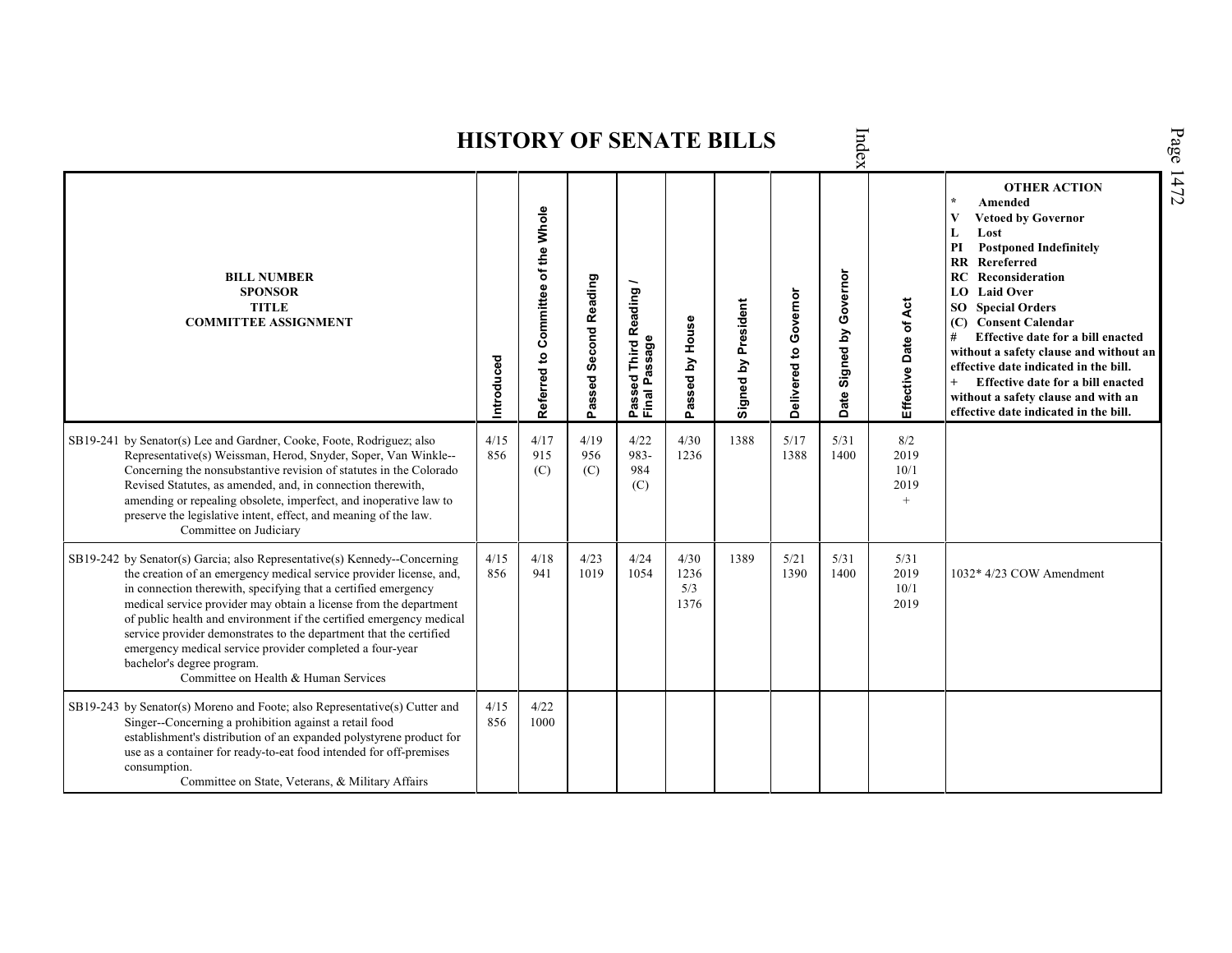| Jex                                                                                                                                                                                                                                                                                                                                                                                                                                                                                                                                                                    |             |                                    |                       |                                                           |                             |                     |                       |                            |                                    |                                                                                                                                                                                                                                                                                                                                                                                                                                                                                                                    |  |  |  |
|------------------------------------------------------------------------------------------------------------------------------------------------------------------------------------------------------------------------------------------------------------------------------------------------------------------------------------------------------------------------------------------------------------------------------------------------------------------------------------------------------------------------------------------------------------------------|-------------|------------------------------------|-----------------------|-----------------------------------------------------------|-----------------------------|---------------------|-----------------------|----------------------------|------------------------------------|--------------------------------------------------------------------------------------------------------------------------------------------------------------------------------------------------------------------------------------------------------------------------------------------------------------------------------------------------------------------------------------------------------------------------------------------------------------------------------------------------------------------|--|--|--|
| <b>BILL NUMBER</b><br><b>SPONSOR</b><br><b>TITLE</b><br><b>COMMITTEE ASSIGNMENT</b>                                                                                                                                                                                                                                                                                                                                                                                                                                                                                    | Introduced  | Referred to Committee of the Whole | Passed Second Reading | Reading<br>issage<br>Third<br>ã,<br>ិទួ<br>Passe<br>Final | Passed by House             | Signed by President | Delivered to Governor | Governor<br>Date Signed by | Effective Date of Act              | <b>OTHER ACTION</b><br>$\star$<br>Amended<br><b>Vetoed by Governor</b><br>V<br>Lost<br>L<br><b>Postponed Indefinitely</b><br>PI<br><b>RR</b> Rereferred<br>Reconsideration<br>RC<br><b>LO</b> Laid Over<br><b>SO</b> Special Orders<br><b>Consent Calendar</b><br>(C)<br>Effective date for a bill enacted<br>without a safety clause and without an<br>effective date indicated in the bill.<br>Effective date for a bill enacted<br>without a safety clause and with an<br>effective date indicated in the bill. |  |  |  |
| SB19-241 by Senator(s) Lee and Gardner, Cooke, Foote, Rodriguez; also<br>Representative(s) Weissman, Herod, Snyder, Soper, Van Winkle--<br>Concerning the nonsubstantive revision of statutes in the Colorado<br>Revised Statutes, as amended, and, in connection therewith,<br>amending or repealing obsolete, imperfect, and inoperative law to<br>preserve the legislative intent, effect, and meaning of the law.<br>Committee on Judiciary                                                                                                                        | 4/15<br>856 | 4/17<br>915<br>(C)                 | 4/19<br>956<br>(C)    | 4/22<br>983-<br>984<br>(C)                                | 4/30<br>1236                | 1388                | 5/17<br>1388          | 5/31<br>1400               | 8/2<br>2019<br>10/1<br>2019<br>$+$ |                                                                                                                                                                                                                                                                                                                                                                                                                                                                                                                    |  |  |  |
| SB19-242 by Senator(s) Garcia; also Representative(s) Kennedy--Concerning<br>the creation of an emergency medical service provider license, and,<br>in connection therewith, specifying that a certified emergency<br>medical service provider may obtain a license from the department<br>of public health and environment if the certified emergency medical<br>service provider demonstrates to the department that the certified<br>emergency medical service provider completed a four-year<br>bachelor's degree program.<br>Committee on Health & Human Services | 4/15<br>856 | 4/18<br>941                        | 4/23<br>1019          | 4/24<br>1054                                              | 4/30<br>1236<br>5/3<br>1376 | 1389                | 5/21<br>1390          | 5/31<br>1400               | 5/31<br>2019<br>10/1<br>2019       | 1032* 4/23 COW Amendment                                                                                                                                                                                                                                                                                                                                                                                                                                                                                           |  |  |  |
| SB19-243 by Senator(s) Moreno and Foote; also Representative(s) Cutter and<br>Singer--Concerning a prohibition against a retail food<br>establishment's distribution of an expanded polystyrene product for<br>use as a container for ready-to-eat food intended for off-premises<br>consumption.<br>Committee on State, Veterans, & Military Affairs                                                                                                                                                                                                                  | 4/15<br>856 | 4/22<br>1000                       |                       |                                                           |                             |                     |                       |                            |                                    |                                                                                                                                                                                                                                                                                                                                                                                                                                                                                                                    |  |  |  |

Index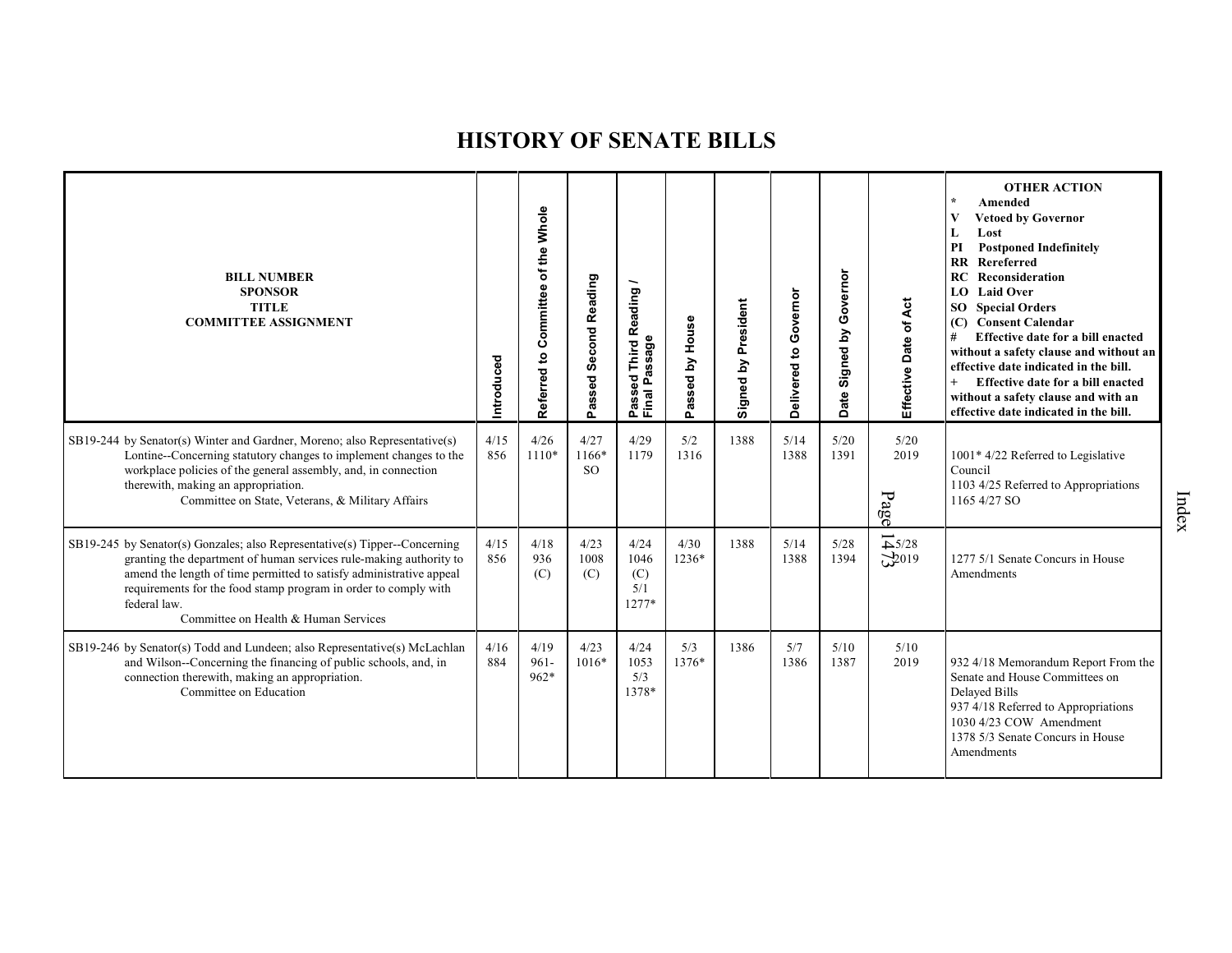| <b>BILL NUMBER</b><br><b>SPONSOR</b><br><b>TITLE</b><br><b>COMMITTEE ASSIGNMENT</b>                                                                                                                                                                                                                                                                | Introduced  | Referred to Committee of the Whole | Passed Second Reading          | Reading<br>sage<br>Third<br>Ŵ.<br>ᠭᢐ<br>g<br>՟<br>Passe<br>Final | assed by House<br>Ő. | Signed by President | Governor<br>Delivered to | Governor<br>Signed by<br><b>Date</b> | Effective Date of Act                    | <b>OTHER ACTION</b><br>$\star$<br>Amended<br>V<br><b>Vetoed by Governor</b><br>L<br>Lost<br><b>Postponed Indefinitely</b><br>PI<br><b>RR</b> Rereferred<br><b>RC</b> Reconsideration<br><b>LO</b> Laid Over<br>SO <sub>1</sub><br><b>Special Orders</b><br>(C) Consent Calendar<br>#<br>Effective date for a bill enacted<br>without a safety clause and without an<br>effective date indicated in the bill.<br>Effective date for a bill enacted<br>without a safety clause and with an<br>effective date indicated in the bill. |
|----------------------------------------------------------------------------------------------------------------------------------------------------------------------------------------------------------------------------------------------------------------------------------------------------------------------------------------------------|-------------|------------------------------------|--------------------------------|------------------------------------------------------------------|----------------------|---------------------|--------------------------|--------------------------------------|------------------------------------------|-----------------------------------------------------------------------------------------------------------------------------------------------------------------------------------------------------------------------------------------------------------------------------------------------------------------------------------------------------------------------------------------------------------------------------------------------------------------------------------------------------------------------------------|
| SB19-244 by Senator(s) Winter and Gardner, Moreno; also Representative(s)<br>Lontine--Concerning statutory changes to implement changes to the<br>workplace policies of the general assembly, and, in connection<br>therewith, making an appropriation.<br>Committee on State, Veterans, & Military Affairs                                        | 4/15<br>856 | 4/26<br>$1110*$                    | 4/27<br>1166*<br><sub>SO</sub> | 4/29<br>1179                                                     | 5/2<br>1316          | 1388                | 5/14<br>1388             | 5/20<br>1391                         | 5/20<br>2019<br>Page                     | 1001* 4/22 Referred to Legislative<br>Council<br>1103 4/25 Referred to Appropriations<br>1165 4/27 SO                                                                                                                                                                                                                                                                                                                                                                                                                             |
| SB19-245 by Senator(s) Gonzales; also Representative(s) Tipper--Concerning<br>granting the department of human services rule-making authority to<br>amend the length of time permitted to satisfy administrative appeal<br>requirements for the food stamp program in order to comply with<br>federal law.<br>Committee on Health & Human Services | 4/15<br>856 | 4/18<br>936<br>(C)                 | 4/23<br>1008<br>(C)            | 4/24<br>1046<br>(C)<br>5/1<br>$1277*$                            | 4/30<br>1236*        | 1388                | 5/14<br>1388             | 5/28<br>1394                         | $\overrightarrow{+}$ 5/28<br>$\sum$ 2019 | 1277 5/1 Senate Concurs in House<br>Amendments                                                                                                                                                                                                                                                                                                                                                                                                                                                                                    |
| SB19-246 by Senator(s) Todd and Lundeen; also Representative(s) McLachlan<br>and Wilson--Concerning the financing of public schools, and, in<br>connection therewith, making an appropriation.<br>Committee on Education                                                                                                                           | 4/16<br>884 | 4/19<br>$961 -$<br>$962*$          | 4/23<br>$1016*$                | 4/24<br>1053<br>5/3<br>1378*                                     | 5/3<br>1376*         | 1386                | 5/7<br>1386              | 5/10<br>1387                         | 5/10<br>2019                             | 932 4/18 Memorandum Report From the<br>Senate and House Committees on<br>Delayed Bills<br>937 4/18 Referred to Appropriations<br>1030 4/23 COW Amendment<br>1378 5/3 Senate Concurs in House<br>Amendments                                                                                                                                                                                                                                                                                                                        |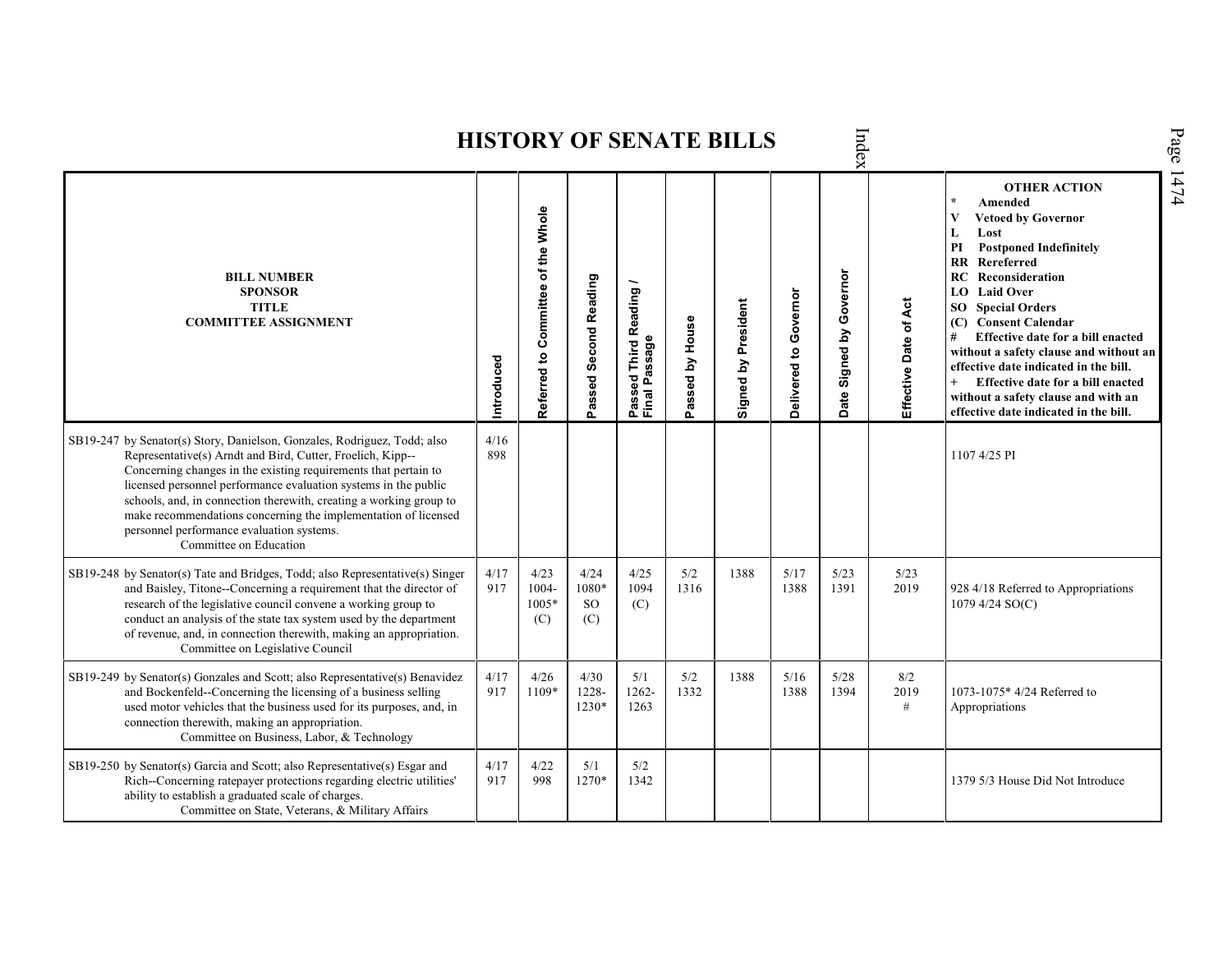Index **HISTORY OF SENATE BILLS OTHER ACTION \* Amended Referred to Com mittee of the Whole Vetoed by Governor L Lost PI Postponed Indefinitely RR Rereferred Date Signed by Governor BILL NUMBER RC Reconsideration Passed Second Reading Passed Third Reading /** Passed Third Reading<br>Final Passage **LO Laid Over SPONSOR** Delivered to Governor **Delivered to Governor** Ąct Signed by President **Effective Date of Act Signed by President SO Special Orders TITLE COMMITTEE ASSIGNMENT (C) Consent Calendar** Passed by House **Passed by House** Effective Date of **# Effective date for a bill enacted Final Passage without a safety clause and without an Introduced effective date indicated in the bill. + Effective date for a bill enacted without a safety clause and with an effective date indicated in the bill.**   $\frac{4}{16}$ SB19-247 by Senator(s) Story, Danielson, Gonzales, Rodriguez, Todd; also Representative(s) Arndt and Bird, Cutter, Froelich, Kipp-- 898 1107 4/25 PI Concerning changes in the existing requirements that pertain to licensed personnel performance evaluation systems in the public schools, and, in connection therewith, creating a working group to make recommendations concerning the implementation of licensed personnel performance evaluation systems. Committee on Education SB19-248 by Senator(s) Tate and Bridges, Todd; also Representative(s) Singer 4/17 4/23 4/24 4/25 5/2 1388 5/17 5/23 5/23 and Baisley, Titone--Concerning a requirement that the director of 917 1004- 1080\* 1094 1316 1388 1391 2019 928 4/18 Referred to Appropriations research of the legislative council convene a working group to 1005\* SO (C) 1079 4/24 SO(C) conduct an analysis of the state tax system used by the department (C) (C) of revenue, and, in connection therewith, making an appropriation. Committee on Legislative Council SB19-249 by Senator(s) Gonzales and Scott; also Representative(s) Benavidez 4/17 4/26 4/30 5/1 5/2 1388 5/16 5/28 8/2 and Bockenfeld--Concerning the licensing of a business selling 917 1109\* 1228- 1262- 1332 1388 1394 2019 1073-1075\* 4/24 Referred to used motor vehicles that the business used for its purposes, and, in 1230\* 1263 Appropriations # connection therewith, making an appropriation. Committee on Business, Labor, & Technology SB19-250 by Senator(s) Garcia and Scott; also Representative(s) Esgar and 4/17 4/22 5/2 5/1 1270\* Rich--Concerning ratepayer protections regarding electric utilities' 917 998 1342 1379 5/3 House Did Not Introduce ability to establish a graduated scale of charges. Committee on State, Veterans, & Military Affairs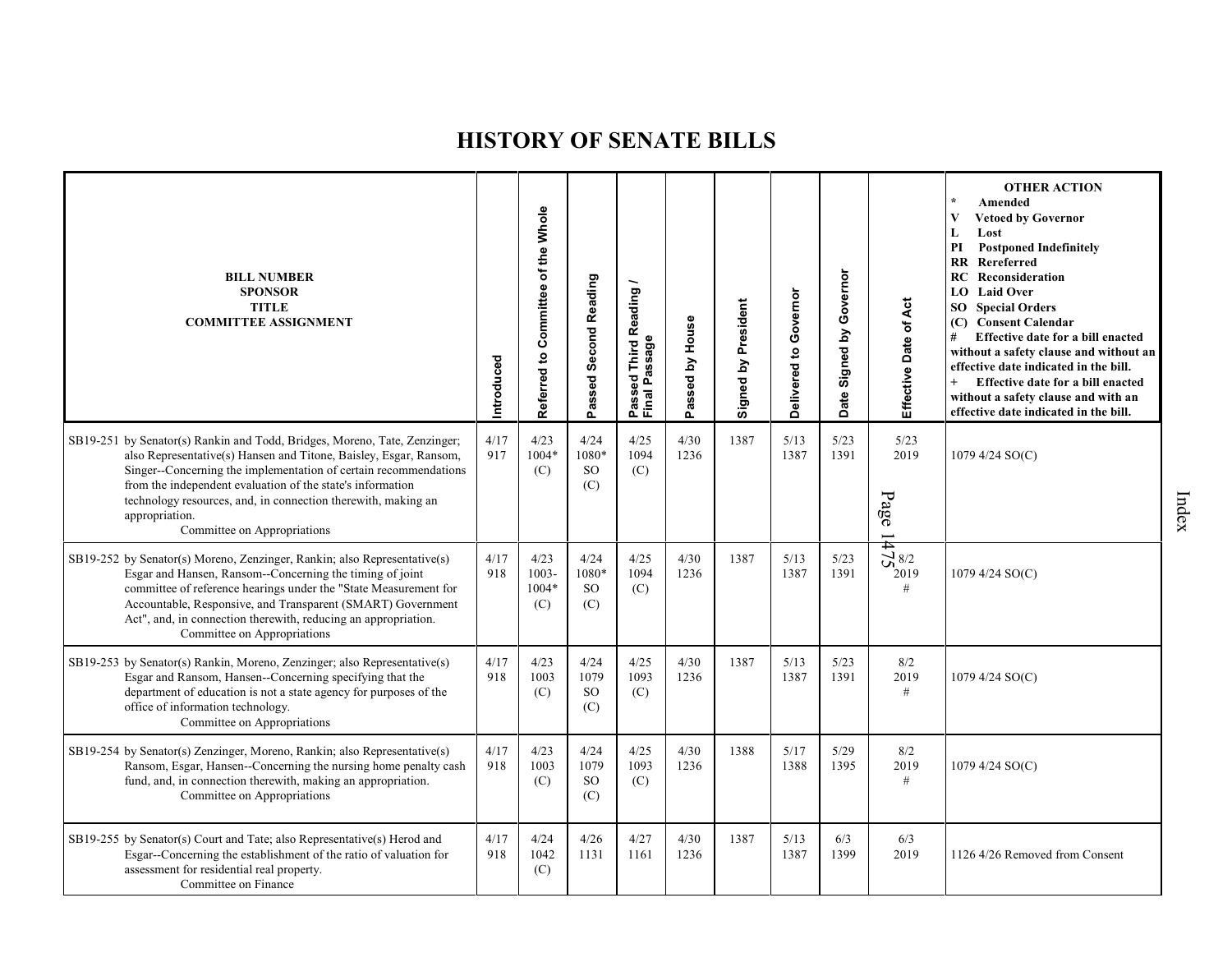| <b>BILL NUMBER</b><br><b>SPONSOR</b><br><b>TITLE</b><br><b>COMMITTEE ASSIGNMENT</b>                                                                                                                                                                                                                                                                                                                | Introduced  | Referred to Committee of the Whole | Passed Second Reading                  | <b>Third Reading</b><br>Passed Third R<br>Final Passage | House<br>$\mathbf{\Sigma}$<br>Passed | Signed by President | Delivered to Governor | Governor<br>$\mathbf{\Sigma}$<br>Date Signed | Effective Date of Act                     | <b>OTHER ACTION</b><br>Amended<br><b>Vetoed by Governor</b><br>L<br>Lost<br><b>Postponed Indefinitely</b><br>PI<br><b>RR</b> Rereferred<br><b>RC</b> Reconsideration<br>LO Laid Over<br><b>SO</b> Special Orders<br>(C) Consent Calendar<br>#<br>Effective date for a bill enacted<br>without a safety clause and without an<br>effective date indicated in the bill.<br>Effective date for a bill enacted<br>without a safety clause and with an<br>effective date indicated in the bill. |
|----------------------------------------------------------------------------------------------------------------------------------------------------------------------------------------------------------------------------------------------------------------------------------------------------------------------------------------------------------------------------------------------------|-------------|------------------------------------|----------------------------------------|---------------------------------------------------------|--------------------------------------|---------------------|-----------------------|----------------------------------------------|-------------------------------------------|--------------------------------------------------------------------------------------------------------------------------------------------------------------------------------------------------------------------------------------------------------------------------------------------------------------------------------------------------------------------------------------------------------------------------------------------------------------------------------------------|
| SB19-251 by Senator(s) Rankin and Todd, Bridges, Moreno, Tate, Zenzinger;<br>also Representative(s) Hansen and Titone, Baisley, Esgar, Ransom,<br>Singer--Concerning the implementation of certain recommendations<br>from the independent evaluation of the state's information<br>technology resources, and, in connection therewith, making an<br>appropriation.<br>Committee on Appropriations | 4/17<br>917 | 4/23<br>1004*<br>(C)               | 4/24<br>1080*<br><b>SO</b><br>(C)      | 4/25<br>1094<br>(C)                                     | 4/30<br>1236                         | 1387                | 5/13<br>1387          | 5/23<br>1391                                 | 5/23<br>2019<br>$\mathbf{p}_\mathbf{age}$ | 1079 4/24 SO(C)                                                                                                                                                                                                                                                                                                                                                                                                                                                                            |
| SB19-252 by Senator(s) Moreno, Zenzinger, Rankin; also Representative(s)<br>Esgar and Hansen, Ransom--Concerning the timing of joint<br>committee of reference hearings under the "State Measurement for<br>Accountable, Responsive, and Transparent (SMART) Government<br>Act", and, in connection therewith, reducing an appropriation.<br>Committee on Appropriations                           | 4/17<br>918 | 4/23<br>$1003 -$<br>1004*<br>(C)   | 4/24<br>1080*<br><b>SO</b><br>(C)      | 4/25<br>1094<br>(C)                                     | 4/30<br>1236                         | 1387                | 5/13<br>1387          | 5/23<br>1391                                 | $5\frac{1}{8}$ 8/2<br>2019<br>#           | 1079 4/24 SO(C)                                                                                                                                                                                                                                                                                                                                                                                                                                                                            |
| SB19-253 by Senator(s) Rankin, Moreno, Zenzinger; also Representative(s)<br>Esgar and Ransom, Hansen--Concerning specifying that the<br>department of education is not a state agency for purposes of the<br>office of information technology.<br>Committee on Appropriations                                                                                                                      | 4/17<br>918 | 4/23<br>1003<br>(C)                | 4/24<br>1079<br>SO <sub>1</sub><br>(C) | 4/25<br>1093<br>(C)                                     | 4/30<br>1236                         | 1387                | 5/13<br>1387          | 5/23<br>1391                                 | 8/2<br>2019<br>$\#$                       | 1079 4/24 SO(C)                                                                                                                                                                                                                                                                                                                                                                                                                                                                            |
| SB19-254 by Senator(s) Zenzinger, Moreno, Rankin; also Representative(s)<br>Ransom, Esgar, Hansen--Concerning the nursing home penalty cash<br>fund, and, in connection therewith, making an appropriation.<br>Committee on Appropriations                                                                                                                                                         | 4/17<br>918 | 4/23<br>1003<br>(C)                | 4/24<br>1079<br>SO <sub>1</sub><br>(C) | 4/25<br>1093<br>(C)                                     | 4/30<br>1236                         | 1388                | 5/17<br>1388          | 5/29<br>1395                                 | 8/2<br>2019<br>$\#$                       | 1079 4/24 SO(C)                                                                                                                                                                                                                                                                                                                                                                                                                                                                            |
| SB19-255 by Senator(s) Court and Tate; also Representative(s) Herod and<br>Esgar--Concerning the establishment of the ratio of valuation for<br>assessment for residential real property.<br>Committee on Finance                                                                                                                                                                                  | 4/17<br>918 | 4/24<br>1042<br>(C)                | 4/26<br>1131                           | 4/27<br>1161                                            | 4/30<br>1236                         | 1387                | 5/13<br>1387          | 6/3<br>1399                                  | 6/3<br>2019                               | 1126 4/26 Removed from Consent                                                                                                                                                                                                                                                                                                                                                                                                                                                             |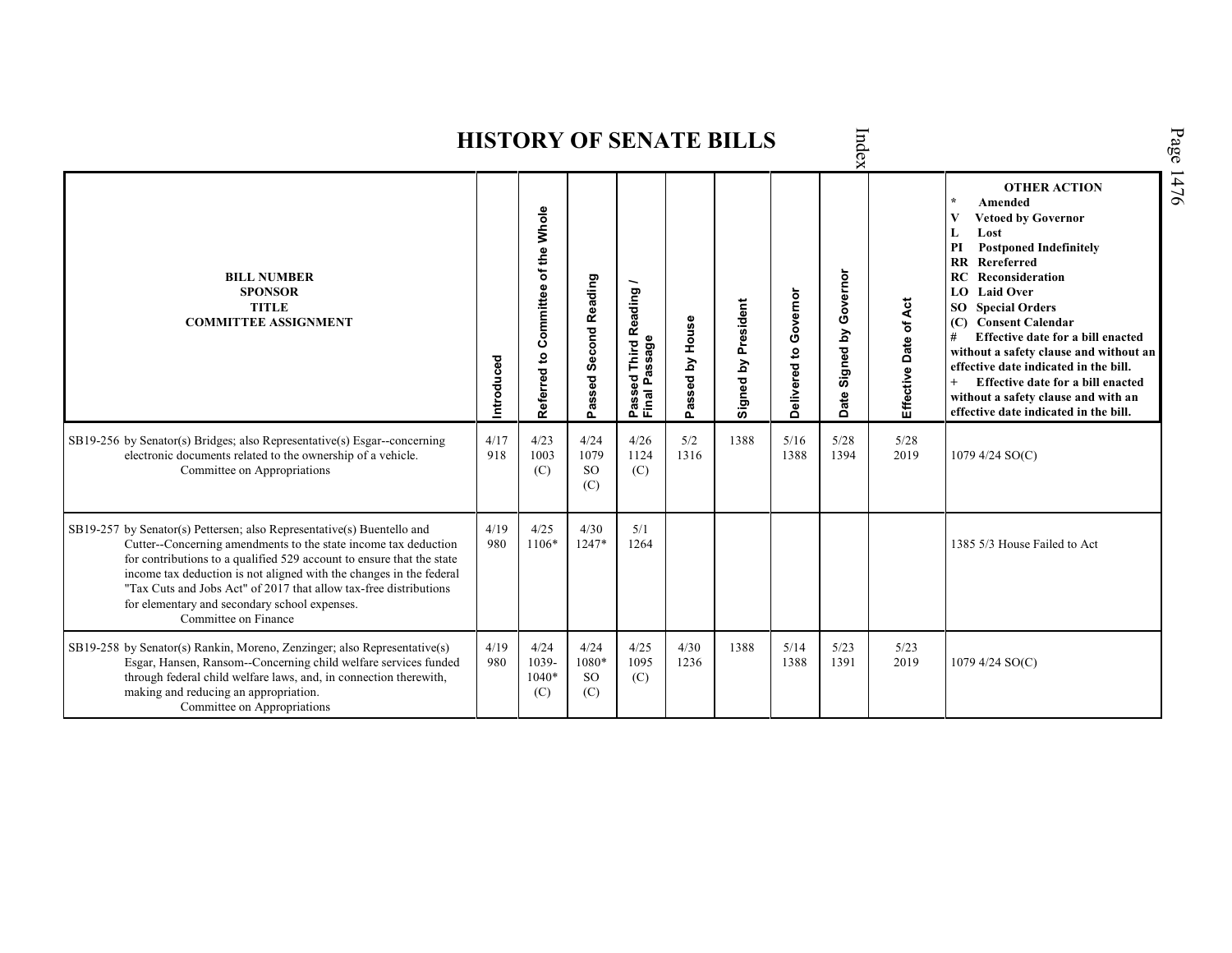|                                                                                                                                                                                                                                                                                                                                                                                                                                         | Page<br>Index<br><b>HISTORY OF SENATE BILLS</b> |                                                       |                                       |                                       |                     |                           |                       |                            |                       |                                                                                                                                                                                                                                                                                                                                                                                                                                                                                                                                          |      |  |  |  |  |
|-----------------------------------------------------------------------------------------------------------------------------------------------------------------------------------------------------------------------------------------------------------------------------------------------------------------------------------------------------------------------------------------------------------------------------------------|-------------------------------------------------|-------------------------------------------------------|---------------------------------------|---------------------------------------|---------------------|---------------------------|-----------------------|----------------------------|-----------------------|------------------------------------------------------------------------------------------------------------------------------------------------------------------------------------------------------------------------------------------------------------------------------------------------------------------------------------------------------------------------------------------------------------------------------------------------------------------------------------------------------------------------------------------|------|--|--|--|--|
| <b>BILL NUMBER</b><br><b>SPONSOR</b><br><b>TITLE</b><br><b>COMMITTEE ASSIGNMENT</b>                                                                                                                                                                                                                                                                                                                                                     | Introduced                                      | of the Whole<br>Committee<br>$\mathbf{S}$<br>Referred | <b>Second Reading</b><br>assed<br>o.  | Passed Third Reading<br>Final Passage | assed by House<br>௳ | President<br>Σq<br>Signed | Delivered to Governor | Governor<br>Date Signed by | Effective Date of Act | <b>OTHER ACTION</b><br>Amended<br><b>Vetoed by Governor</b><br>Lost<br>L<br>PI<br><b>Postponed Indefinitely</b><br>Rereferred<br>$\mathbf{R}$<br>RC<br>Reconsideration<br><b>Laid Over</b><br>LO.<br><b>Special Orders</b><br>SO <sub>2</sub><br><b>Consent Calendar</b><br>(C)<br>Effective date for a bill enacted<br>#<br>without a safety clause and without an<br>effective date indicated in the bill.<br>$+$<br>Effective date for a bill enacted<br>without a safety clause and with an<br>effective date indicated in the bill. | 1476 |  |  |  |  |
| SB19-256 by Senator(s) Bridges; also Representative(s) Esgar--concerning<br>electronic documents related to the ownership of a vehicle.<br>Committee on Appropriations                                                                                                                                                                                                                                                                  | 4/17<br>918                                     | 4/23<br>1003<br>(C)                                   | 4/24<br>1079<br><sub>SO</sub><br>(C)  | 4/26<br>1124<br>(C)                   | 5/2<br>1316         | 1388                      | 5/16<br>1388          | 5/28<br>1394               | 5/28<br>2019          | 1079 4/24 SO(C)                                                                                                                                                                                                                                                                                                                                                                                                                                                                                                                          |      |  |  |  |  |
| SB19-257 by Senator(s) Pettersen; also Representative(s) Buentello and<br>Cutter--Concerning amendments to the state income tax deduction<br>for contributions to a qualified 529 account to ensure that the state<br>income tax deduction is not aligned with the changes in the federal<br>"Tax Cuts and Jobs Act" of 2017 that allow tax-free distributions<br>for elementary and secondary school expenses.<br>Committee on Finance | 4/19<br>980                                     | 4/25<br>1106*                                         | 4/30<br>1247*                         | 5/1<br>1264                           |                     |                           |                       |                            |                       | 1385 5/3 House Failed to Act                                                                                                                                                                                                                                                                                                                                                                                                                                                                                                             |      |  |  |  |  |
| SB19-258 by Senator(s) Rankin, Moreno, Zenzinger; also Representative(s)<br>Esgar, Hansen, Ransom--Concerning child welfare services funded<br>through federal child welfare laws, and, in connection therewith,<br>making and reducing an appropriation.<br>Committee on Appropriations                                                                                                                                                | 4/19<br>980                                     | 4/24<br>1039-<br>1040*<br>(C)                         | 4/24<br>1080*<br><sub>SO</sub><br>(C) | 4/25<br>1095<br>(C)                   | 4/30<br>1236        | 1388                      | 5/14<br>1388          | 5/23<br>1391               | 5/23<br>2019          | 1079 4/24 SO(C)                                                                                                                                                                                                                                                                                                                                                                                                                                                                                                                          |      |  |  |  |  |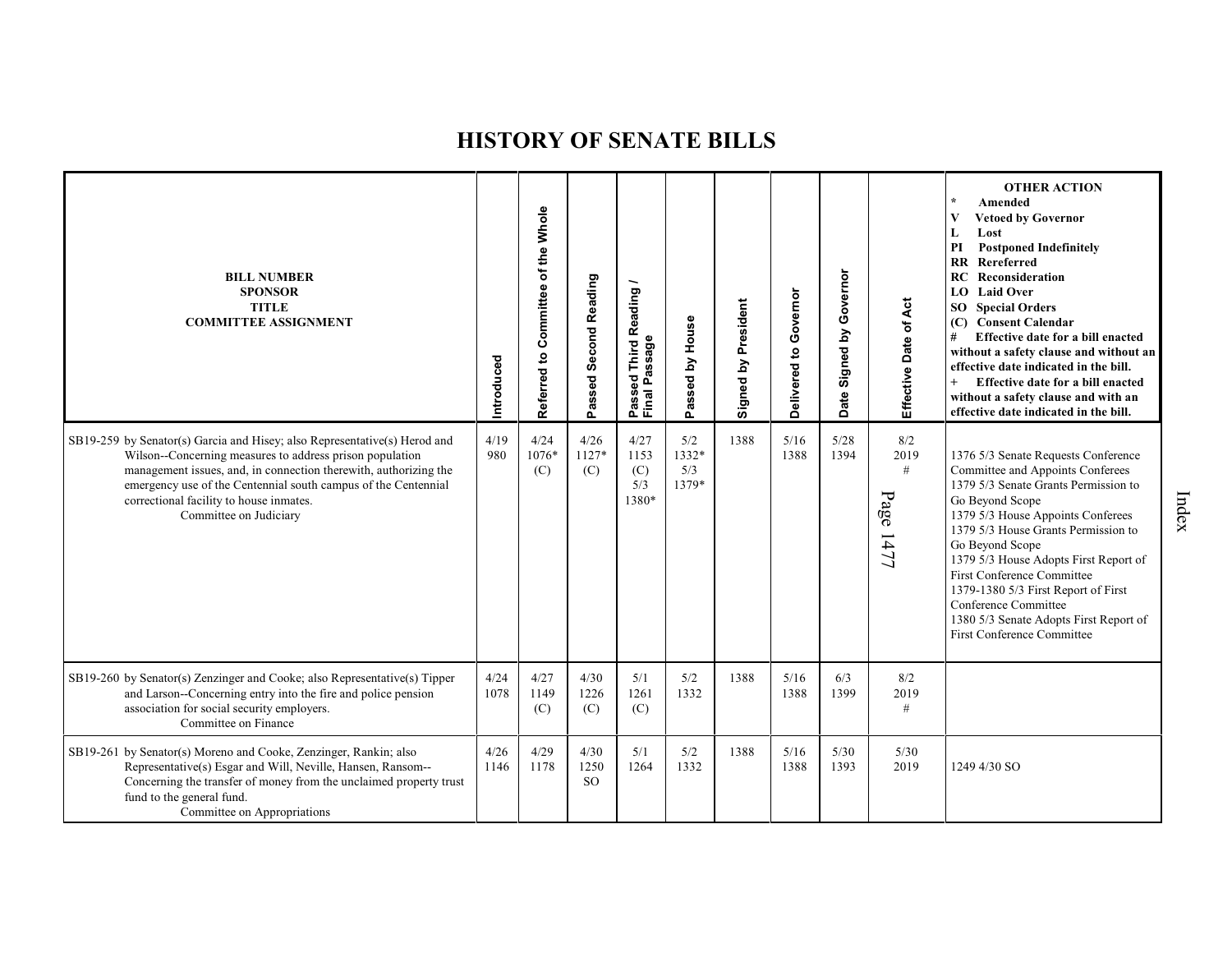| <b>BILL NUMBER</b><br><b>SPONSOR</b><br><b>TITLE</b><br><b>COMMITTEE ASSIGNMENT</b>                                                                                                                                                                                                                                                              | Introduced   | of the Whole<br>Committee<br>$\mathbf{S}$<br>Referred | Passed Second Reading         | Reading/<br>Passage<br>Third<br>Passed<br>Final Pa | House<br>Passed by           | Signed by President | Delivered to Governor | Governor<br>Signed by<br>Date | Effective Date of Act         | <b>OTHER ACTION</b><br>Amended<br><b>Vetoed by Governor</b><br>Lost<br>L<br>PI<br><b>Postponed Indefinitely</b><br><b>RR</b> Rereferred<br><b>RC</b> Reconsideration<br><b>LO</b> Laid Over<br>SO Special Orders<br><b>Consent Calendar</b><br>(C)<br>#<br>Effective date for a bill enacted<br>without a safety clause and without an<br>effective date indicated in the bill.<br>Effective date for a bill enacted<br>without a safety clause and with an<br>effective date indicated in the bill. |
|--------------------------------------------------------------------------------------------------------------------------------------------------------------------------------------------------------------------------------------------------------------------------------------------------------------------------------------------------|--------------|-------------------------------------------------------|-------------------------------|----------------------------------------------------|------------------------------|---------------------|-----------------------|-------------------------------|-------------------------------|------------------------------------------------------------------------------------------------------------------------------------------------------------------------------------------------------------------------------------------------------------------------------------------------------------------------------------------------------------------------------------------------------------------------------------------------------------------------------------------------------|
| SB19-259 by Senator(s) Garcia and Hisey; also Representative(s) Herod and<br>Wilson--Concerning measures to address prison population<br>management issues, and, in connection therewith, authorizing the<br>emergency use of the Centennial south campus of the Centennial<br>correctional facility to house inmates.<br>Committee on Judiciary | 4/19<br>980  | 4/24<br>1076*<br>(C)                                  | 4/26<br>1127*<br>(C)          | 4/27<br>1153<br>(C)<br>5/3<br>1380*                | 5/2<br>1332*<br>5/3<br>1379* | 1388                | 5/16<br>1388          | 5/28<br>1394                  | 8/2<br>2019<br>#<br>Page 1477 | 1376 5/3 Senate Requests Conference<br>Committee and Appoints Conferees<br>1379 5/3 Senate Grants Permission to<br>Go Beyond Scope<br>1379 5/3 House Appoints Conferees<br>1379 5/3 House Grants Permission to<br>Go Beyond Scope<br>1379 5/3 House Adopts First Report of<br><b>First Conference Committee</b><br>1379-1380 5/3 First Report of First<br>Conference Committee<br>1380 5/3 Senate Adopts First Report of<br><b>First Conference Committee</b>                                        |
| SB19-260 by Senator(s) Zenzinger and Cooke; also Representative(s) Tipper<br>and Larson--Concerning entry into the fire and police pension<br>association for social security employers.<br>Committee on Finance                                                                                                                                 | 4/24<br>1078 | 4/27<br>1149<br>(C)                                   | 4/30<br>1226<br>(C)           | 5/1<br>1261<br>(C)                                 | 5/2<br>1332                  | 1388                | 5/16<br>1388          | 6/3<br>1399                   | 8/2<br>2019<br>#              |                                                                                                                                                                                                                                                                                                                                                                                                                                                                                                      |
| SB19-261 by Senator(s) Moreno and Cooke, Zenzinger, Rankin; also<br>Representative(s) Esgar and Will, Neville, Hansen, Ransom--<br>Concerning the transfer of money from the unclaimed property trust<br>fund to the general fund.<br>Committee on Appropriations                                                                                | 4/26<br>1146 | 4/29<br>1178                                          | 4/30<br>1250<br><sub>SO</sub> | 5/1<br>1264                                        | 5/2<br>1332                  | 1388                | 5/16<br>1388          | 5/30<br>1393                  | 5/30<br>2019                  | 1249 4/30 SO                                                                                                                                                                                                                                                                                                                                                                                                                                                                                         |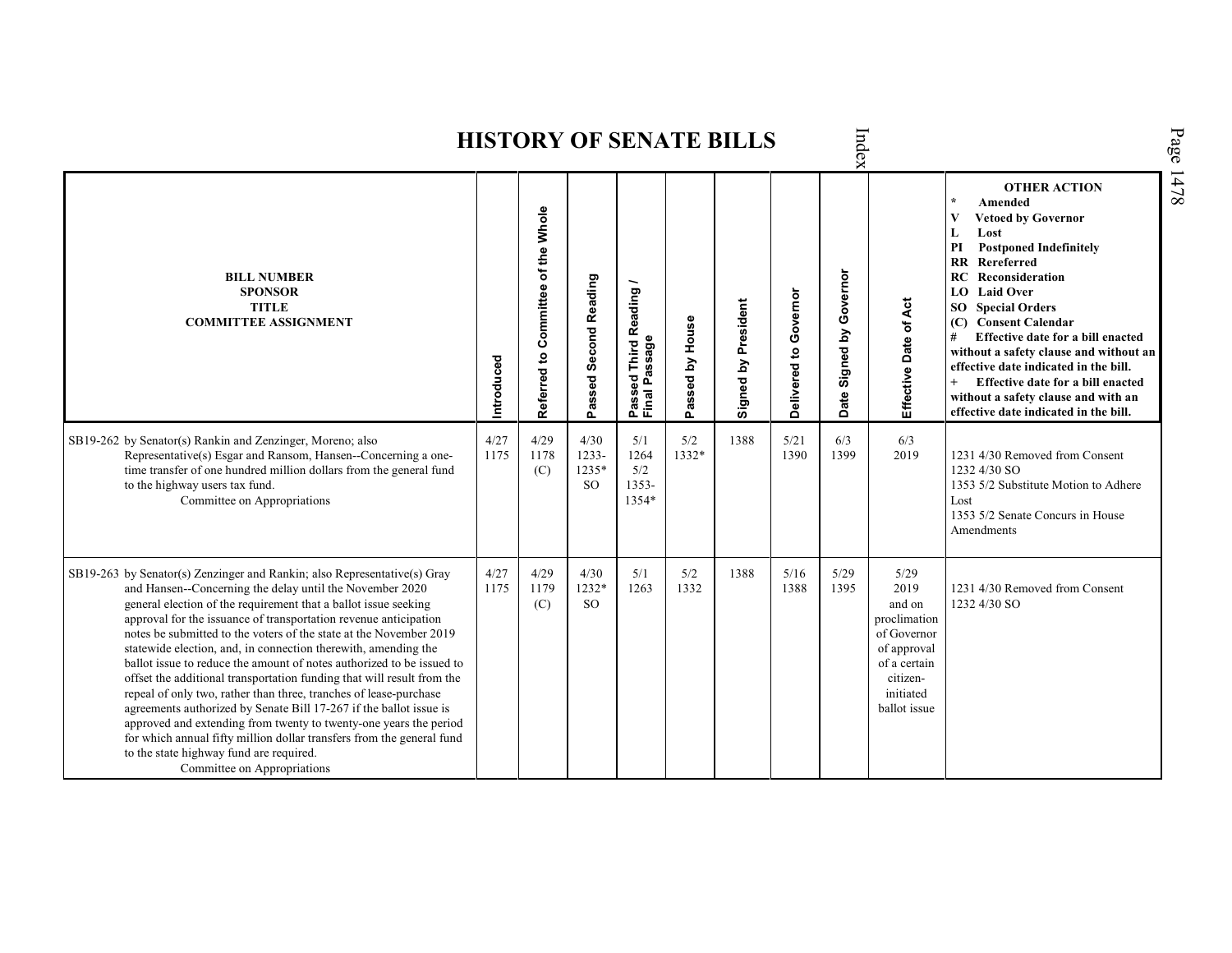| Index<br><b>HISTORY OF SENATE BILLS</b>                                                                                                                                                                                                                                                                                                                                                                                                                                                                                                                                                                                                                                                                                                                                                                                                                                                                                                   |              |                                    |                                  |                                                         |                 |                     |                       |                                      |                                                                                                                               |                                                                                                                                                                                                                                                                                                                                                                                                                                                                                                                        |  |  |  |
|-------------------------------------------------------------------------------------------------------------------------------------------------------------------------------------------------------------------------------------------------------------------------------------------------------------------------------------------------------------------------------------------------------------------------------------------------------------------------------------------------------------------------------------------------------------------------------------------------------------------------------------------------------------------------------------------------------------------------------------------------------------------------------------------------------------------------------------------------------------------------------------------------------------------------------------------|--------------|------------------------------------|----------------------------------|---------------------------------------------------------|-----------------|---------------------|-----------------------|--------------------------------------|-------------------------------------------------------------------------------------------------------------------------------|------------------------------------------------------------------------------------------------------------------------------------------------------------------------------------------------------------------------------------------------------------------------------------------------------------------------------------------------------------------------------------------------------------------------------------------------------------------------------------------------------------------------|--|--|--|
| <b>BILL NUMBER</b><br><b>SPONSOR</b><br><b>TITLE</b><br><b>COMMITTEE ASSIGNMENT</b>                                                                                                                                                                                                                                                                                                                                                                                                                                                                                                                                                                                                                                                                                                                                                                                                                                                       | Introduced   | Referred to Committee of the Whole | Passed Second Reading            | Reading<br>assage<br>Third<br>ិទួ<br>Passed<br>Final Pa | Passed by House | Signed by President | Delivered to Governor | Governor<br>Signed by<br><b>Date</b> | Effective Date of Act                                                                                                         | <b>OTHER ACTION</b><br>$\star$<br>Amended<br>V<br><b>Vetoed by Governor</b><br>L<br>Lost<br><b>Postponed Indefinitely</b><br>PI<br><b>RR</b> Rereferred<br>Reconsideration<br>RC<br><b>Laid Over</b><br>LO.<br><b>SO</b> Special Orders<br><b>Consent Calendar</b><br>(C)<br>Effective date for a bill enacted<br>without a safety clause and without an<br>effective date indicated in the bill.<br>Effective date for a bill enacted<br>without a safety clause and with an<br>effective date indicated in the bill. |  |  |  |
| SB19-262 by Senator(s) Rankin and Zenzinger, Moreno; also<br>Representative(s) Esgar and Ransom, Hansen--Concerning a one-<br>time transfer of one hundred million dollars from the general fund<br>to the highway users tax fund.<br>Committee on Appropriations                                                                                                                                                                                                                                                                                                                                                                                                                                                                                                                                                                                                                                                                         | 4/27<br>1175 | 4/29<br>1178<br>(C)                | 4/30<br>$1233 -$<br>1235*<br>SO. | 5/1<br>1264<br>5/2<br>1353-<br>1354*                    | 5/2<br>1332*    | 1388                | 5/21<br>1390          | 6/3<br>1399                          | 6/3<br>2019                                                                                                                   | 1231 4/30 Removed from Consent<br>1232 4/30 SO<br>1353 5/2 Substitute Motion to Adhere<br>Lost<br>1353 5/2 Senate Concurs in House<br>Amendments                                                                                                                                                                                                                                                                                                                                                                       |  |  |  |
| SB19-263 by Senator(s) Zenzinger and Rankin; also Representative(s) Gray<br>and Hansen--Concerning the delay until the November 2020<br>general election of the requirement that a ballot issue seeking<br>approval for the issuance of transportation revenue anticipation<br>notes be submitted to the voters of the state at the November 2019<br>statewide election, and, in connection therewith, amending the<br>ballot issue to reduce the amount of notes authorized to be issued to<br>offset the additional transportation funding that will result from the<br>repeal of only two, rather than three, tranches of lease-purchase<br>agreements authorized by Senate Bill 17-267 if the ballot issue is<br>approved and extending from twenty to twenty-one years the period<br>for which annual fifty million dollar transfers from the general fund<br>to the state highway fund are required.<br>Committee on Appropriations | 4/27<br>1175 | 4/29<br>1179<br>(C)                | 4/30<br>1232*<br><sub>SO</sub>   | 5/1<br>1263                                             | 5/2<br>1332     | 1388                | 5/16<br>1388          | 5/29<br>1395                         | 5/29<br>2019<br>and on<br>proclimation<br>of Governor<br>of approval<br>of a certain<br>citizen-<br>initiated<br>ballot issue | 1231 4/30 Removed from Consent<br>1232 4/30 SO                                                                                                                                                                                                                                                                                                                                                                                                                                                                         |  |  |  |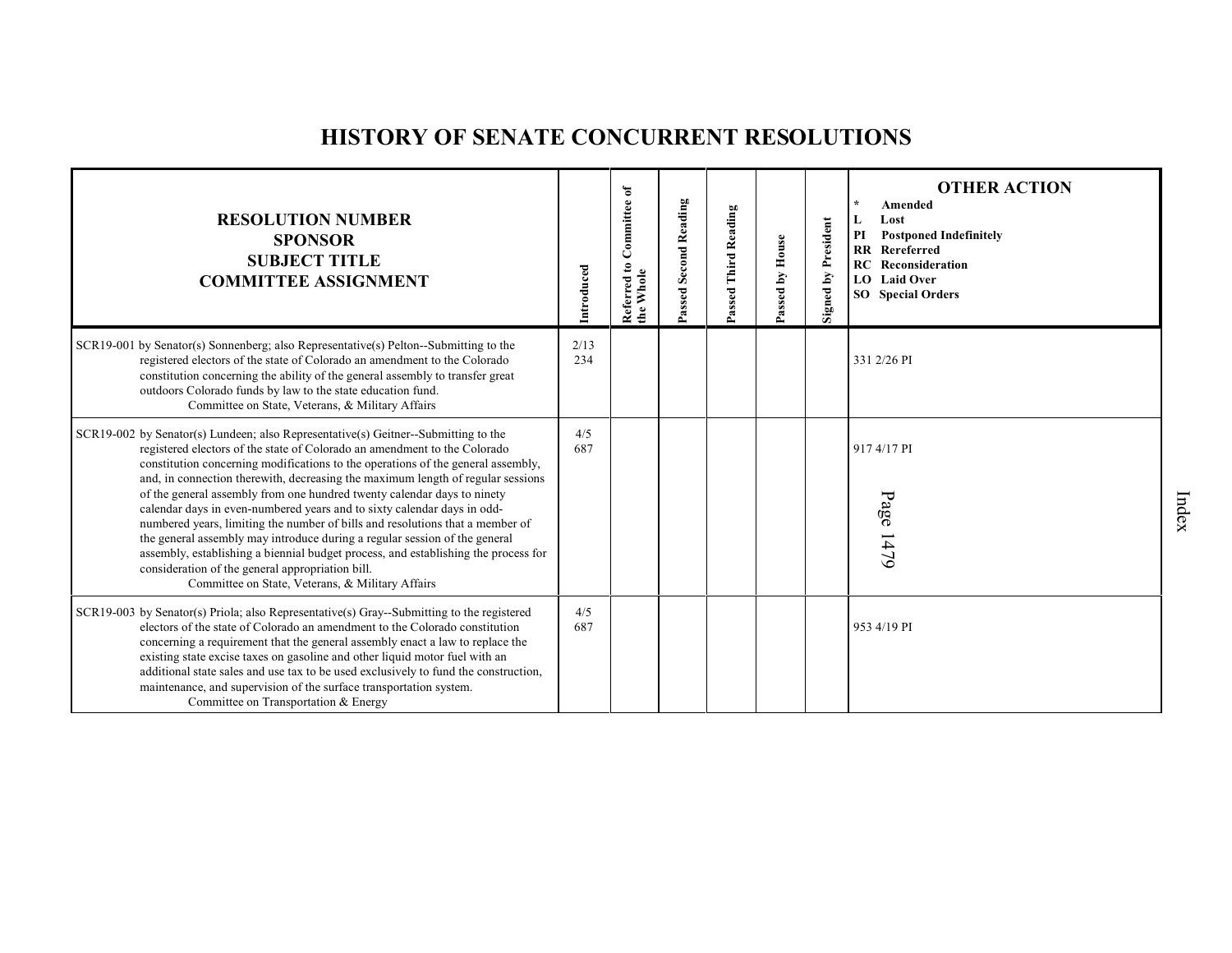# **HISTORY OF SENATE CONCURRENT RESOLUTIONS**

| <b>RESOLUTION NUMBER</b><br><b>SPONSOR</b><br><b>SUBJECT TITLE</b><br><b>COMMITTEE ASSIGNMENT</b>                                                                                                                                                                                                                                                                                                                                                                                                                                                                                                                                                                                                                                                                                                                                                           | ntroduced   | ð<br>Committee<br>$\mathbf{e}$<br>Whole<br>Referred<br>the | Passed Second Reading | <b>Third Reading</b><br>assed | Passed by House | Signed by President | <b>OTHER ACTION</b><br>Amended<br>L<br>Lost<br>PI<br><b>Postponed Indefinitely</b><br>RR Rereferred<br><b>RC</b> Reconsideration<br>LO Laid Over<br><b>SO</b> Special Orders |
|-------------------------------------------------------------------------------------------------------------------------------------------------------------------------------------------------------------------------------------------------------------------------------------------------------------------------------------------------------------------------------------------------------------------------------------------------------------------------------------------------------------------------------------------------------------------------------------------------------------------------------------------------------------------------------------------------------------------------------------------------------------------------------------------------------------------------------------------------------------|-------------|------------------------------------------------------------|-----------------------|-------------------------------|-----------------|---------------------|------------------------------------------------------------------------------------------------------------------------------------------------------------------------------|
| $SCR19-001$ by Senator(s) Sonnenberg; also Representative(s) Pelton--Submitting to the<br>registered electors of the state of Colorado an amendment to the Colorado<br>constitution concerning the ability of the general assembly to transfer great<br>outdoors Colorado funds by law to the state education fund.<br>Committee on State, Veterans, & Military Affairs                                                                                                                                                                                                                                                                                                                                                                                                                                                                                     | 2/13<br>234 |                                                            |                       |                               |                 |                     | 331 2/26 PI                                                                                                                                                                  |
| $SCR19-002$ by Senator(s) Lundeen; also Representative(s) Geitner--Submitting to the<br>registered electors of the state of Colorado an amendment to the Colorado<br>constitution concerning modifications to the operations of the general assembly,<br>and, in connection therewith, decreasing the maximum length of regular sessions<br>of the general assembly from one hundred twenty calendar days to ninety<br>calendar days in even-numbered years and to sixty calendar days in odd-<br>numbered years, limiting the number of bills and resolutions that a member of<br>the general assembly may introduce during a regular session of the general<br>assembly, establishing a biennial budget process, and establishing the process for<br>consideration of the general appropriation bill.<br>Committee on State, Veterans, & Military Affairs | 4/5<br>687  |                                                            |                       |                               |                 |                     | 917 4/17 PI<br>Page 1479                                                                                                                                                     |
| SCR19-003 by Senator(s) Priola; also Representative(s) Gray--Submitting to the registered<br>electors of the state of Colorado an amendment to the Colorado constitution<br>concerning a requirement that the general assembly enact a law to replace the<br>existing state excise taxes on gasoline and other liquid motor fuel with an<br>additional state sales and use tax to be used exclusively to fund the construction,<br>maintenance, and supervision of the surface transportation system.<br>Committee on Transportation & Energy                                                                                                                                                                                                                                                                                                               | 4/5<br>687  |                                                            |                       |                               |                 |                     | 953 4/19 PI                                                                                                                                                                  |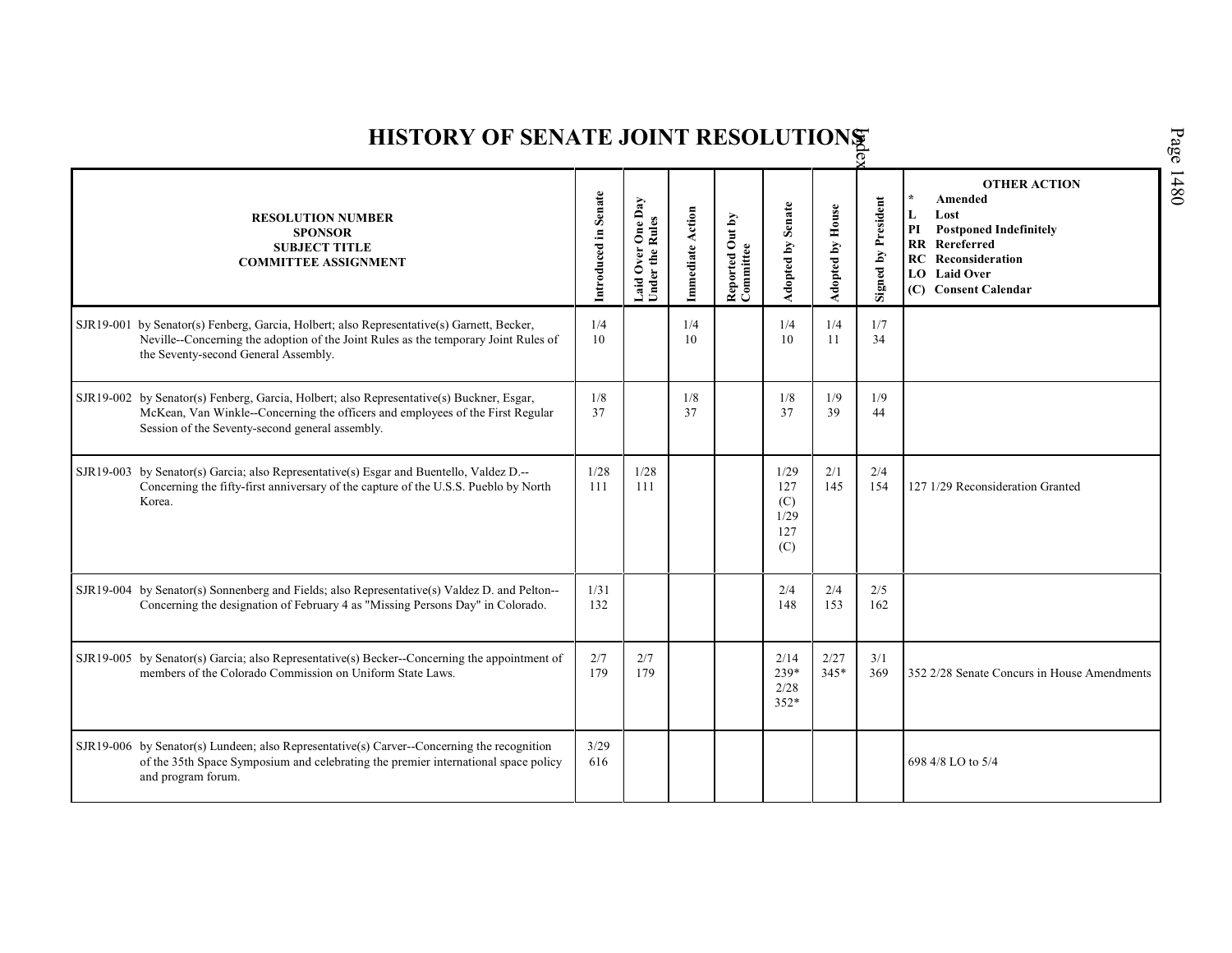| HISTORY OF SENATE JOINT RESOLUTIONS |                                                                                                                                                                                                                     |                      |                                      |                  |                              |                                          |                         |                            |                                                                                                                                                                          |  |  |  |
|-------------------------------------|---------------------------------------------------------------------------------------------------------------------------------------------------------------------------------------------------------------------|----------------------|--------------------------------------|------------------|------------------------------|------------------------------------------|-------------------------|----------------------------|--------------------------------------------------------------------------------------------------------------------------------------------------------------------------|--|--|--|
|                                     | <b>RESOLUTION NUMBER</b><br><b>SPONSOR</b><br><b>SUBJECT TITLE</b><br><b>COMMITTEE ASSIGNMENT</b>                                                                                                                   | Introduced in Senate | Laid Over One Day<br>Under the Rules | Immediate Action | Reported Out by<br>Committee | Adopted by Senate                        | <b>Adopted by House</b> | <b>Signed by President</b> | <b>OTHER ACTION</b><br>Amended<br>Lost<br>L<br><b>Postponed Indefinitely</b><br>PI<br>RR Rereferred<br><b>RC</b> Reconsideration<br>LO Laid Over<br>(C) Consent Calendar |  |  |  |
| SJR19-001                           | by Senator(s) Fenberg, Garcia, Holbert; also Representative(s) Garnett, Becker,<br>Neville--Concerning the adoption of the Joint Rules as the temporary Joint Rules of<br>the Seventy-second General Assembly.      | 1/4<br>10            |                                      | 1/4<br>10        |                              | 1/4<br>10                                | 1/4<br>11               | 1/7<br>34                  |                                                                                                                                                                          |  |  |  |
| SJR19-002                           | by Senator(s) Fenberg, Garcia, Holbert; also Representative(s) Buckner, Esgar,<br>McKean, Van Winkle--Concerning the officers and employees of the First Regular<br>Session of the Seventy-second general assembly. | 1/8<br>37            |                                      | 1/8<br>37        |                              | 1/8<br>37                                | 1/9<br>39               | 1/9<br>44                  |                                                                                                                                                                          |  |  |  |
| SJR19-003                           | by Senator(s) Garcia; also Representative(s) Esgar and Buentello, Valdez D.--<br>Concerning the fifty-first anniversary of the capture of the U.S.S. Pueblo by North<br>Korea.                                      | 1/28<br>111          | 1/28<br>111                          |                  |                              | 1/29<br>127<br>(C)<br>1/29<br>127<br>(C) | 2/1<br>145              | 2/4<br>154                 | 127 1/29 Reconsideration Granted                                                                                                                                         |  |  |  |
|                                     | $SIR19-004$ by Senator(s) Sonnenberg and Fields; also Representative(s) Valdez D. and Pelton--<br>Concerning the designation of February 4 as "Missing Persons Day" in Colorado.                                    | 1/31<br>132          |                                      |                  |                              | 2/4<br>148                               | 2/4<br>153              | 2/5<br>162                 |                                                                                                                                                                          |  |  |  |
|                                     | SJR19-005 by Senator(s) Garcia; also Representative(s) Becker--Concerning the appointment of<br>members of the Colorado Commission on Uniform State Laws.                                                           | 2/7<br>179           | 2/7<br>179                           |                  |                              | 2/14<br>239*<br>2/28<br>$352*$           | 2/27<br>$345*$          | 3/1<br>369                 | 352 2/28 Senate Concurs in House Amendments                                                                                                                              |  |  |  |
|                                     | $SJR19-006$ by Senator(s) Lundeen; also Representative(s) Carver--Concerning the recognition<br>of the 35th Space Symposium and celebrating the premier international space policy<br>and program forum.            | 3/29<br>616          |                                      |                  |                              |                                          |                         |                            | 698 4/8 LO to 5/4                                                                                                                                                        |  |  |  |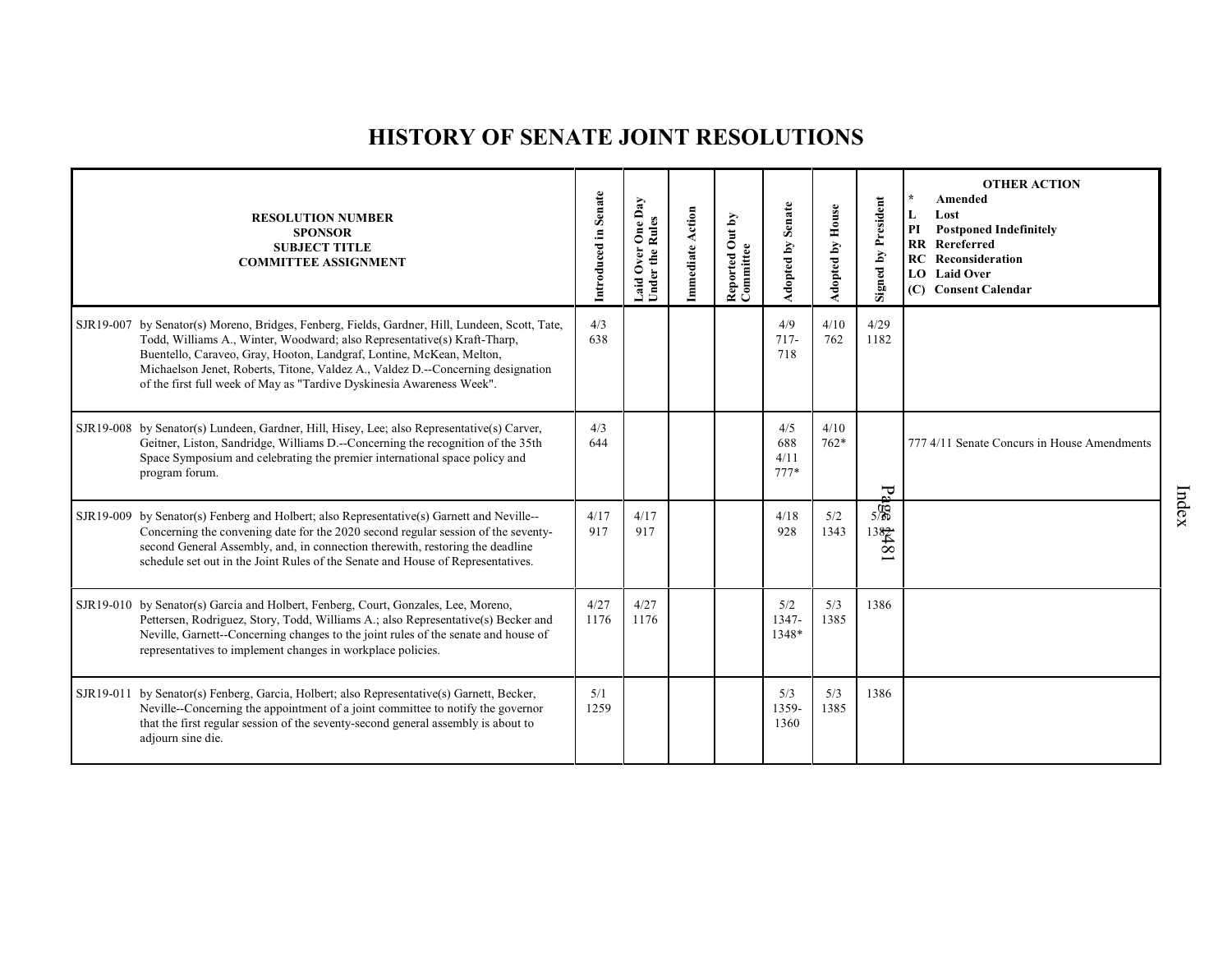## **HISTORY OF SENATE JOINT RESOLUTIONS**

|           | <b>RESOLUTION NUMBER</b><br><b>SPONSOR</b><br><b>SUBJECT TITLE</b><br><b>COMMITTEE ASSIGNMENT</b>                                                                                                                                                                                                                                                                                                    | Introduced in Senate | One Day<br><b>Under the Rules</b><br>Over<br>Laid | Immediate Action | Out by<br>Reported O<br>Committee | Adopted by Senate            | Adopted by House | <b>Signed by President</b>       | <b>OTHER ACTION</b><br>$\star$<br>Amended<br>Lost<br>L<br>PI<br><b>Postponed Indefinitely</b><br>RR Rereferred<br><b>RC</b> Reconsideration<br><b>LO</b> Laid Over<br>(C) Consent Calendar |
|-----------|------------------------------------------------------------------------------------------------------------------------------------------------------------------------------------------------------------------------------------------------------------------------------------------------------------------------------------------------------------------------------------------------------|----------------------|---------------------------------------------------|------------------|-----------------------------------|------------------------------|------------------|----------------------------------|--------------------------------------------------------------------------------------------------------------------------------------------------------------------------------------------|
| SJR19-007 | by Senator(s) Moreno, Bridges, Fenberg, Fields, Gardner, Hill, Lundeen, Scott, Tate,<br>Todd, Williams A., Winter, Woodward; also Representative(s) Kraft-Tharp,<br>Buentello, Caraveo, Gray, Hooton, Landgraf, Lontine, McKean, Melton,<br>Michaelson Jenet, Roberts, Titone, Valdez A., Valdez D.--Concerning designation<br>of the first full week of May as "Tardive Dyskinesia Awareness Week". | 4/3<br>638           |                                                   |                  |                                   | 4/9<br>$717-$<br>718         | 4/10<br>762      | 4/29<br>1182                     |                                                                                                                                                                                            |
|           | SJR19-008 by Senator(s) Lundeen, Gardner, Hill, Hisey, Lee; also Representative(s) Carver,<br>Geitner, Liston, Sandridge, Williams D.--Concerning the recognition of the 35th<br>Space Symposium and celebrating the premier international space policy and<br>program forum.                                                                                                                        | 4/3<br>644           |                                                   |                  |                                   | 4/5<br>688<br>4/11<br>$777*$ | 4/10<br>$762*$   | Ŗ                                | 777 4/11 Senate Concurs in House Amendments                                                                                                                                                |
|           | SJR19-009 by Senator(s) Fenberg and Holbert; also Representative(s) Garnett and Neville--<br>Concerning the convening date for the 2020 second regular session of the seventy-<br>second General Assembly, and, in connection therewith, restoring the deadline<br>schedule set out in the Joint Rules of the Senate and House of Representatives.                                                   | 4/17<br>917          | 4/17<br>917                                       |                  |                                   | 4/18<br>928                  | 5/2<br>1343      | $5\frac{6}{5}$<br>$rac{1382}{8}$ |                                                                                                                                                                                            |
|           | SJR19-010 by Senator(s) Garcia and Holbert, Fenberg, Court, Gonzales, Lee, Moreno,<br>Pettersen, Rodriguez, Story, Todd, Williams A.; also Representative(s) Becker and<br>Neville, Garnett--Concerning changes to the joint rules of the senate and house of<br>representatives to implement changes in workplace policies.                                                                         | 4/27<br>1176         | 4/27<br>1176                                      |                  |                                   | 5/2<br>1347-<br>1348*        | 5/3<br>1385      | 1386                             |                                                                                                                                                                                            |
| SJR19-011 | by Senator(s) Fenberg, Garcia, Holbert; also Representative(s) Garnett, Becker,<br>Neville--Concerning the appointment of a joint committee to notify the governor<br>that the first regular session of the seventy-second general assembly is about to<br>adjourn sine die.                                                                                                                         | 5/1<br>1259          |                                                   |                  |                                   | 5/3<br>1359-<br>1360         | 5/3<br>1385      | 1386                             |                                                                                                                                                                                            |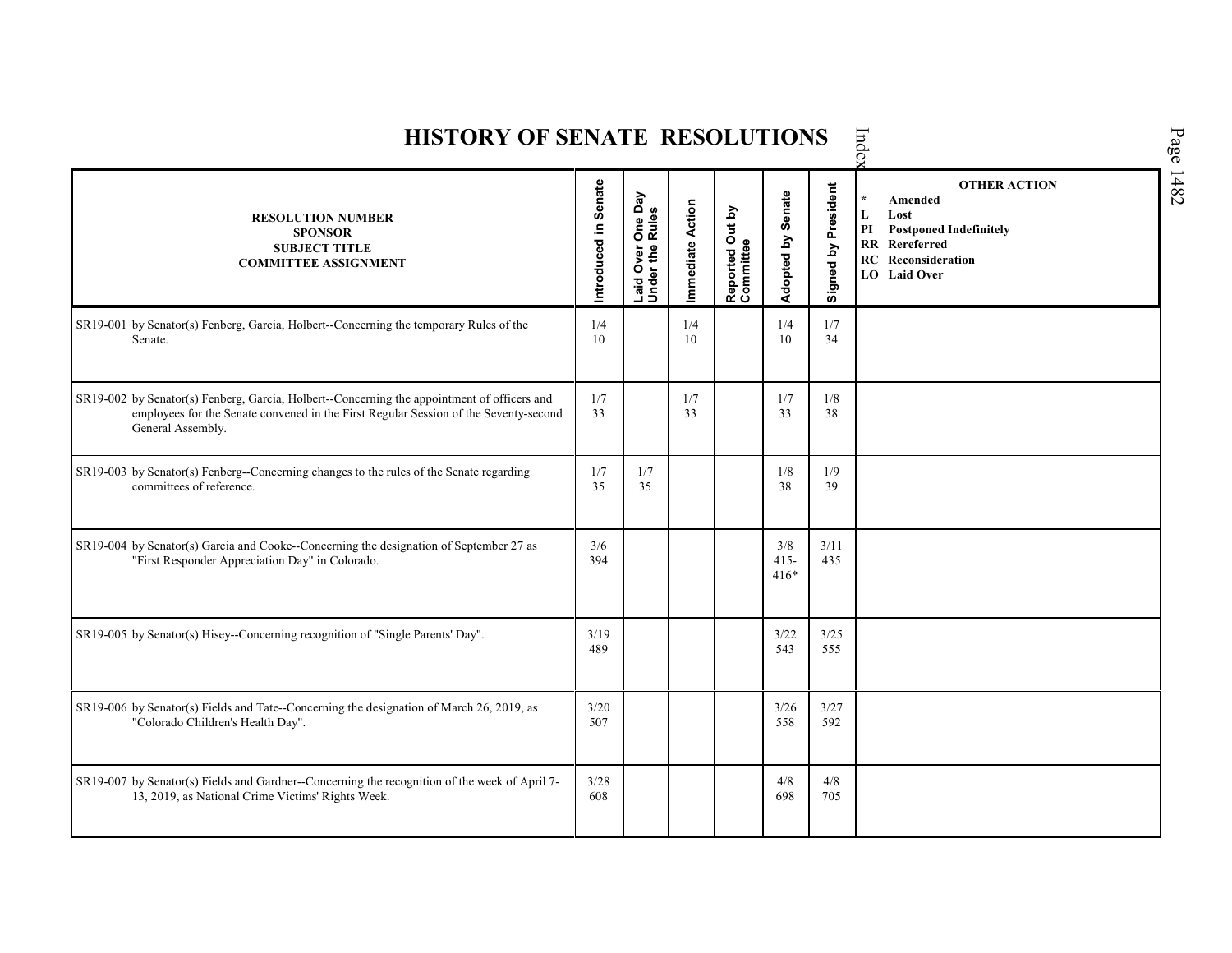| <b>HISTORY OF SENATE RESOLUTIONS</b>                                                                                                                                                                     | Inde                 |                                      |                  |                              |                          |                     |                                                                                                                                                             |
|----------------------------------------------------------------------------------------------------------------------------------------------------------------------------------------------------------|----------------------|--------------------------------------|------------------|------------------------------|--------------------------|---------------------|-------------------------------------------------------------------------------------------------------------------------------------------------------------|
| <b>RESOLUTION NUMBER</b><br><b>SPONSOR</b><br><b>SUBJECT TITLE</b><br><b>COMMITTEE ASSIGNMENT</b>                                                                                                        | Introduced in Senate | Laid Over One Day<br>Under the Rules | Immediate Action | Reported Out by<br>Committee | Adopted by Senate        | Signed by President | <b>OTHER ACTION</b><br>Amended<br>$\star$<br>Lost<br>L<br>PI<br><b>Postponed Indefinitely</b><br>RR Rereferred<br><b>RC</b> Reconsideration<br>LO Laid Over |
| SR19-001 by Senator(s) Fenberg, Garcia, Holbert--Concerning the temporary Rules of the<br>Senate.                                                                                                        | 1/4<br>10            |                                      | 1/4<br>10        |                              | 1/4<br>10                | 1/7<br>34           |                                                                                                                                                             |
| SR19-002 by Senator(s) Fenberg, Garcia, Holbert--Concerning the appointment of officers and<br>employees for the Senate convened in the First Regular Session of the Seventy-second<br>General Assembly. | 1/7<br>33            |                                      | 1/7<br>33        |                              | 1/7<br>33                | 1/8<br>38           |                                                                                                                                                             |
| SR19-003 by Senator(s) Fenberg--Concerning changes to the rules of the Senate regarding<br>committees of reference.                                                                                      | 1/7<br>35            | 1/7<br>35                            |                  |                              | 1/8<br>38                | 1/9<br>39           |                                                                                                                                                             |
| SR19-004 by Senator(s) Garcia and Cooke--Concerning the designation of September 27 as<br>"First Responder Appreciation Day" in Colorado.                                                                | 3/6<br>394           |                                      |                  |                              | 3/8<br>$415 -$<br>$416*$ | 3/11<br>435         |                                                                                                                                                             |
| SR19-005 by Senator(s) Hisey--Concerning recognition of "Single Parents' Day".                                                                                                                           | 3/19<br>489          |                                      |                  |                              | 3/22<br>543              | 3/25<br>555         |                                                                                                                                                             |
| SR19-006 by Senator(s) Fields and Tate--Concerning the designation of March 26, 2019, as<br>"Colorado Children's Health Day".                                                                            | 3/20<br>507          |                                      |                  |                              | 3/26<br>558              | 3/27<br>592         |                                                                                                                                                             |
| SR19-007 by Senator(s) Fields and Gardner--Concerning the recognition of the week of April 7-<br>13, 2019, as National Crime Victims' Rights Week.                                                       | 3/28<br>608          |                                      |                  |                              | 4/8<br>698               | 4/8<br>705          |                                                                                                                                                             |

Page 1482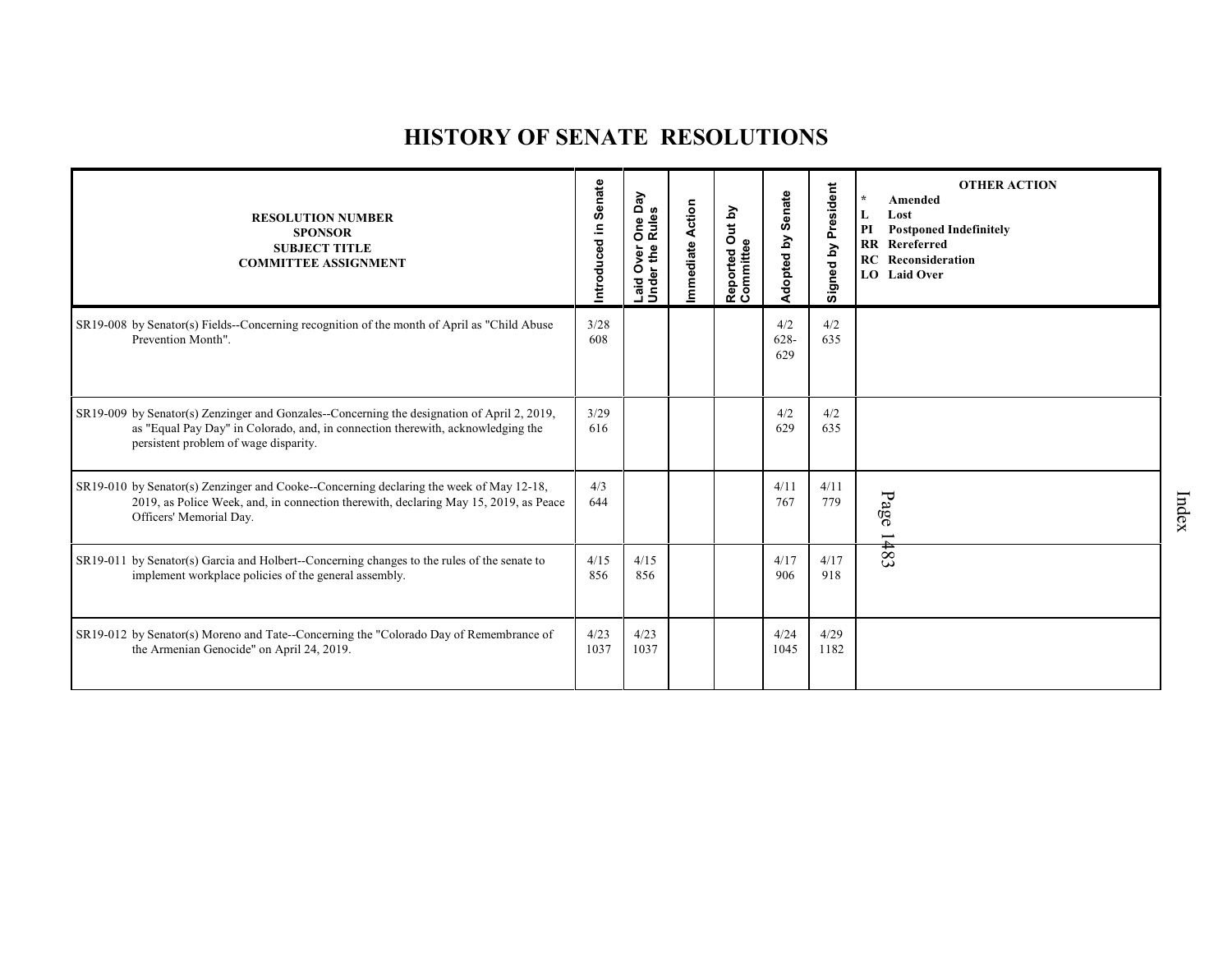## **HISTORY OF SENATE RESOLUTIONS**

| <b>RESOLUTION NUMBER</b><br><b>SPONSOR</b><br><b>SUBJECT TITLE</b><br><b>COMMITTEE ASSIGNMENT</b>                                                                                                                         | Introduced in Senate | Day<br><b>Rules</b><br>$\mathbf{Q}$<br>δ<br>Under the<br>ğ<br>Ó<br>Laid | <b>Action</b><br>Immediate | Out by<br>ω<br>Reported<br>Committee | Senate<br>Adopted by  | President<br>Signed by | <b>OTHER ACTION</b><br>$\star$<br>Amended<br>L<br>Lost<br>  PI<br><b>Postponed Indefinitely</b><br><b>RR</b> Rereferred<br>RC<br>Reconsideration<br>LO Laid Over |
|---------------------------------------------------------------------------------------------------------------------------------------------------------------------------------------------------------------------------|----------------------|-------------------------------------------------------------------------|----------------------------|--------------------------------------|-----------------------|------------------------|------------------------------------------------------------------------------------------------------------------------------------------------------------------|
| SR19-008 by Senator(s) Fields--Concerning recognition of the month of April as "Child Abuse"<br>Prevention Month".                                                                                                        | 3/28<br>608          |                                                                         |                            |                                      | 4/2<br>$628 -$<br>629 | 4/2<br>635             |                                                                                                                                                                  |
| $SR19-009$ by Senator(s) Zenzinger and Gonzales--Concerning the designation of April 2, 2019,<br>as "Equal Pay Day" in Colorado, and, in connection therewith, acknowledging the<br>persistent problem of wage disparity. | 3/29<br>616          |                                                                         |                            |                                      | 4/2<br>629            | 4/2<br>635             |                                                                                                                                                                  |
| SR19-010 by Senator(s) Zenzinger and Cooke--Concerning declaring the week of May 12-18,<br>2019, as Police Week, and, in connection therewith, declaring May 15, 2019, as Peace<br>Officers' Memorial Day.                | 4/3<br>644           |                                                                         |                            |                                      | 4/11<br>767           | 4/11<br>779            | Page<br>$\overline{\phantom{0}}$                                                                                                                                 |
| SR19-011 by Senator(s) Garcia and Holbert-Concerning changes to the rules of the senate to<br>implement workplace policies of the general assembly.                                                                       | 4/15<br>856          | 4/15<br>856                                                             |                            |                                      | 4/17<br>906           | 4/17<br>918            | #83                                                                                                                                                              |
| SR19-012 by Senator(s) Moreno and Tate--Concerning the "Colorado Day of Remembrance of<br>the Armenian Genocide" on April 24, 2019.                                                                                       | 4/23<br>1037         | 4/23<br>1037                                                            |                            |                                      | 4/24<br>1045          | 4/29<br>1182           |                                                                                                                                                                  |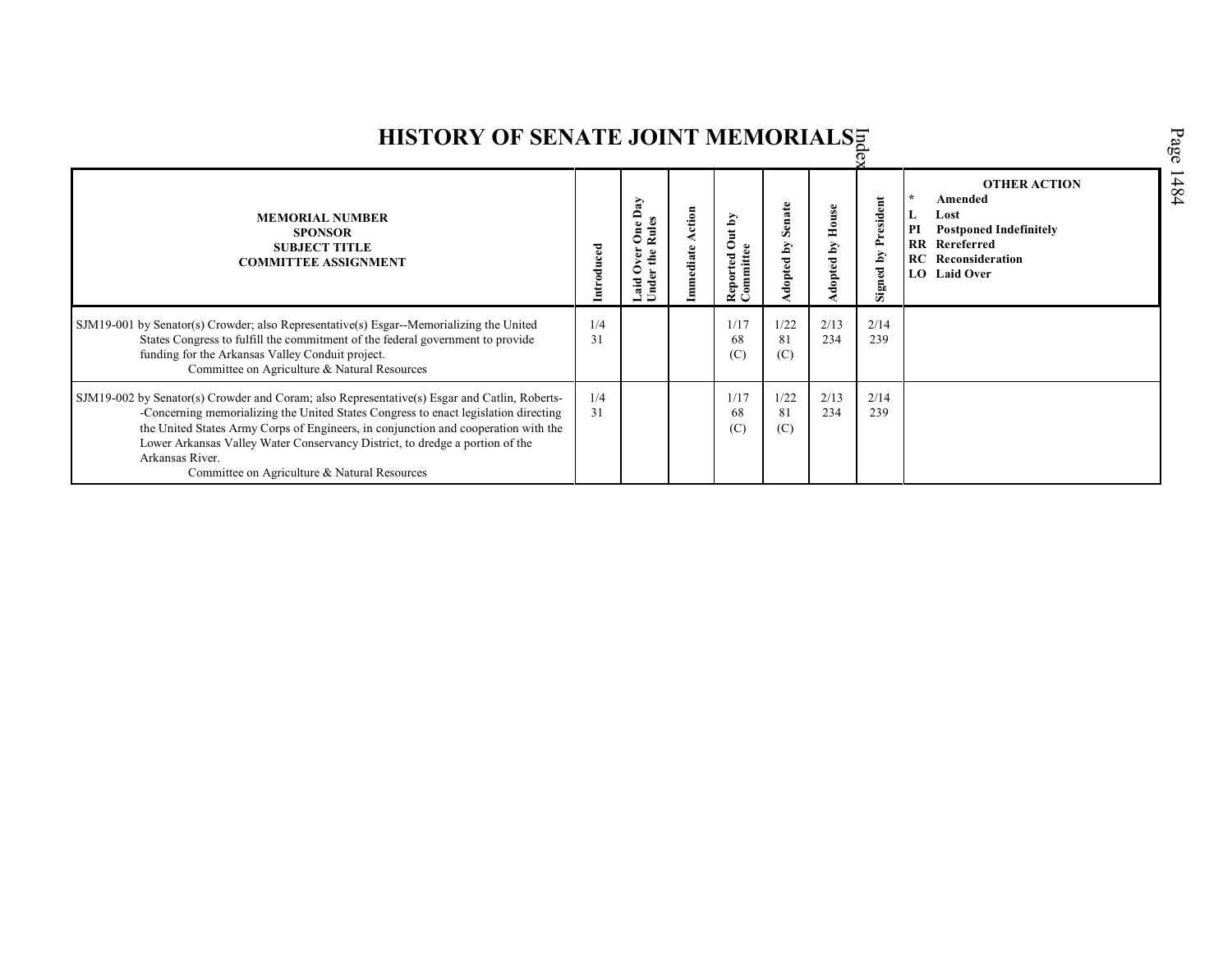| HISTORY OF SENATE JOINT MEMORIALSE                                                                                                                                                                                                                                                                                                                                                                                           |            |                                          |                 |                                           |                      |                    |                             |                                                                                                                                                         |
|------------------------------------------------------------------------------------------------------------------------------------------------------------------------------------------------------------------------------------------------------------------------------------------------------------------------------------------------------------------------------------------------------------------------------|------------|------------------------------------------|-----------------|-------------------------------------------|----------------------|--------------------|-----------------------------|---------------------------------------------------------------------------------------------------------------------------------------------------------|
| <b>MEMORIAL NUMBER</b><br><b>SPONSOR</b><br><b>SUBJECT TITLE</b><br><b>COMMITTEE ASSIGNMENT</b>                                                                                                                                                                                                                                                                                                                              | Introduced | $\mathbf{g}$<br>≏<br>$\bullet$<br>å<br>⋍ | ction<br>ediate | Out by<br>nmittee<br>Reported<br>Committe | Senate<br>ă<br>opted | House<br>dopted by | President<br>ΔY<br>Signed 1 | <b>OTHER ACTION</b><br>Amended<br>Lost<br>L<br>PI<br><b>Postponed Indefinitely</b><br><b>RR</b> Rereferred<br><b>RC</b> Reconsideration<br>LO Laid Over |
| SJM19-001 by Senator(s) Crowder; also Representative(s) Esgar--Memorializing the United<br>States Congress to fulfill the commitment of the federal government to provide<br>funding for the Arkansas Valley Conduit project.<br>Committee on Agriculture & Natural Resources                                                                                                                                                | 1/4<br>31  |                                          |                 | 1/17<br>68<br>(C)                         | 1/22<br>81<br>(C)    | 2/13<br>234        | 2/14<br>239                 |                                                                                                                                                         |
| SJM19-002 by Senator(s) Crowder and Coram; also Representative(s) Esgar and Catlin, Roberts-<br>-Concerning memorializing the United States Congress to enact legislation directing<br>the United States Army Corps of Engineers, in conjunction and cooperation with the<br>Lower Arkansas Valley Water Conservancy District, to dredge a portion of the<br>Arkansas River.<br>Committee on Agriculture & Natural Resources | 1/4<br>31  |                                          |                 | 1/17<br>68<br>(C)                         | 1/22<br>81<br>(C)    | 2/13<br>234        | 2/14<br>239                 |                                                                                                                                                         |

Page 1484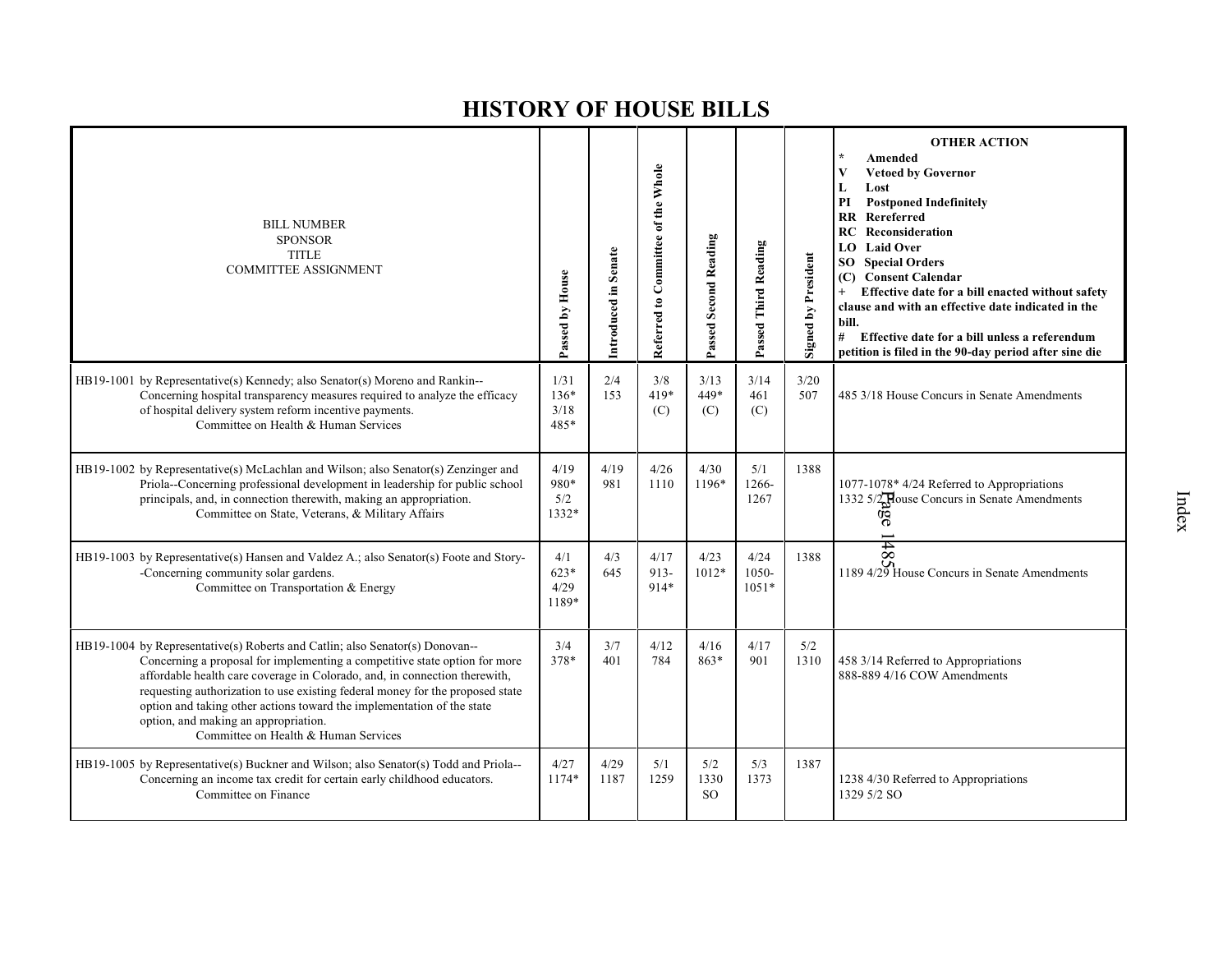| <b>BILL NUMBER</b><br><b>SPONSOR</b><br><b>TITLE</b><br><b>COMMITTEE ASSIGNMENT</b>                                                                                                                                                                                                                                                                                                                                                                                                 | Passed by House                | Introduced in Senate | Referred to Committee of the Whole | <b>Passed Second Reading</b> | Passed Third Reading     | <b>Signed by President</b> | <b>OTHER ACTION</b><br>Amended<br><b>Vetoed by Governor</b><br>V<br>L<br>Lost<br><b>Postponed Indefinitely</b><br>PI<br><b>RR</b><br>Rereferred<br>Reconsideration<br>RC<br><b>LO</b> Laid Over<br><b>SO</b> Special Orders<br>(C) Consent Calendar<br>Effective date for a bill enacted without safety<br>$+$<br>clause and with an effective date indicated in the<br>bill.<br>#<br>Effective date for a bill unless a referendum<br>petition is filed in the 90-day period after sine die |
|-------------------------------------------------------------------------------------------------------------------------------------------------------------------------------------------------------------------------------------------------------------------------------------------------------------------------------------------------------------------------------------------------------------------------------------------------------------------------------------|--------------------------------|----------------------|------------------------------------|------------------------------|--------------------------|----------------------------|----------------------------------------------------------------------------------------------------------------------------------------------------------------------------------------------------------------------------------------------------------------------------------------------------------------------------------------------------------------------------------------------------------------------------------------------------------------------------------------------|
| HB19-1001 by Representative(s) Kennedy; also Senator(s) Moreno and Rankin--<br>Concerning hospital transparency measures required to analyze the efficacy<br>of hospital delivery system reform incentive payments.<br>Committee on Health & Human Services                                                                                                                                                                                                                         | 1/31<br>$136*$<br>3/18<br>485* | 2/4<br>153           | 3/8<br>419*<br>(C)                 | 3/13<br>449*<br>(C)          | 3/14<br>461<br>(C)       | 3/20<br>507                | 485 3/18 House Concurs in Senate Amendments                                                                                                                                                                                                                                                                                                                                                                                                                                                  |
| HB19-1002 by Representative(s) McLachlan and Wilson; also Senator(s) Zenzinger and<br>Priola--Concerning professional development in leadership for public school<br>principals, and, in connection therewith, making an appropriation.<br>Committee on State, Veterans, & Military Affairs                                                                                                                                                                                         | 4/19<br>980*<br>5/2<br>1332*   | 4/19<br>981          | 4/26<br>1110                       | 4/30<br>1196*                | 5/1<br>1266-<br>1267     | 1388                       | 1077-1078* 4/24 Referred to Appropriations<br>1332 5/2 House Concurs in Senate Amendments<br>ନ୍ତି                                                                                                                                                                                                                                                                                                                                                                                            |
| HB19-1003 by Representative(s) Hansen and Valdez A.; also Senator(s) Foote and Story-<br>-Concerning community solar gardens.<br>Committee on Transportation & Energy                                                                                                                                                                                                                                                                                                               | 4/1<br>$623*$<br>4/29<br>1189* | 4/3<br>645           | 4/17<br>$913-$<br>914*             | 4/23<br>$1012*$              | 4/24<br>1050-<br>$1051*$ | 1388                       | 8#<br>1189 4/29 House Concurs in Senate Amendments                                                                                                                                                                                                                                                                                                                                                                                                                                           |
| HB19-1004 by Representative(s) Roberts and Catlin; also Senator(s) Donovan--<br>Concerning a proposal for implementing a competitive state option for more<br>affordable health care coverage in Colorado, and, in connection therewith,<br>requesting authorization to use existing federal money for the proposed state<br>option and taking other actions toward the implementation of the state<br>option, and making an appropriation.<br>Committee on Health & Human Services | 3/4<br>378*                    | 3/7<br>401           | 4/12<br>784                        | 4/16<br>863*                 | 4/17<br>901              | 5/2<br>1310                | 458 3/14 Referred to Appropriations<br>888-889 4/16 COW Amendments                                                                                                                                                                                                                                                                                                                                                                                                                           |
| HB19-1005 by Representative(s) Buckner and Wilson; also Senator(s) Todd and Priola--<br>Concerning an income tax credit for certain early childhood educators.<br>Committee on Finance                                                                                                                                                                                                                                                                                              | 4/27<br>$1174*$                | 4/29<br>1187         | 5/1<br>1259                        | 5/2<br>1330<br><sub>SO</sub> | 5/3<br>1373              | 1387                       | 1238 4/30 Referred to Appropriations<br>1329 5/2 SO                                                                                                                                                                                                                                                                                                                                                                                                                                          |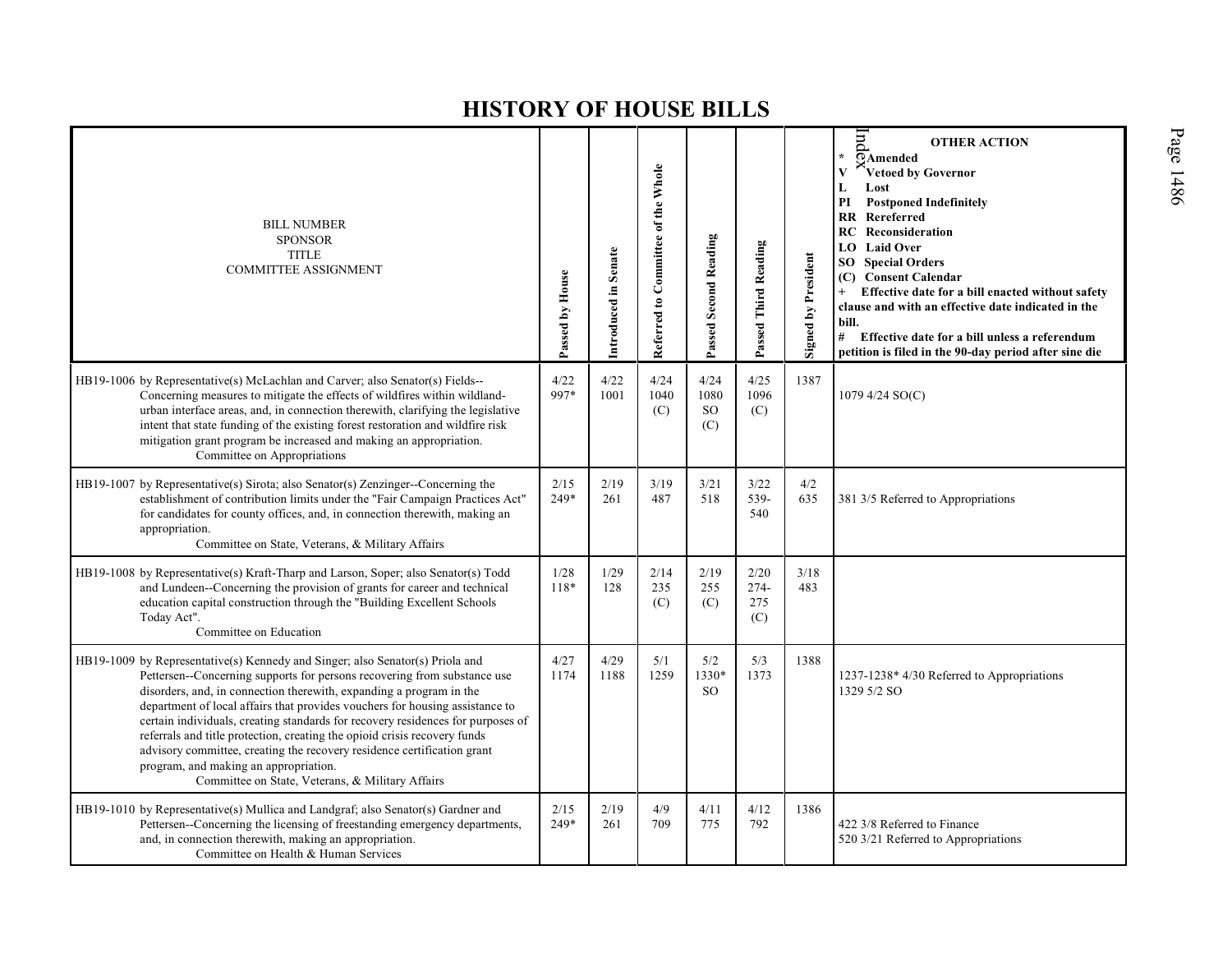| <b>BILL NUMBER</b><br><b>SPONSOR</b><br><b>TITLE</b><br><b>COMMITTEE ASSIGNMENT</b>                                                                                                                                                                                                                                                                                                                                                                                                                                                                                                                                                                      | Passed by House | Introduced in Senate | Referred to Committee of the Whole | <b>Passed Second Reading</b>     | Passed Third Reading         | <b>Signed by President</b> | pu<br><b>OTHER ACTION</b><br>$\star$<br>OAmended<br>$\overline{\mathbf{V}}$<br>Vetoed by Governor<br>Lost<br>L<br><b>Postponed Indefinitely</b><br>PI<br><b>RR</b> Rereferred<br>Reconsideration<br>RC<br><b>LO</b> Laid Over<br><b>Special Orders</b><br>SO<br>(C) Consent Calendar<br>Effective date for a bill enacted without safety<br>$+$<br>clause and with an effective date indicated in the<br>bill.<br># Effective date for a bill unless a referendum<br>petition is filed in the 90-day period after sine die |
|----------------------------------------------------------------------------------------------------------------------------------------------------------------------------------------------------------------------------------------------------------------------------------------------------------------------------------------------------------------------------------------------------------------------------------------------------------------------------------------------------------------------------------------------------------------------------------------------------------------------------------------------------------|-----------------|----------------------|------------------------------------|----------------------------------|------------------------------|----------------------------|----------------------------------------------------------------------------------------------------------------------------------------------------------------------------------------------------------------------------------------------------------------------------------------------------------------------------------------------------------------------------------------------------------------------------------------------------------------------------------------------------------------------------|
| HB19-1006 by Representative(s) McLachlan and Carver; also Senator(s) Fields--<br>Concerning measures to mitigate the effects of wildfires within wildland-<br>urban interface areas, and, in connection therewith, clarifying the legislative<br>intent that state funding of the existing forest restoration and wildfire risk<br>mitigation grant program be increased and making an appropriation.<br>Committee on Appropriations                                                                                                                                                                                                                     | 4/22<br>997*    | 4/22<br>1001         | 4/24<br>1040<br>(C)                | 4/24<br>1080<br><b>SO</b><br>(C) | 4/25<br>1096<br>(C)          | 1387                       | 1079 4/24 SO(C)                                                                                                                                                                                                                                                                                                                                                                                                                                                                                                            |
| HB19-1007 by Representative(s) Sirota; also Senator(s) Zenzinger--Concerning the<br>establishment of contribution limits under the "Fair Campaign Practices Act"<br>for candidates for county offices, and, in connection therewith, making an<br>appropriation.<br>Committee on State, Veterans, & Military Affairs                                                                                                                                                                                                                                                                                                                                     | 2/15<br>249*    | 2/19<br>261          | 3/19<br>487                        | 3/21<br>518                      | 3/22<br>539-<br>540          | 4/2<br>635                 | 381 3/5 Referred to Appropriations                                                                                                                                                                                                                                                                                                                                                                                                                                                                                         |
| HB19-1008 by Representative(s) Kraft-Tharp and Larson, Soper; also Senator(s) Todd<br>and Lundeen--Concerning the provision of grants for career and technical<br>education capital construction through the "Building Excellent Schools<br>Today Act".<br>Committee on Education                                                                                                                                                                                                                                                                                                                                                                        | 1/28<br>118*    | 1/29<br>128          | 2/14<br>235<br>(C)                 | 2/19<br>255<br>(C)               | 2/20<br>$274-$<br>275<br>(C) | 3/18<br>483                |                                                                                                                                                                                                                                                                                                                                                                                                                                                                                                                            |
| HB19-1009 by Representative(s) Kennedy and Singer; also Senator(s) Priola and<br>Pettersen--Concerning supports for persons recovering from substance use<br>disorders, and, in connection therewith, expanding a program in the<br>department of local affairs that provides vouchers for housing assistance to<br>certain individuals, creating standards for recovery residences for purposes of<br>referrals and title protection, creating the opioid crisis recovery funds<br>advisory committee, creating the recovery residence certification grant<br>program, and making an appropriation.<br>Committee on State, Veterans, & Military Affairs | 4/27<br>1174    | 4/29<br>1188         | 5/1<br>1259                        | 5/2<br>1330*<br><sub>SO</sub>    | 5/3<br>1373                  | 1388                       | 1237-1238* 4/30 Referred to Appropriations<br>1329 5/2 SO                                                                                                                                                                                                                                                                                                                                                                                                                                                                  |
| HB19-1010 by Representative(s) Mullica and Landgraf; also Senator(s) Gardner and<br>Pettersen--Concerning the licensing of freestanding emergency departments,<br>and, in connection therewith, making an appropriation.<br>Committee on Health & Human Services                                                                                                                                                                                                                                                                                                                                                                                         | 2/15<br>249*    | 2/19<br>261          | 4/9<br>709                         | 4/11<br>775                      | 4/12<br>792                  | 1386                       | 422 3/8 Referred to Finance<br>520 3/21 Referred to Appropriations                                                                                                                                                                                                                                                                                                                                                                                                                                                         |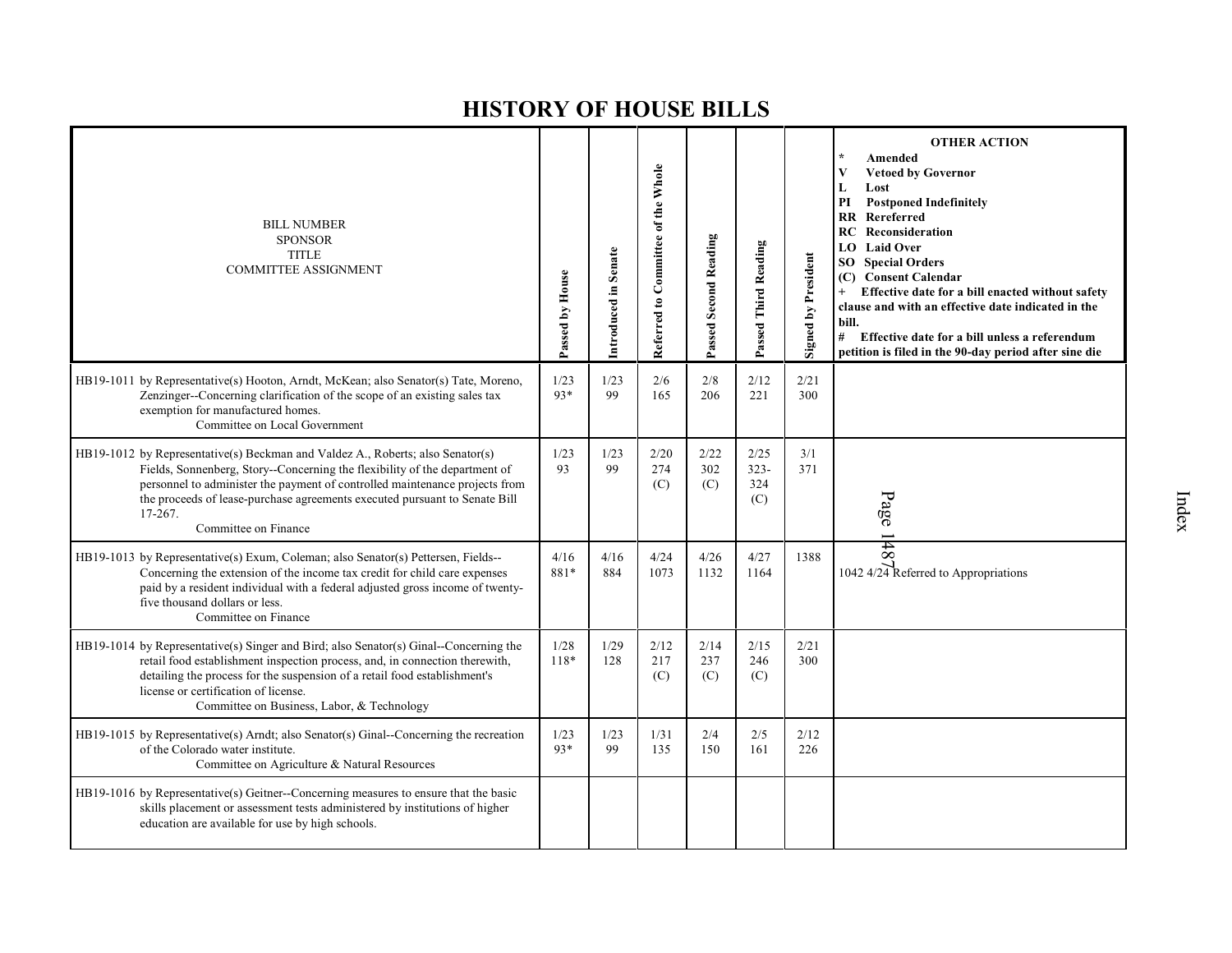| <b>BILL NUMBER</b><br><b>SPONSOR</b><br><b>TITLE</b><br><b>COMMITTEE ASSIGNMENT</b>                                                                                                                                                                                                                                                                          | Passed by House | Introduced in Senate | Referred to Committee of the Whole | Passed Second Reading | Passed Third Reading          | <b>Signed by President</b> | <b>OTHER ACTION</b><br>Amended<br>$\mathbf{V}$<br><b>Vetoed by Governor</b><br>L<br>Lost<br><b>Postponed Indefinitely</b><br>PI<br>Rereferred<br><b>RR</b><br>RC<br>Reconsideration<br><b>Laid Over</b><br>LO.<br><b>Special Orders</b><br>SO<br><b>Consent Calendar</b><br>(C)<br>Effective date for a bill enacted without safety<br>$+$<br>clause and with an effective date indicated in the<br>bill.<br>#<br>Effective date for a bill unless a referendum<br>petition is filed in the 90-day period after sine die |
|--------------------------------------------------------------------------------------------------------------------------------------------------------------------------------------------------------------------------------------------------------------------------------------------------------------------------------------------------------------|-----------------|----------------------|------------------------------------|-----------------------|-------------------------------|----------------------------|--------------------------------------------------------------------------------------------------------------------------------------------------------------------------------------------------------------------------------------------------------------------------------------------------------------------------------------------------------------------------------------------------------------------------------------------------------------------------------------------------------------------------|
| HB19-1011 by Representative(s) Hooton, Arndt, McKean; also Senator(s) Tate, Moreno,<br>Zenzinger--Concerning clarification of the scope of an existing sales tax<br>exemption for manufactured homes.<br>Committee on Local Government                                                                                                                       | 1/23<br>93*     | 1/23<br>99           | 2/6<br>165                         | 2/8<br>206            | 2/12<br>221                   | 2/21<br>300                |                                                                                                                                                                                                                                                                                                                                                                                                                                                                                                                          |
| HB19-1012 by Representative(s) Beckman and Valdez A., Roberts; also Senator(s)<br>Fields, Sonnenberg, Story--Concerning the flexibility of the department of<br>personnel to administer the payment of controlled maintenance projects from<br>the proceeds of lease-purchase agreements executed pursuant to Senate Bill<br>17-267.<br>Committee on Finance | 1/23<br>93      | 1/23<br>99           | 2/20<br>274<br>(C)                 | 2/22<br>302<br>(C)    | 2/25<br>$323 -$<br>324<br>(C) | 3/1<br>371                 | Page                                                                                                                                                                                                                                                                                                                                                                                                                                                                                                                     |
| HB19-1013 by Representative(s) Exum, Coleman; also Senator(s) Pettersen, Fields--<br>Concerning the extension of the income tax credit for child care expenses<br>paid by a resident individual with a federal adjusted gross income of twenty-<br>five thousand dollars or less.<br>Committee on Finance                                                    | 4/16<br>881*    | 4/16<br>884          | 4/24<br>1073                       | 4/26<br>1132          | 4/27<br>1164                  | 1388                       | 148<br>1042 4/24 Referred to Appropriations                                                                                                                                                                                                                                                                                                                                                                                                                                                                              |
| $HB19-1014$ by Representative(s) Singer and Bird; also Senator(s) Ginal--Concerning the<br>retail food establishment inspection process, and, in connection therewith,<br>detailing the process for the suspension of a retail food establishment's<br>license or certification of license.<br>Committee on Business, Labor, & Technology                    | 1/28<br>118*    | 1/29<br>128          | 2/12<br>217<br>(C)                 | 2/14<br>237<br>(C)    | 2/15<br>246<br>(C)            | 2/21<br>300                |                                                                                                                                                                                                                                                                                                                                                                                                                                                                                                                          |
| HB19-1015 by Representative(s) Arndt; also Senator(s) Ginal--Concerning the recreation<br>of the Colorado water institute.<br>Committee on Agriculture & Natural Resources                                                                                                                                                                                   | 1/23<br>$93*$   | 1/23<br>99           | 1/31<br>135                        | 2/4<br>150            | 2/5<br>161                    | 2/12<br>226                |                                                                                                                                                                                                                                                                                                                                                                                                                                                                                                                          |
| $HB19-1016$ by Representative(s) Geitner--Concerning measures to ensure that the basic<br>skills placement or assessment tests administered by institutions of higher<br>education are available for use by high schools.                                                                                                                                    |                 |                      |                                    |                       |                               |                            |                                                                                                                                                                                                                                                                                                                                                                                                                                                                                                                          |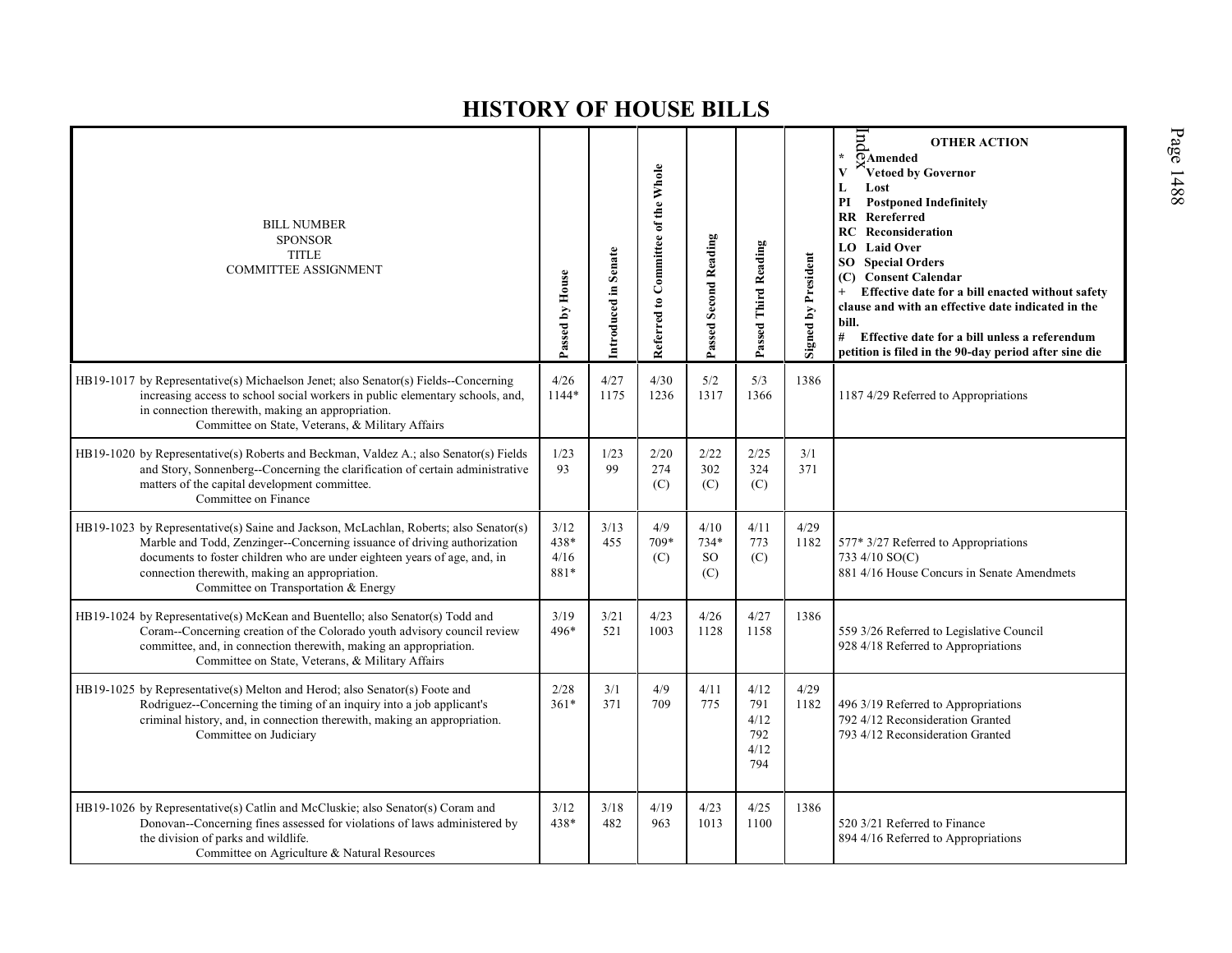| <b>BILL NUMBER</b><br><b>SPONSOR</b><br><b>TITLE</b><br><b>COMMITTEE ASSIGNMENT</b>                                                                                                                                                                                                                                                      | Passed by House              | Introduced in Senate | Referred to Committee of the Whole | Passed Second Reading                  | Passed Third Reading                      | <b>Signed by President</b> | pur<br><b>OTHER ACTION</b><br>$\star$<br>$\overline{\Omega}$ Amended<br>$\overline{\mathbf{V}}$<br>Vetoed by Governor<br>L<br>Lost<br>PI<br><b>Postponed Indefinitely</b><br><b>RR</b> Rereferred<br><b>RC</b> Reconsideration<br><b>LO</b> Laid Over<br><b>SO</b> Special Orders<br>(C) Consent Calendar<br>Effective date for a bill enacted without safety<br>$^{+}$<br>clause and with an effective date indicated in the<br>bill.<br># Effective date for a bill unless a referendum<br>petition is filed in the 90-day period after sine die |
|------------------------------------------------------------------------------------------------------------------------------------------------------------------------------------------------------------------------------------------------------------------------------------------------------------------------------------------|------------------------------|----------------------|------------------------------------|----------------------------------------|-------------------------------------------|----------------------------|----------------------------------------------------------------------------------------------------------------------------------------------------------------------------------------------------------------------------------------------------------------------------------------------------------------------------------------------------------------------------------------------------------------------------------------------------------------------------------------------------------------------------------------------------|
| HB19-1017 by Representative(s) Michaelson Jenet; also Senator(s) Fields--Concerning<br>increasing access to school social workers in public elementary schools, and,<br>in connection therewith, making an appropriation.<br>Committee on State, Veterans, & Military Affairs                                                            | 4/26<br>1144*                | 4/27<br>1175         | 4/30<br>1236                       | 5/2<br>1317                            | 5/3<br>1366                               | 1386                       | 1187 4/29 Referred to Appropriations                                                                                                                                                                                                                                                                                                                                                                                                                                                                                                               |
| HB19-1020 by Representative(s) Roberts and Beckman, Valdez A.; also Senator(s) Fields<br>and Story, Sonnenberg--Concerning the clarification of certain administrative<br>matters of the capital development committee.<br>Committee on Finance                                                                                          | 1/23<br>93                   | 1/23<br>99           | 2/20<br>274<br>(C)                 | 2/22<br>302<br>(C)                     | 2/25<br>324<br>(C)                        | 3/1<br>371                 |                                                                                                                                                                                                                                                                                                                                                                                                                                                                                                                                                    |
| HB19-1023 by Representative(s) Saine and Jackson, McLachlan, Roberts; also Senator(s)<br>Marble and Todd, Zenzinger--Concerning issuance of driving authorization<br>documents to foster children who are under eighteen years of age, and, in<br>connection therewith, making an appropriation.<br>Committee on Transportation & Energy | 3/12<br>438*<br>4/16<br>881* | 3/13<br>455          | 4/9<br>709*<br>(C)                 | 4/10<br>734*<br>SO <sub>1</sub><br>(C) | 4/11<br>773<br>(C)                        | 4/29<br>1182               | 577* 3/27 Referred to Appropriations<br>733 4/10 SO(C)<br>881 4/16 House Concurs in Senate Amendmets                                                                                                                                                                                                                                                                                                                                                                                                                                               |
| HB19-1024 by Representative(s) McKean and Buentello; also Senator(s) Todd and<br>Coram--Concerning creation of the Colorado youth advisory council review<br>committee, and, in connection therewith, making an appropriation.<br>Committee on State, Veterans, & Military Affairs                                                       | 3/19<br>496*                 | 3/21<br>521          | 4/23<br>1003                       | 4/26<br>1128                           | 4/27<br>1158                              | 1386                       | 559 3/26 Referred to Legislative Council<br>928 4/18 Referred to Appropriations                                                                                                                                                                                                                                                                                                                                                                                                                                                                    |
| HB19-1025 by Representative(s) Melton and Herod; also Senator(s) Foote and<br>Rodriguez--Concerning the timing of an inquiry into a job applicant's<br>criminal history, and, in connection therewith, making an appropriation.<br>Committee on Judiciary                                                                                | 2/28<br>$361*$               | 3/1<br>371           | 4/9<br>709                         | 4/11<br>775                            | 4/12<br>791<br>4/12<br>792<br>4/12<br>794 | 4/29<br>1182               | 496 3/19 Referred to Appropriations<br>792 4/12 Reconsideration Granted<br>793 4/12 Reconsideration Granted                                                                                                                                                                                                                                                                                                                                                                                                                                        |
| HB19-1026 by Representative(s) Catlin and McCluskie; also Senator(s) Coram and<br>Donovan--Concerning fines assessed for violations of laws administered by<br>the division of parks and wildlife.<br>Committee on Agriculture & Natural Resources                                                                                       | 3/12<br>438*                 | $3/18$<br>482        | 4/19<br>963                        | 4/23<br>1013                           | 4/25<br>1100                              | 1386                       | 520 3/21 Referred to Finance<br>894 4/16 Referred to Appropriations                                                                                                                                                                                                                                                                                                                                                                                                                                                                                |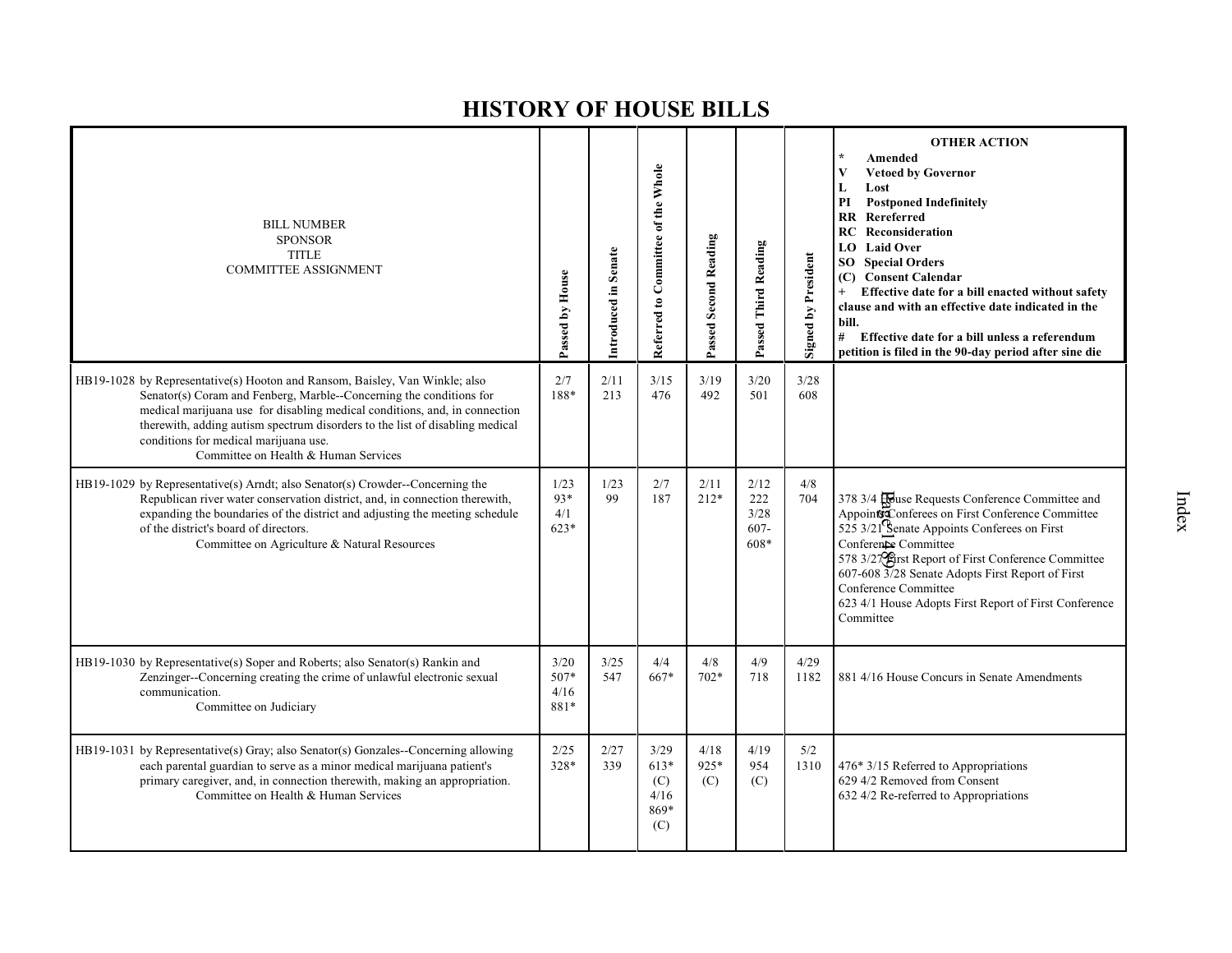| <b>BILL NUMBER</b><br><b>SPONSOR</b><br><b>TITLE</b><br><b>COMMITTEE ASSIGNMENT</b>                                                                                                                                                                                                                                                                                                               | Passed by House                | Introduced in Senate | Referred to Committee of the Whole           | Passed Second Reading | Passed Third Reading                   | <b>Signed by President</b> | <b>OTHER ACTION</b><br>Amended<br><b>Vetoed by Governor</b><br>V<br>Lost<br>L<br>PI<br><b>Postponed Indefinitely</b><br>$\mathbf{R}$<br>Rereferred<br>Reconsideration<br>RC<br><b>Laid Over</b><br>LO.<br>SO<br><b>Special Orders</b><br><b>Consent Calendar</b><br>(C)<br>Effective date for a bill enacted without safety<br>$+$<br>clause and with an effective date indicated in the<br>bill.<br># Effective date for a bill unless a referendum<br>petition is filed in the 90-day period after sine die |
|---------------------------------------------------------------------------------------------------------------------------------------------------------------------------------------------------------------------------------------------------------------------------------------------------------------------------------------------------------------------------------------------------|--------------------------------|----------------------|----------------------------------------------|-----------------------|----------------------------------------|----------------------------|---------------------------------------------------------------------------------------------------------------------------------------------------------------------------------------------------------------------------------------------------------------------------------------------------------------------------------------------------------------------------------------------------------------------------------------------------------------------------------------------------------------|
| HB19-1028 by Representative(s) Hooton and Ransom, Baisley, Van Winkle; also<br>Senator(s) Coram and Fenberg, Marble--Concerning the conditions for<br>medical marijuana use for disabling medical conditions, and, in connection<br>therewith, adding autism spectrum disorders to the list of disabling medical<br>conditions for medical marijuana use.<br>Committee on Health & Human Services | 2/7<br>188*                    | 2/11<br>213          | 3/15<br>476                                  | 3/19<br>492           | 3/20<br>501                            | 3/28<br>608                |                                                                                                                                                                                                                                                                                                                                                                                                                                                                                                               |
| HB19-1029 by Representative(s) Arndt; also Senator(s) Crowder--Concerning the<br>Republican river water conservation district, and, in connection therewith,<br>expanding the boundaries of the district and adjusting the meeting schedule<br>of the district's board of directors.<br>Committee on Agriculture & Natural Resources                                                              | 1/23<br>$93*$<br>4/1<br>$623*$ | 1/23<br>99           | 2/7<br>187                                   | 2/11<br>$212*$        | 2/12<br>222<br>3/28<br>$607 -$<br>608* | 4/8<br>704                 | 378 3/4 Rouse Requests Conference Committee and<br>Appoints Conferees on First Conference Committee<br>$525$ 3/21 Senate Appoints Conferees on First<br>Conference Committee<br>578 3/27 Strst Report of First Conference Committee<br>607-608 3/28 Senate Adopts First Report of First<br>Conference Committee<br>623 4/1 House Adopts First Report of First Conference<br>Committee                                                                                                                         |
| HB19-1030 by Representative(s) Soper and Roberts; also Senator(s) Rankin and<br>Zenzinger--Concerning creating the crime of unlawful electronic sexual<br>communication.<br>Committee on Judiciary                                                                                                                                                                                                | 3/20<br>507*<br>4/16<br>881*   | 3/25<br>547          | 4/4<br>667*                                  | 4/8<br>$702*$         | 4/9<br>718                             | 4/29<br>1182               | 881 4/16 House Concurs in Senate Amendments                                                                                                                                                                                                                                                                                                                                                                                                                                                                   |
| HB19-1031 by Representative(s) Gray; also Senator(s) Gonzales--Concerning allowing<br>each parental guardian to serve as a minor medical marijuana patient's<br>primary caregiver, and, in connection therewith, making an appropriation.<br>Committee on Health & Human Services                                                                                                                 | 2/25<br>328*                   | 2/27<br>339          | 3/29<br>$613*$<br>(C)<br>4/16<br>869*<br>(C) | 4/18<br>925*<br>(C)   | 4/19<br>954<br>(C)                     | 5/2<br>1310                | 476* 3/15 Referred to Appropriations<br>629 4/2 Removed from Consent<br>632 4/2 Re-referred to Appropriations                                                                                                                                                                                                                                                                                                                                                                                                 |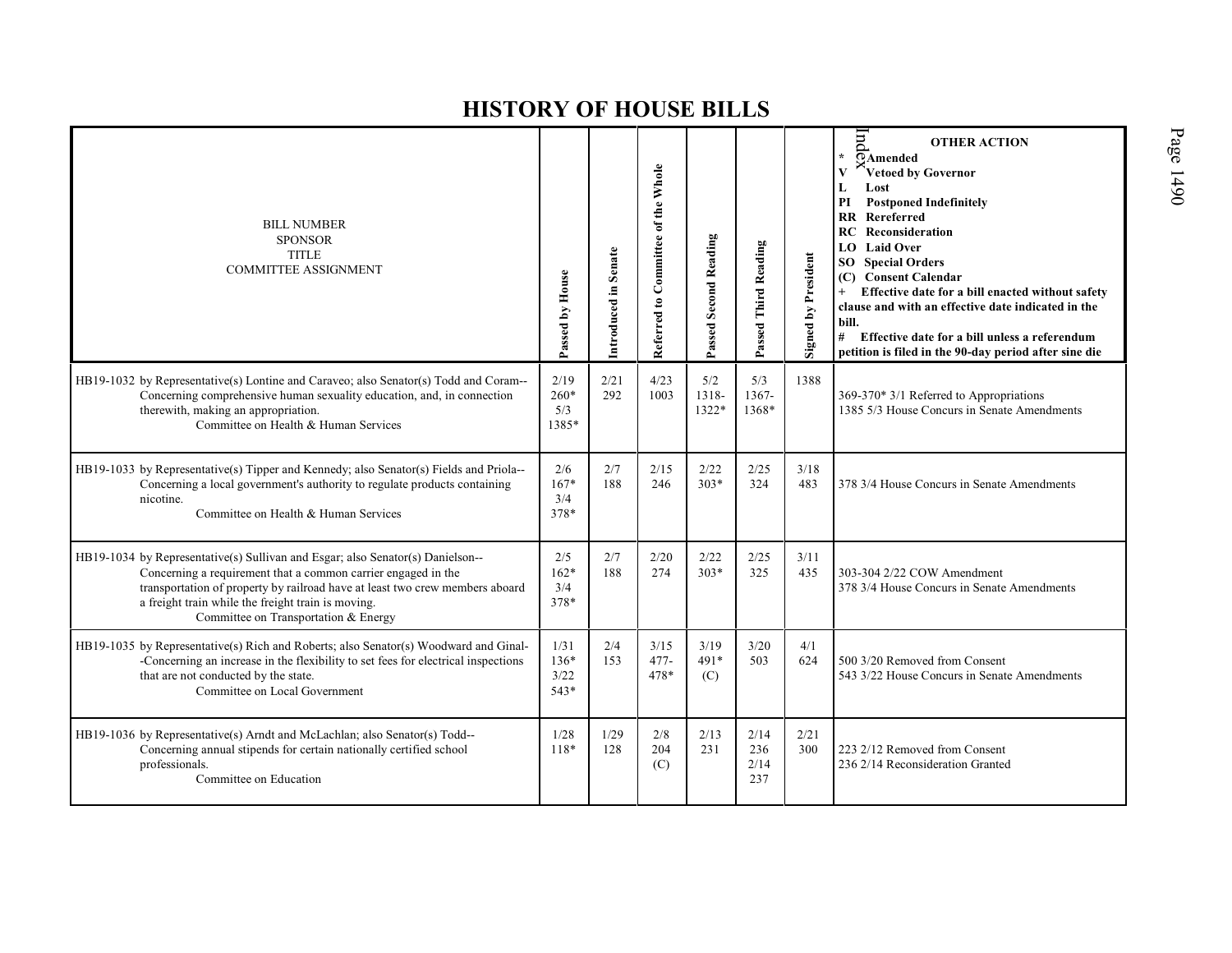| <b>BILL NUMBER</b><br><b>SPONSOR</b><br><b>TITLE</b><br><b>COMMITTEE ASSIGNMENT</b>                                                                                                                                                                                                                                           | Passed by House                  | Introduced in Senate | Referred to Committee of the Whole | <b>Passed Second Reading</b> | Passed Third Reading       | <b>Signed by President</b> | Ind<br><b>OTHER ACTION</b><br>$\star$<br>$\overline{O}$ Amended<br>Vetoed by Governor<br>V<br>L<br>Lost<br>PI<br><b>Postponed Indefinitely</b><br><b>RR</b> Rereferred<br>Reconsideration<br>RC<br><b>Laid Over</b><br>LO.<br><b>SO</b> Special Orders<br>(C) Consent Calendar<br>Effective date for a bill enacted without safety<br>$+$<br>clause and with an effective date indicated in the<br>bill.<br># Effective date for a bill unless a referendum<br>petition is filed in the 90-day period after sine die |
|-------------------------------------------------------------------------------------------------------------------------------------------------------------------------------------------------------------------------------------------------------------------------------------------------------------------------------|----------------------------------|----------------------|------------------------------------|------------------------------|----------------------------|----------------------------|----------------------------------------------------------------------------------------------------------------------------------------------------------------------------------------------------------------------------------------------------------------------------------------------------------------------------------------------------------------------------------------------------------------------------------------------------------------------------------------------------------------------|
| HB19-1032 by Representative(s) Lontine and Caraveo; also Senator(s) Todd and Coram---<br>Concerning comprehensive human sexuality education, and, in connection<br>therewith, making an appropriation.<br>Committee on Health & Human Services                                                                                | 2/19<br>$260*$<br>5/3<br>1385*   | 2/21<br>292          | 4/23<br>1003                       | 5/2<br>1318-<br>1322*        | 5/3<br>1367-<br>1368*      | 1388                       | 369-370* 3/1 Referred to Appropriations<br>1385 5/3 House Concurs in Senate Amendments                                                                                                                                                                                                                                                                                                                                                                                                                               |
| HB19-1033 by Representative(s) Tipper and Kennedy; also Senator(s) Fields and Priola--<br>Concerning a local government's authority to regulate products containing<br>nicotine.<br>Committee on Health & Human Services                                                                                                      | 2/6<br>167*<br>3/4<br>378*       | 2/7<br>188           | 2/15<br>246                        | 2/22<br>$303*$               | 2/25<br>324                | 3/18<br>483                | 378 3/4 House Concurs in Senate Amendments                                                                                                                                                                                                                                                                                                                                                                                                                                                                           |
| HB19-1034 by Representative(s) Sullivan and Esgar; also Senator(s) Danielson--<br>Concerning a requirement that a common carrier engaged in the<br>transportation of property by railroad have at least two crew members aboard<br>a freight train while the freight train is moving.<br>Committee on Transportation & Energy | 2/5<br>$162*$<br>3/4<br>378*     | 2/7<br>188           | 2/20<br>274                        | 2/22<br>$303*$               | 2/25<br>325                | 3/11<br>435                | 303-304 2/22 COW Amendment<br>378 3/4 House Concurs in Senate Amendments                                                                                                                                                                                                                                                                                                                                                                                                                                             |
| HB19-1035 by Representative(s) Rich and Roberts; also Senator(s) Woodward and Ginal-<br>-Concerning an increase in the flexibility to set fees for electrical inspections<br>that are not conducted by the state.<br>Committee on Local Government                                                                            | 1/31<br>$136*$<br>3/22<br>$543*$ | 2/4<br>153           | 3/15<br>$477-$<br>478*             | 3/19<br>$491*$<br>(C)        | 3/20<br>503                | 4/1<br>624                 | 500 3/20 Removed from Consent<br>543 3/22 House Concurs in Senate Amendments                                                                                                                                                                                                                                                                                                                                                                                                                                         |
| HB19-1036 by Representative(s) Arndt and McLachlan; also Senator(s) Todd--<br>Concerning annual stipends for certain nationally certified school<br>professionals.<br>Committee on Education                                                                                                                                  | 1/28<br>118*                     | 1/29<br>128          | 2/8<br>204<br>(C)                  | 2/13<br>231                  | 2/14<br>236<br>2/14<br>237 | 2/21<br>300                | 223 2/12 Removed from Consent<br>236 2/14 Reconsideration Granted                                                                                                                                                                                                                                                                                                                                                                                                                                                    |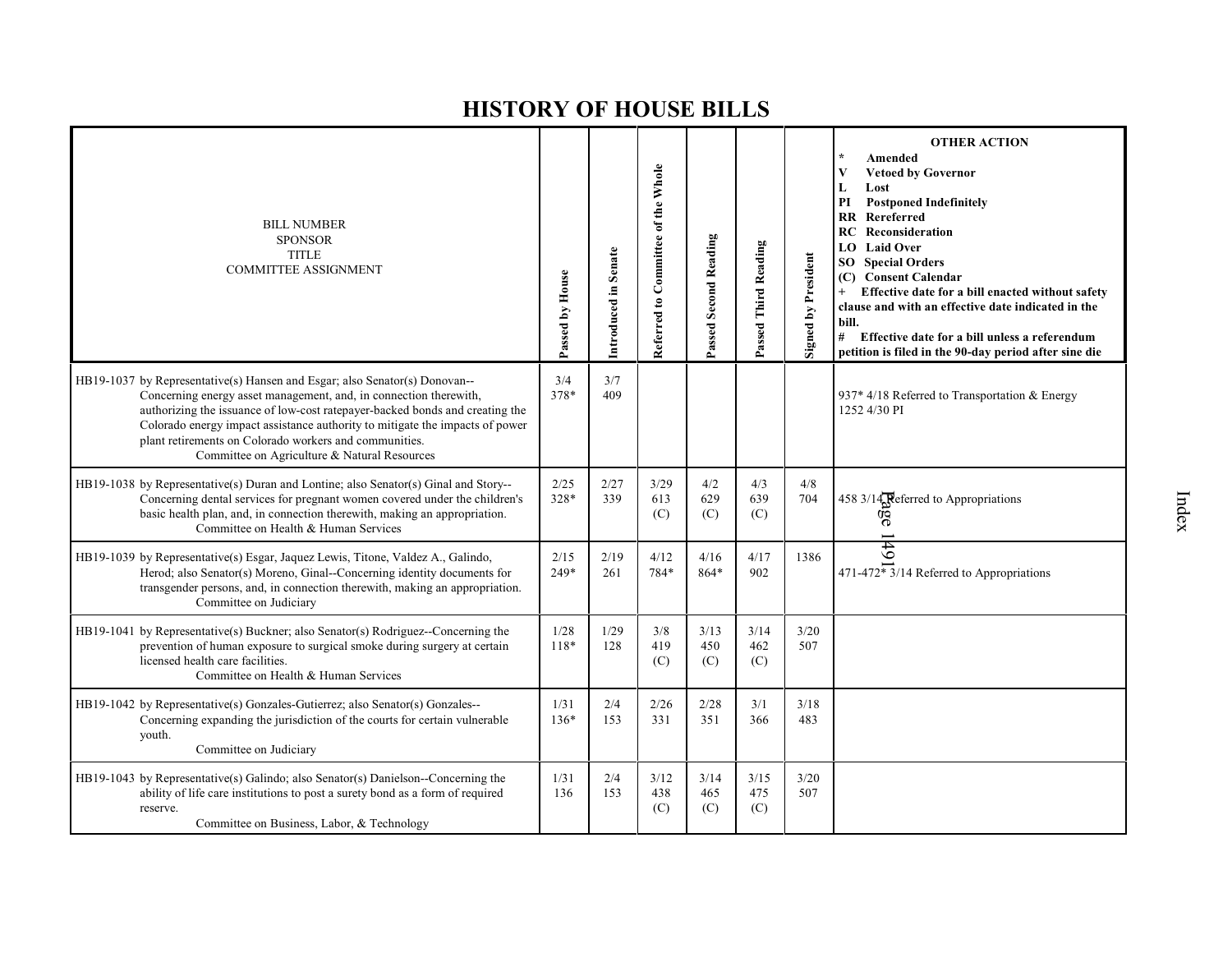| <b>BILL NUMBER</b><br><b>SPONSOR</b><br><b>TITLE</b><br><b>COMMITTEE ASSIGNMENT</b>                                                                                                                                                                                                                                                                                                                                       | Passed by House | Introduced in Senate | Referred to Committee of the Whole | Passed Second Reading | Passed Third Reading | <b>Signed by President</b> | <b>OTHER ACTION</b><br>Amended<br><b>Vetoed by Governor</b><br>V<br>L<br>Lost<br><b>Postponed Indefinitely</b><br>PI<br><b>RR</b> Rereferred<br><b>RC</b> Reconsideration<br><b>LO</b> Laid Over<br><b>Special Orders</b><br>SO.<br>(C) Consent Calendar<br>Effective date for a bill enacted without safety<br>clause and with an effective date indicated in the<br>bill.<br>#<br>Effective date for a bill unless a referendum<br>petition is filed in the 90-day period after sine die |
|---------------------------------------------------------------------------------------------------------------------------------------------------------------------------------------------------------------------------------------------------------------------------------------------------------------------------------------------------------------------------------------------------------------------------|-----------------|----------------------|------------------------------------|-----------------------|----------------------|----------------------------|--------------------------------------------------------------------------------------------------------------------------------------------------------------------------------------------------------------------------------------------------------------------------------------------------------------------------------------------------------------------------------------------------------------------------------------------------------------------------------------------|
| HB19-1037 by Representative(s) Hansen and Esgar; also Senator(s) Donovan--<br>Concerning energy asset management, and, in connection therewith,<br>authorizing the issuance of low-cost ratepayer-backed bonds and creating the<br>Colorado energy impact assistance authority to mitigate the impacts of power<br>plant retirements on Colorado workers and communities.<br>Committee on Agriculture & Natural Resources | 3/4<br>378*     | 3/7<br>409           |                                    |                       |                      |                            | 937* 4/18 Referred to Transportation & Energy<br>1252 4/30 PI                                                                                                                                                                                                                                                                                                                                                                                                                              |
| HB19-1038 by Representative(s) Duran and Lontine; also Senator(s) Ginal and Story--<br>Concerning dental services for pregnant women covered under the children's<br>basic health plan, and, in connection therewith, making an appropriation.<br>Committee on Health & Human Services                                                                                                                                    | 2/25<br>328*    | 2/27<br>339          | 3/29<br>613<br>(C)                 | 4/2<br>629<br>(C)     | 4/3<br>639<br>(C)    | 4/8<br>704                 | 458 3/14 Referred to Appropriations<br>ā                                                                                                                                                                                                                                                                                                                                                                                                                                                   |
| HB19-1039 by Representative(s) Esgar, Jaquez Lewis, Titone, Valdez A., Galindo,<br>Herod; also Senator(s) Moreno, Ginal--Concerning identity documents for<br>transgender persons, and, in connection therewith, making an appropriation.<br>Committee on Judiciary                                                                                                                                                       | 2/15<br>$249*$  | 2/19<br>261          | 4/12<br>784*                       | 4/16<br>864*          | 4/17<br>902          | 1386                       | 49<br>$471-472 \times 3/14$ Referred to Appropriations                                                                                                                                                                                                                                                                                                                                                                                                                                     |
| HB19-1041 by Representative(s) Buckner; also Senator(s) Rodriguez--Concerning the<br>prevention of human exposure to surgical smoke during surgery at certain<br>licensed health care facilities.<br>Committee on Health & Human Services                                                                                                                                                                                 | 1/28<br>118*    | 1/29<br>128          | 3/8<br>419<br>(C)                  | 3/13<br>450<br>(C)    | 3/14<br>462<br>(C)   | 3/20<br>507                |                                                                                                                                                                                                                                                                                                                                                                                                                                                                                            |
| HB19-1042 by Representative(s) Gonzales-Gutierrez; also Senator(s) Gonzales--<br>Concerning expanding the jurisdiction of the courts for certain vulnerable<br>youth.<br>Committee on Judiciary                                                                                                                                                                                                                           | 1/31<br>$136*$  | 2/4<br>153           | 2/26<br>331                        | 2/28<br>351           | 3/1<br>366           | 3/18<br>483                |                                                                                                                                                                                                                                                                                                                                                                                                                                                                                            |
| HB19-1043 by Representative(s) Galindo; also Senator(s) Danielson--Concerning the<br>ability of life care institutions to post a surety bond as a form of required<br>reserve.<br>Committee on Business, Labor, & Technology                                                                                                                                                                                              | 1/31<br>136     | 2/4<br>153           | 3/12<br>438<br>(C)                 | 3/14<br>465<br>(C)    | 3/15<br>475<br>(C)   | 3/20<br>507                |                                                                                                                                                                                                                                                                                                                                                                                                                                                                                            |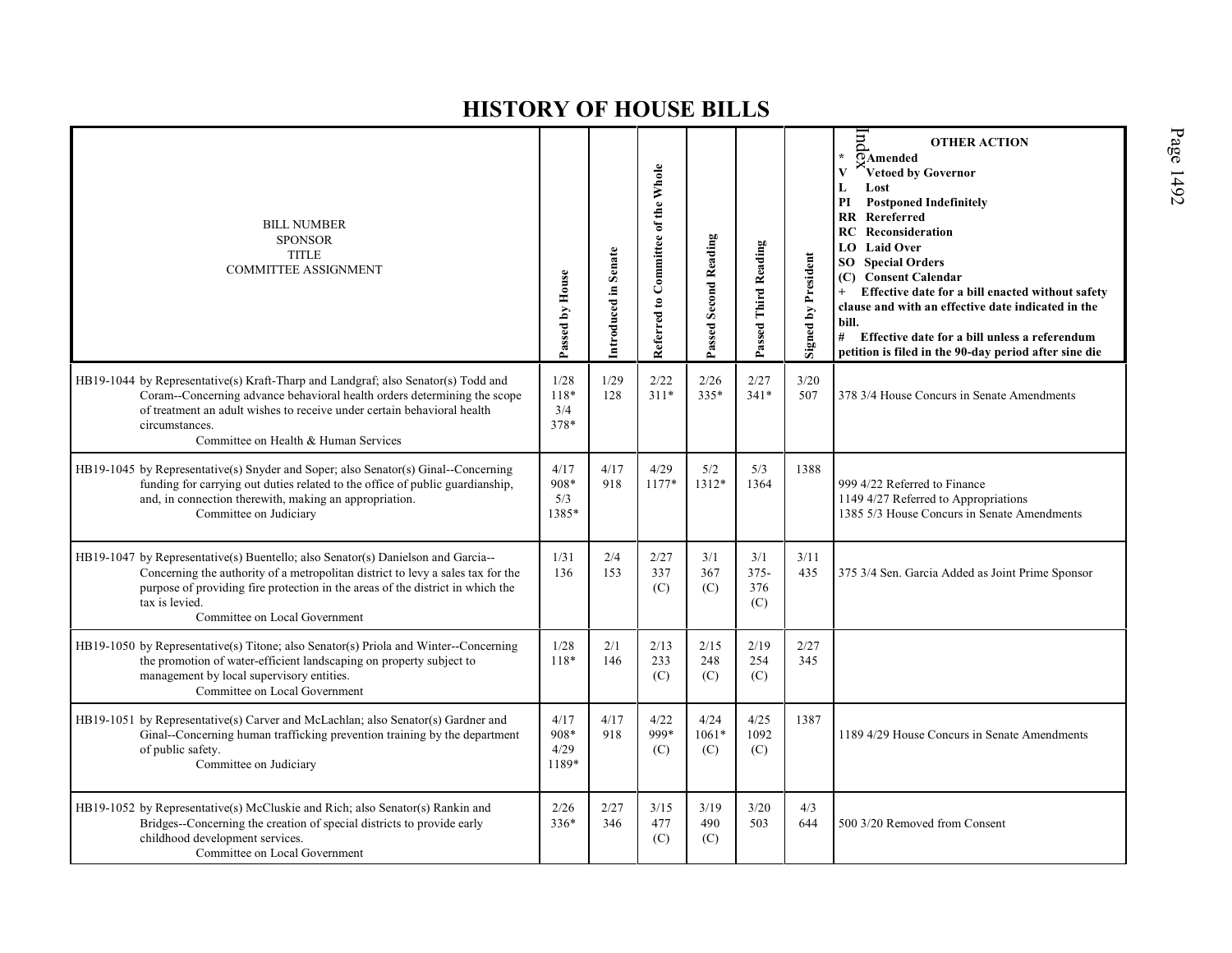| <b>BILL NUMBER</b><br><b>SPONSOR</b><br><b>TITLE</b><br><b>COMMITTEE ASSIGNMENT</b>                                                                                                                                                                                                                      | Passed by House               | Introduced in Senate | Referred to Committee of the Whole | Passed Second Reading | Passed Third Reading         | <b>Signed by President</b> | Ind<br><b>OTHER ACTION</b><br>$\star$<br>$\overline{\odot}$ Amended<br>$\mathbf{V}$<br>Vetoed by Governor<br>L<br>Lost<br>PI<br><b>Postponed Indefinitely</b><br><b>RR</b> Rereferred<br>Reconsideration<br>RC<br><b>LO</b> Laid Over<br><b>SO</b> Special Orders<br>(C) Consent Calendar<br>Effective date for a bill enacted without safety<br>$+$<br>clause and with an effective date indicated in the<br>bill.<br>#<br>Effective date for a bill unless a referendum<br>petition is filed in the 90-day period after sine die |
|----------------------------------------------------------------------------------------------------------------------------------------------------------------------------------------------------------------------------------------------------------------------------------------------------------|-------------------------------|----------------------|------------------------------------|-----------------------|------------------------------|----------------------------|------------------------------------------------------------------------------------------------------------------------------------------------------------------------------------------------------------------------------------------------------------------------------------------------------------------------------------------------------------------------------------------------------------------------------------------------------------------------------------------------------------------------------------|
| HB19-1044 by Representative(s) Kraft-Tharp and Landgraf; also Senator(s) Todd and<br>Coram--Concerning advance behavioral health orders determining the scope<br>of treatment an adult wishes to receive under certain behavioral health<br>circumstances.<br>Committee on Health & Human Services       | 1/28<br>118*<br>3/4<br>378*   | 1/29<br>128          | 2/22<br>$311*$                     | 2/26<br>335*          | 2/27<br>$341*$               | 3/20<br>507                | 378 3/4 House Concurs in Senate Amendments                                                                                                                                                                                                                                                                                                                                                                                                                                                                                         |
| HB19-1045 by Representative(s) Snyder and Soper; also Senator(s) Ginal--Concerning<br>funding for carrying out duties related to the office of public guardianship,<br>and, in connection therewith, making an appropriation.<br>Committee on Judiciary                                                  | 4/17<br>908*<br>5/3<br>1385*  | 4/17<br>918          | 4/29<br>1177*                      | 5/2<br>1312*          | 5/3<br>1364                  | 1388                       | 999 4/22 Referred to Finance<br>1149 4/27 Referred to Appropriations<br>1385 5/3 House Concurs in Senate Amendments                                                                                                                                                                                                                                                                                                                                                                                                                |
| HB19-1047 by Representative(s) Buentello; also Senator(s) Danielson and Garcia--<br>Concerning the authority of a metropolitan district to levy a sales tax for the<br>purpose of providing fire protection in the areas of the district in which the<br>tax is levied.<br>Committee on Local Government | 1/31<br>136                   | 2/4<br>153           | 2/27<br>337<br>(C)                 | 3/1<br>367<br>(C)     | 3/1<br>$375 -$<br>376<br>(C) | 3/11<br>435                | 375 3/4 Sen. Garcia Added as Joint Prime Sponsor                                                                                                                                                                                                                                                                                                                                                                                                                                                                                   |
| HB19-1050 by Representative(s) Titone; also Senator(s) Priola and Winter--Concerning<br>the promotion of water-efficient landscaping on property subject to<br>management by local supervisory entities.<br>Committee on Local Government                                                                | 1/28<br>118*                  | 2/1<br>146           | 2/13<br>233<br>(C)                 | 2/15<br>248<br>(C)    | 2/19<br>254<br>(C)           | 2/27<br>345                |                                                                                                                                                                                                                                                                                                                                                                                                                                                                                                                                    |
| HB19-1051 by Representative(s) Carver and McLachlan; also Senator(s) Gardner and<br>Ginal--Concerning human trafficking prevention training by the department<br>of public safety.<br>Committee on Judiciary                                                                                             | 4/17<br>908*<br>4/29<br>1189* | 4/17<br>918          | 4/22<br>999*<br>(C)                | 4/24<br>1061*<br>(C)  | 4/25<br>1092<br>(C)          | 1387                       | 1189 4/29 House Concurs in Senate Amendments                                                                                                                                                                                                                                                                                                                                                                                                                                                                                       |
| HB19-1052 by Representative(s) McCluskie and Rich; also Senator(s) Rankin and<br>Bridges--Concerning the creation of special districts to provide early<br>childhood development services.<br>Committee on Local Government                                                                              | 2/26<br>$336*$                | 2/27<br>346          | $3/15$<br>477<br>(C)               | 3/19<br>490<br>(C)    | 3/20<br>503                  | 4/3<br>644                 | 500 3/20 Removed from Consent                                                                                                                                                                                                                                                                                                                                                                                                                                                                                                      |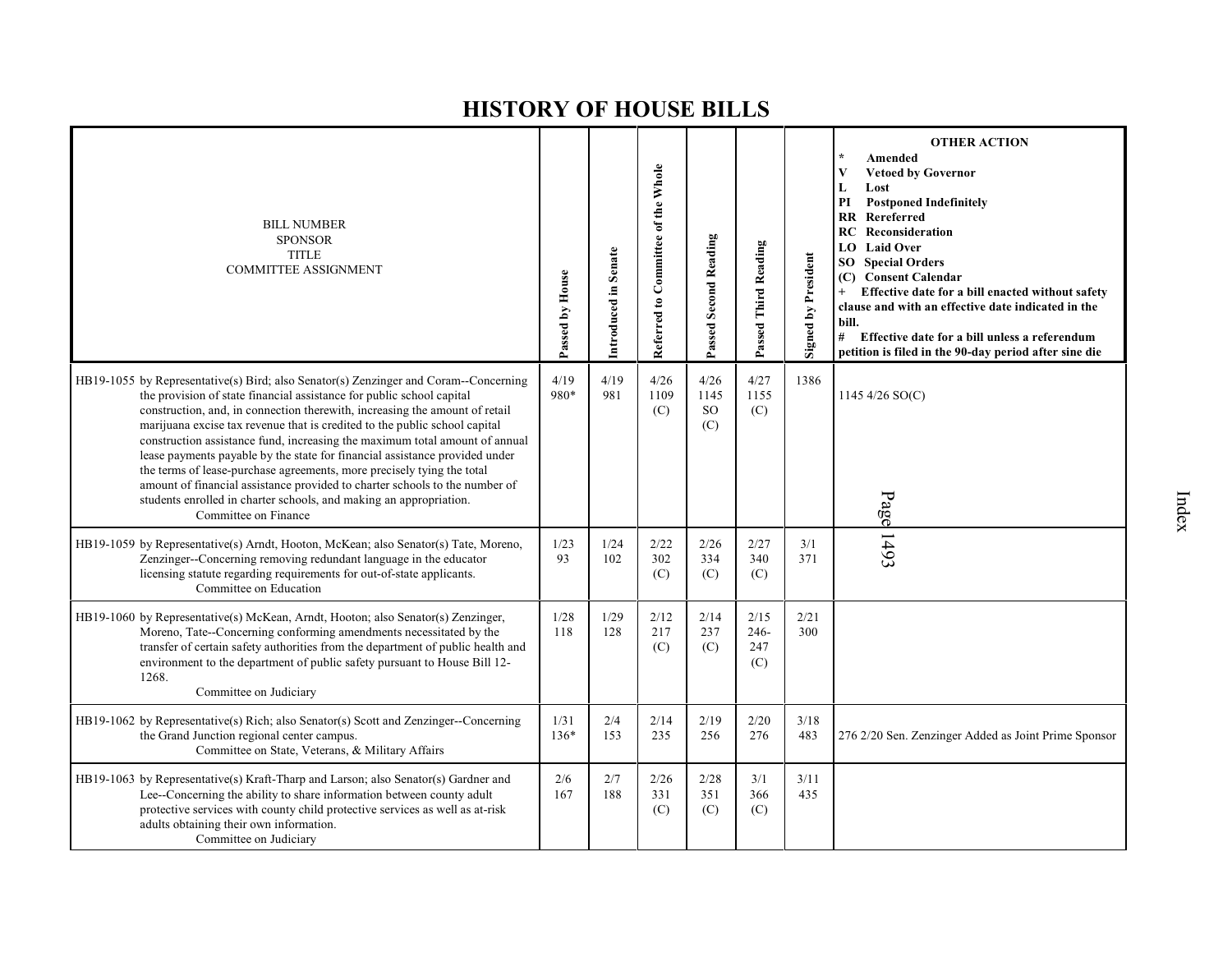| <b>BILL NUMBER</b><br><b>SPONSOR</b><br><b>TITLE</b><br><b>COMMITTEE ASSIGNMENT</b>                                                                                                                                                                                                                                                                                                                                                                                                                                                                                                                                                                                                                                                             | Passed by House | Introduced in Senate | Referred to Committee of the Whole | Passed Second Reading            | Passed Third Reading          | Signed by President | <b>OTHER ACTION</b><br>Amended<br><b>Vetoed by Governor</b><br>V<br>Lost<br>L<br><b>Postponed Indefinitely</b><br>PI<br><b>Rereferred</b><br>RR<br><b>RC</b> Reconsideration<br><b>Laid Over</b><br>LO.<br><b>SO</b> Special Orders<br><b>Consent Calendar</b><br>(C)<br>Effective date for a bill enacted without safety<br>$+$<br>clause and with an effective date indicated in the<br>bill.<br># Effective date for a bill unless a referendum<br>petition is filed in the 90-day period after sine die |
|-------------------------------------------------------------------------------------------------------------------------------------------------------------------------------------------------------------------------------------------------------------------------------------------------------------------------------------------------------------------------------------------------------------------------------------------------------------------------------------------------------------------------------------------------------------------------------------------------------------------------------------------------------------------------------------------------------------------------------------------------|-----------------|----------------------|------------------------------------|----------------------------------|-------------------------------|---------------------|-------------------------------------------------------------------------------------------------------------------------------------------------------------------------------------------------------------------------------------------------------------------------------------------------------------------------------------------------------------------------------------------------------------------------------------------------------------------------------------------------------------|
| HB19-1055 by Representative(s) Bird; also Senator(s) Zenzinger and Coram--Concerning<br>the provision of state financial assistance for public school capital<br>construction, and, in connection therewith, increasing the amount of retail<br>marijuana excise tax revenue that is credited to the public school capital<br>construction assistance fund, increasing the maximum total amount of annual<br>lease payments payable by the state for financial assistance provided under<br>the terms of lease-purchase agreements, more precisely tying the total<br>amount of financial assistance provided to charter schools to the number of<br>students enrolled in charter schools, and making an appropriation.<br>Committee on Finance | 4/19<br>980*    | 4/19<br>981          | 4/26<br>1109<br>(C)                | 4/26<br>1145<br><b>SO</b><br>(C) | 4/27<br>1155<br>(C)           | 1386                | 1145 4/26 SO(C)<br>Page                                                                                                                                                                                                                                                                                                                                                                                                                                                                                     |
| HB19-1059 by Representative(s) Arndt, Hooton, McKean; also Senator(s) Tate, Moreno,<br>Zenzinger--Concerning removing redundant language in the educator<br>licensing statute regarding requirements for out-of-state applicants.<br>Committee on Education                                                                                                                                                                                                                                                                                                                                                                                                                                                                                     | 1/23<br>93      | 1/24<br>102          | 2/22<br>302<br>(C)                 | 2/26<br>334<br>(C)               | 2/27<br>340<br>(C)            | 3/1<br>371          | 5651                                                                                                                                                                                                                                                                                                                                                                                                                                                                                                        |
| HB19-1060 by Representative(s) McKean, Arndt, Hooton; also Senator(s) Zenzinger,<br>Moreno, Tate--Concerning conforming amendments necessitated by the<br>transfer of certain safety authorities from the department of public health and<br>environment to the department of public safety pursuant to House Bill 12-<br>1268.<br>Committee on Judiciary                                                                                                                                                                                                                                                                                                                                                                                       | 1/28<br>118     | 1/29<br>128          | 2/12<br>217<br>(C)                 | 2/14<br>237<br>(C)               | 2/15<br>$246 -$<br>247<br>(C) | 2/21<br>300         |                                                                                                                                                                                                                                                                                                                                                                                                                                                                                                             |
| HB19-1062 by Representative(s) Rich; also Senator(s) Scott and Zenzinger--Concerning<br>the Grand Junction regional center campus.<br>Committee on State, Veterans, & Military Affairs                                                                                                                                                                                                                                                                                                                                                                                                                                                                                                                                                          | 1/31<br>136*    | 2/4<br>153           | 2/14<br>235                        | 2/19<br>256                      | 2/20<br>276                   | 3/18<br>483         | 276 2/20 Sen. Zenzinger Added as Joint Prime Sponsor                                                                                                                                                                                                                                                                                                                                                                                                                                                        |
| HB19-1063 by Representative(s) Kraft-Tharp and Larson; also Senator(s) Gardner and<br>Lee--Concerning the ability to share information between county adult<br>protective services with county child protective services as well as at-risk<br>adults obtaining their own information.<br>Committee on Judiciary                                                                                                                                                                                                                                                                                                                                                                                                                                | 2/6<br>167      | 2/7<br>188           | 2/26<br>331<br>(C)                 | 2/28<br>351<br>(C)               | 3/1<br>366<br>(C)             | 3/11<br>435         |                                                                                                                                                                                                                                                                                                                                                                                                                                                                                                             |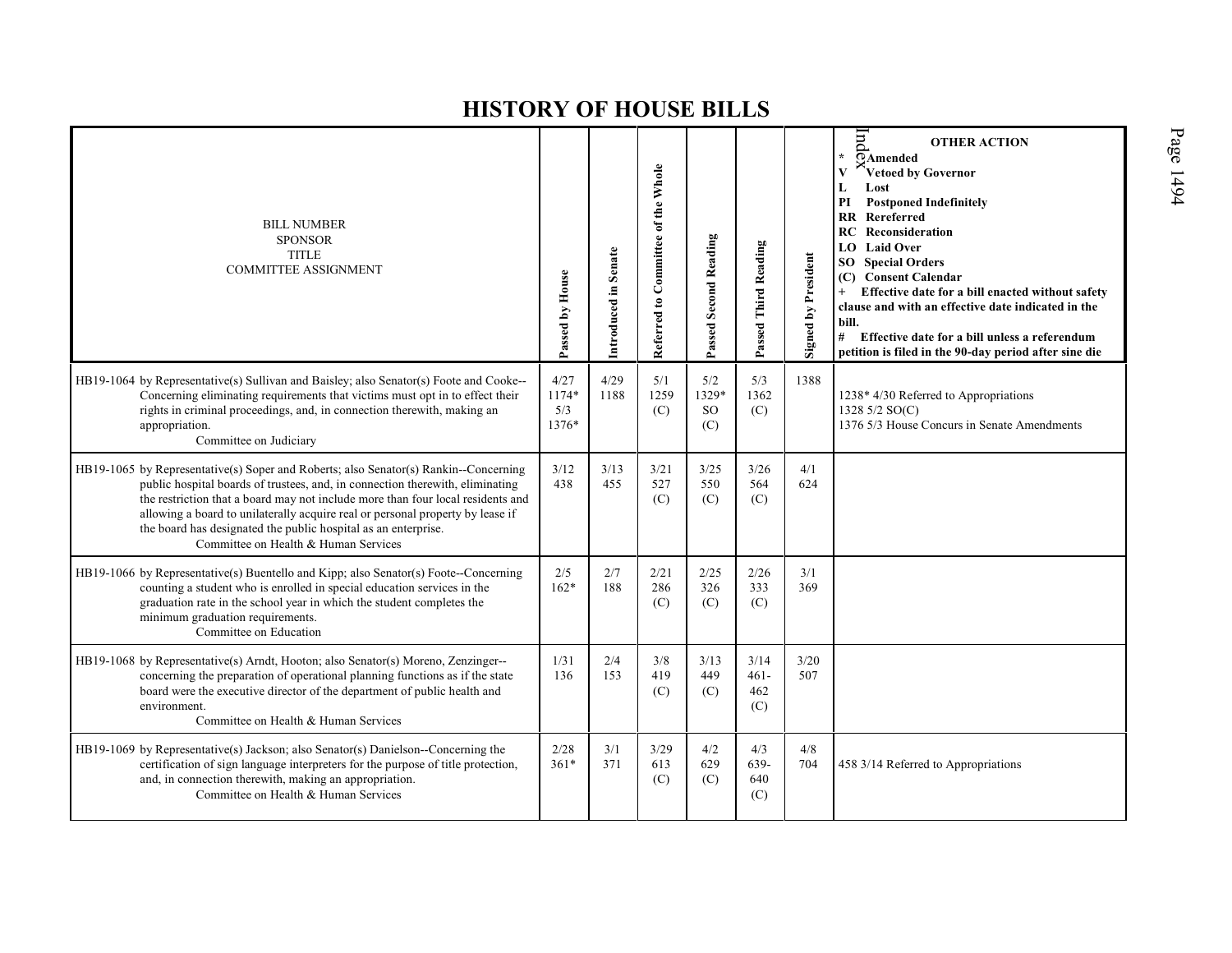| <b>BILL NUMBER</b><br><b>SPONSOR</b><br><b>TITLE</b><br><b>COMMITTEE ASSIGNMENT</b>                                                                                                                                                                                                                                                                                                                                                                  | Passed by House               | Introduced in Senate | Referred to Committee of the Whole | Passed Second Reading      | Passed Third Reading          | Signed by President | Ind<br><b>OTHER ACTION</b><br>$\star$<br>$\overline{\odot}$ Amended<br>Vetoed by Governor<br>L<br>Lost<br>PI<br><b>Postponed Indefinitely</b><br><b>RR</b> Rereferred<br>RC<br>Reconsideration<br><b>LO</b> Laid Over<br><b>SO</b> Special Orders<br>(C) Consent Calendar<br>Effective date for a bill enacted without safety<br>$+$<br>clause and with an effective date indicated in the<br>bill.<br>#<br>Effective date for a bill unless a referendum<br>petition is filed in the 90-day period after sine die |
|------------------------------------------------------------------------------------------------------------------------------------------------------------------------------------------------------------------------------------------------------------------------------------------------------------------------------------------------------------------------------------------------------------------------------------------------------|-------------------------------|----------------------|------------------------------------|----------------------------|-------------------------------|---------------------|--------------------------------------------------------------------------------------------------------------------------------------------------------------------------------------------------------------------------------------------------------------------------------------------------------------------------------------------------------------------------------------------------------------------------------------------------------------------------------------------------------------------|
| HB19-1064 by Representative(s) Sullivan and Baisley; also Senator(s) Foote and Cooke--<br>Concerning eliminating requirements that victims must opt in to effect their<br>rights in criminal proceedings, and, in connection therewith, making an<br>appropriation.<br>Committee on Judiciary                                                                                                                                                        | 4/27<br>1174*<br>5/3<br>1376* | 4/29<br>1188         | 5/1<br>1259<br>(C)                 | 5/2<br>1329*<br>SO.<br>(C) | 5/3<br>1362<br>(C)            | 1388                | 1238* 4/30 Referred to Appropriations<br>1328 5/2 SO(C)<br>1376 5/3 House Concurs in Senate Amendments                                                                                                                                                                                                                                                                                                                                                                                                             |
| HB19-1065 by Representative(s) Soper and Roberts; also Senator(s) Rankin--Concerning<br>public hospital boards of trustees, and, in connection therewith, eliminating<br>the restriction that a board may not include more than four local residents and<br>allowing a board to unilaterally acquire real or personal property by lease if<br>the board has designated the public hospital as an enterprise.<br>Committee on Health & Human Services | 3/12<br>438                   | 3/13<br>455          | 3/21<br>527<br>(C)                 | 3/25<br>550<br>(C)         | 3/26<br>564<br>(C)            | 4/1<br>624          |                                                                                                                                                                                                                                                                                                                                                                                                                                                                                                                    |
| HB19-1066 by Representative(s) Buentello and Kipp; also Senator(s) Foote--Concerning<br>counting a student who is enrolled in special education services in the<br>graduation rate in the school year in which the student completes the<br>minimum graduation requirements.<br>Committee on Education                                                                                                                                               | 2/5<br>$162*$                 | 2/7<br>188           | 2/21<br>286<br>(C)                 | 2/25<br>326<br>(C)         | 2/26<br>333<br>(C)            | 3/1<br>369          |                                                                                                                                                                                                                                                                                                                                                                                                                                                                                                                    |
| HB19-1068 by Representative(s) Arndt, Hooton; also Senator(s) Moreno, Zenzinger--<br>concerning the preparation of operational planning functions as if the state<br>board were the executive director of the department of public health and<br>environment.<br>Committee on Health & Human Services                                                                                                                                                | 1/31<br>136                   | 2/4<br>153           | 3/8<br>419<br>(C)                  | 3/13<br>449<br>(C)         | 3/14<br>$461 -$<br>462<br>(C) | 3/20<br>507         |                                                                                                                                                                                                                                                                                                                                                                                                                                                                                                                    |
| HB19-1069 by Representative(s) Jackson; also Senator(s) Danielson--Concerning the<br>certification of sign language interpreters for the purpose of title protection,<br>and, in connection therewith, making an appropriation.<br>Committee on Health & Human Services                                                                                                                                                                              | 2/28<br>$361*$                | 3/1<br>371           | 3/29<br>613<br>(C)                 | 4/2<br>629<br>(C)          | 4/3<br>639-<br>640<br>(C)     | 4/8<br>704          | 458 3/14 Referred to Appropriations                                                                                                                                                                                                                                                                                                                                                                                                                                                                                |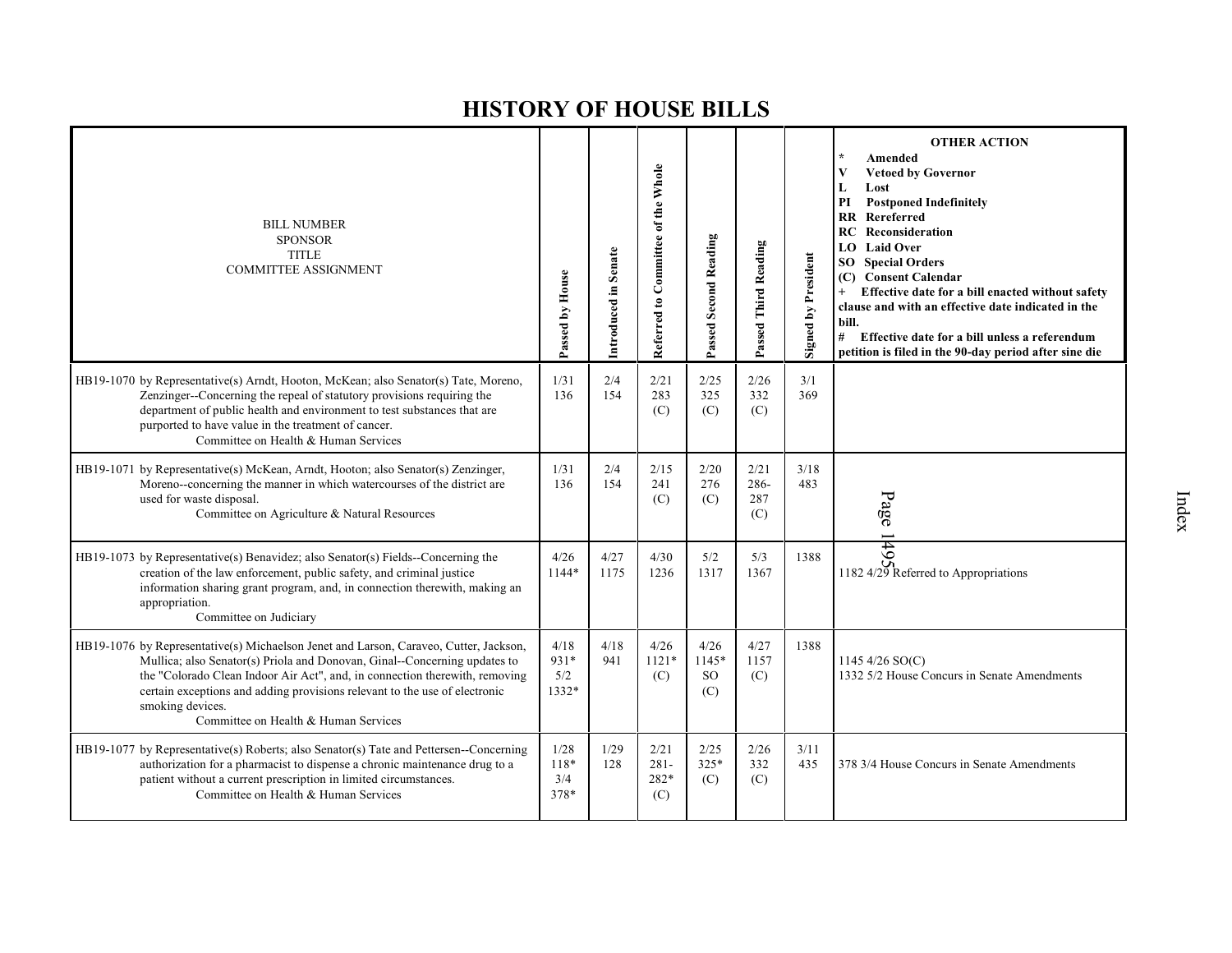| <b>BILL NUMBER</b><br><b>SPONSOR</b><br><b>TITLE</b><br><b>COMMITTEE ASSIGNMENT</b>                                                                                                                                                                                                                                                                                                         | Passed by House              | Introduced in Senate | Referred to Committee of the Whole | Passed Second Reading                 | Passed Third Reading       | <b>Signed by President</b> | <b>OTHER ACTION</b><br>Amended<br><b>Vetoed by Governor</b><br>V<br>Lost<br>L<br><b>Postponed Indefinitely</b><br>PI<br>Rereferred<br>$\mathbf{R}$<br>Reconsideration<br>RC<br><b>LO</b> Laid Over<br><b>Special Orders</b><br>SO<br>(C) Consent Calendar<br>Effective date for a bill enacted without safety<br>clause and with an effective date indicated in the<br>bill.<br>#<br>Effective date for a bill unless a referendum<br>petition is filed in the 90-day period after sine die |
|---------------------------------------------------------------------------------------------------------------------------------------------------------------------------------------------------------------------------------------------------------------------------------------------------------------------------------------------------------------------------------------------|------------------------------|----------------------|------------------------------------|---------------------------------------|----------------------------|----------------------------|---------------------------------------------------------------------------------------------------------------------------------------------------------------------------------------------------------------------------------------------------------------------------------------------------------------------------------------------------------------------------------------------------------------------------------------------------------------------------------------------|
| HB19-1070 by Representative(s) Arndt, Hooton, McKean; also Senator(s) Tate, Moreno,<br>Zenzinger--Concerning the repeal of statutory provisions requiring the<br>department of public health and environment to test substances that are<br>purported to have value in the treatment of cancer.<br>Committee on Health & Human Services                                                     | 1/31<br>136                  | 2/4<br>154           | 2/21<br>283<br>(C)                 | 2/25<br>325<br>(C)                    | 2/26<br>332<br>(C)         | 3/1<br>369                 |                                                                                                                                                                                                                                                                                                                                                                                                                                                                                             |
| HB19-1071 by Representative(s) McKean, Arndt, Hooton; also Senator(s) Zenzinger,<br>Moreno--concerning the manner in which watercourses of the district are<br>used for waste disposal.<br>Committee on Agriculture & Natural Resources                                                                                                                                                     | 1/31<br>136                  | 2/4<br>154           | 2/15<br>241<br>(C)                 | 2/20<br>276<br>(C)                    | 2/21<br>286-<br>287<br>(C) | 3/18<br>483                | Page                                                                                                                                                                                                                                                                                                                                                                                                                                                                                        |
| HB19-1073 by Representative(s) Benavidez; also Senator(s) Fields--Concerning the<br>creation of the law enforcement, public safety, and criminal justice<br>information sharing grant program, and, in connection therewith, making an<br>appropriation.<br>Committee on Judiciary                                                                                                          | 4/26<br>1144*                | 4/27<br>1175         | 4/30<br>1236                       | 5/2<br>1317                           | 5/3<br>1367                | 1388                       | 149<br>1182 4/29 Referred to Appropriations                                                                                                                                                                                                                                                                                                                                                                                                                                                 |
| HB19-1076 by Representative(s) Michaelson Jenet and Larson, Caraveo, Cutter, Jackson,<br>Mullica; also Senator(s) Priola and Donovan, Ginal--Concerning updates to<br>the "Colorado Clean Indoor Air Act", and, in connection therewith, removing<br>certain exceptions and adding provisions relevant to the use of electronic<br>smoking devices.<br>Committee on Health & Human Services | 4/18<br>931*<br>5/2<br>1332* | 4/18<br>941          | 4/26<br>$1121*$<br>(C)             | 4/26<br>1145*<br><sub>SO</sub><br>(C) | 4/27<br>1157<br>(C)        | 1388                       | 1145 4/26 $SO(C)$<br>1332 5/2 House Concurs in Senate Amendments                                                                                                                                                                                                                                                                                                                                                                                                                            |
| HB19-1077 by Representative(s) Roberts; also Senator(s) Tate and Pettersen--Concerning<br>authorization for a pharmacist to dispense a chronic maintenance drug to a<br>patient without a current prescription in limited circumstances.<br>Committee on Health & Human Services                                                                                                            | 1/28<br>118*<br>3/4<br>378*  | 1/29<br>128          | 2/21<br>$281 -$<br>282*<br>(C)     | 2/25<br>$325*$<br>(C)                 | 2/26<br>332<br>(C)         | 3/11<br>435                | 378 3/4 House Concurs in Senate Amendments                                                                                                                                                                                                                                                                                                                                                                                                                                                  |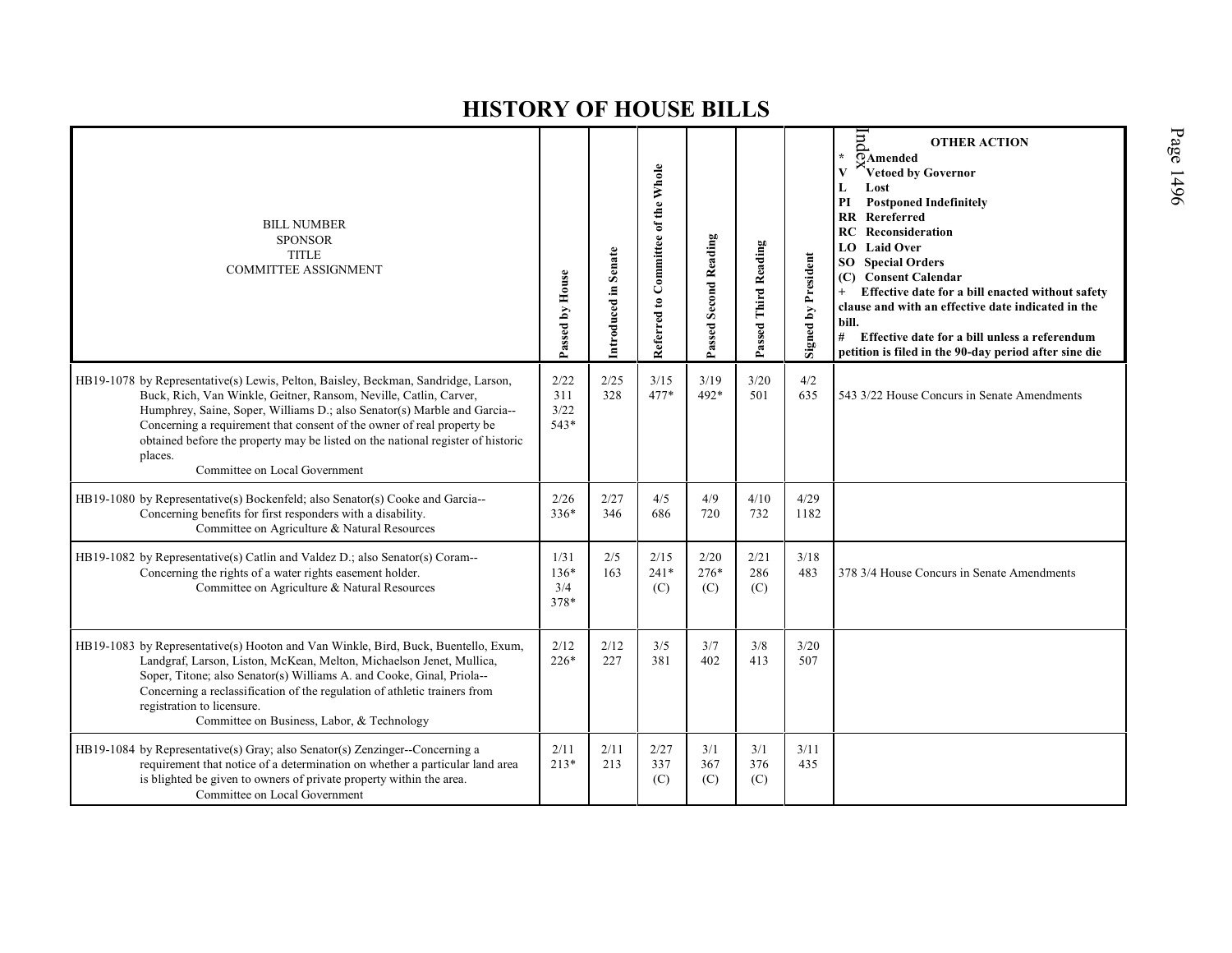| <b>BILL NUMBER</b><br><b>SPONSOR</b><br><b>TITLE</b><br><b>COMMITTEE ASSIGNMENT</b>                                                                                                                                                                                                                                                                                                                                                          | Passed by House             | Introduced in Senate | Referred to Committee of the Whole | Passed Second Reading | Passed Third Reading | <b>Signed by President</b> | $_{\rm{p}}$<br><b>OTHER ACTION</b><br>$\star$<br>$\overline{Q}$ Amended<br>Vetoed by Governor<br>$\mathbf{V}$<br>L<br>Lost<br>PI<br><b>Postponed Indefinitely</b><br><b>RR</b> Rereferred<br>RC<br>Reconsideration<br><b>Laid Over</b><br>LO<br><b>SO</b> Special Orders<br>(C) Consent Calendar<br>Effective date for a bill enacted without safety<br>$+$<br>clause and with an effective date indicated in the<br>bill.<br># Effective date for a bill unless a referendum<br>petition is filed in the 90-day period after sine die |
|----------------------------------------------------------------------------------------------------------------------------------------------------------------------------------------------------------------------------------------------------------------------------------------------------------------------------------------------------------------------------------------------------------------------------------------------|-----------------------------|----------------------|------------------------------------|-----------------------|----------------------|----------------------------|----------------------------------------------------------------------------------------------------------------------------------------------------------------------------------------------------------------------------------------------------------------------------------------------------------------------------------------------------------------------------------------------------------------------------------------------------------------------------------------------------------------------------------------|
| HB19-1078 by Representative(s) Lewis, Pelton, Baisley, Beckman, Sandridge, Larson,<br>Buck, Rich, Van Winkle, Geitner, Ransom, Neville, Catlin, Carver,<br>Humphrey, Saine, Soper, Williams D.; also Senator(s) Marble and Garcia--<br>Concerning a requirement that consent of the owner of real property be<br>obtained before the property may be listed on the national register of historic<br>places.<br>Committee on Local Government | 2/22<br>311<br>3/22<br>543* | 2/25<br>328          | 3/15<br>$477*$                     | 3/19<br>492*          | 3/20<br>501          | 4/2<br>635                 | 543 3/22 House Concurs in Senate Amendments                                                                                                                                                                                                                                                                                                                                                                                                                                                                                            |
| HB19-1080 by Representative(s) Bockenfeld; also Senator(s) Cooke and Garcia--<br>Concerning benefits for first responders with a disability.<br>Committee on Agriculture & Natural Resources                                                                                                                                                                                                                                                 | 2/26<br>$336*$              | 2/27<br>346          | 4/5<br>686                         | 4/9<br>720            | 4/10<br>732          | 4/29<br>1182               |                                                                                                                                                                                                                                                                                                                                                                                                                                                                                                                                        |
| HB19-1082 by Representative(s) Catlin and Valdez D.; also Senator(s) Coram--<br>Concerning the rights of a water rights easement holder.<br>Committee on Agriculture & Natural Resources                                                                                                                                                                                                                                                     | 1/31<br>136*<br>3/4<br>378* | 2/5<br>163           | 2/15<br>$241*$<br>(C)              | 2/20<br>$276*$<br>(C) | 2/21<br>286<br>(C)   | 3/18<br>483                | 378 3/4 House Concurs in Senate Amendments                                                                                                                                                                                                                                                                                                                                                                                                                                                                                             |
| HB19-1083 by Representative(s) Hooton and Van Winkle, Bird, Buck, Buentello, Exum,<br>Landgraf, Larson, Liston, McKean, Melton, Michaelson Jenet, Mullica,<br>Soper, Titone; also Senator(s) Williams A. and Cooke, Ginal, Priola--<br>Concerning a reclassification of the regulation of athletic trainers from<br>registration to licensure.<br>Committee on Business, Labor, & Technology                                                 | 2/12<br>$226*$              | 2/12<br>227          | 3/5<br>381                         | 3/7<br>402            | 3/8<br>413           | 3/20<br>507                |                                                                                                                                                                                                                                                                                                                                                                                                                                                                                                                                        |
| HB19-1084 by Representative(s) Gray; also Senator(s) Zenzinger--Concerning a<br>requirement that notice of a determination on whether a particular land area<br>is blighted be given to owners of private property within the area.<br>Committee on Local Government                                                                                                                                                                         | 2/11<br>$213*$              | 2/11<br>213          | 2/27<br>337<br>(C)                 | 3/1<br>367<br>(C)     | 3/1<br>376<br>(C)    | 3/11<br>435                |                                                                                                                                                                                                                                                                                                                                                                                                                                                                                                                                        |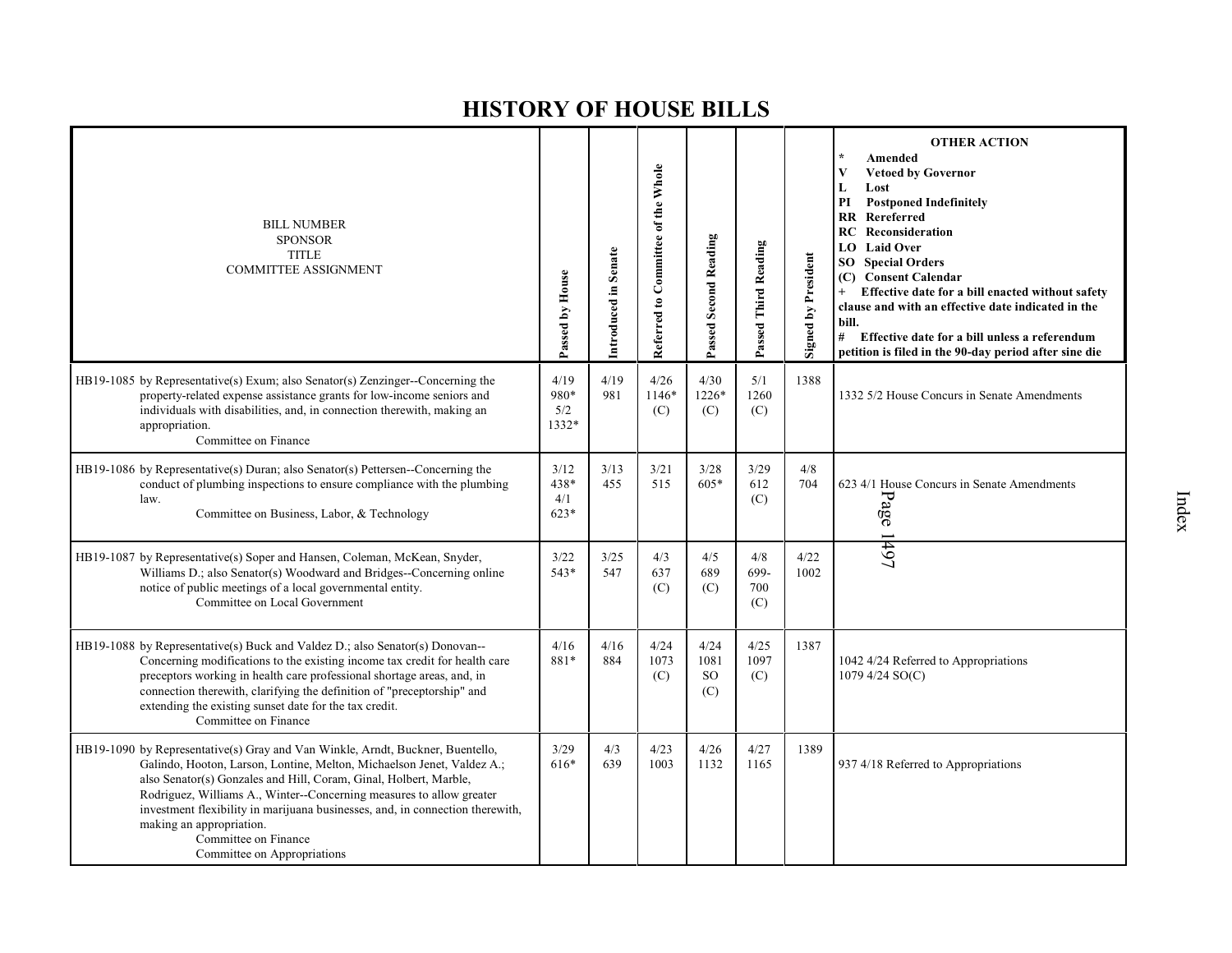| <b>BILL NUMBER</b><br><b>SPONSOR</b><br><b>TITLE</b><br><b>COMMITTEE ASSIGNMENT</b>                                                                                                                                                                                                                                                                                                                                                                                       | Passed by House               | Introduced in Senate | Referred to Committee of the Whole | Passed Second Reading                | Passed Third Reading      | <b>Signed by President</b> | <b>OTHER ACTION</b><br>Amended<br><b>Vetoed by Governor</b><br>V<br>Lost<br>L<br>PI<br><b>Postponed Indefinitely</b><br><b>RR</b> Rereferred<br>Reconsideration<br>RC<br><b>Laid Over</b><br>LO.<br><b>Special Orders</b><br>SO<br><b>Consent Calendar</b><br>(C)<br>Effective date for a bill enacted without safety<br>clause and with an effective date indicated in the<br>bill.<br># Effective date for a bill unless a referendum<br>petition is filed in the 90-day period after sine die |
|---------------------------------------------------------------------------------------------------------------------------------------------------------------------------------------------------------------------------------------------------------------------------------------------------------------------------------------------------------------------------------------------------------------------------------------------------------------------------|-------------------------------|----------------------|------------------------------------|--------------------------------------|---------------------------|----------------------------|--------------------------------------------------------------------------------------------------------------------------------------------------------------------------------------------------------------------------------------------------------------------------------------------------------------------------------------------------------------------------------------------------------------------------------------------------------------------------------------------------|
| HB19-1085 by Representative(s) Exum; also Senator(s) Zenzinger--Concerning the<br>property-related expense assistance grants for low-income seniors and<br>individuals with disabilities, and, in connection therewith, making an<br>appropriation.<br>Committee on Finance                                                                                                                                                                                               | 4/19<br>980*<br>5/2<br>1332*  | 4/19<br>981          | 4/26<br>1146*<br>(C)               | 4/30<br>1226*<br>(C)                 | 5/1<br>1260<br>(C)        | 1388                       | 1332 5/2 House Concurs in Senate Amendments                                                                                                                                                                                                                                                                                                                                                                                                                                                      |
| HB19-1086 by Representative(s) Duran; also Senator(s) Pettersen--Concerning the<br>conduct of plumbing inspections to ensure compliance with the plumbing<br>law.<br>Committee on Business, Labor, & Technology                                                                                                                                                                                                                                                           | 3/12<br>438*<br>4/1<br>$623*$ | 3/13<br>455          | 3/21<br>515                        | 3/28<br>$605*$                       | 3/29<br>612<br>(C)        | 4/8<br>704                 | 623 4/1 House Concurs in Senate Amendments<br>Page                                                                                                                                                                                                                                                                                                                                                                                                                                               |
| HB19-1087 by Representative(s) Soper and Hansen, Coleman, McKean, Snyder,<br>Williams D.; also Senator(s) Woodward and Bridges--Concerning online<br>notice of public meetings of a local governmental entity.<br>Committee on Local Government                                                                                                                                                                                                                           | 3/22<br>543*                  | 3/25<br>547          | 4/3<br>637<br>(C)                  | 4/5<br>689<br>(C)                    | 4/8<br>699-<br>700<br>(C) | 4/22<br>1002               | 1497                                                                                                                                                                                                                                                                                                                                                                                                                                                                                             |
| HB19-1088 by Representative(s) Buck and Valdez D.; also Senator(s) Donovan---<br>Concerning modifications to the existing income tax credit for health care<br>preceptors working in health care professional shortage areas, and, in<br>connection therewith, clarifying the definition of "preceptorship" and<br>extending the existing sunset date for the tax credit.<br>Committee on Finance                                                                         | 4/16<br>881*                  | 4/16<br>884          | 4/24<br>1073<br>(C)                | 4/24<br>1081<br><sub>SO</sub><br>(C) | 4/25<br>1097<br>(C)       | 1387                       | 1042 4/24 Referred to Appropriations<br>1079 4/24 SO(C)                                                                                                                                                                                                                                                                                                                                                                                                                                          |
| HB19-1090 by Representative(s) Gray and Van Winkle, Arndt, Buckner, Buentello,<br>Galindo, Hooton, Larson, Lontine, Melton, Michaelson Jenet, Valdez A.;<br>also Senator(s) Gonzales and Hill, Coram, Ginal, Holbert, Marble,<br>Rodriguez, Williams A., Winter--Concerning measures to allow greater<br>investment flexibility in marijuana businesses, and, in connection therewith,<br>making an appropriation.<br>Committee on Finance<br>Committee on Appropriations | 3/29<br>616*                  | 4/3<br>639           | 4/23<br>1003                       | 4/26<br>1132                         | 4/27<br>1165              | 1389                       | 937 4/18 Referred to Appropriations                                                                                                                                                                                                                                                                                                                                                                                                                                                              |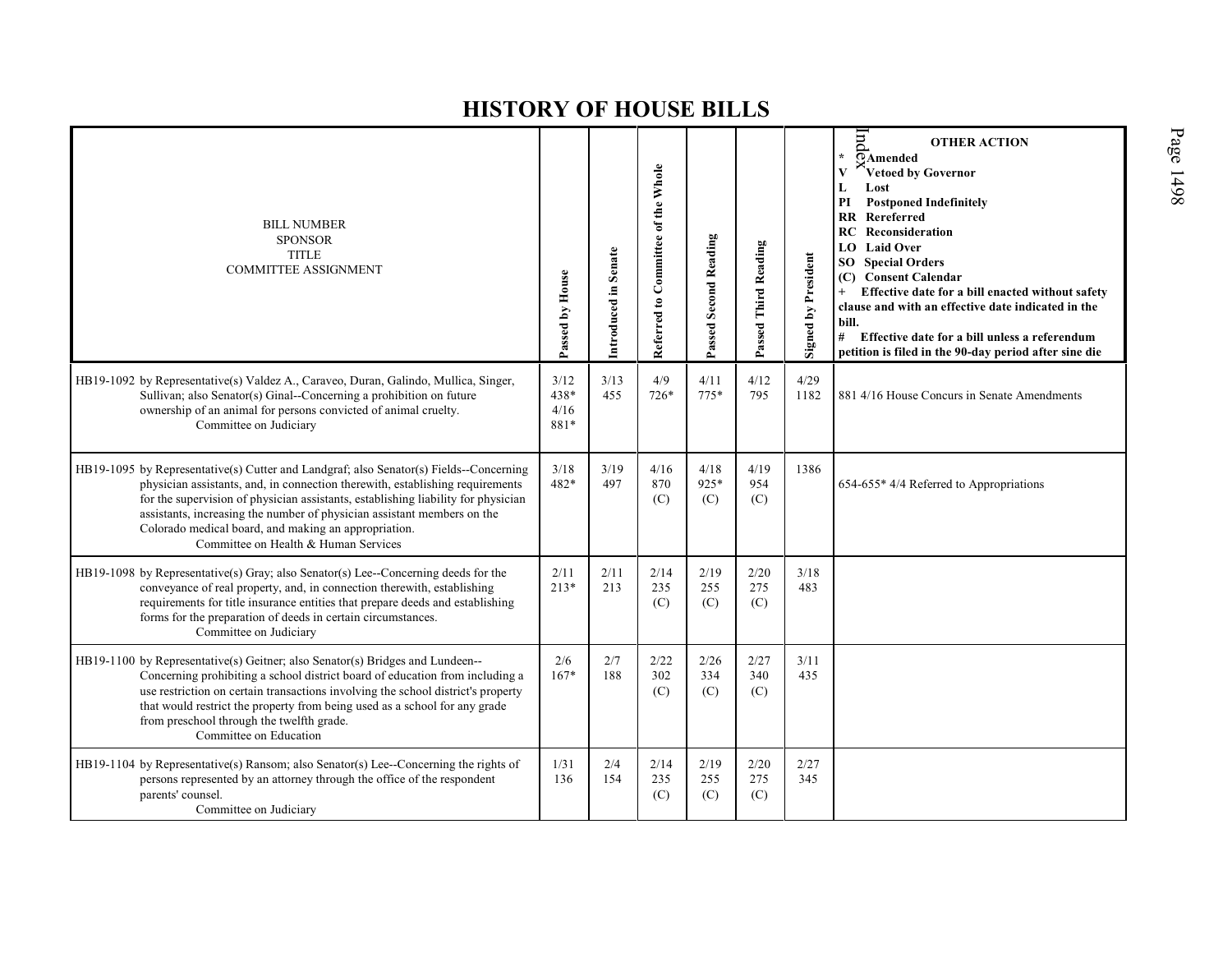| <b>BILL NUMBER</b><br><b>SPONSOR</b><br><b>TITLE</b><br><b>COMMITTEE ASSIGNMENT</b>                                                                                                                                                                                                                                                                                                                                                     | Passed by House              | Introduced in Senate | Referred to Committee of the Whole | Passed Second Reading | Passed Third Reading | <b>Signed by President</b> | $_{\rm{pi}}$<br><b>OTHER ACTION</b><br>ŧ.<br>$\overline{\odot}$ Amended<br>Vetoed by Governor<br>L<br>Lost<br><b>Postponed Indefinitely</b><br>PI<br><b>RR</b> Rereferred<br>Reconsideration<br>RC<br><b>LO</b> Laid Over<br><b>SO</b> Special Orders<br>(C) Consent Calendar<br>Effective date for a bill enacted without safety<br>clause and with an effective date indicated in the<br>bill.<br>#<br>Effective date for a bill unless a referendum<br>petition is filed in the 90-day period after sine die |
|-----------------------------------------------------------------------------------------------------------------------------------------------------------------------------------------------------------------------------------------------------------------------------------------------------------------------------------------------------------------------------------------------------------------------------------------|------------------------------|----------------------|------------------------------------|-----------------------|----------------------|----------------------------|-----------------------------------------------------------------------------------------------------------------------------------------------------------------------------------------------------------------------------------------------------------------------------------------------------------------------------------------------------------------------------------------------------------------------------------------------------------------------------------------------------------------|
| HB19-1092 by Representative(s) Valdez A., Caraveo, Duran, Galindo, Mullica, Singer,<br>Sullivan; also Senator(s) Ginal--Concerning a prohibition on future<br>ownership of an animal for persons convicted of animal cruelty.<br>Committee on Judiciary                                                                                                                                                                                 | 3/12<br>438*<br>4/16<br>881* | 3/13<br>455          | 4/9<br>726*                        | 4/11<br>775*          | 4/12<br>795          | 4/29<br>1182               | 881 4/16 House Concurs in Senate Amendments                                                                                                                                                                                                                                                                                                                                                                                                                                                                     |
| HB19-1095 by Representative(s) Cutter and Landgraf; also Senator(s) Fields--Concerning<br>physician assistants, and, in connection therewith, establishing requirements<br>for the supervision of physician assistants, establishing liability for physician<br>assistants, increasing the number of physician assistant members on the<br>Colorado medical board, and making an appropriation.<br>Committee on Health & Human Services | 3/18<br>482*                 | 3/19<br>497          | 4/16<br>870<br>(C)                 | 4/18<br>925*<br>(C)   | 4/19<br>954<br>(C)   | 1386                       | 654-655* 4/4 Referred to Appropriations                                                                                                                                                                                                                                                                                                                                                                                                                                                                         |
| HB19-1098 by Representative(s) Gray; also Senator(s) Lee--Concerning deeds for the<br>conveyance of real property, and, in connection therewith, establishing<br>requirements for title insurance entities that prepare deeds and establishing<br>forms for the preparation of deeds in certain circumstances.<br>Committee on Judiciary                                                                                                | 2/11<br>$213*$               | 2/11<br>213          | 2/14<br>235<br>(C)                 | 2/19<br>255<br>(C)    | 2/20<br>275<br>(C)   | 3/18<br>483                |                                                                                                                                                                                                                                                                                                                                                                                                                                                                                                                 |
| HB19-1100 by Representative(s) Geitner; also Senator(s) Bridges and Lundeen--<br>Concerning prohibiting a school district board of education from including a<br>use restriction on certain transactions involving the school district's property<br>that would restrict the property from being used as a school for any grade<br>from preschool through the twelfth grade.<br>Committee on Education                                  | 2/6<br>$167*$                | 2/7<br>188           | 2/22<br>302<br>(C)                 | 2/26<br>334<br>(C)    | 2/27<br>340<br>(C)   | 3/11<br>435                |                                                                                                                                                                                                                                                                                                                                                                                                                                                                                                                 |
| HB19-1104 by Representative(s) Ransom; also Senator(s) Lee--Concerning the rights of<br>persons represented by an attorney through the office of the respondent<br>parents' counsel.<br>Committee on Judiciary                                                                                                                                                                                                                          | 1/31<br>136                  | 2/4<br>154           | 2/14<br>235<br>(C)                 | 2/19<br>255<br>(C)    | 2/20<br>275<br>(C)   | 2/27<br>345                |                                                                                                                                                                                                                                                                                                                                                                                                                                                                                                                 |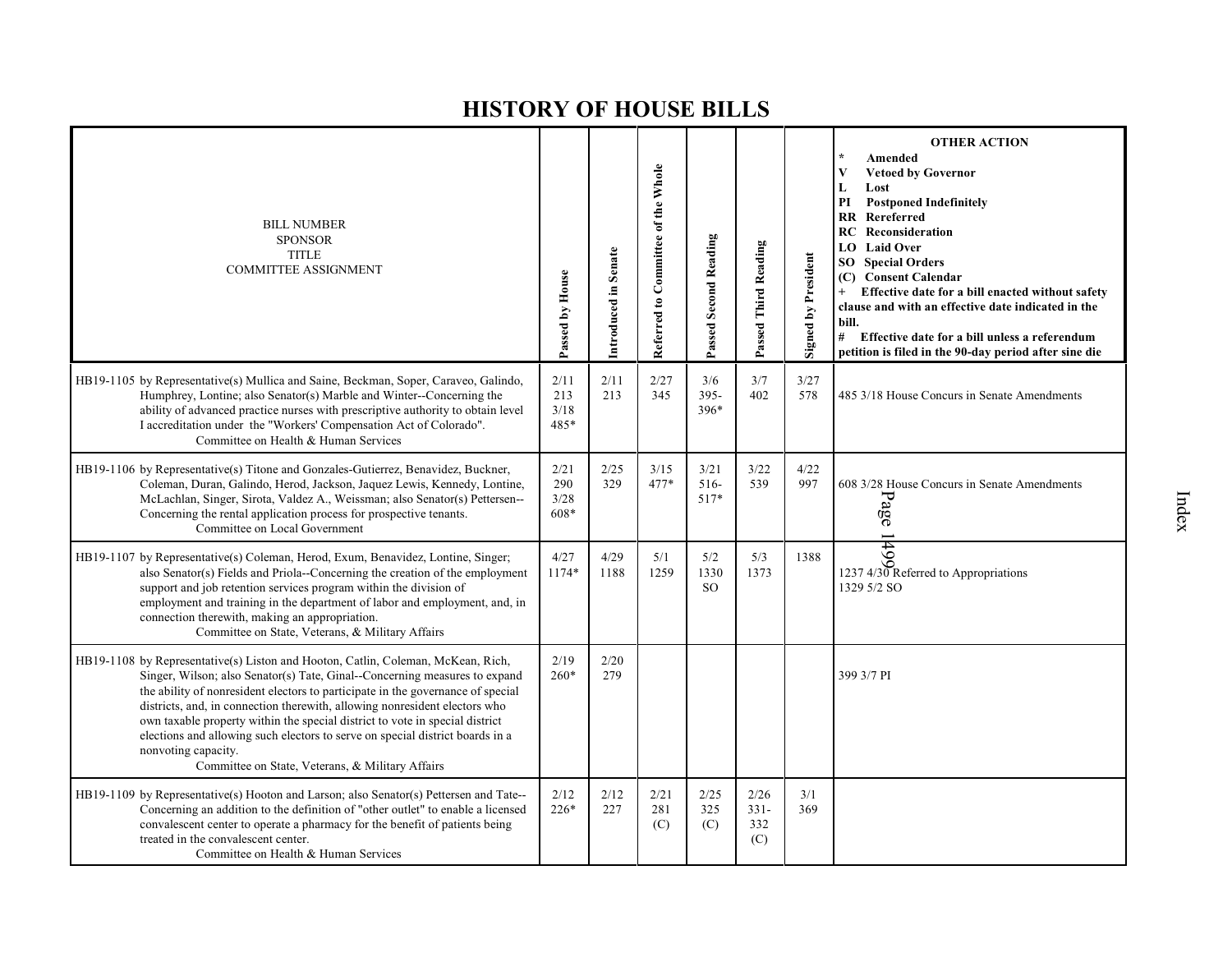| <b>BILL NUMBER</b><br><b>SPONSOR</b><br><b>TITLE</b><br><b>COMMITTEE ASSIGNMENT</b>                                                                                                                                                                                                                                                                                                                                                                                                                                                                                         | Passed by House             | Introduced in Senate | Referred to Committee of the Whole | Passed Second Reading        | Passed Third Reading         | <b>Signed by President</b> | <b>OTHER ACTION</b><br>Amended<br><b>Vetoed by Governor</b><br>V<br>L<br>Lost<br><b>Postponed Indefinitely</b><br>PI<br><b>RR</b> Rereferred<br><b>RC</b> Reconsideration<br><b>LO</b> Laid Over<br><b>Special Orders</b><br>SO.<br><b>Consent Calendar</b><br>(C)<br>Effective date for a bill enacted without safety<br>clause and with an effective date indicated in the<br>bill.<br># Effective date for a bill unless a referendum<br>petition is filed in the 90-day period after sine die |
|-----------------------------------------------------------------------------------------------------------------------------------------------------------------------------------------------------------------------------------------------------------------------------------------------------------------------------------------------------------------------------------------------------------------------------------------------------------------------------------------------------------------------------------------------------------------------------|-----------------------------|----------------------|------------------------------------|------------------------------|------------------------------|----------------------------|---------------------------------------------------------------------------------------------------------------------------------------------------------------------------------------------------------------------------------------------------------------------------------------------------------------------------------------------------------------------------------------------------------------------------------------------------------------------------------------------------|
| HB19-1105 by Representative(s) Mullica and Saine, Beckman, Soper, Caraveo, Galindo,<br>Humphrey, Lontine; also Senator(s) Marble and Winter--Concerning the<br>ability of advanced practice nurses with prescriptive authority to obtain level<br>I accreditation under the "Workers' Compensation Act of Colorado".<br>Committee on Health & Human Services                                                                                                                                                                                                                | 2/11<br>213<br>3/18<br>485* | 2/11<br>213          | 2/27<br>345                        | 3/6<br>$395 -$<br>396*       | 3/7<br>402                   | 3/27<br>578                | 485 3/18 House Concurs in Senate Amendments                                                                                                                                                                                                                                                                                                                                                                                                                                                       |
| HB19-1106 by Representative(s) Titone and Gonzales-Gutierrez, Benavidez, Buckner,<br>Coleman, Duran, Galindo, Herod, Jackson, Jaquez Lewis, Kennedy, Lontine,<br>McLachlan, Singer, Sirota, Valdez A., Weissman; also Senator(s) Pettersen--<br>Concerning the rental application process for prospective tenants.<br>Committee on Local Government                                                                                                                                                                                                                         | 2/21<br>290<br>3/28<br>608* | 2/25<br>329          | 3/15<br>477*                       | 3/21<br>$516-$<br>517*       | 3/22<br>539                  | 4/22<br>997                | 608 3/28 House Concurs in Senate Amendments<br>Page                                                                                                                                                                                                                                                                                                                                                                                                                                               |
| HB19-1107 by Representative(s) Coleman, Herod, Exum, Benavidez, Lontine, Singer;<br>also Senator(s) Fields and Priola--Concerning the creation of the employment<br>support and job retention services program within the division of<br>employment and training in the department of labor and employment, and, in<br>connection therewith, making an appropriation.<br>Committee on State, Veterans, & Military Affairs                                                                                                                                                   | 4/27<br>1174*               | 4/29<br>1188         | 5/1<br>1259                        | 5/2<br>1330<br><sub>SO</sub> | 5/3<br>1373                  | 1388                       | 1237 4/30 Referred to Appropriations<br>1329 5/2 SO                                                                                                                                                                                                                                                                                                                                                                                                                                               |
| HB19-1108 by Representative(s) Liston and Hooton, Catlin, Coleman, McKean, Rich,<br>Singer, Wilson; also Senator(s) Tate, Ginal--Concerning measures to expand<br>the ability of nonresident electors to participate in the governance of special<br>districts, and, in connection therewith, allowing nonresident electors who<br>own taxable property within the special district to vote in special district<br>elections and allowing such electors to serve on special district boards in a<br>nonvoting capacity.<br>Committee on State, Veterans, & Military Affairs | 2/19<br>$260*$              | 2/20<br>279          |                                    |                              |                              |                            | 399 3/7 PI                                                                                                                                                                                                                                                                                                                                                                                                                                                                                        |
| HB19-1109 by Representative(s) Hooton and Larson; also Senator(s) Pettersen and Tate--<br>Concerning an addition to the definition of "other outlet" to enable a licensed<br>convalescent center to operate a pharmacy for the benefit of patients being<br>treated in the convalescent center.<br>Committee on Health & Human Services                                                                                                                                                                                                                                     | 2/12<br>$226*$              | 2/12<br>227          | 2/21<br>281<br>(C)                 | 2/25<br>325<br>(C)           | 2/26<br>$331-$<br>332<br>(C) | 3/1<br>369                 |                                                                                                                                                                                                                                                                                                                                                                                                                                                                                                   |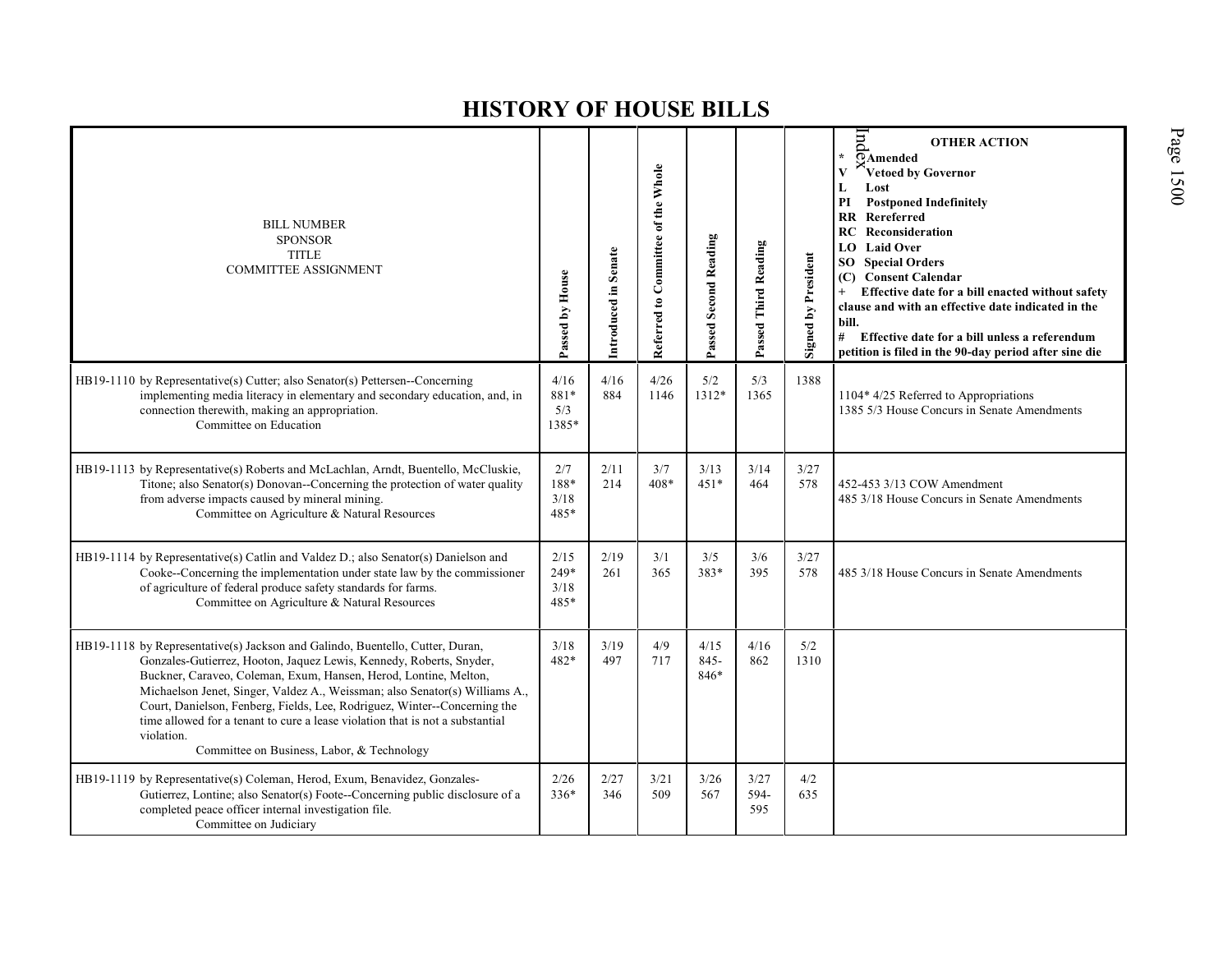| <b>BILL NUMBER</b><br><b>SPONSOR</b><br><b>TITLE</b><br><b>COMMITTEE ASSIGNMENT</b>                                                                                                                                                                                                                                                                                                                                                                                                                                               | Passed by House                | Introduced in Senate | Referred to Committee of the Whole | Passed Second Reading | Passed Third Reading | Signed by President | lnd<br><b>OTHER ACTION</b><br>$\star$<br><b>OAmended</b><br>Vetoed by Governor<br>$\mathbf{V}$<br>L<br>Lost<br><b>Postponed Indefinitely</b><br>PI<br><b>RR</b> Rereferred<br><b>RC</b> Reconsideration<br>LO Laid Over<br><b>SO</b> Special Orders<br>(C) Consent Calendar<br>Effective date for a bill enacted without safety<br>clause and with an effective date indicated in the<br>bill.<br>#<br>Effective date for a bill unless a referendum<br>petition is filed in the 90-day period after sine die |
|-----------------------------------------------------------------------------------------------------------------------------------------------------------------------------------------------------------------------------------------------------------------------------------------------------------------------------------------------------------------------------------------------------------------------------------------------------------------------------------------------------------------------------------|--------------------------------|----------------------|------------------------------------|-----------------------|----------------------|---------------------|---------------------------------------------------------------------------------------------------------------------------------------------------------------------------------------------------------------------------------------------------------------------------------------------------------------------------------------------------------------------------------------------------------------------------------------------------------------------------------------------------------------|
| HB19-1110 by Representative(s) Cutter; also Senator(s) Pettersen--Concerning<br>implementing media literacy in elementary and secondary education, and, in<br>connection therewith, making an appropriation.<br>Committee on Education                                                                                                                                                                                                                                                                                            | 4/16<br>$881*$<br>5/3<br>1385* | 4/16<br>884          | 4/26<br>1146                       | 5/2<br>1312*          | 5/3<br>1365          | 1388                | 1104* 4/25 Referred to Appropriations<br>1385 5/3 House Concurs in Senate Amendments                                                                                                                                                                                                                                                                                                                                                                                                                          |
| HB19-1113 by Representative(s) Roberts and McLachlan, Arndt, Buentello, McCluskie,<br>Titone; also Senator(s) Donovan--Concerning the protection of water quality<br>from adverse impacts caused by mineral mining.<br>Committee on Agriculture & Natural Resources                                                                                                                                                                                                                                                               | 2/7<br>188*<br>3/18<br>485*    | 2/11<br>214          | 3/7<br>$408*$                      | 3/13<br>$451*$        | 3/14<br>464          | 3/27<br>578         | 452-453 3/13 COW Amendment<br>485 3/18 House Concurs in Senate Amendments                                                                                                                                                                                                                                                                                                                                                                                                                                     |
| HB19-1114 by Representative(s) Catlin and Valdez D.; also Senator(s) Danielson and<br>Cooke--Concerning the implementation under state law by the commissioner<br>of agriculture of federal produce safety standards for farms.<br>Committee on Agriculture & Natural Resources                                                                                                                                                                                                                                                   | 2/15<br>249*<br>3/18<br>485*   | 2/19<br>261          | 3/1<br>365                         | 3/5<br>383*           | 3/6<br>395           | 3/27<br>578         | 485 3/18 House Concurs in Senate Amendments                                                                                                                                                                                                                                                                                                                                                                                                                                                                   |
| HB19-1118 by Representative(s) Jackson and Galindo, Buentello, Cutter, Duran,<br>Gonzales-Gutierrez, Hooton, Jaquez Lewis, Kennedy, Roberts, Snyder,<br>Buckner, Caraveo, Coleman, Exum, Hansen, Herod, Lontine, Melton,<br>Michaelson Jenet, Singer, Valdez A., Weissman; also Senator(s) Williams A.,<br>Court, Danielson, Fenberg, Fields, Lee, Rodriguez, Winter--Concerning the<br>time allowed for a tenant to cure a lease violation that is not a substantial<br>violation.<br>Committee on Business, Labor, & Technology | 3/18<br>482*                   | 3/19<br>497          | 4/9<br>717                         | 4/15<br>845-<br>846*  | 4/16<br>862          | 5/2<br>1310         |                                                                                                                                                                                                                                                                                                                                                                                                                                                                                                               |
| HB19-1119 by Representative(s) Coleman, Herod, Exum, Benavidez, Gonzales-<br>Gutierrez, Lontine; also Senator(s) Foote--Concerning public disclosure of a<br>completed peace officer internal investigation file.<br>Committee on Judiciary                                                                                                                                                                                                                                                                                       | 2/26<br>$336*$                 | 2/27<br>346          | 3/21<br>509                        | $3/26$<br>567         | 3/27<br>594-<br>595  | 4/2<br>635          |                                                                                                                                                                                                                                                                                                                                                                                                                                                                                                               |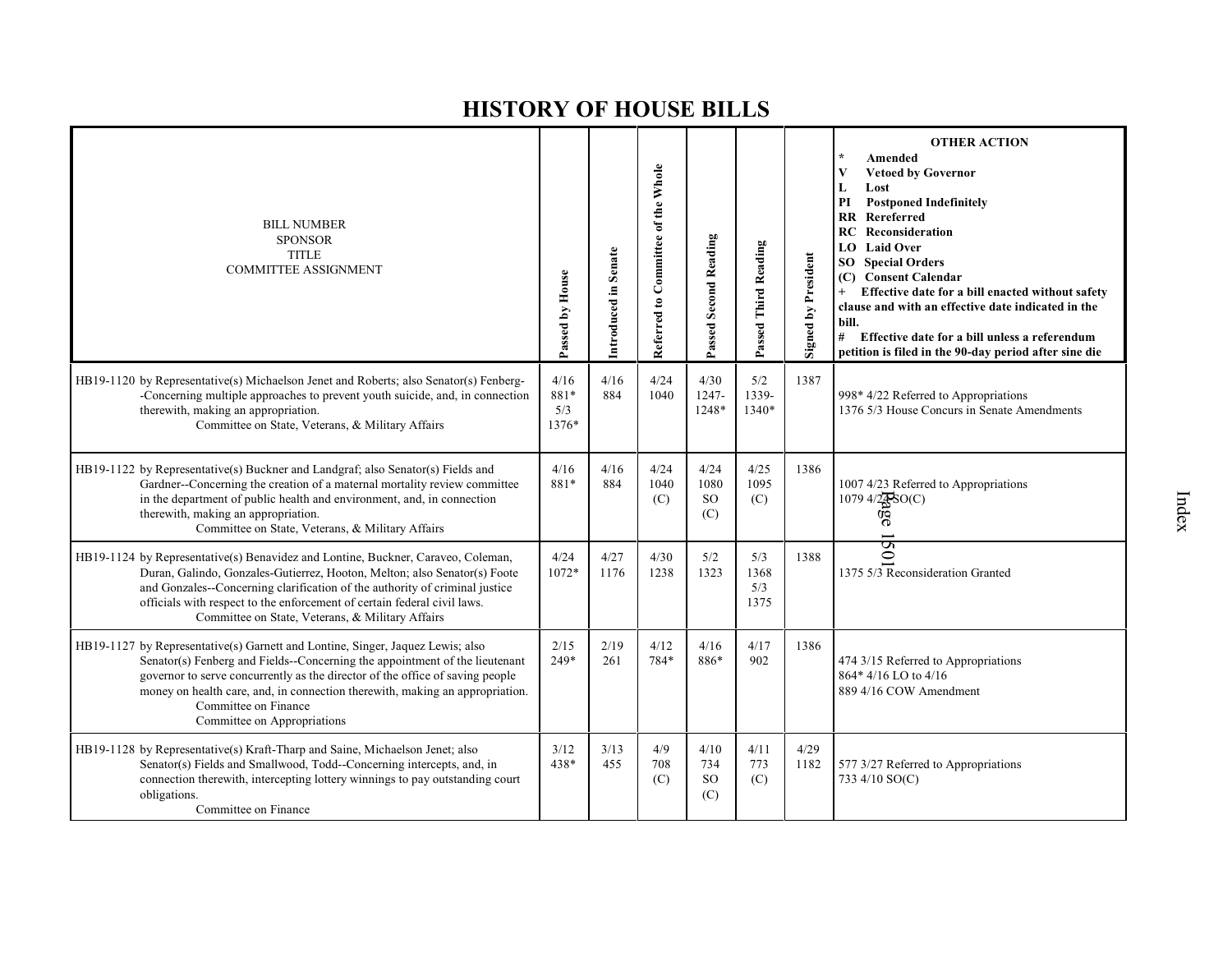| <b>BILL NUMBER</b><br><b>SPONSOR</b><br><b>TITLE</b><br><b>COMMITTEE ASSIGNMENT</b>                                                                                                                                                                                                                                                                                                   | Passed by House              | Introduced in Senate | Referred to Committee of the Whole | Passed Second Reading            | Passed Third Reading       | <b>Signed by President</b> | <b>OTHER ACTION</b><br>Amended<br><b>Vetoed by Governor</b><br>V<br>Lost<br>L<br><b>Postponed Indefinitely</b><br>PI<br>Rereferred<br><b>RR</b><br>RC<br>Reconsideration<br><b>LO</b> Laid Over<br><b>SO</b> Special Orders<br>(C) Consent Calendar<br>Effective date for a bill enacted without safety<br>clause and with an effective date indicated in the<br>bill.<br>#<br>Effective date for a bill unless a referendum<br>petition is filed in the 90-day period after sine die |
|---------------------------------------------------------------------------------------------------------------------------------------------------------------------------------------------------------------------------------------------------------------------------------------------------------------------------------------------------------------------------------------|------------------------------|----------------------|------------------------------------|----------------------------------|----------------------------|----------------------------|---------------------------------------------------------------------------------------------------------------------------------------------------------------------------------------------------------------------------------------------------------------------------------------------------------------------------------------------------------------------------------------------------------------------------------------------------------------------------------------|
| HB19-1120 by Representative(s) Michaelson Jenet and Roberts; also Senator(s) Fenberg-<br>-Concerning multiple approaches to prevent youth suicide, and, in connection<br>therewith, making an appropriation.<br>Committee on State, Veterans, & Military Affairs                                                                                                                      | 4/16<br>881*<br>5/3<br>1376* | 4/16<br>884          | 4/24<br>1040                       | 4/30<br>1247-<br>1248*           | 5/2<br>1339-<br>1340*      | 1387                       | 998* 4/22 Referred to Appropriations<br>1376 5/3 House Concurs in Senate Amendments                                                                                                                                                                                                                                                                                                                                                                                                   |
| HB19-1122 by Representative(s) Buckner and Landgraf; also Senator(s) Fields and<br>Gardner--Concerning the creation of a maternal mortality review committee<br>in the department of public health and environment, and, in connection<br>therewith, making an appropriation.<br>Committee on State, Veterans, & Military Affairs                                                     | 4/16<br>881*                 | 4/16<br>884          | 4/24<br>1040<br>(C)                | 4/24<br>1080<br><b>SO</b><br>(C) | 4/25<br>1095<br>(C)        | 1386                       | 1007 4/23 Referred to Appropriations<br>1079 4/28SO(C)<br>9g                                                                                                                                                                                                                                                                                                                                                                                                                          |
| HB19-1124 by Representative(s) Benavidez and Lontine, Buckner, Caraveo, Coleman,<br>Duran, Galindo, Gonzales-Gutierrez, Hooton, Melton; also Senator(s) Foote<br>and Gonzales--Concerning clarification of the authority of criminal justice<br>officials with respect to the enforcement of certain federal civil laws.<br>Committee on State, Veterans, & Military Affairs          | 4/24<br>$1072*$              | 4/27<br>1176         | 4/30<br>1238                       | 5/2<br>1323                      | 5/3<br>1368<br>5/3<br>1375 | 1388                       | $\mathbf{\hat{S}}$<br>1375 $5/3$ Reconsideration Granted                                                                                                                                                                                                                                                                                                                                                                                                                              |
| HB19-1127 by Representative(s) Garnett and Lontine, Singer, Jaquez Lewis; also<br>Senator(s) Fenberg and Fields--Concerning the appointment of the lieutenant<br>governor to serve concurrently as the director of the office of saving people<br>money on health care, and, in connection therewith, making an appropriation.<br>Committee on Finance<br>Committee on Appropriations | 2/15<br>249*                 | 2/19<br>261          | 4/12<br>784*                       | 4/16<br>886*                     | 4/17<br>902                | 1386                       | 474 3/15 Referred to Appropriations<br>864*4/16 LO to 4/16<br>889 4/16 COW Amendment                                                                                                                                                                                                                                                                                                                                                                                                  |
| HB19-1128 by Representative(s) Kraft-Tharp and Saine, Michaelson Jenet; also<br>Senator(s) Fields and Smallwood, Todd--Concerning intercepts, and, in<br>connection therewith, intercepting lottery winnings to pay outstanding court<br>obligations.<br>Committee on Finance                                                                                                         | 3/12<br>438*                 | 3/13<br>455          | 4/9<br>708<br>(C)                  | 4/10<br>734<br><b>SO</b><br>(C)  | 4/11<br>773<br>(C)         | 4/29<br>1182               | 577 3/27 Referred to Appropriations<br>733 4/10 SO(C)                                                                                                                                                                                                                                                                                                                                                                                                                                 |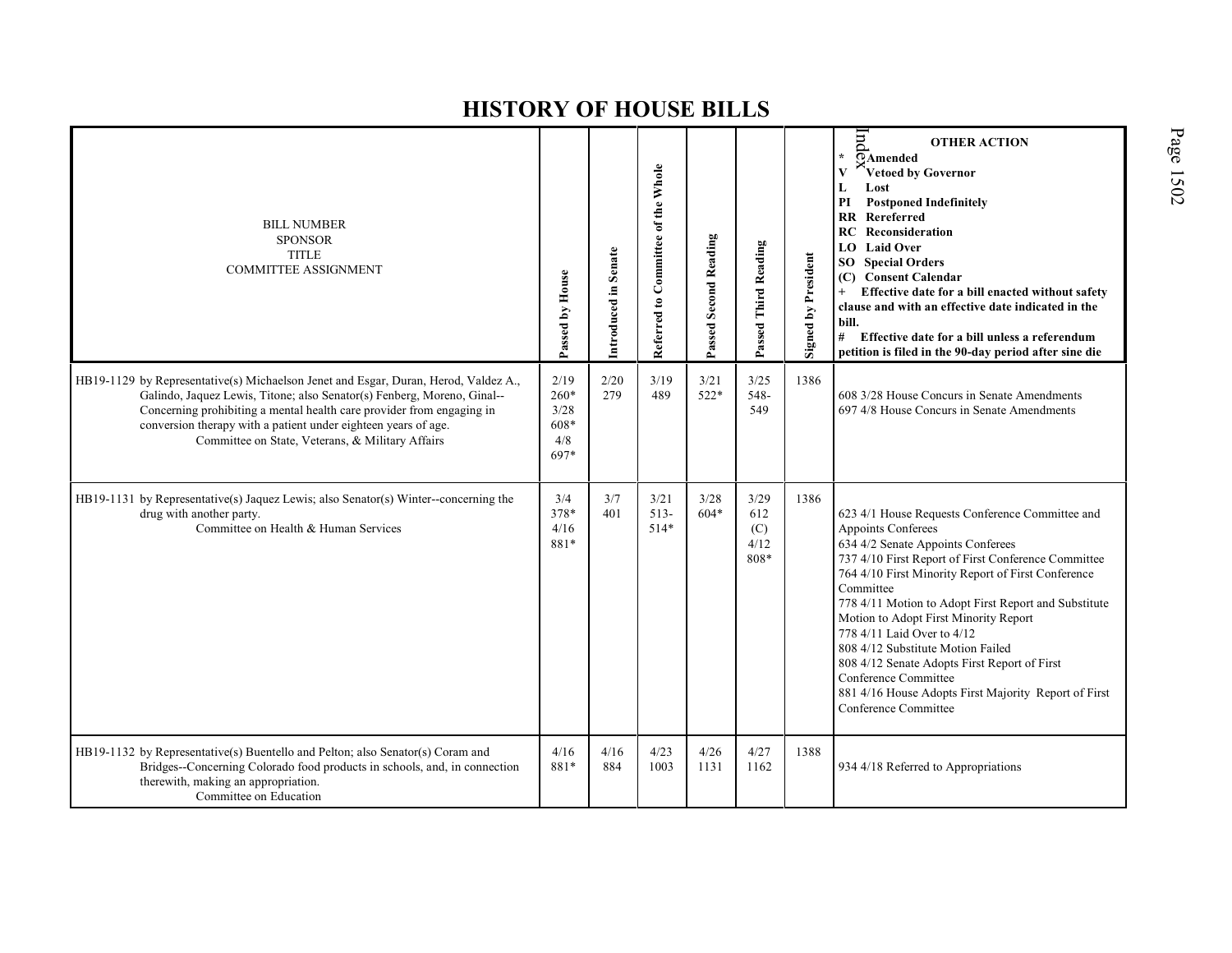| <b>BILL NUMBER</b><br><b>SPONSOR</b><br><b>TITLE</b><br><b>COMMITTEE ASSIGNMENT</b>                                                                                                                                                                                                                                                                           | Passed by House                             | Introduced in Senate | Referred to Committee of the Whole | Passed Second Reading | Passed Third Reading               | <b>Signed by President</b> | hnd<br><b>OTHER ACTION</b><br>$\overline{\Omega}$ Amended<br>Vetoed by Governor<br>Lost<br>L<br><b>Postponed Indefinitely</b><br>PI<br>$\mathbf{R} \mathbf{R}$<br>Rereferred<br>Reconsideration<br>RC.<br>LO Laid Over<br><b>SO</b> Special Orders<br>(C) Consent Calendar<br>Effective date for a bill enacted without safety<br>$+$<br>clause and with an effective date indicated in the<br>bill.<br>#<br>Effective date for a bill unless a referendum<br>petition is filed in the 90-day period after sine die                                              |
|---------------------------------------------------------------------------------------------------------------------------------------------------------------------------------------------------------------------------------------------------------------------------------------------------------------------------------------------------------------|---------------------------------------------|----------------------|------------------------------------|-----------------------|------------------------------------|----------------------------|------------------------------------------------------------------------------------------------------------------------------------------------------------------------------------------------------------------------------------------------------------------------------------------------------------------------------------------------------------------------------------------------------------------------------------------------------------------------------------------------------------------------------------------------------------------|
| HB19-1129 by Representative(s) Michaelson Jenet and Esgar, Duran, Herod, Valdez A.,<br>Galindo, Jaquez Lewis, Titone; also Senator(s) Fenberg, Moreno, Ginal--<br>Concerning prohibiting a mental health care provider from engaging in<br>conversion therapy with a patient under eighteen years of age.<br>Committee on State, Veterans, & Military Affairs | 2/19<br>260*<br>3/28<br>608*<br>4/8<br>697* | 2/20<br>279          | 3/19<br>489                        | 3/21<br>$522*$        | 3/25<br>548-<br>549                | 1386                       | 608 3/28 House Concurs in Senate Amendments<br>697 4/8 House Concurs in Senate Amendments                                                                                                                                                                                                                                                                                                                                                                                                                                                                        |
| HB19-1131 by Representative(s) Jaquez Lewis; also Senator(s) Winter--concerning the<br>drug with another party.<br>Committee on Health & Human Services                                                                                                                                                                                                       | 3/4<br>378*<br>4/16<br>881*                 | 3/7<br>401           | 3/21<br>$513-$<br>$514*$           | 3/28<br>$604*$        | 3/29<br>612<br>(C)<br>4/12<br>808* | 1386                       | 623 4/1 House Requests Conference Committee and<br>Appoints Conferees<br>634 4/2 Senate Appoints Conferees<br>737 4/10 First Report of First Conference Committee<br>764 4/10 First Minority Report of First Conference<br>Committee<br>778 4/11 Motion to Adopt First Report and Substitute<br>Motion to Adopt First Minority Report<br>778 4/11 Laid Over to 4/12<br>808 4/12 Substitute Motion Failed<br>808 4/12 Senate Adopts First Report of First<br>Conference Committee<br>881 4/16 House Adopts First Majority Report of First<br>Conference Committee |
| HB19-1132 by Representative(s) Buentello and Pelton; also Senator(s) Coram and<br>Bridges--Concerning Colorado food products in schools, and, in connection<br>therewith, making an appropriation.<br>Committee on Education                                                                                                                                  | 4/16<br>881*                                | 4/16<br>884          | 4/23<br>1003                       | 4/26<br>1131          | 4/27<br>1162                       | 1388                       | 934 4/18 Referred to Appropriations                                                                                                                                                                                                                                                                                                                                                                                                                                                                                                                              |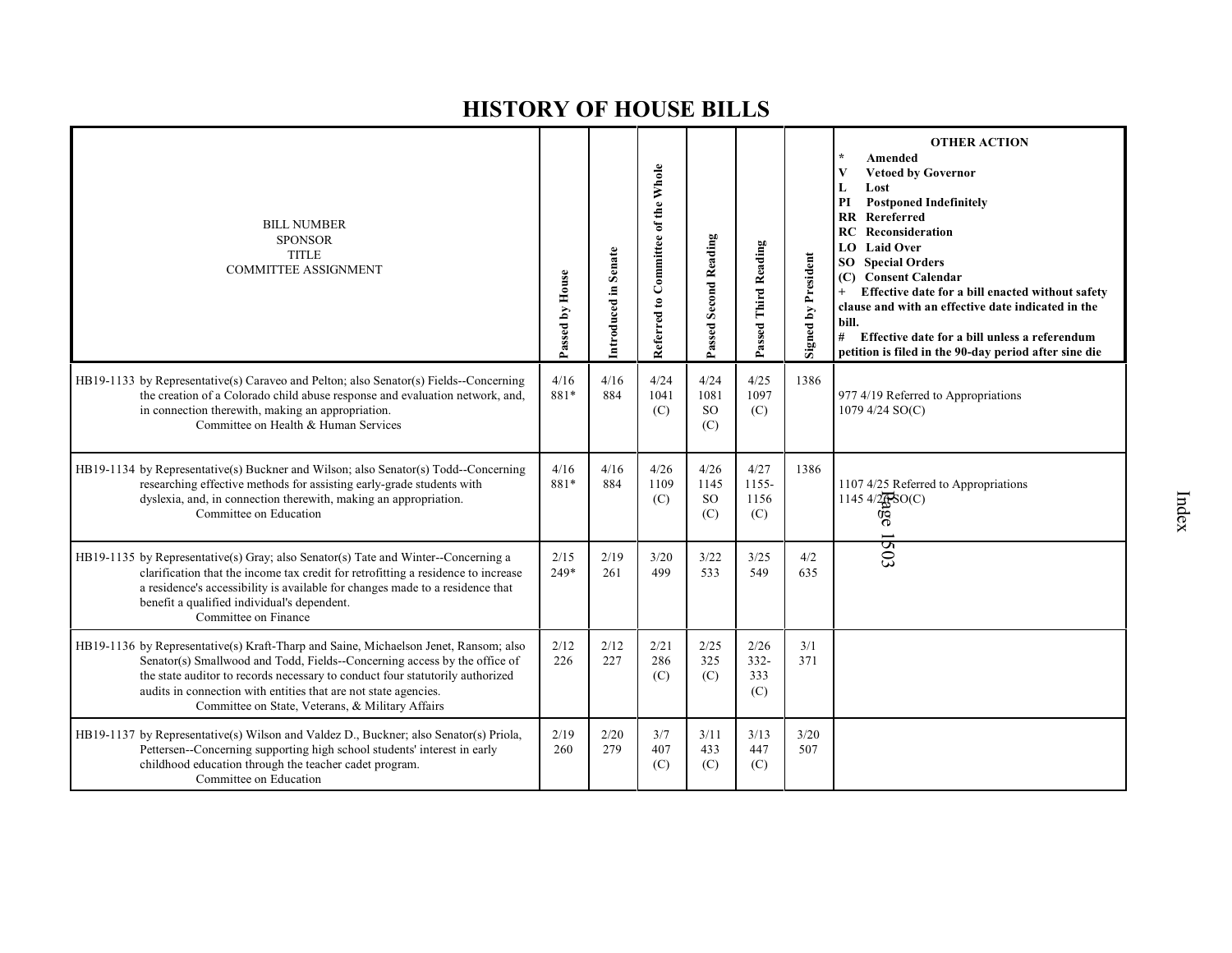| <b>BILL NUMBER</b><br><b>SPONSOR</b><br><b>TITLE</b><br><b>COMMITTEE ASSIGNMENT</b>                                                                                                                                                                                                                                                                                       | Passed by House | Introduced in Senate | Referred to Committee of the Whole | Passed Second Reading            | Passed Third Reading          | <b>Signed by President</b> | <b>OTHER ACTION</b><br>$\star$<br>Amended<br><b>Vetoed by Governor</b><br>V<br>Lost<br>L<br><b>Postponed Indefinitely</b><br>PI<br><b>RR</b> Rereferred<br><b>RC</b> Reconsideration<br><b>LO</b> Laid Over<br><b>SO</b> Special Orders<br>(C) Consent Calendar<br>Effective date for a bill enacted without safety<br>clause and with an effective date indicated in the<br>bill.<br>#<br>Effective date for a bill unless a referendum<br>petition is filed in the 90-day period after sine die |
|---------------------------------------------------------------------------------------------------------------------------------------------------------------------------------------------------------------------------------------------------------------------------------------------------------------------------------------------------------------------------|-----------------|----------------------|------------------------------------|----------------------------------|-------------------------------|----------------------------|---------------------------------------------------------------------------------------------------------------------------------------------------------------------------------------------------------------------------------------------------------------------------------------------------------------------------------------------------------------------------------------------------------------------------------------------------------------------------------------------------|
| HB19-1133 by Representative(s) Caraveo and Pelton; also Senator(s) Fields--Concerning<br>the creation of a Colorado child abuse response and evaluation network, and,<br>in connection therewith, making an appropriation.<br>Committee on Health & Human Services                                                                                                        | 4/16<br>881*    | 4/16<br>884          | 4/24<br>1041<br>(C)                | 4/24<br>1081<br><b>SO</b><br>(C) | 4/25<br>1097<br>(C)           | 1386                       | 977 4/19 Referred to Appropriations<br>1079 4/24 SO(C)                                                                                                                                                                                                                                                                                                                                                                                                                                            |
| HB19-1134 by Representative(s) Buckner and Wilson; also Senator(s) Todd--Concerning<br>researching effective methods for assisting early-grade students with<br>dyslexia, and, in connection therewith, making an appropriation.<br>Committee on Education                                                                                                                | 4/16<br>881*    | 4/16<br>884          | 4/26<br>1109<br>(C)                | 4/26<br>1145<br><b>SO</b><br>(C) | 4/27<br>1155-<br>1156<br>(C)  | 1386                       | 1107 4/25 Referred to Appropriations<br>1145 4/2 $\frac{1}{6}SO(C)$<br>9g                                                                                                                                                                                                                                                                                                                                                                                                                         |
| HB19-1135 by Representative(s) Gray; also Senator(s) Tate and Winter--Concerning a<br>clarification that the income tax credit for retrofitting a residence to increase<br>a residence's accessibility is available for changes made to a residence that<br>benefit a qualified individual's dependent.<br>Committee on Finance                                           | 2/15<br>249*    | 2/19<br>261          | 3/20<br>499                        | 3/22<br>533                      | 3/25<br>549                   | 4/2<br>635                 | 1503                                                                                                                                                                                                                                                                                                                                                                                                                                                                                              |
| HB19-1136 by Representative(s) Kraft-Tharp and Saine, Michaelson Jenet, Ransom; also<br>Senator(s) Smallwood and Todd, Fields--Concerning access by the office of<br>the state auditor to records necessary to conduct four statutorily authorized<br>audits in connection with entities that are not state agencies.<br>Committee on State, Veterans, & Military Affairs | 2/12<br>226     | 2/12<br>227          | 2/21<br>286<br>(C)                 | 2/25<br>325<br>(C)               | 2/26<br>$332 -$<br>333<br>(C) | 3/1<br>371                 |                                                                                                                                                                                                                                                                                                                                                                                                                                                                                                   |
| HB19-1137 by Representative(s) Wilson and Valdez D., Buckner; also Senator(s) Priola,<br>Pettersen--Concerning supporting high school students' interest in early<br>childhood education through the teacher cadet program.<br>Committee on Education                                                                                                                     | 2/19<br>260     | 2/20<br>279          | 3/7<br>407<br>(C)                  | 3/11<br>433<br>(C)               | 3/13<br>447<br>(C)            | 3/20<br>507                |                                                                                                                                                                                                                                                                                                                                                                                                                                                                                                   |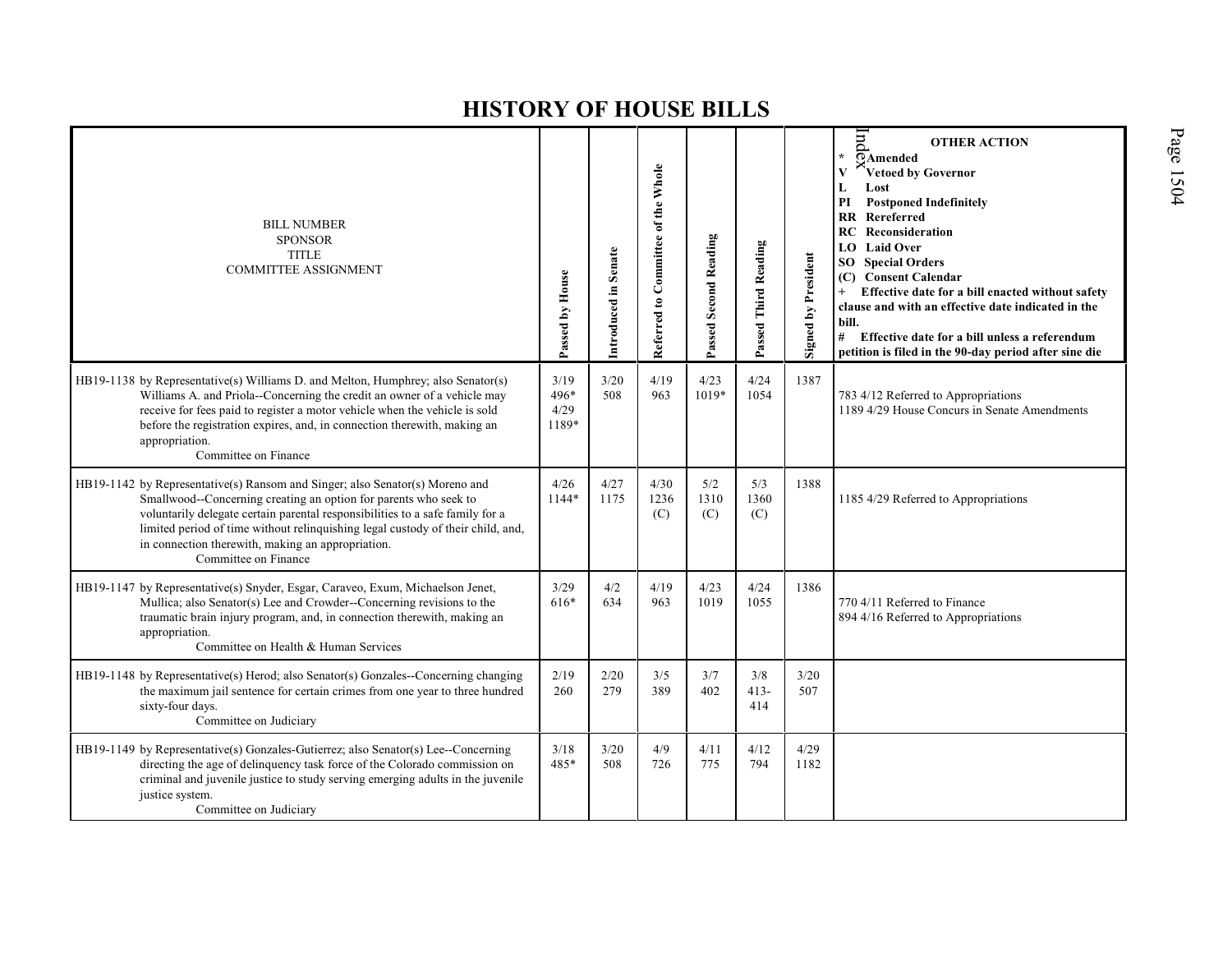| <b>BILL NUMBER</b><br><b>SPONSOR</b><br><b>TITLE</b><br><b>COMMITTEE ASSIGNMENT</b>                                                                                                                                                                                                                                                                                                               | Passed by House               | Introduced in Senate | Referred to Committee of the Whole | Passed Second Reading | Passed Third Reading | Signed by President | $\overline{m}$<br><b>OTHER ACTION</b><br>$\star$<br>$\overline{\odot}$ Amended<br>Vetoed by Governor<br>L<br>Lost<br><b>Postponed Indefinitely</b><br>PI<br><b>RR</b> Rereferred<br>RC<br>Reconsideration<br><b>LO</b> Laid Over<br><b>SO</b> Special Orders<br>(C) Consent Calendar<br>Effective date for a bill enacted without safety<br>$+$<br>clause and with an effective date indicated in the<br>bill.<br>#<br>Effective date for a bill unless a referendum<br>petition is filed in the 90-day period after sine die |
|---------------------------------------------------------------------------------------------------------------------------------------------------------------------------------------------------------------------------------------------------------------------------------------------------------------------------------------------------------------------------------------------------|-------------------------------|----------------------|------------------------------------|-----------------------|----------------------|---------------------|-------------------------------------------------------------------------------------------------------------------------------------------------------------------------------------------------------------------------------------------------------------------------------------------------------------------------------------------------------------------------------------------------------------------------------------------------------------------------------------------------------------------------------|
| HB19-1138 by Representative(s) Williams D. and Melton, Humphrey; also Senator(s)<br>Williams A. and Priola--Concerning the credit an owner of a vehicle may<br>receive for fees paid to register a motor vehicle when the vehicle is sold<br>before the registration expires, and, in connection therewith, making an<br>appropriation.<br>Committee on Finance                                   | 3/19<br>496*<br>4/29<br>1189* | 3/20<br>508          | 4/19<br>963                        | 4/23<br>1019*         | 4/24<br>1054         | 1387                | 783 4/12 Referred to Appropriations<br>1189 4/29 House Concurs in Senate Amendments                                                                                                                                                                                                                                                                                                                                                                                                                                           |
| HB19-1142 by Representative(s) Ransom and Singer; also Senator(s) Moreno and<br>Smallwood--Concerning creating an option for parents who seek to<br>voluntarily delegate certain parental responsibilities to a safe family for a<br>limited period of time without relinquishing legal custody of their child, and,<br>in connection therewith, making an appropriation.<br>Committee on Finance | 4/26<br>1144*                 | 4/27<br>1175         | 4/30<br>1236<br>(C)                | 5/2<br>1310<br>(C)    | 5/3<br>1360<br>(C)   | 1388                | 1185 4/29 Referred to Appropriations                                                                                                                                                                                                                                                                                                                                                                                                                                                                                          |
| HB19-1147 by Representative(s) Snyder, Esgar, Caraveo, Exum, Michaelson Jenet,<br>Mullica; also Senator(s) Lee and Crowder--Concerning revisions to the<br>traumatic brain injury program, and, in connection therewith, making an<br>appropriation.<br>Committee on Health & Human Services                                                                                                      | 3/29<br>616*                  | 4/2<br>634           | 4/19<br>963                        | 4/23<br>1019          | 4/24<br>1055         | 1386                | 770 4/11 Referred to Finance<br>894 4/16 Referred to Appropriations                                                                                                                                                                                                                                                                                                                                                                                                                                                           |
| HB19-1148 by Representative(s) Herod; also Senator(s) Gonzales--Concerning changing<br>the maximum jail sentence for certain crimes from one year to three hundred<br>sixty-four days.<br>Committee on Judiciary                                                                                                                                                                                  | 2/19<br>260                   | 2/20<br>279          | 3/5<br>389                         | 3/7<br>402            | 3/8<br>$413-$<br>414 | 3/20<br>507         |                                                                                                                                                                                                                                                                                                                                                                                                                                                                                                                               |
| $HB19-1149$ by Representative(s) Gonzales-Gutierrez; also Senator(s) Lee--Concerning<br>directing the age of delinquency task force of the Colorado commission on<br>criminal and juvenile justice to study serving emerging adults in the juvenile<br>justice system.<br>Committee on Judiciary                                                                                                  | 3/18<br>485*                  | 3/20<br>508          | 4/9<br>726                         | 4/11<br>775           | 4/12<br>794          | 4/29<br>1182        |                                                                                                                                                                                                                                                                                                                                                                                                                                                                                                                               |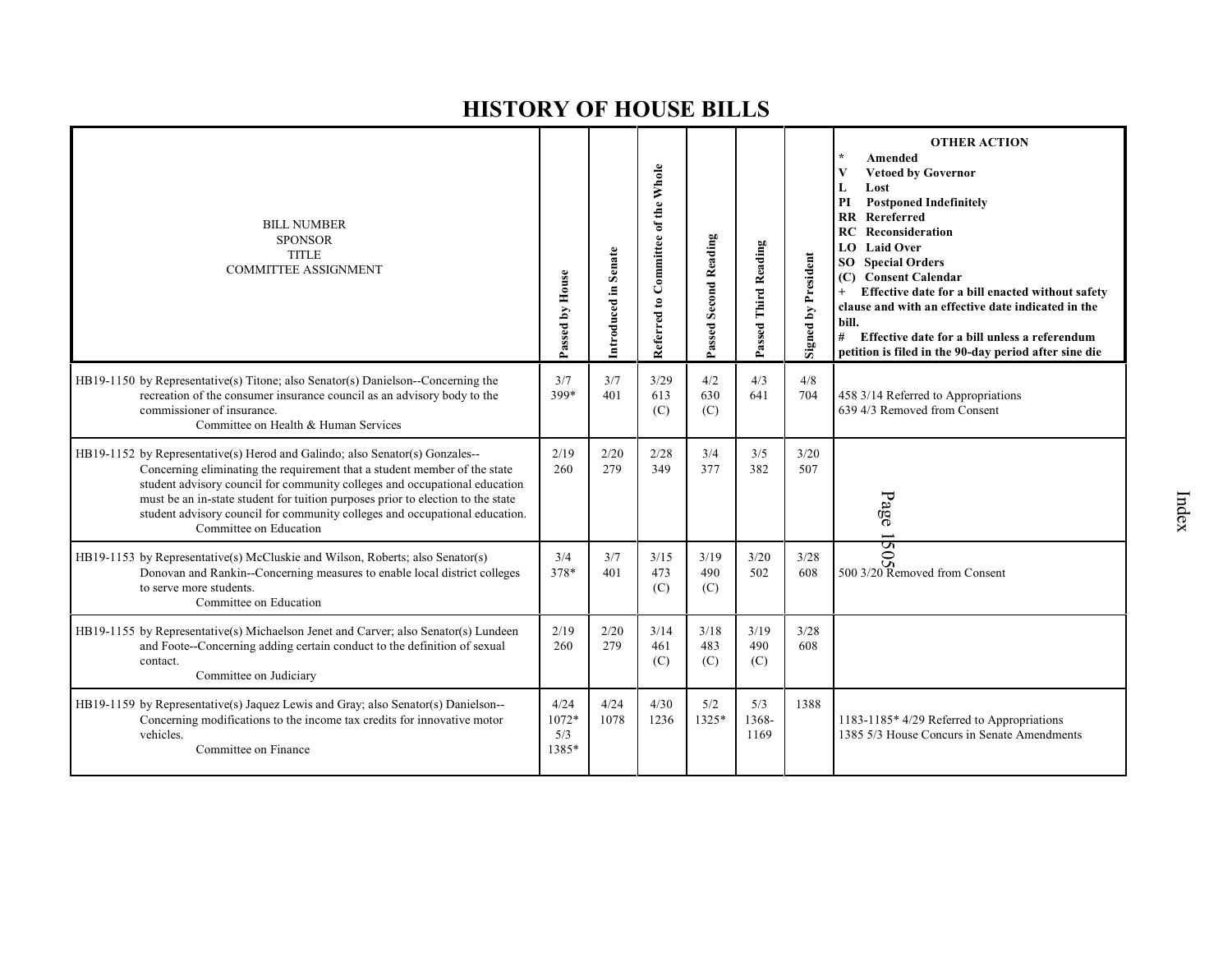| <b>BILL NUMBER</b><br><b>SPONSOR</b><br><b>TITLE</b><br><b>COMMITTEE ASSIGNMENT</b>                                                                                                                                                                                                                                                                                                                                                 | Passed by House               | Introduced in Senate | Referred to Committee of the Whole | Passed Second Reading | Passed Third Reading | <b>Signed by President</b> | <b>OTHER ACTION</b><br>Amended<br>V<br><b>Vetoed by Governor</b><br>Lost<br>L<br>PI<br><b>Postponed Indefinitely</b><br>RR Rereferred<br>RC<br>Reconsideration<br><b>LO</b> Laid Over<br><b>Special Orders</b><br>SO -<br><b>Consent Calendar</b><br>(C)<br>Effective date for a bill enacted without safety<br>$+$<br>clause and with an effective date indicated in the<br>bill.<br>#<br>Effective date for a bill unless a referendum<br>petition is filed in the 90-day period after sine die |
|-------------------------------------------------------------------------------------------------------------------------------------------------------------------------------------------------------------------------------------------------------------------------------------------------------------------------------------------------------------------------------------------------------------------------------------|-------------------------------|----------------------|------------------------------------|-----------------------|----------------------|----------------------------|---------------------------------------------------------------------------------------------------------------------------------------------------------------------------------------------------------------------------------------------------------------------------------------------------------------------------------------------------------------------------------------------------------------------------------------------------------------------------------------------------|
| HB19-1150 by Representative(s) Titone; also Senator(s) Danielson--Concerning the<br>recreation of the consumer insurance council as an advisory body to the<br>commissioner of insurance.<br>Committee on Health & Human Services                                                                                                                                                                                                   | 3/7<br>399*                   | 3/7<br>401           | 3/29<br>613<br>(C)                 | 4/2<br>630<br>(C)     | 4/3<br>641           | 4/8<br>704                 | 458 3/14 Referred to Appropriations<br>639 4/3 Removed from Consent                                                                                                                                                                                                                                                                                                                                                                                                                               |
| HB19-1152 by Representative(s) Herod and Galindo; also Senator(s) Gonzales--<br>Concerning eliminating the requirement that a student member of the state<br>student advisory council for community colleges and occupational education<br>must be an in-state student for tuition purposes prior to election to the state<br>student advisory council for community colleges and occupational education.<br>Committee on Education | 2/19<br>260                   | 2/20<br>279          | 2/28<br>349                        | 3/4<br>377            | 3/5<br>382           | 3/20<br>507                | Page                                                                                                                                                                                                                                                                                                                                                                                                                                                                                              |
| HB19-1153 by Representative(s) McCluskie and Wilson, Roberts; also Senator(s)<br>Donovan and Rankin--Concerning measures to enable local district colleges<br>to serve more students.<br>Committee on Education                                                                                                                                                                                                                     | 3/4<br>378*                   | 3/7<br>401           | 3/15<br>473<br>(C)                 | 3/19<br>490<br>(C)    | 3/20<br>502          | 3/28<br>608                | $\frac{50}{\frac{50}{20}}$<br>500 3/20 Removed from Consent                                                                                                                                                                                                                                                                                                                                                                                                                                       |
| HB19-1155 by Representative(s) Michaelson Jenet and Carver; also Senator(s) Lundeen<br>and Foote--Concerning adding certain conduct to the definition of sexual<br>contact.<br>Committee on Judiciary                                                                                                                                                                                                                               | 2/19<br>260                   | 2/20<br>279          | 3/14<br>461<br>(C)                 | 3/18<br>483<br>(C)    | 3/19<br>490<br>(C)   | 3/28<br>608                |                                                                                                                                                                                                                                                                                                                                                                                                                                                                                                   |
| HB19-1159 by Representative(s) Jaquez Lewis and Gray; also Senator(s) Danielson--<br>Concerning modifications to the income tax credits for innovative motor<br>vehicles.<br>Committee on Finance                                                                                                                                                                                                                                   | 4/24<br>1072*<br>5/3<br>1385* | 4/24<br>1078         | 4/30<br>1236                       | 5/2<br>$1325*$        | 5/3<br>1368-<br>1169 | 1388                       | 1183-1185* 4/29 Referred to Appropriations<br>1385 5/3 House Concurs in Senate Amendments                                                                                                                                                                                                                                                                                                                                                                                                         |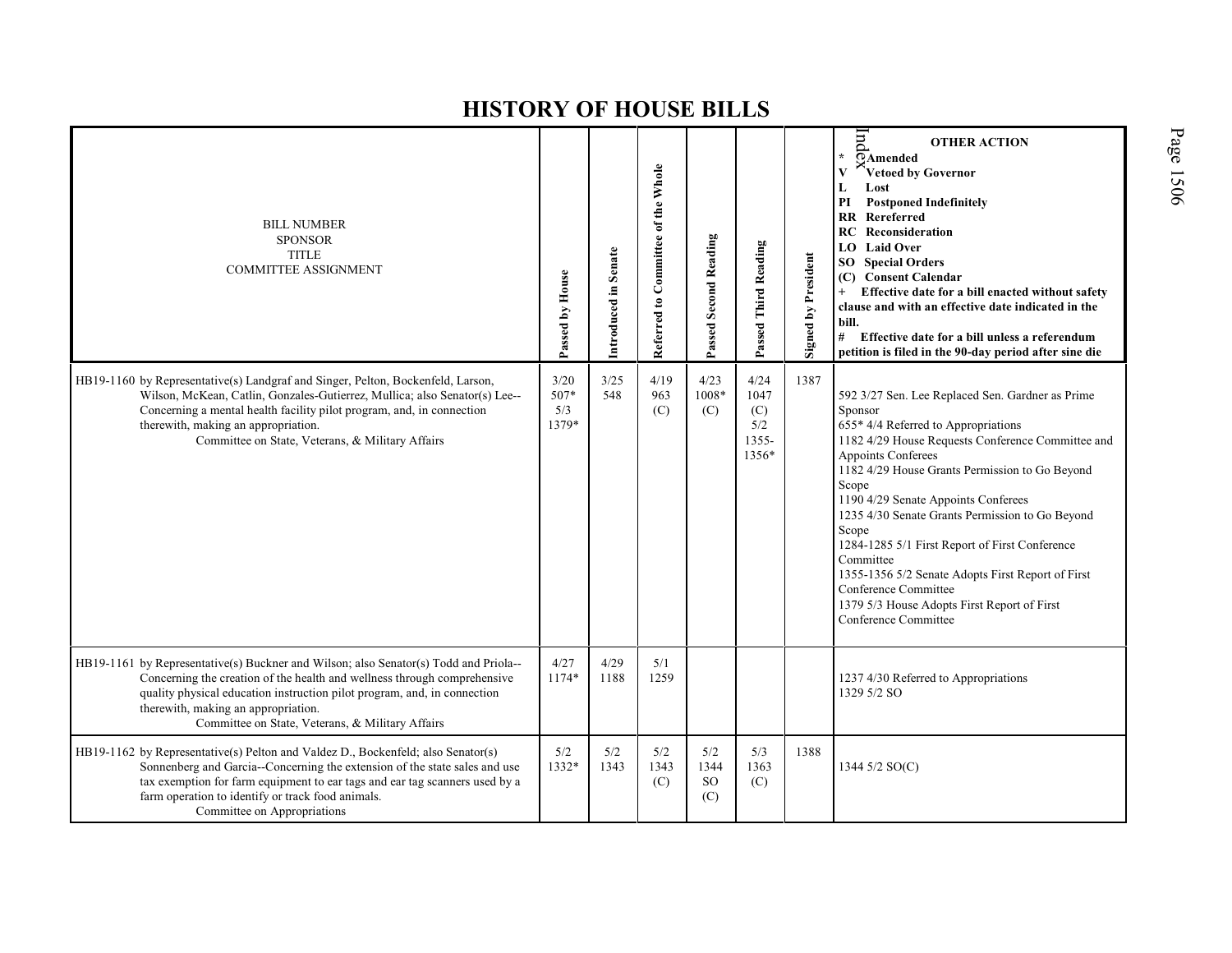| <b>BILL NUMBER</b><br><b>SPONSOR</b><br><b>TITLE</b><br><b>COMMITTEE ASSIGNMENT</b>                                                                                                                                                                                                                                                     | Passed by House              | Introduced in Senate | Referred to Committee of the Whole | <b>Passed Second Reading</b> | Passed Third Reading                         | <b>Signed by President</b> | hnd<br><b>OTHER ACTION</b><br>$\star$<br>OAmended<br>Vetoed by Governor<br>Lost<br>L<br><b>Postponed Indefinitely</b><br>РI<br><b>RR</b> Rereferred<br><b>RC</b> Reconsideration<br><b>LO</b> Laid Over<br><b>SO</b> Special Orders<br>(C) Consent Calendar<br>Effective date for a bill enacted without safety<br>$^{+}$<br>clause and with an effective date indicated in the<br>bill.<br>#<br>Effective date for a bill unless a referendum<br>petition is filed in the 90-day period after sine die                                                        |
|-----------------------------------------------------------------------------------------------------------------------------------------------------------------------------------------------------------------------------------------------------------------------------------------------------------------------------------------|------------------------------|----------------------|------------------------------------|------------------------------|----------------------------------------------|----------------------------|----------------------------------------------------------------------------------------------------------------------------------------------------------------------------------------------------------------------------------------------------------------------------------------------------------------------------------------------------------------------------------------------------------------------------------------------------------------------------------------------------------------------------------------------------------------|
| HB19-1160 by Representative(s) Landgraf and Singer, Pelton, Bockenfeld, Larson,<br>Wilson, McKean, Catlin, Gonzales-Gutierrez, Mullica; also Senator(s) Lee--<br>Concerning a mental health facility pilot program, and, in connection<br>therewith, making an appropriation.<br>Committee on State, Veterans, & Military Affairs       | 3/20<br>507*<br>5/3<br>1379* | 3/25<br>548          | 4/19<br>963<br>(C)                 | 4/23<br>1008*<br>(C)         | 4/24<br>1047<br>(C)<br>5/2<br>1355-<br>1356* | 1387                       | 592 3/27 Sen. Lee Replaced Sen. Gardner as Prime<br>Sponsor<br>655* 4/4 Referred to Appropriations<br>1182 4/29 House Requests Conference Committee and<br>Appoints Conferees<br>1182 4/29 House Grants Permission to Go Beyond<br>Scope<br>1190 4/29 Senate Appoints Conferees<br>1235 4/30 Senate Grants Permission to Go Beyond<br>Scope<br>1284-1285 5/1 First Report of First Conference<br>Committee<br>1355-1356 5/2 Senate Adopts First Report of First<br>Conference Committee<br>1379 5/3 House Adopts First Report of First<br>Conference Committee |
| HB19-1161 by Representative(s) Buckner and Wilson; also Senator(s) Todd and Priola--<br>Concerning the creation of the health and wellness through comprehensive<br>quality physical education instruction pilot program, and, in connection<br>therewith, making an appropriation.<br>Committee on State, Veterans, & Military Affairs | 4/27<br>1174*                | 4/29<br>1188         | 5/1<br>1259                        |                              |                                              |                            | 1237 4/30 Referred to Appropriations<br>1329 5/2 SO                                                                                                                                                                                                                                                                                                                                                                                                                                                                                                            |
| HB19-1162 by Representative(s) Pelton and Valdez D., Bockenfeld; also Senator(s)<br>Sonnenberg and Garcia--Concerning the extension of the state sales and use<br>tax exemption for farm equipment to ear tags and ear tag scanners used by a<br>farm operation to identify or track food animals.<br>Committee on Appropriations       | 5/2<br>1332*                 | 5/2<br>1343          | 5/2<br>1343<br>(C)                 | 5/2<br>1344<br>SO.<br>(C)    | 5/3<br>1363<br>(C)                           | 1388                       | 1344 5/2 SO(C)                                                                                                                                                                                                                                                                                                                                                                                                                                                                                                                                                 |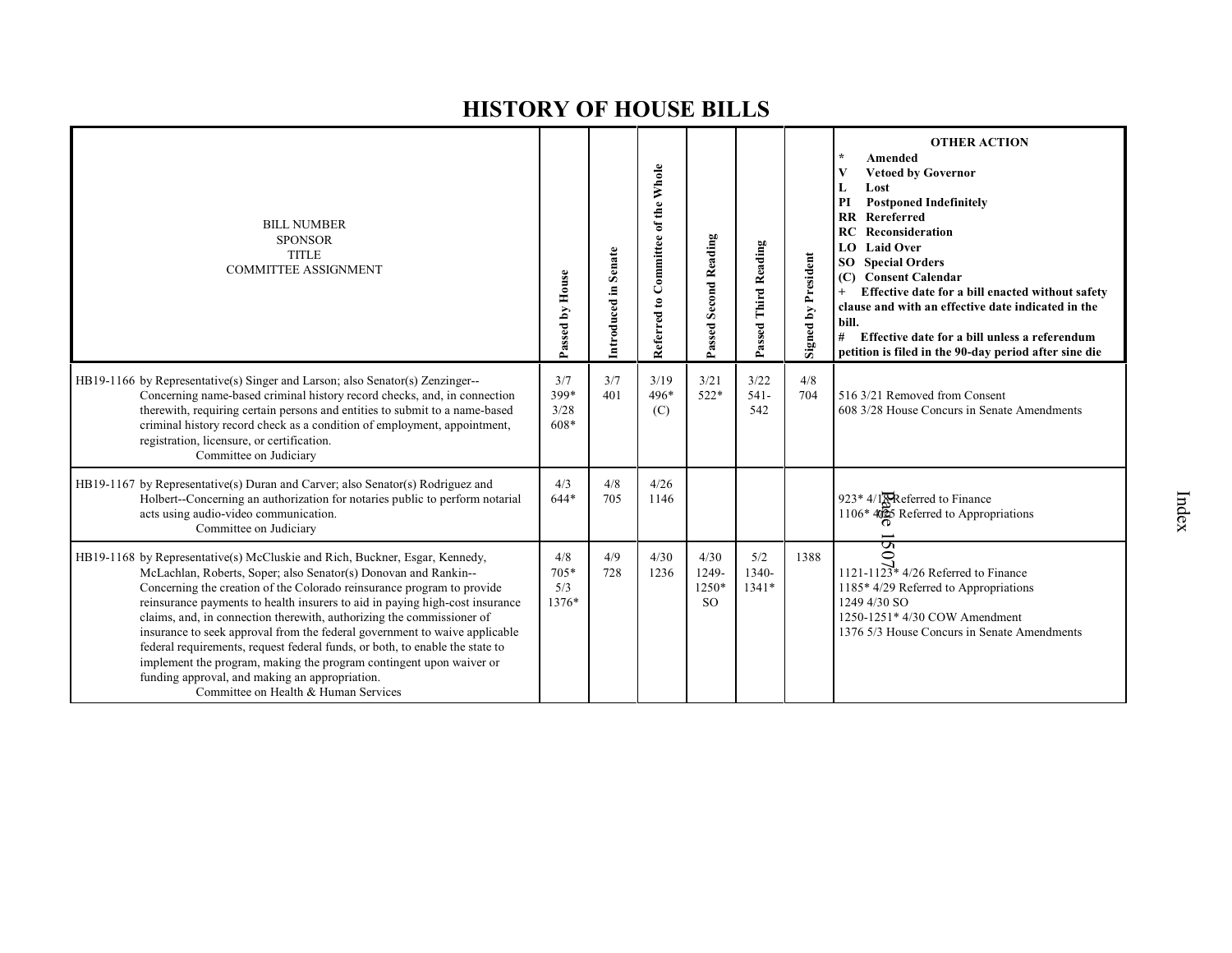| <b>BILL NUMBER</b><br><b>SPONSOR</b><br><b>TITLE</b><br><b>COMMITTEE ASSIGNMENT</b>                                                                                                                                                                                                                                                                                                                                                                                                                                                                                                                                                                                                                              | Passed by House             | Senate<br>Introduced in | Committee of the Whole<br>Referred to | Passed Second Reading                     | Passed Third Reading    | <b>Signed by President</b> | <b>OTHER ACTION</b><br>Amended<br><b>Vetoed by Governor</b><br>Lost<br>L<br>PI<br><b>Postponed Indefinitely</b><br>Rereferred<br>$\mathbf{R}$<br>Reconsideration<br>RC<br><b>Laid Over</b><br>LO.<br><b>Special Orders</b><br>SO.<br><b>Consent Calendar</b><br>(C)<br>Effective date for a bill enacted without safety<br>clause and with an effective date indicated in the<br>bill.<br>#<br>Effective date for a bill unless a referendum<br>petition is filed in the 90-day period after sine die |
|------------------------------------------------------------------------------------------------------------------------------------------------------------------------------------------------------------------------------------------------------------------------------------------------------------------------------------------------------------------------------------------------------------------------------------------------------------------------------------------------------------------------------------------------------------------------------------------------------------------------------------------------------------------------------------------------------------------|-----------------------------|-------------------------|---------------------------------------|-------------------------------------------|-------------------------|----------------------------|-------------------------------------------------------------------------------------------------------------------------------------------------------------------------------------------------------------------------------------------------------------------------------------------------------------------------------------------------------------------------------------------------------------------------------------------------------------------------------------------------------|
| HB19-1166 by Representative(s) Singer and Larson; also Senator(s) Zenzinger--<br>Concerning name-based criminal history record checks, and, in connection<br>therewith, requiring certain persons and entities to submit to a name-based<br>criminal history record check as a condition of employment, appointment,<br>registration, licensure, or certification.<br>Committee on Judiciary                                                                                                                                                                                                                                                                                                                     | 3/7<br>399*<br>3/28<br>608* | 3/7<br>401              | 3/19<br>496*<br>(C)                   | 3/21<br>$522*$                            | 3/22<br>$541 -$<br>542  | 4/8<br>704                 | 516 3/21 Removed from Consent<br>608 3/28 House Concurs in Senate Amendments                                                                                                                                                                                                                                                                                                                                                                                                                          |
| HB19-1167 by Representative(s) Duran and Carver; also Senator(s) Rodriguez and<br>Holbert-Concerning an authorization for notaries public to perform notarial<br>acts using audio-video communication.<br>Committee on Judiciary                                                                                                                                                                                                                                                                                                                                                                                                                                                                                 | 4/3<br>$644*$               | 4/8<br>705              | 4/26<br>1146                          |                                           |                         |                            | 923* 4/1 <sup>R</sup> Referred to Finance<br>$1106*4025$ Referred to Appropriations                                                                                                                                                                                                                                                                                                                                                                                                                   |
| HB19-1168 by Representative(s) McCluskie and Rich, Buckner, Esgar, Kennedy,<br>McLachlan, Roberts, Soper; also Senator(s) Donovan and Rankin--<br>Concerning the creation of the Colorado reinsurance program to provide<br>reinsurance payments to health insurers to aid in paying high-cost insurance<br>claims, and, in connection therewith, authorizing the commissioner of<br>insurance to seek approval from the federal government to waive applicable<br>federal requirements, request federal funds, or both, to enable the state to<br>implement the program, making the program contingent upon waiver or<br>funding approval, and making an appropriation.<br>Committee on Health & Human Services | 4/8<br>705*<br>5/3<br>1376* | 4/9<br>728              | 4/30<br>1236                          | 4/30<br>1249-<br>$1250*$<br><sub>SO</sub> | 5/2<br>1340-<br>$1341*$ | 1388                       | S<br>$\circ$<br>1121-1123* $4/26$ Referred to Finance<br>1185* 4/29 Referred to Appropriations<br>1249 4/30 SO<br>1250-1251* 4/30 COW Amendment<br>1376 5/3 House Concurs in Senate Amendments                                                                                                                                                                                                                                                                                                        |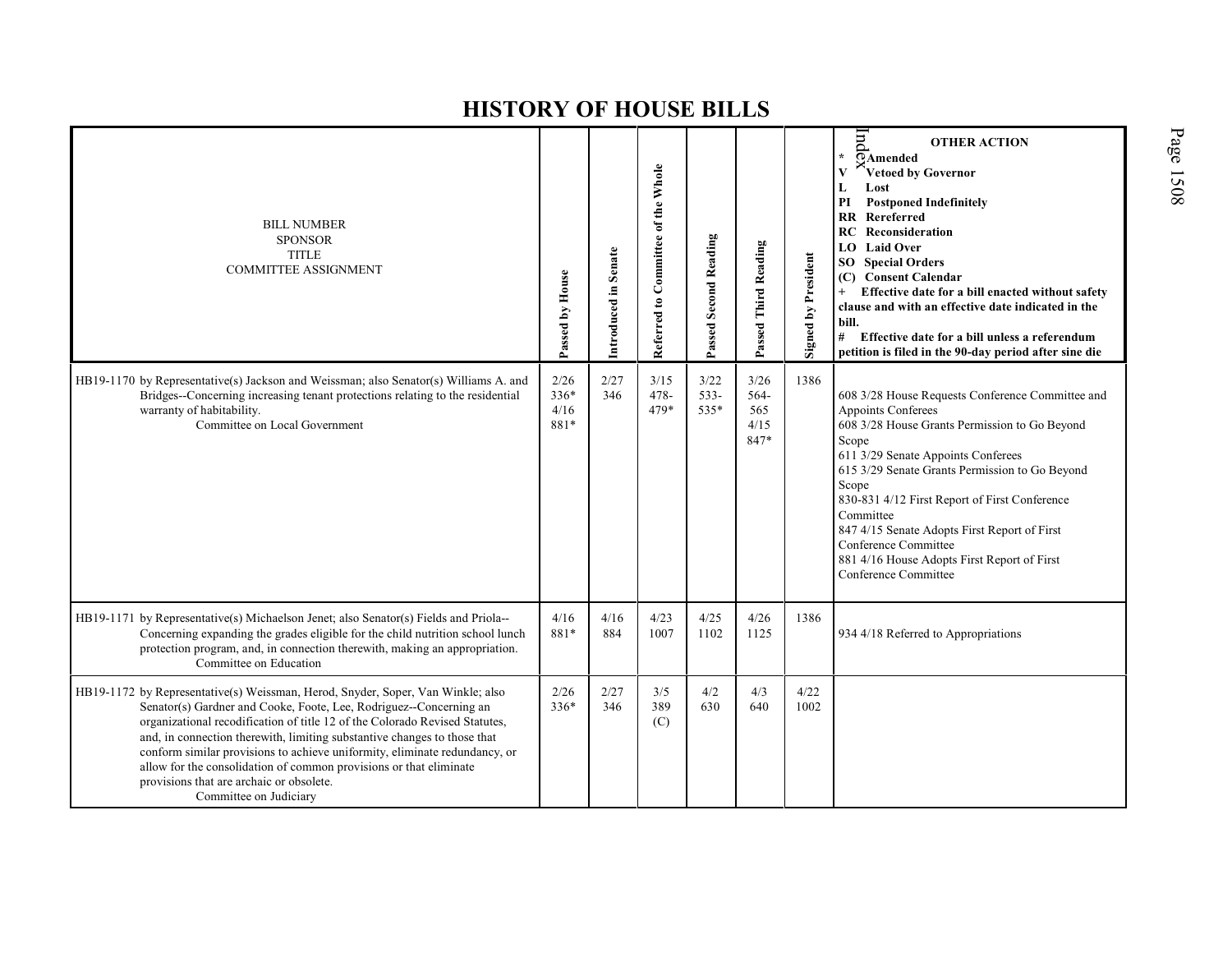| <b>BILL NUMBER</b><br><b>SPONSOR</b><br><b>TITLE</b><br><b>COMMITTEE ASSIGNMENT</b>                                                                                                                                                                                                                                                                                                                                                                                                                                                        | Passed by House                | Senate<br>Introduced in | Referred to Committee of the Whole | Passed Second Reading   | Passed Third Reading                | <b>Signed by President</b> | pur<br><b>OTHER ACTION</b><br>$\overline{\odot}$ Amended<br>Vetoed by Governor<br>L<br>Lost<br><b>Postponed Indefinitely</b><br>PI<br>RR<br>Rereferred<br>Reconsideration<br>RC<br><b>Laid Over</b><br>LO<br><b>SO</b> Special Orders<br><b>Consent Calendar</b><br>(C)<br>Effective date for a bill enacted without safety<br>$+$<br>clause and with an effective date indicated in the<br>bill.<br>#<br>Effective date for a bill unless a referendum<br>petition is filed in the 90-day period after sine die |
|--------------------------------------------------------------------------------------------------------------------------------------------------------------------------------------------------------------------------------------------------------------------------------------------------------------------------------------------------------------------------------------------------------------------------------------------------------------------------------------------------------------------------------------------|--------------------------------|-------------------------|------------------------------------|-------------------------|-------------------------------------|----------------------------|------------------------------------------------------------------------------------------------------------------------------------------------------------------------------------------------------------------------------------------------------------------------------------------------------------------------------------------------------------------------------------------------------------------------------------------------------------------------------------------------------------------|
| HB19-1170 by Representative(s) Jackson and Weissman; also Senator(s) Williams A. and<br>Bridges--Concerning increasing tenant protections relating to the residential<br>warranty of habitability.<br>Committee on Local Government                                                                                                                                                                                                                                                                                                        | 2/26<br>$336*$<br>4/16<br>881* | 2/27<br>346             | 3/15<br>$478 -$<br>479*            | 3/22<br>$533 -$<br>535* | 3/26<br>564-<br>565<br>4/15<br>847* | 1386                       | 608 3/28 House Requests Conference Committee and<br>Appoints Conferees<br>608 3/28 House Grants Permission to Go Beyond<br>Scope<br>611 3/29 Senate Appoints Conferees<br>615 3/29 Senate Grants Permission to Go Beyond<br>Scope<br>830-831 4/12 First Report of First Conference<br>Committee<br>847 4/15 Senate Adopts First Report of First<br>Conference Committee<br>881 4/16 House Adopts First Report of First<br>Conference Committee                                                                   |
| HB19-1171 by Representative(s) Michaelson Jenet; also Senator(s) Fields and Priola--<br>Concerning expanding the grades eligible for the child nutrition school lunch<br>protection program, and, in connection therewith, making an appropriation.<br>Committee on Education                                                                                                                                                                                                                                                              | 4/16<br>881*                   | 4/16<br>884             | 4/23<br>1007                       | 4/25<br>1102            | 4/26<br>1125                        | 1386                       | 934 4/18 Referred to Appropriations                                                                                                                                                                                                                                                                                                                                                                                                                                                                              |
| HB19-1172 by Representative(s) Weissman, Herod, Snyder, Soper, Van Winkle; also<br>Senator(s) Gardner and Cooke, Foote, Lee, Rodriguez--Concerning an<br>organizational recodification of title 12 of the Colorado Revised Statutes,<br>and, in connection therewith, limiting substantive changes to those that<br>conform similar provisions to achieve uniformity, eliminate redundancy, or<br>allow for the consolidation of common provisions or that eliminate<br>provisions that are archaic or obsolete.<br>Committee on Judiciary | 2/26<br>336*                   | 2/27<br>346             | 3/5<br>389<br>(C)                  | 4/2<br>630              | 4/3<br>640                          | 4/22<br>1002               |                                                                                                                                                                                                                                                                                                                                                                                                                                                                                                                  |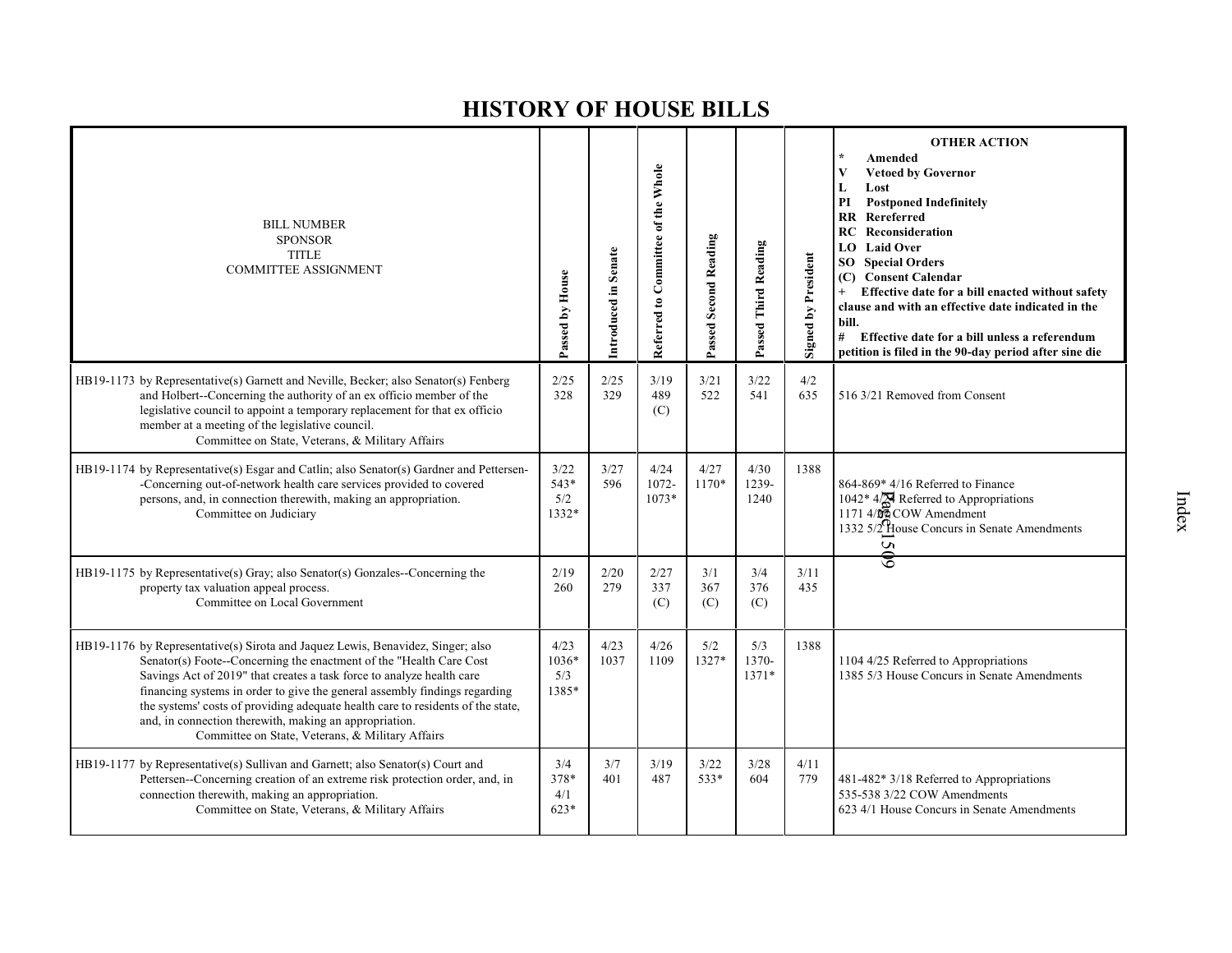| <b>BILL NUMBER</b><br><b>SPONSOR</b><br><b>TITLE</b><br><b>COMMITTEE ASSIGNMENT</b>                                                                                                                                                                                                                                                                                                                                                                                                                            | Passed by House                 | Introduced in Senate | Referred to Committee of the Whole | Passed Second Reading | Passed Third Reading  | <b>Signed by President</b> | <b>OTHER ACTION</b><br>Amended<br><b>Vetoed by Governor</b><br>L<br>Lost<br><b>Postponed Indefinitely</b><br>PI<br>$\mathbf{R}$<br>Rereferred<br><b>RC</b> Reconsideration<br><b>Laid Over</b><br>LO.<br><b>SO</b> Special Orders<br>(C) Consent Calendar<br>Effective date for a bill enacted without safety<br>clause and with an effective date indicated in the<br>bill.<br>#<br>Effective date for a bill unless a referendum<br>petition is filed in the 90-day period after sine die |
|----------------------------------------------------------------------------------------------------------------------------------------------------------------------------------------------------------------------------------------------------------------------------------------------------------------------------------------------------------------------------------------------------------------------------------------------------------------------------------------------------------------|---------------------------------|----------------------|------------------------------------|-----------------------|-----------------------|----------------------------|---------------------------------------------------------------------------------------------------------------------------------------------------------------------------------------------------------------------------------------------------------------------------------------------------------------------------------------------------------------------------------------------------------------------------------------------------------------------------------------------|
| HB19-1173 by Representative(s) Garnett and Neville, Becker; also Senator(s) Fenberg<br>and Holbert--Concerning the authority of an ex officio member of the<br>legislative council to appoint a temporary replacement for that ex officio<br>member at a meeting of the legislative council.<br>Committee on State, Veterans, & Military Affairs                                                                                                                                                               | 2/25<br>328                     | 2/25<br>329          | 3/19<br>489<br>(C)                 | 3/21<br>522           | 3/22<br>541           | 4/2<br>635                 | 516 3/21 Removed from Consent                                                                                                                                                                                                                                                                                                                                                                                                                                                               |
| HB19-1174 by Representative(s) Esgar and Catlin; also Senator(s) Gardner and Pettersen-<br>-Concerning out-of-network health care services provided to covered<br>persons, and, in connection therewith, making an appropriation.<br>Committee on Judiciary                                                                                                                                                                                                                                                    | 3/22<br>543*<br>5/2<br>1332*    | 3/27<br>596          | 4/24<br>1072-<br>$1073*$           | 4/27<br>$1170*$       | 4/30<br>1239-<br>1240 | 1388                       | 864-869* 4/16 Referred to Finance<br>1042* $4\frac{1}{24}$ Referred to Appropriations<br>1171 $4\frac{1}{24}$ COW Amendment<br>1332 5/2 House Concurs in Senate Amendments<br>50 <sub>6</sub>                                                                                                                                                                                                                                                                                               |
| HB19-1175 by Representative(s) Gray; also Senator(s) Gonzales--Concerning the<br>property tax valuation appeal process.<br>Committee on Local Government                                                                                                                                                                                                                                                                                                                                                       | 2/19<br>260                     | 2/20<br>279          | 2/27<br>337<br>(C)                 | 3/1<br>367<br>(C)     | 3/4<br>376<br>(C)     | 3/11<br>435                |                                                                                                                                                                                                                                                                                                                                                                                                                                                                                             |
| HB19-1176 by Representative(s) Sirota and Jaquez Lewis, Benavidez, Singer; also<br>Senator(s) Foote--Concerning the enactment of the "Health Care Cost<br>Savings Act of 2019" that creates a task force to analyze health care<br>financing systems in order to give the general assembly findings regarding<br>the systems' costs of providing adequate health care to residents of the state,<br>and, in connection therewith, making an appropriation.<br>Committee on State, Veterans, & Military Affairs | 4/23<br>$1036*$<br>5/3<br>1385* | 4/23<br>1037         | 4/26<br>1109                       | 5/2<br>1327*          | 5/3<br>1370-<br>1371* | 1388                       | 1104 4/25 Referred to Appropriations<br>1385 5/3 House Concurs in Senate Amendments                                                                                                                                                                                                                                                                                                                                                                                                         |
| HB19-1177 by Representative(s) Sullivan and Garnett; also Senator(s) Court and<br>Pettersen--Concerning creation of an extreme risk protection order, and, in<br>connection therewith, making an appropriation.<br>Committee on State, Veterans, & Military Affairs                                                                                                                                                                                                                                            | 3/4<br>378*<br>4/1<br>623*      | 3/7<br>401           | 3/19<br>487                        | 3/22<br>533*          | 3/28<br>604           | 4/11<br>779                | 481-482* 3/18 Referred to Appropriations<br>535-538 3/22 COW Amendments<br>623 4/1 House Concurs in Senate Amendments                                                                                                                                                                                                                                                                                                                                                                       |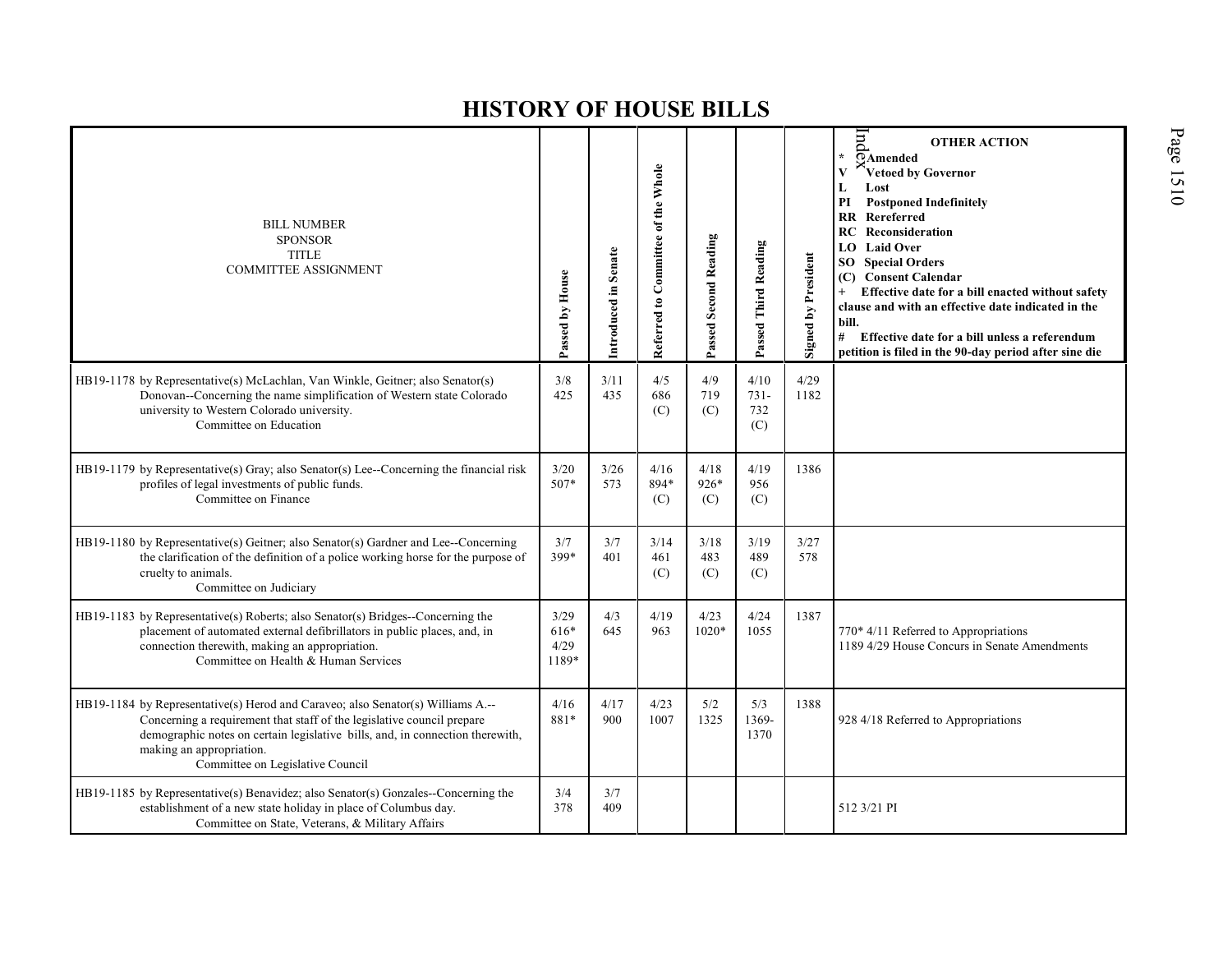| <b>BILL NUMBER</b><br><b>SPONSOR</b><br><b>TITLE</b><br><b>COMMITTEE ASSIGNMENT</b>                                                                                                                                                                                                                        | Passed by House               | Introduced in Senate | Referred to Committee of the Whole | <b>Passed Second Reading</b> | Passed Third Reading          | Signed by President | $_{\rm{pi}}$<br><b>OTHER ACTION</b><br>¥.<br>$\overline{\odot}$ Amended<br>Vetoed by Governor<br>Lost<br>$\mathbf L$<br><b>Postponed Indefinitely</b><br>PI<br><b>RR</b> Rereferred<br><b>RC</b> Reconsideration<br><b>LO</b> Laid Over<br><b>SO</b> Special Orders<br>(C) Consent Calendar<br>Effective date for a bill enacted without safety<br>clause and with an effective date indicated in the<br>bill.<br>#<br>Effective date for a bill unless a referendum<br>petition is filed in the 90-day period after sine die |
|------------------------------------------------------------------------------------------------------------------------------------------------------------------------------------------------------------------------------------------------------------------------------------------------------------|-------------------------------|----------------------|------------------------------------|------------------------------|-------------------------------|---------------------|-------------------------------------------------------------------------------------------------------------------------------------------------------------------------------------------------------------------------------------------------------------------------------------------------------------------------------------------------------------------------------------------------------------------------------------------------------------------------------------------------------------------------------|
| HB19-1178 by Representative(s) McLachlan, Van Winkle, Geitner; also Senator(s)<br>Donovan--Concerning the name simplification of Western state Colorado<br>university to Western Colorado university.<br>Committee on Education                                                                            | 3/8<br>425                    | 3/11<br>435          | 4/5<br>686<br>(C)                  | 4/9<br>719<br>(C)            | 4/10<br>$731 -$<br>732<br>(C) | 4/29<br>1182        |                                                                                                                                                                                                                                                                                                                                                                                                                                                                                                                               |
| HB19-1179 by Representative(s) Gray; also Senator(s) Lee--Concerning the financial risk<br>profiles of legal investments of public funds.<br>Committee on Finance                                                                                                                                          | 3/20<br>507*                  | 3/26<br>573          | 4/16<br>894*<br>(C)                | 4/18<br>$926*$<br>(C)        | 4/19<br>956<br>(C)            | 1386                |                                                                                                                                                                                                                                                                                                                                                                                                                                                                                                                               |
| HB19-1180 by Representative(s) Geitner; also Senator(s) Gardner and Lee--Concerning<br>the clarification of the definition of a police working horse for the purpose of<br>cruelty to animals.<br>Committee on Judiciary                                                                                   | 3/7<br>399*                   | 3/7<br>401           | 3/14<br>461<br>(C)                 | 3/18<br>483<br>(C)           | 3/19<br>489<br>(C)            | 3/27<br>578         |                                                                                                                                                                                                                                                                                                                                                                                                                                                                                                                               |
| HB19-1183 by Representative(s) Roberts; also Senator(s) Bridges--Concerning the<br>placement of automated external defibrillators in public places, and, in<br>connection therewith, making an appropriation.<br>Committee on Health & Human Services                                                      | 3/29<br>616*<br>4/29<br>1189* | 4/3<br>645           | 4/19<br>963                        | 4/23<br>$1020*$              | 4/24<br>1055                  | 1387                | 770* 4/11 Referred to Appropriations<br>1189 4/29 House Concurs in Senate Amendments                                                                                                                                                                                                                                                                                                                                                                                                                                          |
| HB19-1184 by Representative(s) Herod and Caraveo; also Senator(s) Williams A.--<br>Concerning a requirement that staff of the legislative council prepare<br>demographic notes on certain legislative bills, and, in connection therewith,<br>making an appropriation.<br>Committee on Legislative Council | 4/16<br>881*                  | 4/17<br>900          | 4/23<br>1007                       | 5/2<br>1325                  | 5/3<br>1369-<br>1370          | 1388                | 928 4/18 Referred to Appropriations                                                                                                                                                                                                                                                                                                                                                                                                                                                                                           |
| HB19-1185 by Representative(s) Benavidez; also Senator(s) Gonzales--Concerning the<br>establishment of a new state holiday in place of Columbus day.<br>Committee on State, Veterans, & Military Affairs                                                                                                   | 3/4<br>378                    | 3/7<br>409           |                                    |                              |                               |                     | 512 3/21 PI                                                                                                                                                                                                                                                                                                                                                                                                                                                                                                                   |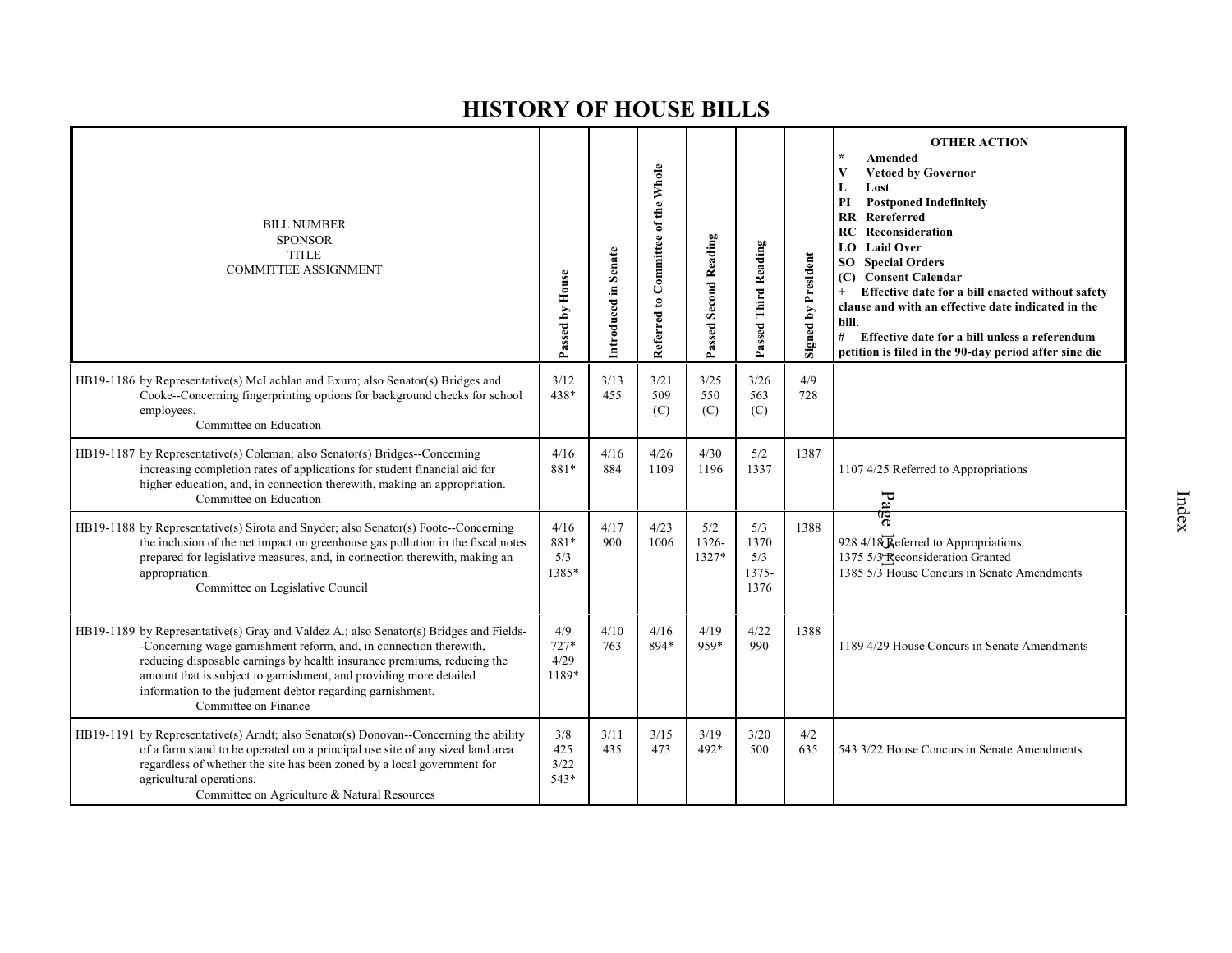| <b>BILL NUMBER</b><br><b>SPONSOR</b><br><b>TITLE</b><br><b>COMMITTEE ASSIGNMENT</b>                                                                                                                                                                                                                                                                                                                | Passed by House                | Introduced in Senate | Referred to Committee of the Whole | Passed Second Reading | Passed Third Reading                | <b>Signed by President</b> | <b>OTHER ACTION</b><br>$\star$<br>Amended<br>V<br><b>Vetoed by Governor</b><br>Lost<br>L<br>PI<br><b>Postponed Indefinitely</b><br><b>RR</b> Rereferred<br>RC<br>Reconsideration<br><b>Laid Over</b><br>LO<br><b>Special Orders</b><br>SO<br><b>Consent Calendar</b><br>(C)<br>Effective date for a bill enacted without safety<br>$^{+}$<br>clause and with an effective date indicated in the<br>bill.<br># Effective date for a bill unless a referendum<br>petition is filed in the 90-day period after sine die |
|----------------------------------------------------------------------------------------------------------------------------------------------------------------------------------------------------------------------------------------------------------------------------------------------------------------------------------------------------------------------------------------------------|--------------------------------|----------------------|------------------------------------|-----------------------|-------------------------------------|----------------------------|----------------------------------------------------------------------------------------------------------------------------------------------------------------------------------------------------------------------------------------------------------------------------------------------------------------------------------------------------------------------------------------------------------------------------------------------------------------------------------------------------------------------|
| HB19-1186 by Representative(s) McLachlan and Exum; also Senator(s) Bridges and<br>Cooke--Concerning fingerprinting options for background checks for school<br>employees.<br>Committee on Education                                                                                                                                                                                                | 3/12<br>438*                   | 3/13<br>455          | 3/21<br>509<br>(C)                 | 3/25<br>550<br>(C)    | 3/26<br>563<br>(C)                  | 4/9<br>728                 |                                                                                                                                                                                                                                                                                                                                                                                                                                                                                                                      |
| HB19-1187 by Representative(s) Coleman; also Senator(s) Bridges--Concerning<br>increasing completion rates of applications for student financial aid for<br>higher education, and, in connection therewith, making an appropriation.<br>Committee on Education                                                                                                                                     | 4/16<br>881*                   | 4/16<br>884          | 4/26<br>1109                       | 4/30<br>1196          | 5/2<br>1337                         | 1387                       | 1107 4/25 Referred to Appropriations<br>P <sub>d</sub>                                                                                                                                                                                                                                                                                                                                                                                                                                                               |
| HB19-1188 by Representative(s) Sirota and Snyder; also Senator(s) Foote--Concerning<br>the inclusion of the net impact on greenhouse gas pollution in the fiscal notes<br>prepared for legislative measures, and, in connection therewith, making an<br>appropriation.<br>Committee on Legislative Council                                                                                         | 4/16<br>881*<br>5/3<br>1385*   | 4/17<br>900          | 4/23<br>1006                       | 5/2<br>1326-<br>1327* | 5/3<br>1370<br>5/3<br>1375-<br>1376 | 1388                       | प्यु<br>०<br>928 4/18 Referred to Appropriations<br>1375 5/3 Reconsideration Granted<br>1385 5/3 House Concurs in Senate Amendments                                                                                                                                                                                                                                                                                                                                                                                  |
| HB19-1189 by Representative(s) Gray and Valdez A.; also Senator(s) Bridges and Fields-<br>-Concerning wage garnishment reform, and, in connection therewith,<br>reducing disposable earnings by health insurance premiums, reducing the<br>amount that is subject to garnishment, and providing more detailed<br>information to the judgment debtor regarding garnishment.<br>Committee on Finance | 4/9<br>$727*$<br>4/29<br>1189* | 4/10<br>763          | 4/16<br>894*                       | 4/19<br>959*          | 4/22<br>990                         | 1388                       | 1189 4/29 House Concurs in Senate Amendments                                                                                                                                                                                                                                                                                                                                                                                                                                                                         |
| HB19-1191 by Representative(s) Arndt; also Senator(s) Donovan--Concerning the ability<br>of a farm stand to be operated on a principal use site of any sized land area<br>regardless of whether the site has been zoned by a local government for<br>agricultural operations.<br>Committee on Agriculture & Natural Resources                                                                      | 3/8<br>425<br>3/22<br>$543*$   | 3/11<br>435          | 3/15<br>473                        | 3/19<br>492*          | 3/20<br>500                         | 4/2<br>635                 | 543 3/22 House Concurs in Senate Amendments                                                                                                                                                                                                                                                                                                                                                                                                                                                                          |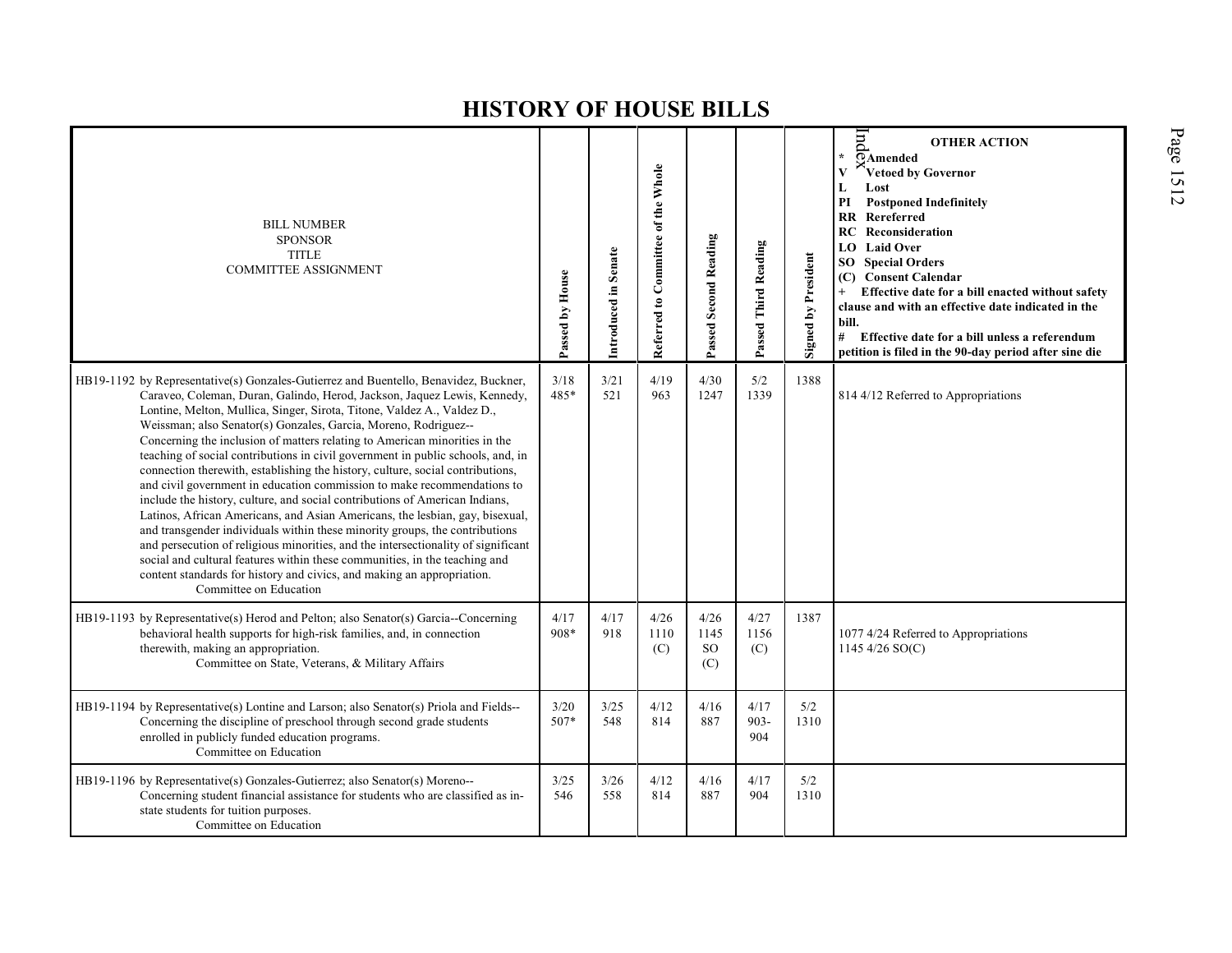| <b>BILL NUMBER</b><br><b>SPONSOR</b><br><b>TITLE</b><br><b>COMMITTEE ASSIGNMENT</b>                                                                                                                                                                                                                                                                                                                                                                                                                                                                                                                                                                                                                                                                                                                                                                                                                                                                                                                                                                                                                                                                               | Passed by House | Introduced in Senate | Referred to Committee of the Whole | <b>Passed Second Reading</b> | Passed Third Reading   | <b>Signed by President</b> | pur<br><b>OTHER ACTION</b><br>$\star$<br>OAmended<br>Vetoed by Governor<br>L<br>Lost<br><b>Postponed Indefinitely</b><br>PI<br>$\mathbf{R}$<br>Rereferred<br><b>RC</b> Reconsideration<br>LO Laid Over<br><b>Special Orders</b><br>SO.<br>(C) Consent Calendar<br>Effective date for a bill enacted without safety<br>$^{+}$<br>clause and with an effective date indicated in the<br>bill.<br>#<br>Effective date for a bill unless a referendum<br>petition is filed in the 90-day period after sine die |
|-------------------------------------------------------------------------------------------------------------------------------------------------------------------------------------------------------------------------------------------------------------------------------------------------------------------------------------------------------------------------------------------------------------------------------------------------------------------------------------------------------------------------------------------------------------------------------------------------------------------------------------------------------------------------------------------------------------------------------------------------------------------------------------------------------------------------------------------------------------------------------------------------------------------------------------------------------------------------------------------------------------------------------------------------------------------------------------------------------------------------------------------------------------------|-----------------|----------------------|------------------------------------|------------------------------|------------------------|----------------------------|------------------------------------------------------------------------------------------------------------------------------------------------------------------------------------------------------------------------------------------------------------------------------------------------------------------------------------------------------------------------------------------------------------------------------------------------------------------------------------------------------------|
| HB19-1192 by Representative(s) Gonzales-Gutierrez and Buentello, Benavidez, Buckner,<br>Caraveo, Coleman, Duran, Galindo, Herod, Jackson, Jaquez Lewis, Kennedy,<br>Lontine, Melton, Mullica, Singer, Sirota, Titone, Valdez A., Valdez D.,<br>Weissman; also Senator(s) Gonzales, Garcia, Moreno, Rodriguez--<br>Concerning the inclusion of matters relating to American minorities in the<br>teaching of social contributions in civil government in public schools, and, in<br>connection therewith, establishing the history, culture, social contributions,<br>and civil government in education commission to make recommendations to<br>include the history, culture, and social contributions of American Indians,<br>Latinos, African Americans, and Asian Americans, the lesbian, gay, bisexual,<br>and transgender individuals within these minority groups, the contributions<br>and persecution of religious minorities, and the intersectionality of significant<br>social and cultural features within these communities, in the teaching and<br>content standards for history and civics, and making an appropriation.<br>Committee on Education | 3/18<br>485*    | 3/21<br>521          | 4/19<br>963                        | 4/30<br>1247                 | 5/2<br>1339            | 1388                       | 814 4/12 Referred to Appropriations                                                                                                                                                                                                                                                                                                                                                                                                                                                                        |
| HB19-1193 by Representative(s) Herod and Pelton; also Senator(s) Garcia--Concerning<br>behavioral health supports for high-risk families, and, in connection<br>therewith, making an appropriation.<br>Committee on State, Veterans, & Military Affairs                                                                                                                                                                                                                                                                                                                                                                                                                                                                                                                                                                                                                                                                                                                                                                                                                                                                                                           | 4/17<br>908*    | 4/17<br>918          | 4/26<br>1110<br>(C)                | 4/26<br>1145<br>SO.<br>(C)   | 4/27<br>1156<br>(C)    | 1387                       | 1077 4/24 Referred to Appropriations<br>1145 4/26 $SO(C)$                                                                                                                                                                                                                                                                                                                                                                                                                                                  |
| HB19-1194 by Representative(s) Lontine and Larson; also Senator(s) Priola and Fields--<br>Concerning the discipline of preschool through second grade students<br>enrolled in publicly funded education programs.<br>Committee on Education                                                                                                                                                                                                                                                                                                                                                                                                                                                                                                                                                                                                                                                                                                                                                                                                                                                                                                                       | 3/20<br>507*    | 3/25<br>548          | 4/12<br>814                        | 4/16<br>887                  | 4/17<br>$903 -$<br>904 | 5/2<br>1310                |                                                                                                                                                                                                                                                                                                                                                                                                                                                                                                            |
| HB19-1196 by Representative(s) Gonzales-Gutierrez; also Senator(s) Moreno--<br>Concerning student financial assistance for students who are classified as in-<br>state students for tuition purposes.<br>Committee on Education                                                                                                                                                                                                                                                                                                                                                                                                                                                                                                                                                                                                                                                                                                                                                                                                                                                                                                                                   | 3/25<br>546     | 3/26<br>558          | 4/12<br>814                        | 4/16<br>887                  | 4/17<br>904            | 5/2<br>1310                |                                                                                                                                                                                                                                                                                                                                                                                                                                                                                                            |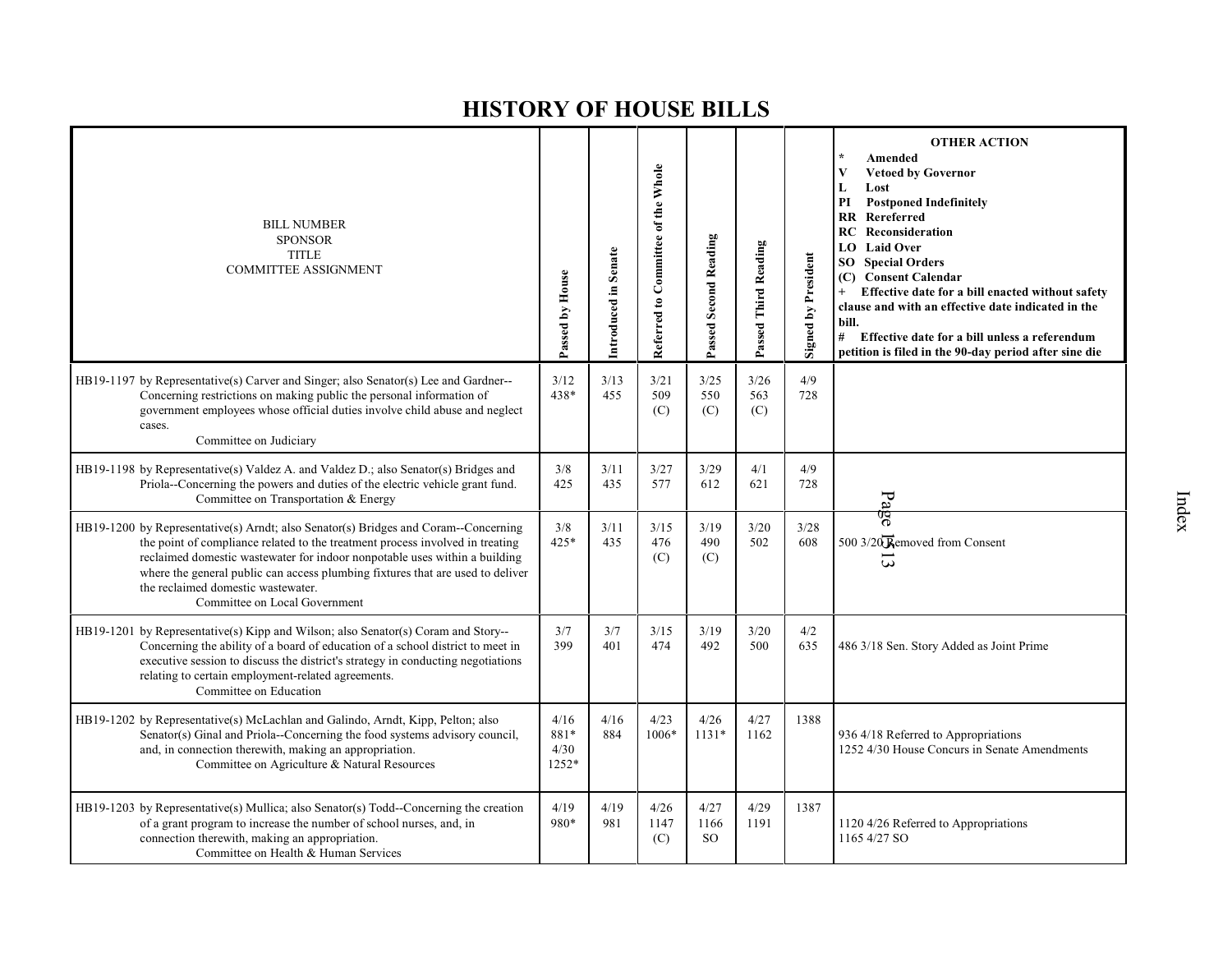| <b>BILL NUMBER</b><br><b>SPONSOR</b><br><b>TITLE</b><br><b>COMMITTEE ASSIGNMENT</b>                                                                                                                                                                                                                                                                                                                         | Passed by House               | Introduced in Senate | Referred to Committee of the Whole | Passed Second Reading         | Passed Third Reading | <b>Signed by President</b> | <b>OTHER ACTION</b><br>Amended<br><b>Vetoed by Governor</b><br>V<br>L<br>Lost<br><b>Postponed Indefinitely</b><br>PI<br>RR Rereferred<br><b>RC</b> Reconsideration<br>LO Laid Over<br><b>Special Orders</b><br>SO<br><b>Consent Calendar</b><br>(C)<br>Effective date for a bill enacted without safety<br>clause and with an effective date indicated in the<br>bill.<br># Effective date for a bill unless a referendum<br>petition is filed in the 90-day period after sine die |
|-------------------------------------------------------------------------------------------------------------------------------------------------------------------------------------------------------------------------------------------------------------------------------------------------------------------------------------------------------------------------------------------------------------|-------------------------------|----------------------|------------------------------------|-------------------------------|----------------------|----------------------------|------------------------------------------------------------------------------------------------------------------------------------------------------------------------------------------------------------------------------------------------------------------------------------------------------------------------------------------------------------------------------------------------------------------------------------------------------------------------------------|
| HB19-1197 by Representative(s) Carver and Singer; also Senator(s) Lee and Gardner--<br>Concerning restrictions on making public the personal information of<br>government employees whose official duties involve child abuse and neglect<br>cases.<br>Committee on Judiciary                                                                                                                               | 3/12<br>438*                  | 3/13<br>455          | 3/21<br>509<br>(C)                 | 3/25<br>550<br>(C)            | 3/26<br>563<br>(C)   | 4/9<br>728                 |                                                                                                                                                                                                                                                                                                                                                                                                                                                                                    |
| HB19-1198 by Representative(s) Valdez A. and Valdez D.; also Senator(s) Bridges and<br>Priola--Concerning the powers and duties of the electric vehicle grant fund.<br>Committee on Transportation & Energy                                                                                                                                                                                                 | 3/8<br>425                    | 3/11<br>435          | 3/27<br>577                        | 3/29<br>612                   | 4/1<br>621           | 4/9<br>728                 | $P_{2}$                                                                                                                                                                                                                                                                                                                                                                                                                                                                            |
| HB19-1200 by Representative(s) Arndt; also Senator(s) Bridges and Coram--Concerning<br>the point of compliance related to the treatment process involved in treating<br>reclaimed domestic wastewater for indoor nonpotable uses within a building<br>where the general public can access plumbing fixtures that are used to deliver<br>the reclaimed domestic wastewater.<br>Committee on Local Government | 3/8<br>$425*$                 | 3/11<br>435          | 3/15<br>476<br>(C)                 | 3/19<br>490<br>(C)            | 3/20<br>502          | 3/28<br>608                | पुरु<br>500 3/20 Removed from Consent<br>$\omega$                                                                                                                                                                                                                                                                                                                                                                                                                                  |
| HB19-1201 by Representative(s) Kipp and Wilson; also Senator(s) Coram and Story--<br>Concerning the ability of a board of education of a school district to meet in<br>executive session to discuss the district's strategy in conducting negotiations<br>relating to certain employment-related agreements.<br>Committee on Education                                                                      | 3/7<br>399                    | 3/7<br>401           | 3/15<br>474                        | 3/19<br>492                   | 3/20<br>500          | 4/2<br>635                 | 486 3/18 Sen. Story Added as Joint Prime                                                                                                                                                                                                                                                                                                                                                                                                                                           |
| HB19-1202 by Representative(s) McLachlan and Galindo, Arndt, Kipp, Pelton; also<br>Senator(s) Ginal and Priola--Concerning the food systems advisory council,<br>and, in connection therewith, making an appropriation.<br>Committee on Agriculture & Natural Resources                                                                                                                                     | 4/16<br>881*<br>4/30<br>1252* | 4/16<br>884          | 4/23<br>1006*                      | 4/26<br>$1131*$               | 4/27<br>1162         | 1388                       | 936 4/18 Referred to Appropriations<br>1252 4/30 House Concurs in Senate Amendments                                                                                                                                                                                                                                                                                                                                                                                                |
| HB19-1203 by Representative(s) Mullica; also Senator(s) Todd--Concerning the creation<br>of a grant program to increase the number of school nurses, and, in<br>connection therewith, making an appropriation.<br>Committee on Health & Human Services                                                                                                                                                      | 4/19<br>980*                  | 4/19<br>981          | 4/26<br>1147<br>(C)                | 4/27<br>1166<br><sub>SO</sub> | 4/29<br>1191         | 1387                       | 1120 4/26 Referred to Appropriations<br>1165 4/27 SO                                                                                                                                                                                                                                                                                                                                                                                                                               |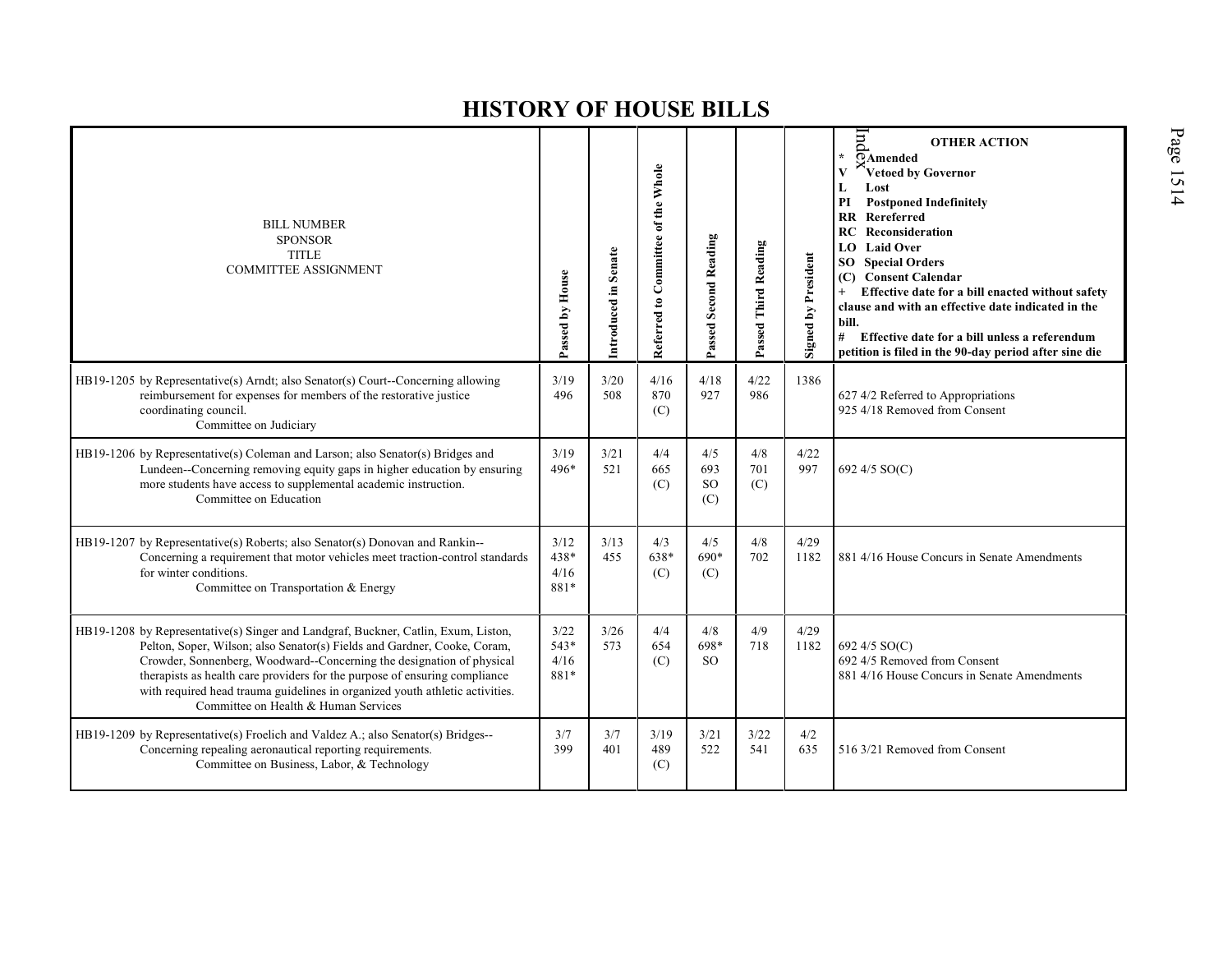| <b>BILL NUMBER</b><br><b>SPONSOR</b><br><b>TITLE</b><br><b>COMMITTEE ASSIGNMENT</b>                                                                                                                                                                                                                                                                                                                                                           | Passed by House                | Introduced in Senate | Referred to Committee of the Whole | Passed Second Reading          | Passed Third Reading | <b>Signed by President</b> | $\overline{m}$<br><b>OTHER ACTION</b><br>$\star$<br>OAmended<br>Vetoed by Governor<br>V<br>Lost<br>L<br>PI<br><b>Postponed Indefinitely</b><br><b>RR</b> Rereferred<br><b>RC</b> Reconsideration<br><b>LO</b> Laid Over<br><b>SO</b> Special Orders<br>(C) Consent Calendar<br>Effective date for a bill enacted without safety<br>clause and with an effective date indicated in the<br>bill.<br>#<br>Effective date for a bill unless a referendum<br>petition is filed in the 90-day period after sine die |
|-----------------------------------------------------------------------------------------------------------------------------------------------------------------------------------------------------------------------------------------------------------------------------------------------------------------------------------------------------------------------------------------------------------------------------------------------|--------------------------------|----------------------|------------------------------------|--------------------------------|----------------------|----------------------------|---------------------------------------------------------------------------------------------------------------------------------------------------------------------------------------------------------------------------------------------------------------------------------------------------------------------------------------------------------------------------------------------------------------------------------------------------------------------------------------------------------------|
| HB19-1205 by Representative(s) Arndt; also Senator(s) Court--Concerning allowing<br>reimbursement for expenses for members of the restorative justice<br>coordinating council.<br>Committee on Judiciary                                                                                                                                                                                                                                      | 3/19<br>496                    | 3/20<br>508          | 4/16<br>870<br>(C)                 | 4/18<br>927                    | 4/22<br>986          | 1386                       | 627 4/2 Referred to Appropriations<br>925 4/18 Removed from Consent                                                                                                                                                                                                                                                                                                                                                                                                                                           |
| HB19-1206 by Representative(s) Coleman and Larson; also Senator(s) Bridges and<br>Lundeen--Concerning removing equity gaps in higher education by ensuring<br>more students have access to supplemental academic instruction.<br>Committee on Education                                                                                                                                                                                       | 3/19<br>496*                   | 3/21<br>521          | 4/4<br>665<br>(C)                  | 4/5<br>693<br><b>SO</b><br>(C) | 4/8<br>701<br>(C)    | 4/22<br>997                | 692 4/5 SO(C)                                                                                                                                                                                                                                                                                                                                                                                                                                                                                                 |
| HB19-1207 by Representative(s) Roberts; also Senator(s) Donovan and Rankin--<br>Concerning a requirement that motor vehicles meet traction-control standards<br>for winter conditions.<br>Committee on Transportation & Energy                                                                                                                                                                                                                | 3/12<br>438*<br>4/16<br>881*   | 3/13<br>455          | 4/3<br>638*<br>(C)                 | 4/5<br>690*<br>(C)             | 4/8<br>702           | 4/29<br>1182               | 881 4/16 House Concurs in Senate Amendments                                                                                                                                                                                                                                                                                                                                                                                                                                                                   |
| HB19-1208 by Representative(s) Singer and Landgraf, Buckner, Catlin, Exum, Liston,<br>Pelton, Soper, Wilson; also Senator(s) Fields and Gardner, Cooke, Coram,<br>Crowder, Sonnenberg, Woodward--Concerning the designation of physical<br>therapists as health care providers for the purpose of ensuring compliance<br>with required head trauma guidelines in organized youth athletic activities.<br>Committee on Health & Human Services | 3/22<br>$543*$<br>4/16<br>881* | 3/26<br>573          | 4/4<br>654<br>(C)                  | 4/8<br>698*<br><b>SO</b>       | 4/9<br>718           | 4/29<br>1182               | 692 4/5 SO(C)<br>692 4/5 Removed from Consent<br>881 4/16 House Concurs in Senate Amendments                                                                                                                                                                                                                                                                                                                                                                                                                  |
| HB19-1209 by Representative(s) Froelich and Valdez A.; also Senator(s) Bridges--<br>Concerning repealing aeronautical reporting requirements.<br>Committee on Business, Labor, & Technology                                                                                                                                                                                                                                                   | 3/7<br>399                     | 3/7<br>401           | 3/19<br>489<br>(C)                 | 3/21<br>522                    | 3/22<br>541          | 4/2<br>635                 | 516 3/21 Removed from Consent                                                                                                                                                                                                                                                                                                                                                                                                                                                                                 |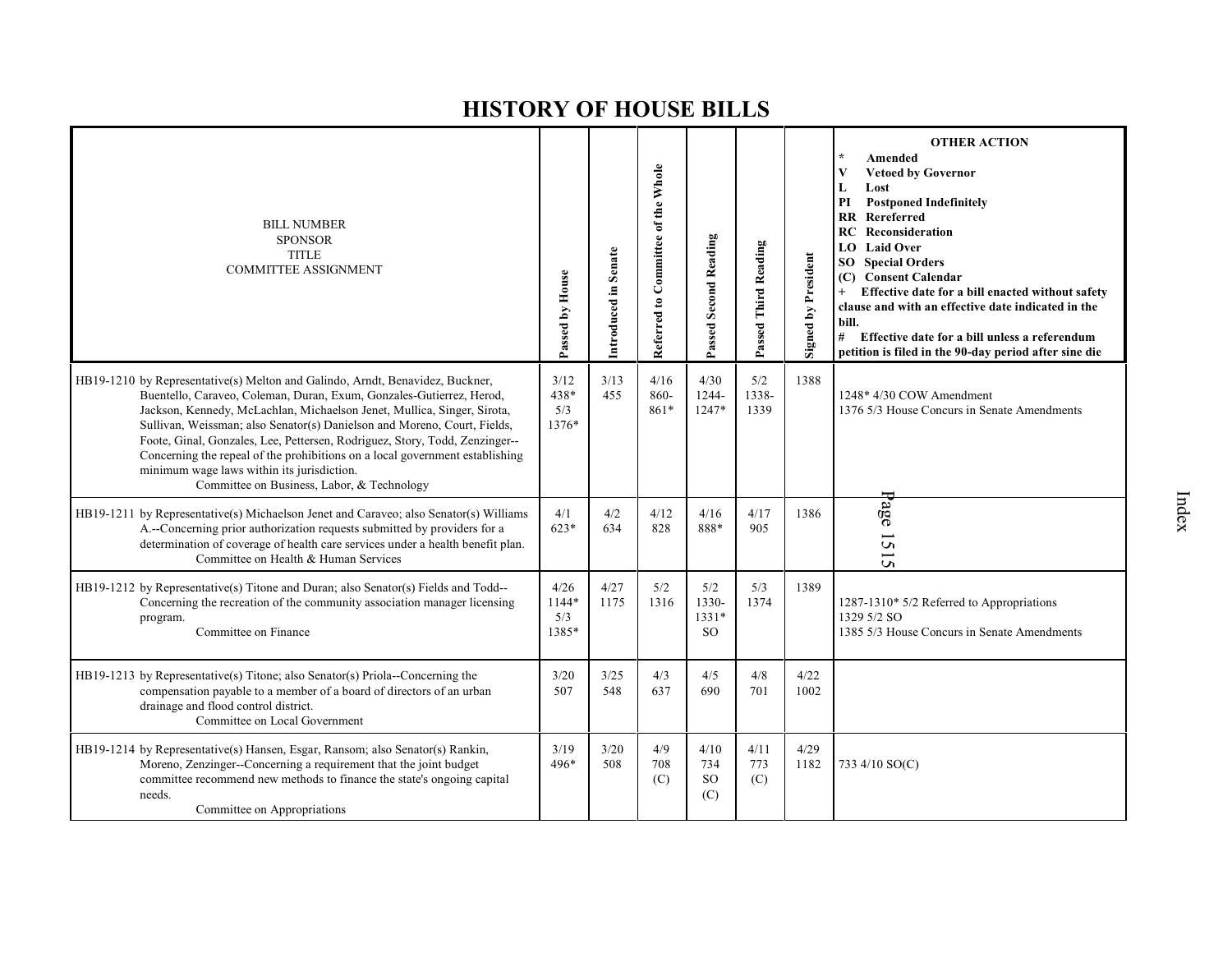| <b>BILL NUMBER</b><br><b>SPONSOR</b><br><b>TITLE</b><br><b>COMMITTEE ASSIGNMENT</b>                                                                                                                                                                                                                                                                                                                                                                                                                                                                                     | Passed by House               | Introduced in Senate | Referred to Committee of the Whole | Passed Second Reading                    | Passed Third Reading | Signed by President | <b>OTHER ACTION</b><br>Amended<br><b>Vetoed by Governor</b><br>V<br>L<br>Lost<br><b>Postponed Indefinitely</b><br>PI<br>Rereferred<br>RR<br>RC<br>Reconsideration<br><b>LO</b> Laid Over<br><b>SO</b> Special Orders<br>(C) Consent Calendar<br>Effective date for a bill enacted without safety<br>clause and with an effective date indicated in the<br>bill.<br>#<br>Effective date for a bill unless a referendum<br>petition is filed in the 90-day period after sine die |
|-------------------------------------------------------------------------------------------------------------------------------------------------------------------------------------------------------------------------------------------------------------------------------------------------------------------------------------------------------------------------------------------------------------------------------------------------------------------------------------------------------------------------------------------------------------------------|-------------------------------|----------------------|------------------------------------|------------------------------------------|----------------------|---------------------|--------------------------------------------------------------------------------------------------------------------------------------------------------------------------------------------------------------------------------------------------------------------------------------------------------------------------------------------------------------------------------------------------------------------------------------------------------------------------------|
| HB19-1210 by Representative(s) Melton and Galindo, Arndt, Benavidez, Buckner,<br>Buentello, Caraveo, Coleman, Duran, Exum, Gonzales-Gutierrez, Herod,<br>Jackson, Kennedy, McLachlan, Michaelson Jenet, Mullica, Singer, Sirota,<br>Sullivan, Weissman; also Senator(s) Danielson and Moreno, Court, Fields,<br>Foote, Ginal, Gonzales, Lee, Pettersen, Rodriguez, Story, Todd, Zenzinger--<br>Concerning the repeal of the prohibitions on a local government establishing<br>minimum wage laws within its jurisdiction.<br>Committee on Business, Labor, & Technology | 3/12<br>438*<br>5/3<br>1376*  | 3/13<br>455          | 4/16<br>860-<br>861*               | 4/30<br>1244-<br>$1247*$                 | 5/2<br>1338-<br>1339 | 1388                | 1248* 4/30 COW Amendment<br>1376 5/3 House Concurs in Senate Amendments                                                                                                                                                                                                                                                                                                                                                                                                        |
| HB19-1211 by Representative(s) Michaelson Jenet and Caraveo; also Senator(s) Williams<br>A.--Concerning prior authorization requests submitted by providers for a<br>determination of coverage of health care services under a health benefit plan.<br>Committee on Health & Human Services                                                                                                                                                                                                                                                                             | 4/1<br>$623*$                 | 4/2<br>634           | 4/12<br>828                        | 4/16<br>888*                             | 4/17<br>905          | 1386                | $a\overline{g}e$<br>$\overline{5}$<br>$\tilde{\mathbf{c}}$                                                                                                                                                                                                                                                                                                                                                                                                                     |
| HB19-1212 by Representative(s) Titone and Duran; also Senator(s) Fields and Todd--<br>Concerning the recreation of the community association manager licensing<br>program.<br>Committee on Finance                                                                                                                                                                                                                                                                                                                                                                      | 4/26<br>1144*<br>5/3<br>1385* | 4/27<br>1175         | 5/2<br>1316                        | 5/2<br>1330-<br>$1331*$<br><sub>SO</sub> | 5/3<br>1374          | 1389                | 1287-1310* 5/2 Referred to Appropriations<br>1329 5/2 SO<br>1385 5/3 House Concurs in Senate Amendments                                                                                                                                                                                                                                                                                                                                                                        |
| HB19-1213 by Representative(s) Titone; also Senator(s) Priola--Concerning the<br>compensation payable to a member of a board of directors of an urban<br>drainage and flood control district.<br>Committee on Local Government                                                                                                                                                                                                                                                                                                                                          | 3/20<br>507                   | 3/25<br>548          | 4/3<br>637                         | 4/5<br>690                               | 4/8<br>701           | 4/22<br>1002        |                                                                                                                                                                                                                                                                                                                                                                                                                                                                                |
| HB19-1214 by Representative(s) Hansen, Esgar, Ransom; also Senator(s) Rankin,<br>Moreno, Zenzinger--Concerning a requirement that the joint budget<br>committee recommend new methods to finance the state's ongoing capital<br>needs.<br>Committee on Appropriations                                                                                                                                                                                                                                                                                                   | 3/19<br>496*                  | 3/20<br>508          | 4/9<br>708<br>(C)                  | 4/10<br>734<br><sub>SO</sub><br>(C)      | 4/11<br>773<br>(C)   | 4/29<br>1182        | 733 4/10 SO(C)                                                                                                                                                                                                                                                                                                                                                                                                                                                                 |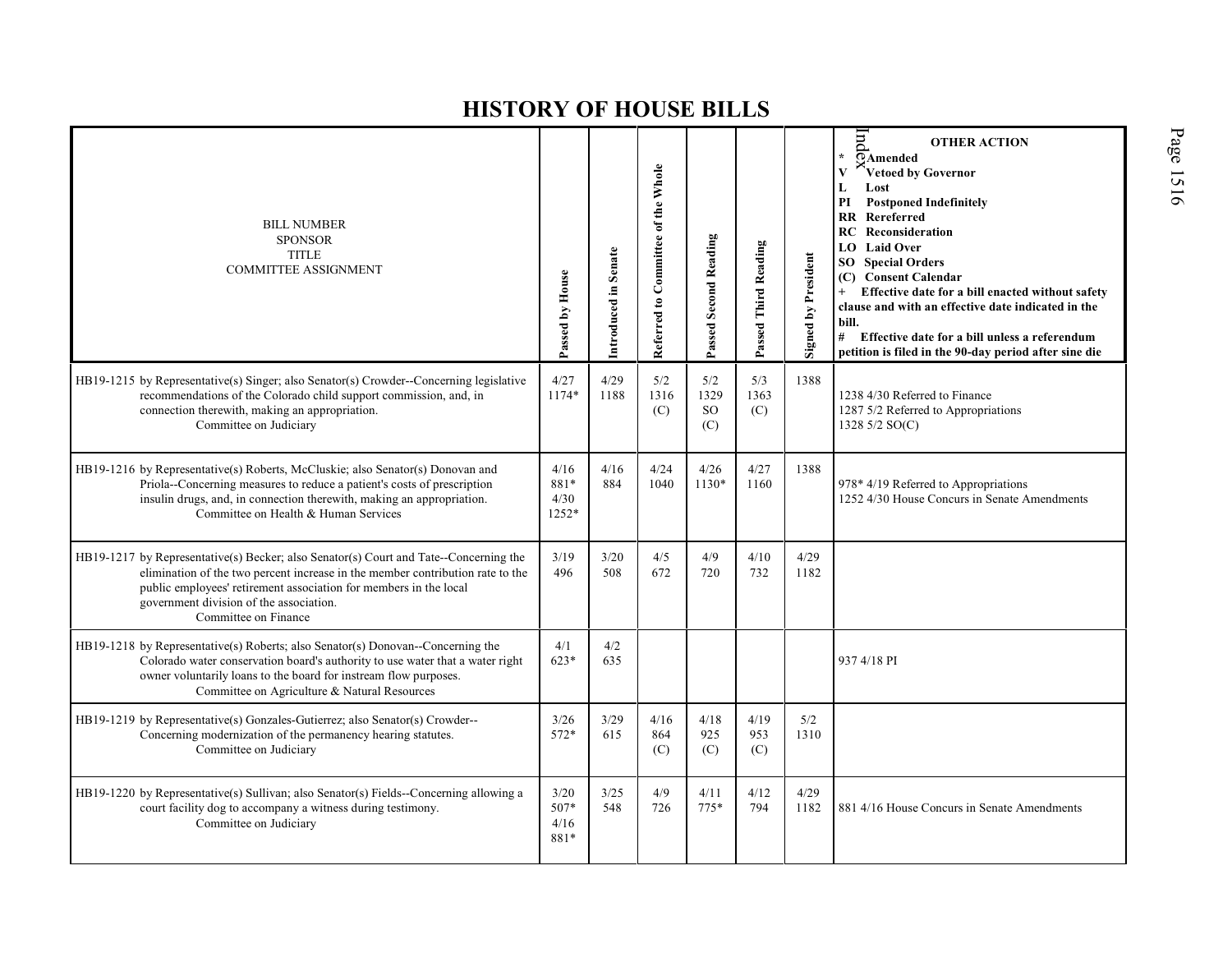| <b>BILL NUMBER</b><br><b>SPONSOR</b><br><b>TITLE</b><br><b>COMMITTEE ASSIGNMENT</b>                                                                                                                                                                                                                             | Passed by House                | Introduced in Senate | Referred to Committee of the Whole | <b>Passed Second Reading</b>    | Passed Third Reading | <b>Signed by President</b> | $\overline{\text{H}}$<br><b>OTHER ACTION</b><br>$\star$<br>$\overline{\odot}$ Amended<br>V<br>Vetoed by Governor<br>Lost<br>L<br><b>Postponed Indefinitely</b><br>PI<br><b>RR</b> Rereferred<br><b>RC</b> Reconsideration<br><b>LO</b> Laid Over<br><b>SO</b> Special Orders<br>(C) Consent Calendar<br>Effective date for a bill enacted without safety<br>clause and with an effective date indicated in the<br>bill.<br># Effective date for a bill unless a referendum<br>petition is filed in the 90-day period after sine die |
|-----------------------------------------------------------------------------------------------------------------------------------------------------------------------------------------------------------------------------------------------------------------------------------------------------------------|--------------------------------|----------------------|------------------------------------|---------------------------------|----------------------|----------------------------|-------------------------------------------------------------------------------------------------------------------------------------------------------------------------------------------------------------------------------------------------------------------------------------------------------------------------------------------------------------------------------------------------------------------------------------------------------------------------------------------------------------------------------------|
| HB19-1215 by Representative(s) Singer; also Senator(s) Crowder--Concerning legislative<br>recommendations of the Colorado child support commission, and, in<br>connection therewith, making an appropriation.<br>Committee on Judiciary                                                                         | 4/27<br>1174*                  | 4/29<br>1188         | 5/2<br>1316<br>(C)                 | 5/2<br>1329<br><b>SO</b><br>(C) | 5/3<br>1363<br>(C)   | 1388                       | 1238 4/30 Referred to Finance<br>1287 5/2 Referred to Appropriations<br>1328 5/2 SO(C)                                                                                                                                                                                                                                                                                                                                                                                                                                              |
| HB19-1216 by Representative(s) Roberts, McCluskie; also Senator(s) Donovan and<br>Priola--Concerning measures to reduce a patient's costs of prescription<br>insulin drugs, and, in connection therewith, making an appropriation.<br>Committee on Health & Human Services                                      | 4/16<br>881*<br>4/30<br>1252*  | 4/16<br>884          | 4/24<br>1040                       | 4/26<br>1130*                   | 4/27<br>1160         | 1388                       | 978* 4/19 Referred to Appropriations<br>1252 4/30 House Concurs in Senate Amendments                                                                                                                                                                                                                                                                                                                                                                                                                                                |
| HB19-1217 by Representative(s) Becker; also Senator(s) Court and Tate--Concerning the<br>elimination of the two percent increase in the member contribution rate to the<br>public employees' retirement association for members in the local<br>government division of the association.<br>Committee on Finance | 3/19<br>496                    | 3/20<br>508          | 4/5<br>672                         | 4/9<br>720                      | 4/10<br>732          | 4/29<br>1182               |                                                                                                                                                                                                                                                                                                                                                                                                                                                                                                                                     |
| HB19-1218 by Representative(s) Roberts; also Senator(s) Donovan--Concerning the<br>Colorado water conservation board's authority to use water that a water right<br>owner voluntarily loans to the board for instream flow purposes.<br>Committee on Agriculture & Natural Resources                            | 4/1<br>$623*$                  | 4/2<br>635           |                                    |                                 |                      |                            | 937 4/18 PI                                                                                                                                                                                                                                                                                                                                                                                                                                                                                                                         |
| HB19-1219 by Representative(s) Gonzales-Gutierrez; also Senator(s) Crowder--<br>Concerning modernization of the permanency hearing statutes.<br>Committee on Judiciary                                                                                                                                          | 3/26<br>572*                   | 3/29<br>615          | 4/16<br>864<br>(C)                 | 4/18<br>925<br>(C)              | 4/19<br>953<br>(C)   | 5/2<br>1310                |                                                                                                                                                                                                                                                                                                                                                                                                                                                                                                                                     |
| HB19-1220 by Representative(s) Sullivan; also Senator(s) Fields--Concerning allowing a<br>court facility dog to accompany a witness during testimony.<br>Committee on Judiciary                                                                                                                                 | $3/20$<br>507*<br>4/16<br>881* | 3/25<br>548          | 4/9<br>726                         | 4/11<br>$775*$                  | 4/12<br>794          | 4/29<br>1182               | 881 4/16 House Concurs in Senate Amendments                                                                                                                                                                                                                                                                                                                                                                                                                                                                                         |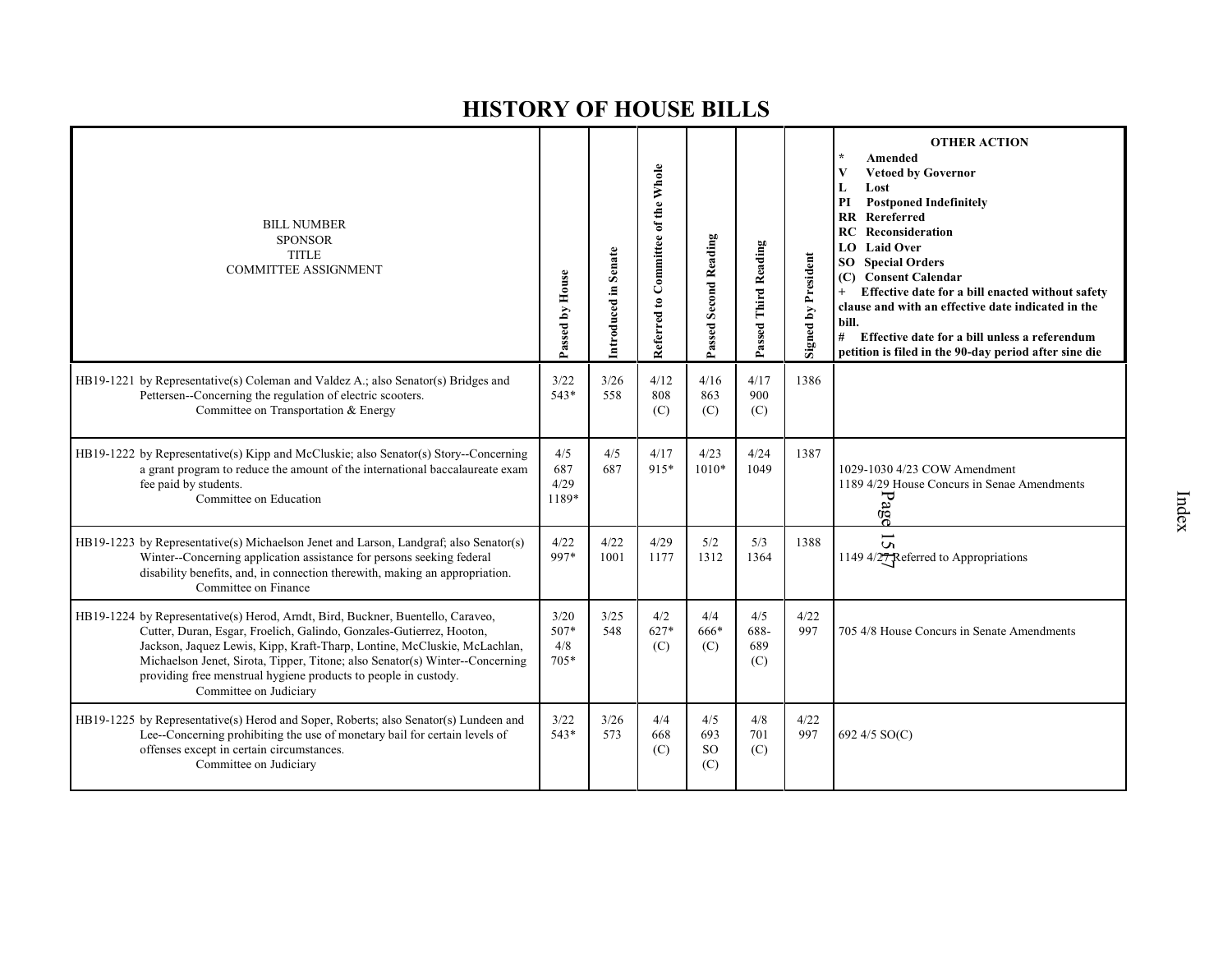| <b>BILL NUMBER</b><br><b>SPONSOR</b><br><b>TITLE</b><br><b>COMMITTEE ASSIGNMENT</b>                                                                                                                                                                                                                                                                                                                              | Passed by House                 | Introduced in Senate | Referred to Committee of the Whole | Passed Second Reading              | Passed Third Reading      | Signed by President | <b>OTHER ACTION</b><br>Amended<br>V<br><b>Vetoed by Governor</b><br>Lost<br>L<br>PI<br><b>Postponed Indefinitely</b><br><b>RR</b> Rereferred<br><b>RC</b> Reconsideration<br><b>Laid Over</b><br>LO.<br><b>Special Orders</b><br>SO -<br><b>Consent Calendar</b><br>(C)<br>Effective date for a bill enacted without safety<br>clause and with an effective date indicated in the<br>bill.<br>#<br>Effective date for a bill unless a referendum<br>petition is filed in the 90-day period after sine die |
|------------------------------------------------------------------------------------------------------------------------------------------------------------------------------------------------------------------------------------------------------------------------------------------------------------------------------------------------------------------------------------------------------------------|---------------------------------|----------------------|------------------------------------|------------------------------------|---------------------------|---------------------|-----------------------------------------------------------------------------------------------------------------------------------------------------------------------------------------------------------------------------------------------------------------------------------------------------------------------------------------------------------------------------------------------------------------------------------------------------------------------------------------------------------|
| HB19-1221 by Representative(s) Coleman and Valdez A.; also Senator(s) Bridges and<br>Pettersen--Concerning the regulation of electric scooters.<br>Committee on Transportation & Energy                                                                                                                                                                                                                          | 3/22<br>$543*$                  | 3/26<br>558          | 4/12<br>808<br>(C)                 | 4/16<br>863<br>(C)                 | 4/17<br>900<br>(C)        | 1386                |                                                                                                                                                                                                                                                                                                                                                                                                                                                                                                           |
| HB19-1222 by Representative(s) Kipp and McCluskie; also Senator(s) Story--Concerning<br>a grant program to reduce the amount of the international baccalaureate exam<br>fee paid by students.<br>Committee on Education                                                                                                                                                                                          | 4/5<br>687<br>4/29<br>1189*     | 4/5<br>687           | 4/17<br>915*                       | 4/23<br>$1010*$                    | 4/24<br>1049              | 1387                | 1029-1030 4/23 COW Amendment<br>1189 4/29 House Concurs in Senae Amendments<br>Page                                                                                                                                                                                                                                                                                                                                                                                                                       |
| HB19-1223 by Representative(s) Michaelson Jenet and Larson, Landgraf; also Senator(s)<br>Winter--Concerning application assistance for persons seeking federal<br>disability benefits, and, in connection therewith, making an appropriation.<br>Committee on Finance                                                                                                                                            | 4/22<br>997*                    | 4/22<br>1001         | 4/29<br>1177                       | 5/2<br>1312                        | 5/3<br>1364               | 1388                | $\overline{5}$<br>1149 4/27 Referred to Appropriations                                                                                                                                                                                                                                                                                                                                                                                                                                                    |
| HB19-1224 by Representative(s) Herod, Arndt, Bird, Buckner, Buentello, Caraveo,<br>Cutter, Duran, Esgar, Froelich, Galindo, Gonzales-Gutierrez, Hooton,<br>Jackson, Jaquez Lewis, Kipp, Kraft-Tharp, Lontine, McCluskie, McLachlan,<br>Michaelson Jenet, Sirota, Tipper, Titone; also Senator(s) Winter--Concerning<br>providing free menstrual hygiene products to people in custody.<br>Committee on Judiciary | 3/20<br>$507*$<br>4/8<br>$705*$ | 3/25<br>548          | 4/2<br>627*<br>(C)                 | 4/4<br>666*<br>(C)                 | 4/5<br>688-<br>689<br>(C) | 4/22<br>997         | 705 4/8 House Concurs in Senate Amendments                                                                                                                                                                                                                                                                                                                                                                                                                                                                |
| HB19-1225 by Representative(s) Herod and Soper, Roberts; also Senator(s) Lundeen and<br>Lee-Concerning prohibiting the use of monetary bail for certain levels of<br>offenses except in certain circumstances.<br>Committee on Judiciary                                                                                                                                                                         | 3/22<br>543*                    | 3/26<br>573          | 4/4<br>668<br>(C)                  | 4/5<br>693<br><sub>SO</sub><br>(C) | 4/8<br>701<br>(C)         | 4/22<br>997         | 692 4/5 SO(C)                                                                                                                                                                                                                                                                                                                                                                                                                                                                                             |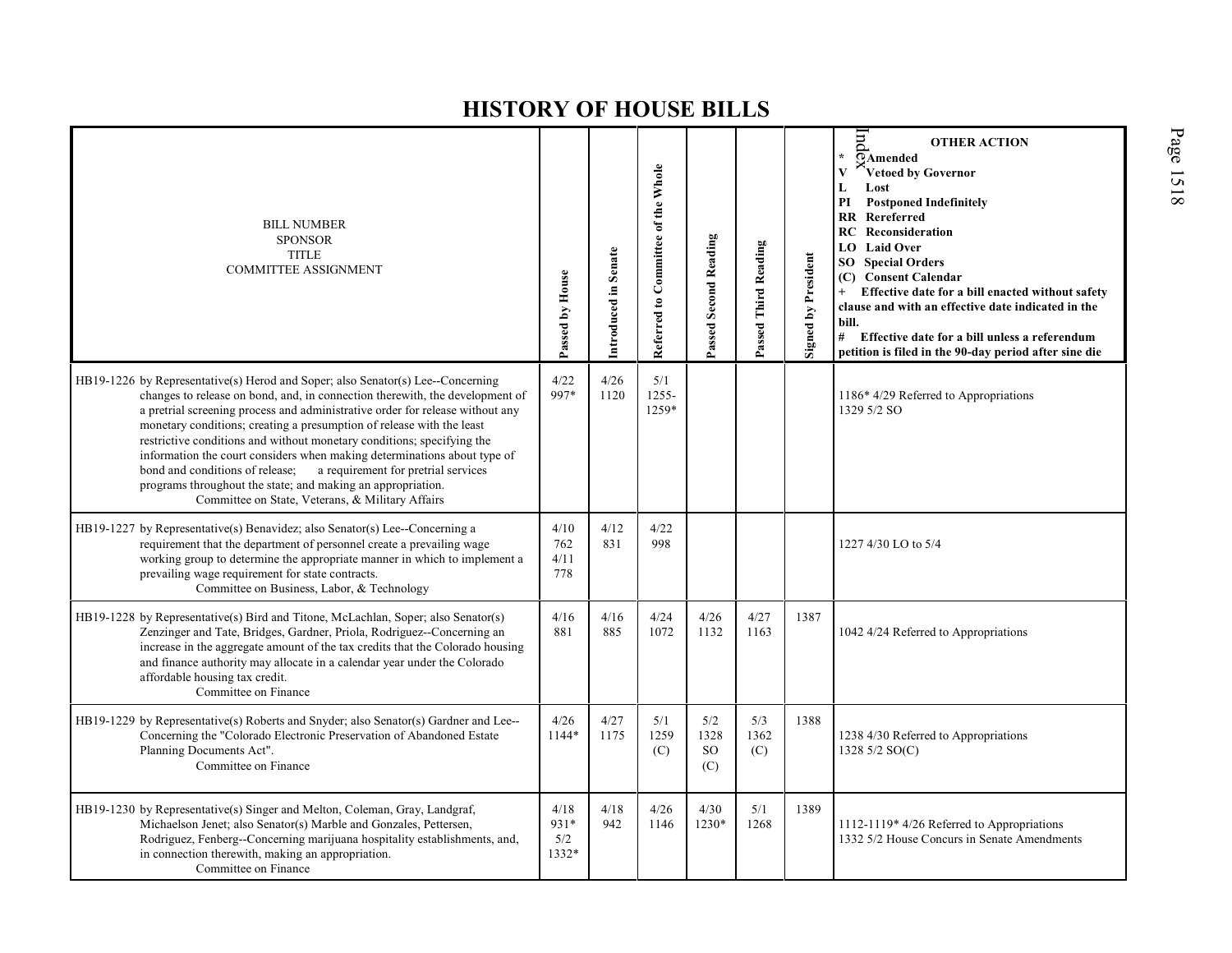| <b>BILL NUMBER</b><br><b>SPONSOR</b><br><b>TITLE</b><br><b>COMMITTEE ASSIGNMENT</b>                                                                                                                                                                                                                                                                                                                                                                                                                                                                                                                                                                                          | Passed by House              | Introduced in Senate | Referred to Committee of the Whole | Passed Second Reading                 | Passed Third Reading | Signed by President | $\ln$<br><b>OTHER ACTION</b><br>$\pmb{\star}$<br><b>PAmended</b><br>$\mathbf{V}$<br>Vetoed by Governor<br>$\mathbf L$<br>Lost<br>PI<br><b>Postponed Indefinitely</b><br>$\mathbf{R}$<br>Rereferred<br>Reconsideration<br>RC<br>LO Laid Over<br><b>Special Orders</b><br>SO <sub>2</sub><br>(C) Consent Calendar<br>Effective date for a bill enacted without safety<br>$^{+}$<br>clause and with an effective date indicated in the<br>bill.<br># Effective date for a bill unless a referendum<br>petition is filed in the 90-day period after sine die |
|------------------------------------------------------------------------------------------------------------------------------------------------------------------------------------------------------------------------------------------------------------------------------------------------------------------------------------------------------------------------------------------------------------------------------------------------------------------------------------------------------------------------------------------------------------------------------------------------------------------------------------------------------------------------------|------------------------------|----------------------|------------------------------------|---------------------------------------|----------------------|---------------------|----------------------------------------------------------------------------------------------------------------------------------------------------------------------------------------------------------------------------------------------------------------------------------------------------------------------------------------------------------------------------------------------------------------------------------------------------------------------------------------------------------------------------------------------------------|
| HB19-1226 by Representative(s) Herod and Soper; also Senator(s) Lee--Concerning<br>changes to release on bond, and, in connection therewith, the development of<br>a pretrial screening process and administrative order for release without any<br>monetary conditions; creating a presumption of release with the least<br>restrictive conditions and without monetary conditions; specifying the<br>information the court considers when making determinations about type of<br>a requirement for pretrial services<br>bond and conditions of release;<br>programs throughout the state; and making an appropriation.<br>Committee on State, Veterans, & Military Affairs | 4/22<br>997*                 | 4/26<br>1120         | 5/1<br>$1255 -$<br>1259*           |                                       |                      |                     | 1186* 4/29 Referred to Appropriations<br>1329 5/2 SO                                                                                                                                                                                                                                                                                                                                                                                                                                                                                                     |
| HB19-1227 by Representative(s) Benavidez; also Senator(s) Lee--Concerning a<br>requirement that the department of personnel create a prevailing wage<br>working group to determine the appropriate manner in which to implement a<br>prevailing wage requirement for state contracts.<br>Committee on Business, Labor, & Technology                                                                                                                                                                                                                                                                                                                                          | 4/10<br>762<br>4/11<br>778   | 4/12<br>831          | 4/22<br>998                        |                                       |                      |                     | 1227 4/30 LO to 5/4                                                                                                                                                                                                                                                                                                                                                                                                                                                                                                                                      |
| HB19-1228 by Representative(s) Bird and Titone, McLachlan, Soper; also Senator(s)<br>Zenzinger and Tate, Bridges, Gardner, Priola, Rodriguez--Concerning an<br>increase in the aggregate amount of the tax credits that the Colorado housing<br>and finance authority may allocate in a calendar year under the Colorado<br>affordable housing tax credit.<br>Committee on Finance                                                                                                                                                                                                                                                                                           | 4/16<br>881                  | 4/16<br>885          | 4/24<br>1072                       | 4/26<br>1132                          | 4/27<br>1163         | 1387                | 1042 4/24 Referred to Appropriations                                                                                                                                                                                                                                                                                                                                                                                                                                                                                                                     |
| HB19-1229 by Representative(s) Roberts and Snyder; also Senator(s) Gardner and Lee--<br>Concerning the "Colorado Electronic Preservation of Abandoned Estate<br>Planning Documents Act".<br>Committee on Finance                                                                                                                                                                                                                                                                                                                                                                                                                                                             | 4/26<br>1144*                | 4/27<br>1175         | 5/1<br>1259<br>(C)                 | 5/2<br>1328<br>SO <sub>1</sub><br>(C) | 5/3<br>1362<br>(C)   | 1388                | 1238 4/30 Referred to Appropriations<br>1328 5/2 SO(C)                                                                                                                                                                                                                                                                                                                                                                                                                                                                                                   |
| HB19-1230 by Representative(s) Singer and Melton, Coleman, Gray, Landgraf,<br>Michaelson Jenet; also Senator(s) Marble and Gonzales, Pettersen,<br>Rodriguez, Fenberg--Concerning marijuana hospitality establishments, and,<br>in connection therewith, making an appropriation.<br>Committee on Finance                                                                                                                                                                                                                                                                                                                                                                    | 4/18<br>931*<br>5/2<br>1332* | 4/18<br>942          | 4/26<br>1146                       | 4/30<br>1230*                         | 5/1<br>1268          | 1389                | 1112-1119* 4/26 Referred to Appropriations<br>1332 5/2 House Concurs in Senate Amendments                                                                                                                                                                                                                                                                                                                                                                                                                                                                |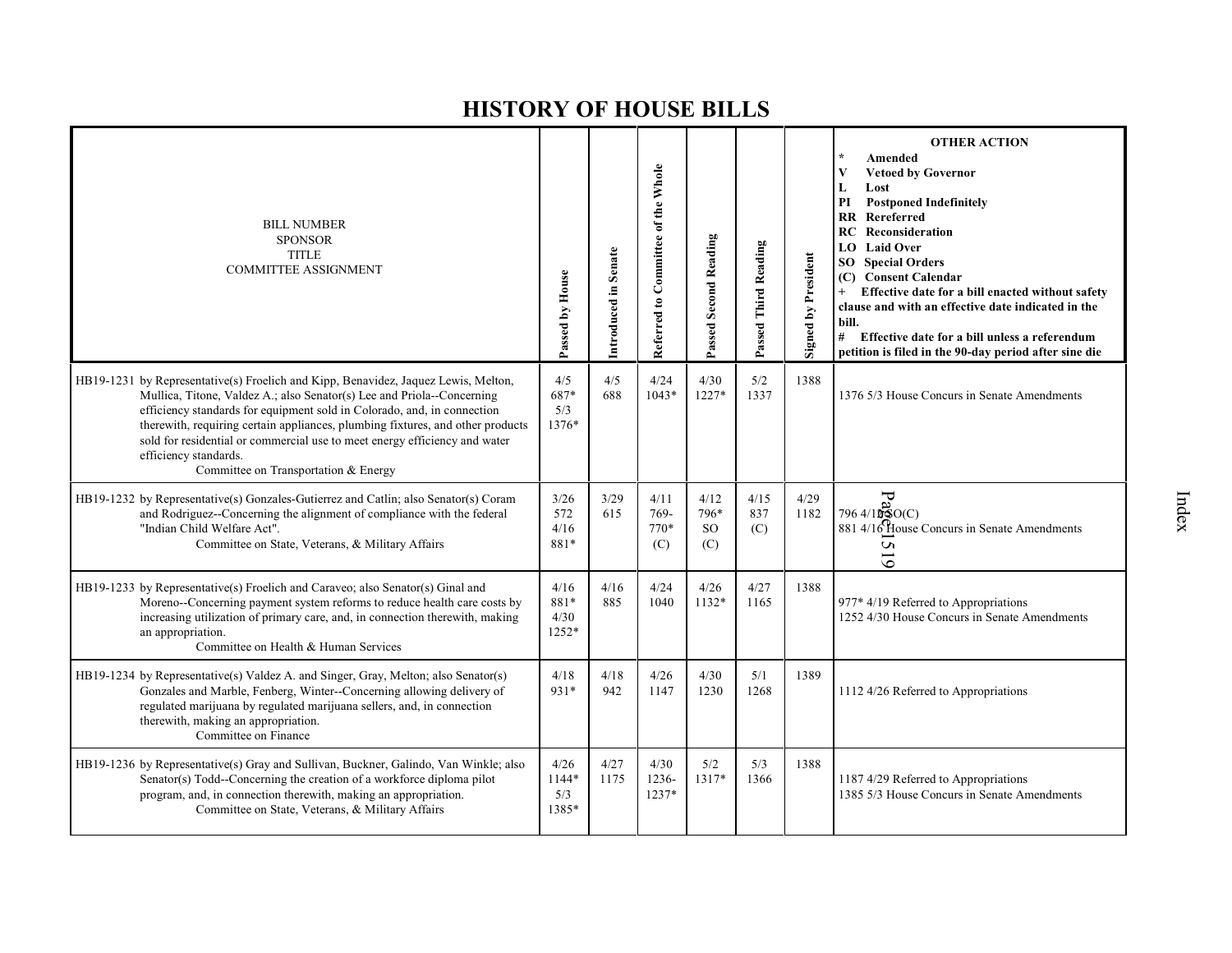| <b>BILL NUMBER</b><br><b>SPONSOR</b><br><b>TITLE</b><br><b>COMMITTEE ASSIGNMENT</b>                                                                                                                                                                                                                                                                                                                                                                                      | Passed by House               | Introduced in Senate | Referred to Committee of the Whole | Passed Second Reading                | Passed Third Reading | <b>Signed by President</b> | <b>OTHER ACTION</b><br>Amended<br><b>Vetoed by Governor</b><br>V<br>Lost<br>L<br>PI<br><b>Postponed Indefinitely</b><br>Rereferred<br>RR<br><b>RC</b> Reconsideration<br>LO Laid Over<br><b>SO</b> Special Orders<br>(C) Consent Calendar<br>Effective date for a bill enacted without safety<br>clause and with an effective date indicated in the<br>bill.<br>#<br>Effective date for a bill unless a referendum<br>petition is filed in the 90-day period after sine die |
|--------------------------------------------------------------------------------------------------------------------------------------------------------------------------------------------------------------------------------------------------------------------------------------------------------------------------------------------------------------------------------------------------------------------------------------------------------------------------|-------------------------------|----------------------|------------------------------------|--------------------------------------|----------------------|----------------------------|-----------------------------------------------------------------------------------------------------------------------------------------------------------------------------------------------------------------------------------------------------------------------------------------------------------------------------------------------------------------------------------------------------------------------------------------------------------------------------|
| HB19-1231 by Representative(s) Froelich and Kipp, Benavidez, Jaquez Lewis, Melton,<br>Mullica, Titone, Valdez A.; also Senator(s) Lee and Priola--Concerning<br>efficiency standards for equipment sold in Colorado, and, in connection<br>therewith, requiring certain appliances, plumbing fixtures, and other products<br>sold for residential or commercial use to meet energy efficiency and water<br>efficiency standards.<br>Committee on Transportation & Energy | 4/5<br>687*<br>5/3<br>1376*   | 4/5<br>688           | 4/24<br>$1043*$                    | 4/30<br>$1227*$                      | 5/2<br>1337          | 1388                       | 1376 5/3 House Concurs in Senate Amendments                                                                                                                                                                                                                                                                                                                                                                                                                                 |
| HB19-1232 by Representative(s) Gonzales-Gutierrez and Catlin; also Senator(s) Coram<br>and Rodriguez--Concerning the alignment of compliance with the federal<br>"Indian Child Welfare Act".<br>Committee on State, Veterans, & Military Affairs                                                                                                                                                                                                                         | 3/26<br>572<br>4/16<br>881*   | 3/29<br>615          | 4/11<br>769-<br>$770*$<br>(C)      | 4/12<br>796*<br><sub>SO</sub><br>(C) | 4/15<br>837<br>(C)   | 4/29<br>1182               | $F_{\rm 3}$<br>$796\frac{4}{10}$ \$O(C)<br>881 4/16 House Concurs in Senate Amendments<br>S<br>$\overline{5}$                                                                                                                                                                                                                                                                                                                                                               |
| HB19-1233 by Representative(s) Froelich and Caraveo; also Senator(s) Ginal and<br>Moreno--Concerning payment system reforms to reduce health care costs by<br>increasing utilization of primary care, and, in connection therewith, making<br>an appropriation.<br>Committee on Health & Human Services                                                                                                                                                                  | 4/16<br>881*<br>4/30<br>1252* | 4/16<br>885          | 4/24<br>1040                       | 4/26<br>$1132*$                      | 4/27<br>1165         | 1388                       | 977* 4/19 Referred to Appropriations<br>1252 4/30 House Concurs in Senate Amendments                                                                                                                                                                                                                                                                                                                                                                                        |
| HB19-1234 by Representative(s) Valdez A. and Singer, Gray, Melton; also Senator(s)<br>Gonzales and Marble, Fenberg, Winter--Concerning allowing delivery of<br>regulated marijuana by regulated marijuana sellers, and, in connection<br>therewith, making an appropriation.<br>Committee on Finance                                                                                                                                                                     | 4/18<br>931*                  | 4/18<br>942          | 4/26<br>1147                       | 4/30<br>1230                         | 5/1<br>1268          | 1389                       | 1112 4/26 Referred to Appropriations                                                                                                                                                                                                                                                                                                                                                                                                                                        |
| HB19-1236 by Representative(s) Gray and Sullivan, Buckner, Galindo, Van Winkle; also<br>Senator(s) Todd--Concerning the creation of a workforce diploma pilot<br>program, and, in connection therewith, making an appropriation.<br>Committee on State, Veterans, & Military Affairs                                                                                                                                                                                     | 4/26<br>1144*<br>5/3<br>1385* | 4/27<br>1175         | 4/30<br>1236-<br>$1237*$           | 5/2<br>1317*                         | 5/3<br>1366          | 1388                       | 1187 4/29 Referred to Appropriations<br>1385 5/3 House Concurs in Senate Amendments                                                                                                                                                                                                                                                                                                                                                                                         |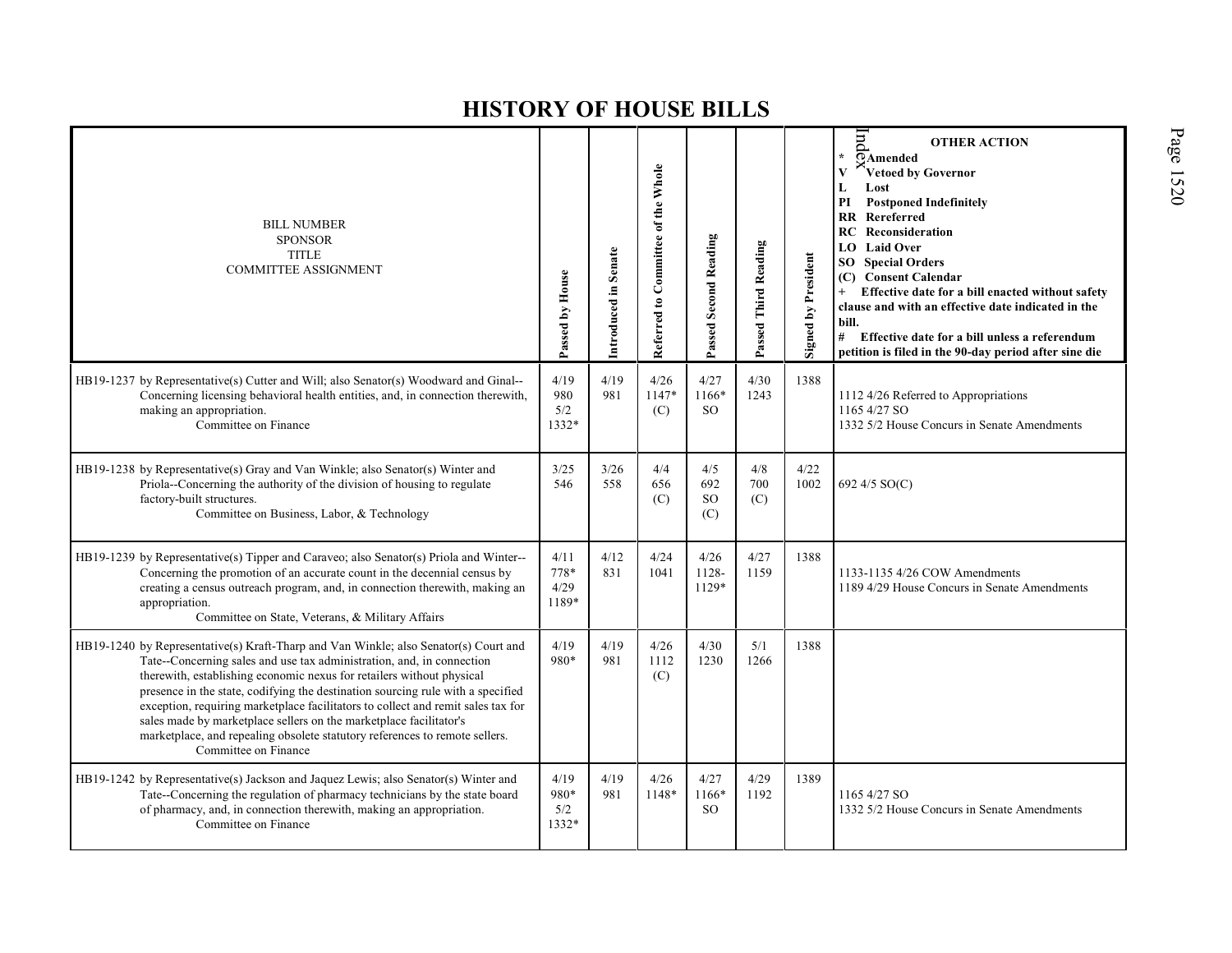| <b>BILL NUMBER</b><br><b>SPONSOR</b><br><b>TITLE</b><br><b>COMMITTEE ASSIGNMENT</b>                                                                                                                                                                                                                                                                                                                                                                                                                                                                                                        | Passed by House               | Introduced in Senate | Referred to Committee of the Whole | <b>Passed Second Reading</b> | Passed Third Reading | <b>Signed by President</b> | $\mathop{\mathrm{Im}}$<br><b>OTHER ACTION</b><br>¥.<br>$\overline{\odot}$ Amended<br>Vetoed by Governor<br>Lost<br>L<br><b>Postponed Indefinitely</b><br>PI<br><b>RR</b> Rereferred<br><b>RC</b> Reconsideration<br><b>LO</b> Laid Over<br><b>SO</b> Special Orders<br>(C) Consent Calendar<br>Effective date for a bill enacted without safety<br>$+$<br>clause and with an effective date indicated in the<br>bill.<br># Effective date for a bill unless a referendum<br>petition is filed in the 90-day period after sine die |
|--------------------------------------------------------------------------------------------------------------------------------------------------------------------------------------------------------------------------------------------------------------------------------------------------------------------------------------------------------------------------------------------------------------------------------------------------------------------------------------------------------------------------------------------------------------------------------------------|-------------------------------|----------------------|------------------------------------|------------------------------|----------------------|----------------------------|-----------------------------------------------------------------------------------------------------------------------------------------------------------------------------------------------------------------------------------------------------------------------------------------------------------------------------------------------------------------------------------------------------------------------------------------------------------------------------------------------------------------------------------|
| HB19-1237 by Representative(s) Cutter and Will; also Senator(s) Woodward and Ginal--<br>Concerning licensing behavioral health entities, and, in connection therewith,<br>making an appropriation.<br>Committee on Finance                                                                                                                                                                                                                                                                                                                                                                 | 4/19<br>980<br>5/2<br>1332*   | 4/19<br>981          | 4/26<br>1147*<br>(C)               | 4/27<br>1166*<br>SO.         | 4/30<br>1243         | 1388                       | 1112 4/26 Referred to Appropriations<br>1165 4/27 SO<br>1332 5/2 House Concurs in Senate Amendments                                                                                                                                                                                                                                                                                                                                                                                                                               |
| HB19-1238 by Representative(s) Gray and Van Winkle; also Senator(s) Winter and<br>Priola--Concerning the authority of the division of housing to regulate<br>factory-built structures.<br>Committee on Business, Labor, & Technology                                                                                                                                                                                                                                                                                                                                                       | 3/25<br>546                   | 3/26<br>558          | 4/4<br>656<br>(C)                  | 4/5<br>692<br>SO.<br>(C)     | 4/8<br>700<br>(C)    | 4/22<br>1002               | 692 4/5 SO(C)                                                                                                                                                                                                                                                                                                                                                                                                                                                                                                                     |
| HB19-1239 by Representative(s) Tipper and Caraveo; also Senator(s) Priola and Winter--<br>Concerning the promotion of an accurate count in the decennial census by<br>creating a census outreach program, and, in connection therewith, making an<br>appropriation.<br>Committee on State, Veterans, & Military Affairs                                                                                                                                                                                                                                                                    | 4/11<br>778*<br>4/29<br>1189* | 4/12<br>831          | 4/24<br>1041                       | 4/26<br>1128-<br>1129*       | 4/27<br>1159         | 1388                       | 1133-1135 4/26 COW Amendments<br>1189 4/29 House Concurs in Senate Amendments                                                                                                                                                                                                                                                                                                                                                                                                                                                     |
| HB19-1240 by Representative(s) Kraft-Tharp and Van Winkle; also Senator(s) Court and<br>Tate--Concerning sales and use tax administration, and, in connection<br>therewith, establishing economic nexus for retailers without physical<br>presence in the state, codifying the destination sourcing rule with a specified<br>exception, requiring marketplace facilitators to collect and remit sales tax for<br>sales made by marketplace sellers on the marketplace facilitator's<br>marketplace, and repealing obsolete statutory references to remote sellers.<br>Committee on Finance | 4/19<br>980*                  | 4/19<br>981          | 4/26<br>1112<br>(C)                | 4/30<br>1230                 | 5/1<br>1266          | 1388                       |                                                                                                                                                                                                                                                                                                                                                                                                                                                                                                                                   |
| HB19-1242 by Representative(s) Jackson and Jaquez Lewis; also Senator(s) Winter and<br>Tate--Concerning the regulation of pharmacy technicians by the state board<br>of pharmacy, and, in connection therewith, making an appropriation.<br>Committee on Finance                                                                                                                                                                                                                                                                                                                           | 4/19<br>980*<br>5/2<br>1332*  | 4/19<br>981          | 4/26<br>1148*                      | 4/27<br>1166*<br>SO.         | 4/29<br>1192         | 1389                       | 1165 4/27 SO<br>1332 5/2 House Concurs in Senate Amendments                                                                                                                                                                                                                                                                                                                                                                                                                                                                       |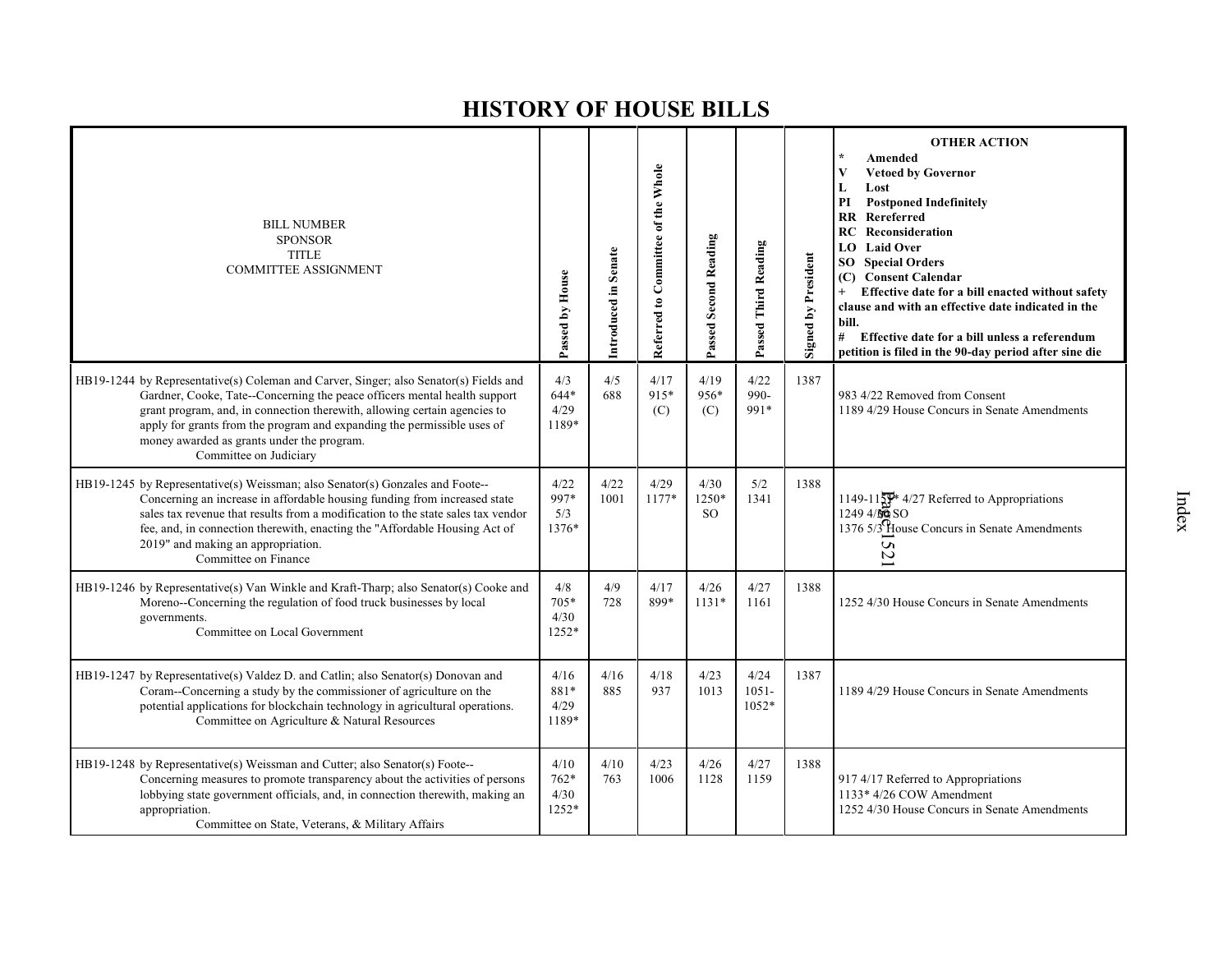| <b>BILL NUMBER</b><br><b>SPONSOR</b><br><b>TITLE</b><br><b>COMMITTEE ASSIGNMENT</b>                                                                                                                                                                                                                                                                                                                | Passed by House                | Introduced in Senate | Referred to Committee of the Whole | Passed Second Reading          | Passed Third Reading      | <b>Signed by President</b> | <b>OTHER ACTION</b><br>Amended<br><b>Vetoed by Governor</b><br>V<br>L<br>Lost<br><b>Postponed Indefinitely</b><br>PI<br>Rereferred<br>RR<br><b>RC</b> Reconsideration<br>LO Laid Over<br><b>SO</b> Special Orders<br>(C) Consent Calendar<br>Effective date for a bill enacted without safety<br>clause and with an effective date indicated in the<br>bill.<br>#<br>Effective date for a bill unless a referendum<br>petition is filed in the 90-day period after sine die |
|----------------------------------------------------------------------------------------------------------------------------------------------------------------------------------------------------------------------------------------------------------------------------------------------------------------------------------------------------------------------------------------------------|--------------------------------|----------------------|------------------------------------|--------------------------------|---------------------------|----------------------------|-----------------------------------------------------------------------------------------------------------------------------------------------------------------------------------------------------------------------------------------------------------------------------------------------------------------------------------------------------------------------------------------------------------------------------------------------------------------------------|
| HB19-1244 by Representative(s) Coleman and Carver, Singer; also Senator(s) Fields and<br>Gardner, Cooke, Tate--Concerning the peace officers mental health support<br>grant program, and, in connection therewith, allowing certain agencies to<br>apply for grants from the program and expanding the permissible uses of<br>money awarded as grants under the program.<br>Committee on Judiciary | 4/3<br>$644*$<br>4/29<br>1189* | 4/5<br>688           | 4/17<br>915*<br>(C)                | 4/19<br>956*<br>(C)            | 4/22<br>990-<br>991*      | 1387                       | 983 4/22 Removed from Consent<br>1189 4/29 House Concurs in Senate Amendments                                                                                                                                                                                                                                                                                                                                                                                               |
| HB19-1245 by Representative(s) Weissman; also Senator(s) Gonzales and Foote--<br>Concerning an increase in affordable housing funding from increased state<br>sales tax revenue that results from a modification to the state sales tax vendor<br>fee, and, in connection therewith, enacting the "Affordable Housing Act of<br>2019" and making an appropriation.<br>Committee on Finance         | 4/22<br>997*<br>5/3<br>1376*   | 4/22<br>1001         | 4/29<br>1177*                      | 4/30<br>1250*<br><sub>SO</sub> | 5/2<br>1341               | 1388                       | 1149-11 $\frac{100}{29}$ 4/27 Referred to Appropriations<br>$1249\frac{4}{90}\,SO$<br>1376 5/3 House Concurs in Senate Amendments<br>52                                                                                                                                                                                                                                                                                                                                     |
| HB19-1246 by Representative(s) Van Winkle and Kraft-Tharp; also Senator(s) Cooke and<br>Moreno--Concerning the regulation of food truck businesses by local<br>governments.<br>Committee on Local Government                                                                                                                                                                                       | 4/8<br>$705*$<br>4/30<br>1252* | 4/9<br>728           | 4/17<br>899*                       | 4/26<br>$1131*$                | 4/27<br>1161              | 1388                       | 1252 4/30 House Concurs in Senate Amendments                                                                                                                                                                                                                                                                                                                                                                                                                                |
| HB19-1247 by Representative(s) Valdez D. and Catlin; also Senator(s) Donovan and<br>Coram--Concerning a study by the commissioner of agriculture on the<br>potential applications for blockchain technology in agricultural operations.<br>Committee on Agriculture & Natural Resources                                                                                                            | 4/16<br>881*<br>4/29<br>1189*  | 4/16<br>885          | 4/18<br>937                        | 4/23<br>1013                   | 4/24<br>$1051 -$<br>1052* | 1387                       | 1189 4/29 House Concurs in Senate Amendments                                                                                                                                                                                                                                                                                                                                                                                                                                |
| HB19-1248 by Representative(s) Weissman and Cutter; also Senator(s) Foote--<br>Concerning measures to promote transparency about the activities of persons<br>lobbying state government officials, and, in connection therewith, making an<br>appropriation.<br>Committee on State, Veterans, & Military Affairs                                                                                   | 4/10<br>762*<br>4/30<br>1252*  | 4/10<br>763          | 4/23<br>1006                       | 4/26<br>1128                   | 4/27<br>1159              | 1388                       | 917 4/17 Referred to Appropriations<br>1133* 4/26 COW Amendment<br>1252 4/30 House Concurs in Senate Amendments                                                                                                                                                                                                                                                                                                                                                             |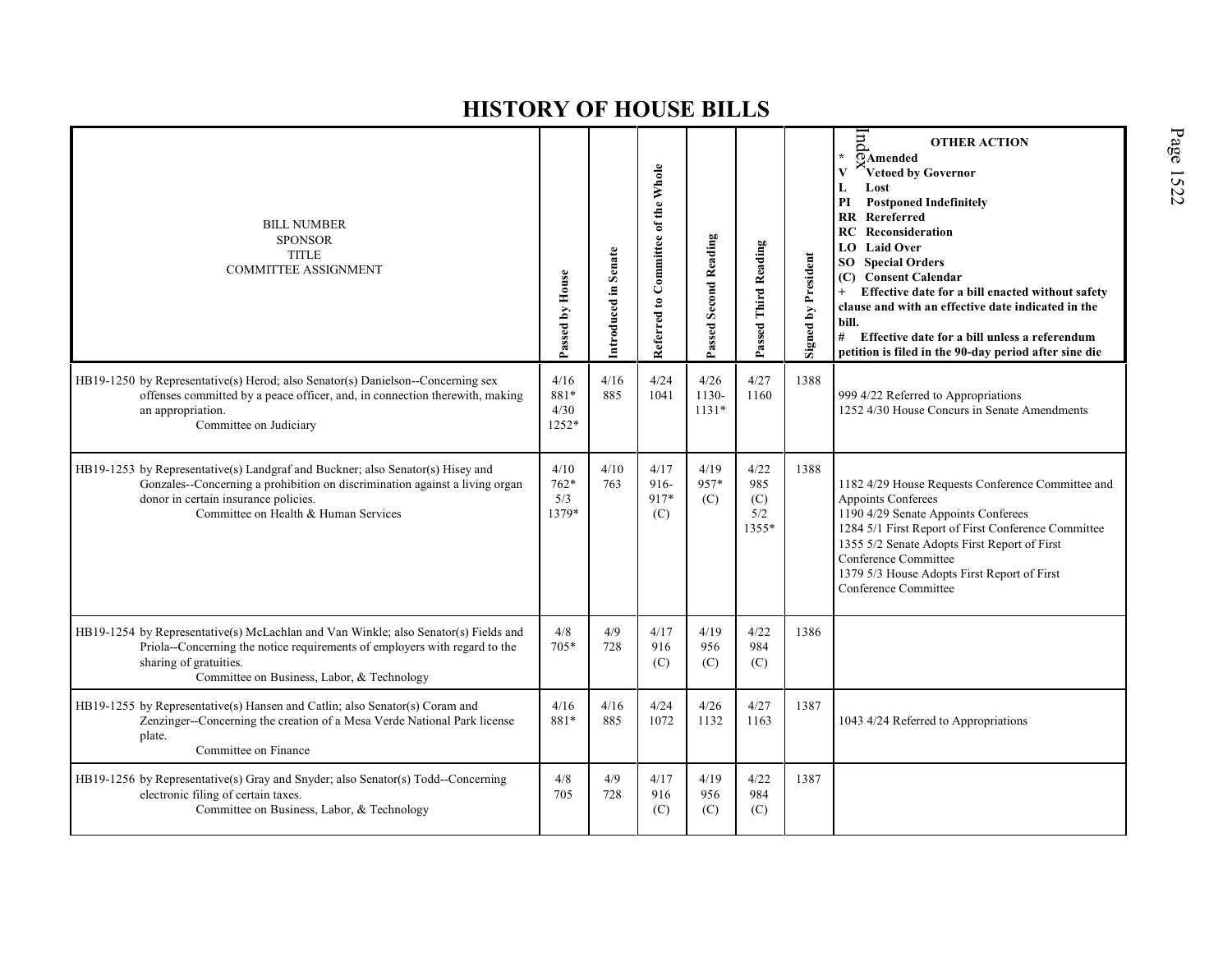| <b>BILL NUMBER</b><br><b>SPONSOR</b><br><b>TITLE</b><br><b>COMMITTEE ASSIGNMENT</b>                                                                                                                                                           | Passed by House                | Introduced in Senate | Referred to Committee of the Whole | Passed Second Reading    | Passed Third Reading               | Signed by President | $\overline{m}$<br><b>OTHER ACTION</b><br>¥.<br>$\overline{O}$ Amended<br>Vetoed by Governor<br>Lost<br>L<br><b>Postponed Indefinitely</b><br>PI<br><b>RR</b> Rereferred<br><b>RC</b> Reconsideration<br><b>LO</b> Laid Over<br><b>SO</b> Special Orders<br>(C) Consent Calendar<br>Effective date for a bill enacted without safety<br>clause and with an effective date indicated in the<br>bill.<br># Effective date for a bill unless a referendum<br>petition is filed in the 90-day period after sine die |
|-----------------------------------------------------------------------------------------------------------------------------------------------------------------------------------------------------------------------------------------------|--------------------------------|----------------------|------------------------------------|--------------------------|------------------------------------|---------------------|----------------------------------------------------------------------------------------------------------------------------------------------------------------------------------------------------------------------------------------------------------------------------------------------------------------------------------------------------------------------------------------------------------------------------------------------------------------------------------------------------------------|
| HB19-1250 by Representative(s) Herod; also Senator(s) Danielson--Concerning sex<br>offenses committed by a peace officer, and, in connection therewith, making<br>an appropriation.<br>Committee on Judiciary                                 | 4/16<br>881*<br>4/30<br>1252*  | 4/16<br>885          | 4/24<br>1041                       | 4/26<br>1130-<br>$1131*$ | 4/27<br>1160                       | 1388                | 999 4/22 Referred to Appropriations<br>1252 4/30 House Concurs in Senate Amendments                                                                                                                                                                                                                                                                                                                                                                                                                            |
| HB19-1253 by Representative(s) Landgraf and Buckner; also Senator(s) Hisey and<br>Gonzales--Concerning a prohibition on discrimination against a living organ<br>donor in certain insurance policies.<br>Committee on Health & Human Services | 4/10<br>$762*$<br>5/3<br>1379* | 4/10<br>763          | 4/17<br>916-<br>917*<br>(C)        | 4/19<br>957*<br>(C)      | 4/22<br>985<br>(C)<br>5/2<br>1355* | 1388                | 1182 4/29 House Requests Conference Committee and<br>Appoints Conferees<br>1190 4/29 Senate Appoints Conferees<br>1284 5/1 First Report of First Conference Committee<br>1355 5/2 Senate Adopts First Report of First<br>Conference Committee<br>1379 5/3 House Adopts First Report of First<br>Conference Committee                                                                                                                                                                                           |
| HB19-1254 by Representative(s) McLachlan and Van Winkle; also Senator(s) Fields and<br>Priola--Concerning the notice requirements of employers with regard to the<br>sharing of gratuities.<br>Committee on Business, Labor, & Technology     | 4/8<br>$705*$                  | 4/9<br>728           | 4/17<br>916<br>(C)                 | 4/19<br>956<br>(C)       | 4/22<br>984<br>(C)                 | 1386                |                                                                                                                                                                                                                                                                                                                                                                                                                                                                                                                |
| HB19-1255 by Representative(s) Hansen and Catlin; also Senator(s) Coram and<br>Zenzinger--Concerning the creation of a Mesa Verde National Park license<br>plate.<br>Committee on Finance                                                     | 4/16<br>881*                   | 4/16<br>885          | 4/24<br>1072                       | 4/26<br>1132             | 4/27<br>1163                       | 1387                | 1043 4/24 Referred to Appropriations                                                                                                                                                                                                                                                                                                                                                                                                                                                                           |
| HB19-1256 by Representative(s) Gray and Snyder; also Senator(s) Todd--Concerning<br>electronic filing of certain taxes.<br>Committee on Business, Labor, & Technology                                                                         | 4/8<br>705                     | 4/9<br>728           | 4/17<br>916<br>(C)                 | 4/19<br>956<br>(C)       | 4/22<br>984<br>(C)                 | 1387                |                                                                                                                                                                                                                                                                                                                                                                                                                                                                                                                |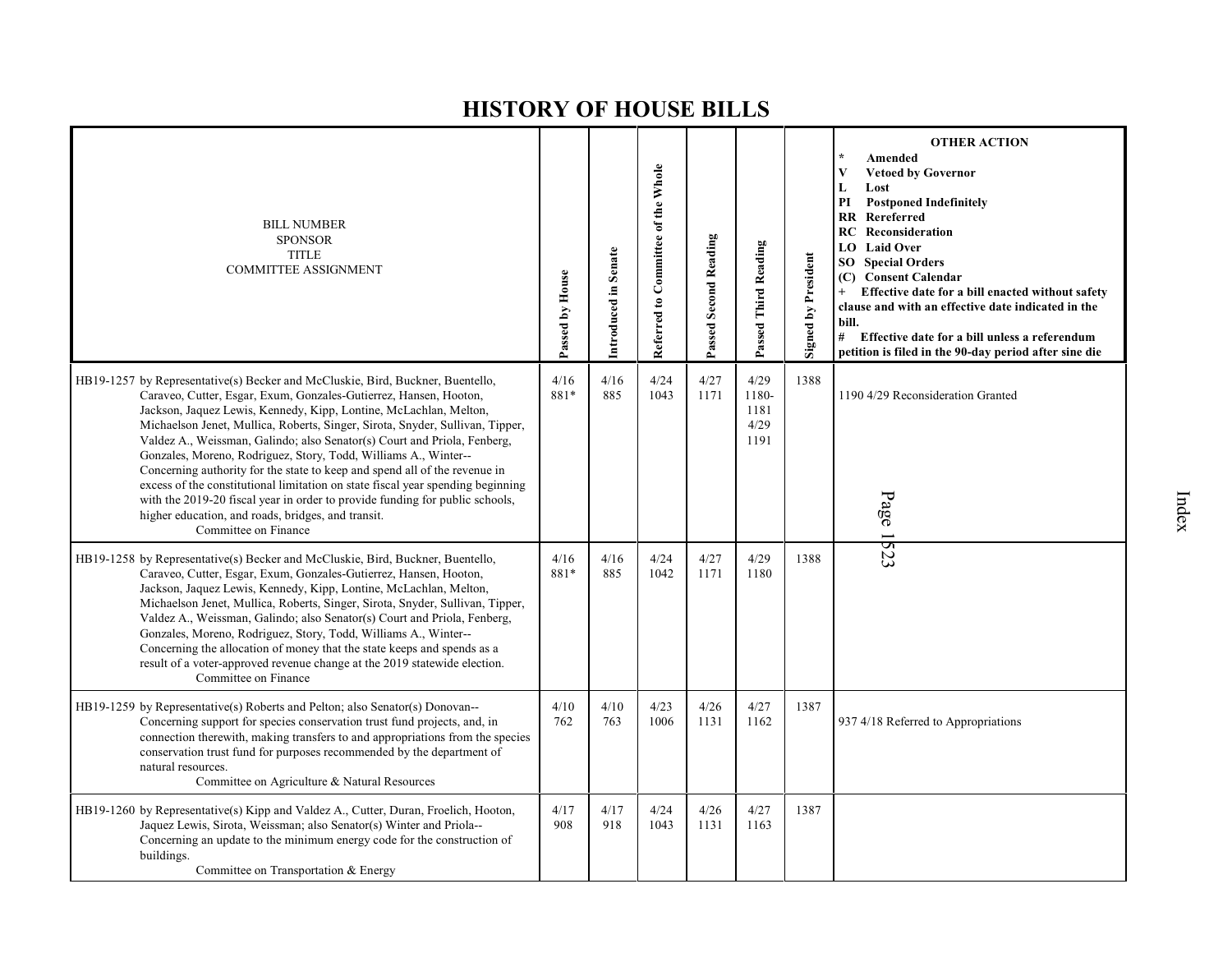| <b>BILL NUMBER</b><br><b>SPONSOR</b><br><b>TITLE</b><br><b>COMMITTEE ASSIGNMENT</b>                                                                                                                                                                                                                                                                                                                                                                                                                                                                                                                                                                                                                                                                                                     | Passed by House | Introduced in Senate | Referred to Committee of the Whole | Passed Second Reading | Passed Third Reading                  | Signed by President | <b>OTHER ACTION</b><br>Amended<br>$\star$<br>$\mathbf{V}$<br><b>Vetoed by Governor</b><br>L<br>Lost<br>PI<br><b>Postponed Indefinitely</b><br><b>RR</b> Rereferred<br>RC.<br>Reconsideration<br><b>LO</b> Laid Over<br><b>SO</b> Special Orders<br>(C) Consent Calendar<br>Effective date for a bill enacted without safety<br>$+$<br>clause and with an effective date indicated in the<br>bill.<br># Effective date for a bill unless a referendum<br>petition is filed in the 90-day period after sine die |
|-----------------------------------------------------------------------------------------------------------------------------------------------------------------------------------------------------------------------------------------------------------------------------------------------------------------------------------------------------------------------------------------------------------------------------------------------------------------------------------------------------------------------------------------------------------------------------------------------------------------------------------------------------------------------------------------------------------------------------------------------------------------------------------------|-----------------|----------------------|------------------------------------|-----------------------|---------------------------------------|---------------------|---------------------------------------------------------------------------------------------------------------------------------------------------------------------------------------------------------------------------------------------------------------------------------------------------------------------------------------------------------------------------------------------------------------------------------------------------------------------------------------------------------------|
| HB19-1257 by Representative(s) Becker and McCluskie, Bird, Buckner, Buentello,<br>Caraveo, Cutter, Esgar, Exum, Gonzales-Gutierrez, Hansen, Hooton,<br>Jackson, Jaquez Lewis, Kennedy, Kipp, Lontine, McLachlan, Melton,<br>Michaelson Jenet, Mullica, Roberts, Singer, Sirota, Snyder, Sullivan, Tipper,<br>Valdez A., Weissman, Galindo; also Senator(s) Court and Priola, Fenberg,<br>Gonzales, Moreno, Rodriguez, Story, Todd, Williams A., Winter--<br>Concerning authority for the state to keep and spend all of the revenue in<br>excess of the constitutional limitation on state fiscal year spending beginning<br>with the 2019-20 fiscal year in order to provide funding for public schools,<br>higher education, and roads, bridges, and transit.<br>Committee on Finance | 4/16<br>881*    | 4/16<br>885          | 4/24<br>1043                       | 4/27<br>1171          | 4/29<br>1180-<br>1181<br>4/29<br>1191 | 1388                | 1190 4/29 Reconsideration Granted<br>Page 1523                                                                                                                                                                                                                                                                                                                                                                                                                                                                |
| HB19-1258 by Representative(s) Becker and McCluskie, Bird, Buckner, Buentello,<br>Caraveo, Cutter, Esgar, Exum, Gonzales-Gutierrez, Hansen, Hooton,<br>Jackson, Jaquez Lewis, Kennedy, Kipp, Lontine, McLachlan, Melton,<br>Michaelson Jenet, Mullica, Roberts, Singer, Sirota, Snyder, Sullivan, Tipper,<br>Valdez A., Weissman, Galindo; also Senator(s) Court and Priola, Fenberg,<br>Gonzales, Moreno, Rodriguez, Story, Todd, Williams A., Winter--<br>Concerning the allocation of money that the state keeps and spends as a<br>result of a voter-approved revenue change at the 2019 statewide election.<br>Committee on Finance                                                                                                                                                | 4/16<br>881*    | 4/16<br>885          | 4/24<br>1042                       | 4/27<br>1171          | 4/29<br>1180                          | 1388                |                                                                                                                                                                                                                                                                                                                                                                                                                                                                                                               |
| HB19-1259 by Representative(s) Roberts and Pelton; also Senator(s) Donovan---<br>Concerning support for species conservation trust fund projects, and, in<br>connection therewith, making transfers to and appropriations from the species<br>conservation trust fund for purposes recommended by the department of<br>natural resources.<br>Committee on Agriculture & Natural Resources                                                                                                                                                                                                                                                                                                                                                                                               | 4/10<br>762     | 4/10<br>763          | 4/23<br>1006                       | 4/26<br>1131          | 4/27<br>1162                          | 1387                | 937 4/18 Referred to Appropriations                                                                                                                                                                                                                                                                                                                                                                                                                                                                           |
| HB19-1260 by Representative(s) Kipp and Valdez A., Cutter, Duran, Froelich, Hooton,<br>Jaquez Lewis, Sirota, Weissman; also Senator(s) Winter and Priola--<br>Concerning an update to the minimum energy code for the construction of<br>buildings.<br>Committee on Transportation & Energy                                                                                                                                                                                                                                                                                                                                                                                                                                                                                             | 4/17<br>908     | 4/17<br>918          | 4/24<br>1043                       | 4/26<br>1131          | 4/27<br>1163                          | 1387                |                                                                                                                                                                                                                                                                                                                                                                                                                                                                                                               |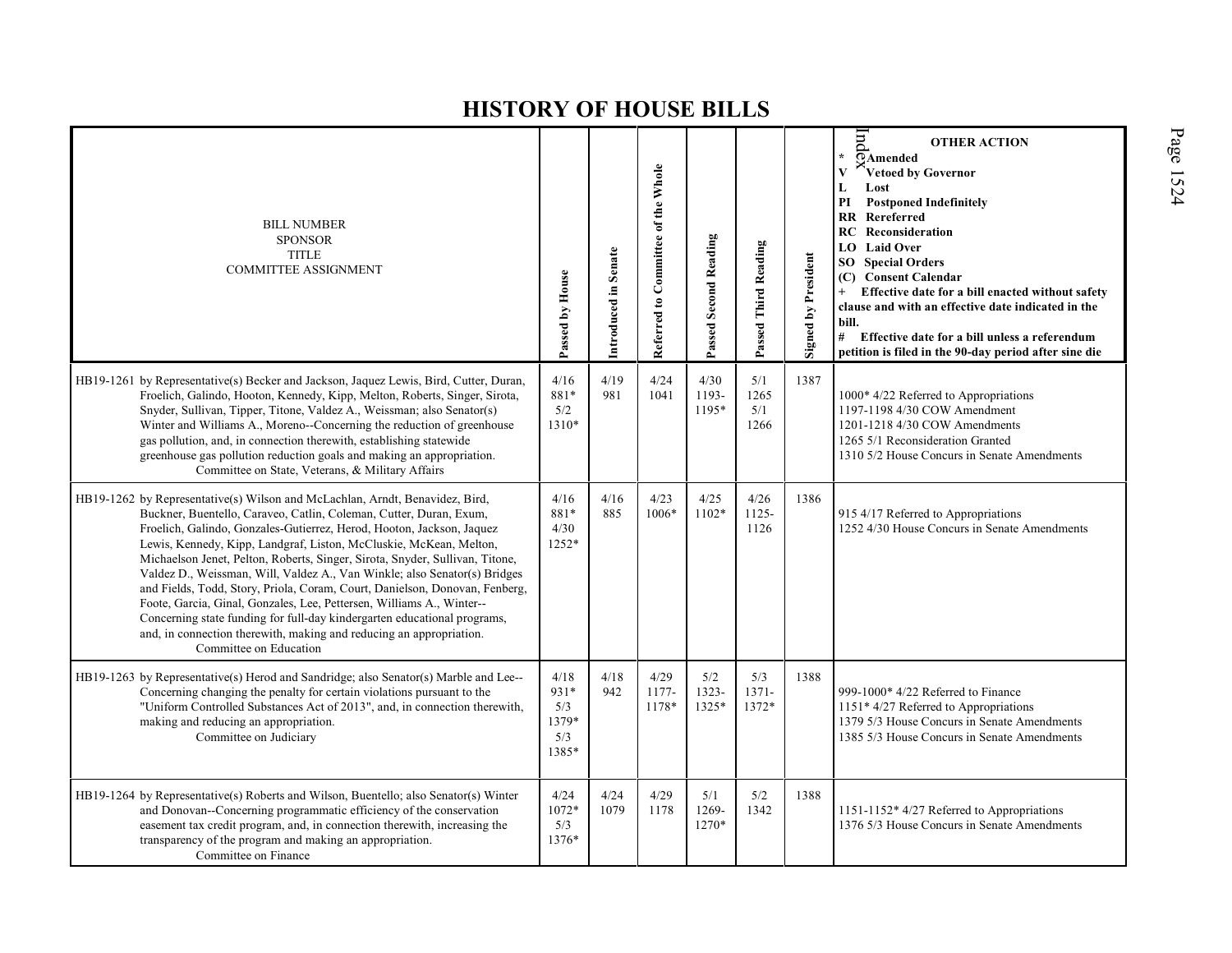| <b>BILL NUMBER</b><br><b>SPONSOR</b><br><b>TITLE</b><br><b>COMMITTEE ASSIGNMENT</b>                                                                                                                                                                                                                                                                                                                                                                                                                                                                                                                                                                                                                                                                                                                 | Passed by House                              | Introduced in Senate | Referred to Committee of the Whole | <b>Passed Second Reading</b> | Passed Third Reading       | <b>Signed by President</b> | pu<br><b>OTHER ACTION</b><br>$\star$<br>OAmended<br>Vetoed by Governor<br>$\mathbf{V}$<br>L<br>Lost<br>PI<br><b>Postponed Indefinitely</b><br><b>RR</b> Rereferred<br>RC<br>Reconsideration<br>LO Laid Over<br><b>Special Orders</b><br>SO.<br>(C) Consent Calendar<br>Effective date for a bill enacted without safety<br>clause and with an effective date indicated in the<br>bill.<br># Effective date for a bill unless a referendum<br>petition is filed in the 90-day period after sine die |
|-----------------------------------------------------------------------------------------------------------------------------------------------------------------------------------------------------------------------------------------------------------------------------------------------------------------------------------------------------------------------------------------------------------------------------------------------------------------------------------------------------------------------------------------------------------------------------------------------------------------------------------------------------------------------------------------------------------------------------------------------------------------------------------------------------|----------------------------------------------|----------------------|------------------------------------|------------------------------|----------------------------|----------------------------|----------------------------------------------------------------------------------------------------------------------------------------------------------------------------------------------------------------------------------------------------------------------------------------------------------------------------------------------------------------------------------------------------------------------------------------------------------------------------------------------------|
| HB19-1261 by Representative(s) Becker and Jackson, Jaquez Lewis, Bird, Cutter, Duran,<br>Froelich, Galindo, Hooton, Kennedy, Kipp, Melton, Roberts, Singer, Sirota,<br>Snyder, Sullivan, Tipper, Titone, Valdez A., Weissman; also Senator(s)<br>Winter and Williams A., Moreno--Concerning the reduction of greenhouse<br>gas pollution, and, in connection therewith, establishing statewide<br>greenhouse gas pollution reduction goals and making an appropriation.<br>Committee on State, Veterans, & Military Affairs                                                                                                                                                                                                                                                                         | 4/16<br>881*<br>5/2<br>1310*                 | 4/19<br>981          | 4/24<br>1041                       | 4/30<br>1193-<br>1195*       | 5/1<br>1265<br>5/1<br>1266 | 1387                       | 1000* 4/22 Referred to Appropriations<br>1197-1198 4/30 COW Amendment<br>1201-1218 4/30 COW Amendments<br>1265 5/1 Reconsideration Granted<br>1310 5/2 House Concurs in Senate Amendments                                                                                                                                                                                                                                                                                                          |
| HB19-1262 by Representative(s) Wilson and McLachlan, Arndt, Benavidez, Bird,<br>Buckner, Buentello, Caraveo, Catlin, Coleman, Cutter, Duran, Exum,<br>Froelich, Galindo, Gonzales-Gutierrez, Herod, Hooton, Jackson, Jaquez<br>Lewis, Kennedy, Kipp, Landgraf, Liston, McCluskie, McKean, Melton,<br>Michaelson Jenet, Pelton, Roberts, Singer, Sirota, Snyder, Sullivan, Titone,<br>Valdez D., Weissman, Will, Valdez A., Van Winkle; also Senator(s) Bridges<br>and Fields, Todd, Story, Priola, Coram, Court, Danielson, Donovan, Fenberg,<br>Foote, Garcia, Ginal, Gonzales, Lee, Pettersen, Williams A., Winter--<br>Concerning state funding for full-day kindergarten educational programs,<br>and, in connection therewith, making and reducing an appropriation.<br>Committee on Education | 4/16<br>881*<br>4/30<br>1252*                | 4/16<br>885          | 4/23<br>1006*                      | 4/25<br>1102*                | 4/26<br>1125-<br>1126      | 1386                       | 915 4/17 Referred to Appropriations<br>1252 4/30 House Concurs in Senate Amendments                                                                                                                                                                                                                                                                                                                                                                                                                |
| HB19-1263 by Representative(s) Herod and Sandridge; also Senator(s) Marble and Lee--<br>Concerning changing the penalty for certain violations pursuant to the<br>"Uniform Controlled Substances Act of 2013", and, in connection therewith,<br>making and reducing an appropriation.<br>Committee on Judiciary                                                                                                                                                                                                                                                                                                                                                                                                                                                                                     | 4/18<br>931*<br>5/3<br>1379*<br>5/3<br>1385* | 4/18<br>942          | 4/29<br>1177-<br>1178*             | 5/2<br>1323-<br>1325*        | 5/3<br>$1371 -$<br>1372*   | 1388                       | 999-1000* 4/22 Referred to Finance<br>$1151*4/27$ Referred to Appropriations<br>1379 5/3 House Concurs in Senate Amendments<br>1385 5/3 House Concurs in Senate Amendments                                                                                                                                                                                                                                                                                                                         |
| HB19-1264 by Representative(s) Roberts and Wilson, Buentello; also Senator(s) Winter<br>and Donovan--Concerning programmatic efficiency of the conservation<br>easement tax credit program, and, in connection therewith, increasing the<br>transparency of the program and making an appropriation.<br>Committee on Finance                                                                                                                                                                                                                                                                                                                                                                                                                                                                        | 4/24<br>1072*<br>5/3<br>1376*                | 4/24<br>1079         | 4/29<br>1178                       | 5/1<br>1269-<br>1270*        | 5/2<br>1342                | 1388                       | 1151-1152* 4/27 Referred to Appropriations<br>1376 5/3 House Concurs in Senate Amendments                                                                                                                                                                                                                                                                                                                                                                                                          |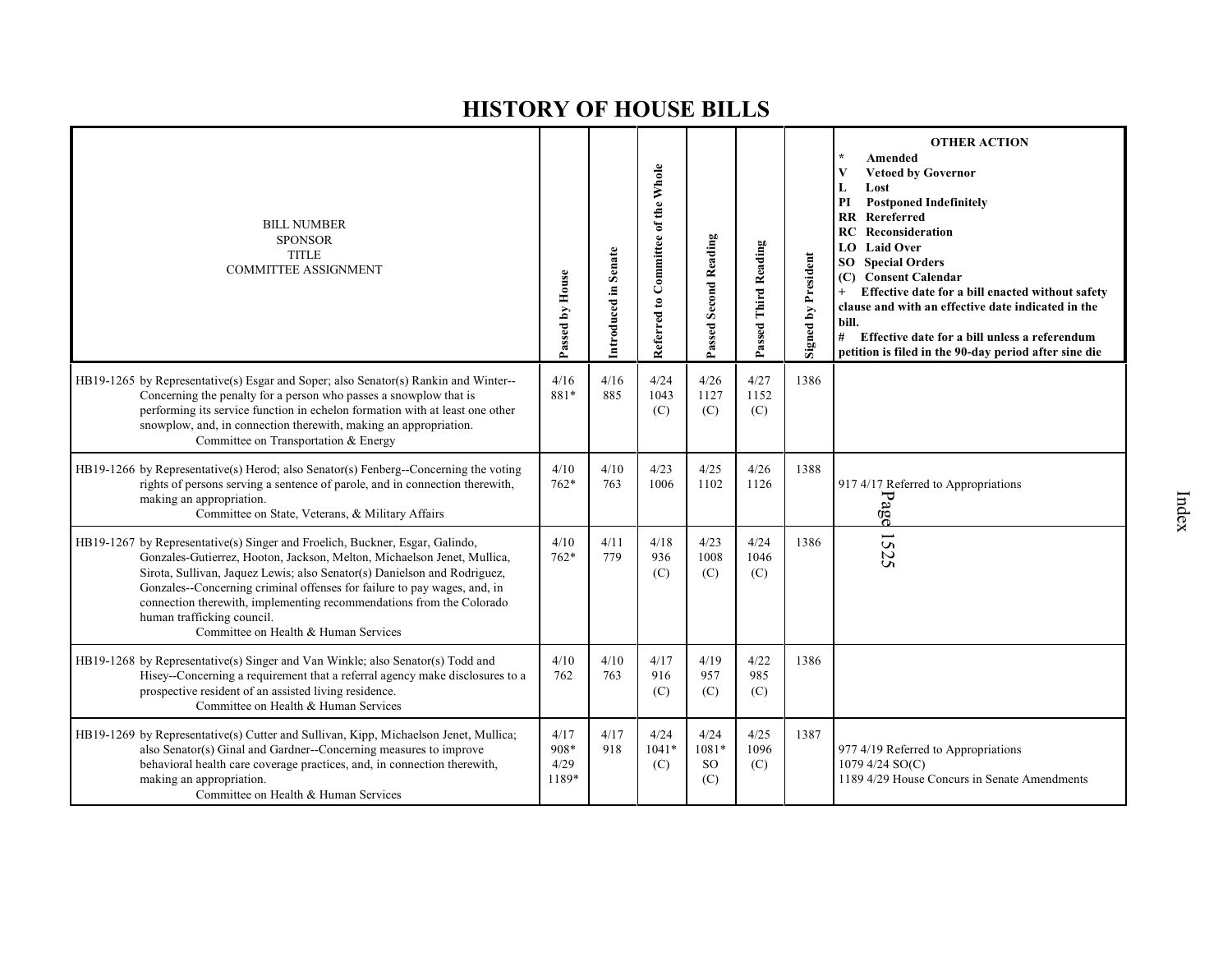| <b>BILL NUMBER</b><br><b>SPONSOR</b><br><b>TITLE</b><br><b>COMMITTEE ASSIGNMENT</b>                                                                                                                                                                                                                                                                                                                                                                           | Passed by House               | Introduced in Senate | Referred to Committee of the Whole | Passed Second Reading         | Passed Third Reading | <b>Signed by President</b> | <b>OTHER ACTION</b><br>$\star$<br>Amended<br>V<br><b>Vetoed by Governor</b><br>Lost<br>L<br>PI<br><b>Postponed Indefinitely</b><br>RR Rereferred<br>Reconsideration<br>RC<br><b>Laid Over</b><br>LO.<br><b>SO</b> Special Orders<br><b>Consent Calendar</b><br>(C)<br>Effective date for a bill enacted without safety<br>$^{+}$<br>clause and with an effective date indicated in the<br>bill.<br>#<br>Effective date for a bill unless a referendum<br>petition is filed in the 90-day period after sine die |
|---------------------------------------------------------------------------------------------------------------------------------------------------------------------------------------------------------------------------------------------------------------------------------------------------------------------------------------------------------------------------------------------------------------------------------------------------------------|-------------------------------|----------------------|------------------------------------|-------------------------------|----------------------|----------------------------|----------------------------------------------------------------------------------------------------------------------------------------------------------------------------------------------------------------------------------------------------------------------------------------------------------------------------------------------------------------------------------------------------------------------------------------------------------------------------------------------------------------|
| HB19-1265 by Representative(s) Esgar and Soper; also Senator(s) Rankin and Winter--<br>Concerning the penalty for a person who passes a snowplow that is<br>performing its service function in echelon formation with at least one other<br>snowplow, and, in connection therewith, making an appropriation.<br>Committee on Transportation & Energy                                                                                                          | 4/16<br>881*                  | 4/16<br>885          | 4/24<br>1043<br>(C)                | 4/26<br>1127<br>(C)           | 4/27<br>1152<br>(C)  | 1386                       |                                                                                                                                                                                                                                                                                                                                                                                                                                                                                                                |
| HB19-1266 by Representative(s) Herod; also Senator(s) Fenberg--Concerning the voting<br>rights of persons serving a sentence of parole, and in connection therewith,<br>making an appropriation.<br>Committee on State, Veterans, & Military Affairs                                                                                                                                                                                                          | 4/10<br>$762*$                | 4/10<br>763          | 4/23<br>1006                       | 4/25<br>1102                  | 4/26<br>1126         | 1388                       | 917 4/17 Referred to Appropriations<br>Page                                                                                                                                                                                                                                                                                                                                                                                                                                                                    |
| HB19-1267 by Representative(s) Singer and Froelich, Buckner, Esgar, Galindo,<br>Gonzales-Gutierrez, Hooton, Jackson, Melton, Michaelson Jenet, Mullica,<br>Sirota, Sullivan, Jaquez Lewis; also Senator(s) Danielson and Rodriguez,<br>Gonzales--Concerning criminal offenses for failure to pay wages, and, in<br>connection therewith, implementing recommendations from the Colorado<br>human trafficking council.<br>Committee on Health & Human Services | 4/10<br>$762*$                | 4/11<br>779          | 4/18<br>936<br>(C)                 | 4/23<br>1008<br>(C)           | 4/24<br>1046<br>(C)  | 1386                       | 1525                                                                                                                                                                                                                                                                                                                                                                                                                                                                                                           |
| HB19-1268 by Representative(s) Singer and Van Winkle; also Senator(s) Todd and<br>Hisey--Concerning a requirement that a referral agency make disclosures to a<br>prospective resident of an assisted living residence.<br>Committee on Health & Human Services                                                                                                                                                                                               | 4/10<br>762                   | 4/10<br>763          | 4/17<br>916<br>(C)                 | 4/19<br>957<br>(C)            | 4/22<br>985<br>(C)   | 1386                       |                                                                                                                                                                                                                                                                                                                                                                                                                                                                                                                |
| HB19-1269 by Representative(s) Cutter and Sullivan, Kipp, Michaelson Jenet, Mullica;<br>also Senator(s) Ginal and Gardner--Concerning measures to improve<br>behavioral health care coverage practices, and, in connection therewith,<br>making an appropriation.<br>Committee on Health & Human Services                                                                                                                                                     | 4/17<br>908*<br>4/29<br>1189* | 4/17<br>918          | 4/24<br>$1041*$<br>(C)             | 4/24<br>$1081*$<br>SO.<br>(C) | 4/25<br>1096<br>(C)  | 1387                       | 977 4/19 Referred to Appropriations<br>1079 4/24 SO(C)<br>1189 4/29 House Concurs in Senate Amendments                                                                                                                                                                                                                                                                                                                                                                                                         |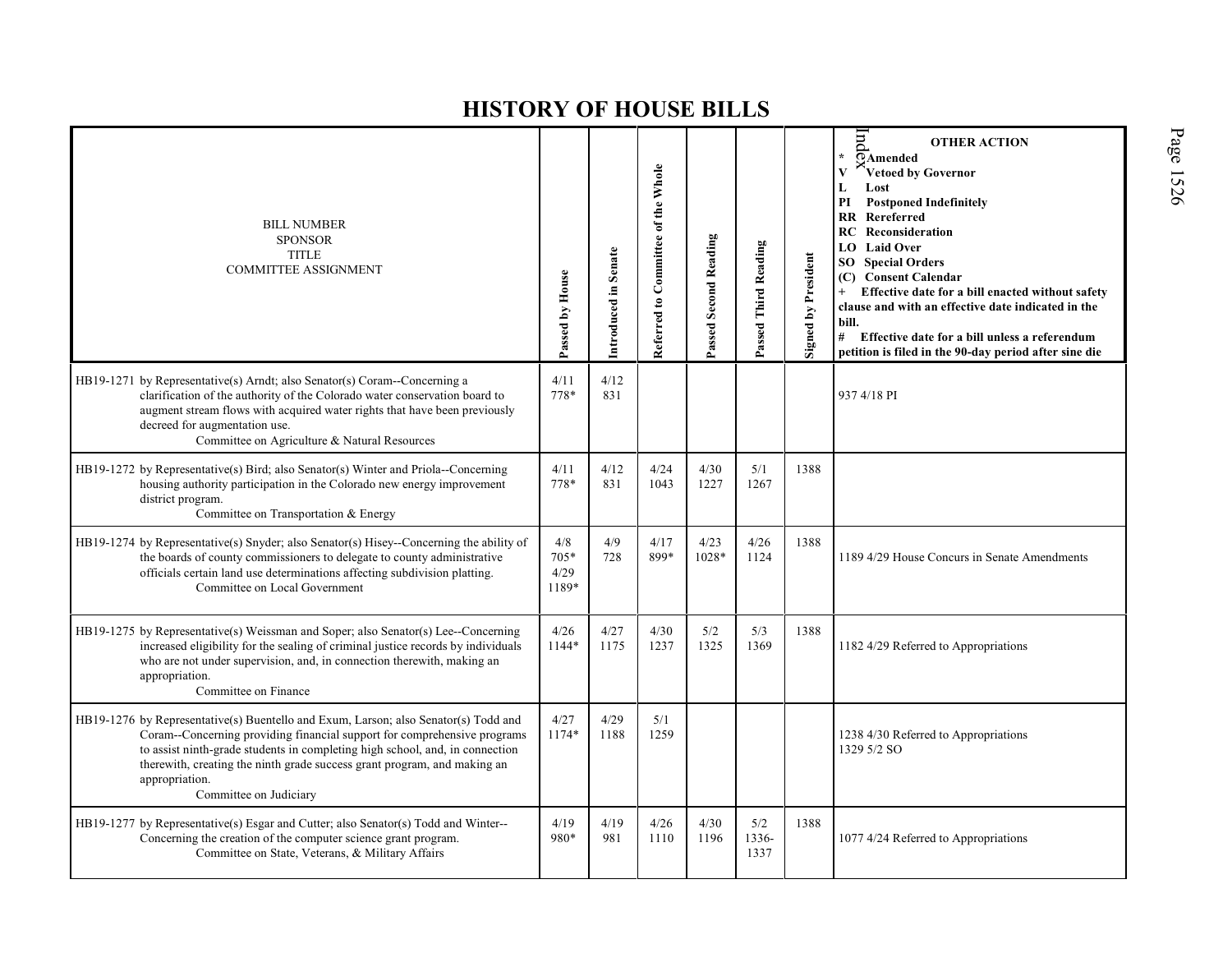| <b>BILL NUMBER</b><br><b>SPONSOR</b><br><b>TITLE</b><br><b>COMMITTEE ASSIGNMENT</b>                                                                                                                                                                                                                                                                                     | Passed by House                | Introduced in Senate | Referred to Committee of the Whole | Passed Second Reading | Passed Third Reading | Signed by President | E<br><b>OTHER ACTION</b><br>¥.<br><b>PAmended</b><br>Vetoed by Governor<br>V<br>Lost<br>L<br><b>Postponed Indefinitely</b><br>PI<br><b>RR</b> Rereferred<br>Reconsideration<br><b>RC</b><br><b>LO</b> Laid Over<br><b>SO</b> Special Orders<br>(C) Consent Calendar<br>Effective date for a bill enacted without safety<br>clause and with an effective date indicated in the<br>bill.<br># Effective date for a bill unless a referendum<br>petition is filed in the 90-day period after sine die |
|-------------------------------------------------------------------------------------------------------------------------------------------------------------------------------------------------------------------------------------------------------------------------------------------------------------------------------------------------------------------------|--------------------------------|----------------------|------------------------------------|-----------------------|----------------------|---------------------|----------------------------------------------------------------------------------------------------------------------------------------------------------------------------------------------------------------------------------------------------------------------------------------------------------------------------------------------------------------------------------------------------------------------------------------------------------------------------------------------------|
| HB19-1271 by Representative(s) Arndt; also Senator(s) Coram--Concerning a<br>clarification of the authority of the Colorado water conservation board to<br>augment stream flows with acquired water rights that have been previously<br>decreed for augmentation use.<br>Committee on Agriculture & Natural Resources                                                   | 4/11<br>778*                   | 4/12<br>831          |                                    |                       |                      |                     | 937 4/18 PI                                                                                                                                                                                                                                                                                                                                                                                                                                                                                        |
| HB19-1272 by Representative(s) Bird; also Senator(s) Winter and Priola--Concerning<br>housing authority participation in the Colorado new energy improvement<br>district program.<br>Committee on Transportation & Energy                                                                                                                                               | 4/11<br>778*                   | 4/12<br>831          | 4/24<br>1043                       | 4/30<br>1227          | 5/1<br>1267          | 1388                |                                                                                                                                                                                                                                                                                                                                                                                                                                                                                                    |
| HB19-1274 by Representative(s) Snyder; also Senator(s) Hisey--Concerning the ability of<br>the boards of county commissioners to delegate to county administrative<br>officials certain land use determinations affecting subdivision platting.<br>Committee on Local Government                                                                                        | 4/8<br>$705*$<br>4/29<br>1189* | 4/9<br>728           | 4/17<br>899*                       | 4/23<br>1028*         | 4/26<br>1124         | 1388                | 1189 4/29 House Concurs in Senate Amendments                                                                                                                                                                                                                                                                                                                                                                                                                                                       |
| HB19-1275 by Representative(s) Weissman and Soper; also Senator(s) Lee--Concerning<br>increased eligibility for the sealing of criminal justice records by individuals<br>who are not under supervision, and, in connection therewith, making an<br>appropriation.<br>Committee on Finance                                                                              | 4/26<br>1144*                  | 4/27<br>1175         | 4/30<br>1237                       | 5/2<br>1325           | 5/3<br>1369          | 1388                | 1182 4/29 Referred to Appropriations                                                                                                                                                                                                                                                                                                                                                                                                                                                               |
| HB19-1276 by Representative(s) Buentello and Exum, Larson; also Senator(s) Todd and<br>Coram--Concerning providing financial support for comprehensive programs<br>to assist ninth-grade students in completing high school, and, in connection<br>therewith, creating the ninth grade success grant program, and making an<br>appropriation.<br>Committee on Judiciary | 4/27<br>1174*                  | 4/29<br>1188         | 5/1<br>1259                        |                       |                      |                     | 1238 4/30 Referred to Appropriations<br>1329 5/2 SO                                                                                                                                                                                                                                                                                                                                                                                                                                                |
| HB19-1277 by Representative(s) Esgar and Cutter; also Senator(s) Todd and Winter--<br>Concerning the creation of the computer science grant program.<br>Committee on State, Veterans, & Military Affairs                                                                                                                                                                | 4/19<br>980*                   | 4/19<br>981          | 4/26<br>1110                       | 4/30<br>1196          | 5/2<br>1336-<br>1337 | 1388                | 1077 4/24 Referred to Appropriations                                                                                                                                                                                                                                                                                                                                                                                                                                                               |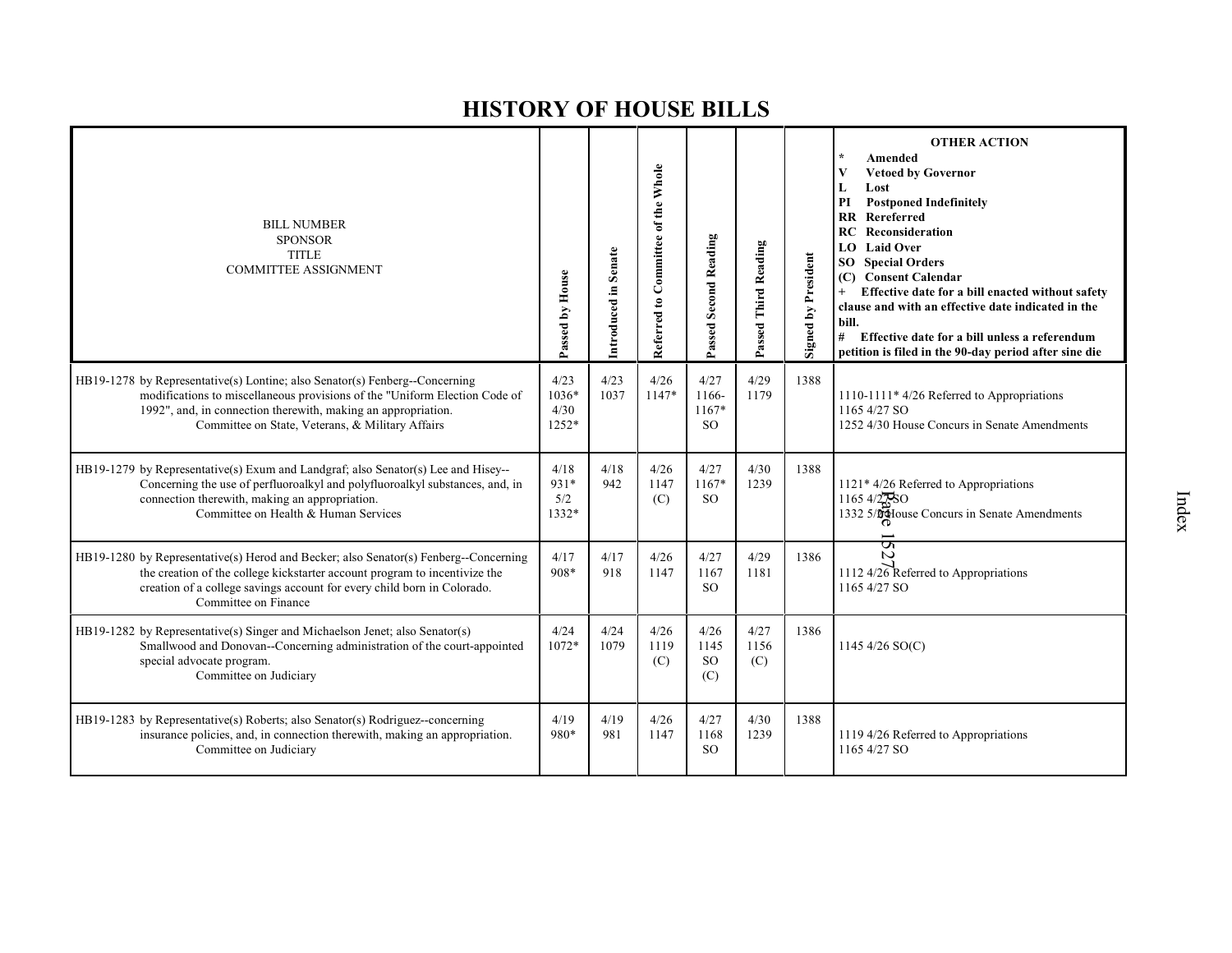| <b>BILL NUMBER</b><br><b>SPONSOR</b><br><b>TITLE</b><br><b>COMMITTEE ASSIGNMENT</b>                                                                                                                                                                                            | Passed by House                  | Introduced in Senate | Referred to Committee of the Whole | Passed Second Reading                | Passed Third Reading | Signed by President | <b>OTHER ACTION</b><br>Amended<br><b>Vetoed by Governor</b><br>V<br>Lost<br>L<br>PI<br><b>Postponed Indefinitely</b><br><b>RR</b> Rereferred<br>Reconsideration<br>RC<br><b>LO</b> Laid Over<br><b>Special Orders</b><br>SO<br><b>Consent Calendar</b><br>(C)<br>Effective date for a bill enacted without safety<br>$+$<br>clause and with an effective date indicated in the<br>bill.<br>#<br>Effective date for a bill unless a referendum<br>petition is filed in the 90-day period after sine die |
|--------------------------------------------------------------------------------------------------------------------------------------------------------------------------------------------------------------------------------------------------------------------------------|----------------------------------|----------------------|------------------------------------|--------------------------------------|----------------------|---------------------|--------------------------------------------------------------------------------------------------------------------------------------------------------------------------------------------------------------------------------------------------------------------------------------------------------------------------------------------------------------------------------------------------------------------------------------------------------------------------------------------------------|
| HB19-1278 by Representative(s) Lontine; also Senator(s) Fenberg--Concerning<br>modifications to miscellaneous provisions of the "Uniform Election Code of<br>1992", and, in connection therewith, making an appropriation.<br>Committee on State, Veterans, & Military Affairs | 4/23<br>1036*<br>4/30<br>$1252*$ | 4/23<br>1037         | 4/26<br>$1147*$                    | 4/27<br>1166-<br>$1167*$<br>SO.      | 4/29<br>1179         | 1388                | 1110-1111* 4/26 Referred to Appropriations<br>1165 4/27 SO<br>1252 4/30 House Concurs in Senate Amendments                                                                                                                                                                                                                                                                                                                                                                                             |
| HB19-1279 by Representative(s) Exum and Landgraf; also Senator(s) Lee and Hisey--<br>Concerning the use of perfluoroalkyl and polyfluoroalkyl substances, and, in<br>connection therewith, making an appropriation.<br>Committee on Health & Human Services                    | 4/18<br>931*<br>5/2<br>1332*     | 4/18<br>942          | 4/26<br>1147<br>(C)                | 4/27<br>$1167*$<br><sub>SO</sub>     | 4/30<br>1239         | 1388                | $1121*4/26$ Referred to Appropriations<br>$1165\frac{4}{27}SO$<br>1332 5/04 House Concurs in Senate Amendments                                                                                                                                                                                                                                                                                                                                                                                         |
| HB19-1280 by Representative(s) Herod and Becker; also Senator(s) Fenberg--Concerning<br>the creation of the college kickstarter account program to incentivize the<br>creation of a college savings account for every child born in Colorado.<br>Committee on Finance          | 4/17<br>908*                     | 4/17<br>918          | 4/26<br>1147                       | 4/27<br>1167<br>SO <sub>2</sub>      | 4/29<br>1181         | 1386                | S<br>N<br>1112 4/26 Referred to Appropriations<br>1165 4/27 SO                                                                                                                                                                                                                                                                                                                                                                                                                                         |
| HB19-1282 by Representative(s) Singer and Michaelson Jenet; also Senator(s)<br>Smallwood and Donovan--Concerning administration of the court-appointed<br>special advocate program.<br>Committee on Judiciary                                                                  | 4/24<br>1072*                    | 4/24<br>1079         | 4/26<br>1119<br>(C)                | 4/26<br>1145<br><sub>SO</sub><br>(C) | 4/27<br>1156<br>(C)  | 1386                | 1145 4/26 $SO(C)$                                                                                                                                                                                                                                                                                                                                                                                                                                                                                      |
| HB19-1283 by Representative(s) Roberts; also Senator(s) Rodriguez-concerning<br>insurance policies, and, in connection therewith, making an appropriation.<br>Committee on Judiciary                                                                                           | 4/19<br>980*                     | 4/19<br>981          | 4/26<br>1147                       | 4/27<br>1168<br><sub>SO</sub>        | 4/30<br>1239         | 1388                | 1119 4/26 Referred to Appropriations<br>1165 4/27 SO                                                                                                                                                                                                                                                                                                                                                                                                                                                   |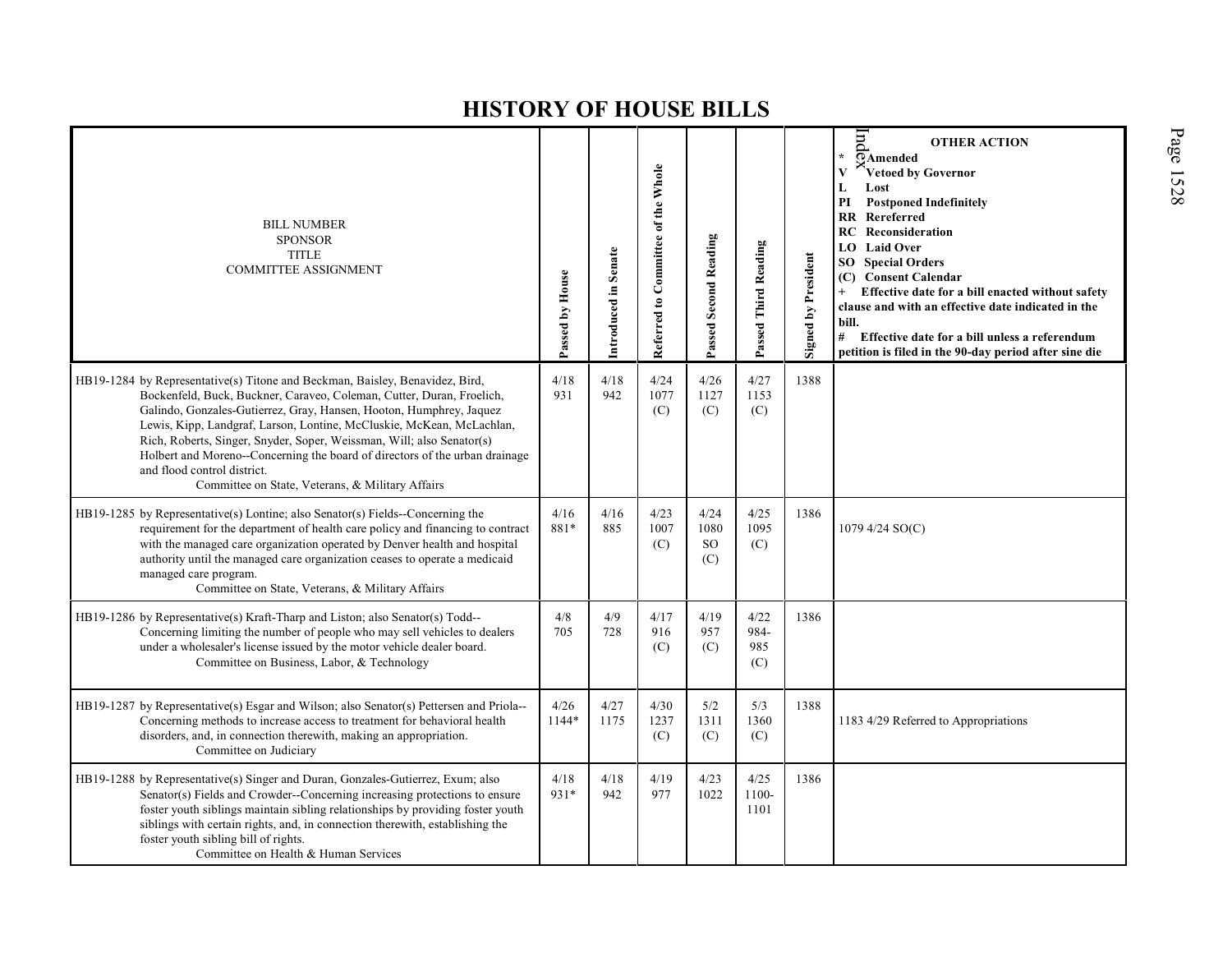| <b>BILL NUMBER</b><br><b>SPONSOR</b><br><b>TITLE</b><br>COMMITTEE ASSIGNMENT                                                                                                                                                                                                                                                                                                                                                                                                                                                                     | Passed by House | Introduced in Senate | Referred to Committee of the Whole | <b>Passed Second Reading</b>         | Passed Third Reading       | <b>Signed by President</b> | $\overline{H}$<br><b>OTHER ACTION</b><br>$\star$<br>$\overline{\Omega}$ Amended<br>Vetoed by Governor<br>V<br>L<br>Lost<br><b>Postponed Indefinitely</b><br>PI<br><b>RR</b> Rereferred<br><b>RC</b> Reconsideration<br><b>LO</b> Laid Over<br><b>SO</b> Special Orders<br><b>Consent Calendar</b><br>(C)<br>Effective date for a bill enacted without safety<br>clause and with an effective date indicated in the<br>bill.<br># Effective date for a bill unless a referendum<br>petition is filed in the 90-day period after sine die |
|--------------------------------------------------------------------------------------------------------------------------------------------------------------------------------------------------------------------------------------------------------------------------------------------------------------------------------------------------------------------------------------------------------------------------------------------------------------------------------------------------------------------------------------------------|-----------------|----------------------|------------------------------------|--------------------------------------|----------------------------|----------------------------|-----------------------------------------------------------------------------------------------------------------------------------------------------------------------------------------------------------------------------------------------------------------------------------------------------------------------------------------------------------------------------------------------------------------------------------------------------------------------------------------------------------------------------------------|
| HB19-1284 by Representative(s) Titone and Beckman, Baisley, Benavidez, Bird,<br>Bockenfeld, Buck, Buckner, Caraveo, Coleman, Cutter, Duran, Froelich,<br>Galindo, Gonzales-Gutierrez, Gray, Hansen, Hooton, Humphrey, Jaquez<br>Lewis, Kipp, Landgraf, Larson, Lontine, McCluskie, McKean, McLachlan,<br>Rich, Roberts, Singer, Snyder, Soper, Weissman, Will; also Senator(s)<br>Holbert and Moreno--Concerning the board of directors of the urban drainage<br>and flood control district.<br>Committee on State, Veterans, & Military Affairs | 4/18<br>931     | 4/18<br>942          | 4/24<br>1077<br>(C)                | 4/26<br>1127<br>(C)                  | 4/27<br>1153<br>(C)        | 1388                       |                                                                                                                                                                                                                                                                                                                                                                                                                                                                                                                                         |
| HB19-1285 by Representative(s) Lontine; also Senator(s) Fields--Concerning the<br>requirement for the department of health care policy and financing to contract<br>with the managed care organization operated by Denver health and hospital<br>authority until the managed care organization ceases to operate a medicaid<br>managed care program.<br>Committee on State, Veterans, & Military Affairs                                                                                                                                         | 4/16<br>881*    | $4/16$<br>885        | 4/23<br>1007<br>(C)                | 4/24<br>1080<br><sub>SO</sub><br>(C) | 4/25<br>1095<br>(C)        | 1386                       | 1079 4/24 SO(C)                                                                                                                                                                                                                                                                                                                                                                                                                                                                                                                         |
| HB19-1286 by Representative(s) Kraft-Tharp and Liston; also Senator(s) Todd--<br>Concerning limiting the number of people who may sell vehicles to dealers<br>under a wholesaler's license issued by the motor vehicle dealer board.<br>Committee on Business, Labor, & Technology                                                                                                                                                                                                                                                               | 4/8<br>705      | 4/9<br>728           | 4/17<br>916<br>(C)                 | 4/19<br>957<br>(C)                   | 4/22<br>984-<br>985<br>(C) | 1386                       |                                                                                                                                                                                                                                                                                                                                                                                                                                                                                                                                         |
| HB19-1287 by Representative(s) Esgar and Wilson; also Senator(s) Pettersen and Priola--<br>Concerning methods to increase access to treatment for behavioral health<br>disorders, and, in connection therewith, making an appropriation.<br>Committee on Judiciary                                                                                                                                                                                                                                                                               | 4/26<br>1144*   | 4/27<br>1175         | 4/30<br>1237<br>(C)                | 5/2<br>1311<br>(C)                   | 5/3<br>1360<br>(C)         | 1388                       | 1183 4/29 Referred to Appropriations                                                                                                                                                                                                                                                                                                                                                                                                                                                                                                    |
| HB19-1288 by Representative(s) Singer and Duran, Gonzales-Gutierrez, Exum; also<br>Senator(s) Fields and Crowder--Concerning increasing protections to ensure<br>foster youth siblings maintain sibling relationships by providing foster youth<br>siblings with certain rights, and, in connection therewith, establishing the<br>foster youth sibling bill of rights.<br>Committee on Health & Human Services                                                                                                                                  | 4/18<br>931*    | 4/18<br>942          | 4/19<br>977                        | 4/23<br>1022                         | 4/25<br>1100-<br>1101      | 1386                       |                                                                                                                                                                                                                                                                                                                                                                                                                                                                                                                                         |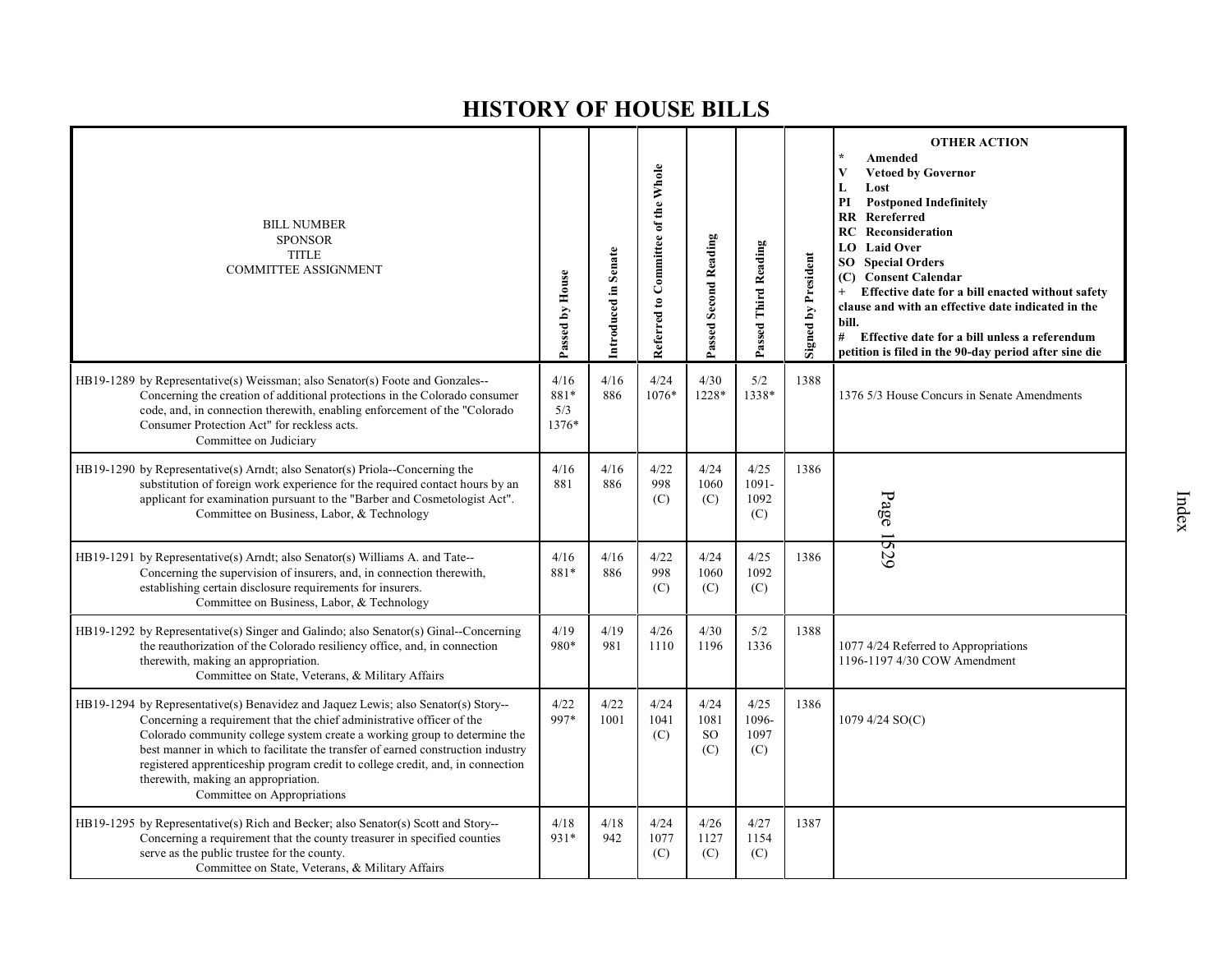| <b>BILL NUMBER</b><br><b>SPONSOR</b><br><b>TITLE</b><br><b>COMMITTEE ASSIGNMENT</b>                                                                                                                                                                                                                                                                                                                                                                                                 | Passed by House              | Introduced in Senate | Referred to Committee of the Whole | Passed Second Reading                | Passed Third Reading            | <b>Signed by President</b> | <b>OTHER ACTION</b><br>Amended<br>V<br><b>Vetoed by Governor</b><br>L<br>Lost<br>PI<br><b>Postponed Indefinitely</b><br><b>RR</b> Rereferred<br>Reconsideration<br><b>RC</b><br><b>Laid Over</b><br>LO.<br><b>Special Orders</b><br>SO<br><b>Consent Calendar</b><br>(C)<br>Effective date for a bill enacted without safety<br>$+$<br>clause and with an effective date indicated in the<br>bill.<br>#<br>Effective date for a bill unless a referendum<br>petition is filed in the 90-day period after sine die |
|-------------------------------------------------------------------------------------------------------------------------------------------------------------------------------------------------------------------------------------------------------------------------------------------------------------------------------------------------------------------------------------------------------------------------------------------------------------------------------------|------------------------------|----------------------|------------------------------------|--------------------------------------|---------------------------------|----------------------------|-------------------------------------------------------------------------------------------------------------------------------------------------------------------------------------------------------------------------------------------------------------------------------------------------------------------------------------------------------------------------------------------------------------------------------------------------------------------------------------------------------------------|
| HB19-1289 by Representative(s) Weissman; also Senator(s) Foote and Gonzales--<br>Concerning the creation of additional protections in the Colorado consumer<br>code, and, in connection therewith, enabling enforcement of the "Colorado<br>Consumer Protection Act" for reckless acts.<br>Committee on Judiciary                                                                                                                                                                   | 4/16<br>881*<br>5/3<br>1376* | 4/16<br>886          | 4/24<br>1076*                      | 4/30<br>1228*                        | 5/2<br>1338*                    | 1388                       | 1376 5/3 House Concurs in Senate Amendments                                                                                                                                                                                                                                                                                                                                                                                                                                                                       |
| HB19-1290 by Representative(s) Arndt; also Senator(s) Priola--Concerning the<br>substitution of foreign work experience for the required contact hours by an<br>applicant for examination pursuant to the "Barber and Cosmetologist Act".<br>Committee on Business, Labor, & Technology                                                                                                                                                                                             | 4/16<br>881                  | 4/16<br>886          | 4/22<br>998<br>(C)                 | 4/24<br>1060<br>(C)                  | 4/25<br>$1091 -$<br>1092<br>(C) | 1386                       | Page                                                                                                                                                                                                                                                                                                                                                                                                                                                                                                              |
| HB19-1291 by Representative(s) Arndt; also Senator(s) Williams A. and Tate--<br>Concerning the supervision of insurers, and, in connection therewith,<br>establishing certain disclosure requirements for insurers.<br>Committee on Business, Labor, & Technology                                                                                                                                                                                                                   | 4/16<br>881*                 | 4/16<br>886          | 4/22<br>998<br>(C)                 | 4/24<br>1060<br>(C)                  | 4/25<br>1092<br>(C)             | 1386                       | 1529                                                                                                                                                                                                                                                                                                                                                                                                                                                                                                              |
| HB19-1292 by Representative(s) Singer and Galindo; also Senator(s) Ginal--Concerning<br>the reauthorization of the Colorado resiliency office, and, in connection<br>therewith, making an appropriation.<br>Committee on State, Veterans, & Military Affairs                                                                                                                                                                                                                        | 4/19<br>980*                 | 4/19<br>981          | 4/26<br>1110                       | 4/30<br>1196                         | 5/2<br>1336                     | 1388                       | 1077 4/24 Referred to Appropriations<br>1196-1197 4/30 COW Amendment                                                                                                                                                                                                                                                                                                                                                                                                                                              |
| HB19-1294 by Representative(s) Benavidez and Jaquez Lewis; also Senator(s) Story--<br>Concerning a requirement that the chief administrative officer of the<br>Colorado community college system create a working group to determine the<br>best manner in which to facilitate the transfer of earned construction industry<br>registered apprenticeship program credit to college credit, and, in connection<br>therewith, making an appropriation.<br>Committee on Appropriations | 4/22<br>997*                 | 4/22<br>1001         | 4/24<br>1041<br>(C)                | 4/24<br>1081<br><sub>SO</sub><br>(C) | 4/25<br>1096-<br>1097<br>(C)    | 1386                       | 1079 4/24 SO(C)                                                                                                                                                                                                                                                                                                                                                                                                                                                                                                   |
| HB19-1295 by Representative(s) Rich and Becker; also Senator(s) Scott and Story--<br>Concerning a requirement that the county treasurer in specified counties<br>serve as the public trustee for the county.<br>Committee on State, Veterans, & Military Affairs                                                                                                                                                                                                                    | 4/18<br>931*                 | 4/18<br>942          | 4/24<br>1077<br>(C)                | 4/26<br>1127<br>(C)                  | 4/27<br>1154<br>(C)             | 1387                       |                                                                                                                                                                                                                                                                                                                                                                                                                                                                                                                   |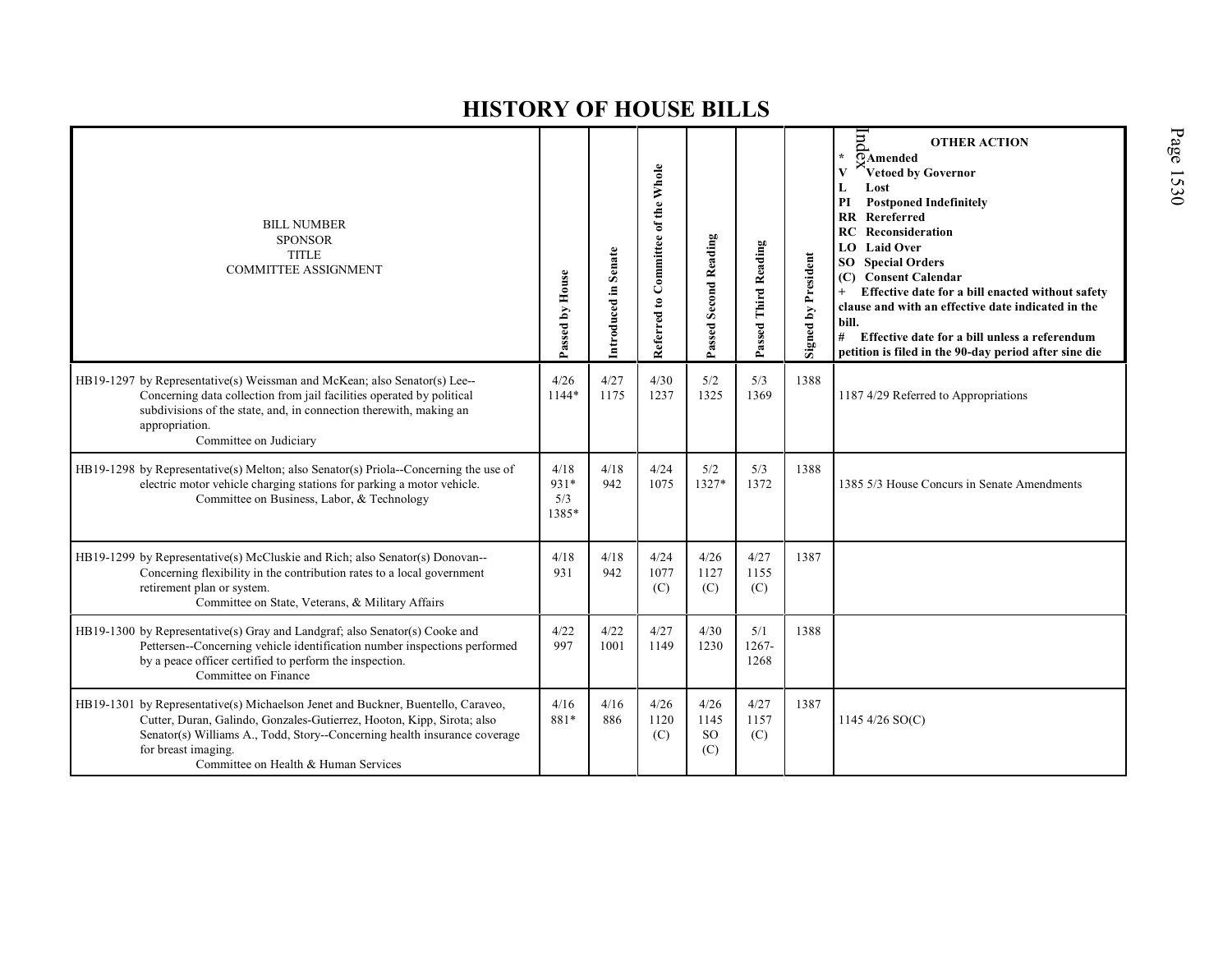| <b>BILL NUMBER</b><br><b>SPONSOR</b><br><b>TITLE</b><br><b>COMMITTEE ASSIGNMENT</b>                                                                                                                                                                                                                    | Passed by House              | Introduced in Senate | Referred to Committee of the Whole | Passed Second Reading            | Passed Third Reading | Signed by President | pu<br><b>OTHER ACTION</b><br>$\star$<br>OAmended<br>Vetoed by Governor<br>Lost<br>L<br>PI<br><b>Postponed Indefinitely</b><br><b>RR</b> Rereferred<br><b>RC</b> Reconsideration<br>LO Laid Over<br><b>Special Orders</b><br>SO  <br><b>Consent Calendar</b><br>(C)<br>Effective date for a bill enacted without safety<br>$+$<br>clause and with an effective date indicated in the<br>bill.<br>#<br>Effective date for a bill unless a referendum<br>petition is filed in the 90-day period after sine die |
|--------------------------------------------------------------------------------------------------------------------------------------------------------------------------------------------------------------------------------------------------------------------------------------------------------|------------------------------|----------------------|------------------------------------|----------------------------------|----------------------|---------------------|-------------------------------------------------------------------------------------------------------------------------------------------------------------------------------------------------------------------------------------------------------------------------------------------------------------------------------------------------------------------------------------------------------------------------------------------------------------------------------------------------------------|
| HB19-1297 by Representative(s) Weissman and McKean; also Senator(s) Lee--<br>Concerning data collection from jail facilities operated by political<br>subdivisions of the state, and, in connection therewith, making an<br>appropriation.<br>Committee on Judiciary                                   | 4/26<br>$1144*$              | 4/27<br>1175         | 4/30<br>1237                       | 5/2<br>1325                      | 5/3<br>1369          | 1388                | 1187 4/29 Referred to Appropriations                                                                                                                                                                                                                                                                                                                                                                                                                                                                        |
| HB19-1298 by Representative(s) Melton; also Senator(s) Priola--Concerning the use of<br>electric motor vehicle charging stations for parking a motor vehicle.<br>Committee on Business, Labor, & Technology                                                                                            | 4/18<br>931*<br>5/3<br>1385* | 4/18<br>942          | 4/24<br>1075                       | 5/2<br>$1327*$                   | 5/3<br>1372          | 1388                | 1385 5/3 House Concurs in Senate Amendments                                                                                                                                                                                                                                                                                                                                                                                                                                                                 |
| HB19-1299 by Representative(s) McCluskie and Rich; also Senator(s) Donovan--<br>Concerning flexibility in the contribution rates to a local government<br>retirement plan or system.<br>Committee on State, Veterans, & Military Affairs                                                               | 4/18<br>931                  | 4/18<br>942          | 4/24<br>1077<br>(C)                | 4/26<br>1127<br>(C)              | 4/27<br>1155<br>(C)  | 1387                |                                                                                                                                                                                                                                                                                                                                                                                                                                                                                                             |
| HB19-1300 by Representative(s) Gray and Landgraf; also Senator(s) Cooke and<br>Pettersen--Concerning vehicle identification number inspections performed<br>by a peace officer certified to perform the inspection.<br>Committee on Finance                                                            | 4/22<br>997                  | 4/22<br>1001         | 4/27<br>1149                       | 4/30<br>1230                     | 5/1<br>1267-<br>1268 | 1388                |                                                                                                                                                                                                                                                                                                                                                                                                                                                                                                             |
| HB19-1301 by Representative(s) Michaelson Jenet and Buckner, Buentello, Caraveo,<br>Cutter, Duran, Galindo, Gonzales-Gutierrez, Hooton, Kipp, Sirota; also<br>Senator(s) Williams A., Todd, Story--Concerning health insurance coverage<br>for breast imaging.<br>Committee on Health & Human Services | 4/16<br>881*                 | 4/16<br>886          | 4/26<br>1120<br>(C)                | 4/26<br>1145<br><b>SO</b><br>(C) | 4/27<br>1157<br>(C)  | 1387                | 1145 4/26 SO(C)                                                                                                                                                                                                                                                                                                                                                                                                                                                                                             |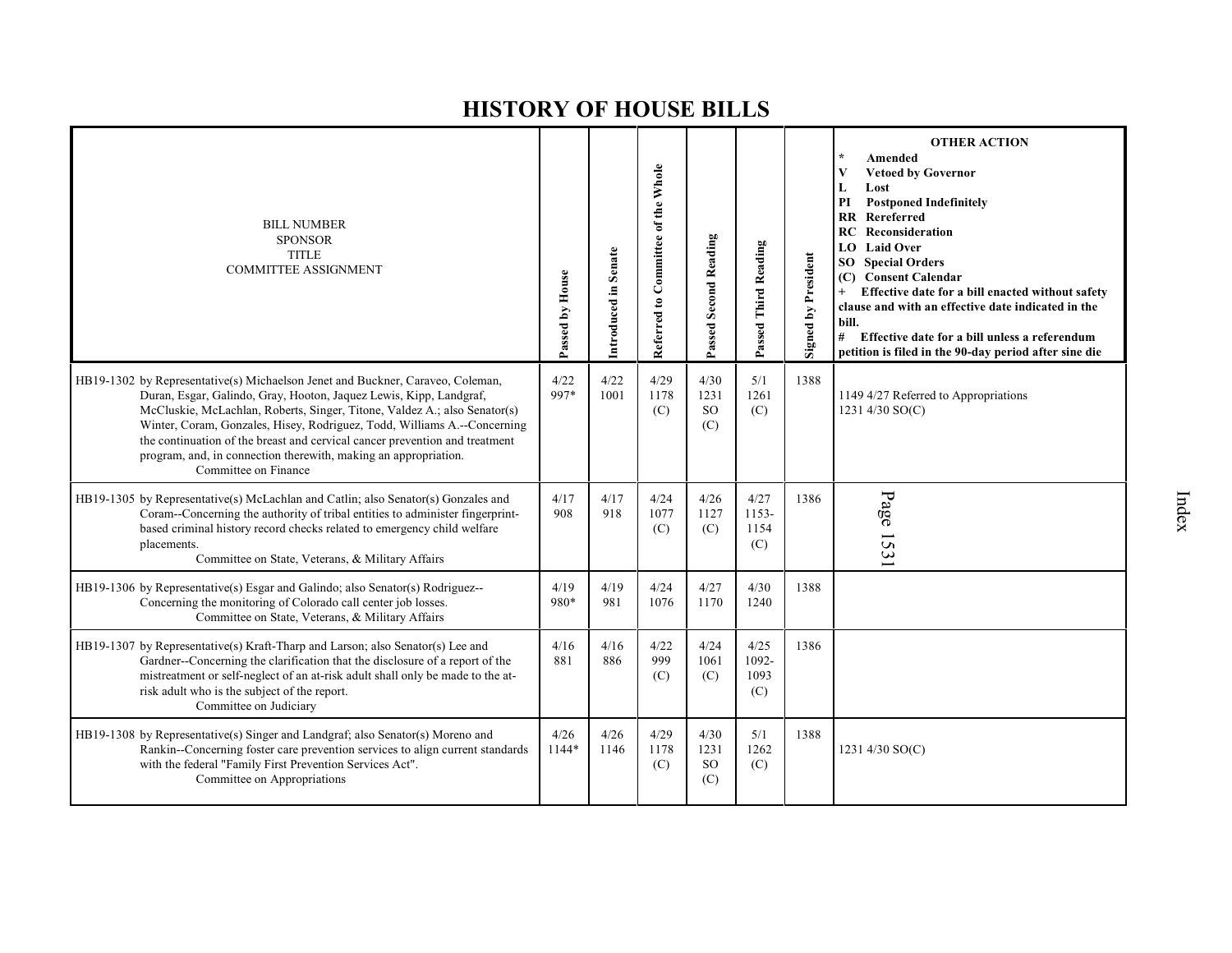| <b>BILL NUMBER</b><br><b>SPONSOR</b><br><b>TITLE</b><br><b>COMMITTEE ASSIGNMENT</b>                                                                                                                                                                                                                                                                                                                                                                                                     | Passed by House | Introduced in Senate | Referred to Committee of the Whole | Passed Second Reading                | Passed Third Reading         | <b>Signed by President</b> | <b>OTHER ACTION</b><br>Amended<br><b>Vetoed by Governor</b><br>V<br>Lost<br>L<br><b>Postponed Indefinitely</b><br>PI<br><b>RR</b> Rereferred<br><b>RC</b> Reconsideration<br><b>Laid Over</b><br>LO.<br><b>SO</b> Special Orders<br><b>Consent Calendar</b><br>(C)<br>Effective date for a bill enacted without safety<br>$+$<br>clause and with an effective date indicated in the<br>bill.<br>#<br>Effective date for a bill unless a referendum<br>petition is filed in the 90-day period after sine die |
|-----------------------------------------------------------------------------------------------------------------------------------------------------------------------------------------------------------------------------------------------------------------------------------------------------------------------------------------------------------------------------------------------------------------------------------------------------------------------------------------|-----------------|----------------------|------------------------------------|--------------------------------------|------------------------------|----------------------------|-------------------------------------------------------------------------------------------------------------------------------------------------------------------------------------------------------------------------------------------------------------------------------------------------------------------------------------------------------------------------------------------------------------------------------------------------------------------------------------------------------------|
| HB19-1302 by Representative(s) Michaelson Jenet and Buckner, Caraveo, Coleman,<br>Duran, Esgar, Galindo, Gray, Hooton, Jaquez Lewis, Kipp, Landgraf,<br>McCluskie, McLachlan, Roberts, Singer, Titone, Valdez A.; also Senator(s)<br>Winter, Coram, Gonzales, Hisey, Rodriguez, Todd, Williams A.--Concerning<br>the continuation of the breast and cervical cancer prevention and treatment<br>program, and, in connection therewith, making an appropriation.<br>Committee on Finance | 4/22<br>997*    | 4/22<br>1001         | 4/29<br>1178<br>(C)                | 4/30<br>1231<br><sub>SO</sub><br>(C) | 5/1<br>1261<br>(C)           | 1388                       | 1149 4/27 Referred to Appropriations<br>1231 4/30 SO(C)                                                                                                                                                                                                                                                                                                                                                                                                                                                     |
| HB19-1305 by Representative(s) McLachlan and Catlin; also Senator(s) Gonzales and<br>Coram--Concerning the authority of tribal entities to administer fingerprint-<br>based criminal history record checks related to emergency child welfare<br>placements.<br>Committee on State, Veterans, & Military Affairs                                                                                                                                                                        | 4/17<br>908     | 4/17<br>918          | 4/24<br>1077<br>(C)                | 4/26<br>1127<br>(C)                  | 4/27<br>1153-<br>1154<br>(C) | 1386                       | Page 153                                                                                                                                                                                                                                                                                                                                                                                                                                                                                                    |
| HB19-1306 by Representative(s) Esgar and Galindo; also Senator(s) Rodriguez--<br>Concerning the monitoring of Colorado call center job losses.<br>Committee on State, Veterans, & Military Affairs                                                                                                                                                                                                                                                                                      | 4/19<br>980*    | 4/19<br>981          | 4/24<br>1076                       | 4/27<br>1170                         | 4/30<br>1240                 | 1388                       |                                                                                                                                                                                                                                                                                                                                                                                                                                                                                                             |
| HB19-1307 by Representative(s) Kraft-Tharp and Larson; also Senator(s) Lee and<br>Gardner-Concerning the clarification that the disclosure of a report of the<br>mistreatment or self-neglect of an at-risk adult shall only be made to the at-<br>risk adult who is the subject of the report.<br>Committee on Judiciary                                                                                                                                                               | 4/16<br>881     | 4/16<br>886          | 4/22<br>999<br>(C)                 | 4/24<br>1061<br>(C)                  | 4/25<br>1092-<br>1093<br>(C) | 1386                       |                                                                                                                                                                                                                                                                                                                                                                                                                                                                                                             |
| HB19-1308 by Representative(s) Singer and Landgraf; also Senator(s) Moreno and<br>Rankin--Concerning foster care prevention services to align current standards<br>with the federal "Family First Prevention Services Act".<br>Committee on Appropriations                                                                                                                                                                                                                              | 4/26<br>1144*   | 4/26<br>1146         | 4/29<br>1178<br>(C)                | 4/30<br>1231<br><sub>SO</sub><br>(C) | 5/1<br>1262<br>(C)           | 1388                       | 1231 4/30 SO(C)                                                                                                                                                                                                                                                                                                                                                                                                                                                                                             |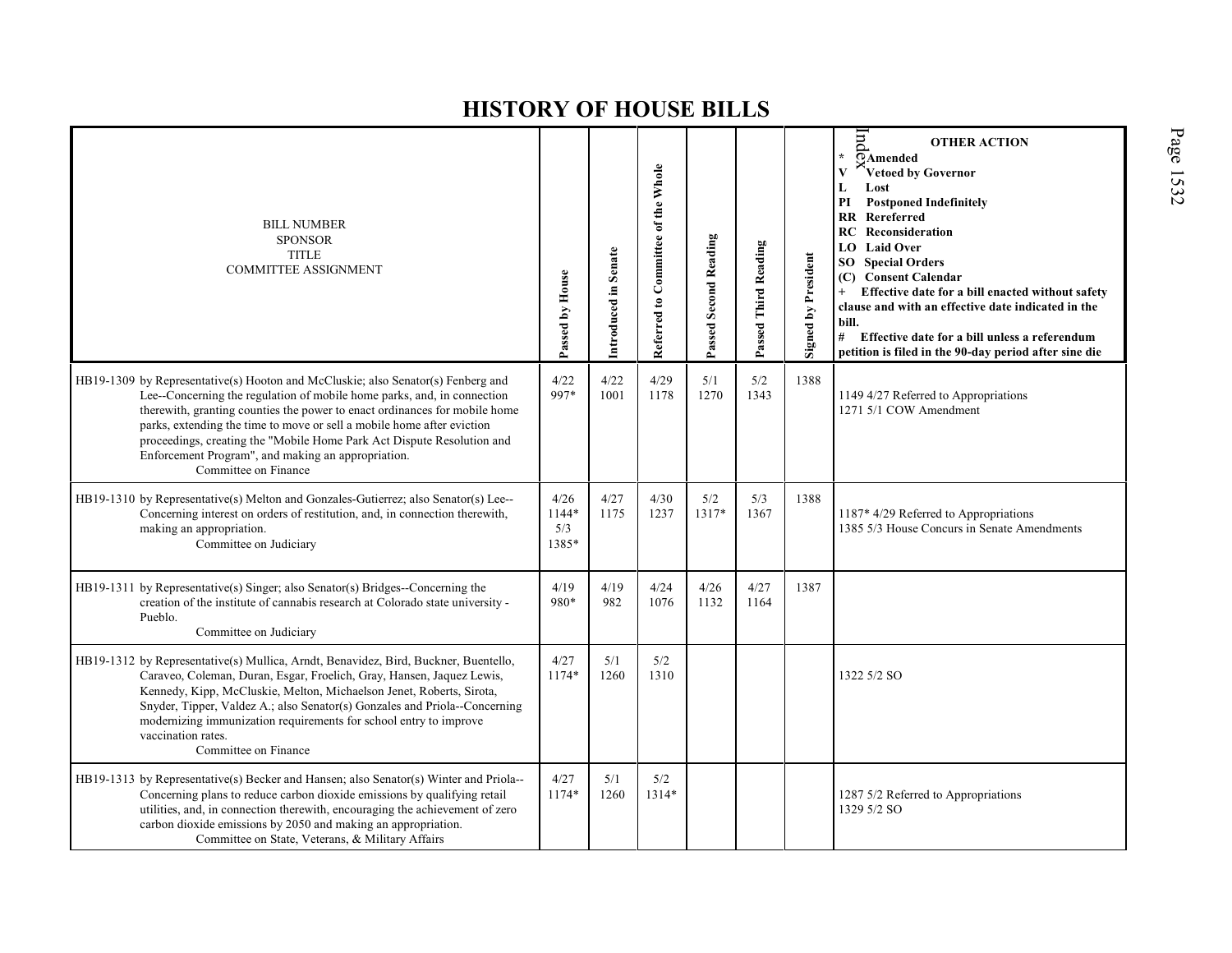| <b>BILL NUMBER</b><br><b>SPONSOR</b><br><b>TITLE</b><br><b>COMMITTEE ASSIGNMENT</b>                                                                                                                                                                                                                                                                                                                                                                                         | Passed by House               | Introduced in Senate | Referred to Committee of the Whole | <b>Passed Second Reading</b> | Passed Third Reading | <b>Signed by President</b> | pur<br><b>OTHER ACTION</b><br>÷<br>OAmended<br>V<br>Vetoed by Governor<br>Lost<br>L<br><b>Postponed Indefinitely</b><br>PI<br><b>RR</b> Rereferred<br><b>RC</b> Reconsideration<br><b>Laid Over</b><br>LO.<br><b>SO</b> Special Orders<br><b>Consent Calendar</b><br>(C)<br>Effective date for a bill enacted without safety<br>$^{+}$<br>clause and with an effective date indicated in the<br>bill.<br>#<br>Effective date for a bill unless a referendum<br>petition is filed in the 90-day period after sine die |
|-----------------------------------------------------------------------------------------------------------------------------------------------------------------------------------------------------------------------------------------------------------------------------------------------------------------------------------------------------------------------------------------------------------------------------------------------------------------------------|-------------------------------|----------------------|------------------------------------|------------------------------|----------------------|----------------------------|----------------------------------------------------------------------------------------------------------------------------------------------------------------------------------------------------------------------------------------------------------------------------------------------------------------------------------------------------------------------------------------------------------------------------------------------------------------------------------------------------------------------|
| HB19-1309 by Representative(s) Hooton and McCluskie; also Senator(s) Fenberg and<br>Lee--Concerning the regulation of mobile home parks, and, in connection<br>therewith, granting counties the power to enact ordinances for mobile home<br>parks, extending the time to move or sell a mobile home after eviction<br>proceedings, creating the "Mobile Home Park Act Dispute Resolution and<br>Enforcement Program", and making an appropriation.<br>Committee on Finance | 4/22<br>997*                  | 4/22<br>1001         | 4/29<br>1178                       | 5/1<br>1270                  | 5/2<br>1343          | 1388                       | 1149 4/27 Referred to Appropriations<br>1271 5/1 COW Amendment                                                                                                                                                                                                                                                                                                                                                                                                                                                       |
| HB19-1310 by Representative(s) Melton and Gonzales-Gutierrez; also Senator(s) Lee--<br>Concerning interest on orders of restitution, and, in connection therewith,<br>making an appropriation.<br>Committee on Judiciary                                                                                                                                                                                                                                                    | 4/26<br>1144*<br>5/3<br>1385* | 4/27<br>1175         | 4/30<br>1237                       | 5/2<br>1317*                 | 5/3<br>1367          | 1388                       | 1187* 4/29 Referred to Appropriations<br>1385 5/3 House Concurs in Senate Amendments                                                                                                                                                                                                                                                                                                                                                                                                                                 |
| HB19-1311 by Representative(s) Singer; also Senator(s) Bridges--Concerning the<br>creation of the institute of cannabis research at Colorado state university -<br>Pueblo.<br>Committee on Judiciary                                                                                                                                                                                                                                                                        | 4/19<br>980*                  | 4/19<br>982          | 4/24<br>1076                       | 4/26<br>1132                 | 4/27<br>1164         | 1387                       |                                                                                                                                                                                                                                                                                                                                                                                                                                                                                                                      |
| HB19-1312 by Representative(s) Mullica, Arndt, Benavidez, Bird, Buckner, Buentello,<br>Caraveo, Coleman, Duran, Esgar, Froelich, Gray, Hansen, Jaquez Lewis,<br>Kennedy, Kipp, McCluskie, Melton, Michaelson Jenet, Roberts, Sirota,<br>Snyder, Tipper, Valdez A.; also Senator(s) Gonzales and Priola--Concerning<br>modernizing immunization requirements for school entry to improve<br>vaccination rates.<br>Committee on Finance                                       | 4/27<br>1174*                 | 5/1<br>1260          | 5/2<br>1310                        |                              |                      |                            | 1322 5/2 SO                                                                                                                                                                                                                                                                                                                                                                                                                                                                                                          |
| HB19-1313 by Representative(s) Becker and Hansen; also Senator(s) Winter and Priola--<br>Concerning plans to reduce carbon dioxide emissions by qualifying retail<br>utilities, and, in connection therewith, encouraging the achievement of zero<br>carbon dioxide emissions by 2050 and making an appropriation.<br>Committee on State, Veterans, & Military Affairs                                                                                                      | 4/27<br>1174*                 | 5/1<br>1260          | 5/2<br>1314*                       |                              |                      |                            | 1287 5/2 Referred to Appropriations<br>1329 5/2 SO                                                                                                                                                                                                                                                                                                                                                                                                                                                                   |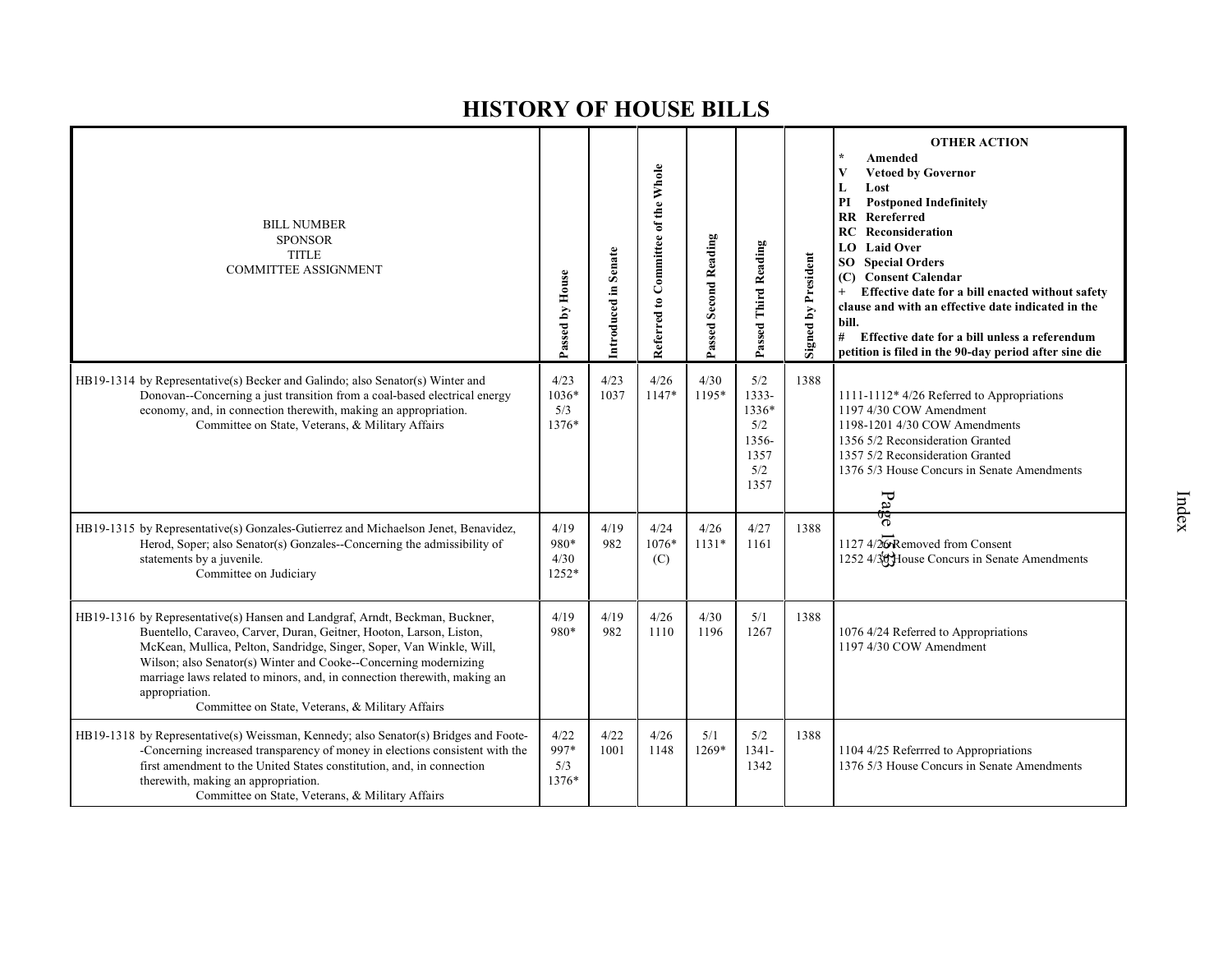| <b>BILL NUMBER</b><br><b>SPONSOR</b><br><b>TITLE</b><br><b>COMMITTEE ASSIGNMENT</b>                                                                                                                                                                                                                                                                                                                                                               | Passed by House                 | Introduced in Senate | Referred to Committee of the Whole | Passed Second Reading | Passed Third Reading                                         | <b>Signed by President</b> | <b>OTHER ACTION</b><br>Amended<br><b>Vetoed by Governor</b><br>V<br>L<br>Lost<br><b>Postponed Indefinitely</b><br>PI<br><b>RR</b> Rereferred<br>Reconsideration<br>RC<br><b>Laid Over</b><br>LO.<br><b>SO</b> Special Orders<br>(C) Consent Calendar<br>Effective date for a bill enacted without safety<br>$+$<br>clause and with an effective date indicated in the<br>bill.<br>#<br>Effective date for a bill unless a referendum<br>petition is filed in the 90-day period after sine die |
|---------------------------------------------------------------------------------------------------------------------------------------------------------------------------------------------------------------------------------------------------------------------------------------------------------------------------------------------------------------------------------------------------------------------------------------------------|---------------------------------|----------------------|------------------------------------|-----------------------|--------------------------------------------------------------|----------------------------|-----------------------------------------------------------------------------------------------------------------------------------------------------------------------------------------------------------------------------------------------------------------------------------------------------------------------------------------------------------------------------------------------------------------------------------------------------------------------------------------------|
| HB19-1314 by Representative(s) Becker and Galindo; also Senator(s) Winter and<br>Donovan--Concerning a just transition from a coal-based electrical energy<br>economy, and, in connection therewith, making an appropriation.<br>Committee on State, Veterans, & Military Affairs                                                                                                                                                                 | 4/23<br>$1036*$<br>5/3<br>1376* | 4/23<br>1037         | 4/26<br>$1147*$                    | 4/30<br>1195*         | 5/2<br>1333-<br>1336*<br>5/2<br>1356-<br>1357<br>5/2<br>1357 | 1388                       | 1111-1112* 4/26 Referred to Appropriations<br>1197 4/30 COW Amendment<br>1198-1201 4/30 COW Amendments<br>1356 5/2 Reconsideration Granted<br>1357 5/2 Reconsideration Granted<br>1376 5/3 House Concurs in Senate Amendments<br>P <sub>d</sub>                                                                                                                                                                                                                                               |
| HB19-1315 by Representative(s) Gonzales-Gutierrez and Michaelson Jenet, Benavidez,<br>Herod, Soper; also Senator(s) Gonzales--Concerning the admissibility of<br>statements by a juvenile.<br>Committee on Judiciary                                                                                                                                                                                                                              | 4/19<br>980*<br>4/30<br>1252*   | 4/19<br>982          | 4/24<br>1076*<br>(C)               | 4/26<br>$1131*$       | 4/27<br>1161                                                 | 1388                       | ಇ<br>1127 4/26 Removed from Consent<br>1252 4/30 House Concurs in Senate Amendments                                                                                                                                                                                                                                                                                                                                                                                                           |
| HB19-1316 by Representative(s) Hansen and Landgraf, Arndt, Beckman, Buckner,<br>Buentello, Caraveo, Carver, Duran, Geitner, Hooton, Larson, Liston,<br>McKean, Mullica, Pelton, Sandridge, Singer, Soper, Van Winkle, Will,<br>Wilson; also Senator(s) Winter and Cooke--Concerning modernizing<br>marriage laws related to minors, and, in connection therewith, making an<br>appropriation.<br>Committee on State, Veterans, & Military Affairs | 4/19<br>980*                    | 4/19<br>982          | 4/26<br>1110                       | 4/30<br>1196          | 5/1<br>1267                                                  | 1388                       | 1076 4/24 Referred to Appropriations<br>1197 4/30 COW Amendment                                                                                                                                                                                                                                                                                                                                                                                                                               |
| HB19-1318 by Representative(s) Weissman, Kennedy; also Senator(s) Bridges and Foote-<br>-Concerning increased transparency of money in elections consistent with the<br>first amendment to the United States constitution, and, in connection<br>therewith, making an appropriation.<br>Committee on State, Veterans, & Military Affairs                                                                                                          | 4/22<br>997*<br>5/3<br>1376*    | 4/22<br>1001         | 4/26<br>1148                       | 5/1<br>1269*          | 5/2<br>$1341 -$<br>1342                                      | 1388                       | 1104 4/25 Referrred to Appropriations<br>1376 5/3 House Concurs in Senate Amendments                                                                                                                                                                                                                                                                                                                                                                                                          |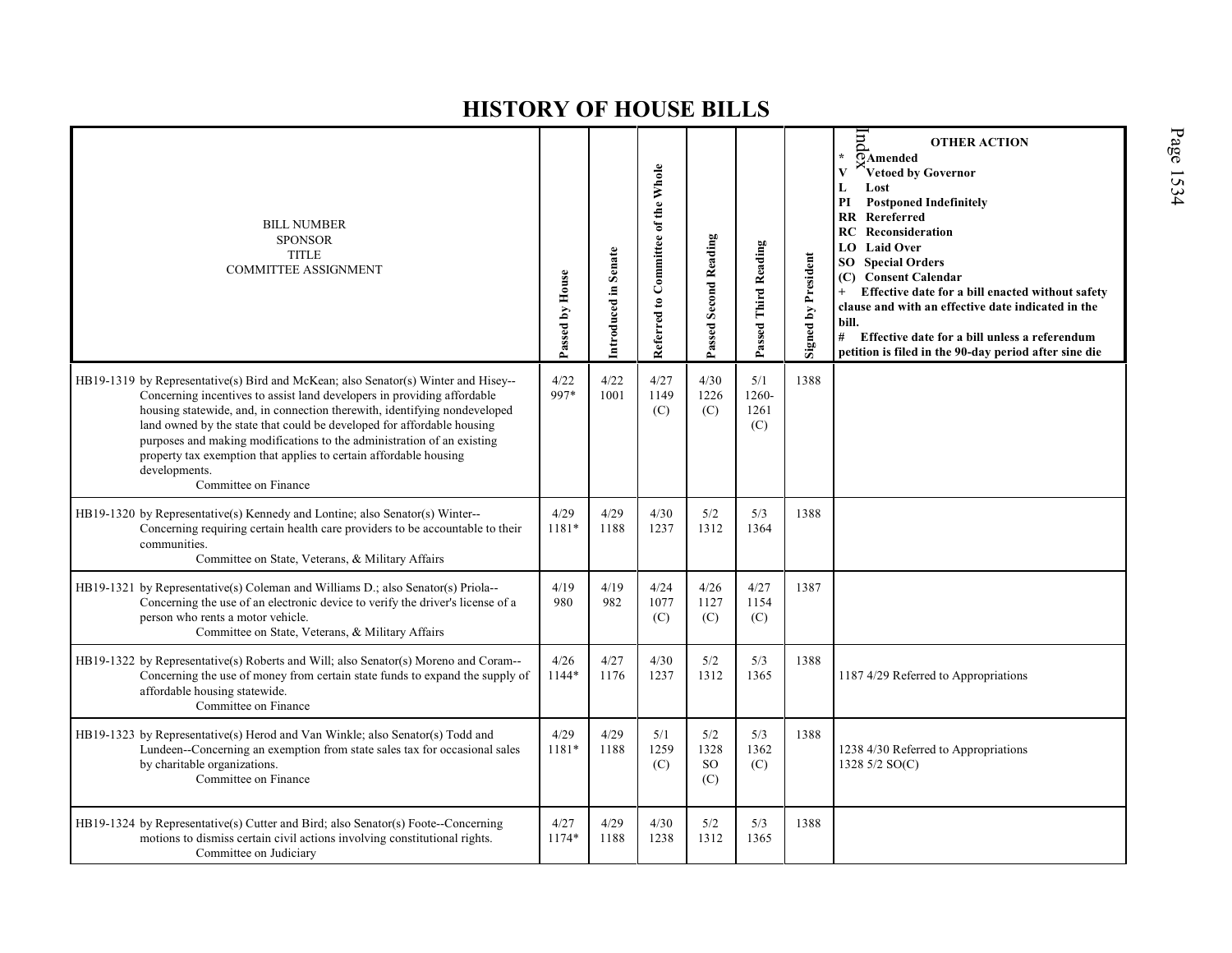| <b>BILL NUMBER</b><br><b>SPONSOR</b><br><b>TITLE</b><br><b>COMMITTEE ASSIGNMENT</b>                                                                                                                                                                                                                                                                                                                                                                                                                          | Passed by House | Introduced in Senate | Referred to Committee of the Whole | <b>Passed Second Reading</b> | Passed Third Reading        | <b>Signed by President</b> | lnd<br><b>OTHER ACTION</b><br>$\star$<br>OAmended<br>$\overline{\mathbf{V}}$<br>Vetoed by Governor<br>L<br>Lost<br>PI<br><b>Postponed Indefinitely</b><br>RR Rereferred<br>Reconsideration<br>RC<br><b>Laid Over</b><br>LO.<br><b>Special Orders</b><br>SO.<br><b>Consent Calendar</b><br>(C)<br>Effective date for a bill enacted without safety<br>$^{+}$<br>clause and with an effective date indicated in the<br>bill.<br>#<br>Effective date for a bill unless a referendum<br>petition is filed in the 90-day period after sine die |
|--------------------------------------------------------------------------------------------------------------------------------------------------------------------------------------------------------------------------------------------------------------------------------------------------------------------------------------------------------------------------------------------------------------------------------------------------------------------------------------------------------------|-----------------|----------------------|------------------------------------|------------------------------|-----------------------------|----------------------------|-------------------------------------------------------------------------------------------------------------------------------------------------------------------------------------------------------------------------------------------------------------------------------------------------------------------------------------------------------------------------------------------------------------------------------------------------------------------------------------------------------------------------------------------|
| HB19-1319 by Representative(s) Bird and McKean; also Senator(s) Winter and Hisey--<br>Concerning incentives to assist land developers in providing affordable<br>housing statewide, and, in connection therewith, identifying nondeveloped<br>land owned by the state that could be developed for affordable housing<br>purposes and making modifications to the administration of an existing<br>property tax exemption that applies to certain affordable housing<br>developments.<br>Committee on Finance | 4/22<br>997*    | 4/22<br>1001         | 4/27<br>1149<br>(C)                | 4/30<br>1226<br>(C)          | 5/1<br>1260-<br>1261<br>(C) | 1388                       |                                                                                                                                                                                                                                                                                                                                                                                                                                                                                                                                           |
| HB19-1320 by Representative(s) Kennedy and Lontine; also Senator(s) Winter--<br>Concerning requiring certain health care providers to be accountable to their<br>communities.<br>Committee on State, Veterans, & Military Affairs                                                                                                                                                                                                                                                                            | 4/29<br>1181*   | 4/29<br>1188         | 4/30<br>1237                       | 5/2<br>1312                  | 5/3<br>1364                 | 1388                       |                                                                                                                                                                                                                                                                                                                                                                                                                                                                                                                                           |
| HB19-1321 by Representative(s) Coleman and Williams D.; also Senator(s) Priola--<br>Concerning the use of an electronic device to verify the driver's license of a<br>person who rents a motor vehicle.<br>Committee on State, Veterans, & Military Affairs                                                                                                                                                                                                                                                  | 4/19<br>980     | 4/19<br>982          | 4/24<br>1077<br>(C)                | 4/26<br>1127<br>(C)          | 4/27<br>1154<br>(C)         | 1387                       |                                                                                                                                                                                                                                                                                                                                                                                                                                                                                                                                           |
| HB19-1322 by Representative(s) Roberts and Will; also Senator(s) Moreno and Coram---<br>Concerning the use of money from certain state funds to expand the supply of<br>affordable housing statewide.<br>Committee on Finance                                                                                                                                                                                                                                                                                | 4/26<br>1144*   | 4/27<br>1176         | 4/30<br>1237                       | 5/2<br>1312                  | 5/3<br>1365                 | 1388                       | 1187 4/29 Referred to Appropriations                                                                                                                                                                                                                                                                                                                                                                                                                                                                                                      |
| HB19-1323 by Representative(s) Herod and Van Winkle; also Senator(s) Todd and<br>Lundeen--Concerning an exemption from state sales tax for occasional sales<br>by charitable organizations.<br>Committee on Finance                                                                                                                                                                                                                                                                                          | 4/29<br>1181*   | 4/29<br>1188         | 5/1<br>1259<br>(C)                 | 5/2<br>1328<br>SO.<br>(C)    | 5/3<br>1362<br>(C)          | 1388                       | 1238 4/30 Referred to Appropriations<br>1328 5/2 SO(C)                                                                                                                                                                                                                                                                                                                                                                                                                                                                                    |
| HB19-1324 by Representative(s) Cutter and Bird; also Senator(s) Foote--Concerning<br>motions to dismiss certain civil actions involving constitutional rights.<br>Committee on Judiciary                                                                                                                                                                                                                                                                                                                     | 4/27<br>1174*   | 4/29<br>1188         | 4/30<br>1238                       | 5/2<br>1312                  | 5/3<br>1365                 | 1388                       |                                                                                                                                                                                                                                                                                                                                                                                                                                                                                                                                           |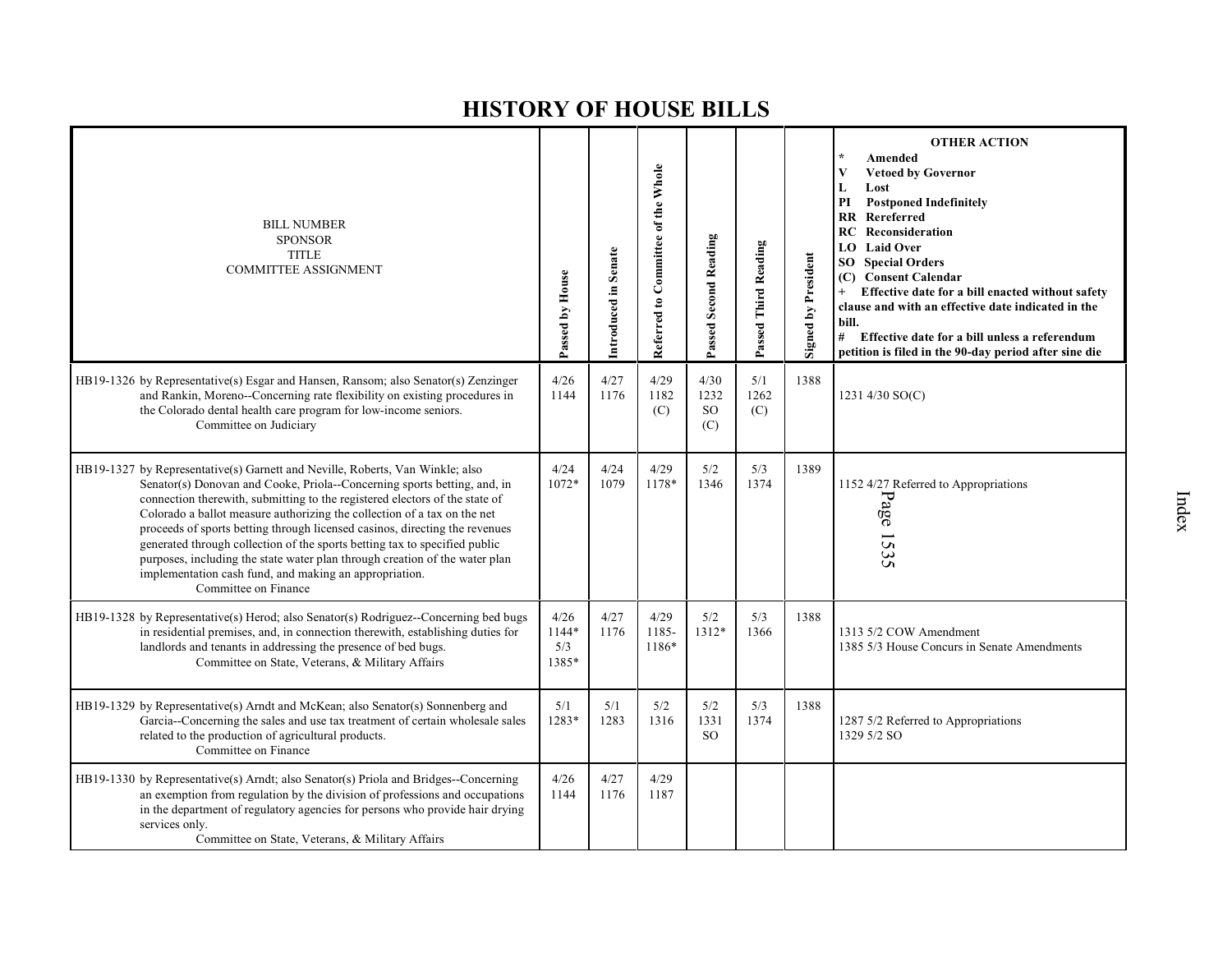| <b>BILL NUMBER</b><br><b>SPONSOR</b><br><b>TITLE</b><br><b>COMMITTEE ASSIGNMENT</b>                                                                                                                                                                                                                                                                                                                                                                                                                                                                                                                                                                | Passed by House               | Introduced in Senate | Referred to Committee of the Whole | Passed Second Reading            | Passed Third Reading | <b>Signed by President</b> | <b>OTHER ACTION</b><br>Amended<br><b>Vetoed by Governor</b><br>V<br>L<br>Lost<br><b>Postponed Indefinitely</b><br>РI<br>Rereferred<br><b>RR</b><br><b>RC</b> Reconsideration<br><b>LO</b> Laid Over<br><b>SO</b> Special Orders<br>(C) Consent Calendar<br>$+$<br>Effective date for a bill enacted without safety<br>clause and with an effective date indicated in the<br>bill.<br>#<br>Effective date for a bill unless a referendum<br>petition is filed in the 90-day period after sine die |
|----------------------------------------------------------------------------------------------------------------------------------------------------------------------------------------------------------------------------------------------------------------------------------------------------------------------------------------------------------------------------------------------------------------------------------------------------------------------------------------------------------------------------------------------------------------------------------------------------------------------------------------------------|-------------------------------|----------------------|------------------------------------|----------------------------------|----------------------|----------------------------|--------------------------------------------------------------------------------------------------------------------------------------------------------------------------------------------------------------------------------------------------------------------------------------------------------------------------------------------------------------------------------------------------------------------------------------------------------------------------------------------------|
| HB19-1326 by Representative(s) Esgar and Hansen, Ransom; also Senator(s) Zenzinger<br>and Rankin, Moreno-Concerning rate flexibility on existing procedures in<br>the Colorado dental health care program for low-income seniors.<br>Committee on Judiciary                                                                                                                                                                                                                                                                                                                                                                                        | 4/26<br>1144                  | 4/27<br>1176         | 4/29<br>1182<br>(C)                | 4/30<br>1232<br><b>SO</b><br>(C) | 5/1<br>1262<br>(C)   | 1388                       | 1231 4/30 SO(C)                                                                                                                                                                                                                                                                                                                                                                                                                                                                                  |
| HB19-1327 by Representative(s) Garnett and Neville, Roberts, Van Winkle; also<br>Senator(s) Donovan and Cooke, Priola--Concerning sports betting, and, in<br>connection therewith, submitting to the registered electors of the state of<br>Colorado a ballot measure authorizing the collection of a tax on the net<br>proceeds of sports betting through licensed casinos, directing the revenues<br>generated through collection of the sports betting tax to specified public<br>purposes, including the state water plan through creation of the water plan<br>implementation cash fund, and making an appropriation.<br>Committee on Finance | 4/24<br>1072*                 | 4/24<br>1079         | 4/29<br>1178*                      | 5/2<br>1346                      | 5/3<br>1374          | 1389                       | 1152 4/27 Referred to Appropriations<br>Page<br>1535                                                                                                                                                                                                                                                                                                                                                                                                                                             |
| HB19-1328 by Representative(s) Herod; also Senator(s) Rodriguez--Concerning bed bugs<br>in residential premises, and, in connection therewith, establishing duties for<br>landlords and tenants in addressing the presence of bed bugs.<br>Committee on State, Veterans, & Military Affairs                                                                                                                                                                                                                                                                                                                                                        | 4/26<br>1144*<br>5/3<br>1385* | 4/27<br>1176         | 4/29<br>1185-<br>1186*             | 5/2<br>1312*                     | 5/3<br>1366          | 1388                       | 1313 5/2 COW Amendment<br>1385 5/3 House Concurs in Senate Amendments                                                                                                                                                                                                                                                                                                                                                                                                                            |
| HB19-1329 by Representative(s) Arndt and McKean; also Senator(s) Sonnenberg and<br>Garcia--Concerning the sales and use tax treatment of certain wholesale sales<br>related to the production of agricultural products.<br>Committee on Finance                                                                                                                                                                                                                                                                                                                                                                                                    | 5/1<br>1283*                  | 5/1<br>1283          | 5/2<br>1316                        | 5/2<br>1331<br><sub>SO</sub>     | 5/3<br>1374          | 1388                       | 1287 5/2 Referred to Appropriations<br>1329 5/2 SO                                                                                                                                                                                                                                                                                                                                                                                                                                               |
| HB19-1330 by Representative(s) Arndt; also Senator(s) Priola and Bridges--Concerning<br>an exemption from regulation by the division of professions and occupations<br>in the department of regulatory agencies for persons who provide hair drying<br>services only.<br>Committee on State, Veterans, & Military Affairs                                                                                                                                                                                                                                                                                                                          | 4/26<br>1144                  | 4/27<br>1176         | 4/29<br>1187                       |                                  |                      |                            |                                                                                                                                                                                                                                                                                                                                                                                                                                                                                                  |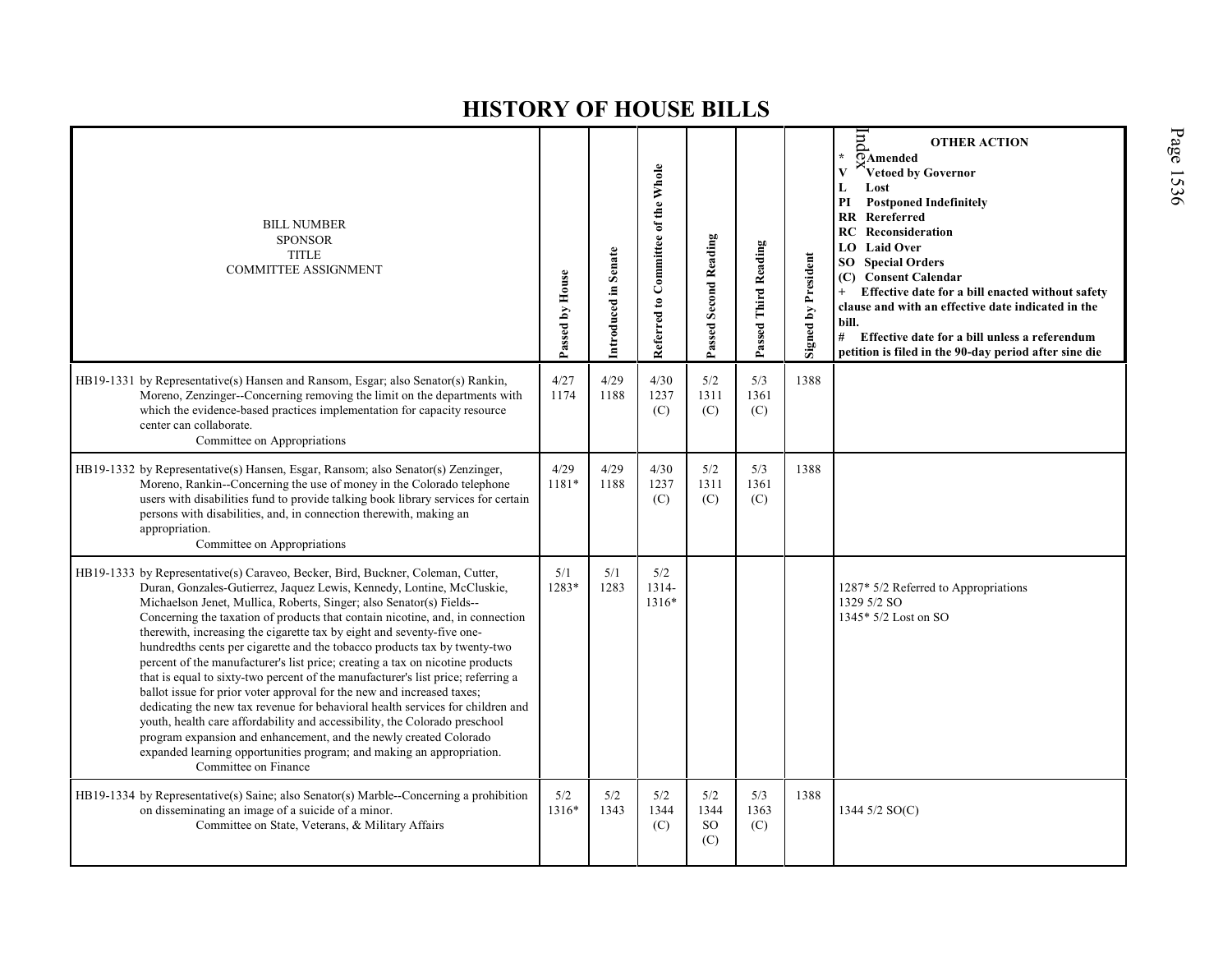| <b>BILL NUMBER</b><br><b>SPONSOR</b><br><b>TITLE</b><br><b>COMMITTEE ASSIGNMENT</b>                                                                                                                                                                                                                                                                                                                                                                                                                                                                                                                                                                                                                                                                                                                                                                                                                                                                                                                                                                           | Passed by House | Introduced in Senate | Referred to Committee of the Whole | Passed Second Reading     | Passed Third Reading | <b>Signed by President</b> | $_{\rm{bul}}$<br><b>OTHER ACTION</b><br>$\star$<br>$\overline{O}$ Amended<br>$\mathbf{V}$<br>Vetoed by Governor<br>L<br>Lost<br>PI<br><b>Postponed Indefinitely</b><br>RR Rereferred<br><b>RC</b> Reconsideration<br>LO Laid Over<br><b>Special Orders</b><br>SO <sub>2</sub><br><b>Consent Calendar</b><br>(C)<br>Effective date for a bill enacted without safety<br>$+$<br>clause and with an effective date indicated in the<br>bill.<br>#<br>Effective date for a bill unless a referendum<br>petition is filed in the 90-day period after sine die |
|---------------------------------------------------------------------------------------------------------------------------------------------------------------------------------------------------------------------------------------------------------------------------------------------------------------------------------------------------------------------------------------------------------------------------------------------------------------------------------------------------------------------------------------------------------------------------------------------------------------------------------------------------------------------------------------------------------------------------------------------------------------------------------------------------------------------------------------------------------------------------------------------------------------------------------------------------------------------------------------------------------------------------------------------------------------|-----------------|----------------------|------------------------------------|---------------------------|----------------------|----------------------------|----------------------------------------------------------------------------------------------------------------------------------------------------------------------------------------------------------------------------------------------------------------------------------------------------------------------------------------------------------------------------------------------------------------------------------------------------------------------------------------------------------------------------------------------------------|
| HB19-1331 by Representative(s) Hansen and Ransom, Esgar; also Senator(s) Rankin,<br>Moreno, Zenzinger--Concerning removing the limit on the departments with<br>which the evidence-based practices implementation for capacity resource<br>center can collaborate.<br>Committee on Appropriations                                                                                                                                                                                                                                                                                                                                                                                                                                                                                                                                                                                                                                                                                                                                                             | 4/27<br>1174    | 4/29<br>1188         | 4/30<br>1237<br>(C)                | 5/2<br>1311<br>(C)        | 5/3<br>1361<br>(C)   | 1388                       |                                                                                                                                                                                                                                                                                                                                                                                                                                                                                                                                                          |
| HB19-1332 by Representative(s) Hansen, Esgar, Ransom; also Senator(s) Zenzinger,<br>Moreno, Rankin--Concerning the use of money in the Colorado telephone<br>users with disabilities fund to provide talking book library services for certain<br>persons with disabilities, and, in connection therewith, making an<br>appropriation.<br>Committee on Appropriations                                                                                                                                                                                                                                                                                                                                                                                                                                                                                                                                                                                                                                                                                         | 4/29<br>1181*   | 4/29<br>1188         | 4/30<br>1237<br>(C)                | 5/2<br>1311<br>(C)        | 5/3<br>1361<br>(C)   | 1388                       |                                                                                                                                                                                                                                                                                                                                                                                                                                                                                                                                                          |
| HB19-1333 by Representative(s) Caraveo, Becker, Bird, Buckner, Coleman, Cutter,<br>Duran, Gonzales-Gutierrez, Jaquez Lewis, Kennedy, Lontine, McCluskie,<br>Michaelson Jenet, Mullica, Roberts, Singer; also Senator(s) Fields--<br>Concerning the taxation of products that contain nicotine, and, in connection<br>therewith, increasing the cigarette tax by eight and seventy-five one-<br>hundredths cents per cigarette and the tobacco products tax by twenty-two<br>percent of the manufacturer's list price; creating a tax on nicotine products<br>that is equal to sixty-two percent of the manufacturer's list price; referring a<br>ballot issue for prior voter approval for the new and increased taxes;<br>dedicating the new tax revenue for behavioral health services for children and<br>youth, health care affordability and accessibility, the Colorado preschool<br>program expansion and enhancement, and the newly created Colorado<br>expanded learning opportunities program; and making an appropriation.<br>Committee on Finance | 5/1<br>1283*    | 5/1<br>1283          | 5/2<br>1314-<br>1316*              |                           |                      |                            | 1287* 5/2 Referred to Appropriations<br>1329 5/2 SO<br>1345* 5/2 Lost on SO                                                                                                                                                                                                                                                                                                                                                                                                                                                                              |
| HB19-1334 by Representative(s) Saine; also Senator(s) Marble--Concerning a prohibition<br>on disseminating an image of a suicide of a minor.<br>Committee on State, Veterans, & Military Affairs                                                                                                                                                                                                                                                                                                                                                                                                                                                                                                                                                                                                                                                                                                                                                                                                                                                              | 5/2<br>1316*    | 5/2<br>1343          | 5/2<br>1344<br>(C)                 | 5/2<br>1344<br>SO.<br>(C) | 5/3<br>1363<br>(C)   | 1388                       | 1344 5/2 SO(C)                                                                                                                                                                                                                                                                                                                                                                                                                                                                                                                                           |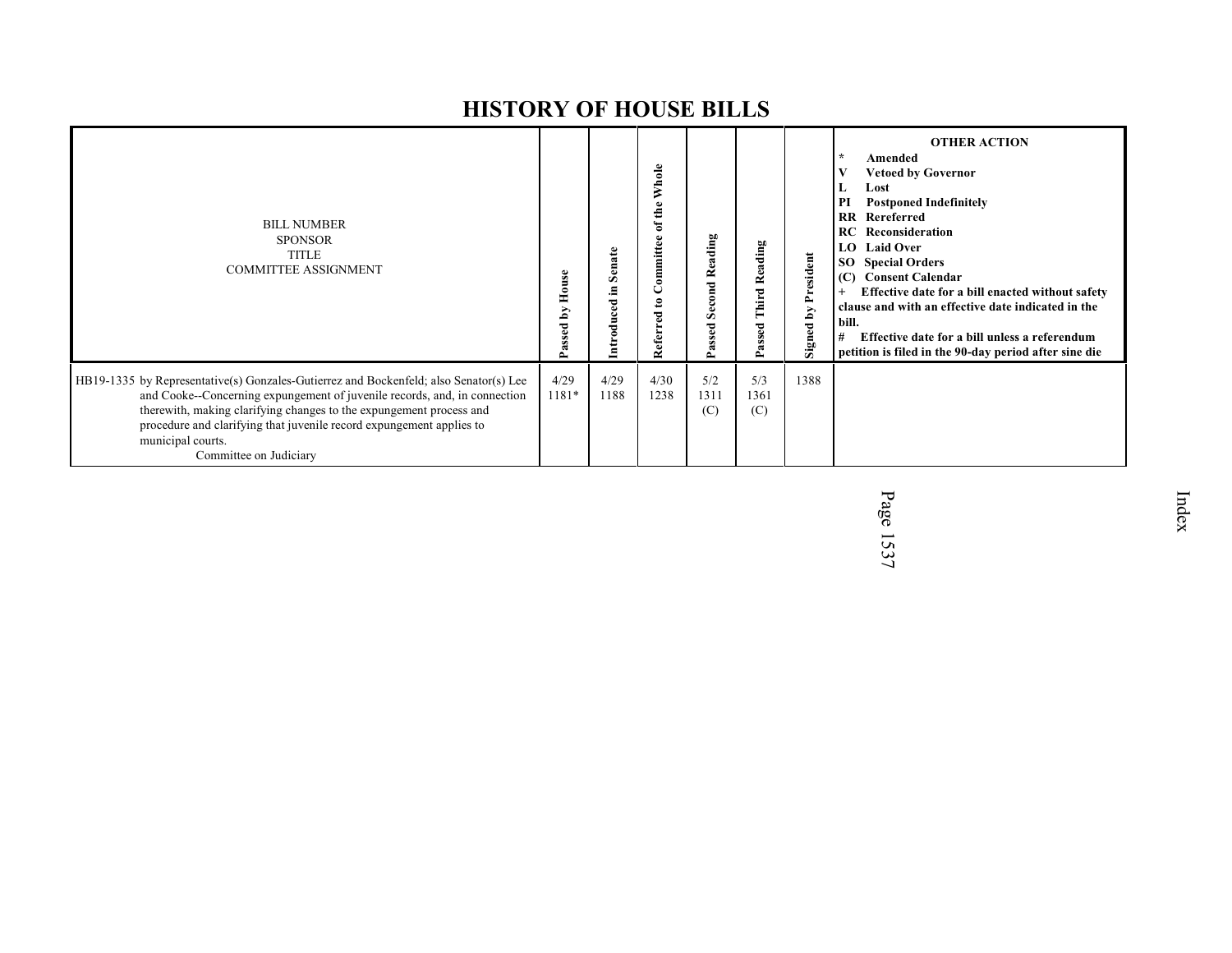| <b>BILL NUMBER</b><br><b>SPONSOR</b><br><b>TITLE</b><br><b>COMMITTEE ASSIGNMENT</b>                                                                                                                                                                                                                                                                              | S<br>H<br>⋋<br>ء | Senate<br>드.<br>$_{\rm ccd}$<br>डू | Whole<br>of the<br>ommittee<br>◡<br>$\mathbf{e}$<br>Referred | Reading<br>econd<br>Ō<br>ssed<br>α | 60<br>Reading<br>Third<br>ᄝ<br>$\sim$ | President<br>Signed by | <b>OTHER ACTION</b><br>$\star$<br>Amended<br><b>Vetoed by Governor</b><br>Lost<br><b>Postponed Indefinitely</b><br>PI<br>Rereferred<br>$\overline{\mathbf{R}}$<br><b>RC</b> Reconsideration<br>LO.<br><b>Laid Over</b><br><b>Special Orders</b><br>SO.<br><b>Consent Calendar</b><br>(C)<br>Effective date for a bill enacted without safety<br>clause and with an effective date indicated in the<br>bill.<br>Effective date for a bill unless a referendum<br>#<br>petition is filed in the 90-day period after sine die |
|------------------------------------------------------------------------------------------------------------------------------------------------------------------------------------------------------------------------------------------------------------------------------------------------------------------------------------------------------------------|------------------|------------------------------------|--------------------------------------------------------------|------------------------------------|---------------------------------------|------------------------|----------------------------------------------------------------------------------------------------------------------------------------------------------------------------------------------------------------------------------------------------------------------------------------------------------------------------------------------------------------------------------------------------------------------------------------------------------------------------------------------------------------------------|
| HB19-1335 by Representative(s) Gonzales-Gutierrez and Bockenfeld; also Senator(s) Lee<br>and Cooke--Concerning expungement of juvenile records, and, in connection<br>therewith, making clarifying changes to the expungement process and<br>procedure and clarifying that juvenile record expungement applies to<br>municipal courts.<br>Committee on Judiciary | 4/29<br>1181*    | 4/29<br>1188                       | 4/30<br>1238                                                 | 5/2<br>1311<br>(C)                 | 5/3<br>1361<br>(C)                    | 1388                   |                                                                                                                                                                                                                                                                                                                                                                                                                                                                                                                            |

Page 1537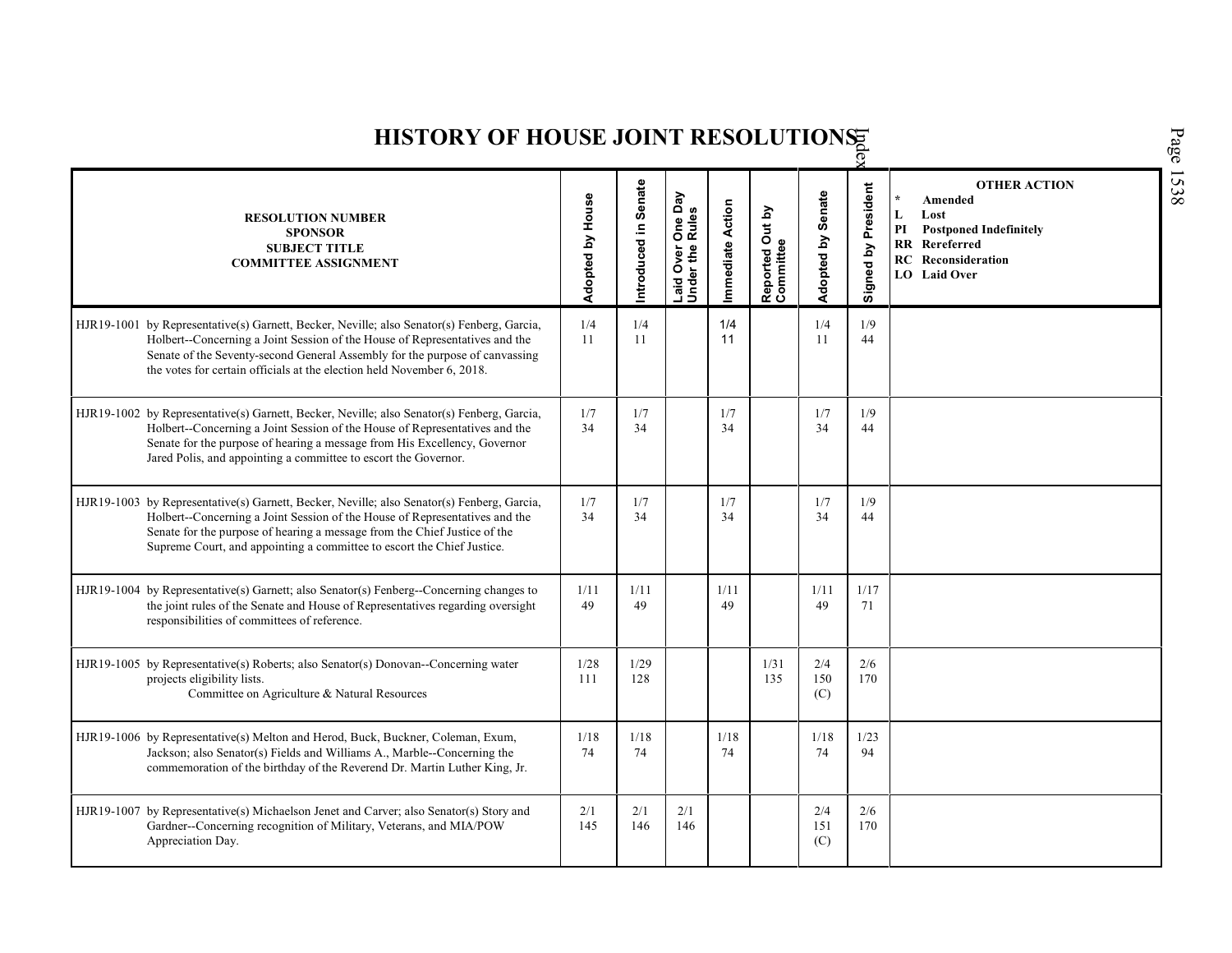| HISTORY OF HOUSE JOINT RESOLUTIONS                                                                                                                                                                                                                                                                                                |                  |                      |                                      |                 |                              |                   |                     |                                                                                                                                                             |  |  |  |
|-----------------------------------------------------------------------------------------------------------------------------------------------------------------------------------------------------------------------------------------------------------------------------------------------------------------------------------|------------------|----------------------|--------------------------------------|-----------------|------------------------------|-------------------|---------------------|-------------------------------------------------------------------------------------------------------------------------------------------------------------|--|--|--|
| <b>RESOLUTION NUMBER</b><br><b>SPONSOR</b><br><b>SUBJECT TITLE</b><br><b>COMMITTEE ASSIGNMENT</b>                                                                                                                                                                                                                                 | Adopted by House | Introduced in Senate | Laid Over One Day<br>Under the Rules | mmediate Action | Reported Out by<br>Committee | Adopted by Senate | Signed by President | <b>OTHER ACTION</b><br>$\star$<br>Amended<br>L<br>Lost<br>PI<br><b>Postponed Indefinitely</b><br>RR Rereferred<br><b>RC</b> Reconsideration<br>LO Laid Over |  |  |  |
| HJR19-1001 by Representative(s) Garnett, Becker, Neville; also Senator(s) Fenberg, Garcia,<br>Holbert-Concerning a Joint Session of the House of Representatives and the<br>Senate of the Seventy-second General Assembly for the purpose of canvassing<br>the votes for certain officials at the election held November 6, 2018. | 1/4<br>11        | 1/4<br>11            |                                      | 1/4<br>11       |                              | 1/4<br>11         | 1/9<br>44           |                                                                                                                                                             |  |  |  |
| HJR19-1002 by Representative(s) Garnett, Becker, Neville; also Senator(s) Fenberg, Garcia,<br>Holbert-Concerning a Joint Session of the House of Representatives and the<br>Senate for the purpose of hearing a message from His Excellency, Governor<br>Jared Polis, and appointing a committee to escort the Governor.          | 1/7<br>34        | 1/7<br>34            |                                      | 1/7<br>34       |                              | 1/7<br>34         | 1/9<br>44           |                                                                                                                                                             |  |  |  |
| HJR19-1003 by Representative(s) Garnett, Becker, Neville; also Senator(s) Fenberg, Garcia,<br>Holbert-Concerning a Joint Session of the House of Representatives and the<br>Senate for the purpose of hearing a message from the Chief Justice of the<br>Supreme Court, and appointing a committee to escort the Chief Justice.   | 1/7<br>34        | 1/7<br>34            |                                      | 1/7<br>34       |                              | 1/7<br>34         | 1/9<br>44           |                                                                                                                                                             |  |  |  |
| HJR19-1004 by Representative(s) Garnett; also Senator(s) Fenberg--Concerning changes to<br>the joint rules of the Senate and House of Representatives regarding oversight<br>responsibilities of committees of reference.                                                                                                         | 1/11<br>49       | 1/11<br>49           |                                      | 1/11<br>49      |                              | 1/11<br>49        | 1/17<br>71          |                                                                                                                                                             |  |  |  |
| HJR19-1005 by Representative(s) Roberts; also Senator(s) Donovan--Concerning water<br>projects eligibility lists.<br>Committee on Agriculture & Natural Resources                                                                                                                                                                 | 1/28<br>111      | 1/29<br>128          |                                      |                 | 1/31<br>135                  | 2/4<br>150<br>(C) | 2/6<br>170          |                                                                                                                                                             |  |  |  |
| HJR19-1006 by Representative(s) Melton and Herod, Buck, Buckner, Coleman, Exum,<br>Jackson; also Senator(s) Fields and Williams A., Marble--Concerning the<br>commemoration of the birthday of the Reverend Dr. Martin Luther King, Jr.                                                                                           | 1/18<br>74       | $1/18$<br>74         |                                      | 1/18<br>74      |                              | 1/18<br>74        | 1/23<br>94          |                                                                                                                                                             |  |  |  |
| HJR19-1007 by Representative(s) Michaelson Jenet and Carver; also Senator(s) Story and<br>Gardner--Concerning recognition of Military, Veterans, and MIA/POW<br>Appreciation Day.                                                                                                                                                 | 2/1<br>145       | 2/1<br>146           | 2/1<br>146                           |                 |                              | 2/4<br>151<br>(C) | 2/6<br>170          |                                                                                                                                                             |  |  |  |

Page 1538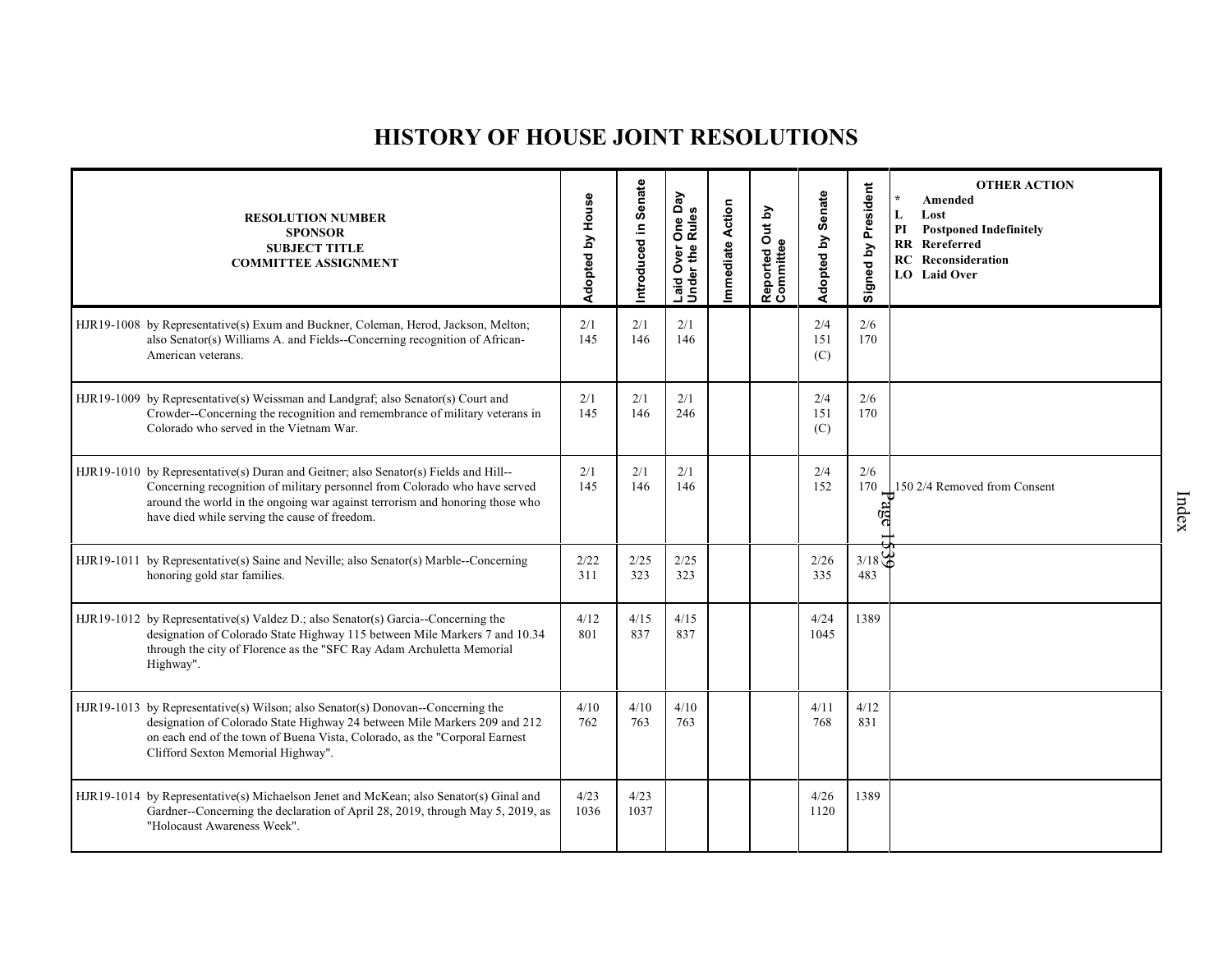## **HISTORY OF HOUSE JOINT RESOLUTIONS**

| <b>RESOLUTION NUMBER</b><br><b>SPONSOR</b><br><b>SUBJECT TITLE</b><br><b>COMMITTEE ASSIGNMENT</b>                                                                                                                                                                                                   | Adopted by House | Introduced in Senate | One Day<br>Rules<br>Laid Over (<br>Under the I | Immediate Action | Reported Out by<br>Committee | Adopted by Senate | Signed by President | <b>OTHER ACTION</b><br>$\star$<br>Amended<br>L<br>Lost<br>PI<br><b>Postponed Indefinitely</b><br><b>RR</b> Rereferred<br><b>RC</b> Reconsideration<br><b>LO</b> Laid Over |
|-----------------------------------------------------------------------------------------------------------------------------------------------------------------------------------------------------------------------------------------------------------------------------------------------------|------------------|----------------------|------------------------------------------------|------------------|------------------------------|-------------------|---------------------|---------------------------------------------------------------------------------------------------------------------------------------------------------------------------|
| HJR19-1008 by Representative(s) Exum and Buckner, Coleman, Herod, Jackson, Melton;<br>also Senator(s) Williams A. and Fields--Concerning recognition of African-<br>American veterans.                                                                                                              | 2/1<br>145       | 2/1<br>146           | 2/1<br>146                                     |                  |                              | 2/4<br>151<br>(C) | 2/6<br>170          |                                                                                                                                                                           |
| HJR19-1009 by Representative(s) Weissman and Landgraf; also Senator(s) Court and<br>Crowder--Concerning the recognition and remembrance of military veterans in<br>Colorado who served in the Vietnam War.                                                                                          | 2/1<br>145       | 2/1<br>146           | 2/1<br>246                                     |                  |                              | 2/4<br>151<br>(C) | 2/6<br>170          |                                                                                                                                                                           |
| HJR19-1010 by Representative(s) Duran and Geitner; also Senator(s) Fields and Hill--<br>Concerning recognition of military personnel from Colorado who have served<br>around the world in the ongoing war against terrorism and honoring those who<br>have died while serving the cause of freedom. | 2/1<br>145       | 2/1<br>146           | 2/1<br>146                                     |                  |                              | 2/4<br>152        | 2/6                 | 170 150 2/4 Removed from Consent                                                                                                                                          |
| HJR19-1011 by Representative(s) Saine and Neville; also Senator(s) Marble--Concerning<br>honoring gold star families.                                                                                                                                                                               | 2/22<br>311      | 2/25<br>323          | 2/25<br>323                                    |                  |                              | 2/26<br>335       | 3/18<br>483         |                                                                                                                                                                           |
| HJR19-1012 by Representative(s) Valdez D.; also Senator(s) Garcia--Concerning the<br>designation of Colorado State Highway 115 between Mile Markers 7 and 10.34<br>through the city of Florence as the "SFC Ray Adam Archuletta Memorial<br>Highway".                                               | 4/12<br>801      | 4/15<br>837          | 4/15<br>837                                    |                  |                              | 4/24<br>1045      | 1389                |                                                                                                                                                                           |
| HJR19-1013 by Representative(s) Wilson; also Senator(s) Donovan--Concerning the<br>designation of Colorado State Highway 24 between Mile Markers 209 and 212<br>on each end of the town of Buena Vista, Colorado, as the "Corporal Earnest<br>Clifford Sexton Memorial Highway".                    | 4/10<br>762      | 4/10<br>763          | 4/10<br>763                                    |                  |                              | 4/11<br>768       | 4/12<br>831         |                                                                                                                                                                           |
| HJR19-1014 by Representative(s) Michaelson Jenet and McKean; also Senator(s) Ginal and<br>Gardner--Concerning the declaration of April 28, 2019, through May 5, 2019, as<br>"Holocaust Awareness Week".                                                                                             | 4/23<br>1036     | 4/23<br>1037         |                                                |                  |                              | 4/26<br>1120      | 1389                |                                                                                                                                                                           |